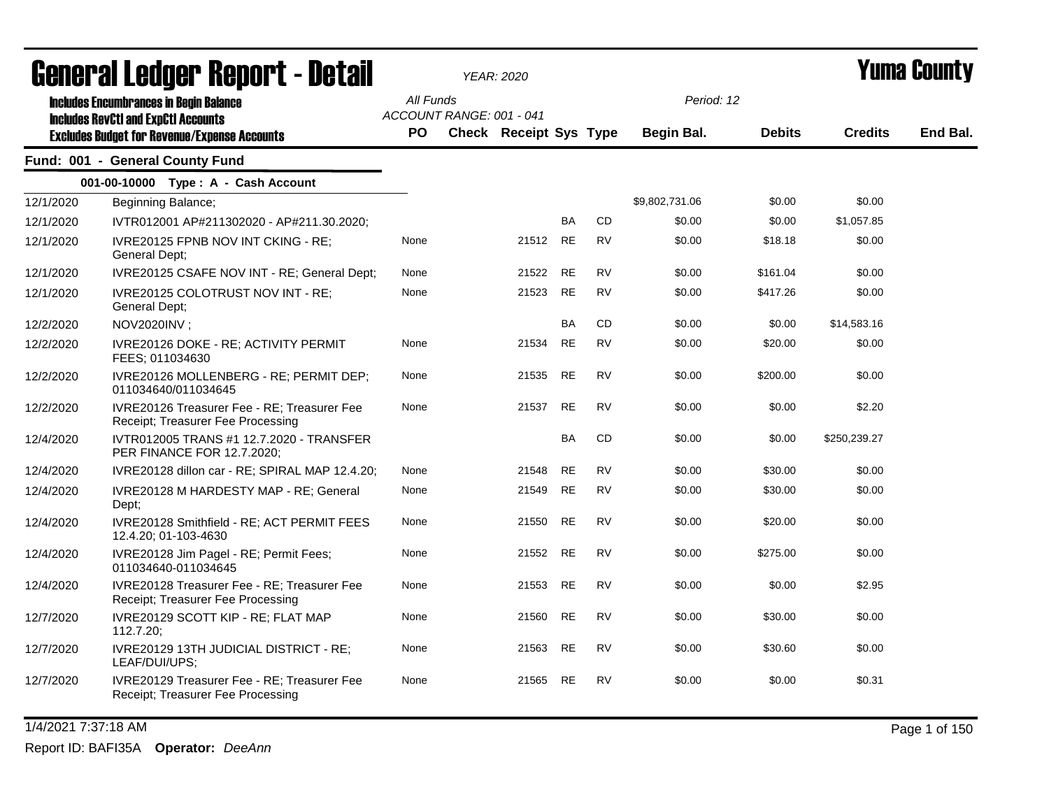|           | Generai Leuger Keport - Detail                                                                                                                     |                 |                          | <b>YEAR: 2020</b>      |           |           | Yuma Guunly              |               |                |          |
|-----------|----------------------------------------------------------------------------------------------------------------------------------------------------|-----------------|--------------------------|------------------------|-----------|-----------|--------------------------|---------------|----------------|----------|
|           | <b>Includes Encumbrances in Begin Balance</b><br><b>Includes RevCtI and ExpCtI Accounts</b><br><b>Excludes Budget for Revenue/Expense Accounts</b> | All Funds<br>PO | ACCOUNT RANGE: 001 - 041 | Check Receipt Sys Type |           |           | Period: 12<br>Begin Bal. | <b>Debits</b> | <b>Credits</b> | End Bal. |
|           | Fund: 001 - General County Fund                                                                                                                    |                 |                          |                        |           |           |                          |               |                |          |
|           | 001-00-10000 Type: A - Cash Account                                                                                                                |                 |                          |                        |           |           |                          |               |                |          |
| 12/1/2020 | Beginning Balance;                                                                                                                                 |                 |                          |                        |           |           | \$9,802,731.06           | \$0.00        | \$0.00         |          |
| 12/1/2020 | IVTR012001 AP#211302020 - AP#211.30.2020;                                                                                                          |                 |                          |                        | <b>BA</b> | CD        | \$0.00                   | \$0.00        | \$1,057.85     |          |
| 12/1/2020 | IVRE20125 FPNB NOV INT CKING - RE;<br>General Dept;                                                                                                | None            |                          | 21512                  | <b>RE</b> | <b>RV</b> | \$0.00                   | \$18.18       | \$0.00         |          |
| 12/1/2020 | IVRE20125 CSAFE NOV INT - RE; General Dept;                                                                                                        | None            |                          | 21522                  | <b>RE</b> | <b>RV</b> | \$0.00                   | \$161.04      | \$0.00         |          |
| 12/1/2020 | IVRE20125 COLOTRUST NOV INT - RE;<br>General Dept;                                                                                                 | None            |                          | 21523                  | RE        | <b>RV</b> | \$0.00                   | \$417.26      | \$0.00         |          |
| 12/2/2020 | NOV2020INV;                                                                                                                                        |                 |                          |                        | <b>BA</b> | CD        | \$0.00                   | \$0.00        | \$14,583.16    |          |
| 12/2/2020 | IVRE20126 DOKE - RE; ACTIVITY PERMIT<br>FEES: 011034630                                                                                            | None            |                          | 21534                  | <b>RE</b> | <b>RV</b> | \$0.00                   | \$20.00       | \$0.00         |          |
| 12/2/2020 | IVRE20126 MOLLENBERG - RE; PERMIT DEP;<br>011034640/011034645                                                                                      | None            |                          | 21535                  | RE        | RV        | \$0.00                   | \$200.00      | \$0.00         |          |
| 12/2/2020 | IVRE20126 Treasurer Fee - RE; Treasurer Fee<br>Receipt; Treasurer Fee Processing                                                                   | None            |                          | 21537                  | <b>RE</b> | <b>RV</b> | \$0.00                   | \$0.00        | \$2.20         |          |
| 12/4/2020 | IVTR012005 TRANS #1 12.7.2020 - TRANSFER<br>PER FINANCE FOR 12.7.2020;                                                                             |                 |                          |                        | <b>BA</b> | CD        | \$0.00                   | \$0.00        | \$250,239.27   |          |
| 12/4/2020 | IVRE20128 dillon car - RE; SPIRAL MAP 12.4.20;                                                                                                     | None            |                          | 21548                  | RE        | RV        | \$0.00                   | \$30.00       | \$0.00         |          |
| 12/4/2020 | IVRE20128 M HARDESTY MAP - RE; General<br>Dept;                                                                                                    | None            |                          | 21549                  | <b>RE</b> | <b>RV</b> | \$0.00                   | \$30.00       | \$0.00         |          |
| 12/4/2020 | IVRE20128 Smithfield - RE; ACT PERMIT FEES<br>12.4.20; 01-103-4630                                                                                 | None            |                          | 21550                  | <b>RE</b> | <b>RV</b> | \$0.00                   | \$20.00       | \$0.00         |          |
| 12/4/2020 | IVRE20128 Jim Pagel - RE; Permit Fees;<br>011034640-011034645                                                                                      | None            |                          | 21552                  | <b>RE</b> | <b>RV</b> | \$0.00                   | \$275.00      | \$0.00         |          |
| 12/4/2020 | IVRE20128 Treasurer Fee - RE: Treasurer Fee<br>Receipt; Treasurer Fee Processing                                                                   | None            |                          | 21553                  | RE        | <b>RV</b> | \$0.00                   | \$0.00        | \$2.95         |          |
| 12/7/2020 | IVRE20129 SCOTT KIP - RE; FLAT MAP<br>112.7.20;                                                                                                    | None            |                          | 21560                  | RE        | <b>RV</b> | \$0.00                   | \$30.00       | \$0.00         |          |
| 12/7/2020 | IVRE20129 13TH JUDICIAL DISTRICT - RE;<br>LEAF/DUI/UPS;                                                                                            | None            |                          | 21563                  | RE        | RV        | \$0.00                   | \$30.60       | \$0.00         |          |
| 12/7/2020 | IVRE20129 Treasurer Fee - RE; Treasurer Fee<br>Receipt; Treasurer Fee Processing                                                                   | None            |                          | 21565                  | RE        | RV        | \$0.00                   | \$0.00        | \$0.31         |          |
|           |                                                                                                                                                    |                 |                          |                        |           |           |                          |               |                |          |

1/4/2021 7:37:18 AM Page 1 of 150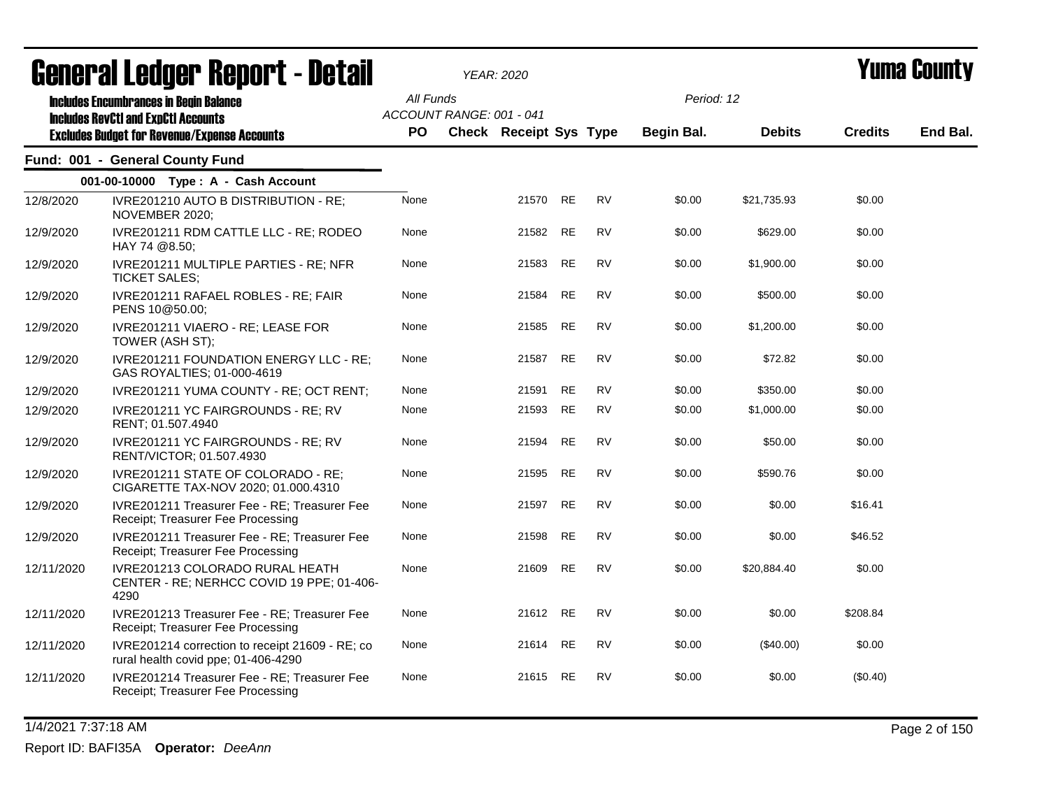|            | acıici ai leuyei" nepol"l - Detail                                                          |           |                          | <i>YEAR: 2020</i>      |           |           |            |               |                | I UIIIQ VUUILL |
|------------|---------------------------------------------------------------------------------------------|-----------|--------------------------|------------------------|-----------|-----------|------------|---------------|----------------|----------------|
|            | <b>Includes Encumbrances in Begin Balance</b><br><b>Includes RevCtI and ExpCtI Accounts</b> | All Funds | ACCOUNT RANGE: 001 - 041 |                        |           |           | Period: 12 |               |                |                |
|            | <b>Excludes Budget for Revenue/Expense Accounts</b>                                         | PO.       |                          | Check Receipt Sys Type |           |           | Begin Bal. | <b>Debits</b> | <b>Credits</b> | End Bal.       |
|            | Fund: 001 - General County Fund                                                             |           |                          |                        |           |           |            |               |                |                |
|            | 001-00-10000 Type: A - Cash Account                                                         |           |                          |                        |           |           |            |               |                |                |
| 12/8/2020  | IVRE201210 AUTO B DISTRIBUTION - RE;<br>NOVEMBER 2020;                                      | None      |                          | 21570 RE               |           | <b>RV</b> | \$0.00     | \$21,735.93   | \$0.00         |                |
| 12/9/2020  | IVRE201211 RDM CATTLE LLC - RE; RODEO<br>HAY 74 @8.50;                                      | None      |                          | 21582 RE               |           | <b>RV</b> | \$0.00     | \$629.00      | \$0.00         |                |
| 12/9/2020  | IVRE201211 MULTIPLE PARTIES - RE; NFR<br><b>TICKET SALES;</b>                               | None      |                          | 21583                  | <b>RE</b> | <b>RV</b> | \$0.00     | \$1,900.00    | \$0.00         |                |
| 12/9/2020  | IVRE201211 RAFAEL ROBLES - RE; FAIR<br>PENS 10@50.00;                                       | None      |                          | 21584 RE               |           | <b>RV</b> | \$0.00     | \$500.00      | \$0.00         |                |
| 12/9/2020  | IVRE201211 VIAERO - RE; LEASE FOR<br>TOWER (ASH ST);                                        | None      |                          | 21585 RE               |           | <b>RV</b> | \$0.00     | \$1,200.00    | \$0.00         |                |
| 12/9/2020  | IVRE201211 FOUNDATION ENERGY LLC - RE;<br>GAS ROYALTIES; 01-000-4619                        | None      |                          | 21587                  | RE        | RV        | \$0.00     | \$72.82       | \$0.00         |                |
| 12/9/2020  | IVRE201211 YUMA COUNTY - RE; OCT RENT;                                                      | None      |                          | 21591                  | <b>RE</b> | <b>RV</b> | \$0.00     | \$350.00      | \$0.00         |                |
| 12/9/2020  | IVRE201211 YC FAIRGROUNDS - RE; RV<br>RENT: 01.507.4940                                     | None      |                          | 21593                  | RE        | RV        | \$0.00     | \$1,000.00    | \$0.00         |                |
| 12/9/2020  | IVRE201211 YC FAIRGROUNDS - RE; RV<br>RENT/VICTOR; 01.507.4930                              | None      |                          | 21594                  | <b>RE</b> | <b>RV</b> | \$0.00     | \$50.00       | \$0.00         |                |
| 12/9/2020  | IVRE201211 STATE OF COLORADO - RE;<br>CIGARETTE TAX-NOV 2020; 01.000.4310                   | None      |                          | 21595                  | RE        | <b>RV</b> | \$0.00     | \$590.76      | \$0.00         |                |
| 12/9/2020  | IVRE201211 Treasurer Fee - RE; Treasurer Fee<br>Receipt; Treasurer Fee Processing           | None      |                          | 21597 RE               |           | <b>RV</b> | \$0.00     | \$0.00        | \$16.41        |                |
| 12/9/2020  | IVRE201211 Treasurer Fee - RE; Treasurer Fee<br>Receipt; Treasurer Fee Processing           | None      |                          | 21598                  | <b>RE</b> | <b>RV</b> | \$0.00     | \$0.00        | \$46.52        |                |
| 12/11/2020 | IVRE201213 COLORADO RURAL HEATH<br>CENTER - RE; NERHCC COVID 19 PPE; 01-406-<br>4290        | None      |                          | 21609                  | RE        | <b>RV</b> | \$0.00     | \$20,884.40   | \$0.00         |                |
| 12/11/2020 | IVRE201213 Treasurer Fee - RE; Treasurer Fee<br>Receipt; Treasurer Fee Processing           | None      |                          | 21612 RE               |           | <b>RV</b> | \$0.00     | \$0.00        | \$208.84       |                |
| 12/11/2020 | IVRE201214 correction to receipt 21609 - RE; co<br>rural health covid ppe; 01-406-4290      | None      |                          | 21614                  | <b>RE</b> | <b>RV</b> | \$0.00     | $(\$40.00)$   | \$0.00         |                |
| 12/11/2020 | IVRE201214 Treasurer Fee - RE; Treasurer Fee<br>Receipt; Treasurer Fee Processing           | None      |                          | 21615 RE               |           | RV        | \$0.00     | \$0.00        | (\$0.40)       |                |

1/4/2021 7:37:18 AM Page 2 of 150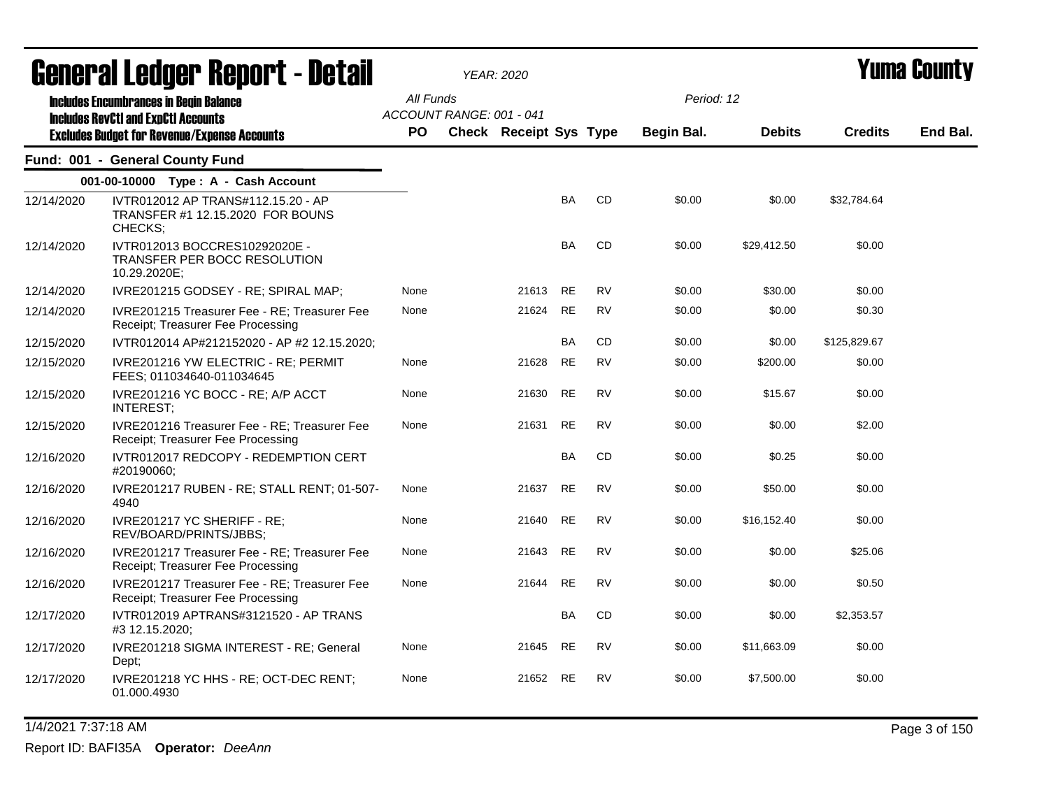| <b>General Ledger Report - Detail</b> |                                                                                                   |                                       | <b>YEAR: 2020</b>      |           |           | <b>Yuma County</b> |               |                |          |
|---------------------------------------|---------------------------------------------------------------------------------------------------|---------------------------------------|------------------------|-----------|-----------|--------------------|---------------|----------------|----------|
|                                       | <b>Includes Encumbrances in Begin Balance</b>                                                     | All Funds<br>ACCOUNT RANGE: 001 - 041 |                        |           |           | Period: 12         |               |                |          |
|                                       | <b>Includes RevCtI and ExpCtI Accounts</b><br><b>Excludes Budget for Revenue/Expense Accounts</b> | <b>PO</b>                             | Check Receipt Sys Type |           |           | Begin Bal.         | <b>Debits</b> | <b>Credits</b> | End Bal. |
|                                       | Fund: 001 - General County Fund                                                                   |                                       |                        |           |           |                    |               |                |          |
|                                       | 001-00-10000 Type: A - Cash Account                                                               |                                       |                        |           |           |                    |               |                |          |
| 12/14/2020                            | IVTR012012 AP TRANS#112.15.20 - AP<br>TRANSFER #1 12.15.2020 FOR BOUNS<br>CHECKS;                 |                                       |                        | BA        | CD        | \$0.00             | \$0.00        | \$32,784.64    |          |
| 12/14/2020                            | IVTR012013 BOCCRES10292020E -<br>TRANSFER PER BOCC RESOLUTION<br>10.29.2020E;                     |                                       |                        | BA        | CD        | \$0.00             | \$29,412.50   | \$0.00         |          |
| 12/14/2020                            | IVRE201215 GODSEY - RE; SPIRAL MAP;                                                               | None                                  | 21613                  | <b>RE</b> | <b>RV</b> | \$0.00             | \$30.00       | \$0.00         |          |
| 12/14/2020                            | IVRE201215 Treasurer Fee - RE: Treasurer Fee<br>Receipt; Treasurer Fee Processing                 | None                                  | 21624                  | <b>RE</b> | <b>RV</b> | \$0.00             | \$0.00        | \$0.30         |          |
| 12/15/2020                            | IVTR012014 AP#212152020 - AP #2 12.15.2020;                                                       |                                       |                        | <b>BA</b> | CD        | \$0.00             | \$0.00        | \$125,829.67   |          |
| 12/15/2020                            | IVRE201216 YW ELECTRIC - RE; PERMIT<br>FEES; 011034640-011034645                                  | None                                  | 21628                  | <b>RE</b> | <b>RV</b> | \$0.00             | \$200.00      | \$0.00         |          |
| 12/15/2020                            | IVRE201216 YC BOCC - RE; A/P ACCT<br><b>INTEREST;</b>                                             | None                                  | 21630                  | <b>RE</b> | <b>RV</b> | \$0.00             | \$15.67       | \$0.00         |          |
| 12/15/2020                            | IVRE201216 Treasurer Fee - RE: Treasurer Fee<br>Receipt; Treasurer Fee Processing                 | None                                  | 21631                  | <b>RE</b> | <b>RV</b> | \$0.00             | \$0.00        | \$2.00         |          |
| 12/16/2020                            | IVTR012017 REDCOPY - REDEMPTION CERT<br>#20190060;                                                |                                       |                        | BA        | CD        | \$0.00             | \$0.25        | \$0.00         |          |
| 12/16/2020                            | IVRE201217 RUBEN - RE; STALL RENT; 01-507-<br>4940                                                | None                                  | 21637                  | <b>RE</b> | <b>RV</b> | \$0.00             | \$50.00       | \$0.00         |          |
| 12/16/2020                            | IVRE201217 YC SHERIFF - RE:<br>REV/BOARD/PRINTS/JBBS;                                             | None                                  | 21640                  | <b>RE</b> | <b>RV</b> | \$0.00             | \$16,152.40   | \$0.00         |          |
| 12/16/2020                            | IVRE201217 Treasurer Fee - RE; Treasurer Fee<br>Receipt; Treasurer Fee Processing                 | None                                  | 21643                  | <b>RE</b> | <b>RV</b> | \$0.00             | \$0.00        | \$25.06        |          |
| 12/16/2020                            | IVRE201217 Treasurer Fee - RE; Treasurer Fee<br>Receipt; Treasurer Fee Processing                 | None                                  | 21644                  | <b>RE</b> | <b>RV</b> | \$0.00             | \$0.00        | \$0.50         |          |
| 12/17/2020                            | IVTR012019 APTRANS#3121520 - AP TRANS<br>#3 12.15.2020;                                           |                                       |                        | BA        | CD        | \$0.00             | \$0.00        | \$2,353.57     |          |
| 12/17/2020                            | IVRE201218 SIGMA INTEREST - RE; General<br>Dept;                                                  | None                                  | 21645                  | RE        | RV        | \$0.00             | \$11,663.09   | \$0.00         |          |
| 12/17/2020                            | IVRE201218 YC HHS - RE; OCT-DEC RENT;<br>01.000.4930                                              | None                                  | 21652                  | <b>RE</b> | RV        | \$0.00             | \$7,500.00    | \$0.00         |          |

1/4/2021 7:37:18 AM Page 3 of 150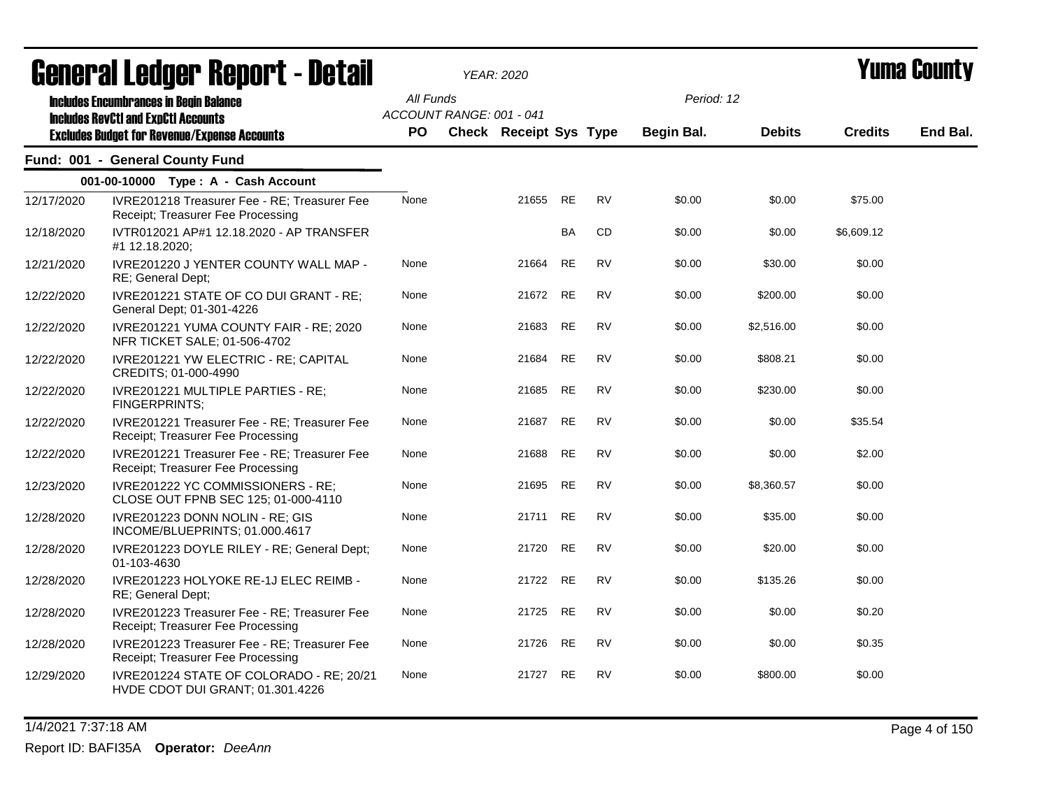|            | agligi qi fanagi. Ughni f - nefqil                                                          |           |                          | YEAR: 2020                    |           |           |            |               |                | I UIIIU VUUIIL J |
|------------|---------------------------------------------------------------------------------------------|-----------|--------------------------|-------------------------------|-----------|-----------|------------|---------------|----------------|------------------|
|            | <b>Includes Encumbrances in Begin Balance</b><br><b>Includes RevCtI and ExpCtI Accounts</b> | All Funds | ACCOUNT RANGE: 001 - 041 |                               |           |           | Period: 12 |               |                |                  |
|            | <b>Excludes Budget for Revenue/Expense Accounts</b>                                         | PO.       |                          | <b>Check Receipt Sys Type</b> |           |           | Begin Bal. | <b>Debits</b> | <b>Credits</b> | End Bal.         |
|            | Fund: 001 - General County Fund                                                             |           |                          |                               |           |           |            |               |                |                  |
|            | 001-00-10000 Type: A - Cash Account                                                         |           |                          |                               |           |           |            |               |                |                  |
| 12/17/2020 | IVRE201218 Treasurer Fee - RE; Treasurer Fee<br>Receipt; Treasurer Fee Processing           | None      |                          | 21655                         | RE        | <b>RV</b> | \$0.00     | \$0.00        | \$75.00        |                  |
| 12/18/2020 | IVTR012021 AP#1 12.18.2020 - AP TRANSFER<br>#1 12.18.2020;                                  |           |                          |                               | BA        | CD        | \$0.00     | \$0.00        | \$6,609.12     |                  |
| 12/21/2020 | IVRE201220 J YENTER COUNTY WALL MAP -<br>RE; General Dept;                                  | None      |                          | 21664                         | <b>RE</b> | <b>RV</b> | \$0.00     | \$30.00       | \$0.00         |                  |
| 12/22/2020 | IVRE201221 STATE OF CO DUI GRANT - RE;<br>General Dept; 01-301-4226                         | None      |                          | 21672 RE                      |           | <b>RV</b> | \$0.00     | \$200.00      | \$0.00         |                  |
| 12/22/2020 | IVRE201221 YUMA COUNTY FAIR - RE; 2020<br>NFR TICKET SALE; 01-506-4702                      | None      |                          | 21683 RE                      |           | <b>RV</b> | \$0.00     | \$2,516.00    | \$0.00         |                  |
| 12/22/2020 | IVRE201221 YW ELECTRIC - RE; CAPITAL<br>CREDITS; 01-000-4990                                | None      |                          | 21684                         | <b>RE</b> | <b>RV</b> | \$0.00     | \$808.21      | \$0.00         |                  |
| 12/22/2020 | IVRE201221 MULTIPLE PARTIES - RE;<br>FINGERPRINTS;                                          | None      |                          | 21685                         | RE        | RV        | \$0.00     | \$230.00      | \$0.00         |                  |
| 12/22/2020 | IVRE201221 Treasurer Fee - RE; Treasurer Fee<br>Receipt; Treasurer Fee Processing           | None      |                          | 21687                         | RE        | RV        | \$0.00     | \$0.00        | \$35.54        |                  |
| 12/22/2020 | IVRE201221 Treasurer Fee - RE; Treasurer Fee<br>Receipt; Treasurer Fee Processing           | None      |                          | 21688                         | RE        | RV        | \$0.00     | \$0.00        | \$2.00         |                  |
| 12/23/2020 | IVRE201222 YC COMMISSIONERS - RE;<br>CLOSE OUT FPNB SEC 125; 01-000-4110                    | None      |                          | 21695 RE                      |           | <b>RV</b> | \$0.00     | \$8,360.57    | \$0.00         |                  |
| 12/28/2020 | IVRE201223 DONN NOLIN - RE; GIS<br>INCOME/BLUEPRINTS; 01.000.4617                           | None      |                          | 21711                         | RE        | <b>RV</b> | \$0.00     | \$35.00       | \$0.00         |                  |
| 12/28/2020 | IVRE201223 DOYLE RILEY - RE; General Dept;<br>01-103-4630                                   | None      |                          | 21720                         | RE        | <b>RV</b> | \$0.00     | \$20.00       | \$0.00         |                  |
| 12/28/2020 | IVRE201223 HOLYOKE RE-1J ELEC REIMB -<br>RE; General Dept;                                  | None      |                          | 21722                         | RE        | <b>RV</b> | \$0.00     | \$135.26      | \$0.00         |                  |
| 12/28/2020 | IVRE201223 Treasurer Fee - RE; Treasurer Fee<br>Receipt; Treasurer Fee Processing           | None      |                          | 21725 RE                      |           | <b>RV</b> | \$0.00     | \$0.00        | \$0.20         |                  |
| 12/28/2020 | IVRE201223 Treasurer Fee - RE; Treasurer Fee<br>Receipt; Treasurer Fee Processing           | None      |                          | 21726                         | <b>RE</b> | <b>RV</b> | \$0.00     | \$0.00        | \$0.35         |                  |
| 12/29/2020 | IVRE201224 STATE OF COLORADO - RE; 20/21<br>HVDE CDOT DUI GRANT; 01.301.4226                | None      |                          | 21727                         | <b>RE</b> | <b>RV</b> | \$0.00     | \$800.00      | \$0.00         |                  |

1/4/2021 7:37:18 AM Page 4 of 150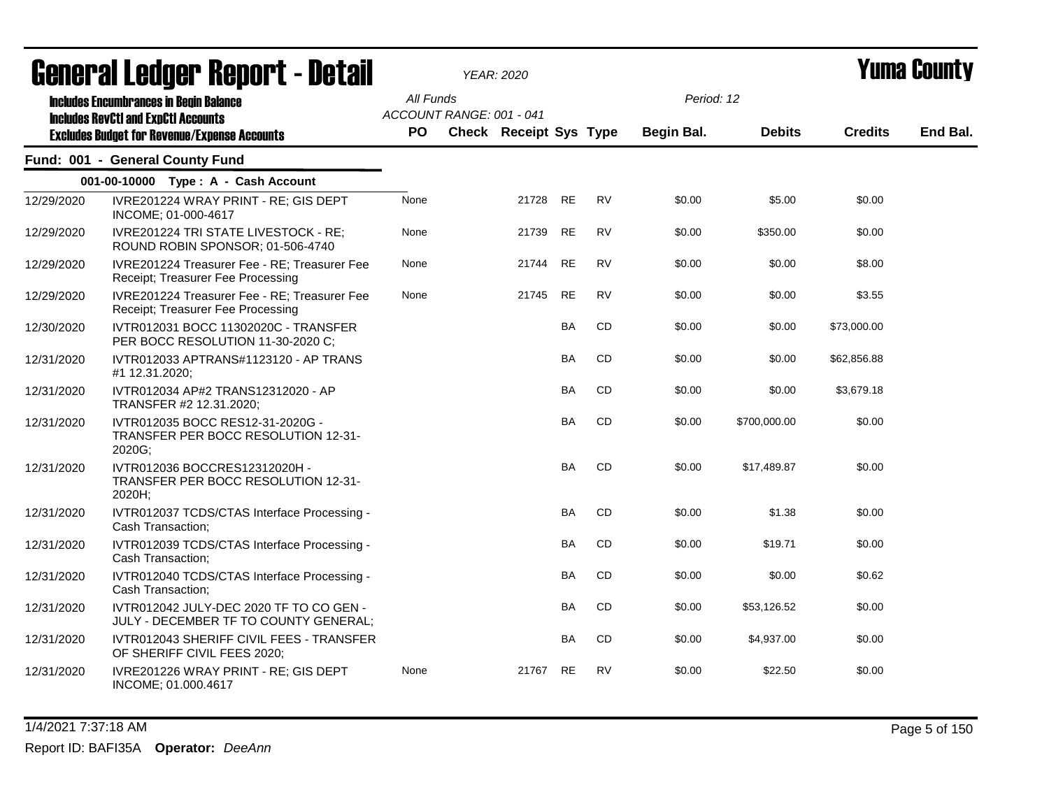|            | ugligi ai lguygi "ligpul l" Dglail                                                          |                        |                          | YEAR: 2020                    |           |           |            |               |                | I UIIIU VVUIILT |
|------------|---------------------------------------------------------------------------------------------|------------------------|--------------------------|-------------------------------|-----------|-----------|------------|---------------|----------------|-----------------|
|            | <b>Includes Encumbrances in Begin Balance</b><br><b>Includes RevCtI and ExpCtI Accounts</b> | All Funds<br><b>PO</b> | ACCOUNT RANGE: 001 - 041 |                               |           |           | Period: 12 | <b>Debits</b> |                | End Bal.        |
|            | <b>Excludes Budget for Revenue/Expense Accounts</b>                                         |                        |                          | <b>Check Receipt Sys Type</b> |           |           | Begin Bal. |               | <b>Credits</b> |                 |
|            | Fund: 001 - General County Fund                                                             |                        |                          |                               |           |           |            |               |                |                 |
|            | 001-00-10000 Type: A - Cash Account                                                         |                        |                          |                               |           |           |            |               |                |                 |
| 12/29/2020 | IVRE201224 WRAY PRINT - RE; GIS DEPT<br>INCOME; 01-000-4617                                 | None                   |                          | 21728 RE                      |           | <b>RV</b> | \$0.00     | \$5.00        | \$0.00         |                 |
| 12/29/2020 | IVRE201224 TRI STATE LIVESTOCK - RE;<br>ROUND ROBIN SPONSOR; 01-506-4740                    | None                   |                          | 21739                         | <b>RE</b> | <b>RV</b> | \$0.00     | \$350.00      | \$0.00         |                 |
| 12/29/2020 | IVRE201224 Treasurer Fee - RE; Treasurer Fee<br>Receipt; Treasurer Fee Processing           | None                   |                          | 21744                         | <b>RE</b> | <b>RV</b> | \$0.00     | \$0.00        | \$8.00         |                 |
| 12/29/2020 | IVRE201224 Treasurer Fee - RE; Treasurer Fee<br>Receipt; Treasurer Fee Processing           | None                   |                          | 21745                         | <b>RE</b> | <b>RV</b> | \$0.00     | \$0.00        | \$3.55         |                 |
| 12/30/2020 | IVTR012031 BOCC 11302020C - TRANSFER<br>PER BOCC RESOLUTION 11-30-2020 C;                   |                        |                          |                               | BA        | CD        | \$0.00     | \$0.00        | \$73,000.00    |                 |
| 12/31/2020 | IVTR012033 APTRANS#1123120 - AP TRANS<br>#1 12.31.2020;                                     |                        |                          |                               | <b>BA</b> | CD        | \$0.00     | \$0.00        | \$62,856.88    |                 |
| 12/31/2020 | IVTR012034 AP#2 TRANS12312020 - AP<br>TRANSFER #2 12.31.2020;                               |                        |                          |                               | <b>BA</b> | CD        | \$0.00     | \$0.00        | \$3,679.18     |                 |
| 12/31/2020 | IVTR012035 BOCC RES12-31-2020G -<br>TRANSFER PER BOCC RESOLUTION 12-31-<br>2020G;           |                        |                          |                               | <b>BA</b> | <b>CD</b> | \$0.00     | \$700,000.00  | \$0.00         |                 |
| 12/31/2020 | IVTR012036 BOCCRES12312020H -<br>TRANSFER PER BOCC RESOLUTION 12-31-<br>2020H;              |                        |                          |                               | <b>BA</b> | <b>CD</b> | \$0.00     | \$17,489.87   | \$0.00         |                 |
| 12/31/2020 | IVTR012037 TCDS/CTAS Interface Processing -<br>Cash Transaction;                            |                        |                          |                               | <b>BA</b> | CD        | \$0.00     | \$1.38        | \$0.00         |                 |
| 12/31/2020 | IVTR012039 TCDS/CTAS Interface Processing -<br>Cash Transaction;                            |                        |                          |                               | <b>BA</b> | <b>CD</b> | \$0.00     | \$19.71       | \$0.00         |                 |
| 12/31/2020 | IVTR012040 TCDS/CTAS Interface Processing -<br>Cash Transaction;                            |                        |                          |                               | <b>BA</b> | CD        | \$0.00     | \$0.00        | \$0.62         |                 |
| 12/31/2020 | IVTR012042 JULY-DEC 2020 TF TO CO GEN -<br>JULY - DECEMBER TF TO COUNTY GENERAL;            |                        |                          |                               | BA        | CD        | \$0.00     | \$53,126.52   | \$0.00         |                 |
| 12/31/2020 | IVTR012043 SHERIFF CIVIL FEES - TRANSFER<br>OF SHERIFF CIVIL FEES 2020;                     |                        |                          |                               | <b>BA</b> | CD        | \$0.00     | \$4,937.00    | \$0.00         |                 |
| 12/31/2020 | IVRE201226 WRAY PRINT - RE; GIS DEPT<br>INCOME; 01.000.4617                                 | None                   |                          | 21767                         | <b>RE</b> | <b>RV</b> | \$0.00     | \$22.50       | \$0.00         |                 |

1/4/2021 7:37:18 AM Page 5 of 150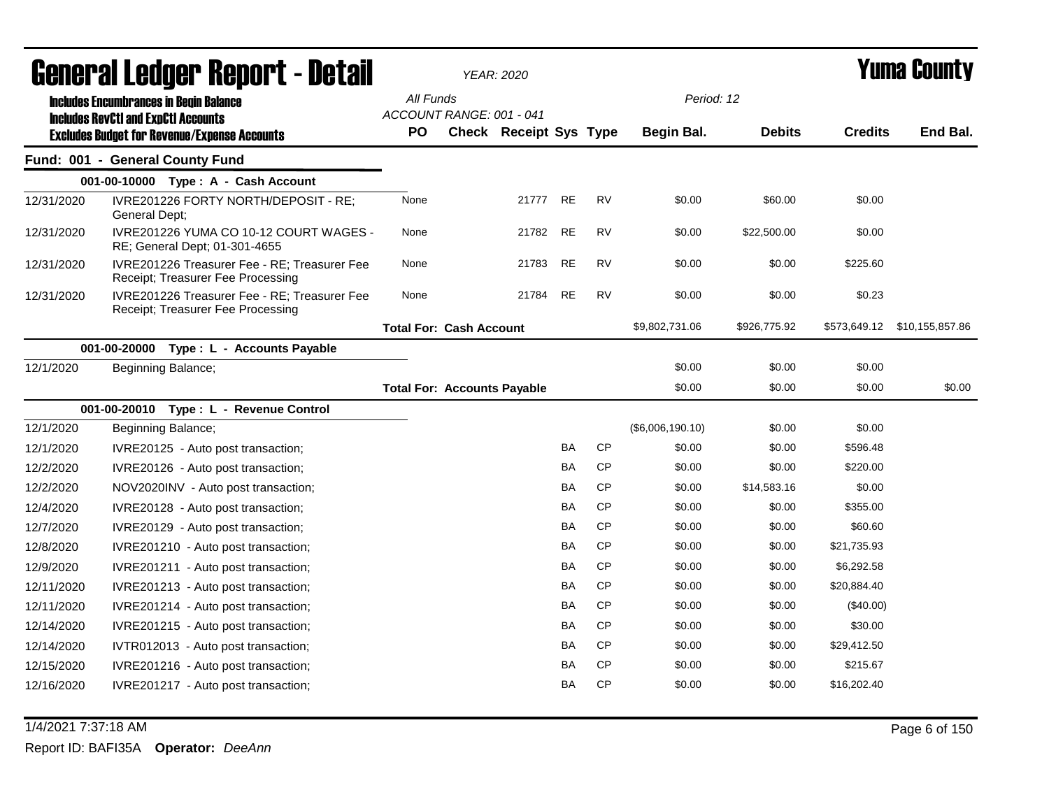| <b>General Ledger Report - Detail</b> |                                                                                             |           | <b>YEAR: 2020</b>                  |                        |           |           |                  |               | <b>Yuma County</b> |          |
|---------------------------------------|---------------------------------------------------------------------------------------------|-----------|------------------------------------|------------------------|-----------|-----------|------------------|---------------|--------------------|----------|
|                                       | <b>Includes Encumbrances in Begin Balance</b><br><b>Includes RevCtI and ExpCtI Accounts</b> | All Funds | ACCOUNT RANGE: 001 - 041           |                        |           |           | Period: 12       |               |                    |          |
|                                       | <b>Excludes Budget for Revenue/Expense Accounts</b>                                         | PO        |                                    | Check Receipt Sys Type |           |           | Begin Bal.       | <b>Debits</b> | <b>Credits</b>     | End Bal. |
|                                       | Fund: 001 - General County Fund                                                             |           |                                    |                        |           |           |                  |               |                    |          |
|                                       | 001-00-10000 Type: A - Cash Account                                                         |           |                                    |                        |           |           |                  |               |                    |          |
| 12/31/2020                            | IVRE201226 FORTY NORTH/DEPOSIT - RE;<br>General Dept;                                       | None      |                                    | 21777                  | <b>RE</b> | <b>RV</b> | \$0.00           | \$60.00       | \$0.00             |          |
| 12/31/2020                            | IVRE201226 YUMA CO 10-12 COURT WAGES -<br>RE; General Dept; 01-301-4655                     | None      |                                    | 21782                  | <b>RE</b> | <b>RV</b> | \$0.00           | \$22,500.00   | \$0.00             |          |
| 12/31/2020                            | IVRE201226 Treasurer Fee - RE; Treasurer Fee<br>Receipt; Treasurer Fee Processing           | None      |                                    | 21783                  | RE        | RV        | \$0.00           | \$0.00        | \$225.60           |          |
| 12/31/2020                            | IVRE201226 Treasurer Fee - RE; Treasurer Fee<br>Receipt; Treasurer Fee Processing           | None      |                                    | 21784                  | <b>RE</b> | <b>RV</b> | \$0.00           | \$0.00        | \$0.23             |          |
|                                       |                                                                                             |           | <b>Total For: Cash Account</b>     |                        |           |           | \$9,802,731.06   | \$926,775.92  |                    |          |
|                                       | 001-00-20000<br>Type : L - Accounts Payable                                                 |           |                                    |                        |           |           |                  |               |                    |          |
| 12/1/2020                             | Beginning Balance;                                                                          |           |                                    |                        |           |           | \$0.00           | \$0.00        | \$0.00             |          |
|                                       |                                                                                             |           | <b>Total For: Accounts Payable</b> |                        |           |           | \$0.00           | \$0.00        | \$0.00             | \$0.00   |
|                                       | 001-00-20010 Type: L - Revenue Control                                                      |           |                                    |                        |           |           |                  |               |                    |          |
| 12/1/2020                             | Beginning Balance;                                                                          |           |                                    |                        |           |           | (\$6,006,190.10) | \$0.00        | \$0.00             |          |
| 12/1/2020                             | IVRE20125 - Auto post transaction;                                                          |           |                                    |                        | BA        | <b>CP</b> | \$0.00           | \$0.00        | \$596.48           |          |
| 12/2/2020                             | IVRE20126 - Auto post transaction;                                                          |           |                                    |                        | BA        | CP        | \$0.00           | \$0.00        | \$220.00           |          |
| 12/2/2020                             | NOV2020INV - Auto post transaction;                                                         |           |                                    |                        | BA        | <b>CP</b> | \$0.00           | \$14,583.16   | \$0.00             |          |
| 12/4/2020                             | IVRE20128 - Auto post transaction;                                                          |           |                                    |                        | <b>BA</b> | CP        | \$0.00           | \$0.00        | \$355.00           |          |
| 12/7/2020                             | IVRE20129 - Auto post transaction;                                                          |           |                                    |                        | BA        | CP        | \$0.00           | \$0.00        | \$60.60            |          |
| 12/8/2020                             | IVRE201210 - Auto post transaction;                                                         |           |                                    |                        | <b>BA</b> | <b>CP</b> | \$0.00           | \$0.00        | \$21,735.93        |          |
| 12/9/2020                             | IVRE201211 - Auto post transaction;                                                         |           |                                    |                        | BA        | <b>CP</b> | \$0.00           | \$0.00        | \$6,292.58         |          |
| 12/11/2020                            | IVRE201213 - Auto post transaction;                                                         |           |                                    |                        | <b>BA</b> | <b>CP</b> | \$0.00           | \$0.00        | \$20,884.40        |          |
| 12/11/2020                            | IVRE201214 - Auto post transaction;                                                         |           |                                    |                        | BA        | CP        | \$0.00           | \$0.00        | $(\$40.00)$        |          |
| 12/14/2020                            | IVRE201215 - Auto post transaction;                                                         |           |                                    |                        | BA        | <b>CP</b> | \$0.00           | \$0.00        | \$30.00            |          |
| 12/14/2020                            | IVTR012013 - Auto post transaction;                                                         |           |                                    |                        | BA        | <b>CP</b> | \$0.00           | \$0.00        | \$29,412.50        |          |
| 12/15/2020                            | IVRE201216 - Auto post transaction;                                                         |           |                                    |                        | ΒA        | <b>CP</b> | \$0.00           | \$0.00        | \$215.67           |          |
| 12/16/2020                            | IVRE201217 - Auto post transaction;                                                         |           |                                    |                        | BA        | <b>CP</b> | \$0.00           | \$0.00        | \$16,202.40        |          |

1/4/2021 7:37:18 AM Page 6 of 150 Report ID: BAFI35A **Operator:** *DeeAnn*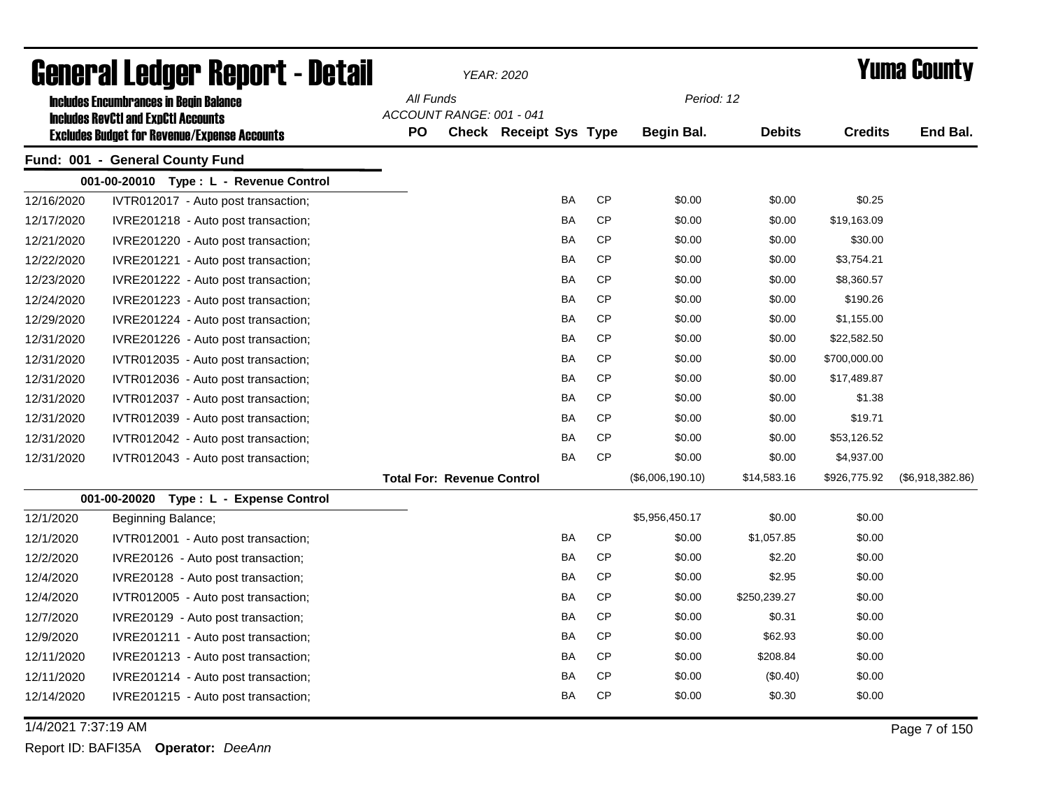|            | <b>General Ledger Report - Detail</b>                                                             |           |                                   | YEAR: 2020                    |           |                  | <b>Yuma County</b> |                |                  |  |
|------------|---------------------------------------------------------------------------------------------------|-----------|-----------------------------------|-------------------------------|-----------|------------------|--------------------|----------------|------------------|--|
|            | <b>Includes Encumbrances in Begin Balance</b>                                                     | All Funds |                                   |                               |           | Period: 12       |                    |                |                  |  |
|            | <b>Includes RevCtI and ExpCtI Accounts</b><br><b>Excludes Budget for Revenue/Expense Accounts</b> | PO        | ACCOUNT RANGE: 001 - 041          | <b>Check Receipt Sys Type</b> |           | Begin Bal.       | <b>Debits</b>      | <b>Credits</b> | End Bal.         |  |
|            | Fund: 001 - General County Fund                                                                   |           |                                   |                               |           |                  |                    |                |                  |  |
|            | 001-00-20010 Type: L - Revenue Control                                                            |           |                                   |                               |           |                  |                    |                |                  |  |
| 12/16/2020 | IVTR012017 - Auto post transaction;                                                               |           |                                   | <b>BA</b>                     | <b>CP</b> | \$0.00           | \$0.00             | \$0.25         |                  |  |
| 12/17/2020 | IVRE201218 - Auto post transaction;                                                               |           |                                   | <b>BA</b>                     | CP        | \$0.00           | \$0.00             | \$19,163.09    |                  |  |
| 12/21/2020 | IVRE201220 - Auto post transaction;                                                               |           |                                   | BA                            | <b>CP</b> | \$0.00           | \$0.00             | \$30.00        |                  |  |
| 12/22/2020 | IVRE201221 - Auto post transaction;                                                               |           |                                   | BA                            | <b>CP</b> | \$0.00           | \$0.00             | \$3,754.21     |                  |  |
| 12/23/2020 | IVRE201222 - Auto post transaction;                                                               |           |                                   | <b>BA</b>                     | CP        | \$0.00           | \$0.00             | \$8,360.57     |                  |  |
| 12/24/2020 | IVRE201223 - Auto post transaction;                                                               |           |                                   | <b>BA</b>                     | <b>CP</b> | \$0.00           | \$0.00             | \$190.26       |                  |  |
| 12/29/2020 | IVRE201224 - Auto post transaction;                                                               |           |                                   | BA                            | <b>CP</b> | \$0.00           | \$0.00             | \$1,155.00     |                  |  |
| 12/31/2020 | IVRE201226 - Auto post transaction;                                                               |           |                                   | <b>BA</b>                     | CP        | \$0.00           | \$0.00             | \$22,582.50    |                  |  |
| 12/31/2020 | IVTR012035 - Auto post transaction;                                                               |           |                                   | <b>BA</b>                     | CP        | \$0.00           | \$0.00             | \$700,000.00   |                  |  |
| 12/31/2020 | IVTR012036 - Auto post transaction;                                                               |           |                                   | <b>BA</b>                     | <b>CP</b> | \$0.00           | \$0.00             | \$17,489.87    |                  |  |
| 12/31/2020 | IVTR012037 - Auto post transaction;                                                               |           |                                   | BA                            | CP        | \$0.00           | \$0.00             | \$1.38         |                  |  |
| 12/31/2020 | IVTR012039 - Auto post transaction;                                                               |           |                                   | <b>BA</b>                     | CP        | \$0.00           | \$0.00             | \$19.71        |                  |  |
| 12/31/2020 | IVTR012042 - Auto post transaction;                                                               |           |                                   | BA                            | CP        | \$0.00           | \$0.00             | \$53,126.52    |                  |  |
| 12/31/2020 | IVTR012043 - Auto post transaction;                                                               |           |                                   | <b>BA</b>                     | <b>CP</b> | \$0.00           | \$0.00             | \$4,937.00     |                  |  |
|            |                                                                                                   |           | <b>Total For: Revenue Control</b> |                               |           | (\$6,006,190.10) | \$14,583.16        | \$926,775.92   | (\$6,918,382.86) |  |
|            | 001-00-20020<br>Type: L - Expense Control                                                         |           |                                   |                               |           |                  |                    |                |                  |  |
| 12/1/2020  | Beginning Balance;                                                                                |           |                                   |                               |           | \$5,956,450.17   | \$0.00             | \$0.00         |                  |  |
| 12/1/2020  | IVTR012001 - Auto post transaction;                                                               |           |                                   | BA                            | <b>CP</b> | \$0.00           | \$1,057.85         | \$0.00         |                  |  |
| 12/2/2020  | IVRE20126 - Auto post transaction;                                                                |           |                                   | BA                            | CP        | \$0.00           | \$2.20             | \$0.00         |                  |  |
| 12/4/2020  | IVRE20128 - Auto post transaction;                                                                |           |                                   | <b>BA</b>                     | CP        | \$0.00           | \$2.95             | \$0.00         |                  |  |
| 12/4/2020  | IVTR012005 - Auto post transaction;                                                               |           |                                   | BA                            | <b>CP</b> | \$0.00           | \$250,239.27       | \$0.00         |                  |  |
| 12/7/2020  | IVRE20129 - Auto post transaction;                                                                |           |                                   | <b>BA</b>                     | CP        | \$0.00           | \$0.31             | \$0.00         |                  |  |
| 12/9/2020  | IVRE201211 - Auto post transaction;                                                               |           |                                   | <b>BA</b>                     | CP        | \$0.00           | \$62.93            | \$0.00         |                  |  |
| 12/11/2020 | IVRE201213 - Auto post transaction;                                                               |           |                                   | <b>BA</b>                     | <b>CP</b> | \$0.00           | \$208.84           | \$0.00         |                  |  |
| 12/11/2020 | IVRE201214 - Auto post transaction;                                                               |           |                                   | BA                            | <b>CP</b> | \$0.00           | (\$0.40)           | \$0.00         |                  |  |
| 12/14/2020 | IVRE201215 - Auto post transaction;                                                               |           |                                   | BA                            | <b>CP</b> | \$0.00           | \$0.30             | \$0.00         |                  |  |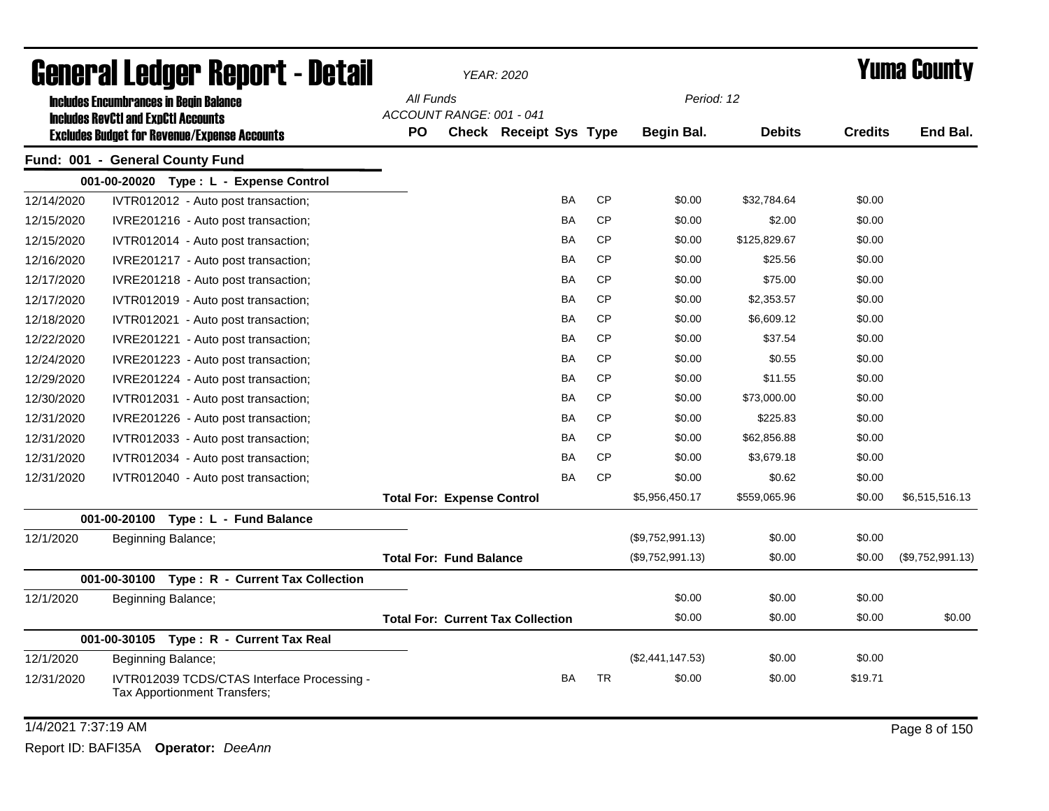| General Ledger Report - Detail |                                                                             |                                   | YEAR: 2020                     |                                          | <b>Yuma County</b> |           |                  |               |                |                  |
|--------------------------------|-----------------------------------------------------------------------------|-----------------------------------|--------------------------------|------------------------------------------|--------------------|-----------|------------------|---------------|----------------|------------------|
|                                | <b>Includes Encumbrances in Begin Balance</b>                               | All Funds                         |                                |                                          |                    |           | Period: 12       |               |                |                  |
|                                | <b>Includes RevCtI and ExpCtI Accounts</b>                                  |                                   | ACCOUNT RANGE: 001 - 041       |                                          |                    |           |                  |               |                |                  |
|                                | <b>Excludes Budget for Revenue/Expense Accounts</b>                         | PO                                |                                | <b>Check Receipt Sys Type</b>            |                    |           | Begin Bal.       | <b>Debits</b> | <b>Credits</b> | End Bal.         |
|                                | Fund: 001 - General County Fund                                             |                                   |                                |                                          |                    |           |                  |               |                |                  |
|                                | 001-00-20020 Type: L - Expense Control                                      |                                   |                                |                                          |                    |           |                  |               |                |                  |
| 12/14/2020                     | IVTR012012 - Auto post transaction;                                         |                                   |                                |                                          | BA                 | <b>CP</b> | \$0.00           | \$32,784.64   | \$0.00         |                  |
| 12/15/2020                     | IVRE201216 - Auto post transaction;                                         |                                   |                                |                                          | ΒA                 | <b>CP</b> | \$0.00           | \$2.00        | \$0.00         |                  |
| 12/15/2020                     | IVTR012014 - Auto post transaction;                                         |                                   |                                |                                          | BA                 | <b>CP</b> | \$0.00           | \$125,829.67  | \$0.00         |                  |
| 12/16/2020                     | IVRE201217 - Auto post transaction;                                         |                                   |                                |                                          | BA                 | <b>CP</b> | \$0.00           | \$25.56       | \$0.00         |                  |
| 12/17/2020                     | IVRE201218 - Auto post transaction;                                         |                                   |                                |                                          | BA                 | <b>CP</b> | \$0.00           | \$75.00       | \$0.00         |                  |
| 12/17/2020                     | IVTR012019 - Auto post transaction;                                         |                                   |                                |                                          | BA                 | <b>CP</b> | \$0.00           | \$2,353.57    | \$0.00         |                  |
| 12/18/2020                     | IVTR012021 - Auto post transaction;                                         |                                   |                                |                                          | BA                 | <b>CP</b> | \$0.00           | \$6,609.12    | \$0.00         |                  |
| 12/22/2020                     | IVRE201221 - Auto post transaction;                                         |                                   |                                |                                          | BA                 | <b>CP</b> | \$0.00           | \$37.54       | \$0.00         |                  |
| 12/24/2020                     | IVRE201223 - Auto post transaction;                                         |                                   |                                |                                          | BA                 | <b>CP</b> | \$0.00           | \$0.55        | \$0.00         |                  |
| 12/29/2020                     | IVRE201224 - Auto post transaction;                                         |                                   |                                |                                          | BA                 | <b>CP</b> | \$0.00           | \$11.55       | \$0.00         |                  |
| 12/30/2020                     | IVTR012031 - Auto post transaction;                                         |                                   |                                |                                          | BA                 | <b>CP</b> | \$0.00           | \$73,000.00   | \$0.00         |                  |
| 12/31/2020                     | IVRE201226 - Auto post transaction;                                         |                                   |                                |                                          | BA                 | <b>CP</b> | \$0.00           | \$225.83      | \$0.00         |                  |
| 12/31/2020                     | IVTR012033 - Auto post transaction;                                         |                                   |                                |                                          | BA                 | <b>CP</b> | \$0.00           | \$62,856.88   | \$0.00         |                  |
| 12/31/2020                     | IVTR012034 - Auto post transaction;                                         |                                   |                                |                                          | ΒA                 | <b>CP</b> | \$0.00           | \$3,679.18    | \$0.00         |                  |
| 12/31/2020                     | IVTR012040 - Auto post transaction;                                         |                                   |                                |                                          | BA                 | <b>CP</b> | \$0.00           | \$0.62        | \$0.00         |                  |
|                                |                                                                             | <b>Total For: Expense Control</b> |                                |                                          |                    |           | \$5,956,450.17   | \$559,065.96  | \$0.00         | \$6,515,516.13   |
|                                | 001-00-20100 Type: L - Fund Balance                                         |                                   |                                |                                          |                    |           |                  |               |                |                  |
| 12/1/2020                      | Beginning Balance;                                                          |                                   |                                |                                          |                    |           | (\$9,752,991.13) | \$0.00        | \$0.00         |                  |
|                                |                                                                             |                                   | <b>Total For: Fund Balance</b> |                                          |                    |           | (\$9,752,991.13) | \$0.00        | \$0.00         | (\$9,752,991.13) |
|                                | 001-00-30100<br>Type: R - Current Tax Collection                            |                                   |                                |                                          |                    |           |                  |               |                |                  |
| 12/1/2020                      | Beginning Balance;                                                          |                                   |                                |                                          |                    |           | \$0.00           | \$0.00        | \$0.00         |                  |
|                                |                                                                             |                                   |                                | <b>Total For: Current Tax Collection</b> |                    |           | \$0.00           | \$0.00        | \$0.00         | \$0.00           |
|                                | 001-00-30105<br>Type: R - Current Tax Real                                  |                                   |                                |                                          |                    |           |                  |               |                |                  |
| 12/1/2020                      | Beginning Balance;                                                          |                                   |                                |                                          |                    |           | (\$2,441,147.53) | \$0.00        | \$0.00         |                  |
| 12/31/2020                     | IVTR012039 TCDS/CTAS Interface Processing -<br>Tax Apportionment Transfers; |                                   |                                |                                          | BA                 | <b>TR</b> | \$0.00           | \$0.00        | \$19.71        |                  |
| 1/4/2021 7:37:19 AM            |                                                                             |                                   |                                |                                          |                    |           |                  |               |                | Page 8 of 150    |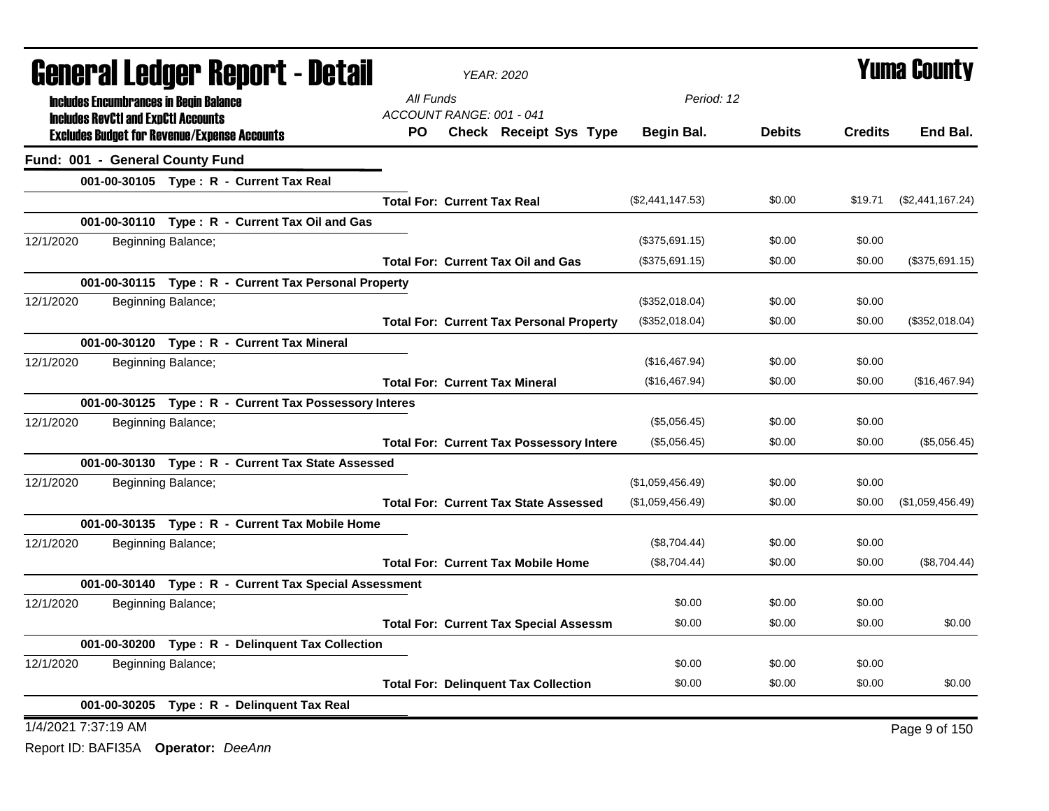| <b>General Ledger Report - Detail</b>                                                             | <b>YEAR: 2020</b>                                         |                  | <b>Yuma County</b> |                |                  |
|---------------------------------------------------------------------------------------------------|-----------------------------------------------------------|------------------|--------------------|----------------|------------------|
| <b>Includes Encumbrances in Begin Balance</b>                                                     | All Funds                                                 | Period: 12       |                    |                |                  |
| <b>Includes RevCtI and ExpCtI Accounts</b><br><b>Excludes Budget for Revenue/Expense Accounts</b> | ACCOUNT RANGE: 001 - 041<br>PO.<br>Check Receipt Sys Type | Begin Bal.       | <b>Debits</b>      | <b>Credits</b> | End Bal.         |
| Fund: 001 - General County Fund                                                                   |                                                           |                  |                    |                |                  |
| 001-00-30105 Type: R - Current Tax Real                                                           |                                                           |                  |                    |                |                  |
|                                                                                                   | <b>Total For: Current Tax Real</b>                        | (\$2,441,147.53) | \$0.00             | \$19.71        | (\$2,441,167.24) |
| 001-00-30110 Type: R - Current Tax Oil and Gas                                                    |                                                           |                  |                    |                |                  |
| 12/1/2020<br>Beginning Balance;                                                                   |                                                           | (\$375,691.15)   | \$0.00             | \$0.00         |                  |
|                                                                                                   | <b>Total For: Current Tax Oil and Gas</b>                 | (\$375,691.15)   | \$0.00             | \$0.00         | (\$375,691.15)   |
| 001-00-30115 Type: R - Current Tax Personal Property                                              |                                                           |                  |                    |                |                  |
| 12/1/2020<br>Beginning Balance;                                                                   |                                                           | (\$352,018.04)   | \$0.00             | \$0.00         |                  |
|                                                                                                   | <b>Total For: Current Tax Personal Property</b>           | (\$352,018.04)   | \$0.00             | \$0.00         | (\$352,018.04)   |
| 001-00-30120 Type: R - Current Tax Mineral                                                        |                                                           |                  |                    |                |                  |
| 12/1/2020<br>Beginning Balance;                                                                   |                                                           | (\$16,467.94)    | \$0.00             | \$0.00         |                  |
|                                                                                                   | <b>Total For: Current Tax Mineral</b>                     | (\$16,467.94)    | \$0.00             | \$0.00         | (\$16,467.94)    |
| 001-00-30125 Type: R - Current Tax Possessory Interes                                             |                                                           |                  |                    |                |                  |
| 12/1/2020<br>Beginning Balance;                                                                   |                                                           | (\$5,056.45)     | \$0.00             | \$0.00         |                  |
|                                                                                                   | <b>Total For: Current Tax Possessory Intere</b>           | (\$5,056.45)     | \$0.00             | \$0.00         | (\$5,056.45)     |
| 001-00-30130 Type: R - Current Tax State Assessed                                                 |                                                           |                  |                    |                |                  |
| 12/1/2020<br>Beginning Balance;                                                                   |                                                           | (\$1,059,456.49) | \$0.00             | \$0.00         |                  |
|                                                                                                   | <b>Total For: Current Tax State Assessed</b>              | (\$1,059,456.49) | \$0.00             | \$0.00         | (\$1,059,456.49) |
| 001-00-30135 Type: R - Current Tax Mobile Home                                                    |                                                           |                  |                    |                |                  |
| 12/1/2020<br>Beginning Balance;                                                                   |                                                           | (\$8,704.44)     | \$0.00             | \$0.00         |                  |
|                                                                                                   | <b>Total For: Current Tax Mobile Home</b>                 | (\$8,704.44)     | \$0.00             | \$0.00         | (\$8,704.44)     |
| 001-00-30140 Type: R - Current Tax Special Assessment                                             |                                                           |                  |                    |                |                  |
| 12/1/2020<br>Beginning Balance;                                                                   |                                                           | \$0.00           | \$0.00             | \$0.00         |                  |
|                                                                                                   | <b>Total For: Current Tax Special Assessm</b>             | \$0.00           | \$0.00             | \$0.00         | \$0.00           |
| 001-00-30200 Type: R - Delinquent Tax Collection                                                  |                                                           |                  |                    |                |                  |
| 12/1/2020<br>Beginning Balance;                                                                   |                                                           | \$0.00           | \$0.00             | \$0.00         |                  |
|                                                                                                   | <b>Total For: Delinquent Tax Collection</b>               | \$0.00           | \$0.00             | \$0.00         | \$0.00           |
| 001-00-30205 Type: R - Delinquent Tax Real                                                        |                                                           |                  |                    |                |                  |
| 1/4/2021 7:37:19 AM                                                                               |                                                           |                  |                    |                | Page 9 of 150    |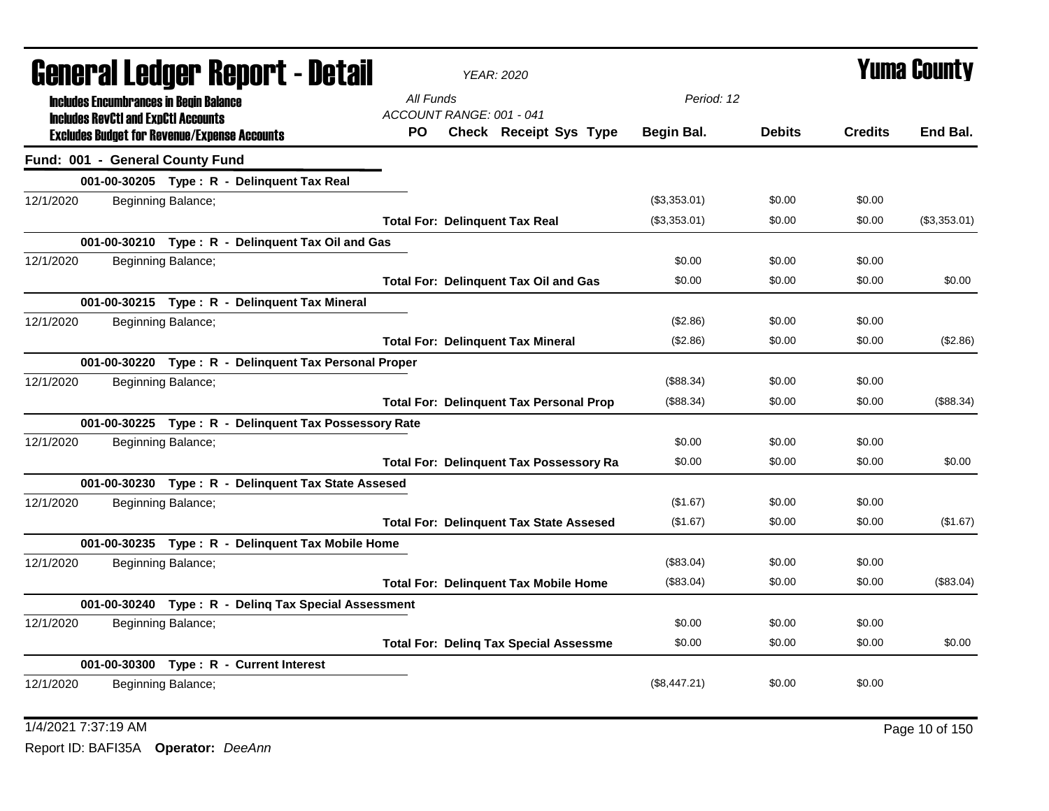|           | General Ledger Report - Detail             |                                                     |                                                       |                                       | <b>YEAR: 2020</b>                              | <b>Yuma County</b> |               |                |              |
|-----------|--------------------------------------------|-----------------------------------------------------|-------------------------------------------------------|---------------------------------------|------------------------------------------------|--------------------|---------------|----------------|--------------|
|           | <b>Includes RevCtI and ExpCtI Accounts</b> | <b>Includes Encumbrances in Begin Balance</b>       |                                                       | All Funds<br>ACCOUNT RANGE: 001 - 041 |                                                | Period: 12         |               |                |              |
|           |                                            | <b>Excludes Budget for Revenue/Expense Accounts</b> |                                                       | PO.                                   | Check Receipt Sys Type                         | Begin Bal.         | <b>Debits</b> | <b>Credits</b> | End Bal.     |
|           |                                            | Fund: 001 - General County Fund                     |                                                       |                                       |                                                |                    |               |                |              |
|           |                                            | 001-00-30205 Type: R - Delinquent Tax Real          |                                                       |                                       |                                                |                    |               |                |              |
| 12/1/2020 |                                            | Beginning Balance;                                  |                                                       |                                       |                                                | (\$3,353.01)       | \$0.00        | \$0.00         |              |
|           |                                            |                                                     |                                                       |                                       | <b>Total For: Delinquent Tax Real</b>          | (\$3,353.01)       | \$0.00        | \$0.00         | (\$3,353.01) |
|           |                                            |                                                     | 001-00-30210 Type: R - Delinquent Tax Oil and Gas     |                                       |                                                |                    |               |                |              |
| 12/1/2020 |                                            | Beginning Balance;                                  |                                                       |                                       |                                                | \$0.00             | \$0.00        | \$0.00         |              |
|           |                                            |                                                     |                                                       |                                       | <b>Total For: Delinquent Tax Oil and Gas</b>   | \$0.00             | \$0.00        | \$0.00         | \$0.00       |
|           |                                            | 001-00-30215 Type: R - Delinquent Tax Mineral       |                                                       |                                       |                                                |                    |               |                |              |
| 12/1/2020 |                                            | Beginning Balance;                                  |                                                       |                                       |                                                | (\$2.86)           | \$0.00        | \$0.00         |              |
|           |                                            |                                                     |                                                       |                                       | <b>Total For: Delinquent Tax Mineral</b>       | (\$2.86)           | \$0.00        | \$0.00         | (\$2.86)     |
|           |                                            |                                                     | 001-00-30220 Type: R - Delinquent Tax Personal Proper |                                       |                                                |                    |               |                |              |
| 12/1/2020 |                                            | Beginning Balance;                                  |                                                       |                                       |                                                | (\$88.34)          | \$0.00        | \$0.00         |              |
|           |                                            |                                                     |                                                       |                                       | <b>Total For: Delinquent Tax Personal Prop</b> | (\$88.34)          | \$0.00        | \$0.00         | (\$88.34)    |
|           |                                            |                                                     | 001-00-30225 Type: R - Delinguent Tax Possessory Rate |                                       |                                                |                    |               |                |              |
| 12/1/2020 |                                            | Beginning Balance;                                  |                                                       |                                       |                                                | \$0.00             | \$0.00        | \$0.00         |              |
|           |                                            |                                                     |                                                       |                                       | <b>Total For: Delinquent Tax Possessory Ra</b> | \$0.00             | \$0.00        | \$0.00         | \$0.00       |
|           |                                            |                                                     | 001-00-30230 Type: R - Delinquent Tax State Assesed   |                                       |                                                |                    |               |                |              |
| 12/1/2020 |                                            | Beginning Balance;                                  |                                                       |                                       |                                                | (\$1.67)           | \$0.00        | \$0.00         |              |
|           |                                            |                                                     |                                                       |                                       | <b>Total For: Delinquent Tax State Assesed</b> | (\$1.67)           | \$0.00        | \$0.00         | (\$1.67)     |
|           |                                            |                                                     | 001-00-30235 Type: R - Delinquent Tax Mobile Home     |                                       |                                                |                    |               |                |              |
| 12/1/2020 |                                            | Beginning Balance;                                  |                                                       |                                       |                                                | (\$83.04)          | \$0.00        | \$0.00         |              |
|           |                                            |                                                     |                                                       |                                       | <b>Total For: Delinquent Tax Mobile Home</b>   | (\$83.04)          | \$0.00        | \$0.00         | (\$83.04)    |
|           |                                            |                                                     | 001-00-30240 Type: R - Deling Tax Special Assessment  |                                       |                                                |                    |               |                |              |
| 12/1/2020 |                                            | Beginning Balance;                                  |                                                       |                                       |                                                | \$0.00             | \$0.00        | \$0.00         |              |
|           |                                            |                                                     |                                                       |                                       | <b>Total For: Deling Tax Special Assessme</b>  | \$0.00             | \$0.00        | \$0.00         | \$0.00       |
|           |                                            | 001-00-30300 Type: R - Current Interest             |                                                       |                                       |                                                |                    |               |                |              |
| 12/1/2020 |                                            | Beginning Balance;                                  |                                                       |                                       |                                                | (\$8,447.21)       | \$0.00        | \$0.00         |              |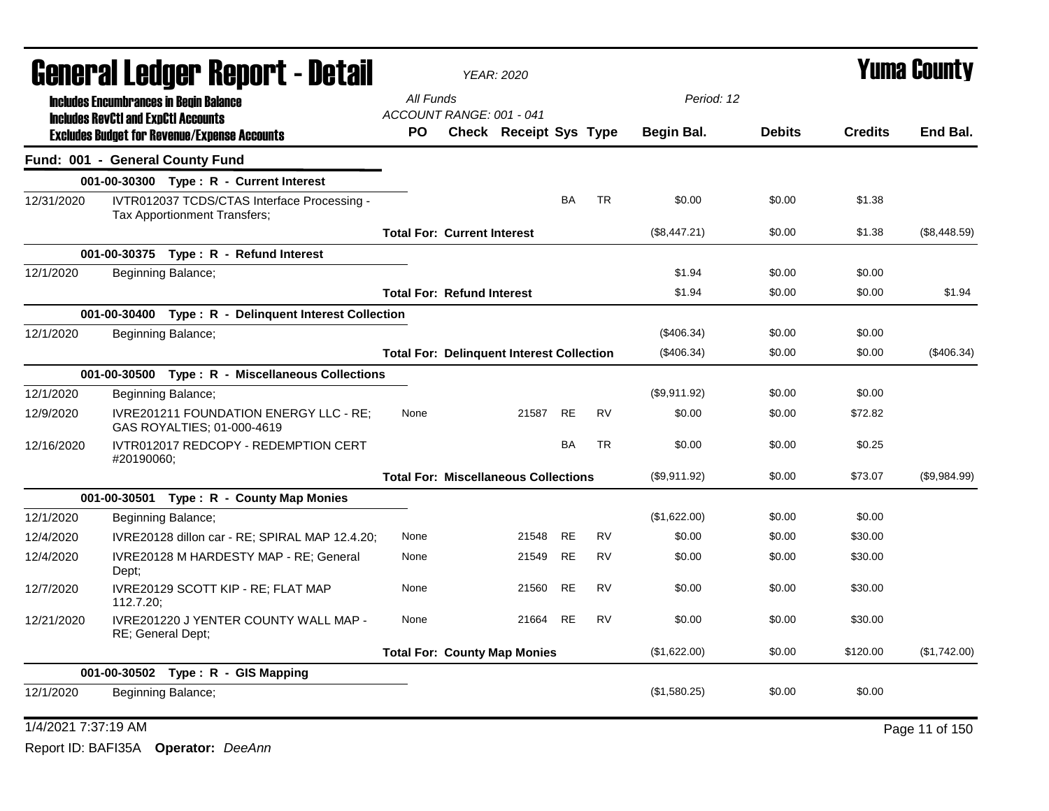| General Ledger Report - Detail |                                            | <b>YEAR: 2020</b>                                                           | <b>Yuma County</b>                               |                                             |           |           |              |               |                |              |
|--------------------------------|--------------------------------------------|-----------------------------------------------------------------------------|--------------------------------------------------|---------------------------------------------|-----------|-----------|--------------|---------------|----------------|--------------|
|                                |                                            | <b>Includes Encumbrances in Begin Balance</b>                               | All Funds                                        |                                             |           |           | Period: 12   |               |                |              |
|                                | <b>Includes RevCtI and ExpCtI Accounts</b> |                                                                             | ACCOUNT RANGE: 001 - 041                         |                                             |           |           |              |               |                |              |
|                                |                                            | <b>Excludes Budget for Revenue/Expense Accounts</b>                         | PO.                                              | <b>Check Receipt Sys Type</b>               |           |           | Begin Bal.   | <b>Debits</b> | <b>Credits</b> | End Bal.     |
|                                |                                            | Fund: 001 - General County Fund                                             |                                                  |                                             |           |           |              |               |                |              |
|                                |                                            | 001-00-30300 Type: R - Current Interest                                     |                                                  |                                             |           |           |              |               |                |              |
| 12/31/2020                     |                                            | IVTR012037 TCDS/CTAS Interface Processing -<br>Tax Apportionment Transfers; |                                                  |                                             | <b>BA</b> | <b>TR</b> | \$0.00       | \$0.00        | \$1.38         |              |
|                                |                                            |                                                                             | <b>Total For: Current Interest</b>               |                                             |           |           | (\$8,447.21) | \$0.00        | \$1.38         | (\$8,448.59) |
|                                |                                            | 001-00-30375 Type: R - Refund Interest                                      |                                                  |                                             |           |           |              |               |                |              |
| 12/1/2020                      |                                            | Beginning Balance;                                                          |                                                  |                                             |           |           | \$1.94       | \$0.00        | \$0.00         |              |
|                                |                                            |                                                                             | <b>Total For: Refund Interest</b>                |                                             |           |           | \$1.94       | \$0.00        | \$0.00         | \$1.94       |
|                                |                                            | 001-00-30400 Type: R - Delinquent Interest Collection                       |                                                  |                                             |           |           |              |               |                |              |
| 12/1/2020                      |                                            | Beginning Balance;                                                          |                                                  |                                             |           |           | $(\$406.34)$ | \$0.00        | \$0.00         |              |
|                                |                                            |                                                                             | <b>Total For: Delinquent Interest Collection</b> |                                             |           |           | (\$406.34)   | \$0.00        | \$0.00         | $(\$406.34)$ |
|                                |                                            | 001-00-30500 Type: R - Miscellaneous Collections                            |                                                  |                                             |           |           |              |               |                |              |
| 12/1/2020                      |                                            | Beginning Balance;                                                          |                                                  |                                             |           |           | (\$9,911.92) | \$0.00        | \$0.00         |              |
| 12/9/2020                      |                                            | <b>IVRE201211 FOUNDATION ENERGY LLC - RE:</b><br>GAS ROYALTIES; 01-000-4619 | None                                             | 21587                                       | <b>RE</b> | <b>RV</b> | \$0.00       | \$0.00        | \$72.82        |              |
| 12/16/2020                     | #20190060;                                 | IVTR012017 REDCOPY - REDEMPTION CERT                                        |                                                  |                                             | <b>BA</b> | <b>TR</b> | \$0.00       | \$0.00        | \$0.25         |              |
|                                |                                            |                                                                             |                                                  | <b>Total For: Miscellaneous Collections</b> |           |           | (\$9,911.92) | \$0.00        | \$73.07        | (\$9,984.99) |
|                                |                                            | 001-00-30501 Type: R - County Map Monies                                    |                                                  |                                             |           |           |              |               |                |              |
| 12/1/2020                      |                                            | Beginning Balance;                                                          |                                                  |                                             |           |           | (\$1,622.00) | \$0.00        | \$0.00         |              |
| 12/4/2020                      |                                            | IVRE20128 dillon car - RE; SPIRAL MAP 12.4.20;                              | None                                             | 21548                                       | <b>RE</b> | <b>RV</b> | \$0.00       | \$0.00        | \$30.00        |              |
| 12/4/2020                      | Dept;                                      | IVRE20128 M HARDESTY MAP - RE; General                                      | None                                             | 21549                                       | <b>RE</b> | <b>RV</b> | \$0.00       | \$0.00        | \$30.00        |              |
| 12/7/2020                      | 112.7.20;                                  | IVRE20129 SCOTT KIP - RE; FLAT MAP                                          | None                                             | 21560                                       | <b>RE</b> | <b>RV</b> | \$0.00       | \$0.00        | \$30.00        |              |
| 12/21/2020                     |                                            | <b>IVRE201220 J YENTER COUNTY WALL MAP -</b><br>RE; General Dept;           | None                                             | 21664                                       | <b>RE</b> | <b>RV</b> | \$0.00       | \$0.00        | \$30.00        |              |
|                                |                                            |                                                                             | <b>Total For: County Map Monies</b>              |                                             |           |           | (\$1,622.00) | \$0.00        | \$120.00       | (\$1,742.00) |
|                                |                                            | 001-00-30502 Type: R - GIS Mapping                                          |                                                  |                                             |           |           |              |               |                |              |
| 12/1/2020                      |                                            | Beginning Balance;                                                          |                                                  |                                             |           |           | (\$1,580.25) | \$0.00        | \$0.00         |              |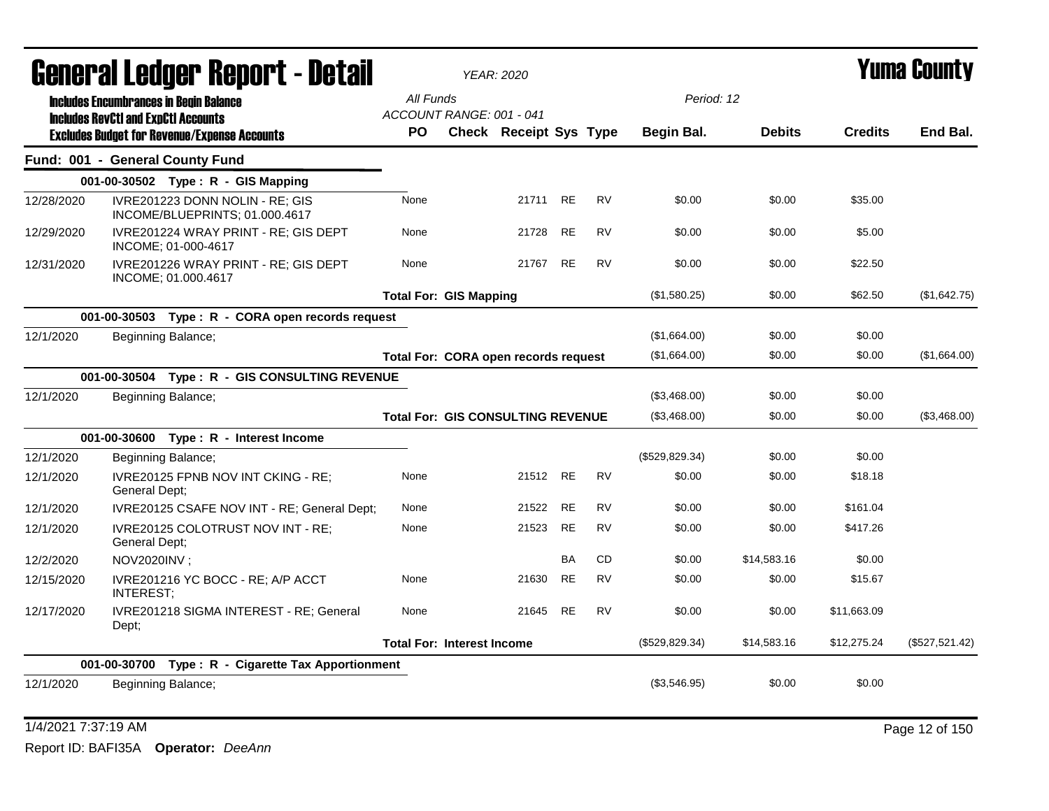| General Ledger Report - Detail |                                                                                                   | <b>YEAR: 2020</b>                        |                               |           | Yuma Countv |                |               |                |                |
|--------------------------------|---------------------------------------------------------------------------------------------------|------------------------------------------|-------------------------------|-----------|-------------|----------------|---------------|----------------|----------------|
|                                | <b>Includes Encumbrances in Begin Balance</b>                                                     | All Funds                                |                               |           |             | Period: 12     |               |                |                |
|                                | <b>Includes RevCtI and ExpCtI Accounts</b><br><b>Excludes Budget for Revenue/Expense Accounts</b> | ACCOUNT RANGE: 001 - 041<br>PO.          | <b>Check Receipt Sys Type</b> |           |             | Begin Bal.     | <b>Debits</b> | <b>Credits</b> | End Bal.       |
|                                | Fund: 001 - General County Fund                                                                   |                                          |                               |           |             |                |               |                |                |
|                                | 001-00-30502 Type: R - GIS Mapping                                                                |                                          |                               |           |             |                |               |                |                |
| 12/28/2020                     | IVRE201223 DONN NOLIN - RE; GIS<br>INCOME/BLUEPRINTS; 01.000.4617                                 | None                                     | 21711                         | RE        | <b>RV</b>   | \$0.00         | \$0.00        | \$35.00        |                |
| 12/29/2020                     | IVRE201224 WRAY PRINT - RE; GIS DEPT<br>INCOME: 01-000-4617                                       | None                                     | 21728                         | RE        | <b>RV</b>   | \$0.00         | \$0.00        | \$5.00         |                |
| 12/31/2020                     | IVRE201226 WRAY PRINT - RE; GIS DEPT<br>INCOME; 01.000.4617                                       | None                                     | 21767                         | RE        | <b>RV</b>   | \$0.00         | \$0.00        | \$22.50        |                |
|                                |                                                                                                   | <b>Total For: GIS Mapping</b>            |                               |           |             | (\$1,580.25)   | \$0.00        | \$62.50        | (\$1,642.75)   |
|                                | 001-00-30503 Type: R - CORA open records request                                                  |                                          |                               |           |             |                |               |                |                |
| 12/1/2020                      | Beginning Balance;                                                                                |                                          |                               |           |             | (\$1,664.00)   | \$0.00        | \$0.00         |                |
|                                |                                                                                                   | Total For: CORA open records request     |                               |           |             | (\$1,664.00)   | \$0.00        | \$0.00         | (\$1,664.00)   |
|                                | 001-00-30504 Type: R - GIS CONSULTING REVENUE                                                     |                                          |                               |           |             |                |               |                |                |
| 12/1/2020                      | Beginning Balance;                                                                                |                                          |                               |           |             | (\$3,468.00)   | \$0.00        | \$0.00         |                |
|                                |                                                                                                   | <b>Total For: GIS CONSULTING REVENUE</b> |                               |           |             | (\$3,468.00)   | \$0.00        | \$0.00         | (\$3,468.00)   |
|                                | 001-00-30600 Type: R - Interest Income                                                            |                                          |                               |           |             |                |               |                |                |
| 12/1/2020                      | Beginning Balance;                                                                                |                                          |                               |           |             | (\$529,829.34) | \$0.00        | \$0.00         |                |
| 12/1/2020                      | IVRE20125 FPNB NOV INT CKING - RE;<br>General Dept;                                               | None                                     | 21512 RE                      |           | <b>RV</b>   | \$0.00         | \$0.00        | \$18.18        |                |
| 12/1/2020                      | IVRE20125 CSAFE NOV INT - RE; General Dept;                                                       | None                                     | 21522                         | <b>RE</b> | <b>RV</b>   | \$0.00         | \$0.00        | \$161.04       |                |
| 12/1/2020                      | IVRE20125 COLOTRUST NOV INT - RE;<br>General Dept;                                                | None                                     | 21523                         | <b>RE</b> | <b>RV</b>   | \$0.00         | \$0.00        | \$417.26       |                |
| 12/2/2020                      | NOV2020INV;                                                                                       |                                          |                               | <b>BA</b> | CD.         | \$0.00         | \$14,583.16   | \$0.00         |                |
| 12/15/2020                     | IVRE201216 YC BOCC - RE; A/P ACCT<br>INTEREST;                                                    | None                                     | 21630                         | <b>RE</b> | <b>RV</b>   | \$0.00         | \$0.00        | \$15.67        |                |
| 12/17/2020                     | IVRE201218 SIGMA INTEREST - RE; General<br>Dept;                                                  | None                                     | 21645                         | RE        | <b>RV</b>   | \$0.00         | \$0.00        | \$11,663.09    |                |
|                                |                                                                                                   | <b>Total For: Interest Income</b>        |                               |           |             | (\$529,829.34) | \$14,583.16   | \$12,275.24    | (\$527,521.42) |
|                                | 001-00-30700 Type: R - Cigarette Tax Apportionment                                                |                                          |                               |           |             |                |               |                |                |
| 12/1/2020                      | Beginning Balance;                                                                                |                                          |                               |           |             | (\$3,546.95)   | \$0.00        | \$0.00         |                |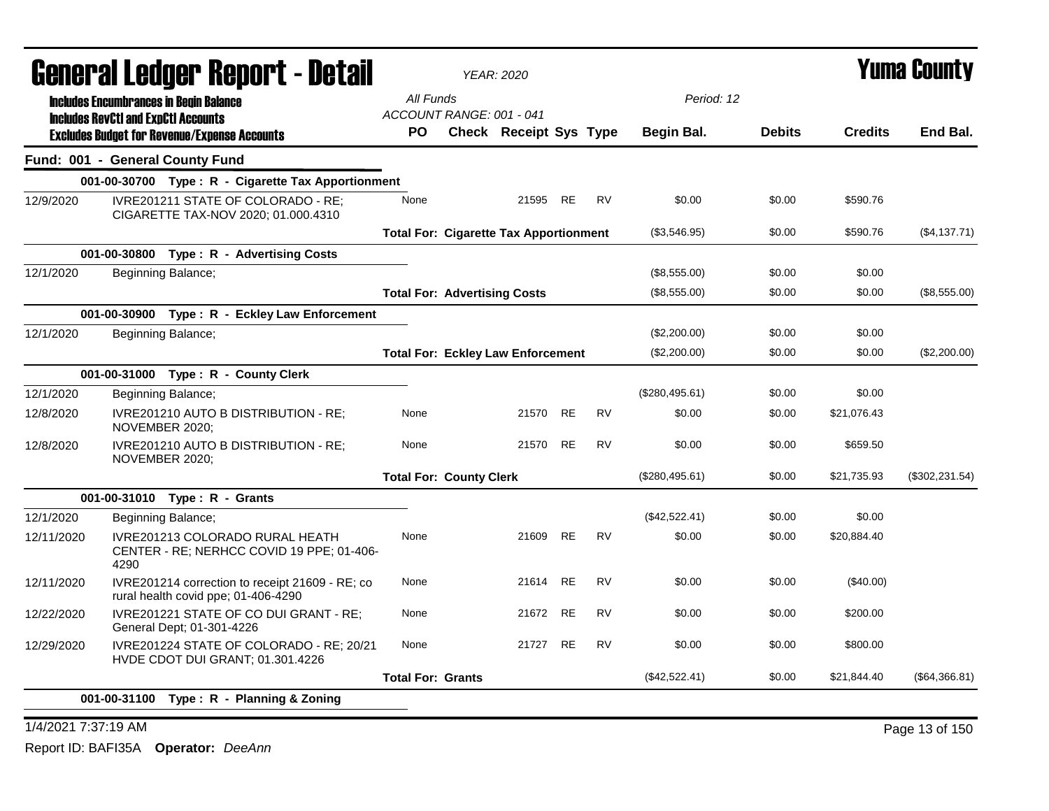| General Ledger Report - Detail                                                                       |                          | <b>YEAR: 2020</b>                             |           |           |                |               |                | <b>Yuma County</b> |  |
|------------------------------------------------------------------------------------------------------|--------------------------|-----------------------------------------------|-----------|-----------|----------------|---------------|----------------|--------------------|--|
| <b>Includes Encumbrances in Begin Balance</b>                                                        | All Funds                |                                               |           |           | Period: 12     |               |                |                    |  |
| <b>Includes RevCtI and ExpCtI Accounts</b>                                                           |                          | ACCOUNT RANGE: 001 - 041                      |           |           |                |               |                |                    |  |
| <b>Excludes Budget for Revenue/Expense Accounts</b>                                                  | PO.                      | Check Receipt Sys Type                        |           |           | Begin Bal.     | <b>Debits</b> | <b>Credits</b> | End Bal.           |  |
| Fund: 001 - General County Fund                                                                      |                          |                                               |           |           |                |               |                |                    |  |
| 001-00-30700 Type: R - Cigarette Tax Apportionment                                                   |                          |                                               |           |           |                |               |                |                    |  |
| 12/9/2020<br>IVRE201211 STATE OF COLORADO - RE;<br>CIGARETTE TAX-NOV 2020; 01.000.4310               | None                     |                                               | 21595 RE  | <b>RV</b> | \$0.00         | \$0.00        | \$590.76       |                    |  |
|                                                                                                      |                          | <b>Total For: Cigarette Tax Apportionment</b> |           |           | (\$3,546.95)   | \$0.00        | \$590.76       | (\$4,137.71)       |  |
| 001-00-30800 Type: R - Advertising Costs                                                             |                          |                                               |           |           |                |               |                |                    |  |
| 12/1/2020<br>Beginning Balance;                                                                      |                          |                                               |           |           | (\$8,555.00)   | \$0.00        | \$0.00         |                    |  |
|                                                                                                      |                          | <b>Total For: Advertising Costs</b>           |           |           | (\$8,555.00)   | \$0.00        | \$0.00         | (\$8,555.00)       |  |
| 001-00-30900 Type: R - Eckley Law Enforcement                                                        |                          |                                               |           |           |                |               |                |                    |  |
| 12/1/2020<br>Beginning Balance;                                                                      |                          |                                               |           |           | (\$2,200.00)   | \$0.00        | \$0.00         |                    |  |
|                                                                                                      |                          | <b>Total For: Eckley Law Enforcement</b>      |           |           | (\$2,200.00)   | \$0.00        | \$0.00         | (\$2,200.00)       |  |
| 001-00-31000 Type: R - County Clerk                                                                  |                          |                                               |           |           |                |               |                |                    |  |
| 12/1/2020<br>Beginning Balance;                                                                      |                          |                                               |           |           | (\$280,495.61) | \$0.00        | \$0.00         |                    |  |
| 12/8/2020<br>IVRE201210 AUTO B DISTRIBUTION - RE;<br>NOVEMBER 2020;                                  | None                     | 21570                                         | <b>RE</b> | <b>RV</b> | \$0.00         | \$0.00        | \$21,076.43    |                    |  |
| IVRE201210 AUTO B DISTRIBUTION - RE:<br>12/8/2020<br>NOVEMBER 2020;                                  | None                     |                                               | 21570 RE  | <b>RV</b> | \$0.00         | \$0.00        | \$659.50       |                    |  |
|                                                                                                      |                          | <b>Total For: County Clerk</b>                |           |           | (\$280,495.61) | \$0.00        | \$21,735.93    | (\$302, 231.54)    |  |
| 001-00-31010 Type: R - Grants                                                                        |                          |                                               |           |           |                |               |                |                    |  |
| 12/1/2020<br>Beginning Balance;                                                                      |                          |                                               |           |           | (\$42,522.41)  | \$0.00        | \$0.00         |                    |  |
| IVRE201213 COLORADO RURAL HEATH<br>12/11/2020<br>CENTER - RE; NERHCC COVID 19 PPE; 01-406-<br>4290   | None                     | 21609                                         | <b>RE</b> | <b>RV</b> | \$0.00         | \$0.00        | \$20,884.40    |                    |  |
| 12/11/2020<br>IVRE201214 correction to receipt 21609 - RE; co<br>rural health covid ppe; 01-406-4290 | None                     | 21614                                         | <b>RE</b> | <b>RV</b> | \$0.00         | \$0.00        | $(\$40.00)$    |                    |  |
| IVRE201221 STATE OF CO DUI GRANT - RE;<br>12/22/2020<br>General Dept; 01-301-4226                    | None                     | 21672                                         | <b>RE</b> | <b>RV</b> | \$0.00         | \$0.00        | \$200.00       |                    |  |
| 12/29/2020<br>IVRE201224 STATE OF COLORADO - RE; 20/21<br>HVDE CDOT DUI GRANT; 01.301.4226           | None                     |                                               | 21727 RE  | <b>RV</b> | \$0.00         | \$0.00        | \$800.00       |                    |  |
|                                                                                                      | <b>Total For: Grants</b> |                                               |           |           | (\$42,522.41)  | \$0.00        | \$21,844.40    | (\$64,366.81)      |  |
| 001-00-31100 Type: R - Planning & Zoning                                                             |                          |                                               |           |           |                |               |                |                    |  |

1/4/2021 7:37:19 AM Page 13 of 150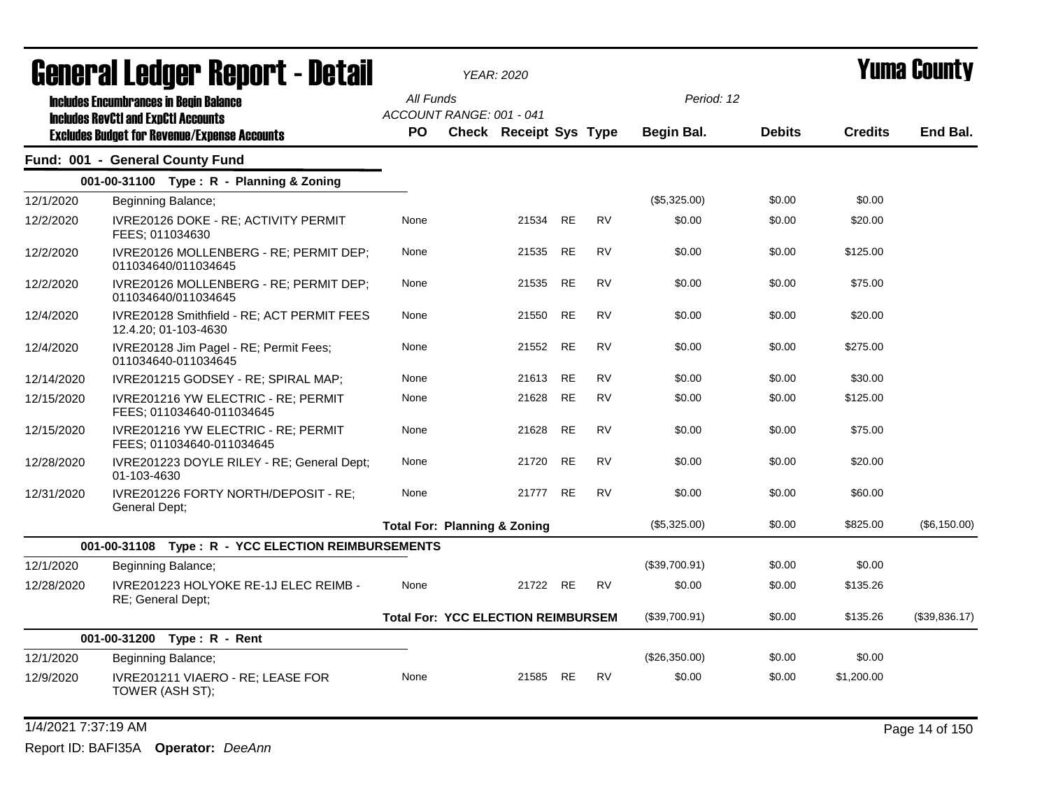|            | General Ledger Report - Detail                                     |           |                          | <b>YEAR: 2020</b>                         |           |           |               | Yuma County   |                |               |  |
|------------|--------------------------------------------------------------------|-----------|--------------------------|-------------------------------------------|-----------|-----------|---------------|---------------|----------------|---------------|--|
|            | <b>Includes Encumbrances in Begin Balance</b>                      | All Funds |                          |                                           |           |           | Period: 12    |               |                |               |  |
|            | <b>Includes RevCtI and ExpCtI Accounts</b>                         |           | ACCOUNT RANGE: 001 - 041 |                                           |           |           |               |               |                |               |  |
|            | <b>Excludes Budget for Revenue/Expense Accounts</b>                | PO.       |                          | <b>Check Receipt Sys Type</b>             |           |           | Begin Bal.    | <b>Debits</b> | <b>Credits</b> | End Bal.      |  |
|            | Fund: 001 - General County Fund                                    |           |                          |                                           |           |           |               |               |                |               |  |
|            | 001-00-31100 Type: R - Planning & Zoning                           |           |                          |                                           |           |           |               |               |                |               |  |
| 12/1/2020  | Beginning Balance;                                                 |           |                          |                                           |           |           | (\$5,325.00)  | \$0.00        | \$0.00         |               |  |
| 12/2/2020  | IVRE20126 DOKE - RE; ACTIVITY PERMIT<br>FEES; 011034630            | None      |                          | 21534                                     | <b>RE</b> | <b>RV</b> | \$0.00        | \$0.00        | \$20.00        |               |  |
| 12/2/2020  | IVRE20126 MOLLENBERG - RE; PERMIT DEP;<br>011034640/011034645      | None      |                          | 21535                                     | <b>RE</b> | <b>RV</b> | \$0.00        | \$0.00        | \$125.00       |               |  |
| 12/2/2020  | IVRE20126 MOLLENBERG - RE; PERMIT DEP;<br>011034640/011034645      | None      |                          | 21535                                     | <b>RE</b> | <b>RV</b> | \$0.00        | \$0.00        | \$75.00        |               |  |
| 12/4/2020  | IVRE20128 Smithfield - RE; ACT PERMIT FEES<br>12.4.20; 01-103-4630 | None      |                          | 21550                                     | <b>RE</b> | <b>RV</b> | \$0.00        | \$0.00        | \$20.00        |               |  |
| 12/4/2020  | IVRE20128 Jim Pagel - RE; Permit Fees;<br>011034640-011034645      | None      |                          | 21552                                     | <b>RE</b> | <b>RV</b> | \$0.00        | \$0.00        | \$275.00       |               |  |
| 12/14/2020 | IVRE201215 GODSEY - RE; SPIRAL MAP;                                | None      |                          | 21613                                     | <b>RE</b> | <b>RV</b> | \$0.00        | \$0.00        | \$30.00        |               |  |
| 12/15/2020 | IVRE201216 YW ELECTRIC - RE: PERMIT<br>FEES; 011034640-011034645   | None      |                          | 21628                                     | <b>RE</b> | <b>RV</b> | \$0.00        | \$0.00        | \$125.00       |               |  |
| 12/15/2020 | IVRE201216 YW ELECTRIC - RE; PERMIT<br>FEES; 011034640-011034645   | None      |                          | 21628                                     | <b>RE</b> | <b>RV</b> | \$0.00        | \$0.00        | \$75.00        |               |  |
| 12/28/2020 | IVRE201223 DOYLE RILEY - RE; General Dept;<br>01-103-4630          | None      |                          | 21720                                     | <b>RE</b> | <b>RV</b> | \$0.00        | \$0.00        | \$20.00        |               |  |
| 12/31/2020 | IVRE201226 FORTY NORTH/DEPOSIT - RE:<br>General Dept;              | None      |                          | 21777                                     | <b>RE</b> | <b>RV</b> | \$0.00        | \$0.00        | \$60.00        |               |  |
|            |                                                                    |           |                          | <b>Total For: Planning &amp; Zoning</b>   |           |           | (\$5,325.00)  | \$0.00        | \$825.00       | (\$6,150.00)  |  |
|            | 001-00-31108 Type: R - YCC ELECTION REIMBURSEMENTS                 |           |                          |                                           |           |           |               |               |                |               |  |
| 12/1/2020  | Beginning Balance;                                                 |           |                          |                                           |           |           | (\$39,700.91) | \$0.00        | \$0.00         |               |  |
| 12/28/2020 | IVRE201223 HOLYOKE RE-1J ELEC REIMB -<br>RE; General Dept;         | None      |                          | 21722 RE                                  |           | <b>RV</b> | \$0.00        | \$0.00        | \$135.26       |               |  |
|            |                                                                    |           |                          | <b>Total For: YCC ELECTION REIMBURSEM</b> |           |           | (\$39,700.91) | \$0.00        | \$135.26       | (\$39,836.17) |  |
|            | 001-00-31200<br>Type: R - Rent                                     |           |                          |                                           |           |           |               |               |                |               |  |
| 12/1/2020  | Beginning Balance;                                                 |           |                          |                                           |           |           | (\$26,350.00) | \$0.00        | \$0.00         |               |  |
| 12/9/2020  | IVRE201211 VIAERO - RE; LEASE FOR<br>TOWER (ASH ST);               | None      |                          | 21585                                     | <b>RE</b> | <b>RV</b> | \$0.00        | \$0.00        | \$1,200.00     |               |  |
|            |                                                                    |           |                          |                                           |           |           |               |               |                |               |  |

1/4/2021 7:37:19 AM Page 14 of 150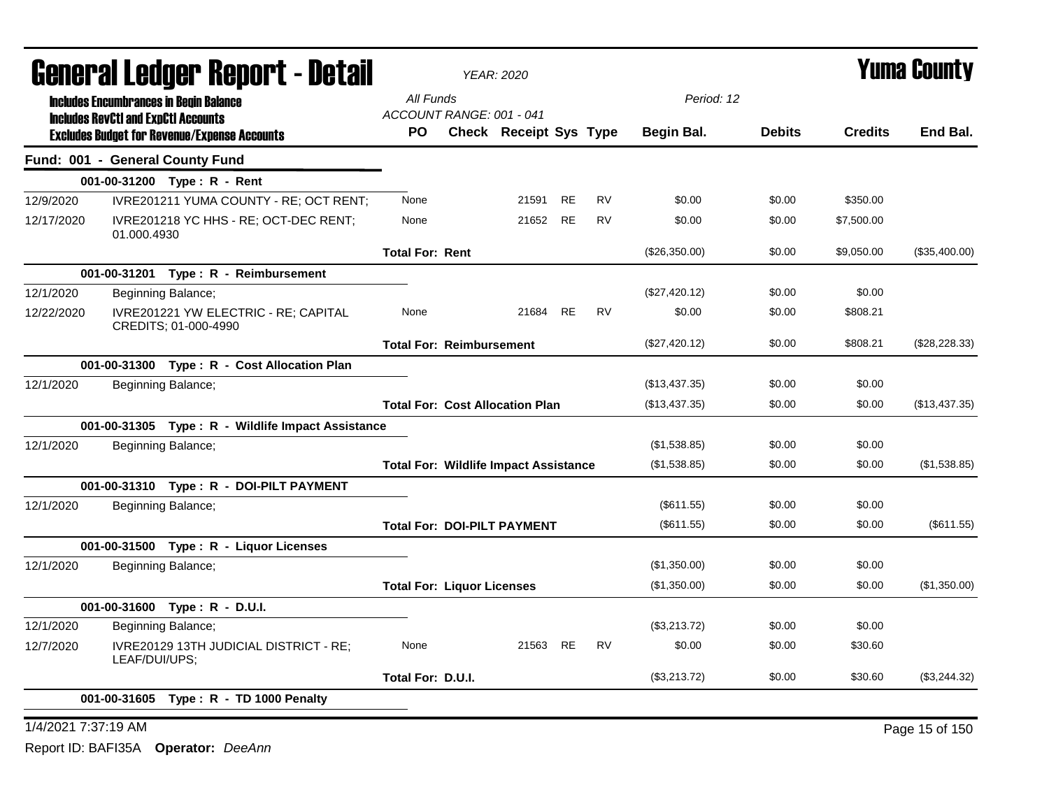| <b>General Ledger Report - Detail</b>                                      |                                   | <b>YEAR: 2020</b>                            |           | <b>Yuma County</b> |                   |               |                |                |
|----------------------------------------------------------------------------|-----------------------------------|----------------------------------------------|-----------|--------------------|-------------------|---------------|----------------|----------------|
| <b>Includes Encumbrances in Begin Balance</b>                              | All Funds                         |                                              |           |                    | Period: 12        |               |                |                |
| <b>Includes RevCtI and ExpCtI Accounts</b>                                 | ACCOUNT RANGE: 001 - 041          |                                              |           |                    |                   |               |                |                |
| <b>Excludes Budget for Revenue/Expense Accounts</b>                        | PO.                               | <b>Check Receipt Sys Type</b>                |           |                    | <b>Begin Bal.</b> | <b>Debits</b> | <b>Credits</b> | End Bal.       |
| Fund: 001 - General County Fund                                            |                                   |                                              |           |                    |                   |               |                |                |
| 001-00-31200 Type: R - Rent                                                |                                   |                                              |           |                    |                   |               |                |                |
| 12/9/2020<br>IVRE201211 YUMA COUNTY - RE; OCT RENT;                        | None                              | 21591                                        | <b>RE</b> | <b>RV</b>          | \$0.00            | \$0.00        | \$350.00       |                |
| 12/17/2020<br>IVRE201218 YC HHS - RE; OCT-DEC RENT;<br>01.000.4930         | None                              | 21652                                        | RE        | RV                 | \$0.00            | \$0.00        | \$7,500.00     |                |
|                                                                            | <b>Total For: Rent</b>            |                                              |           |                    | (\$26,350.00)     | \$0.00        | \$9,050.00     | (\$35,400.00)  |
| 001-00-31201  Type: R - Reimbursement                                      |                                   |                                              |           |                    |                   |               |                |                |
| 12/1/2020<br>Beginning Balance;                                            |                                   |                                              |           |                    | (\$27,420.12)     | \$0.00        | \$0.00         |                |
| 12/22/2020<br>IVRE201221 YW ELECTRIC - RE; CAPITAL<br>CREDITS: 01-000-4990 | None                              | 21684                                        | <b>RE</b> | <b>RV</b>          | \$0.00            | \$0.00        | \$808.21       |                |
|                                                                            | <b>Total For: Reimbursement</b>   |                                              |           |                    | (\$27,420.12)     | \$0.00        | \$808.21       | (\$28,228.33)  |
| 001-00-31300 Type: R - Cost Allocation Plan                                |                                   |                                              |           |                    |                   |               |                |                |
| 12/1/2020<br>Beginning Balance;                                            |                                   |                                              |           |                    | (\$13,437.35)     | \$0.00        | \$0.00         |                |
|                                                                            |                                   | <b>Total For: Cost Allocation Plan</b>       |           |                    | (\$13,437.35)     | \$0.00        | \$0.00         | (\$13,437.35)  |
| 001-00-31305 Type: R - Wildlife Impact Assistance                          |                                   |                                              |           |                    |                   |               |                |                |
| 12/1/2020<br>Beginning Balance;                                            |                                   |                                              |           |                    | (\$1,538.85)      | \$0.00        | \$0.00         |                |
|                                                                            |                                   | <b>Total For: Wildlife Impact Assistance</b> |           |                    | (\$1,538.85)      | \$0.00        | \$0.00         | (\$1,538.85)   |
| 001-00-31310 Type: R - DOI-PILT PAYMENT                                    |                                   |                                              |           |                    |                   |               |                |                |
| 12/1/2020<br>Beginning Balance;                                            |                                   |                                              |           |                    | (\$611.55)        | \$0.00        | \$0.00         |                |
|                                                                            |                                   | <b>Total For: DOI-PILT PAYMENT</b>           |           |                    | $(\$611.55)$      | \$0.00        | \$0.00         | (\$611.55)     |
| 001-00-31500 Type: R - Liquor Licenses                                     |                                   |                                              |           |                    |                   |               |                |                |
| 12/1/2020<br>Beginning Balance;                                            |                                   |                                              |           |                    | (\$1,350.00)      | \$0.00        | \$0.00         |                |
|                                                                            | <b>Total For: Liquor Licenses</b> |                                              |           |                    | (\$1,350.00)      | \$0.00        | \$0.00         | (\$1,350.00)   |
| 001-00-31600 Type: R - D.U.I.                                              |                                   |                                              |           |                    |                   |               |                |                |
| 12/1/2020<br>Beginning Balance;                                            |                                   |                                              |           |                    | (\$3,213.72)      | \$0.00        | \$0.00         |                |
| 12/7/2020<br>IVRE20129 13TH JUDICIAL DISTRICT - RE;<br>LEAF/DUI/UPS;       | None                              | 21563                                        | <b>RE</b> | <b>RV</b>          | \$0.00            | \$0.00        | \$30.60        |                |
|                                                                            | Total For: D.U.I.                 |                                              |           |                    | (\$3,213.72)      | \$0.00        | \$30.60        | (\$3,244.32)   |
| 001-00-31605<br>Type: R - TD 1000 Penalty                                  |                                   |                                              |           |                    |                   |               |                |                |
| 1/4/2021 7:37:19 AM                                                        |                                   |                                              |           |                    |                   |               |                | Page 15 of 150 |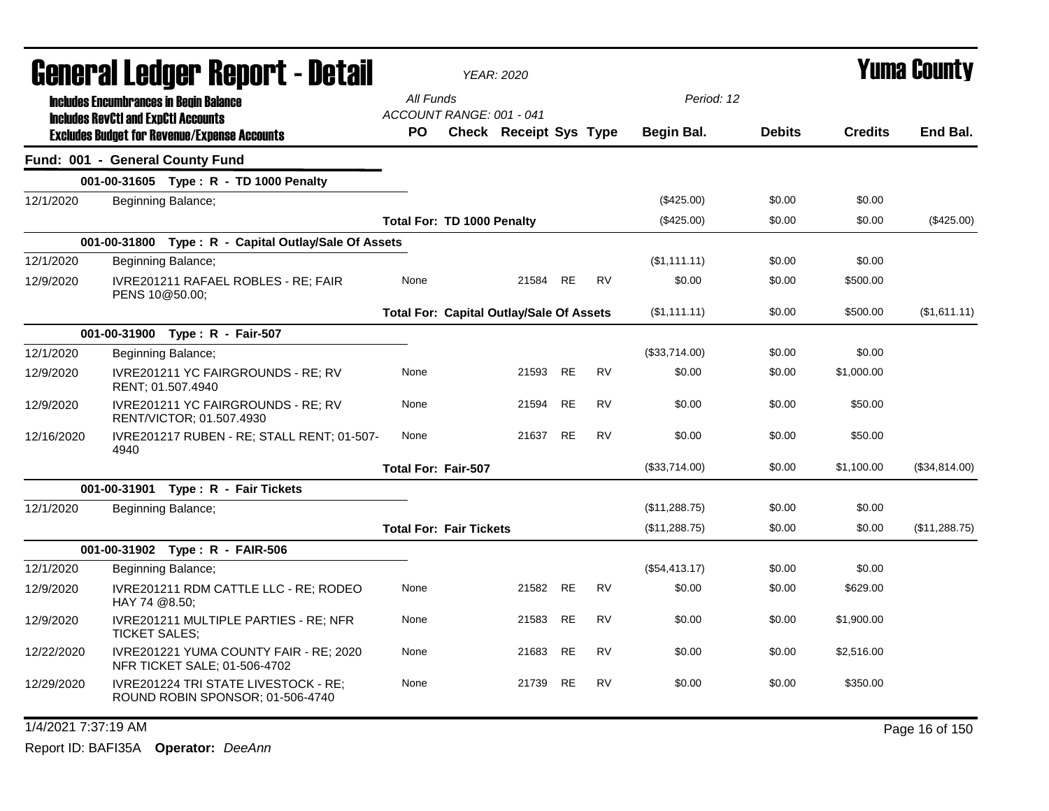| <b>General Ledger Report - Detail</b> |                                                                                                   |                            | YEAR: 2020                                                |          |           |           |                   | Yuma County   |                |                |  |
|---------------------------------------|---------------------------------------------------------------------------------------------------|----------------------------|-----------------------------------------------------------|----------|-----------|-----------|-------------------|---------------|----------------|----------------|--|
|                                       | <b>Includes Encumbrances in Begin Balance</b>                                                     | All Funds                  |                                                           |          |           |           | Period: 12        |               |                |                |  |
|                                       | <b>Includes RevCtI and ExpCtI Accounts</b><br><b>Excludes Budget for Revenue/Expense Accounts</b> | <b>PO</b>                  | ACCOUNT RANGE: 001 - 041<br><b>Check Receipt Sys Type</b> |          |           |           | <b>Begin Bal.</b> | <b>Debits</b> | <b>Credits</b> | End Bal.       |  |
|                                       | Fund: 001 - General County Fund                                                                   |                            |                                                           |          |           |           |                   |               |                |                |  |
|                                       | 001-00-31605 Type: R - TD 1000 Penalty                                                            |                            |                                                           |          |           |           |                   |               |                |                |  |
| 12/1/2020                             | Beginning Balance;                                                                                |                            |                                                           |          |           |           | (\$425.00)        | \$0.00        | \$0.00         |                |  |
|                                       |                                                                                                   |                            | <b>Total For: TD 1000 Penalty</b>                         |          |           |           | $(\$425.00)$      | \$0.00        | \$0.00         | (\$425.00)     |  |
|                                       | 001-00-31800 Type: R - Capital Outlay/Sale Of Assets                                              |                            |                                                           |          |           |           |                   |               |                |                |  |
| 12/1/2020                             | Beginning Balance;                                                                                |                            |                                                           |          |           |           | (\$1,111.11)      | \$0.00        | \$0.00         |                |  |
| 12/9/2020                             | IVRE201211 RAFAEL ROBLES - RE; FAIR<br>PENS 10@50.00;                                             | None                       |                                                           | 21584    | <b>RE</b> | <b>RV</b> | \$0.00            | \$0.00        | \$500.00       |                |  |
|                                       |                                                                                                   |                            | <b>Total For: Capital Outlay/Sale Of Assets</b>           |          |           |           | (\$1,111.11)      | \$0.00        | \$500.00       | (\$1,611.11)   |  |
|                                       | 001-00-31900 Type: R - Fair-507                                                                   |                            |                                                           |          |           |           |                   |               |                |                |  |
| 12/1/2020                             | Beginning Balance;                                                                                |                            |                                                           |          |           |           | (\$33,714.00)     | \$0.00        | \$0.00         |                |  |
| 12/9/2020                             | IVRE201211 YC FAIRGROUNDS - RE; RV<br>RENT: 01.507.4940                                           | None                       |                                                           | 21593    | <b>RE</b> | <b>RV</b> | \$0.00            | \$0.00        | \$1,000.00     |                |  |
| 12/9/2020                             | IVRE201211 YC FAIRGROUNDS - RE; RV<br>RENT/VICTOR; 01.507.4930                                    | None                       |                                                           | 21594    | RE        | RV        | \$0.00            | \$0.00        | \$50.00        |                |  |
| 12/16/2020                            | IVRE201217 RUBEN - RE; STALL RENT; 01-507-<br>4940                                                | None                       |                                                           | 21637    | RE        | RV        | \$0.00            | \$0.00        | \$50.00        |                |  |
|                                       |                                                                                                   | <b>Total For: Fair-507</b> |                                                           |          |           |           | (\$33,714.00)     | \$0.00        | \$1,100.00     | (\$34,814.00)  |  |
|                                       | 001-00-31901 Type: R - Fair Tickets                                                               |                            |                                                           |          |           |           |                   |               |                |                |  |
| 12/1/2020                             | Beginning Balance;                                                                                |                            |                                                           |          |           |           | (\$11,288.75)     | \$0.00        | \$0.00         |                |  |
|                                       |                                                                                                   |                            | <b>Total For: Fair Tickets</b>                            |          |           |           | (\$11,288.75)     | \$0.00        | \$0.00         | (\$11,288.75)  |  |
|                                       | 001-00-31902 Type: R - FAIR-506                                                                   |                            |                                                           |          |           |           |                   |               |                |                |  |
| 12/1/2020                             | Beginning Balance;                                                                                |                            |                                                           |          |           |           | (\$54,413.17)     | \$0.00        | \$0.00         |                |  |
| 12/9/2020                             | IVRE201211 RDM CATTLE LLC - RE; RODEO<br>HAY 74 @8.50;                                            | None                       |                                                           | 21582 RE |           | <b>RV</b> | \$0.00            | \$0.00        | \$629.00       |                |  |
| 12/9/2020                             | IVRE201211 MULTIPLE PARTIES - RE; NFR<br><b>TICKET SALES;</b>                                     | None                       |                                                           | 21583    | RE        | RV        | \$0.00            | \$0.00        | \$1,900.00     |                |  |
| 12/22/2020                            | IVRE201221 YUMA COUNTY FAIR - RE; 2020<br>NFR TICKET SALE; 01-506-4702                            | None                       |                                                           | 21683    | <b>RE</b> | <b>RV</b> | \$0.00            | \$0.00        | \$2,516.00     |                |  |
| 12/29/2020                            | IVRE201224 TRI STATE LIVESTOCK - RE;<br>ROUND ROBIN SPONSOR; 01-506-4740                          | None                       |                                                           | 21739    | <b>RE</b> | <b>RV</b> | \$0.00            | \$0.00        | \$350.00       |                |  |
| 1/4/2021 7:37:19 AM                   |                                                                                                   |                            |                                                           |          |           |           |                   |               |                | Page 16 of 150 |  |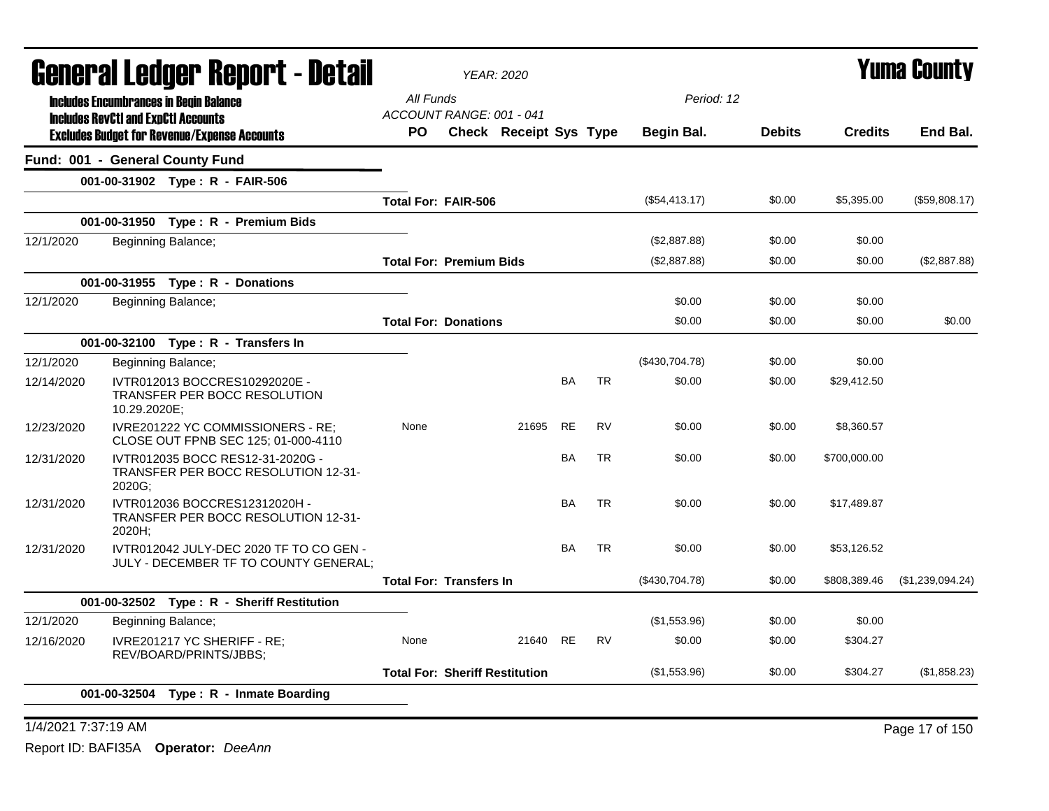| General Ledger Report - Detail |                                            |                                                                                  |           | <b>YEAR: 2020</b>                                         |           |           |                |               |                | <b>Yuma County</b> |
|--------------------------------|--------------------------------------------|----------------------------------------------------------------------------------|-----------|-----------------------------------------------------------|-----------|-----------|----------------|---------------|----------------|--------------------|
|                                |                                            | <b>Includes Encumbrances in Begin Balance</b>                                    | All Funds |                                                           |           |           | Period: 12     |               |                |                    |
|                                | <b>Includes RevCtI and ExpCtI Accounts</b> | <b>Excludes Budget for Revenue/Expense Accounts</b>                              | PO.       | ACCOUNT RANGE: 001 - 041<br><b>Check Receipt Sys Type</b> |           |           | Begin Bal.     | <b>Debits</b> | <b>Credits</b> | End Bal.           |
|                                |                                            | Fund: 001 - General County Fund                                                  |           |                                                           |           |           |                |               |                |                    |
|                                |                                            | 001-00-31902 Type: R - FAIR-506                                                  |           |                                                           |           |           |                |               |                |                    |
|                                |                                            |                                                                                  |           | Total For: FAIR-506                                       |           |           | (\$54,413.17)  | \$0.00        | \$5,395.00     | (\$59,808.17)      |
|                                |                                            | 001-00-31950 Type: R - Premium Bids                                              |           |                                                           |           |           |                |               |                |                    |
| 12/1/2020                      |                                            | Beginning Balance;                                                               |           |                                                           |           |           | (\$2,887.88)   | \$0.00        | \$0.00         |                    |
|                                |                                            |                                                                                  |           | <b>Total For: Premium Bids</b>                            |           |           | (\$2,887.88)   | \$0.00        | \$0.00         | (\$2,887.88)       |
|                                |                                            | 001-00-31955 Type: R - Donations                                                 |           |                                                           |           |           |                |               |                |                    |
| 12/1/2020                      |                                            | Beginning Balance;                                                               |           |                                                           |           |           | \$0.00         | \$0.00        | \$0.00         |                    |
|                                |                                            |                                                                                  |           | <b>Total For: Donations</b>                               |           |           | \$0.00         | \$0.00        | \$0.00         | \$0.00             |
|                                |                                            | 001-00-32100 Type: R - Transfers In                                              |           |                                                           |           |           |                |               |                |                    |
| 12/1/2020                      |                                            | Beginning Balance;                                                               |           |                                                           |           |           | (\$430,704.78) | \$0.00        | \$0.00         |                    |
| 12/14/2020                     | 10.29.2020E;                               | IVTR012013 BOCCRES10292020E -<br>TRANSFER PER BOCC RESOLUTION                    |           |                                                           | BA        | <b>TR</b> | \$0.00         | \$0.00        | \$29,412.50    |                    |
| 12/23/2020                     |                                            | IVRE201222 YC COMMISSIONERS - RE;<br>CLOSE OUT FPNB SEC 125; 01-000-4110         | None      | 21695                                                     | <b>RE</b> | <b>RV</b> | \$0.00         | \$0.00        | \$8,360.57     |                    |
| 12/31/2020                     | 2020G;                                     | IVTR012035 BOCC RES12-31-2020G -<br>TRANSFER PER BOCC RESOLUTION 12-31-          |           |                                                           | <b>BA</b> | <b>TR</b> | \$0.00         | \$0.00        | \$700,000.00   |                    |
| 12/31/2020                     | 2020H;                                     | IVTR012036 BOCCRES12312020H -<br>TRANSFER PER BOCC RESOLUTION 12-31-             |           |                                                           | <b>BA</b> | <b>TR</b> | \$0.00         | \$0.00        | \$17,489.87    |                    |
| 12/31/2020                     |                                            | IVTR012042 JULY-DEC 2020 TF TO CO GEN -<br>JULY - DECEMBER TF TO COUNTY GENERAL; |           |                                                           | BA        | <b>TR</b> | \$0.00         | \$0.00        | \$53,126.52    |                    |
|                                |                                            |                                                                                  |           | <b>Total For: Transfers In</b>                            |           |           | (\$430,704.78) | \$0.00        | \$808,389.46   | (\$1,239,094.24)   |
|                                |                                            | 001-00-32502 Type: R - Sheriff Restitution                                       |           |                                                           |           |           |                |               |                |                    |
| 12/1/2020                      |                                            | Beginning Balance;                                                               |           |                                                           |           |           | (\$1,553.96)   | \$0.00        | \$0.00         |                    |
| 12/16/2020                     |                                            | IVRE201217 YC SHERIFF - RE;<br>REV/BOARD/PRINTS/JBBS;                            | None      | 21640                                                     | <b>RE</b> | <b>RV</b> | \$0.00         | \$0.00        | \$304.27       |                    |
|                                |                                            |                                                                                  |           | <b>Total For: Sheriff Restitution</b>                     |           |           | (\$1,553.96)   | \$0.00        | \$304.27       | (\$1,858.23)       |
|                                |                                            | 001-00-32504 Type: R - Inmate Boarding                                           |           |                                                           |           |           |                |               |                |                    |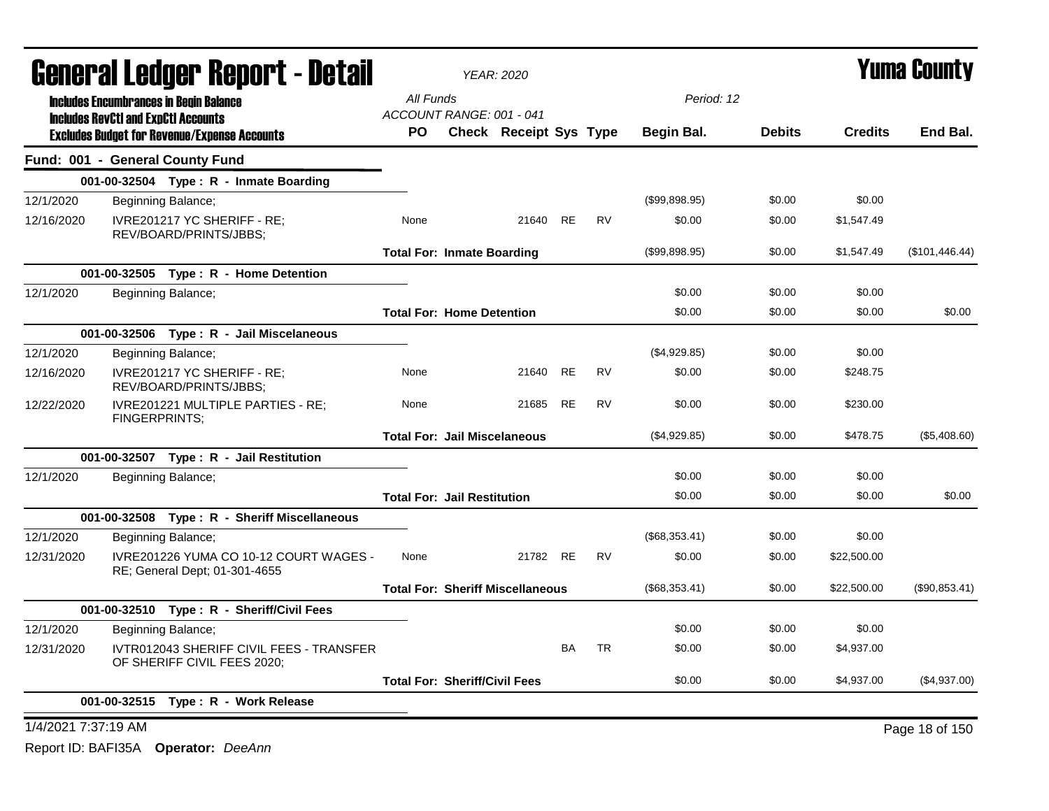| <b>General Ledger Report - Detail</b>                                                             |                                          | <b>YEAR: 2020</b>                       |                        |           |           | <b>Yuma County</b> |               |                |                |
|---------------------------------------------------------------------------------------------------|------------------------------------------|-----------------------------------------|------------------------|-----------|-----------|--------------------|---------------|----------------|----------------|
| <b>Includes Encumbrances in Begin Balance</b>                                                     |                                          | All Funds                               |                        |           |           |                    | Period: 12    |                |                |
| <b>Includes RevCtI and ExpCtI Accounts</b><br><b>Excludes Budget for Revenue/Expense Accounts</b> |                                          | ACCOUNT RANGE: 001 - 041<br>PO.         | Check Receipt Sys Type |           |           | Begin Bal.         | <b>Debits</b> | <b>Credits</b> | End Bal.       |
| Fund: 001 - General County Fund                                                                   |                                          |                                         |                        |           |           |                    |               |                |                |
| 001-00-32504 Type: R - Inmate Boarding                                                            |                                          |                                         |                        |           |           |                    |               |                |                |
| 12/1/2020<br>Beginning Balance;                                                                   |                                          |                                         |                        |           |           | (\$99,898.95)      | \$0.00        | \$0.00         |                |
| 12/16/2020<br>IVRE201217 YC SHERIFF - RE;<br>REV/BOARD/PRINTS/JBBS;                               |                                          | None                                    | 21640                  | RE        | <b>RV</b> | \$0.00             | \$0.00        | \$1,547.49     |                |
|                                                                                                   |                                          | <b>Total For: Inmate Boarding</b>       |                        |           |           | (\$99,898.95)      | \$0.00        | \$1,547.49     | (\$101,446.44) |
| 001-00-32505    Type: R - Home Detention                                                          |                                          |                                         |                        |           |           |                    |               |                |                |
| 12/1/2020<br>Beginning Balance;                                                                   |                                          |                                         |                        |           |           | \$0.00             | \$0.00        | \$0.00         |                |
|                                                                                                   |                                          | <b>Total For: Home Detention</b>        |                        |           |           | \$0.00             | \$0.00        | \$0.00         | \$0.00         |
| 001-00-32506 Type: R - Jail Miscelaneous                                                          |                                          |                                         |                        |           |           |                    |               |                |                |
| 12/1/2020<br>Beginning Balance;                                                                   |                                          |                                         |                        |           |           | (\$4,929.85)       | \$0.00        | \$0.00         |                |
| 12/16/2020<br>IVRE201217 YC SHERIFF - RE;<br>REV/BOARD/PRINTS/JBBS;                               |                                          | None                                    | 21640                  | RE        | <b>RV</b> | \$0.00             | \$0.00        | \$248.75       |                |
| IVRE201221 MULTIPLE PARTIES - RE:<br>12/22/2020<br>FINGERPRINTS;                                  |                                          | None                                    | 21685                  | RE        | <b>RV</b> | \$0.00             | \$0.00        | \$230.00       |                |
|                                                                                                   |                                          | <b>Total For: Jail Miscelaneous</b>     |                        |           |           | (\$4,929.85)       | \$0.00        | \$478.75       | (\$5,408.60)   |
| 001-00-32507 Type: R - Jail Restitution                                                           |                                          |                                         |                        |           |           |                    |               |                |                |
| 12/1/2020<br>Beginning Balance;                                                                   |                                          |                                         |                        |           |           | \$0.00             | \$0.00        | \$0.00         |                |
|                                                                                                   |                                          | <b>Total For: Jail Restitution</b>      |                        |           |           | \$0.00             | \$0.00        | \$0.00         | \$0.00         |
| 001-00-32508 Type: R - Sheriff Miscellaneous                                                      |                                          |                                         |                        |           |           |                    |               |                |                |
| 12/1/2020<br>Beginning Balance;                                                                   |                                          |                                         |                        |           |           | $(\$68,353.41)$    | \$0.00        | \$0.00         |                |
| 12/31/2020<br>RE; General Dept; 01-301-4655                                                       | IVRE201226 YUMA CO 10-12 COURT WAGES -   | None                                    | 21782 RE               |           | <b>RV</b> | \$0.00             | \$0.00        | \$22,500.00    |                |
|                                                                                                   |                                          | <b>Total For: Sheriff Miscellaneous</b> |                        |           |           | (\$68,353.41)      | \$0.00        | \$22,500.00    | (\$90,853.41)  |
| 001-00-32510 Type: R - Sheriff/Civil Fees                                                         |                                          |                                         |                        |           |           |                    |               |                |                |
| 12/1/2020<br>Beginning Balance;                                                                   |                                          |                                         |                        |           |           | \$0.00             | \$0.00        | \$0.00         |                |
| 12/31/2020<br>OF SHERIFF CIVIL FEES 2020;                                                         | IVTR012043 SHERIFF CIVIL FEES - TRANSFER |                                         |                        | <b>BA</b> | <b>TR</b> | \$0.00             | \$0.00        | \$4,937.00     |                |
|                                                                                                   |                                          | <b>Total For: Sheriff/Civil Fees</b>    |                        |           |           | \$0.00             | \$0.00        | \$4,937.00     | (\$4,937.00)   |
| 001-00-32515 Type: R - Work Release                                                               |                                          |                                         |                        |           |           |                    |               |                |                |
| 1/4/2021 7:37:19 AM                                                                               |                                          |                                         |                        |           |           |                    |               |                | Page 18 of 150 |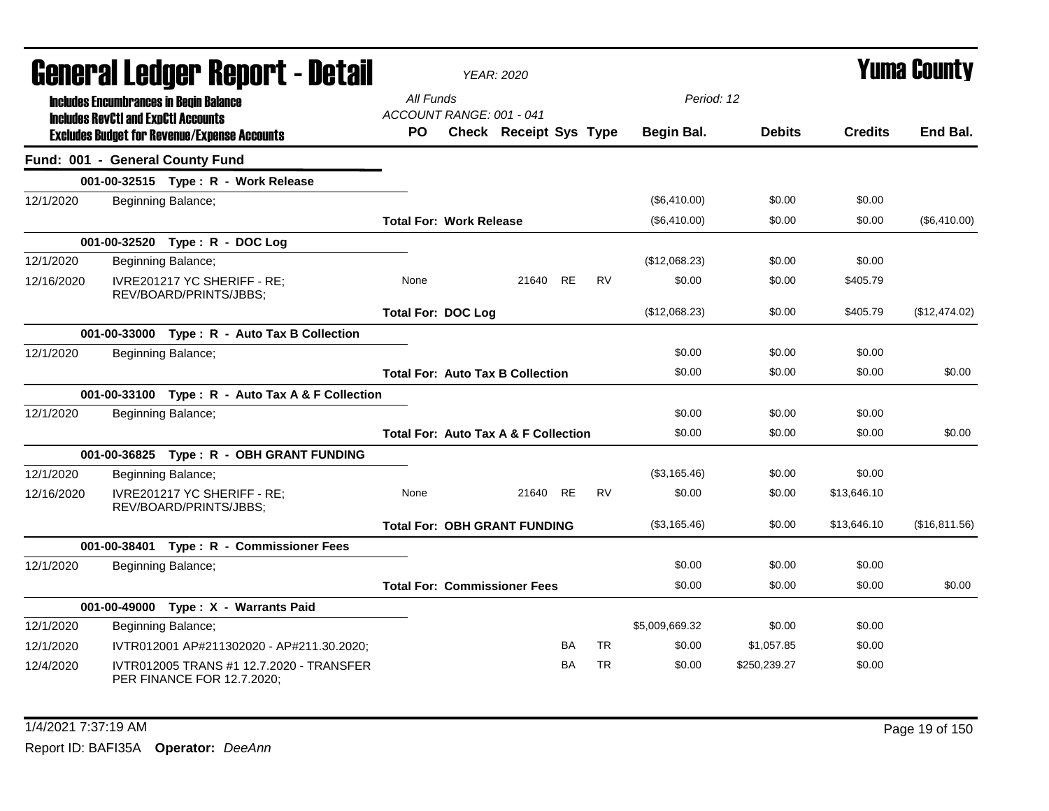| General Ledger Report - Detail |                                            |                                                                        | <b>YEAR: 2020</b>                     |                                                 |           |           |                   | <b>Yuma County</b> |                |               |
|--------------------------------|--------------------------------------------|------------------------------------------------------------------------|---------------------------------------|-------------------------------------------------|-----------|-----------|-------------------|--------------------|----------------|---------------|
|                                | <b>Includes RevCtI and ExpCtI Accounts</b> | <b>Includes Encumbrances in Begin Balance</b>                          | All Funds<br>ACCOUNT RANGE: 001 - 041 |                                                 |           |           | Period: 12        |                    |                |               |
|                                |                                            | <b>Excludes Budget for Revenue/Expense Accounts</b>                    | PO.                                   | <b>Check Receipt Sys Type</b>                   |           |           | <b>Begin Bal.</b> | <b>Debits</b>      | <b>Credits</b> | End Bal.      |
|                                |                                            | Fund: 001 - General County Fund                                        |                                       |                                                 |           |           |                   |                    |                |               |
|                                |                                            | 001-00-32515 Type: R - Work Release                                    |                                       |                                                 |           |           |                   |                    |                |               |
| 12/1/2020                      |                                            | Beginning Balance;                                                     |                                       |                                                 |           |           | (\$6,410.00)      | \$0.00             | \$0.00         |               |
|                                |                                            |                                                                        | <b>Total For: Work Release</b>        |                                                 |           |           | (\$6,410.00)      | \$0.00             | \$0.00         | (\$6,410.00)  |
|                                |                                            | 001-00-32520 Type: R - DOC Log                                         |                                       |                                                 |           |           |                   |                    |                |               |
| 12/1/2020                      |                                            | Beginning Balance;                                                     |                                       |                                                 |           |           | (\$12,068.23)     | \$0.00             | \$0.00         |               |
| 12/16/2020                     |                                            | IVRE201217 YC SHERIFF - RE;<br>REV/BOARD/PRINTS/JBBS;                  | None                                  | 21640                                           | <b>RE</b> | <b>RV</b> | \$0.00            | \$0.00             | \$405.79       |               |
|                                |                                            |                                                                        | <b>Total For: DOC Log</b>             |                                                 |           |           | (\$12,068.23)     | \$0.00             | \$405.79       | (\$12,474.02) |
|                                |                                            | 001-00-33000 Type: R - Auto Tax B Collection                           |                                       |                                                 |           |           |                   |                    |                |               |
| 12/1/2020                      |                                            | Beginning Balance;                                                     |                                       |                                                 |           |           | \$0.00            | \$0.00             | \$0.00         |               |
|                                |                                            |                                                                        |                                       | <b>Total For: Auto Tax B Collection</b>         |           |           | \$0.00            | \$0.00             | \$0.00         | \$0.00        |
|                                |                                            | 001-00-33100 Type: R - Auto Tax A & F Collection                       |                                       |                                                 |           |           |                   |                    |                |               |
| 12/1/2020                      |                                            | Beginning Balance;                                                     |                                       |                                                 |           |           | \$0.00            | \$0.00             | \$0.00         |               |
|                                |                                            |                                                                        |                                       | <b>Total For: Auto Tax A &amp; F Collection</b> |           |           | \$0.00            | \$0.00             | \$0.00         | \$0.00        |
|                                |                                            | 001-00-36825 Type: R - OBH GRANT FUNDING                               |                                       |                                                 |           |           |                   |                    |                |               |
| 12/1/2020                      |                                            | Beginning Balance;                                                     |                                       |                                                 |           |           | (\$3,165.46)      | \$0.00             | \$0.00         |               |
| 12/16/2020                     |                                            | IVRE201217 YC SHERIFF - RE:<br>REV/BOARD/PRINTS/JBBS;                  | None                                  | 21640 RE                                        |           | <b>RV</b> | \$0.00            | \$0.00             | \$13,646.10    |               |
|                                |                                            |                                                                        |                                       | <b>Total For: OBH GRANT FUNDING</b>             |           |           | (\$3,165.46)      | \$0.00             | \$13,646.10    | (\$16,811.56) |
|                                |                                            | 001-00-38401 Type: R - Commissioner Fees                               |                                       |                                                 |           |           |                   |                    |                |               |
| 12/1/2020                      |                                            | Beginning Balance;                                                     |                                       |                                                 |           |           | \$0.00            | \$0.00             | \$0.00         |               |
|                                |                                            |                                                                        |                                       | <b>Total For: Commissioner Fees</b>             |           |           | \$0.00            | \$0.00             | \$0.00         | \$0.00        |
|                                |                                            | 001-00-49000 Type: X - Warrants Paid                                   |                                       |                                                 |           |           |                   |                    |                |               |
| 12/1/2020                      |                                            | Beginning Balance;                                                     |                                       |                                                 |           |           | \$5,009,669.32    | \$0.00             | \$0.00         |               |
| 12/1/2020                      |                                            | IVTR012001 AP#211302020 - AP#211.30.2020;                              |                                       |                                                 | BA        | TR.       | \$0.00            | \$1,057.85         | \$0.00         |               |
| 12/4/2020                      |                                            | IVTR012005 TRANS #1 12.7.2020 - TRANSFER<br>PER FINANCE FOR 12.7.2020; |                                       |                                                 | BA        | <b>TR</b> | \$0.00            | \$250,239.27       | \$0.00         |               |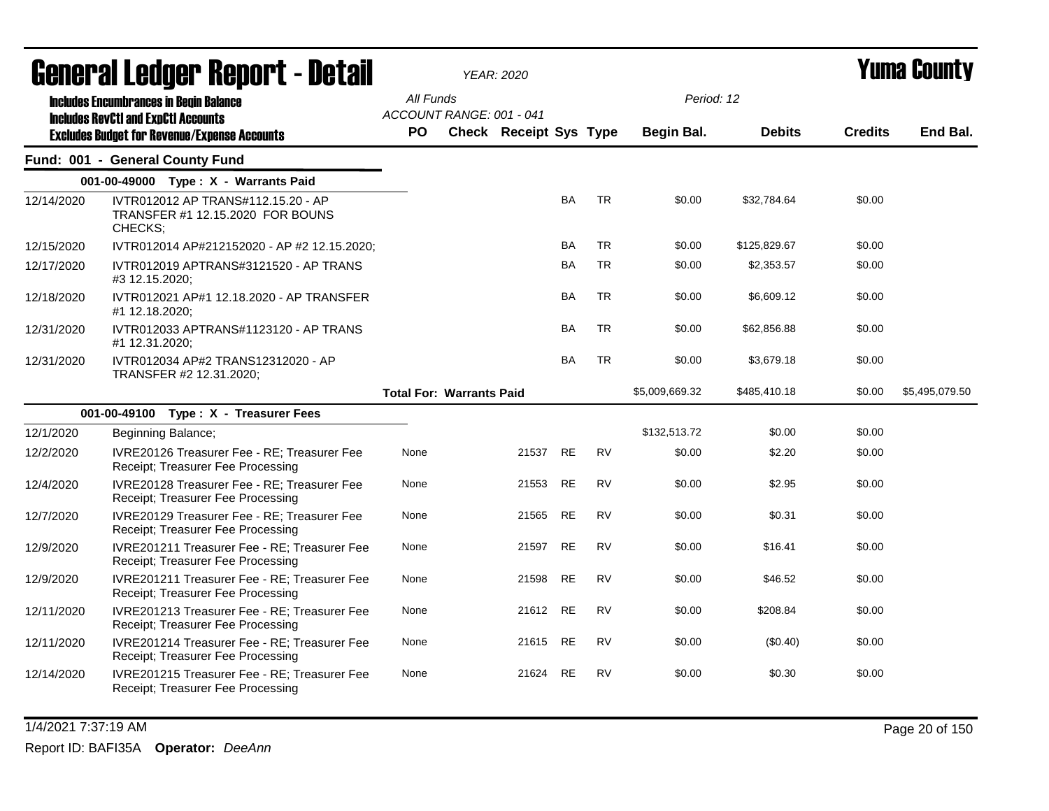| General Ledger Report - Detail |                                                                                                   | YEAR: 2020                            |                               |           |           |                | <b>Yuma County</b> |                |                |
|--------------------------------|---------------------------------------------------------------------------------------------------|---------------------------------------|-------------------------------|-----------|-----------|----------------|--------------------|----------------|----------------|
|                                | <b>Includes Encumbrances in Begin Balance</b>                                                     | All Funds<br>ACCOUNT RANGE: 001 - 041 |                               |           |           | Period: 12     |                    |                |                |
|                                | <b>Includes RevCtI and ExpCtI Accounts</b><br><b>Excludes Budget for Revenue/Expense Accounts</b> | <b>PO</b>                             | <b>Check Receipt Sys Type</b> |           |           | Begin Bal.     | <b>Debits</b>      | <b>Credits</b> | End Bal.       |
|                                | Fund: 001 - General County Fund                                                                   |                                       |                               |           |           |                |                    |                |                |
|                                | 001-00-49000 Type: X - Warrants Paid                                                              |                                       |                               |           |           |                |                    |                |                |
| 12/14/2020                     | IVTR012012 AP TRANS#112.15.20 - AP<br>TRANSFER #1 12.15.2020 FOR BOUNS<br>CHECKS;                 |                                       |                               | <b>BA</b> | <b>TR</b> | \$0.00         | \$32,784.64        | \$0.00         |                |
| 12/15/2020                     | IVTR012014 AP#212152020 - AP #2 12.15.2020;                                                       |                                       |                               | <b>BA</b> | <b>TR</b> | \$0.00         | \$125,829.67       | \$0.00         |                |
| 12/17/2020                     | IVTR012019 APTRANS#3121520 - AP TRANS<br>#3 12.15.2020;                                           |                                       |                               | <b>BA</b> | <b>TR</b> | \$0.00         | \$2,353.57         | \$0.00         |                |
| 12/18/2020                     | IVTR012021 AP#1 12.18.2020 - AP TRANSFER<br>#1 12.18.2020;                                        |                                       |                               | <b>BA</b> | TR        | \$0.00         | \$6,609.12         | \$0.00         |                |
| 12/31/2020                     | IVTR012033 APTRANS#1123120 - AP TRANS<br>#1 12.31.2020;                                           |                                       |                               | <b>BA</b> | <b>TR</b> | \$0.00         | \$62,856.88        | \$0.00         |                |
| 12/31/2020                     | IVTR012034 AP#2 TRANS12312020 - AP<br>TRANSFER #2 12.31.2020;                                     |                                       |                               | <b>BA</b> | <b>TR</b> | \$0.00         | \$3,679.18         | \$0.00         |                |
|                                |                                                                                                   | <b>Total For: Warrants Paid</b>       |                               |           |           | \$5,009,669.32 | \$485,410.18       | \$0.00         | \$5,495,079.50 |
|                                | 001-00-49100 Type: X - Treasurer Fees                                                             |                                       |                               |           |           |                |                    |                |                |
| 12/1/2020                      | Beginning Balance;                                                                                |                                       |                               |           |           | \$132,513.72   | \$0.00             | \$0.00         |                |
| 12/2/2020                      | IVRE20126 Treasurer Fee - RE; Treasurer Fee<br>Receipt; Treasurer Fee Processing                  | None                                  | 21537                         | <b>RE</b> | <b>RV</b> | \$0.00         | \$2.20             | \$0.00         |                |
| 12/4/2020                      | IVRE20128 Treasurer Fee - RE; Treasurer Fee<br>Receipt; Treasurer Fee Processing                  | None                                  | 21553                         | <b>RE</b> | <b>RV</b> | \$0.00         | \$2.95             | \$0.00         |                |
| 12/7/2020                      | IVRE20129 Treasurer Fee - RE; Treasurer Fee<br>Receipt; Treasurer Fee Processing                  | None                                  | 21565 RE                      |           | <b>RV</b> | \$0.00         | \$0.31             | \$0.00         |                |
| 12/9/2020                      | IVRE201211 Treasurer Fee - RE; Treasurer Fee<br>Receipt; Treasurer Fee Processing                 | None                                  | 21597                         | <b>RE</b> | <b>RV</b> | \$0.00         | \$16.41            | \$0.00         |                |
| 12/9/2020                      | IVRE201211 Treasurer Fee - RE; Treasurer Fee<br>Receipt; Treasurer Fee Processing                 | None                                  | 21598                         | <b>RE</b> | <b>RV</b> | \$0.00         | \$46.52            | \$0.00         |                |
| 12/11/2020                     | IVRE201213 Treasurer Fee - RE; Treasurer Fee<br>Receipt; Treasurer Fee Processing                 | None                                  | 21612 RE                      |           | <b>RV</b> | \$0.00         | \$208.84           | \$0.00         |                |
| 12/11/2020                     | IVRE201214 Treasurer Fee - RE: Treasurer Fee<br>Receipt; Treasurer Fee Processing                 | None                                  | 21615                         | <b>RE</b> | <b>RV</b> | \$0.00         | (\$0.40)           | \$0.00         |                |
| 12/14/2020                     | IVRE201215 Treasurer Fee - RE: Treasurer Fee<br>Receipt; Treasurer Fee Processing                 | None                                  | 21624                         | <b>RE</b> | <b>RV</b> | \$0.00         | \$0.30             | \$0.00         |                |

1/4/2021 7:37:19 AM Page 20 of 150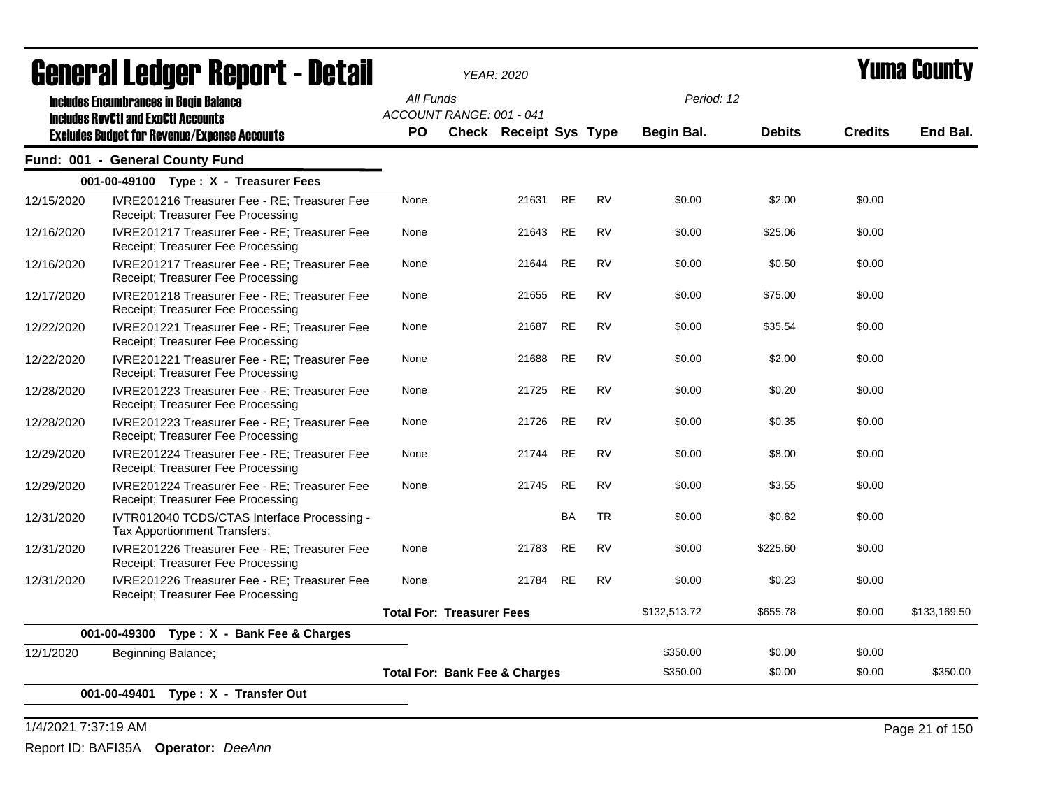| acıici ai leuyei" nepul l - delan |                                                                                             |           | <b>YEAR: 2020</b>                        |           |           |                   |               |                | I UIIIA VUUIILY |
|-----------------------------------|---------------------------------------------------------------------------------------------|-----------|------------------------------------------|-----------|-----------|-------------------|---------------|----------------|-----------------|
|                                   | <b>Includes Encumbrances in Begin Balance</b><br><b>Includes RevCtI and ExpCtI Accounts</b> | All Funds | ACCOUNT RANGE: 001 - 041                 |           |           | Period: 12        |               |                |                 |
|                                   | <b>Excludes Budget for Revenue/Expense Accounts</b>                                         | <b>PO</b> | <b>Check Receipt Sys Type</b>            |           |           | <b>Begin Bal.</b> | <b>Debits</b> | <b>Credits</b> | End Bal.        |
|                                   | Fund: 001 - General County Fund                                                             |           |                                          |           |           |                   |               |                |                 |
|                                   | 001-00-49100 Type: X - Treasurer Fees                                                       |           |                                          |           |           |                   |               |                |                 |
| 12/15/2020                        | IVRE201216 Treasurer Fee - RE; Treasurer Fee<br>Receipt; Treasurer Fee Processing           | None      | 21631                                    | <b>RE</b> | <b>RV</b> | \$0.00            | \$2.00        | \$0.00         |                 |
| 12/16/2020                        | IVRE201217 Treasurer Fee - RE; Treasurer Fee<br>Receipt; Treasurer Fee Processing           | None      | 21643                                    | <b>RE</b> | <b>RV</b> | \$0.00            | \$25.06       | \$0.00         |                 |
| 12/16/2020                        | IVRE201217 Treasurer Fee - RE; Treasurer Fee<br>Receipt; Treasurer Fee Processing           | None      | 21644                                    | <b>RE</b> | <b>RV</b> | \$0.00            | \$0.50        | \$0.00         |                 |
| 12/17/2020                        | IVRE201218 Treasurer Fee - RE; Treasurer Fee<br>Receipt; Treasurer Fee Processing           | None      | 21655                                    | <b>RE</b> | <b>RV</b> | \$0.00            | \$75.00       | \$0.00         |                 |
| 12/22/2020                        | IVRE201221 Treasurer Fee - RE; Treasurer Fee<br>Receipt; Treasurer Fee Processing           | None      | 21687                                    | <b>RE</b> | <b>RV</b> | \$0.00            | \$35.54       | \$0.00         |                 |
| 12/22/2020                        | IVRE201221 Treasurer Fee - RE; Treasurer Fee<br>Receipt; Treasurer Fee Processing           | None      | 21688                                    | <b>RE</b> | <b>RV</b> | \$0.00            | \$2.00        | \$0.00         |                 |
| 12/28/2020                        | IVRE201223 Treasurer Fee - RE; Treasurer Fee<br>Receipt; Treasurer Fee Processing           | None      | 21725                                    | <b>RE</b> | <b>RV</b> | \$0.00            | \$0.20        | \$0.00         |                 |
| 12/28/2020                        | IVRE201223 Treasurer Fee - RE; Treasurer Fee<br>Receipt; Treasurer Fee Processing           | None      | 21726 RE                                 |           | <b>RV</b> | \$0.00            | \$0.35        | \$0.00         |                 |
| 12/29/2020                        | IVRE201224 Treasurer Fee - RE; Treasurer Fee<br>Receipt; Treasurer Fee Processing           | None      | 21744                                    | <b>RE</b> | <b>RV</b> | \$0.00            | \$8.00        | \$0.00         |                 |
| 12/29/2020                        | IVRE201224 Treasurer Fee - RE; Treasurer Fee<br>Receipt; Treasurer Fee Processing           | None      | 21745                                    | <b>RE</b> | <b>RV</b> | \$0.00            | \$3.55        | \$0.00         |                 |
| 12/31/2020                        | IVTR012040 TCDS/CTAS Interface Processing -<br>Tax Apportionment Transfers;                 |           |                                          | <b>BA</b> | <b>TR</b> | \$0.00            | \$0.62        | \$0.00         |                 |
| 12/31/2020                        | IVRE201226 Treasurer Fee - RE; Treasurer Fee<br>Receipt; Treasurer Fee Processing           | None      | 21783                                    | <b>RE</b> | <b>RV</b> | \$0.00            | \$225.60      | \$0.00         |                 |
| 12/31/2020                        | IVRE201226 Treasurer Fee - RE; Treasurer Fee<br>Receipt; Treasurer Fee Processing           | None      | 21784                                    | <b>RE</b> | <b>RV</b> | \$0.00            | \$0.23        | \$0.00         |                 |
|                                   |                                                                                             |           | <b>Total For: Treasurer Fees</b>         |           |           | \$132,513.72      | \$655.78      | \$0.00         | \$133,169.50    |
|                                   | 001-00-49300 Type: X - Bank Fee & Charges                                                   |           |                                          |           |           |                   |               |                |                 |
| 12/1/2020                         | Beginning Balance;                                                                          |           |                                          |           |           | \$350.00          | \$0.00        | \$0.00         |                 |
|                                   |                                                                                             |           | <b>Total For: Bank Fee &amp; Charges</b> |           |           | \$350.00          | \$0.00        | \$0.00         | \$350.00        |
|                                   | 001-00-49401 Type: X - Transfer Out                                                         |           |                                          |           |           |                   |               |                |                 |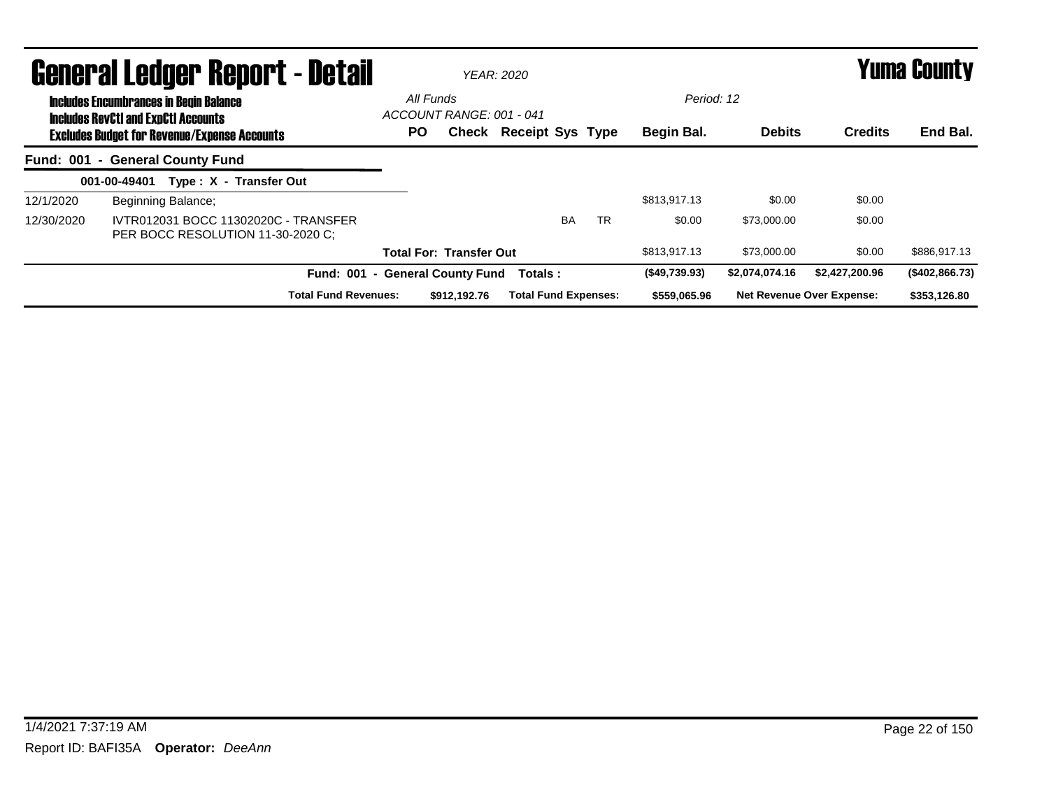|                                               | General Ledger Report - Detail                                                                    |                          |                                | <b>YEAR: 2020</b>           |            |               | <b>Yuma County</b> |                                  |                |  |
|-----------------------------------------------|---------------------------------------------------------------------------------------------------|--------------------------|--------------------------------|-----------------------------|------------|---------------|--------------------|----------------------------------|----------------|--|
| <b>Includes Encumbrances in Begin Balance</b> | All Funds                                                                                         | ACCOUNT RANGE: 001 - 041 |                                |                             | Period: 12 |               |                    |                                  |                |  |
|                                               | <b>Includes RevCtI and ExpCtI Accounts</b><br><b>Excludes Budget for Revenue/Expense Accounts</b> | PO.                      |                                | Check Receipt Sys Type      |            | Begin Bal.    | <b>Debits</b>      | <b>Credits</b>                   | End Bal.       |  |
|                                               | Fund: 001 - General County Fund                                                                   |                          |                                |                             |            |               |                    |                                  |                |  |
|                                               | 001-00-49401<br>Type: X - Transfer Out                                                            |                          |                                |                             |            |               |                    |                                  |                |  |
| 12/1/2020                                     | Beginning Balance;                                                                                |                          |                                |                             |            | \$813,917.13  | \$0.00             | \$0.00                           |                |  |
| 12/30/2020                                    | IVTR012031 BOCC 11302020C - TRANSFER<br>PER BOCC RESOLUTION 11-30-2020 C:                         |                          |                                | <b>BA</b>                   | <b>TR</b>  | \$0.00        | \$73,000.00        | \$0.00                           |                |  |
|                                               |                                                                                                   |                          | <b>Total For: Transfer Out</b> |                             |            | \$813,917.13  | \$73,000.00        | \$0.00                           | \$886,917.13   |  |
|                                               | Fund: 001 - General County Fund                                                                   |                          |                                | Totals:                     |            | (\$49,739.93) | \$2,074,074.16     | \$2,427,200.96                   | (\$402,866.73) |  |
|                                               | <b>Total Fund Revenues:</b>                                                                       |                          | \$912,192.76                   | <b>Total Fund Expenses:</b> |            | \$559,065.96  |                    | <b>Net Revenue Over Expense:</b> | \$353,126.80   |  |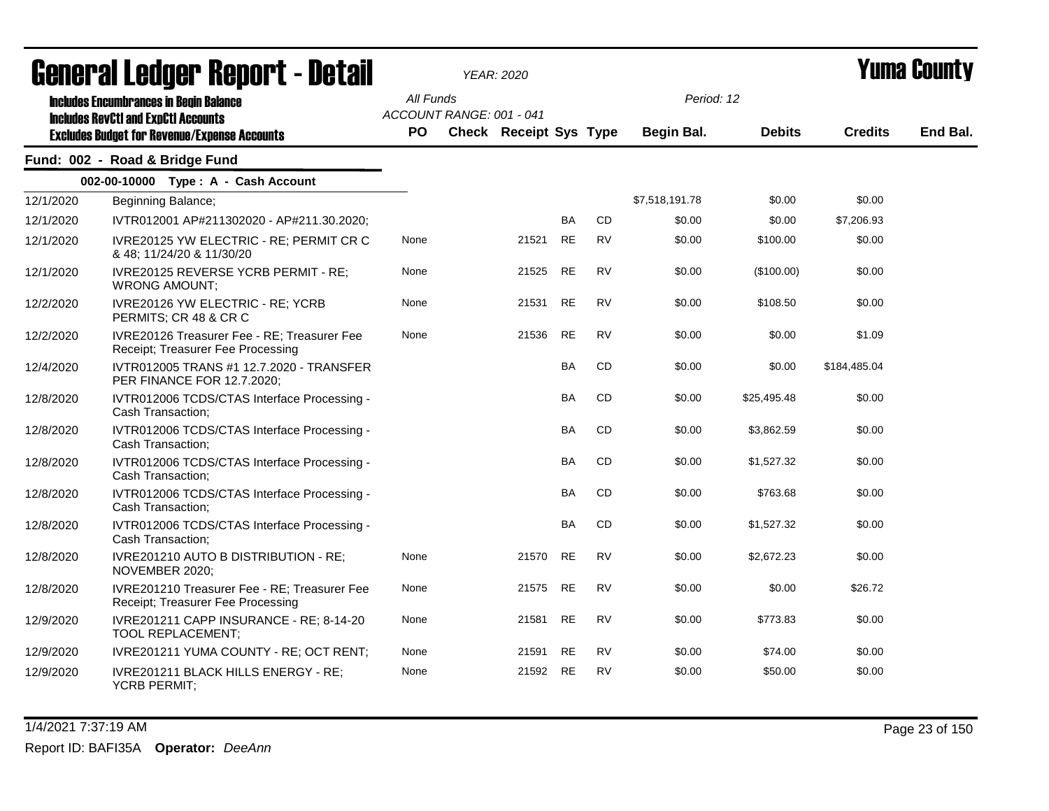| <b>General Ledger Report - Detail</b> |                                                                                             |           | <b>YEAR: 2020</b>        |                               |           |           |                | Yuma Countv   |                |          |
|---------------------------------------|---------------------------------------------------------------------------------------------|-----------|--------------------------|-------------------------------|-----------|-----------|----------------|---------------|----------------|----------|
|                                       | <b>Includes Encumbrances in Begin Balance</b><br><b>Includes RevCtI and ExpCtI Accounts</b> | All Funds | ACCOUNT RANGE: 001 - 041 |                               |           |           | Period: 12     |               |                |          |
|                                       | <b>Excludes Budget for Revenue/Expense Accounts</b>                                         | <b>PO</b> |                          | <b>Check Receipt Sys Type</b> |           |           | Begin Bal.     | <b>Debits</b> | <b>Credits</b> | End Bal. |
|                                       | Fund: 002 - Road & Bridge Fund                                                              |           |                          |                               |           |           |                |               |                |          |
|                                       | 002-00-10000 Type: A - Cash Account                                                         |           |                          |                               |           |           |                |               |                |          |
| 12/1/2020                             | Beginning Balance;                                                                          |           |                          |                               |           |           | \$7,518,191.78 | \$0.00        | \$0.00         |          |
| 12/1/2020                             | IVTR012001 AP#211302020 - AP#211.30.2020;                                                   |           |                          |                               | <b>BA</b> | <b>CD</b> | \$0.00         | \$0.00        | \$7,206.93     |          |
| 12/1/2020                             | IVRE20125 YW ELECTRIC - RE; PERMIT CR C<br>& 48; 11/24/20 & 11/30/20                        | None      |                          | 21521                         | <b>RE</b> | <b>RV</b> | \$0.00         | \$100.00      | \$0.00         |          |
| 12/1/2020                             | IVRE20125 REVERSE YCRB PERMIT - RE;<br><b>WRONG AMOUNT;</b>                                 | None      |                          | 21525                         | <b>RE</b> | <b>RV</b> | \$0.00         | (\$100.00)    | \$0.00         |          |
| 12/2/2020                             | IVRE20126 YW ELECTRIC - RE; YCRB<br>PERMITS; CR 48 & CR C                                   | None      |                          | 21531                         | <b>RE</b> | <b>RV</b> | \$0.00         | \$108.50      | \$0.00         |          |
| 12/2/2020                             | IVRE20126 Treasurer Fee - RE; Treasurer Fee<br>Receipt; Treasurer Fee Processing            | None      |                          | 21536                         | <b>RE</b> | <b>RV</b> | \$0.00         | \$0.00        | \$1.09         |          |
| 12/4/2020                             | IVTR012005 TRANS #1 12.7.2020 - TRANSFER<br>PER FINANCE FOR 12.7.2020;                      |           |                          |                               | <b>BA</b> | <b>CD</b> | \$0.00         | \$0.00        | \$184,485.04   |          |
| 12/8/2020                             | IVTR012006 TCDS/CTAS Interface Processing -<br>Cash Transaction;                            |           |                          |                               | <b>BA</b> | CD        | \$0.00         | \$25,495.48   | \$0.00         |          |
| 12/8/2020                             | IVTR012006 TCDS/CTAS Interface Processing -<br>Cash Transaction:                            |           |                          |                               | <b>BA</b> | <b>CD</b> | \$0.00         | \$3,862.59    | \$0.00         |          |
| 12/8/2020                             | IVTR012006 TCDS/CTAS Interface Processing -<br>Cash Transaction;                            |           |                          |                               | <b>BA</b> | CD        | \$0.00         | \$1,527.32    | \$0.00         |          |
| 12/8/2020                             | IVTR012006 TCDS/CTAS Interface Processing -<br>Cash Transaction;                            |           |                          |                               | <b>BA</b> | <b>CD</b> | \$0.00         | \$763.68      | \$0.00         |          |
| 12/8/2020                             | IVTR012006 TCDS/CTAS Interface Processing -<br>Cash Transaction;                            |           |                          |                               | <b>BA</b> | <b>CD</b> | \$0.00         | \$1,527.32    | \$0.00         |          |
| 12/8/2020                             | IVRE201210 AUTO B DISTRIBUTION - RE;<br>NOVEMBER 2020;                                      | None      |                          | 21570                         | <b>RE</b> | <b>RV</b> | \$0.00         | \$2,672.23    | \$0.00         |          |
| 12/8/2020                             | IVRE201210 Treasurer Fee - RE; Treasurer Fee<br>Receipt; Treasurer Fee Processing           | None      |                          | 21575                         | <b>RE</b> | <b>RV</b> | \$0.00         | \$0.00        | \$26.72        |          |
| 12/9/2020                             | IVRE201211 CAPP INSURANCE - RE; 8-14-20<br><b>TOOL REPLACEMENT;</b>                         | None      |                          | 21581                         | <b>RE</b> | RV        | \$0.00         | \$773.83      | \$0.00         |          |
| 12/9/2020                             | IVRE201211 YUMA COUNTY - RE; OCT RENT;                                                      | None      |                          | 21591                         | <b>RE</b> | <b>RV</b> | \$0.00         | \$74.00       | \$0.00         |          |
| 12/9/2020                             | IVRE201211 BLACK HILLS ENERGY - RE;<br><b>YCRB PERMIT;</b>                                  | None      |                          | 21592                         | <b>RE</b> | <b>RV</b> | \$0.00         | \$50.00       | \$0.00         |          |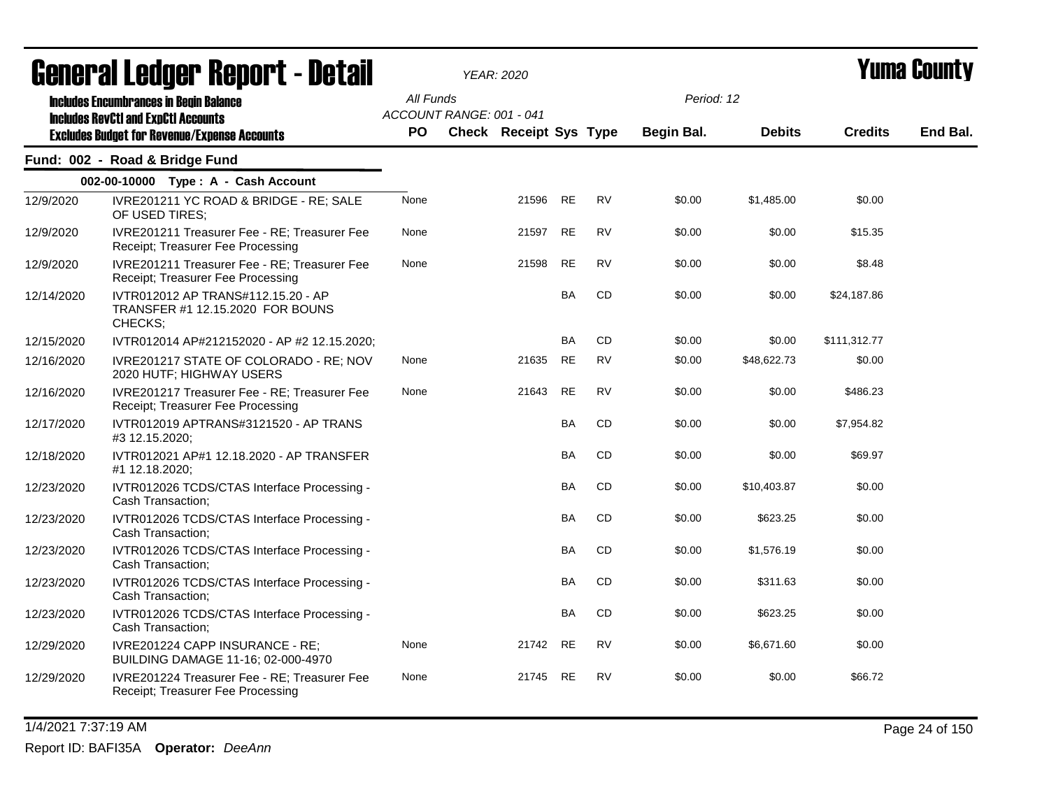| ugligi ai Lguygi ngpulil - Dglaii |                                                                                             |           |                          | YEAR: 2020             |           |           |            |               |                | I UIIIU VVUIILY |
|-----------------------------------|---------------------------------------------------------------------------------------------|-----------|--------------------------|------------------------|-----------|-----------|------------|---------------|----------------|-----------------|
|                                   | <b>Includes Encumbrances in Begin Balance</b><br><b>Includes RevCtI and ExpCtI Accounts</b> | All Funds | ACCOUNT RANGE: 001 - 041 |                        |           |           | Period: 12 |               |                |                 |
|                                   | <b>Excludes Budget for Revenue/Expense Accounts</b>                                         | <b>PO</b> |                          | Check Receipt Sys Type |           |           | Begin Bal. | <b>Debits</b> | <b>Credits</b> | End Bal.        |
|                                   | Fund: 002 - Road & Bridge Fund                                                              |           |                          |                        |           |           |            |               |                |                 |
|                                   | 002-00-10000 Type: A - Cash Account                                                         |           |                          |                        |           |           |            |               |                |                 |
| 12/9/2020                         | IVRE201211 YC ROAD & BRIDGE - RE; SALE<br>OF USED TIRES;                                    | None      |                          | 21596                  | <b>RE</b> | <b>RV</b> | \$0.00     | \$1,485.00    | \$0.00         |                 |
| 12/9/2020                         | IVRE201211 Treasurer Fee - RE; Treasurer Fee<br>Receipt; Treasurer Fee Processing           | None      |                          | 21597                  | <b>RE</b> | <b>RV</b> | \$0.00     | \$0.00        | \$15.35        |                 |
| 12/9/2020                         | IVRE201211 Treasurer Fee - RE; Treasurer Fee<br>Receipt; Treasurer Fee Processing           | None      |                          | 21598                  | <b>RE</b> | <b>RV</b> | \$0.00     | \$0.00        | \$8.48         |                 |
| 12/14/2020                        | IVTR012012 AP TRANS#112.15.20 - AP<br>TRANSFER #1 12.15.2020 FOR BOUNS<br>CHECKS;           |           |                          |                        | <b>BA</b> | <b>CD</b> | \$0.00     | \$0.00        | \$24,187.86    |                 |
| 12/15/2020                        | IVTR012014 AP#212152020 - AP #2 12.15.2020;                                                 |           |                          |                        | <b>BA</b> | CD        | \$0.00     | \$0.00        | \$111,312.77   |                 |
| 12/16/2020                        | IVRE201217 STATE OF COLORADO - RE; NOV<br>2020 HUTF; HIGHWAY USERS                          | None      |                          | 21635                  | <b>RE</b> | <b>RV</b> | \$0.00     | \$48,622.73   | \$0.00         |                 |
| 12/16/2020                        | IVRE201217 Treasurer Fee - RE; Treasurer Fee<br>Receipt; Treasurer Fee Processing           | None      |                          | 21643                  | <b>RE</b> | <b>RV</b> | \$0.00     | \$0.00        | \$486.23       |                 |
| 12/17/2020                        | IVTR012019 APTRANS#3121520 - AP TRANS<br>#3 12.15.2020;                                     |           |                          |                        | <b>BA</b> | CD        | \$0.00     | \$0.00        | \$7,954.82     |                 |
| 12/18/2020                        | IVTR012021 AP#1 12.18.2020 - AP TRANSFER<br>#1 12.18.2020;                                  |           |                          |                        | BA        | CD        | \$0.00     | \$0.00        | \$69.97        |                 |
| 12/23/2020                        | IVTR012026 TCDS/CTAS Interface Processing -<br>Cash Transaction;                            |           |                          |                        | <b>BA</b> | <b>CD</b> | \$0.00     | \$10,403.87   | \$0.00         |                 |
| 12/23/2020                        | IVTR012026 TCDS/CTAS Interface Processing -<br>Cash Transaction;                            |           |                          |                        | BA        | CD        | \$0.00     | \$623.25      | \$0.00         |                 |
| 12/23/2020                        | IVTR012026 TCDS/CTAS Interface Processing -<br>Cash Transaction;                            |           |                          |                        | <b>BA</b> | CD        | \$0.00     | \$1,576.19    | \$0.00         |                 |
| 12/23/2020                        | IVTR012026 TCDS/CTAS Interface Processing -<br>Cash Transaction;                            |           |                          |                        | BA        | CD        | \$0.00     | \$311.63      | \$0.00         |                 |
| 12/23/2020                        | IVTR012026 TCDS/CTAS Interface Processing -<br>Cash Transaction;                            |           |                          |                        | <b>BA</b> | CD        | \$0.00     | \$623.25      | \$0.00         |                 |
| 12/29/2020                        | IVRE201224 CAPP INSURANCE - RE;<br>BUILDING DAMAGE 11-16; 02-000-4970                       | None      |                          | 21742                  | <b>RE</b> | RV        | \$0.00     | \$6,671.60    | \$0.00         |                 |
| 12/29/2020                        | IVRE201224 Treasurer Fee - RE; Treasurer Fee<br>Receipt; Treasurer Fee Processing           | None      |                          | 21745                  | <b>RE</b> | <b>RV</b> | \$0.00     | \$0.00        | \$66.72        |                 |

1/4/2021 7:37:19 AM Page 24 of 150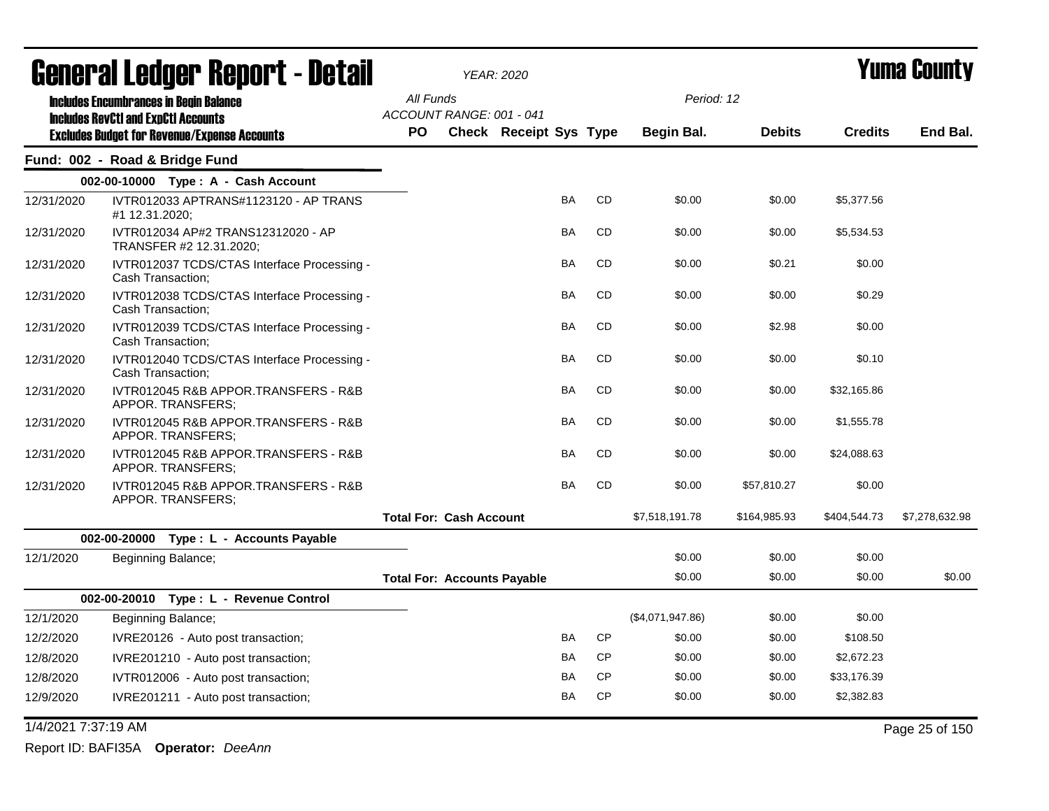|                     | General Ledger Report - Detail                                                                    |                                       | <b>YEAR: 2020</b>             |           |           |                   |               |                | <b>Yuma County</b> |
|---------------------|---------------------------------------------------------------------------------------------------|---------------------------------------|-------------------------------|-----------|-----------|-------------------|---------------|----------------|--------------------|
|                     | <b>Includes Encumbrances in Begin Balance</b>                                                     | All Funds<br>ACCOUNT RANGE: 001 - 041 |                               |           |           | Period: 12        |               |                |                    |
|                     | <b>Includes RevCtI and ExpCtI Accounts</b><br><b>Excludes Budget for Revenue/Expense Accounts</b> | <b>PO</b>                             | <b>Check Receipt Sys Type</b> |           |           | <b>Begin Bal.</b> | <b>Debits</b> | <b>Credits</b> | End Bal.           |
|                     | Fund: 002 - Road & Bridge Fund                                                                    |                                       |                               |           |           |                   |               |                |                    |
|                     | 002-00-10000 Type: A - Cash Account                                                               |                                       |                               |           |           |                   |               |                |                    |
| 12/31/2020          | IVTR012033 APTRANS#1123120 - AP TRANS<br>#1 12.31.2020;                                           |                                       |                               | BA        | CD        | \$0.00            | \$0.00        | \$5,377.56     |                    |
| 12/31/2020          | IVTR012034 AP#2 TRANS12312020 - AP<br>TRANSFER #2 12.31.2020;                                     |                                       |                               | BA        | CD        | \$0.00            | \$0.00        | \$5,534.53     |                    |
| 12/31/2020          | IVTR012037 TCDS/CTAS Interface Processing -<br>Cash Transaction;                                  |                                       |                               | <b>BA</b> | <b>CD</b> | \$0.00            | \$0.21        | \$0.00         |                    |
| 12/31/2020          | IVTR012038 TCDS/CTAS Interface Processing -<br>Cash Transaction;                                  |                                       |                               | <b>BA</b> | <b>CD</b> | \$0.00            | \$0.00        | \$0.29         |                    |
| 12/31/2020          | IVTR012039 TCDS/CTAS Interface Processing -<br>Cash Transaction;                                  |                                       |                               | BA        | CD        | \$0.00            | \$2.98        | \$0.00         |                    |
| 12/31/2020          | IVTR012040 TCDS/CTAS Interface Processing -<br>Cash Transaction;                                  |                                       |                               | BA        | CD        | \$0.00            | \$0.00        | \$0.10         |                    |
| 12/31/2020          | IVTR012045 R&B APPOR.TRANSFERS - R&B<br>APPOR. TRANSFERS:                                         |                                       |                               | BA        | CD        | \$0.00            | \$0.00        | \$32,165.86    |                    |
| 12/31/2020          | IVTR012045 R&B APPOR.TRANSFERS - R&B<br>APPOR. TRANSFERS;                                         |                                       |                               | <b>BA</b> | <b>CD</b> | \$0.00            | \$0.00        | \$1,555.78     |                    |
| 12/31/2020          | IVTR012045 R&B APPOR.TRANSFERS - R&B<br>APPOR. TRANSFERS;                                         |                                       |                               | BA        | CD        | \$0.00            | \$0.00        | \$24,088.63    |                    |
| 12/31/2020          | IVTR012045 R&B APPOR.TRANSFERS - R&B<br>APPOR. TRANSFERS;                                         |                                       |                               | BA        | <b>CD</b> | \$0.00            | \$57,810.27   | \$0.00         |                    |
|                     |                                                                                                   | <b>Total For: Cash Account</b>        |                               |           |           | \$7,518,191.78    | \$164,985.93  | \$404,544.73   | \$7,278,632.98     |
|                     | 002-00-20000 Type : L - Accounts Payable                                                          |                                       |                               |           |           |                   |               |                |                    |
| 12/1/2020           | Beginning Balance;                                                                                |                                       |                               |           |           | \$0.00            | \$0.00        | \$0.00         |                    |
|                     |                                                                                                   | <b>Total For: Accounts Payable</b>    |                               |           |           | \$0.00            | \$0.00        | \$0.00         | \$0.00             |
|                     | 002-00-20010 Type: L - Revenue Control                                                            |                                       |                               |           |           |                   |               |                |                    |
| 12/1/2020           | Beginning Balance;                                                                                |                                       |                               |           |           | (\$4,071,947.86)  | \$0.00        | \$0.00         |                    |
| 12/2/2020           | IVRE20126 - Auto post transaction;                                                                |                                       |                               | <b>BA</b> | <b>CP</b> | \$0.00            | \$0.00        | \$108.50       |                    |
| 12/8/2020           | IVRE201210 - Auto post transaction;                                                               |                                       |                               | BA        | <b>CP</b> | \$0.00            | \$0.00        | \$2,672.23     |                    |
| 12/8/2020           | IVTR012006 - Auto post transaction;                                                               |                                       |                               | BA        | <b>CP</b> | \$0.00            | \$0.00        | \$33,176.39    |                    |
| 12/9/2020           | IVRE201211 - Auto post transaction;                                                               |                                       |                               | BA        | <b>CP</b> | \$0.00            | \$0.00        | \$2,382.83     |                    |
| 1/4/2021 7:37:19 AM |                                                                                                   |                                       |                               |           |           |                   |               |                | Page 25 of 150     |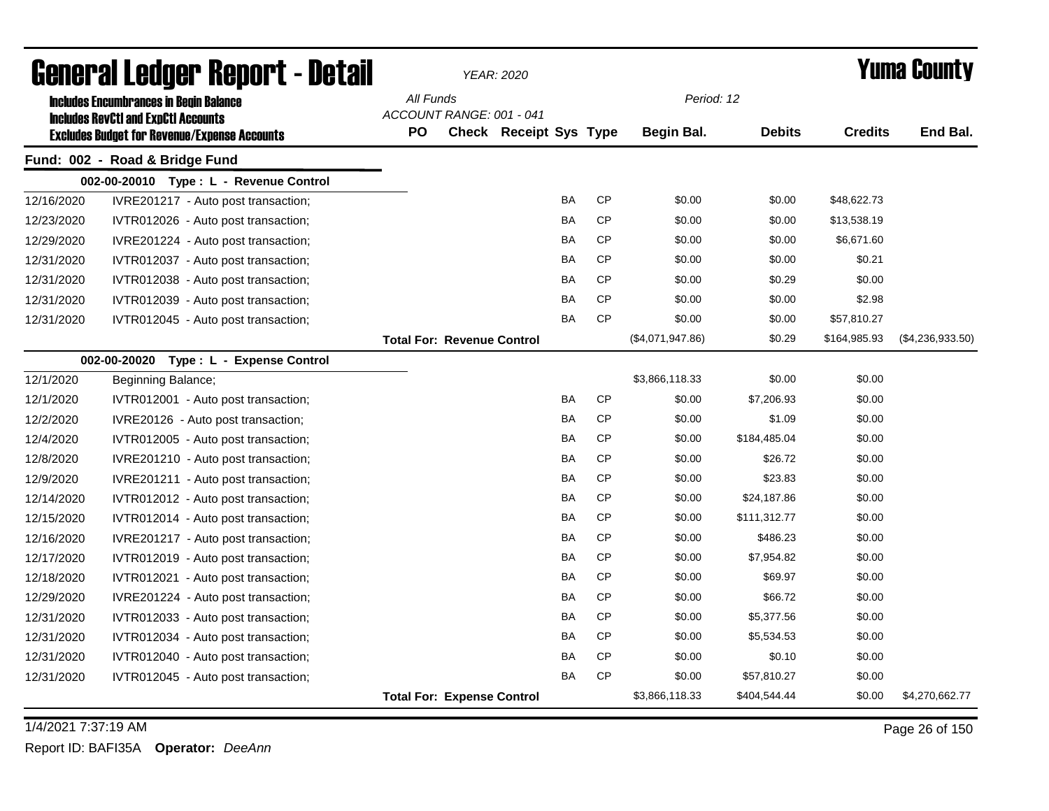|            | General Ledger Report - Detail                                                                    |           |                                   | <b>YEAR: 2020</b>      |           |           |                  |               |                | <b>Yuma County</b> |
|------------|---------------------------------------------------------------------------------------------------|-----------|-----------------------------------|------------------------|-----------|-----------|------------------|---------------|----------------|--------------------|
|            | <b>Includes Encumbrances in Begin Balance</b>                                                     | All Funds |                                   |                        |           |           | Period: 12       |               |                |                    |
|            | <b>Includes RevCtI and ExpCtI Accounts</b><br><b>Excludes Budget for Revenue/Expense Accounts</b> | <b>PO</b> | ACCOUNT RANGE: 001 - 041          | Check Receipt Sys Type |           |           | Begin Bal.       | <b>Debits</b> | <b>Credits</b> | End Bal.           |
|            | Fund: 002 - Road & Bridge Fund                                                                    |           |                                   |                        |           |           |                  |               |                |                    |
|            | 002-00-20010 Type: L - Revenue Control                                                            |           |                                   |                        |           |           |                  |               |                |                    |
| 12/16/2020 | IVRE201217 - Auto post transaction;                                                               |           |                                   |                        | BA        | <b>CP</b> | \$0.00           | \$0.00        | \$48,622.73    |                    |
| 12/23/2020 | IVTR012026 - Auto post transaction;                                                               |           |                                   |                        | BA        | <b>CP</b> | \$0.00           | \$0.00        | \$13,538.19    |                    |
| 12/29/2020 | IVRE201224 - Auto post transaction;                                                               |           |                                   |                        | BA        | <b>CP</b> | \$0.00           | \$0.00        | \$6,671.60     |                    |
| 12/31/2020 | IVTR012037 - Auto post transaction;                                                               |           |                                   |                        | BA        | <b>CP</b> | \$0.00           | \$0.00        | \$0.21         |                    |
| 12/31/2020 | IVTR012038 - Auto post transaction;                                                               |           |                                   |                        | BA        | <b>CP</b> | \$0.00           | \$0.29        | \$0.00         |                    |
| 12/31/2020 | IVTR012039 - Auto post transaction;                                                               |           |                                   |                        | <b>BA</b> | <b>CP</b> | \$0.00           | \$0.00        | \$2.98         |                    |
| 12/31/2020 | IVTR012045 - Auto post transaction;                                                               |           |                                   |                        | BA        | <b>CP</b> | \$0.00           | \$0.00        | \$57,810.27    |                    |
|            |                                                                                                   |           | <b>Total For: Revenue Control</b> |                        |           |           | (\$4,071,947.86) | \$0.29        | \$164,985.93   | $(\$4,236,933.50)$ |
|            | 002-00-20020<br>Type: L - Expense Control                                                         |           |                                   |                        |           |           |                  |               |                |                    |
| 12/1/2020  | Beginning Balance;                                                                                |           |                                   |                        |           |           | \$3,866,118.33   | \$0.00        | \$0.00         |                    |
| 12/1/2020  | IVTR012001 - Auto post transaction;                                                               |           |                                   |                        | BA        | <b>CP</b> | \$0.00           | \$7,206.93    | \$0.00         |                    |
| 12/2/2020  | IVRE20126 - Auto post transaction;                                                                |           |                                   |                        | BA        | <b>CP</b> | \$0.00           | \$1.09        | \$0.00         |                    |
| 12/4/2020  | IVTR012005 - Auto post transaction;                                                               |           |                                   |                        | BA        | <b>CP</b> | \$0.00           | \$184,485.04  | \$0.00         |                    |
| 12/8/2020  | IVRE201210 - Auto post transaction;                                                               |           |                                   |                        | BA        | <b>CP</b> | \$0.00           | \$26.72       | \$0.00         |                    |
| 12/9/2020  | IVRE201211 - Auto post transaction;                                                               |           |                                   |                        | BA        | <b>CP</b> | \$0.00           | \$23.83       | \$0.00         |                    |
| 12/14/2020 | IVTR012012 - Auto post transaction;                                                               |           |                                   |                        | BA        | <b>CP</b> | \$0.00           | \$24,187.86   | \$0.00         |                    |
| 12/15/2020 | IVTR012014 - Auto post transaction;                                                               |           |                                   |                        | BA        | <b>CP</b> | \$0.00           | \$111,312.77  | \$0.00         |                    |
| 12/16/2020 | IVRE201217 - Auto post transaction;                                                               |           |                                   |                        | BA        | <b>CP</b> | \$0.00           | \$486.23      | \$0.00         |                    |
| 12/17/2020 | IVTR012019 - Auto post transaction;                                                               |           |                                   |                        | BA        | <b>CP</b> | \$0.00           | \$7,954.82    | \$0.00         |                    |
| 12/18/2020 | IVTR012021 - Auto post transaction;                                                               |           |                                   |                        | BA        | <b>CP</b> | \$0.00           | \$69.97       | \$0.00         |                    |
| 12/29/2020 | IVRE201224 - Auto post transaction;                                                               |           |                                   |                        | BA        | <b>CP</b> | \$0.00           | \$66.72       | \$0.00         |                    |
| 12/31/2020 | IVTR012033 - Auto post transaction;                                                               |           |                                   |                        | BA        | <b>CP</b> | \$0.00           | \$5,377.56    | \$0.00         |                    |
| 12/31/2020 | IVTR012034 - Auto post transaction;                                                               |           |                                   |                        | BA        | CP        | \$0.00           | \$5,534.53    | \$0.00         |                    |
| 12/31/2020 | IVTR012040 - Auto post transaction;                                                               |           |                                   |                        | BA        | CP        | \$0.00           | \$0.10        | \$0.00         |                    |
| 12/31/2020 | IVTR012045 - Auto post transaction;                                                               |           |                                   |                        | BA        | <b>CP</b> | \$0.00           | \$57,810.27   | \$0.00         |                    |
|            |                                                                                                   |           | <b>Total For: Expense Control</b> |                        |           |           | \$3,866,118.33   | \$404,544.44  | \$0.00         | \$4,270,662.77     |

1/4/2021 7:37:19 AM Page 26 of 150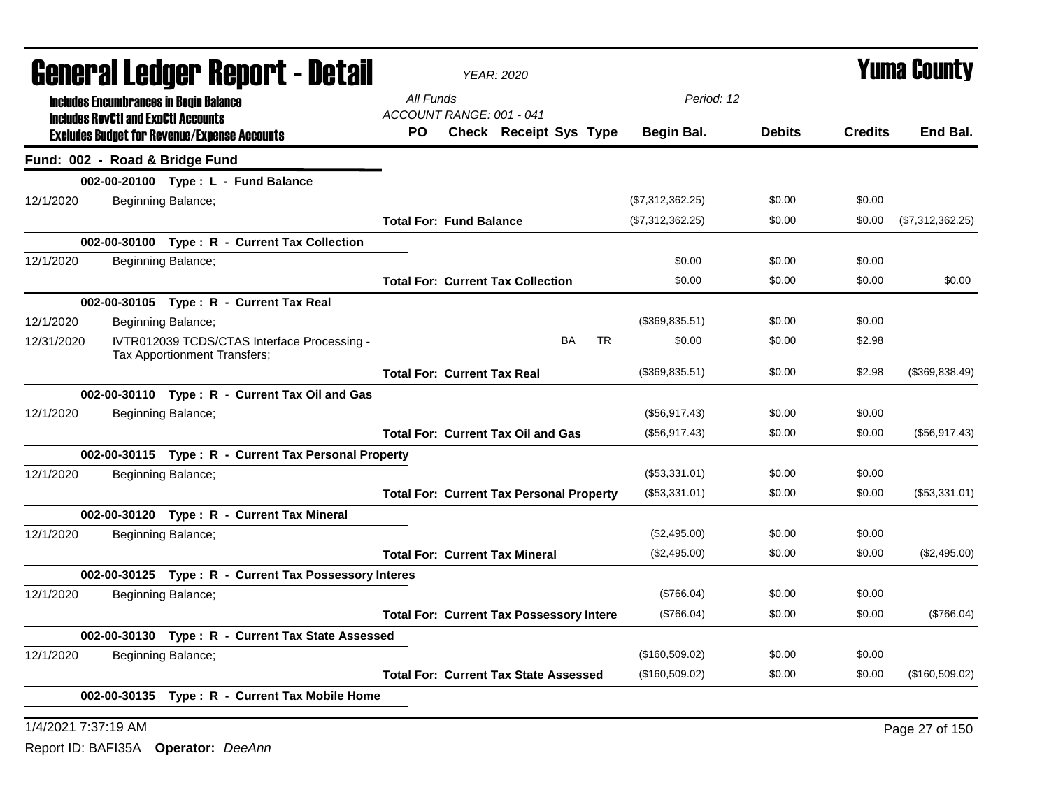|            | General Ledger Report - Detail                                                                    |                                    | <b>YEAR: 2020</b>                               |     |                  |               |                | <b>Yuma County</b> |
|------------|---------------------------------------------------------------------------------------------------|------------------------------------|-------------------------------------------------|-----|------------------|---------------|----------------|--------------------|
|            | <b>Includes Encumbrances in Begin Balance</b>                                                     | All Funds                          |                                                 |     | Period: 12       |               |                |                    |
|            | <b>Includes RevCtI and ExpCtI Accounts</b><br><b>Excludes Budget for Revenue/Expense Accounts</b> | ACCOUNT RANGE: 001 - 041<br>PO.    | Check Receipt Sys Type                          |     | Begin Bal.       | <b>Debits</b> | <b>Credits</b> | End Bal.           |
|            | Fund: 002 - Road & Bridge Fund                                                                    |                                    |                                                 |     |                  |               |                |                    |
|            | 002-00-20100 Type: L - Fund Balance                                                               |                                    |                                                 |     |                  |               |                |                    |
| 12/1/2020  | Beginning Balance;                                                                                |                                    |                                                 |     | (\$7,312,362.25) | \$0.00        | \$0.00         |                    |
|            |                                                                                                   | <b>Total For: Fund Balance</b>     |                                                 |     | (\$7,312,362.25) | \$0.00        | \$0.00         | (\$7,312,362.25)   |
|            | 002-00-30100 Type: R - Current Tax Collection                                                     |                                    |                                                 |     |                  |               |                |                    |
| 12/1/2020  | Beginning Balance;                                                                                |                                    |                                                 |     | \$0.00           | \$0.00        | \$0.00         |                    |
|            |                                                                                                   |                                    | <b>Total For: Current Tax Collection</b>        |     | \$0.00           | \$0.00        | \$0.00         | \$0.00             |
|            | 002-00-30105 Type: R - Current Tax Real                                                           |                                    |                                                 |     |                  |               |                |                    |
| 12/1/2020  | Beginning Balance;                                                                                |                                    |                                                 |     | (\$369,835.51)   | \$0.00        | \$0.00         |                    |
| 12/31/2020 | IVTR012039 TCDS/CTAS Interface Processing -<br>Tax Apportionment Transfers;                       |                                    | BA                                              | TR. | \$0.00           | \$0.00        | \$2.98         |                    |
|            |                                                                                                   | <b>Total For: Current Tax Real</b> |                                                 |     | (\$369,835.51)   | \$0.00        | \$2.98         | (\$369,838.49)     |
|            | 002-00-30110 Type: R - Current Tax Oil and Gas                                                    |                                    |                                                 |     |                  |               |                |                    |
| 12/1/2020  | Beginning Balance;                                                                                |                                    |                                                 |     | (\$56,917.43)    | \$0.00        | \$0.00         |                    |
|            |                                                                                                   |                                    | <b>Total For: Current Tax Oil and Gas</b>       |     | (\$56,917.43)    | \$0.00        | \$0.00         | (\$56,917.43)      |
|            | 002-00-30115 Type: R - Current Tax Personal Property                                              |                                    |                                                 |     |                  |               |                |                    |
| 12/1/2020  | Beginning Balance;                                                                                |                                    |                                                 |     | (\$53,331.01)    | \$0.00        | \$0.00         |                    |
|            |                                                                                                   |                                    | <b>Total For: Current Tax Personal Property</b> |     | (\$53,331.01)    | \$0.00        | \$0.00         | (\$53,331.01)      |
|            | 002-00-30120 Type: R - Current Tax Mineral                                                        |                                    |                                                 |     |                  |               |                |                    |
| 12/1/2020  | Beginning Balance;                                                                                |                                    |                                                 |     | (\$2,495.00)     | \$0.00        | \$0.00         |                    |
|            |                                                                                                   |                                    | <b>Total For: Current Tax Mineral</b>           |     | (\$2,495.00)     | \$0.00        | \$0.00         | (\$2,495.00)       |
|            | 002-00-30125 Type: R - Current Tax Possessory Interes                                             |                                    |                                                 |     |                  |               |                |                    |
| 12/1/2020  | Beginning Balance;                                                                                |                                    |                                                 |     | (\$766.04)       | \$0.00        | \$0.00         |                    |
|            |                                                                                                   |                                    | <b>Total For: Current Tax Possessory Intere</b> |     | (\$766.04)       | \$0.00        | \$0.00         | (\$766.04)         |
|            | 002-00-30130 Type: R - Current Tax State Assessed                                                 |                                    |                                                 |     |                  |               |                |                    |
| 12/1/2020  | Beginning Balance;                                                                                |                                    |                                                 |     | (\$160,509.02)   | \$0.00        | \$0.00         |                    |
|            |                                                                                                   |                                    | <b>Total For: Current Tax State Assessed</b>    |     | (\$160,509.02)   | \$0.00        | \$0.00         | (\$160,509.02)     |
|            | 002-00-30135 Type: R - Current Tax Mobile Home                                                    |                                    |                                                 |     |                  |               |                |                    |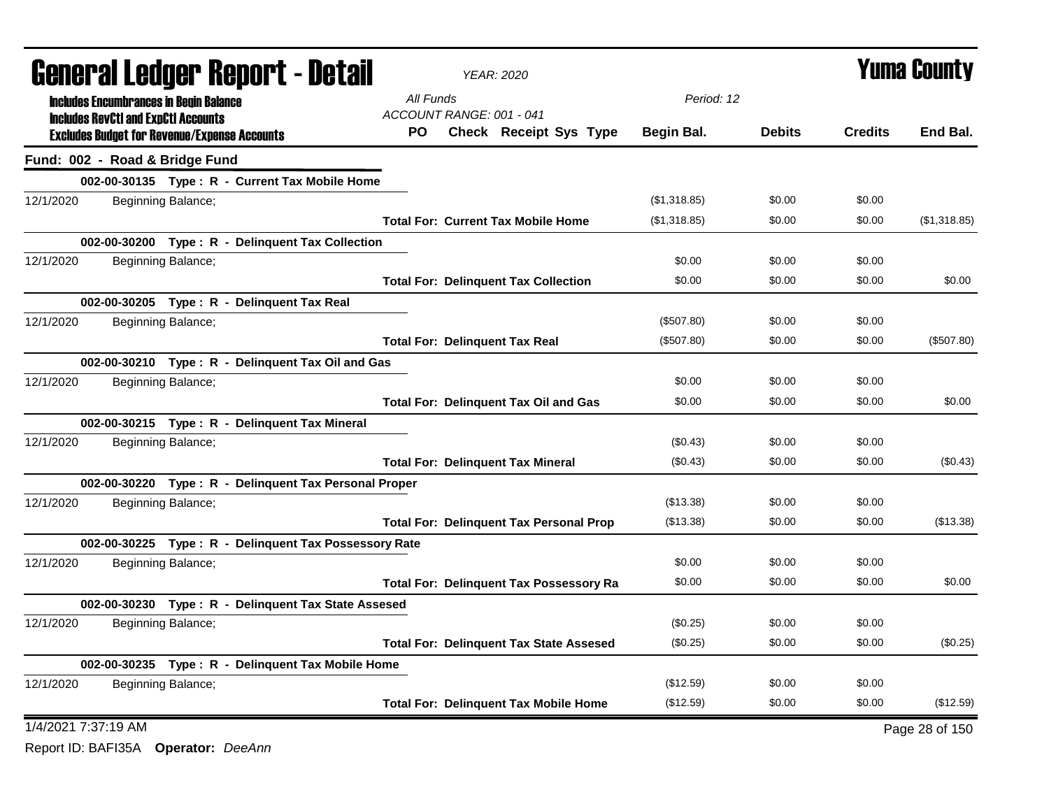|                                | <b>General Ledger Report - Detail</b>                                                             |                                 | <b>YEAR: 2020</b>                              |              |               |                | <b>Yuma County</b> |
|--------------------------------|---------------------------------------------------------------------------------------------------|---------------------------------|------------------------------------------------|--------------|---------------|----------------|--------------------|
|                                | <b>Includes Encumbrances in Begin Balance</b>                                                     | All Funds                       |                                                | Period: 12   |               |                |                    |
|                                | <b>Includes RevCtI and ExpCtI Accounts</b><br><b>Excludes Budget for Revenue/Expense Accounts</b> | ACCOUNT RANGE: 001 - 041<br>PO. | Check Receipt Sys Type                         | Begin Bal.   | <b>Debits</b> | <b>Credits</b> | End Bal.           |
| Fund: 002 - Road & Bridge Fund |                                                                                                   |                                 |                                                |              |               |                |                    |
|                                | 002-00-30135 Type: R - Current Tax Mobile Home                                                    |                                 |                                                |              |               |                |                    |
| 12/1/2020                      | Beginning Balance;                                                                                |                                 |                                                | (\$1,318.85) | \$0.00        | \$0.00         |                    |
|                                |                                                                                                   |                                 | <b>Total For: Current Tax Mobile Home</b>      | (\$1,318.85) | \$0.00        | \$0.00         | (\$1,318.85)       |
|                                | 002-00-30200 Type: R - Delinquent Tax Collection                                                  |                                 |                                                |              |               |                |                    |
| 12/1/2020                      | Beginning Balance;                                                                                |                                 |                                                | \$0.00       | \$0.00        | \$0.00         |                    |
|                                |                                                                                                   |                                 | <b>Total For: Delinquent Tax Collection</b>    | \$0.00       | \$0.00        | \$0.00         | \$0.00             |
|                                | 002-00-30205 Type: R - Delinquent Tax Real                                                        |                                 |                                                |              |               |                |                    |
| 12/1/2020                      | Beginning Balance;                                                                                |                                 |                                                | (\$507.80)   | \$0.00        | \$0.00         |                    |
|                                |                                                                                                   |                                 | <b>Total For: Delinquent Tax Real</b>          | (\$507.80)   | \$0.00        | \$0.00         | (\$507.80)         |
|                                | 002-00-30210 Type: R - Delinquent Tax Oil and Gas                                                 |                                 |                                                |              |               |                |                    |
| 12/1/2020                      | Beginning Balance;                                                                                |                                 |                                                | \$0.00       | \$0.00        | \$0.00         |                    |
|                                |                                                                                                   |                                 | <b>Total For: Delinquent Tax Oil and Gas</b>   | \$0.00       | \$0.00        | \$0.00         | \$0.00             |
|                                | 002-00-30215 Type: R - Delinquent Tax Mineral                                                     |                                 |                                                |              |               |                |                    |
| 12/1/2020                      | Beginning Balance;                                                                                |                                 |                                                | (\$0.43)     | \$0.00        | \$0.00         |                    |
|                                |                                                                                                   |                                 | <b>Total For: Delinguent Tax Mineral</b>       | (\$0.43)     | \$0.00        | \$0.00         | (\$0.43)           |
|                                | 002-00-30220 Type: R - Delinquent Tax Personal Proper                                             |                                 |                                                |              |               |                |                    |
| 12/1/2020                      | Beginning Balance;                                                                                |                                 |                                                | (\$13.38)    | \$0.00        | \$0.00         |                    |
|                                |                                                                                                   |                                 | <b>Total For: Delinguent Tax Personal Prop</b> | (\$13.38)    | \$0.00        | \$0.00         | (\$13.38)          |
|                                | 002-00-30225 Type: R - Delinquent Tax Possessory Rate                                             |                                 |                                                |              |               |                |                    |
| 12/1/2020                      | Beginning Balance;                                                                                |                                 |                                                | \$0.00       | \$0.00        | \$0.00         |                    |
|                                |                                                                                                   |                                 | <b>Total For: Delinquent Tax Possessory Ra</b> | \$0.00       | \$0.00        | \$0.00         | \$0.00             |
|                                | 002-00-30230 Type: R - Delinquent Tax State Assesed                                               |                                 |                                                |              |               |                |                    |
| 12/1/2020                      | Beginning Balance;                                                                                |                                 |                                                | (\$0.25)     | \$0.00        | \$0.00         |                    |
|                                |                                                                                                   |                                 | <b>Total For: Delinquent Tax State Assesed</b> | (\$0.25)     | \$0.00        | \$0.00         | (\$0.25)           |
|                                | 002-00-30235 Type: R - Delinquent Tax Mobile Home                                                 |                                 |                                                |              |               |                |                    |
| 12/1/2020                      | Beginning Balance;                                                                                |                                 |                                                | (\$12.59)    | \$0.00        | \$0.00         |                    |
|                                |                                                                                                   |                                 | <b>Total For: Delinquent Tax Mobile Home</b>   | (\$12.59)    | \$0.00        | \$0.00         | (\$12.59)          |
| 1/4/2021 7:37:19 AM            |                                                                                                   |                                 |                                                |              |               |                | Page 28 of 150     |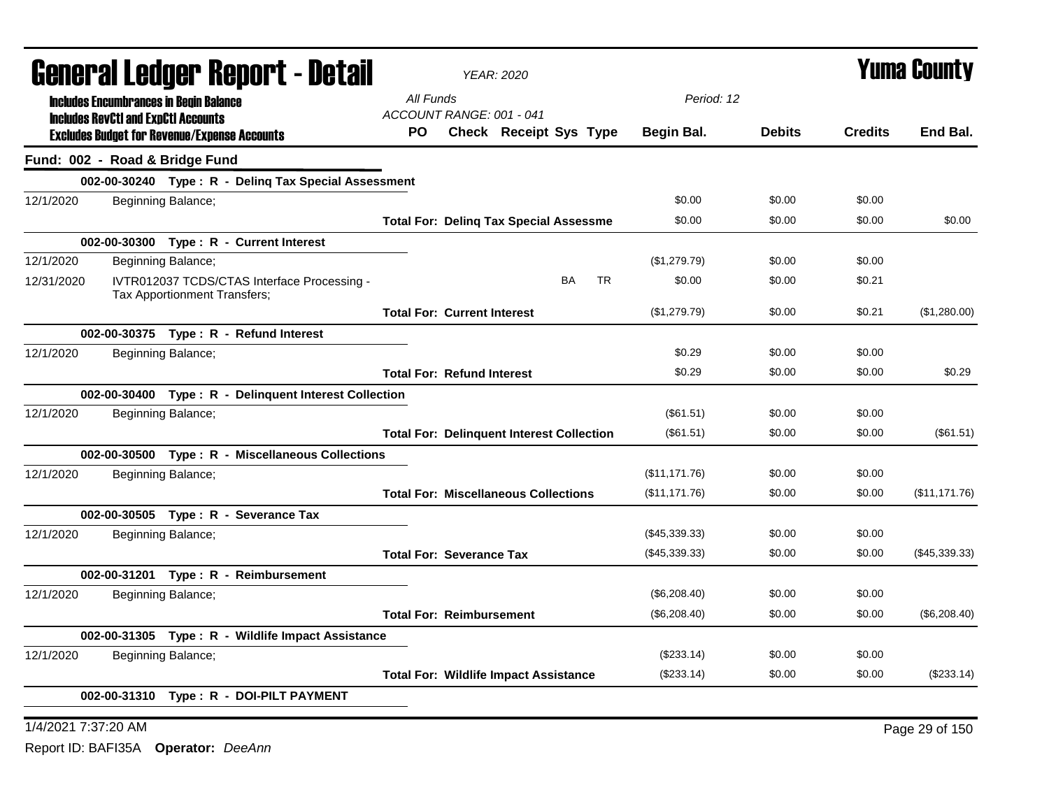|            | General Ledger Report - Detail                                                                    |                                    | <b>YEAR: 2020</b>                                |                        |                 |               |                | <b>Yuma County</b> |
|------------|---------------------------------------------------------------------------------------------------|------------------------------------|--------------------------------------------------|------------------------|-----------------|---------------|----------------|--------------------|
|            | <b>Includes Encumbrances in Begin Balance</b>                                                     | All Funds                          |                                                  |                        | Period: 12      |               |                |                    |
|            | <b>Includes RevCtI and ExpCtI Accounts</b><br><b>Excludes Budget for Revenue/Expense Accounts</b> | ACCOUNT RANGE: 001 - 041<br>PO.    | <b>Check Receipt Sys Type</b>                    |                        | Begin Bal.      | <b>Debits</b> | <b>Credits</b> | End Bal.           |
|            | Fund: 002 - Road & Bridge Fund                                                                    |                                    |                                                  |                        |                 |               |                |                    |
|            | 002-00-30240 Type: R - Deling Tax Special Assessment                                              |                                    |                                                  |                        |                 |               |                |                    |
| 12/1/2020  | Beginning Balance;                                                                                |                                    |                                                  |                        | \$0.00          | \$0.00        | \$0.00         |                    |
|            |                                                                                                   |                                    | <b>Total For: Deling Tax Special Assessme</b>    |                        | \$0.00          | \$0.00        | \$0.00         | \$0.00             |
|            | 002-00-30300 Type: R - Current Interest                                                           |                                    |                                                  |                        |                 |               |                |                    |
| 12/1/2020  | Beginning Balance;                                                                                |                                    |                                                  |                        | (\$1,279.79)    | \$0.00        | \$0.00         |                    |
| 12/31/2020 | IVTR012037 TCDS/CTAS Interface Processing -<br>Tax Apportionment Transfers;                       |                                    |                                                  | <b>BA</b><br><b>TR</b> | \$0.00          | \$0.00        | \$0.21         |                    |
|            |                                                                                                   | <b>Total For: Current Interest</b> |                                                  |                        | (S1, 279.79)    | \$0.00        | \$0.21         | (\$1,280.00)       |
|            | 002-00-30375 Type: R - Refund Interest                                                            |                                    |                                                  |                        |                 |               |                |                    |
| 12/1/2020  | Beginning Balance;                                                                                |                                    |                                                  |                        | \$0.29          | \$0.00        | \$0.00         |                    |
|            |                                                                                                   | <b>Total For: Refund Interest</b>  |                                                  |                        | \$0.29          | \$0.00        | \$0.00         | \$0.29             |
|            | 002-00-30400 Type: R - Delinquent Interest Collection                                             |                                    |                                                  |                        |                 |               |                |                    |
| 12/1/2020  | Beginning Balance;                                                                                |                                    |                                                  |                        | (\$61.51)       | \$0.00        | \$0.00         |                    |
|            |                                                                                                   |                                    | <b>Total For: Delinquent Interest Collection</b> |                        | $(\$61.51)$     | \$0.00        | \$0.00         | (\$61.51)          |
|            | 002-00-30500 Type: R - Miscellaneous Collections                                                  |                                    |                                                  |                        |                 |               |                |                    |
| 12/1/2020  | Beginning Balance;                                                                                |                                    |                                                  |                        | (\$11,171.76)   | \$0.00        | \$0.00         |                    |
|            |                                                                                                   |                                    | <b>Total For: Miscellaneous Collections</b>      |                        | (\$11,171.76)   | \$0.00        | \$0.00         | (\$11, 171.76)     |
|            | 002-00-30505 Type: R - Severance Tax                                                              |                                    |                                                  |                        |                 |               |                |                    |
| 12/1/2020  | Beginning Balance;                                                                                |                                    |                                                  |                        | $(\$45,339.33)$ | \$0.00        | \$0.00         |                    |
|            |                                                                                                   | <b>Total For: Severance Tax</b>    |                                                  |                        | (\$45,339.33)   | \$0.00        | \$0.00         | $(\$45,339.33)$    |
|            | 002-00-31201 Type: R - Reimbursement                                                              |                                    |                                                  |                        |                 |               |                |                    |
| 12/1/2020  | Beginning Balance;                                                                                |                                    |                                                  |                        | (\$6,208.40)    | \$0.00        | \$0.00         |                    |
|            |                                                                                                   | <b>Total For: Reimbursement</b>    |                                                  |                        | (\$6,208.40)    | \$0.00        | \$0.00         | (\$6,208.40)       |
|            | 002-00-31305 Type: R - Wildlife Impact Assistance                                                 |                                    |                                                  |                        |                 |               |                |                    |
| 12/1/2020  | Beginning Balance;                                                                                |                                    |                                                  |                        | $(\$233.14)$    | \$0.00        | \$0.00         |                    |
|            |                                                                                                   |                                    | <b>Total For: Wildlife Impact Assistance</b>     |                        | $(\$233.14)$    | \$0.00        | \$0.00         | (\$233.14)         |
|            | 002-00-31310 Type: R - DOI-PILT PAYMENT                                                           |                                    |                                                  |                        |                 |               |                |                    |
|            |                                                                                                   |                                    |                                                  |                        |                 |               |                |                    |

1/4/2021 7:37:20 AM Page 29 of 150 Report ID: BAFI35A **Operator:** *DeeAnn*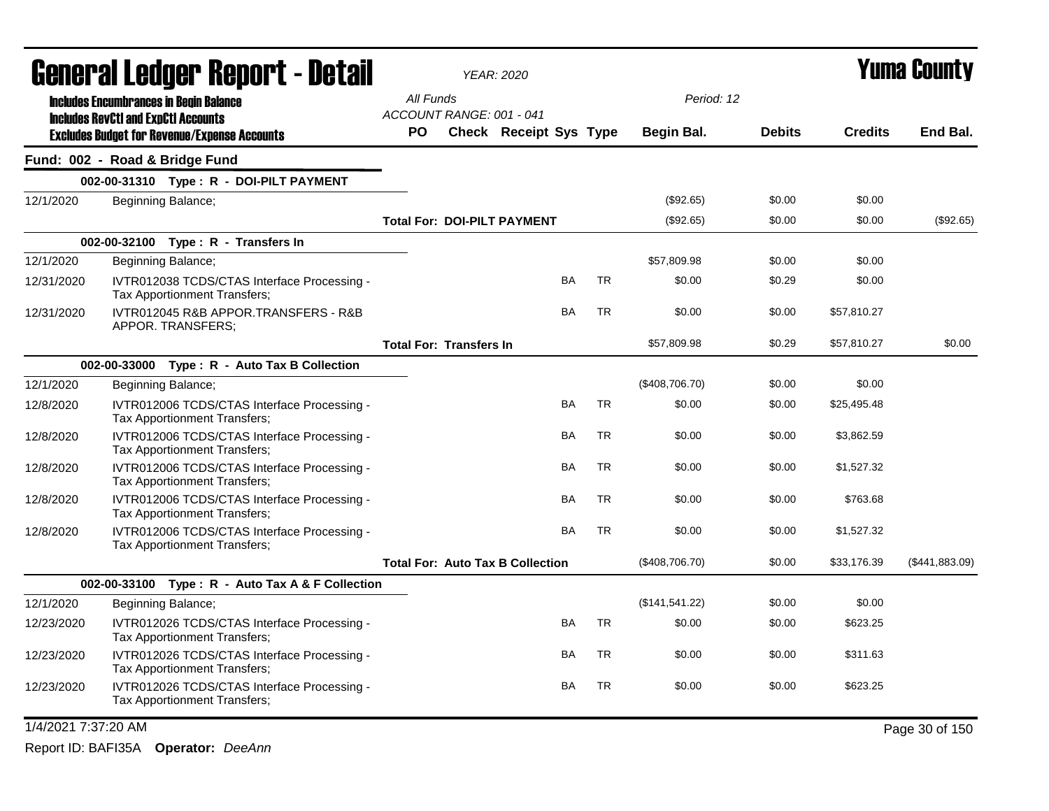|                     | <b>General Ledger Report - Detail</b>                                                       |           |                                         | <b>YEAR: 2020</b>             |           |           |                |               |                | Yuma County    |
|---------------------|---------------------------------------------------------------------------------------------|-----------|-----------------------------------------|-------------------------------|-----------|-----------|----------------|---------------|----------------|----------------|
|                     | <b>Includes Encumbrances in Begin Balance</b><br><b>Includes RevCtI and ExpCtI Accounts</b> |           | All Funds<br>ACCOUNT RANGE: 001 - 041   |                               |           |           | Period: 12     |               |                |                |
|                     | <b>Excludes Budget for Revenue/Expense Accounts</b>                                         | <b>PO</b> |                                         | <b>Check Receipt Sys Type</b> |           |           | Begin Bal.     | <b>Debits</b> | <b>Credits</b> | End Bal.       |
|                     | Fund: 002 - Road & Bridge Fund                                                              |           |                                         |                               |           |           |                |               |                |                |
|                     | 002-00-31310 Type: R - DOI-PILT PAYMENT                                                     |           |                                         |                               |           |           |                |               |                |                |
| 12/1/2020           | Beginning Balance;                                                                          |           |                                         |                               |           |           | (\$92.65)      | \$0.00        | \$0.00         |                |
|                     |                                                                                             |           | <b>Total For: DOI-PILT PAYMENT</b>      |                               |           |           | (\$92.65)      | \$0.00        | \$0.00         | (\$92.65)      |
|                     | 002-00-32100 Type: R - Transfers In                                                         |           |                                         |                               |           |           |                |               |                |                |
| 12/1/2020           | Beginning Balance;                                                                          |           |                                         |                               |           |           | \$57,809.98    | \$0.00        | \$0.00         |                |
| 12/31/2020          | IVTR012038 TCDS/CTAS Interface Processing -<br><b>Tax Apportionment Transfers:</b>          |           |                                         |                               | BA        | <b>TR</b> | \$0.00         | \$0.29        | \$0.00         |                |
| 12/31/2020          | IVTR012045 R&B APPOR.TRANSFERS - R&B<br>APPOR. TRANSFERS;                                   |           |                                         |                               | BA        | <b>TR</b> | \$0.00         | \$0.00        | \$57,810.27    |                |
|                     |                                                                                             |           | <b>Total For: Transfers In</b>          |                               |           |           | \$57,809.98    | \$0.29        | \$57,810.27    | \$0.00         |
|                     | 002-00-33000 Type: R - Auto Tax B Collection                                                |           |                                         |                               |           |           |                |               |                |                |
| 12/1/2020           | Beginning Balance;                                                                          |           |                                         |                               |           |           | (\$408,706.70) | \$0.00        | \$0.00         |                |
| 12/8/2020           | IVTR012006 TCDS/CTAS Interface Processing -<br>Tax Apportionment Transfers;                 |           |                                         |                               | BA        | <b>TR</b> | \$0.00         | \$0.00        | \$25,495.48    |                |
| 12/8/2020           | IVTR012006 TCDS/CTAS Interface Processing -<br>Tax Apportionment Transfers;                 |           |                                         |                               | BA        | TR        | \$0.00         | \$0.00        | \$3,862.59     |                |
| 12/8/2020           | IVTR012006 TCDS/CTAS Interface Processing -<br>Tax Apportionment Transfers;                 |           |                                         |                               | <b>BA</b> | <b>TR</b> | \$0.00         | \$0.00        | \$1,527.32     |                |
| 12/8/2020           | IVTR012006 TCDS/CTAS Interface Processing -<br><b>Tax Apportionment Transfers:</b>          |           |                                         |                               | <b>BA</b> | TR        | \$0.00         | \$0.00        | \$763.68       |                |
| 12/8/2020           | IVTR012006 TCDS/CTAS Interface Processing -<br>Tax Apportionment Transfers;                 |           |                                         |                               | BA        | <b>TR</b> | \$0.00         | \$0.00        | \$1,527.32     |                |
|                     |                                                                                             |           | <b>Total For: Auto Tax B Collection</b> |                               |           |           | (\$408,706.70) | \$0.00        | \$33,176.39    | (\$441,883.09) |
|                     | 002-00-33100 Type: R - Auto Tax A & F Collection                                            |           |                                         |                               |           |           |                |               |                |                |
| 12/1/2020           | Beginning Balance;                                                                          |           |                                         |                               |           |           | (\$141,541.22) | \$0.00        | \$0.00         |                |
| 12/23/2020          | IVTR012026 TCDS/CTAS Interface Processing -<br>Tax Apportionment Transfers;                 |           |                                         |                               | BA        | <b>TR</b> | \$0.00         | \$0.00        | \$623.25       |                |
| 12/23/2020          | IVTR012026 TCDS/CTAS Interface Processing -<br>Tax Apportionment Transfers;                 |           |                                         |                               | BA        | TR        | \$0.00         | \$0.00        | \$311.63       |                |
| 12/23/2020          | IVTR012026 TCDS/CTAS Interface Processing -<br>Tax Apportionment Transfers;                 |           |                                         |                               | BA        | <b>TR</b> | \$0.00         | \$0.00        | \$623.25       |                |
| 1/4/2021 7:37:20 AM |                                                                                             |           |                                         |                               |           |           |                |               |                | Page 30 of 150 |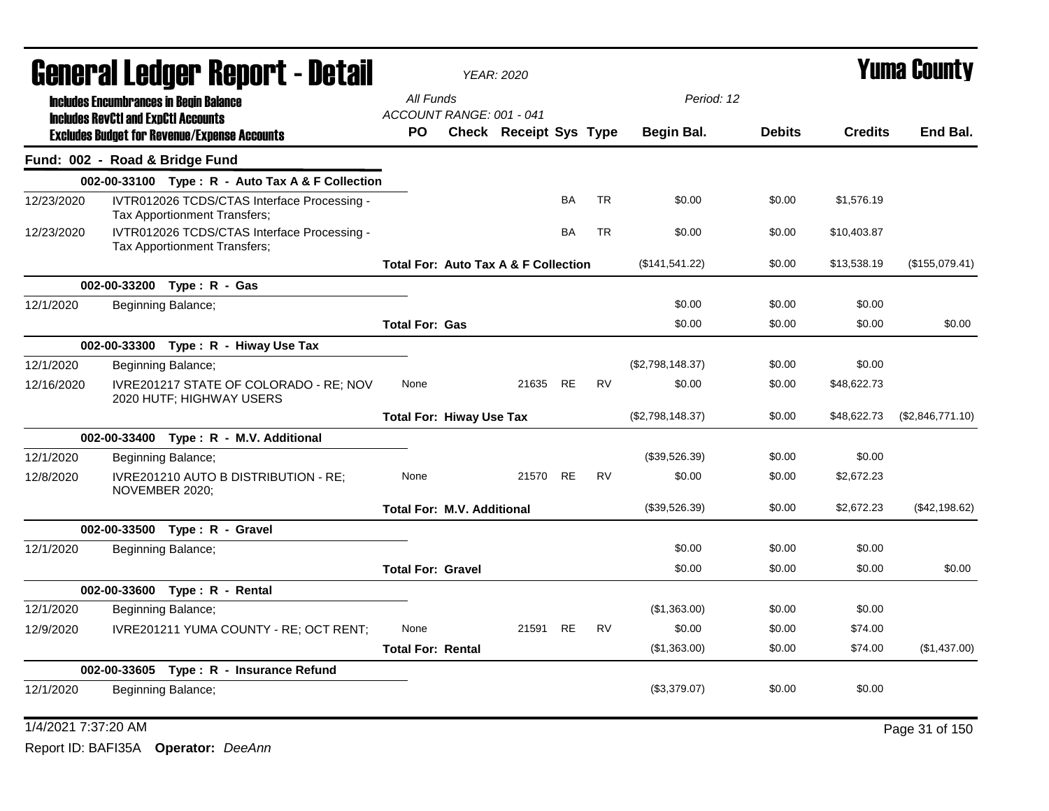|            |                                            | General Ledger Report - Detail                                              |                                                 | <b>YEAR: 2020</b>      |           |           |                  |               |                | Yuma County      |
|------------|--------------------------------------------|-----------------------------------------------------------------------------|-------------------------------------------------|------------------------|-----------|-----------|------------------|---------------|----------------|------------------|
|            |                                            | <b>Includes Encumbrances in Begin Balance</b>                               | All Funds<br>ACCOUNT RANGE: 001 - 041           |                        |           |           | Period: 12       |               |                |                  |
|            | <b>Includes RevCtI and ExpCtI Accounts</b> | <b>Excludes Budget for Revenue/Expense Accounts</b>                         | PO.                                             | Check Receipt Sys Type |           |           | Begin Bal.       | <b>Debits</b> | <b>Credits</b> | End Bal.         |
|            |                                            | Fund: 002 - Road & Bridge Fund                                              |                                                 |                        |           |           |                  |               |                |                  |
|            |                                            | 002-00-33100 Type: R - Auto Tax A & F Collection                            |                                                 |                        |           |           |                  |               |                |                  |
| 12/23/2020 |                                            | IVTR012026 TCDS/CTAS Interface Processing -<br>Tax Apportionment Transfers; |                                                 |                        | <b>BA</b> | <b>TR</b> | \$0.00           | \$0.00        | \$1,576.19     |                  |
| 12/23/2020 |                                            | IVTR012026 TCDS/CTAS Interface Processing -<br>Tax Apportionment Transfers; |                                                 |                        | <b>BA</b> | <b>TR</b> | \$0.00           | \$0.00        | \$10,403.87    |                  |
|            |                                            |                                                                             | <b>Total For: Auto Tax A &amp; F Collection</b> |                        |           |           | (\$141,541.22)   | \$0.00        | \$13,538.19    | (\$155,079.41)   |
|            |                                            | 002-00-33200 Type: R - Gas                                                  |                                                 |                        |           |           |                  |               |                |                  |
| 12/1/2020  |                                            | Beginning Balance;                                                          |                                                 |                        |           |           | \$0.00           | \$0.00        | \$0.00         |                  |
|            |                                            |                                                                             | <b>Total For: Gas</b>                           |                        |           |           | \$0.00           | \$0.00        | \$0.00         | \$0.00           |
|            |                                            | 002-00-33300 Type: R - Hiway Use Tax                                        |                                                 |                        |           |           |                  |               |                |                  |
| 12/1/2020  |                                            | Beginning Balance;                                                          |                                                 |                        |           |           | (\$2,798,148.37) | \$0.00        | \$0.00         |                  |
| 12/16/2020 |                                            | IVRE201217 STATE OF COLORADO - RE; NOV<br>2020 HUTF; HIGHWAY USERS          | None                                            | 21635 RE               |           | <b>RV</b> | \$0.00           | \$0.00        | \$48,622.73    |                  |
|            |                                            |                                                                             | <b>Total For: Hiway Use Tax</b>                 |                        |           |           | (\$2,798,148.37) | \$0.00        | \$48,622.73    | (\$2,846,771.10) |
|            |                                            | 002-00-33400 Type: R - M.V. Additional                                      |                                                 |                        |           |           |                  |               |                |                  |
| 12/1/2020  |                                            | Beginning Balance;                                                          |                                                 |                        |           |           | (\$39,526.39)    | \$0.00        | \$0.00         |                  |
| 12/8/2020  |                                            | IVRE201210 AUTO B DISTRIBUTION - RE;<br>NOVEMBER 2020;                      | None                                            | 21570                  | <b>RE</b> | <b>RV</b> | \$0.00           | \$0.00        | \$2,672.23     |                  |
|            |                                            |                                                                             | <b>Total For: M.V. Additional</b>               |                        |           |           | (\$39,526.39)    | \$0.00        | \$2,672.23     | (\$42,198.62)    |
|            |                                            | 002-00-33500 Type: R - Gravel                                               |                                                 |                        |           |           |                  |               |                |                  |
| 12/1/2020  |                                            | Beginning Balance;                                                          |                                                 |                        |           |           | \$0.00           | \$0.00        | \$0.00         |                  |
|            |                                            |                                                                             | <b>Total For: Gravel</b>                        |                        |           |           | \$0.00           | \$0.00        | \$0.00         | \$0.00           |
|            |                                            | 002-00-33600 Type: R - Rental                                               |                                                 |                        |           |           |                  |               |                |                  |
| 12/1/2020  |                                            | Beginning Balance;                                                          |                                                 |                        |           |           | (\$1,363.00)     | \$0.00        | \$0.00         |                  |
| 12/9/2020  |                                            | IVRE201211 YUMA COUNTY - RE; OCT RENT;                                      | None                                            | 21591 RE               |           | <b>RV</b> | \$0.00           | \$0.00        | \$74.00        |                  |
|            |                                            |                                                                             | <b>Total For: Rental</b>                        |                        |           |           | (\$1,363.00)     | \$0.00        | \$74.00        | (\$1,437.00)     |
|            |                                            | 002-00-33605 Type: R - Insurance Refund                                     |                                                 |                        |           |           |                  |               |                |                  |
| 12/1/2020  |                                            | Beginning Balance;                                                          |                                                 |                        |           |           | (\$3,379.07)     | \$0.00        | \$0.00         |                  |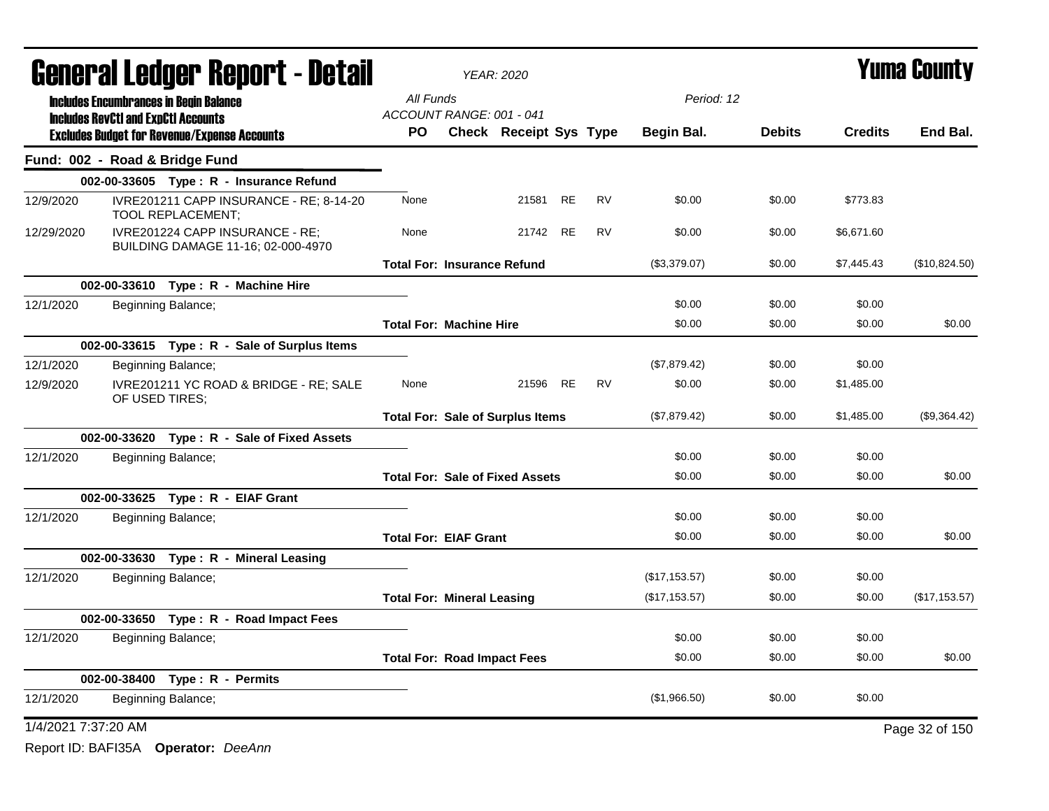|                     |                                            | <b>General Ledger Report - Detail</b>                                        |                                         | <b>YEAR: 2020</b>             |    |           |               |               |                | <b>Yuma County</b> |
|---------------------|--------------------------------------------|------------------------------------------------------------------------------|-----------------------------------------|-------------------------------|----|-----------|---------------|---------------|----------------|--------------------|
|                     |                                            | <b>Includes Encumbrances in Begin Balance</b>                                | All Funds                               |                               |    |           | Period: 12    |               |                |                    |
|                     | <b>Includes RevCtI and ExpCtI Accounts</b> | <b>Excludes Budget for Revenue/Expense Accounts</b>                          | ACCOUNT RANGE: 001 - 041<br>PO.         | <b>Check Receipt Sys Type</b> |    |           | Begin Bal.    | <b>Debits</b> | <b>Credits</b> | End Bal.           |
|                     |                                            | Fund: 002 - Road & Bridge Fund                                               |                                         |                               |    |           |               |               |                |                    |
|                     |                                            | 002-00-33605 Type: $R -$ Insurance Refund                                    |                                         |                               |    |           |               |               |                |                    |
| 12/9/2020           |                                            | IVRE201211 CAPP INSURANCE - RE; 8-14-20<br>TOOL REPLACEMENT;                 | None                                    | 21581                         | RE | <b>RV</b> | \$0.00        | \$0.00        | \$773.83       |                    |
| 12/29/2020          |                                            | IVRE201224 CAPP INSURANCE - RE:<br><b>BUILDING DAMAGE 11-16; 02-000-4970</b> | None                                    | 21742 RE                      |    | <b>RV</b> | \$0.00        | \$0.00        | \$6,671.60     |                    |
|                     |                                            |                                                                              | <b>Total For: Insurance Refund</b>      |                               |    |           | (\$3,379.07)  | \$0.00        | \$7,445.43     | (\$10,824.50)      |
|                     |                                            | 002-00-33610 Type: R - Machine Hire                                          |                                         |                               |    |           |               |               |                |                    |
| 12/1/2020           |                                            | Beginning Balance;                                                           |                                         |                               |    |           | \$0.00        | \$0.00        | \$0.00         |                    |
|                     |                                            |                                                                              | <b>Total For: Machine Hire</b>          |                               |    |           | \$0.00        | \$0.00        | \$0.00         | \$0.00             |
|                     |                                            | 002-00-33615 Type: R - Sale of Surplus Items                                 |                                         |                               |    |           |               |               |                |                    |
| 12/1/2020           |                                            | Beginning Balance;                                                           |                                         |                               |    |           | (\$7,879.42)  | \$0.00        | \$0.00         |                    |
| 12/9/2020           | OF USED TIRES;                             | IVRE201211 YC ROAD & BRIDGE - RE; SALE                                       | None                                    | 21596                         | RE | <b>RV</b> | \$0.00        | \$0.00        | \$1,485.00     |                    |
|                     |                                            |                                                                              | <b>Total For: Sale of Surplus Items</b> |                               |    |           | (\$7,879.42)  | \$0.00        | \$1,485.00     | (\$9,364.42)       |
|                     |                                            | 002-00-33620 Type: R - Sale of Fixed Assets                                  |                                         |                               |    |           |               |               |                |                    |
| 12/1/2020           |                                            | Beginning Balance;                                                           |                                         |                               |    |           | \$0.00        | \$0.00        | \$0.00         |                    |
|                     |                                            |                                                                              | <b>Total For: Sale of Fixed Assets</b>  |                               |    |           | \$0.00        | \$0.00        | \$0.00         | \$0.00             |
|                     |                                            | 002-00-33625 Type: R - EIAF Grant                                            |                                         |                               |    |           |               |               |                |                    |
| 12/1/2020           |                                            | Beginning Balance;                                                           |                                         |                               |    |           | \$0.00        | \$0.00        | \$0.00         |                    |
|                     |                                            |                                                                              | <b>Total For: EIAF Grant</b>            |                               |    |           | \$0.00        | \$0.00        | \$0.00         | \$0.00             |
|                     |                                            | 002-00-33630 Type: R - Mineral Leasing                                       |                                         |                               |    |           |               |               |                |                    |
| 12/1/2020           |                                            | Beginning Balance;                                                           |                                         |                               |    |           | (\$17,153.57) | \$0.00        | \$0.00         |                    |
|                     |                                            |                                                                              | <b>Total For: Mineral Leasing</b>       |                               |    |           | (\$17,153.57) | \$0.00        | \$0.00         | (\$17, 153.57)     |
|                     |                                            | 002-00-33650 Type: R - Road Impact Fees                                      |                                         |                               |    |           |               |               |                |                    |
| 12/1/2020           |                                            | Beginning Balance;                                                           |                                         |                               |    |           | \$0.00        | \$0.00        | \$0.00         |                    |
|                     |                                            |                                                                              | <b>Total For: Road Impact Fees</b>      |                               |    |           | \$0.00        | \$0.00        | \$0.00         | \$0.00             |
|                     |                                            | 002-00-38400 Type: R - Permits                                               |                                         |                               |    |           |               |               |                |                    |
| 12/1/2020           |                                            | Beginning Balance;                                                           |                                         |                               |    |           | (\$1,966.50)  | \$0.00        | \$0.00         |                    |
| 1/4/2021 7:37:20 AM |                                            |                                                                              |                                         |                               |    |           |               |               |                | Page 32 of 150     |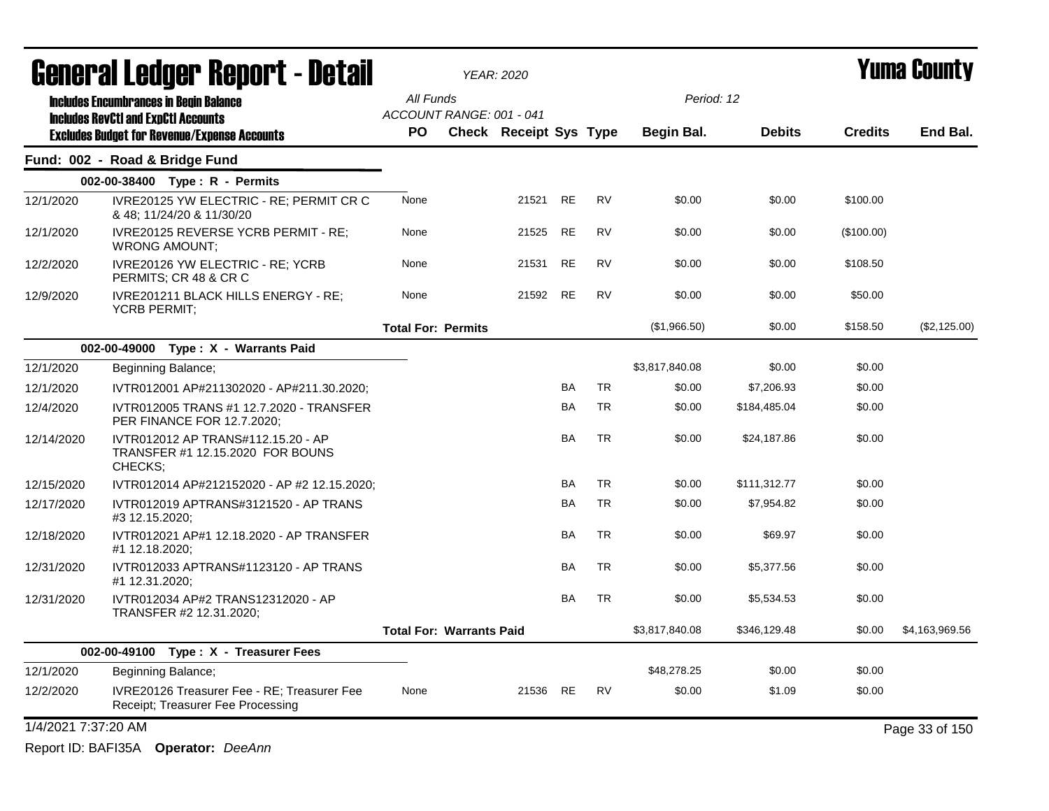|                     | <b>General Ledger Report - Detail</b>                                                       |                                       | <b>YEAR: 2020</b>             |           |           |                |               |                | <b>Yuma County</b> |
|---------------------|---------------------------------------------------------------------------------------------|---------------------------------------|-------------------------------|-----------|-----------|----------------|---------------|----------------|--------------------|
|                     | <b>Includes Encumbrances in Begin Balance</b><br><b>Includes RevCtI and ExpCtI Accounts</b> | All Funds<br>ACCOUNT RANGE: 001 - 041 |                               |           |           | Period: 12     |               |                |                    |
|                     | <b>Excludes Budget for Revenue/Expense Accounts</b>                                         | <b>PO</b>                             | <b>Check Receipt Sys Type</b> |           |           | Begin Bal.     | <b>Debits</b> | <b>Credits</b> | End Bal.           |
|                     | Fund: 002 - Road & Bridge Fund                                                              |                                       |                               |           |           |                |               |                |                    |
|                     | 002-00-38400 Type: R - Permits                                                              |                                       |                               |           |           |                |               |                |                    |
| 12/1/2020           | IVRE20125 YW ELECTRIC - RE; PERMIT CR C<br>& 48; 11/24/20 & 11/30/20                        | None                                  | 21521                         | <b>RE</b> | <b>RV</b> | \$0.00         | \$0.00        | \$100.00       |                    |
| 12/1/2020           | IVRE20125 REVERSE YCRB PERMIT - RE;<br><b>WRONG AMOUNT;</b>                                 | None                                  | 21525                         | <b>RE</b> | <b>RV</b> | \$0.00         | \$0.00        | (\$100.00)     |                    |
| 12/2/2020           | IVRE20126 YW ELECTRIC - RE; YCRB<br>PERMITS; CR 48 & CR C                                   | None                                  | 21531                         | <b>RE</b> | <b>RV</b> | \$0.00         | \$0.00        | \$108.50       |                    |
| 12/9/2020           | IVRE201211 BLACK HILLS ENERGY - RE;<br><b>YCRB PERMIT:</b>                                  | None                                  | 21592 RE                      |           | <b>RV</b> | \$0.00         | \$0.00        | \$50.00        |                    |
|                     |                                                                                             | <b>Total For: Permits</b>             |                               |           |           | (\$1,966.50)   | \$0.00        | \$158.50       | (\$2,125.00)       |
|                     | 002-00-49000 Type: X - Warrants Paid                                                        |                                       |                               |           |           |                |               |                |                    |
| 12/1/2020           | Beginning Balance;                                                                          |                                       |                               |           |           | \$3,817,840.08 | \$0.00        | \$0.00         |                    |
| 12/1/2020           | IVTR012001 AP#211302020 - AP#211.30.2020;                                                   |                                       |                               | <b>BA</b> | <b>TR</b> | \$0.00         | \$7,206.93    | \$0.00         |                    |
| 12/4/2020           | IVTR012005 TRANS #1 12.7.2020 - TRANSFER<br>PER FINANCE FOR 12.7.2020;                      |                                       |                               | BA        | <b>TR</b> | \$0.00         | \$184,485.04  | \$0.00         |                    |
| 12/14/2020          | IVTR012012 AP TRANS#112.15.20 - AP<br>TRANSFER #1 12.15.2020 FOR BOUNS<br>CHECKS;           |                                       |                               | BA        | <b>TR</b> | \$0.00         | \$24,187.86   | \$0.00         |                    |
| 12/15/2020          | IVTR012014 AP#212152020 - AP #2 12.15.2020;                                                 |                                       |                               | BA        | <b>TR</b> | \$0.00         | \$111,312.77  | \$0.00         |                    |
| 12/17/2020          | IVTR012019 APTRANS#3121520 - AP TRANS<br>#3 12.15.2020;                                     |                                       |                               | <b>BA</b> | <b>TR</b> | \$0.00         | \$7,954.82    | \$0.00         |                    |
| 12/18/2020          | IVTR012021 AP#1 12.18.2020 - AP TRANSFER<br>#1 12.18.2020;                                  |                                       |                               | <b>BA</b> | <b>TR</b> | \$0.00         | \$69.97       | \$0.00         |                    |
| 12/31/2020          | IVTR012033 APTRANS#1123120 - AP TRANS<br>#1 12.31.2020;                                     |                                       |                               | BA        | <b>TR</b> | \$0.00         | \$5,377.56    | \$0.00         |                    |
| 12/31/2020          | IVTR012034 AP#2 TRANS12312020 - AP<br>TRANSFER #2 12.31.2020;                               |                                       |                               | <b>BA</b> | <b>TR</b> | \$0.00         | \$5,534.53    | \$0.00         |                    |
|                     |                                                                                             | <b>Total For: Warrants Paid</b>       |                               |           |           | \$3,817,840.08 | \$346,129.48  | \$0.00         | \$4,163,969.56     |
|                     | 002-00-49100 Type: X - Treasurer Fees                                                       |                                       |                               |           |           |                |               |                |                    |
| 12/1/2020           | Beginning Balance;                                                                          |                                       |                               |           |           | \$48,278.25    | \$0.00        | \$0.00         |                    |
| 12/2/2020           | IVRE20126 Treasurer Fee - RE; Treasurer Fee<br>Receipt; Treasurer Fee Processing            | None                                  | 21536                         | RE.       | <b>RV</b> | \$0.00         | \$1.09        | \$0.00         |                    |
| 1/4/2021 7:37:20 AM |                                                                                             |                                       |                               |           |           |                |               |                | Page 33 of 150     |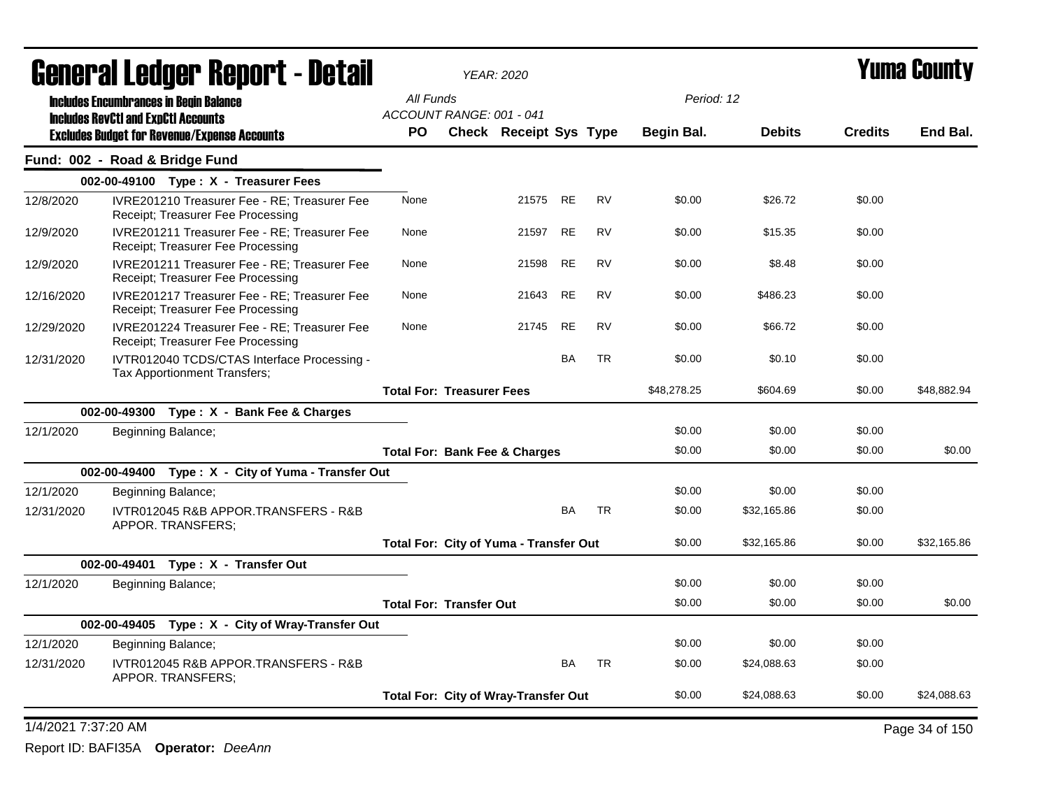| All Funds<br>Period: 12<br><b>Includes Encumbrances in Begin Balance</b><br>ACCOUNT RANGE: 001 - 041<br><b>Includes RevCtI and ExpCtI Accounts</b><br><b>Debits</b><br><b>Credits</b><br><b>PO</b><br>Check Receipt Sys Type<br><b>Begin Bal.</b><br><b>Excludes Budget for Revenue/Expense Accounts</b><br>Fund: 002 - Road & Bridge Fund<br>002-00-49100 Type: X - Treasurer Fees<br>RE<br><b>RV</b><br>\$0.00<br>12/8/2020<br>IVRE201210 Treasurer Fee - RE; Treasurer Fee<br>None<br>21575<br>\$26.72<br>\$0.00<br>Receipt; Treasurer Fee Processing<br>IVRE201211 Treasurer Fee - RE: Treasurer Fee<br>21597 RE<br><b>RV</b><br>\$0.00<br>\$15.35<br>\$0.00<br>12/9/2020<br>None<br>Receipt; Treasurer Fee Processing<br>IVRE201211 Treasurer Fee - RE; Treasurer Fee<br>21598<br>RE<br><b>RV</b><br>\$0.00<br>\$0.00<br>12/9/2020<br>None<br>\$8.48<br>Receipt; Treasurer Fee Processing<br>21643 RE<br><b>RV</b><br>\$0.00<br>\$486.23<br>\$0.00<br>IVRE201217 Treasurer Fee - RE: Treasurer Fee<br>None<br>12/16/2020<br>Receipt; Treasurer Fee Processing<br><b>RE</b><br><b>RV</b><br>\$0.00<br>\$66.72<br>IVRE201224 Treasurer Fee - RE; Treasurer Fee<br>None<br>21745<br>\$0.00<br>12/29/2020<br>Receipt; Treasurer Fee Processing<br>BA<br><b>TR</b><br>IVTR012040 TCDS/CTAS Interface Processing -<br>\$0.00<br>\$0.10<br>\$0.00<br>12/31/2020<br>Tax Apportionment Transfers;<br>\$48,278.25<br><b>Total For: Treasurer Fees</b><br>\$604.69<br>\$0.00<br>002-00-49300 Type: X - Bank Fee & Charges<br>\$0.00<br>\$0.00<br>12/1/2020<br>\$0.00<br>Beginning Balance;<br>\$0.00<br>\$0.00<br>\$0.00<br><b>Total For: Bank Fee &amp; Charges</b><br>002-00-49400 Type: X - City of Yuma - Transfer Out<br>12/1/2020<br>\$0.00<br>\$0.00<br>\$0.00<br>Beginning Balance;<br>IVTR012045 R&B APPOR.TRANSFERS - R&B<br>BA<br><b>TR</b><br>\$0.00<br>\$0.00<br>12/31/2020<br>\$32,165.86<br>APPOR. TRANSFERS;<br>\$0.00<br>\$32,165.86<br>\$0.00<br>\$32,165.86<br>Total For: City of Yuma - Transfer Out<br>002-00-49401 Type: X - Transfer Out<br>\$0.00<br>\$0.00<br>\$0.00<br>12/1/2020<br>Beginning Balance;<br>\$0.00<br>\$0.00<br>\$0.00<br><b>Total For: Transfer Out</b><br>002-00-49405 Type: X - City of Wray-Transfer Out<br>12/1/2020<br>\$0.00<br>\$0.00<br>\$0.00<br>Beginning Balance;<br>IVTR012045 R&B APPOR.TRANSFERS - R&B<br>BA<br><b>TR</b><br>12/31/2020<br>\$0.00<br>\$24,088.63<br>\$0.00<br>APPOR. TRANSFERS;<br>\$0.00<br>\$0.00<br>\$24,088.63<br><b>Total For: City of Wray-Transfer Out</b><br>1/4/2021 7:37:20 AM<br>Page 34 of 150 | Generai Leuger Keport - Detail |  | <b>YEAR: 2020</b> |  |  | Y UIIII GUUIILY |
|-----------------------------------------------------------------------------------------------------------------------------------------------------------------------------------------------------------------------------------------------------------------------------------------------------------------------------------------------------------------------------------------------------------------------------------------------------------------------------------------------------------------------------------------------------------------------------------------------------------------------------------------------------------------------------------------------------------------------------------------------------------------------------------------------------------------------------------------------------------------------------------------------------------------------------------------------------------------------------------------------------------------------------------------------------------------------------------------------------------------------------------------------------------------------------------------------------------------------------------------------------------------------------------------------------------------------------------------------------------------------------------------------------------------------------------------------------------------------------------------------------------------------------------------------------------------------------------------------------------------------------------------------------------------------------------------------------------------------------------------------------------------------------------------------------------------------------------------------------------------------------------------------------------------------------------------------------------------------------------------------------------------------------------------------------------------------------------------------------------------------------------------------------------------------------------------------------------------------------------------------------------------------------------------------------------------------------------------------------------------------------------------------------------------------------------------------------------------------------------------------------------------------------------------------------------------------------|--------------------------------|--|-------------------|--|--|-----------------|
|                                                                                                                                                                                                                                                                                                                                                                                                                                                                                                                                                                                                                                                                                                                                                                                                                                                                                                                                                                                                                                                                                                                                                                                                                                                                                                                                                                                                                                                                                                                                                                                                                                                                                                                                                                                                                                                                                                                                                                                                                                                                                                                                                                                                                                                                                                                                                                                                                                                                                                                                                                             |                                |  |                   |  |  |                 |
|                                                                                                                                                                                                                                                                                                                                                                                                                                                                                                                                                                                                                                                                                                                                                                                                                                                                                                                                                                                                                                                                                                                                                                                                                                                                                                                                                                                                                                                                                                                                                                                                                                                                                                                                                                                                                                                                                                                                                                                                                                                                                                                                                                                                                                                                                                                                                                                                                                                                                                                                                                             |                                |  |                   |  |  | End Bal.        |
|                                                                                                                                                                                                                                                                                                                                                                                                                                                                                                                                                                                                                                                                                                                                                                                                                                                                                                                                                                                                                                                                                                                                                                                                                                                                                                                                                                                                                                                                                                                                                                                                                                                                                                                                                                                                                                                                                                                                                                                                                                                                                                                                                                                                                                                                                                                                                                                                                                                                                                                                                                             |                                |  |                   |  |  |                 |
|                                                                                                                                                                                                                                                                                                                                                                                                                                                                                                                                                                                                                                                                                                                                                                                                                                                                                                                                                                                                                                                                                                                                                                                                                                                                                                                                                                                                                                                                                                                                                                                                                                                                                                                                                                                                                                                                                                                                                                                                                                                                                                                                                                                                                                                                                                                                                                                                                                                                                                                                                                             |                                |  |                   |  |  |                 |
|                                                                                                                                                                                                                                                                                                                                                                                                                                                                                                                                                                                                                                                                                                                                                                                                                                                                                                                                                                                                                                                                                                                                                                                                                                                                                                                                                                                                                                                                                                                                                                                                                                                                                                                                                                                                                                                                                                                                                                                                                                                                                                                                                                                                                                                                                                                                                                                                                                                                                                                                                                             |                                |  |                   |  |  |                 |
|                                                                                                                                                                                                                                                                                                                                                                                                                                                                                                                                                                                                                                                                                                                                                                                                                                                                                                                                                                                                                                                                                                                                                                                                                                                                                                                                                                                                                                                                                                                                                                                                                                                                                                                                                                                                                                                                                                                                                                                                                                                                                                                                                                                                                                                                                                                                                                                                                                                                                                                                                                             |                                |  |                   |  |  |                 |
|                                                                                                                                                                                                                                                                                                                                                                                                                                                                                                                                                                                                                                                                                                                                                                                                                                                                                                                                                                                                                                                                                                                                                                                                                                                                                                                                                                                                                                                                                                                                                                                                                                                                                                                                                                                                                                                                                                                                                                                                                                                                                                                                                                                                                                                                                                                                                                                                                                                                                                                                                                             |                                |  |                   |  |  |                 |
|                                                                                                                                                                                                                                                                                                                                                                                                                                                                                                                                                                                                                                                                                                                                                                                                                                                                                                                                                                                                                                                                                                                                                                                                                                                                                                                                                                                                                                                                                                                                                                                                                                                                                                                                                                                                                                                                                                                                                                                                                                                                                                                                                                                                                                                                                                                                                                                                                                                                                                                                                                             |                                |  |                   |  |  |                 |
|                                                                                                                                                                                                                                                                                                                                                                                                                                                                                                                                                                                                                                                                                                                                                                                                                                                                                                                                                                                                                                                                                                                                                                                                                                                                                                                                                                                                                                                                                                                                                                                                                                                                                                                                                                                                                                                                                                                                                                                                                                                                                                                                                                                                                                                                                                                                                                                                                                                                                                                                                                             |                                |  |                   |  |  |                 |
|                                                                                                                                                                                                                                                                                                                                                                                                                                                                                                                                                                                                                                                                                                                                                                                                                                                                                                                                                                                                                                                                                                                                                                                                                                                                                                                                                                                                                                                                                                                                                                                                                                                                                                                                                                                                                                                                                                                                                                                                                                                                                                                                                                                                                                                                                                                                                                                                                                                                                                                                                                             |                                |  |                   |  |  |                 |
|                                                                                                                                                                                                                                                                                                                                                                                                                                                                                                                                                                                                                                                                                                                                                                                                                                                                                                                                                                                                                                                                                                                                                                                                                                                                                                                                                                                                                                                                                                                                                                                                                                                                                                                                                                                                                                                                                                                                                                                                                                                                                                                                                                                                                                                                                                                                                                                                                                                                                                                                                                             |                                |  |                   |  |  | \$48,882.94     |
|                                                                                                                                                                                                                                                                                                                                                                                                                                                                                                                                                                                                                                                                                                                                                                                                                                                                                                                                                                                                                                                                                                                                                                                                                                                                                                                                                                                                                                                                                                                                                                                                                                                                                                                                                                                                                                                                                                                                                                                                                                                                                                                                                                                                                                                                                                                                                                                                                                                                                                                                                                             |                                |  |                   |  |  |                 |
|                                                                                                                                                                                                                                                                                                                                                                                                                                                                                                                                                                                                                                                                                                                                                                                                                                                                                                                                                                                                                                                                                                                                                                                                                                                                                                                                                                                                                                                                                                                                                                                                                                                                                                                                                                                                                                                                                                                                                                                                                                                                                                                                                                                                                                                                                                                                                                                                                                                                                                                                                                             |                                |  |                   |  |  |                 |
|                                                                                                                                                                                                                                                                                                                                                                                                                                                                                                                                                                                                                                                                                                                                                                                                                                                                                                                                                                                                                                                                                                                                                                                                                                                                                                                                                                                                                                                                                                                                                                                                                                                                                                                                                                                                                                                                                                                                                                                                                                                                                                                                                                                                                                                                                                                                                                                                                                                                                                                                                                             |                                |  |                   |  |  | \$0.00          |
|                                                                                                                                                                                                                                                                                                                                                                                                                                                                                                                                                                                                                                                                                                                                                                                                                                                                                                                                                                                                                                                                                                                                                                                                                                                                                                                                                                                                                                                                                                                                                                                                                                                                                                                                                                                                                                                                                                                                                                                                                                                                                                                                                                                                                                                                                                                                                                                                                                                                                                                                                                             |                                |  |                   |  |  |                 |
|                                                                                                                                                                                                                                                                                                                                                                                                                                                                                                                                                                                                                                                                                                                                                                                                                                                                                                                                                                                                                                                                                                                                                                                                                                                                                                                                                                                                                                                                                                                                                                                                                                                                                                                                                                                                                                                                                                                                                                                                                                                                                                                                                                                                                                                                                                                                                                                                                                                                                                                                                                             |                                |  |                   |  |  |                 |
|                                                                                                                                                                                                                                                                                                                                                                                                                                                                                                                                                                                                                                                                                                                                                                                                                                                                                                                                                                                                                                                                                                                                                                                                                                                                                                                                                                                                                                                                                                                                                                                                                                                                                                                                                                                                                                                                                                                                                                                                                                                                                                                                                                                                                                                                                                                                                                                                                                                                                                                                                                             |                                |  |                   |  |  |                 |
|                                                                                                                                                                                                                                                                                                                                                                                                                                                                                                                                                                                                                                                                                                                                                                                                                                                                                                                                                                                                                                                                                                                                                                                                                                                                                                                                                                                                                                                                                                                                                                                                                                                                                                                                                                                                                                                                                                                                                                                                                                                                                                                                                                                                                                                                                                                                                                                                                                                                                                                                                                             |                                |  |                   |  |  |                 |
|                                                                                                                                                                                                                                                                                                                                                                                                                                                                                                                                                                                                                                                                                                                                                                                                                                                                                                                                                                                                                                                                                                                                                                                                                                                                                                                                                                                                                                                                                                                                                                                                                                                                                                                                                                                                                                                                                                                                                                                                                                                                                                                                                                                                                                                                                                                                                                                                                                                                                                                                                                             |                                |  |                   |  |  |                 |
|                                                                                                                                                                                                                                                                                                                                                                                                                                                                                                                                                                                                                                                                                                                                                                                                                                                                                                                                                                                                                                                                                                                                                                                                                                                                                                                                                                                                                                                                                                                                                                                                                                                                                                                                                                                                                                                                                                                                                                                                                                                                                                                                                                                                                                                                                                                                                                                                                                                                                                                                                                             |                                |  |                   |  |  |                 |
|                                                                                                                                                                                                                                                                                                                                                                                                                                                                                                                                                                                                                                                                                                                                                                                                                                                                                                                                                                                                                                                                                                                                                                                                                                                                                                                                                                                                                                                                                                                                                                                                                                                                                                                                                                                                                                                                                                                                                                                                                                                                                                                                                                                                                                                                                                                                                                                                                                                                                                                                                                             |                                |  |                   |  |  | \$0.00          |
|                                                                                                                                                                                                                                                                                                                                                                                                                                                                                                                                                                                                                                                                                                                                                                                                                                                                                                                                                                                                                                                                                                                                                                                                                                                                                                                                                                                                                                                                                                                                                                                                                                                                                                                                                                                                                                                                                                                                                                                                                                                                                                                                                                                                                                                                                                                                                                                                                                                                                                                                                                             |                                |  |                   |  |  |                 |
|                                                                                                                                                                                                                                                                                                                                                                                                                                                                                                                                                                                                                                                                                                                                                                                                                                                                                                                                                                                                                                                                                                                                                                                                                                                                                                                                                                                                                                                                                                                                                                                                                                                                                                                                                                                                                                                                                                                                                                                                                                                                                                                                                                                                                                                                                                                                                                                                                                                                                                                                                                             |                                |  |                   |  |  |                 |
|                                                                                                                                                                                                                                                                                                                                                                                                                                                                                                                                                                                                                                                                                                                                                                                                                                                                                                                                                                                                                                                                                                                                                                                                                                                                                                                                                                                                                                                                                                                                                                                                                                                                                                                                                                                                                                                                                                                                                                                                                                                                                                                                                                                                                                                                                                                                                                                                                                                                                                                                                                             |                                |  |                   |  |  |                 |
|                                                                                                                                                                                                                                                                                                                                                                                                                                                                                                                                                                                                                                                                                                                                                                                                                                                                                                                                                                                                                                                                                                                                                                                                                                                                                                                                                                                                                                                                                                                                                                                                                                                                                                                                                                                                                                                                                                                                                                                                                                                                                                                                                                                                                                                                                                                                                                                                                                                                                                                                                                             |                                |  |                   |  |  | \$24,088.63     |
|                                                                                                                                                                                                                                                                                                                                                                                                                                                                                                                                                                                                                                                                                                                                                                                                                                                                                                                                                                                                                                                                                                                                                                                                                                                                                                                                                                                                                                                                                                                                                                                                                                                                                                                                                                                                                                                                                                                                                                                                                                                                                                                                                                                                                                                                                                                                                                                                                                                                                                                                                                             |                                |  |                   |  |  |                 |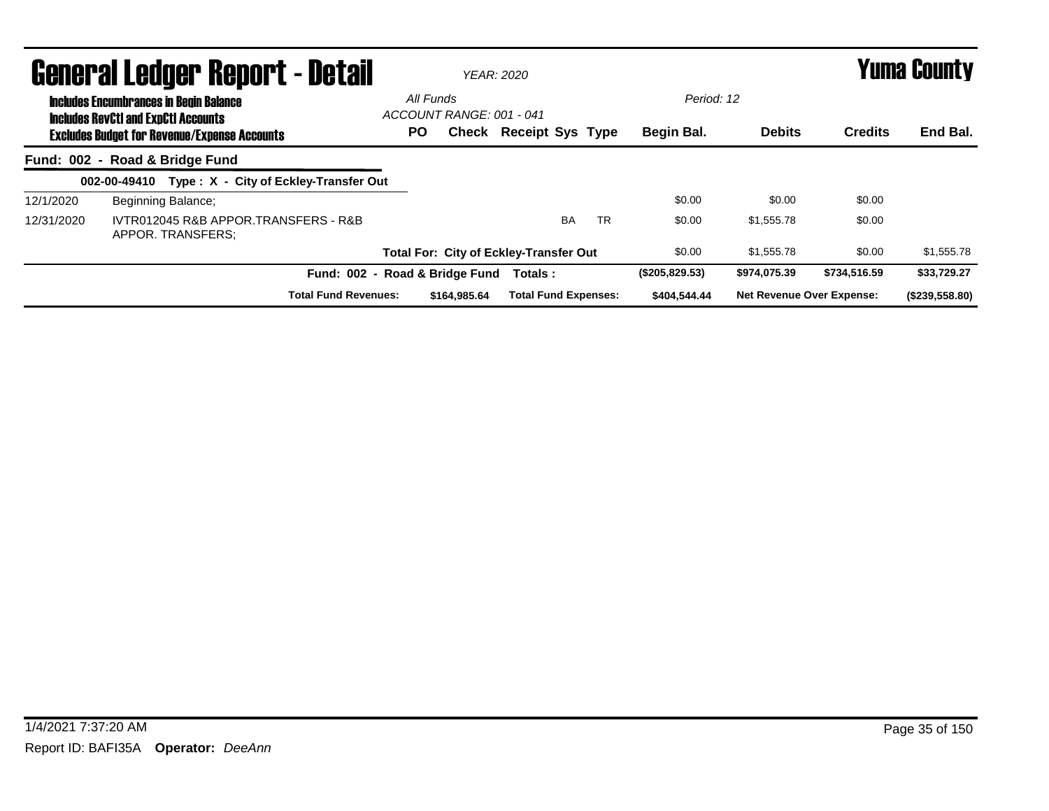|            | <b>General Ledger Report - Detail</b>                                                             |           |                          | <b>YEAR: 2020</b>                             |           |                | <b>Yuma County</b>               |                |                |  |  |
|------------|---------------------------------------------------------------------------------------------------|-----------|--------------------------|-----------------------------------------------|-----------|----------------|----------------------------------|----------------|----------------|--|--|
|            | <b>Includes Encumbrances in Begin Balance</b>                                                     | All Funds |                          |                                               |           |                | Period: 12                       |                |                |  |  |
|            | <b>Includes RevCtI and ExpCtI Accounts</b><br><b>Excludes Budget for Revenue/Expense Accounts</b> | <b>PO</b> | ACCOUNT RANGE: 001 - 041 | <b>Check Receipt Sys Type</b>                 |           | Begin Bal.     | <b>Debits</b>                    | <b>Credits</b> | End Bal.       |  |  |
|            | Fund: 002 - Road & Bridge Fund                                                                    |           |                          |                                               |           |                |                                  |                |                |  |  |
|            | Type: X - City of Eckley-Transfer Out<br>002-00-49410                                             |           |                          |                                               |           |                |                                  |                |                |  |  |
| 12/1/2020  | Beginning Balance;                                                                                |           |                          |                                               |           | \$0.00         | \$0.00                           | \$0.00         |                |  |  |
| 12/31/2020 | IVTR012045 R&B APPOR TRANSFERS - R&B<br>APPOR. TRANSFERS:                                         |           |                          | <b>BA</b>                                     | <b>TR</b> | \$0.00         | \$1.555.78                       | \$0.00         |                |  |  |
|            |                                                                                                   |           |                          | <b>Total For: City of Eckley-Transfer Out</b> |           | \$0.00         | \$1,555.78                       | \$0.00         | \$1,555.78     |  |  |
|            | Fund: 002 - Road & Bridge Fund                                                                    |           |                          | Totals:                                       |           | (\$205,829.53) | \$974,075.39                     | \$734,516,59   | \$33,729.27    |  |  |
|            | <b>Total Fund Revenues:</b>                                                                       |           | \$164,985.64             | <b>Total Fund Expenses:</b>                   |           | \$404,544.44   | <b>Net Revenue Over Expense:</b> |                | (\$239,558.80) |  |  |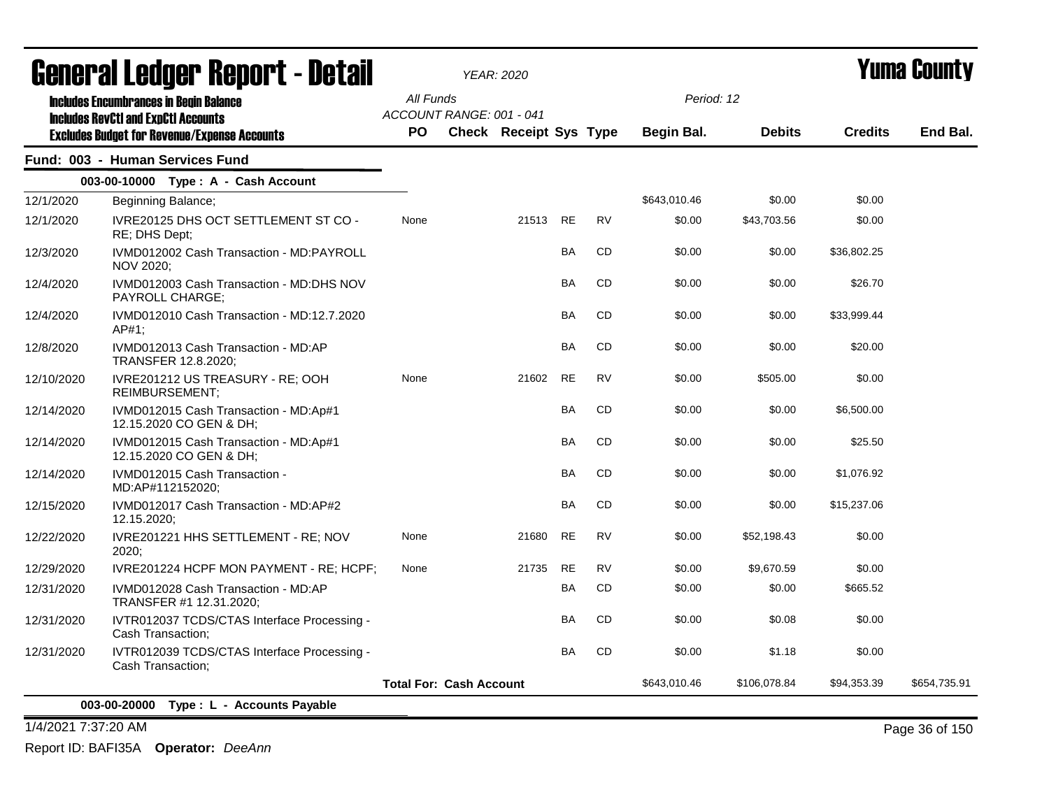|            | General Ledger Report - Detail                                                                    |           | YEAR: 2020                     |           |           |              |               | Yuma County    |              |  |
|------------|---------------------------------------------------------------------------------------------------|-----------|--------------------------------|-----------|-----------|--------------|---------------|----------------|--------------|--|
|            | <b>Includes Encumbrances in Begin Balance</b>                                                     | All Funds | ACCOUNT RANGE: 001 - 041       |           |           | Period: 12   |               |                |              |  |
|            | <b>Includes RevCtI and ExpCtI Accounts</b><br><b>Excludes Budget for Revenue/Expense Accounts</b> | <b>PO</b> | Check Receipt Sys Type         |           |           | Begin Bal.   | <b>Debits</b> | <b>Credits</b> | End Bal.     |  |
|            | Fund: 003 - Human Services Fund                                                                   |           |                                |           |           |              |               |                |              |  |
|            | 003-00-10000 Type: A - Cash Account                                                               |           |                                |           |           |              |               |                |              |  |
| 12/1/2020  | Beginning Balance;                                                                                |           |                                |           |           | \$643,010.46 | \$0.00        | \$0.00         |              |  |
| 12/1/2020  | IVRE20125 DHS OCT SETTLEMENT ST CO -<br>RE; DHS Dept;                                             | None      | 21513                          | <b>RE</b> | <b>RV</b> | \$0.00       | \$43.703.56   | \$0.00         |              |  |
| 12/3/2020  | IVMD012002 Cash Transaction - MD:PAYROLL<br>NOV 2020;                                             |           |                                | BA        | CD        | \$0.00       | \$0.00        | \$36,802.25    |              |  |
| 12/4/2020  | IVMD012003 Cash Transaction - MD:DHS NOV<br>PAYROLL CHARGE;                                       |           |                                | <b>BA</b> | <b>CD</b> | \$0.00       | \$0.00        | \$26.70        |              |  |
| 12/4/2020  | IVMD012010 Cash Transaction - MD:12.7.2020<br>$AP#1$ ;                                            |           |                                | <b>BA</b> | <b>CD</b> | \$0.00       | \$0.00        | \$33,999.44    |              |  |
| 12/8/2020  | IVMD012013 Cash Transaction - MD:AP<br>TRANSFER 12.8.2020;                                        |           |                                | <b>BA</b> | CD        | \$0.00       | \$0.00        | \$20.00        |              |  |
| 12/10/2020 | IVRE201212 US TREASURY - RE; OOH<br><b>REIMBURSEMENT;</b>                                         | None      | 21602                          | <b>RE</b> | <b>RV</b> | \$0.00       | \$505.00      | \$0.00         |              |  |
| 12/14/2020 | IVMD012015 Cash Transaction - MD:Ap#1<br>12.15.2020 CO GEN & DH;                                  |           |                                | BA        | CD        | \$0.00       | \$0.00        | \$6,500.00     |              |  |
| 12/14/2020 | IVMD012015 Cash Transaction - MD:Ap#1<br>12.15.2020 CO GEN & DH;                                  |           |                                | <b>BA</b> | <b>CD</b> | \$0.00       | \$0.00        | \$25.50        |              |  |
| 12/14/2020 | IVMD012015 Cash Transaction -<br>MD:AP#112152020;                                                 |           |                                | <b>BA</b> | <b>CD</b> | \$0.00       | \$0.00        | \$1,076.92     |              |  |
| 12/15/2020 | IVMD012017 Cash Transaction - MD:AP#2<br>12.15.2020;                                              |           |                                | <b>BA</b> | <b>CD</b> | \$0.00       | \$0.00        | \$15,237.06    |              |  |
| 12/22/2020 | IVRE201221 HHS SETTLEMENT - RE; NOV<br>2020:                                                      | None      | 21680                          | <b>RE</b> | <b>RV</b> | \$0.00       | \$52,198.43   | \$0.00         |              |  |
| 12/29/2020 | IVRE201224 HCPF MON PAYMENT - RE; HCPF;                                                           | None      | 21735                          | <b>RE</b> | <b>RV</b> | \$0.00       | \$9,670.59    | \$0.00         |              |  |
| 12/31/2020 | IVMD012028 Cash Transaction - MD:AP<br>TRANSFER #1 12.31.2020;                                    |           |                                | <b>BA</b> | <b>CD</b> | \$0.00       | \$0.00        | \$665.52       |              |  |
| 12/31/2020 | IVTR012037 TCDS/CTAS Interface Processing -<br>Cash Transaction;                                  |           |                                | <b>BA</b> | <b>CD</b> | \$0.00       | \$0.08        | \$0.00         |              |  |
| 12/31/2020 | IVTR012039 TCDS/CTAS Interface Processing -<br>Cash Transaction:                                  |           |                                | BA        | CD        | \$0.00       | \$1.18        | \$0.00         |              |  |
|            |                                                                                                   |           | <b>Total For: Cash Account</b> |           |           | \$643,010.46 | \$106,078.84  | \$94,353.39    | \$654,735.91 |  |
|            | 003-00-20000 Type: L - Accounts Payable                                                           |           |                                |           |           |              |               |                |              |  |

1/4/2021 7:37:20 AM Page 36 of 150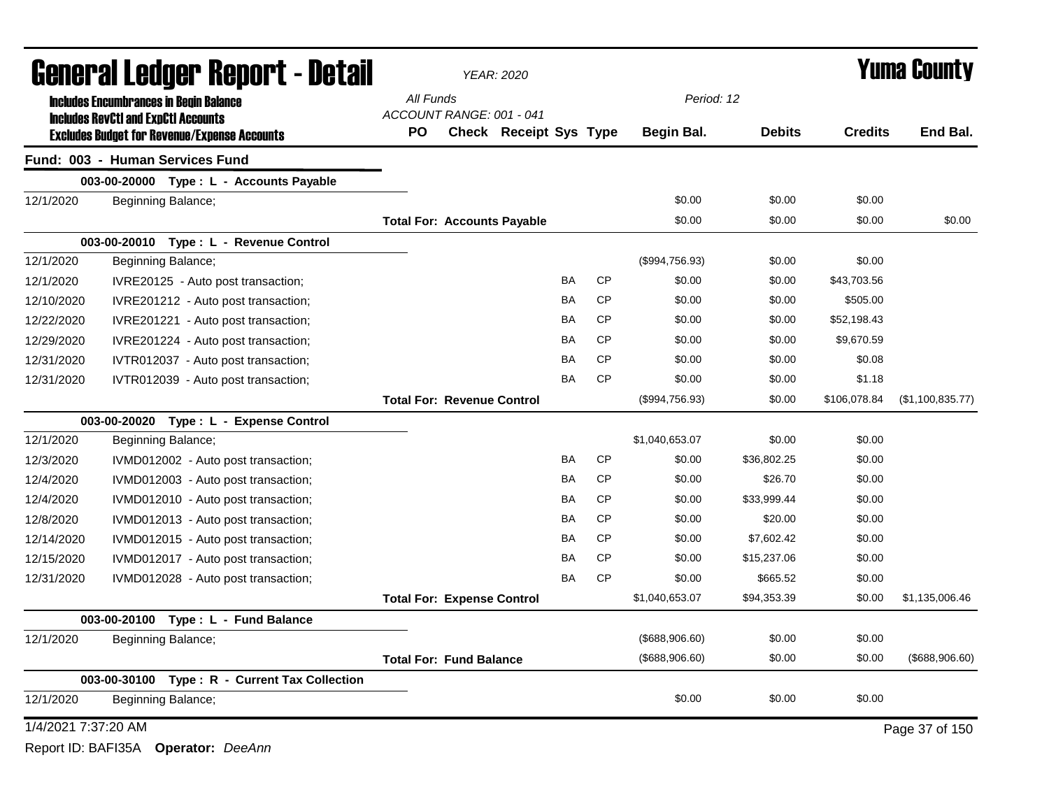|                     | General Ledger Report - Detail                                                              |           |                                    | <b>YEAR: 2020</b>             |           |           | <b>Yuma County</b> |               |                |                   |
|---------------------|---------------------------------------------------------------------------------------------|-----------|------------------------------------|-------------------------------|-----------|-----------|--------------------|---------------|----------------|-------------------|
|                     | <b>Includes Encumbrances in Begin Balance</b><br><b>Includes RevCtI and ExpCtI Accounts</b> | All Funds | ACCOUNT RANGE: 001 - 041           |                               |           |           | Period: 12         |               |                |                   |
|                     | <b>Excludes Budget for Revenue/Expense Accounts</b>                                         | <b>PO</b> |                                    | <b>Check Receipt Sys Type</b> |           |           | Begin Bal.         | <b>Debits</b> | <b>Credits</b> | End Bal.          |
|                     | Fund: 003 - Human Services Fund                                                             |           |                                    |                               |           |           |                    |               |                |                   |
|                     | 003-00-20000 Type : L - Accounts Payable                                                    |           |                                    |                               |           |           |                    |               |                |                   |
| 12/1/2020           | Beginning Balance;                                                                          |           |                                    |                               |           |           | \$0.00             | \$0.00        | \$0.00         |                   |
|                     |                                                                                             |           | <b>Total For: Accounts Payable</b> |                               |           |           | \$0.00             | \$0.00        | \$0.00         | \$0.00            |
|                     | 003-00-20010 Type: L - Revenue Control                                                      |           |                                    |                               |           |           |                    |               |                |                   |
| 12/1/2020           | Beginning Balance;                                                                          |           |                                    |                               |           |           | (\$994,756.93)     | \$0.00        | \$0.00         |                   |
| 12/1/2020           | IVRE20125 - Auto post transaction;                                                          |           |                                    |                               | BA        | <b>CP</b> | \$0.00             | \$0.00        | \$43,703.56    |                   |
| 12/10/2020          | IVRE201212 - Auto post transaction;                                                         |           |                                    |                               | BA        | <b>CP</b> | \$0.00             | \$0.00        | \$505.00       |                   |
| 12/22/2020          | IVRE201221 - Auto post transaction;                                                         |           |                                    |                               | <b>BA</b> | <b>CP</b> | \$0.00             | \$0.00        | \$52,198.43    |                   |
| 12/29/2020          | IVRE201224 - Auto post transaction;                                                         |           |                                    |                               | <b>BA</b> | <b>CP</b> | \$0.00             | \$0.00        | \$9,670.59     |                   |
| 12/31/2020          | IVTR012037 - Auto post transaction;                                                         |           |                                    |                               | <b>BA</b> | <b>CP</b> | \$0.00             | \$0.00        | \$0.08         |                   |
| 12/31/2020          | IVTR012039 - Auto post transaction;                                                         |           |                                    |                               | <b>BA</b> | <b>CP</b> | \$0.00             | \$0.00        | \$1.18         |                   |
|                     |                                                                                             |           | <b>Total For: Revenue Control</b>  |                               |           |           | (\$994,756.93)     | \$0.00        | \$106,078.84   | (\$1,100,835.77)  |
|                     | 003-00-20020 Type: L - Expense Control                                                      |           |                                    |                               |           |           |                    |               |                |                   |
| 12/1/2020           | Beginning Balance;                                                                          |           |                                    |                               |           |           | \$1,040,653.07     | \$0.00        | \$0.00         |                   |
| 12/3/2020           | IVMD012002 - Auto post transaction;                                                         |           |                                    |                               | <b>BA</b> | <b>CP</b> | \$0.00             | \$36,802.25   | \$0.00         |                   |
| 12/4/2020           | IVMD012003 - Auto post transaction;                                                         |           |                                    |                               | <b>BA</b> | <b>CP</b> | \$0.00             | \$26.70       | \$0.00         |                   |
| 12/4/2020           | IVMD012010 - Auto post transaction;                                                         |           |                                    |                               | BA        | <b>CP</b> | \$0.00             | \$33,999.44   | \$0.00         |                   |
| 12/8/2020           | IVMD012013 - Auto post transaction;                                                         |           |                                    |                               | <b>BA</b> | <b>CP</b> | \$0.00             | \$20.00       | \$0.00         |                   |
| 12/14/2020          | IVMD012015 - Auto post transaction;                                                         |           |                                    |                               | <b>BA</b> | <b>CP</b> | \$0.00             | \$7,602.42    | \$0.00         |                   |
| 12/15/2020          | IVMD012017 - Auto post transaction;                                                         |           |                                    |                               | <b>BA</b> | <b>CP</b> | \$0.00             | \$15,237.06   | \$0.00         |                   |
| 12/31/2020          | IVMD012028 - Auto post transaction;                                                         |           |                                    |                               | <b>BA</b> | <b>CP</b> | \$0.00             | \$665.52      | \$0.00         |                   |
|                     |                                                                                             |           | <b>Total For: Expense Control</b>  |                               |           |           | \$1,040,653.07     | \$94,353.39   | \$0.00         | \$1,135,006.46    |
|                     | 003-00-20100<br>Type: L - Fund Balance                                                      |           |                                    |                               |           |           |                    |               |                |                   |
| 12/1/2020           | Beginning Balance;                                                                          |           |                                    |                               |           |           | (\$688,906.60)     | \$0.00        | \$0.00         |                   |
|                     |                                                                                             |           | <b>Total For: Fund Balance</b>     |                               |           |           | (\$688,906.60)     | \$0.00        | \$0.00         | $($ \$688,906.60) |
|                     | 003-00-30100 Type: R - Current Tax Collection                                               |           |                                    |                               |           |           |                    |               |                |                   |
| 12/1/2020           | Beginning Balance;                                                                          |           |                                    |                               |           |           | \$0.00             | \$0.00        | \$0.00         |                   |
| 1/4/2021 7:37:20 AM |                                                                                             |           |                                    |                               |           |           |                    |               |                | Page 37 of 150    |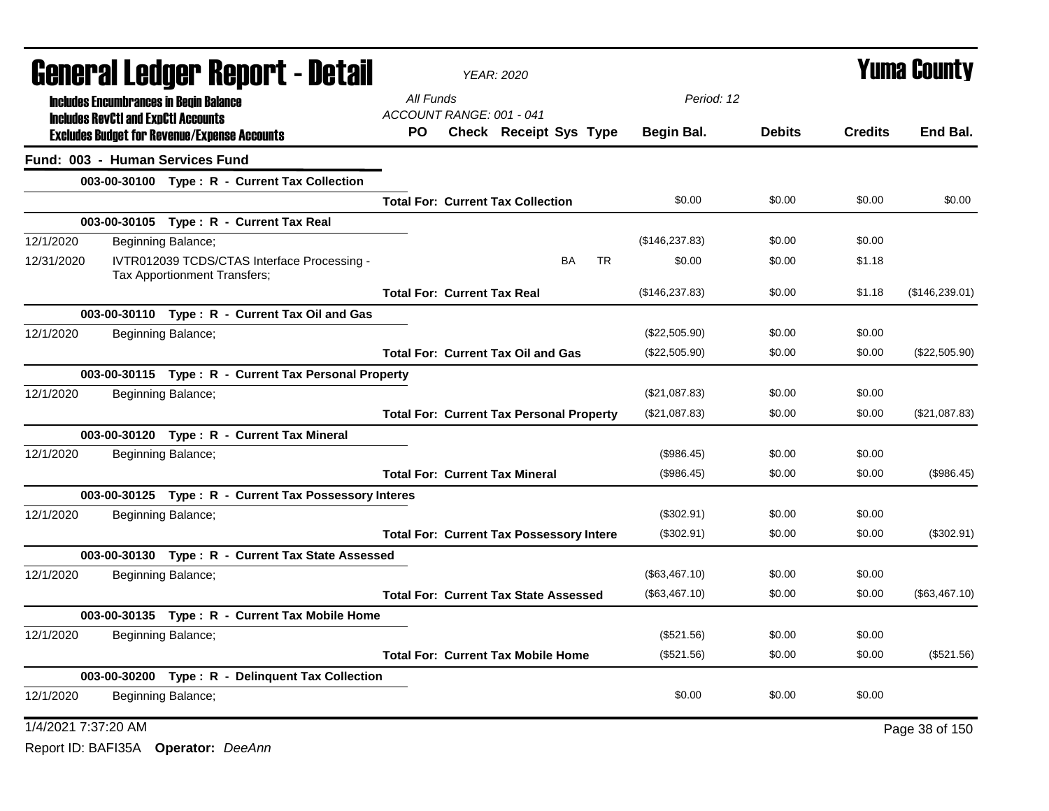| <b>General Ledger Report - Detail</b>                                                     |                                    | <b>YEAR: 2020</b>                               |                        | <b>Yuma County</b> |               |                |                |
|-------------------------------------------------------------------------------------------|------------------------------------|-------------------------------------------------|------------------------|--------------------|---------------|----------------|----------------|
| <b>Includes Encumbrances in Begin Balance</b>                                             | All Funds                          |                                                 |                        |                    | Period: 12    |                |                |
| <b>Includes RevCtI and ExpCtI Accounts</b>                                                | ACCOUNT RANGE: 001 - 041           |                                                 |                        |                    |               |                |                |
| <b>Excludes Budget for Revenue/Expense Accounts</b>                                       | PO.                                | <b>Check Receipt Sys Type</b>                   |                        | <b>Begin Bal.</b>  | <b>Debits</b> | <b>Credits</b> | End Bal.       |
| Fund: 003 - Human Services Fund                                                           |                                    |                                                 |                        |                    |               |                |                |
| 003-00-30100 Type: R - Current Tax Collection                                             |                                    |                                                 |                        |                    |               |                |                |
|                                                                                           |                                    | <b>Total For: Current Tax Collection</b>        |                        | \$0.00             | \$0.00        | \$0.00         | \$0.00         |
| 003-00-30105 Type: R - Current Tax Real                                                   |                                    |                                                 |                        |                    |               |                |                |
| 12/1/2020<br>Beginning Balance;                                                           |                                    |                                                 |                        | (\$146, 237.83)    | \$0.00        | \$0.00         |                |
| 12/31/2020<br>IVTR012039 TCDS/CTAS Interface Processing -<br>Tax Apportionment Transfers; |                                    |                                                 | <b>BA</b><br><b>TR</b> | \$0.00             | \$0.00        | \$1.18         |                |
|                                                                                           | <b>Total For: Current Tax Real</b> |                                                 |                        | (\$146, 237.83)    | \$0.00        | \$1.18         | (\$146,239.01) |
| 003-00-30110 Type: R - Current Tax Oil and Gas                                            |                                    |                                                 |                        |                    |               |                |                |
| 12/1/2020<br>Beginning Balance;                                                           |                                    |                                                 |                        | (\$22,505.90)      | \$0.00        | \$0.00         |                |
|                                                                                           |                                    | <b>Total For: Current Tax Oil and Gas</b>       |                        | (\$22,505.90)      | \$0.00        | \$0.00         | (\$22,505.90)  |
| 003-00-30115 Type: R - Current Tax Personal Property                                      |                                    |                                                 |                        |                    |               |                |                |
| 12/1/2020<br>Beginning Balance;                                                           |                                    |                                                 |                        | (\$21,087.83)      | \$0.00        | \$0.00         |                |
|                                                                                           |                                    | <b>Total For: Current Tax Personal Property</b> |                        | (\$21,087.83)      | \$0.00        | \$0.00         | (\$21,087.83)  |
| 003-00-30120 Type: R - Current Tax Mineral                                                |                                    |                                                 |                        |                    |               |                |                |
| 12/1/2020<br>Beginning Balance;                                                           |                                    |                                                 |                        | (\$986.45)         | \$0.00        | \$0.00         |                |
|                                                                                           |                                    | <b>Total For: Current Tax Mineral</b>           |                        | (\$986.45)         | \$0.00        | \$0.00         | (\$986.45)     |
| 003-00-30125 Type: R - Current Tax Possessory Interes                                     |                                    |                                                 |                        |                    |               |                |                |
| 12/1/2020<br>Beginning Balance;                                                           |                                    |                                                 |                        | (\$302.91)         | \$0.00        | \$0.00         |                |
|                                                                                           |                                    | <b>Total For: Current Tax Possessory Intere</b> |                        | (\$302.91)         | \$0.00        | \$0.00         | (\$302.91)     |
| 003-00-30130 Type: R - Current Tax State Assessed                                         |                                    |                                                 |                        |                    |               |                |                |
| 12/1/2020<br>Beginning Balance;                                                           |                                    |                                                 |                        | (\$63,467.10)      | \$0.00        | \$0.00         |                |
|                                                                                           |                                    | <b>Total For: Current Tax State Assessed</b>    |                        | (\$63,467.10)      | \$0.00        | \$0.00         | (\$63,467.10)  |
| 003-00-30135 Type: R - Current Tax Mobile Home                                            |                                    |                                                 |                        |                    |               |                |                |
| 12/1/2020<br>Beginning Balance;                                                           |                                    |                                                 |                        | (\$521.56)         | \$0.00        | \$0.00         |                |
|                                                                                           |                                    | <b>Total For: Current Tax Mobile Home</b>       |                        | (\$521.56)         | \$0.00        | \$0.00         | (\$521.56)     |
| 003-00-30200 Type: R - Delinquent Tax Collection                                          |                                    |                                                 |                        |                    |               |                |                |
| 12/1/2020<br>Beginning Balance;                                                           |                                    |                                                 |                        | \$0.00             | \$0.00        | \$0.00         |                |
| 1/4/2021 7:37:20 AM                                                                       |                                    |                                                 |                        |                    |               |                | Page 38 of 150 |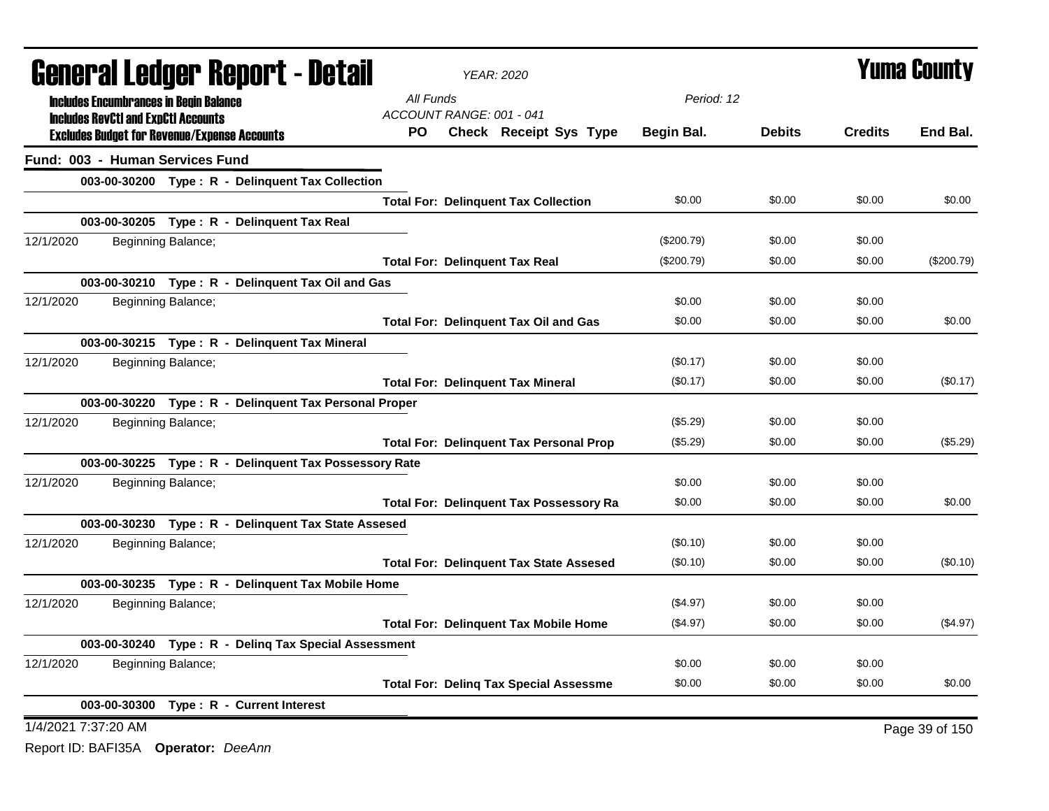| <b>General Ledger Report - Detail</b>                 | <b>YEAR: 2020</b>                              |            |               | <b>Yuma County</b> |                |
|-------------------------------------------------------|------------------------------------------------|------------|---------------|--------------------|----------------|
| <b>Includes Encumbrances in Begin Balance</b>         | All Funds                                      | Period: 12 |               |                    |                |
| <b>Includes RevCtI and ExpCtI Accounts</b>            | ACCOUNT RANGE: 001 - 041                       |            |               |                    |                |
| <b>Excludes Budget for Revenue/Expense Accounts</b>   | PO.<br>Check Receipt Sys Type                  | Begin Bal. | <b>Debits</b> | <b>Credits</b>     | End Bal.       |
| Fund: 003 - Human Services Fund                       |                                                |            |               |                    |                |
| 003-00-30200 Type: R - Delinquent Tax Collection      |                                                |            |               |                    |                |
|                                                       | <b>Total For: Delinquent Tax Collection</b>    | \$0.00     | \$0.00        | \$0.00             | \$0.00         |
| 003-00-30205 Type: R - Delinquent Tax Real            |                                                |            |               |                    |                |
| 12/1/2020<br>Beginning Balance;                       |                                                | (\$200.79) | \$0.00        | \$0.00             |                |
|                                                       | <b>Total For: Delinquent Tax Real</b>          | (\$200.79) | \$0.00        | \$0.00             | (\$200.79)     |
| 003-00-30210 Type: R - Delinquent Tax Oil and Gas     |                                                |            |               |                    |                |
| 12/1/2020<br>Beginning Balance;                       |                                                | \$0.00     | \$0.00        | \$0.00             |                |
|                                                       | <b>Total For: Delinquent Tax Oil and Gas</b>   | \$0.00     | \$0.00        | \$0.00             | \$0.00         |
| 003-00-30215 Type: R - Delinquent Tax Mineral         |                                                |            |               |                    |                |
| 12/1/2020<br>Beginning Balance;                       |                                                | (\$0.17)   | \$0.00        | \$0.00             |                |
|                                                       | <b>Total For: Delinquent Tax Mineral</b>       | (\$0.17)   | \$0.00        | \$0.00             | (\$0.17)       |
| 003-00-30220 Type: R - Delinquent Tax Personal Proper |                                                |            |               |                    |                |
| 12/1/2020<br>Beginning Balance;                       |                                                | (\$5.29)   | \$0.00        | \$0.00             |                |
|                                                       | <b>Total For: Delinquent Tax Personal Prop</b> | (\$5.29)   | \$0.00        | \$0.00             | (\$5.29)       |
| 003-00-30225 Type: R - Delinquent Tax Possessory Rate |                                                |            |               |                    |                |
| 12/1/2020<br>Beginning Balance;                       |                                                | \$0.00     | \$0.00        | \$0.00             |                |
|                                                       | <b>Total For: Delinquent Tax Possessory Ra</b> | \$0.00     | \$0.00        | \$0.00             | \$0.00         |
| 003-00-30230 Type: R - Delinquent Tax State Assesed   |                                                |            |               |                    |                |
| 12/1/2020<br>Beginning Balance;                       |                                                | (\$0.10)   | \$0.00        | \$0.00             |                |
|                                                       | <b>Total For: Delinquent Tax State Assesed</b> | (\$0.10)   | \$0.00        | \$0.00             | (\$0.10)       |
| 003-00-30235 Type: R - Delinquent Tax Mobile Home     |                                                |            |               |                    |                |
| 12/1/2020<br>Beginning Balance;                       |                                                | (\$4.97)   | \$0.00        | \$0.00             |                |
|                                                       | <b>Total For: Delinquent Tax Mobile Home</b>   | $(\$4.97)$ | \$0.00        | \$0.00             | (\$4.97)       |
| 003-00-30240 Type: R - Deling Tax Special Assessment  |                                                |            |               |                    |                |
| 12/1/2020<br>Beginning Balance;                       |                                                | \$0.00     | \$0.00        | \$0.00             |                |
|                                                       | <b>Total For: Deling Tax Special Assessme</b>  | \$0.00     | \$0.00        | \$0.00             | \$0.00         |
| 003-00-30300 Type: R - Current Interest               |                                                |            |               |                    |                |
| 1/4/2021 7:37:20 AM                                   |                                                |            |               |                    | Page 39 of 150 |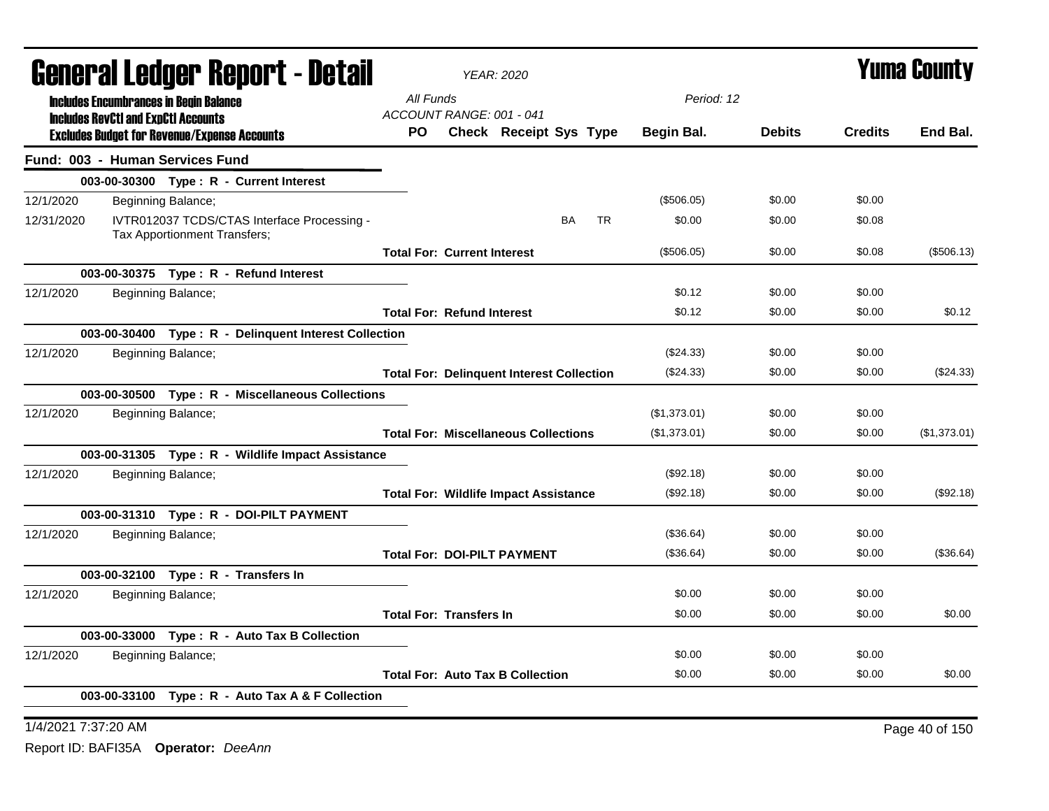| General Ledger Report - Detail |                                                                             | <b>YEAR: 2020</b>                            |                                             | <b>Yuma County</b>                               |              |               |                |              |
|--------------------------------|-----------------------------------------------------------------------------|----------------------------------------------|---------------------------------------------|--------------------------------------------------|--------------|---------------|----------------|--------------|
|                                | <b>Includes Encumbrances in Begin Balance</b>                               | All Funds                                    |                                             |                                                  | Period: 12   |               |                |              |
|                                | <b>Includes RevCtI and ExpCtI Accounts</b>                                  | ACCOUNT RANGE: 001 - 041                     |                                             |                                                  |              | <b>Debits</b> | <b>Credits</b> | End Bal.     |
|                                | <b>Excludes Budget for Revenue/Expense Accounts</b>                         | PO.                                          |                                             | Check Receipt Sys Type                           | Begin Bal.   |               |                |              |
|                                | Fund: 003 - Human Services Fund                                             |                                              |                                             |                                                  |              |               |                |              |
|                                | 003-00-30300 Type: R - Current Interest                                     |                                              |                                             |                                                  |              |               |                |              |
| 12/1/2020                      | Beginning Balance;                                                          |                                              |                                             |                                                  | (\$506.05)   | \$0.00        | \$0.00         |              |
| 12/31/2020                     | IVTR012037 TCDS/CTAS Interface Processing -<br>Tax Apportionment Transfers; |                                              |                                             | BA<br><b>TR</b>                                  | \$0.00       | \$0.00        | \$0.08         |              |
|                                |                                                                             | <b>Total For: Current Interest</b>           |                                             |                                                  | (\$506.05)   | \$0.00        | \$0.08         | (\$506.13)   |
|                                | 003-00-30375 Type: R - Refund Interest                                      |                                              |                                             |                                                  |              |               |                |              |
| 12/1/2020                      | Beginning Balance;                                                          |                                              |                                             |                                                  | \$0.12       | \$0.00        | \$0.00         |              |
|                                |                                                                             | <b>Total For: Refund Interest</b>            |                                             |                                                  | \$0.12       | \$0.00        | \$0.00         | \$0.12       |
|                                | 003-00-30400 Type: R - Delinquent Interest Collection                       |                                              |                                             |                                                  |              |               |                |              |
| 12/1/2020                      | Beginning Balance;                                                          |                                              |                                             |                                                  | (\$24.33)    | \$0.00        | \$0.00         |              |
|                                |                                                                             |                                              |                                             | <b>Total For: Delinquent Interest Collection</b> | (\$24.33)    | \$0.00        | \$0.00         | (\$24.33)    |
|                                | 003-00-30500 Type: R - Miscellaneous Collections                            |                                              |                                             |                                                  |              |               |                |              |
| 12/1/2020                      | Beginning Balance;                                                          |                                              |                                             |                                                  | (\$1,373.01) | \$0.00        | \$0.00         |              |
|                                |                                                                             |                                              | <b>Total For: Miscellaneous Collections</b> |                                                  | (\$1,373.01) | \$0.00        | \$0.00         | (\$1,373.01) |
|                                | 003-00-31305 Type: R - Wildlife Impact Assistance                           |                                              |                                             |                                                  |              |               |                |              |
| 12/1/2020                      | Beginning Balance;                                                          |                                              |                                             |                                                  | (\$92.18)    | \$0.00        | \$0.00         |              |
|                                |                                                                             | <b>Total For: Wildlife Impact Assistance</b> |                                             |                                                  | (\$92.18)    | \$0.00        | \$0.00         | (\$92.18)    |
|                                | 003-00-31310 Type: R - DOI-PILT PAYMENT                                     |                                              |                                             |                                                  |              |               |                |              |
| 12/1/2020                      | Beginning Balance;                                                          |                                              |                                             |                                                  | (\$36.64)    | \$0.00        | \$0.00         |              |
|                                |                                                                             | <b>Total For: DOI-PILT PAYMENT</b>           |                                             |                                                  | (\$36.64)    | \$0.00        | \$0.00         | (\$36.64)    |
|                                | 003-00-32100 Type: R - Transfers In                                         |                                              |                                             |                                                  |              |               |                |              |
| 12/1/2020                      | Beginning Balance;                                                          |                                              |                                             |                                                  | \$0.00       | \$0.00        | \$0.00         |              |
|                                |                                                                             | <b>Total For: Transfers In</b>               |                                             |                                                  | \$0.00       | \$0.00        | \$0.00         | \$0.00       |
|                                | 003-00-33000 Type: R - Auto Tax B Collection                                |                                              |                                             |                                                  |              |               |                |              |
| 12/1/2020                      | Beginning Balance;                                                          |                                              |                                             |                                                  | \$0.00       | \$0.00        | \$0.00         |              |
|                                |                                                                             |                                              | <b>Total For: Auto Tax B Collection</b>     |                                                  | \$0.00       | \$0.00        | \$0.00         | \$0.00       |
|                                | 003-00-33100 Type: R - Auto Tax A & F Collection                            |                                              |                                             |                                                  |              |               |                |              |
|                                |                                                                             |                                              |                                             |                                                  |              |               |                |              |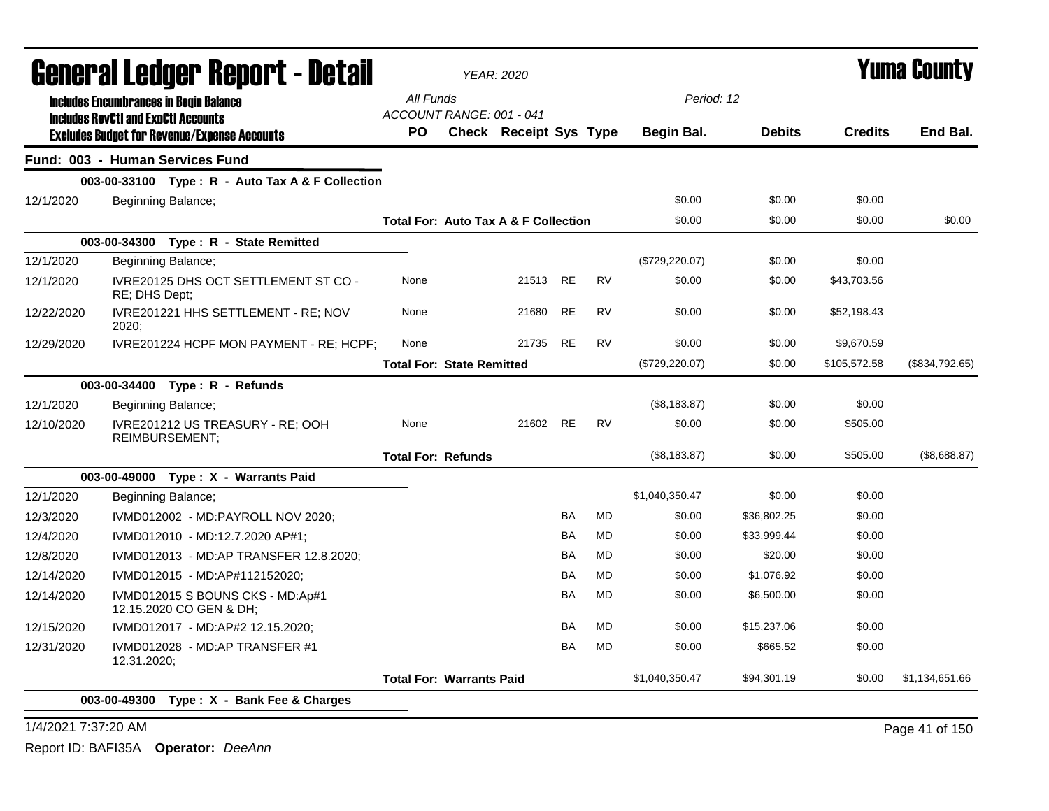|            | General Ledger Report - Detail                                                              |                                                 | <b>YEAR: 2020</b>      |           |           |                   |               | <b>Yuma County</b> |                |
|------------|---------------------------------------------------------------------------------------------|-------------------------------------------------|------------------------|-----------|-----------|-------------------|---------------|--------------------|----------------|
|            | <b>Includes Encumbrances in Begin Balance</b><br><b>Includes RevCtI and ExpCtI Accounts</b> | All Funds<br>ACCOUNT RANGE: 001 - 041           |                        |           |           | Period: 12        |               |                    |                |
|            | <b>Excludes Budget for Revenue/Expense Accounts</b>                                         | <b>PO</b>                                       | Check Receipt Sys Type |           |           | <b>Begin Bal.</b> | <b>Debits</b> | <b>Credits</b>     | End Bal.       |
|            | Fund: 003 - Human Services Fund                                                             |                                                 |                        |           |           |                   |               |                    |                |
|            | 003-00-33100 Type: R - Auto Tax A & F Collection                                            |                                                 |                        |           |           |                   |               |                    |                |
| 12/1/2020  | Beginning Balance;                                                                          |                                                 |                        |           |           | \$0.00            | \$0.00        | \$0.00             |                |
|            |                                                                                             | <b>Total For: Auto Tax A &amp; F Collection</b> |                        |           |           | \$0.00            | \$0.00        | \$0.00             | \$0.00         |
|            | 003-00-34300 Type: R - State Remitted                                                       |                                                 |                        |           |           |                   |               |                    |                |
| 12/1/2020  | Beginning Balance;                                                                          |                                                 |                        |           |           | (\$729, 220.07)   | \$0.00        | \$0.00             |                |
| 12/1/2020  | IVRE20125 DHS OCT SETTLEMENT ST CO -<br>RE; DHS Dept;                                       | None                                            | 21513                  | <b>RE</b> | <b>RV</b> | \$0.00            | \$0.00        | \$43,703.56        |                |
| 12/22/2020 | IVRE201221 HHS SETTLEMENT - RE; NOV<br>2020;                                                | None                                            | 21680                  | <b>RE</b> | <b>RV</b> | \$0.00            | \$0.00        | \$52,198.43        |                |
| 12/29/2020 | IVRE201224 HCPF MON PAYMENT - RE; HCPF;                                                     | None                                            | 21735                  | RE        | <b>RV</b> | \$0.00            | \$0.00        | \$9,670.59         |                |
|            |                                                                                             | <b>Total For: State Remitted</b>                |                        |           |           | $(\$729,220.07)$  | \$0.00        | \$105,572.58       | (\$834,792.65) |
|            | 003-00-34400 Type: R - Refunds                                                              |                                                 |                        |           |           |                   |               |                    |                |
| 12/1/2020  | Beginning Balance;                                                                          |                                                 |                        |           |           | (\$8,183.87)      | \$0.00        | \$0.00             |                |
| 12/10/2020 | IVRE201212 US TREASURY - RE; OOH<br><b>REIMBURSEMENT:</b>                                   | None                                            | 21602                  | RE        | <b>RV</b> | \$0.00            | \$0.00        | \$505.00           |                |
|            |                                                                                             | <b>Total For: Refunds</b>                       |                        |           |           | (\$8,183.87)      | \$0.00        | \$505.00           | (\$8,688.87)   |
|            | Type: X - Warrants Paid<br>003-00-49000                                                     |                                                 |                        |           |           |                   |               |                    |                |
| 12/1/2020  | Beginning Balance;                                                                          |                                                 |                        |           |           | \$1,040,350.47    | \$0.00        | \$0.00             |                |
| 12/3/2020  | IVMD012002 - MD:PAYROLL NOV 2020:                                                           |                                                 |                        | <b>BA</b> | <b>MD</b> | \$0.00            | \$36,802.25   | \$0.00             |                |
| 12/4/2020  | IVMD012010 - MD:12.7.2020 AP#1;                                                             |                                                 |                        | <b>BA</b> | MD        | \$0.00            | \$33.999.44   | \$0.00             |                |
| 12/8/2020  | IVMD012013 - MD:AP TRANSFER 12.8.2020;                                                      |                                                 |                        | <b>BA</b> | MD        | \$0.00            | \$20.00       | \$0.00             |                |
| 12/14/2020 | IVMD012015 - MD:AP#112152020;                                                               |                                                 |                        | <b>BA</b> | MD        | \$0.00            | \$1,076.92    | \$0.00             |                |
| 12/14/2020 | IVMD012015 S BOUNS CKS - MD:Ap#1<br>12.15.2020 CO GEN & DH;                                 |                                                 |                        | <b>BA</b> | <b>MD</b> | \$0.00            | \$6,500.00    | \$0.00             |                |
| 12/15/2020 | IVMD012017 - MD:AP#2 12.15.2020;                                                            |                                                 |                        | BA        | <b>MD</b> | \$0.00            | \$15,237.06   | \$0.00             |                |
| 12/31/2020 | IVMD012028 - MD:AP TRANSFER #1<br>12.31.2020;                                               |                                                 |                        | BA        | <b>MD</b> | \$0.00            | \$665.52      | \$0.00             |                |
|            |                                                                                             | <b>Total For: Warrants Paid</b>                 |                        |           |           | \$1,040,350.47    | \$94,301.19   | \$0.00             | \$1,134,651.66 |
|            | 003-00-49300 Type: X - Bank Fee & Charges                                                   |                                                 |                        |           |           |                   |               |                    |                |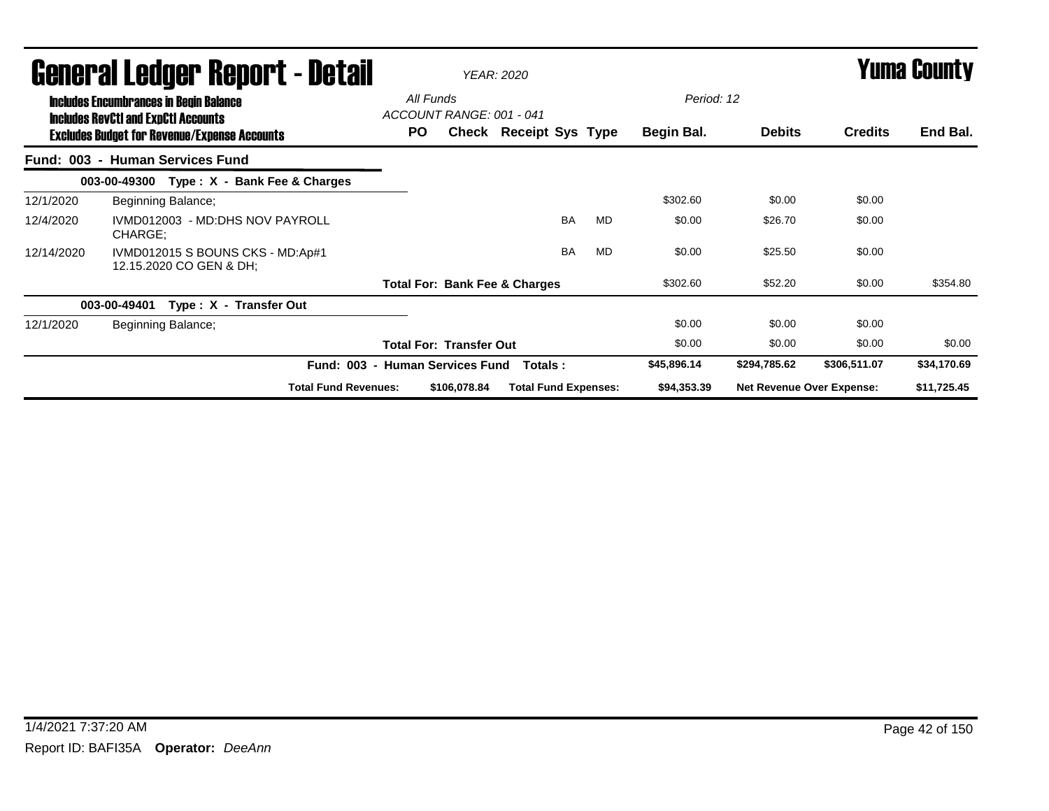|            | General Ledger Report - Detail<br><b>Includes Encumbrances in Begin Balance</b>                   | All Funds                       |                                | <b>YEAR: 2020</b>                        |           |           | Period: 12  |                                  |                | <b>Yuma County</b> |  |
|------------|---------------------------------------------------------------------------------------------------|---------------------------------|--------------------------------|------------------------------------------|-----------|-----------|-------------|----------------------------------|----------------|--------------------|--|
|            | <b>Includes RevCtI and ExpCtI Accounts</b><br><b>Excludes Budget for Revenue/Expense Accounts</b> | ACCOUNT RANGE: 001 - 041<br>PO. |                                | Check Receipt Sys Type                   |           |           | Begin Bal.  | <b>Debits</b>                    | <b>Credits</b> | End Bal.           |  |
|            | Fund: 003 - Human Services Fund                                                                   |                                 |                                |                                          |           |           |             |                                  |                |                    |  |
|            | Type: X - Bank Fee & Charges<br>003-00-49300                                                      |                                 |                                |                                          |           |           |             |                                  |                |                    |  |
| 12/1/2020  | Beginning Balance;                                                                                |                                 |                                |                                          |           |           | \$302.60    | \$0.00                           | \$0.00         |                    |  |
| 12/4/2020  | IVMD012003 - MD:DHS NOV PAYROLL<br>CHARGE;                                                        |                                 |                                |                                          | <b>BA</b> | <b>MD</b> | \$0.00      | \$26.70                          | \$0.00         |                    |  |
| 12/14/2020 | IVMD012015 S BOUNS CKS - MD:Ap#1<br>12.15.2020 CO GEN & DH;                                       |                                 |                                |                                          | <b>BA</b> | <b>MD</b> | \$0.00      | \$25.50                          | \$0.00         |                    |  |
|            |                                                                                                   |                                 |                                | <b>Total For: Bank Fee &amp; Charges</b> |           |           | \$302.60    | \$52.20                          | \$0.00         | \$354.80           |  |
|            | 003-00-49401<br>Type: X - Transfer Out                                                            |                                 |                                |                                          |           |           |             |                                  |                |                    |  |
| 12/1/2020  | Beginning Balance;                                                                                |                                 |                                |                                          |           |           | \$0.00      | \$0.00                           | \$0.00         |                    |  |
|            |                                                                                                   |                                 | <b>Total For: Transfer Out</b> |                                          |           |           | \$0.00      | \$0.00                           | \$0.00         | \$0.00             |  |
|            |                                                                                                   | Fund: 003 - Human Services Fund |                                | Totals :                                 |           |           | \$45,896.14 | \$294,785.62                     | \$306,511.07   | \$34,170.69        |  |
|            | <b>Total Fund Revenues:</b>                                                                       |                                 | \$106,078.84                   | <b>Total Fund Expenses:</b>              |           |           | \$94,353.39 | <b>Net Revenue Over Expense:</b> |                | \$11,725.45        |  |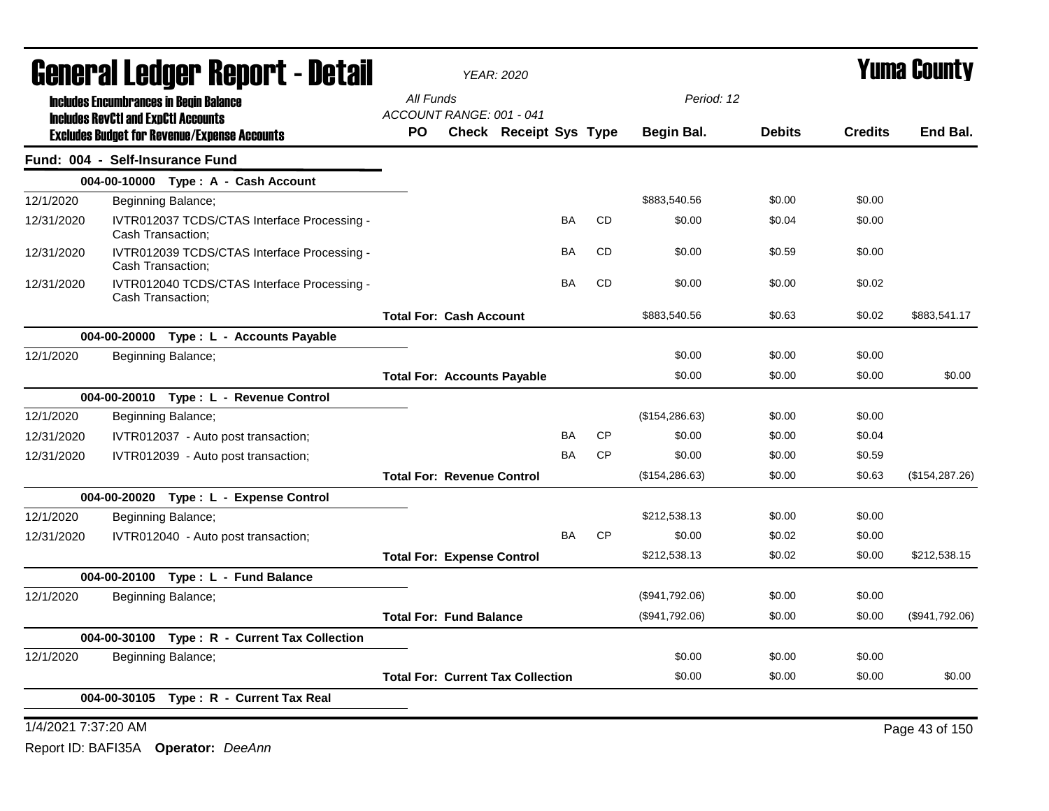|                                            | <b>General Ledger Report - Detail</b>      |                                                                  |           | <b>YEAR: 2020</b>                        |                        |           | <b>Yuma County</b> |                 |               |                |                 |
|--------------------------------------------|--------------------------------------------|------------------------------------------------------------------|-----------|------------------------------------------|------------------------|-----------|--------------------|-----------------|---------------|----------------|-----------------|
|                                            |                                            | <b>Includes Encumbrances in Begin Balance</b>                    | All Funds |                                          |                        |           |                    | Period: 12      |               |                |                 |
|                                            | <b>Includes RevCtI and ExpCtI Accounts</b> |                                                                  | PO.       | ACCOUNT RANGE: 001 - 041                 | Check Receipt Sys Type |           |                    | Begin Bal.      | <b>Debits</b> | <b>Credits</b> | End Bal.        |
|                                            |                                            | <b>Excludes Budget for Revenue/Expense Accounts</b>              |           |                                          |                        |           |                    |                 |               |                |                 |
|                                            | Fund: 004 - Self-Insurance Fund            |                                                                  |           |                                          |                        |           |                    |                 |               |                |                 |
|                                            |                                            | 004-00-10000 Type: A - Cash Account                              |           |                                          |                        |           |                    |                 |               |                |                 |
| 12/1/2020                                  |                                            | Beginning Balance;                                               |           |                                          |                        |           |                    | \$883,540.56    | \$0.00        | \$0.00         |                 |
| 12/31/2020                                 | Cash Transaction;                          | IVTR012037 TCDS/CTAS Interface Processing -                      |           |                                          |                        | BA        | <b>CD</b>          | \$0.00          | \$0.04        | \$0.00         |                 |
| 12/31/2020                                 | Cash Transaction;                          | IVTR012039 TCDS/CTAS Interface Processing -                      |           |                                          |                        | <b>BA</b> | <b>CD</b>          | \$0.00          | \$0.59        | \$0.00         |                 |
| 12/31/2020                                 |                                            | IVTR012040 TCDS/CTAS Interface Processing -<br>Cash Transaction; |           |                                          |                        | <b>BA</b> | <b>CD</b>          | \$0.00          | \$0.00        | \$0.02         |                 |
|                                            |                                            |                                                                  |           | <b>Total For: Cash Account</b>           |                        |           |                    | \$883,540.56    | \$0.63        | \$0.02         | \$883,541.17    |
|                                            |                                            | 004-00-20000 Type : L - Accounts Payable                         |           |                                          |                        |           |                    |                 |               |                |                 |
| 12/1/2020                                  |                                            | Beginning Balance;                                               |           |                                          |                        |           |                    | \$0.00          | \$0.00        | \$0.00         |                 |
|                                            |                                            |                                                                  |           | <b>Total For: Accounts Payable</b>       |                        |           |                    | \$0.00          | \$0.00        | \$0.00         | \$0.00          |
|                                            |                                            | 004-00-20010 Type: L - Revenue Control                           |           |                                          |                        |           |                    |                 |               |                |                 |
| 12/1/2020                                  |                                            | Beginning Balance;                                               |           |                                          |                        |           |                    | (\$154, 286.63) | \$0.00        | \$0.00         |                 |
| 12/31/2020                                 |                                            | IVTR012037 - Auto post transaction;                              |           |                                          |                        | BA        | CP                 | \$0.00          | \$0.00        | \$0.04         |                 |
| 12/31/2020                                 |                                            | IVTR012039 - Auto post transaction;                              |           |                                          |                        | <b>BA</b> | <b>CP</b>          | \$0.00          | \$0.00        | \$0.59         |                 |
|                                            |                                            |                                                                  |           | <b>Total For: Revenue Control</b>        |                        |           |                    | (\$154, 286.63) | \$0.00        | \$0.63         | (\$154, 287.26) |
|                                            |                                            | 004-00-20020 Type: L - Expense Control                           |           |                                          |                        |           |                    |                 |               |                |                 |
| 12/1/2020                                  |                                            | Beginning Balance;                                               |           |                                          |                        |           |                    | \$212,538.13    | \$0.00        | \$0.00         |                 |
| 12/31/2020                                 |                                            | IVTR012040 - Auto post transaction;                              |           |                                          |                        | <b>BA</b> | <b>CP</b>          | \$0.00          | \$0.02        | \$0.00         |                 |
|                                            |                                            |                                                                  |           | <b>Total For: Expense Control</b>        |                        |           |                    | \$212,538.13    | \$0.02        | \$0.00         | \$212,538.15    |
|                                            |                                            | 004-00-20100 Type: L - Fund Balance                              |           |                                          |                        |           |                    |                 |               |                |                 |
| 12/1/2020                                  |                                            | Beginning Balance;                                               |           |                                          |                        |           |                    | (\$941,792.06)  | \$0.00        | \$0.00         |                 |
|                                            |                                            |                                                                  |           | <b>Total For: Fund Balance</b>           |                        |           |                    | (\$941,792.06)  | \$0.00        | \$0.00         | (\$941,792.06)  |
|                                            |                                            | 004-00-30100 Type: R - Current Tax Collection                    |           |                                          |                        |           |                    |                 |               |                |                 |
| 12/1/2020                                  |                                            | Beginning Balance;                                               |           |                                          |                        |           |                    | \$0.00          | \$0.00        | \$0.00         |                 |
|                                            |                                            |                                                                  |           | <b>Total For: Current Tax Collection</b> |                        |           |                    | \$0.00          | \$0.00        | \$0.00         | \$0.00          |
| Type: R - Current Tax Real<br>004-00-30105 |                                            |                                                                  |           |                                          |                        |           |                    |                 |               |                |                 |
|                                            | 1/4/2021 7:37:20 AM                        |                                                                  |           |                                          |                        |           |                    |                 |               | Page 43 of 150 |                 |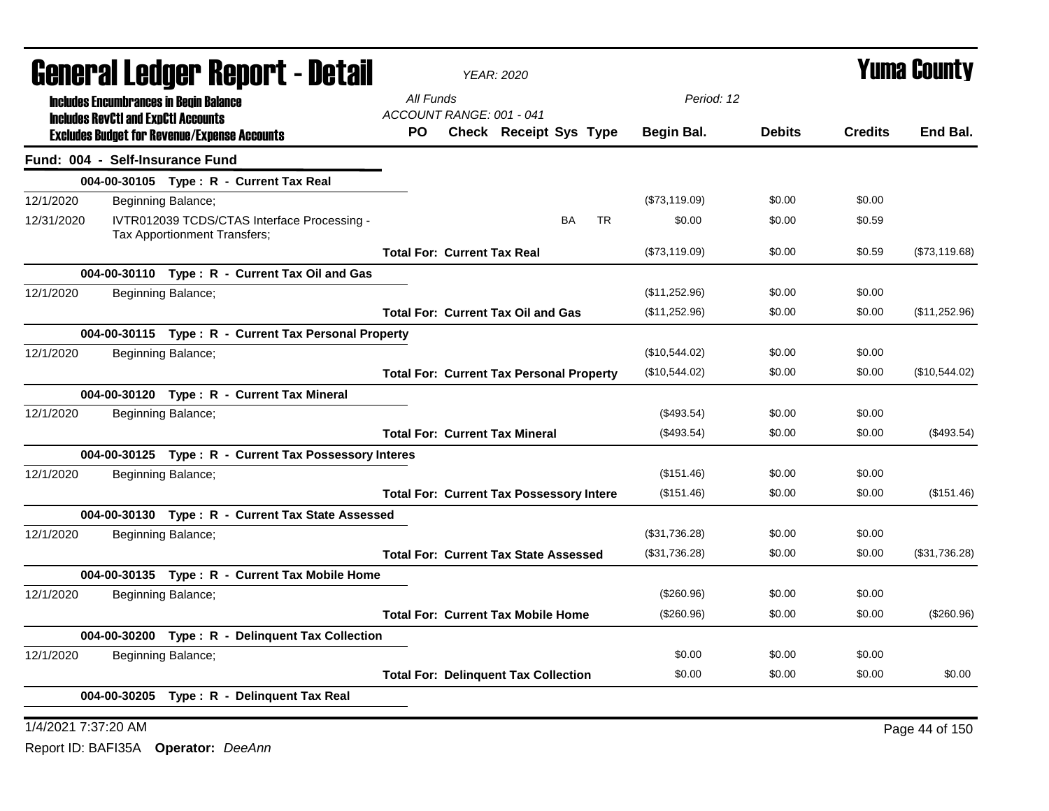| General Ledger Report - Detail |                                                                                                   | <b>YEAR: 2020</b>                  | <b>Yuma County</b> |                                              |                                                 |               |               |                |               |
|--------------------------------|---------------------------------------------------------------------------------------------------|------------------------------------|--------------------|----------------------------------------------|-------------------------------------------------|---------------|---------------|----------------|---------------|
|                                | <b>Includes Encumbrances in Begin Balance</b>                                                     | All Funds                          |                    |                                              |                                                 | Period: 12    |               |                |               |
|                                | <b>Includes RevCtI and ExpCtI Accounts</b><br><b>Excludes Budget for Revenue/Expense Accounts</b> | ACCOUNT RANGE: 001 - 041<br>PO.    |                    |                                              | <b>Check Receipt Sys Type</b>                   | Begin Bal.    | <b>Debits</b> | <b>Credits</b> | End Bal.      |
|                                | Fund: 004 - Self-Insurance Fund                                                                   |                                    |                    |                                              |                                                 |               |               |                |               |
|                                | 004-00-30105 Type: R - Current Tax Real                                                           |                                    |                    |                                              |                                                 |               |               |                |               |
| 12/1/2020                      | Beginning Balance;                                                                                |                                    |                    |                                              |                                                 | (\$73,119.09) | \$0.00        | \$0.00         |               |
| 12/31/2020                     | IVTR012039 TCDS/CTAS Interface Processing -<br>Tax Apportionment Transfers;                       |                                    |                    |                                              | <b>BA</b><br><b>TR</b>                          | \$0.00        | \$0.00        | \$0.59         |               |
|                                |                                                                                                   | <b>Total For: Current Tax Real</b> |                    |                                              |                                                 | (\$73,119.09) | \$0.00        | \$0.59         | (\$73,119.68) |
|                                | 004-00-30110 Type: R - Current Tax Oil and Gas                                                    |                                    |                    |                                              |                                                 |               |               |                |               |
| 12/1/2020                      | Beginning Balance;                                                                                |                                    |                    |                                              |                                                 | (\$11,252.96) | \$0.00        | \$0.00         |               |
|                                |                                                                                                   |                                    |                    | <b>Total For: Current Tax Oil and Gas</b>    |                                                 | (\$11,252.96) | \$0.00        | \$0.00         | (\$11,252.96) |
|                                | 004-00-30115 Type: R - Current Tax Personal Property                                              |                                    |                    |                                              |                                                 |               |               |                |               |
| 12/1/2020                      | Beginning Balance;                                                                                |                                    |                    |                                              |                                                 | (\$10,544.02) | \$0.00        | \$0.00         |               |
|                                |                                                                                                   |                                    |                    |                                              | <b>Total For: Current Tax Personal Property</b> | (\$10,544.02) | \$0.00        | \$0.00         | (\$10,544.02) |
|                                | 004-00-30120 Type: R - Current Tax Mineral                                                        |                                    |                    |                                              |                                                 |               |               |                |               |
| 12/1/2020                      | Beginning Balance;                                                                                |                                    |                    |                                              |                                                 | (\$493.54)    | \$0.00        | \$0.00         |               |
|                                |                                                                                                   |                                    |                    | <b>Total For: Current Tax Mineral</b>        |                                                 | (\$493.54)    | \$0.00        | \$0.00         | $(\$493.54)$  |
|                                | 004-00-30125 Type: R - Current Tax Possessory Interes                                             |                                    |                    |                                              |                                                 |               |               |                |               |
| 12/1/2020                      | Beginning Balance;                                                                                |                                    |                    |                                              |                                                 | (\$151.46)    | \$0.00        | \$0.00         |               |
|                                |                                                                                                   |                                    |                    |                                              | <b>Total For: Current Tax Possessory Intere</b> | (\$151.46)    | \$0.00        | \$0.00         | (\$151.46)    |
|                                | 004-00-30130 Type: R - Current Tax State Assessed                                                 |                                    |                    |                                              |                                                 |               |               |                |               |
| 12/1/2020                      | Beginning Balance;                                                                                |                                    |                    |                                              |                                                 | (\$31,736.28) | \$0.00        | \$0.00         |               |
|                                |                                                                                                   |                                    |                    | <b>Total For: Current Tax State Assessed</b> |                                                 | (\$31,736.28) | \$0.00        | \$0.00         | (\$31,736.28) |
|                                | 004-00-30135 Type: R - Current Tax Mobile Home                                                    |                                    |                    |                                              |                                                 |               |               |                |               |
| 12/1/2020                      | Beginning Balance;                                                                                |                                    |                    |                                              |                                                 | (\$260.96)    | \$0.00        | \$0.00         |               |
|                                |                                                                                                   |                                    |                    | <b>Total For: Current Tax Mobile Home</b>    |                                                 | (\$260.96)    | \$0.00        | \$0.00         | $(\$260.96)$  |
|                                | 004-00-30200 Type: R - Delinquent Tax Collection                                                  |                                    |                    |                                              |                                                 |               |               |                |               |
| 12/1/2020                      | Beginning Balance;                                                                                |                                    |                    |                                              |                                                 | \$0.00        | \$0.00        | \$0.00         |               |
|                                |                                                                                                   |                                    |                    | <b>Total For: Delinquent Tax Collection</b>  |                                                 | \$0.00        | \$0.00        | \$0.00         | \$0.00        |
|                                | 004-00-30205 Type: R - Delinquent Tax Real                                                        |                                    |                    |                                              |                                                 |               |               |                |               |
|                                |                                                                                                   |                                    |                    |                                              |                                                 |               |               |                |               |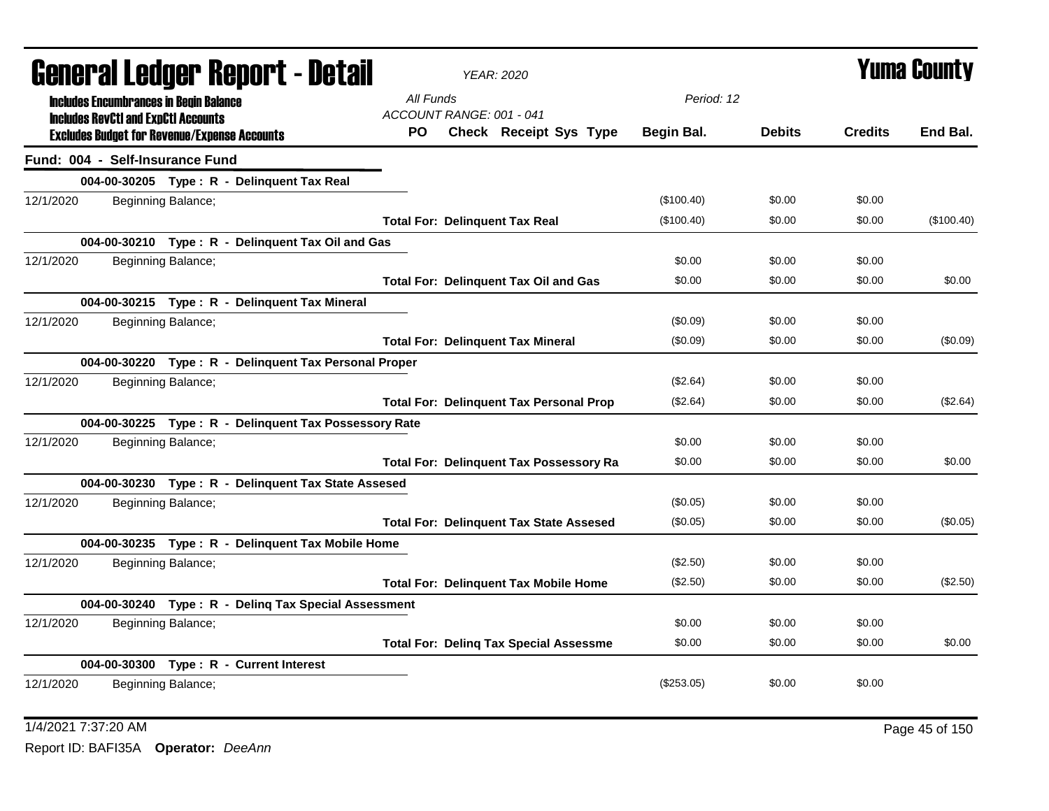|           | General Ledger Report - Detail<br><b>Includes Encumbrances in Begin Balance</b> |                    |                                                       |                                       | <b>YEAR: 2020</b>                              |              |               | <b>Yuma County</b> |            |
|-----------|---------------------------------------------------------------------------------|--------------------|-------------------------------------------------------|---------------------------------------|------------------------------------------------|--------------|---------------|--------------------|------------|
|           | <b>Includes RevCtI and ExpCtI Accounts</b>                                      |                    |                                                       | All Funds<br>ACCOUNT RANGE: 001 - 041 |                                                | Period: 12   |               |                    |            |
|           | <b>Excludes Budget for Revenue/Expense Accounts</b>                             |                    |                                                       | PO.                                   | Check Receipt Sys Type                         | Begin Bal.   | <b>Debits</b> | <b>Credits</b>     | End Bal.   |
|           | Fund: 004 - Self-Insurance Fund                                                 |                    |                                                       |                                       |                                                |              |               |                    |            |
|           |                                                                                 |                    | 004-00-30205 Type: R - Delinquent Tax Real            |                                       |                                                |              |               |                    |            |
| 12/1/2020 |                                                                                 | Beginning Balance; |                                                       |                                       |                                                | (\$100.40)   | \$0.00        | \$0.00             |            |
|           |                                                                                 |                    |                                                       |                                       | <b>Total For: Delinquent Tax Real</b>          | (\$100.40)   | \$0.00        | \$0.00             | (\$100.40) |
|           |                                                                                 |                    | 004-00-30210 Type: R - Delinquent Tax Oil and Gas     |                                       |                                                |              |               |                    |            |
| 12/1/2020 |                                                                                 | Beginning Balance; |                                                       |                                       |                                                | \$0.00       | \$0.00        | \$0.00             |            |
|           |                                                                                 |                    |                                                       |                                       | <b>Total For: Delinquent Tax Oil and Gas</b>   | \$0.00       | \$0.00        | \$0.00             | \$0.00     |
|           |                                                                                 |                    | 004-00-30215 Type: R - Delinquent Tax Mineral         |                                       |                                                |              |               |                    |            |
| 12/1/2020 |                                                                                 | Beginning Balance; |                                                       |                                       |                                                | (\$0.09)     | \$0.00        | \$0.00             |            |
|           |                                                                                 |                    |                                                       |                                       | <b>Total For: Delinquent Tax Mineral</b>       | (\$0.09)     | \$0.00        | \$0.00             | (\$0.09)   |
|           |                                                                                 |                    | 004-00-30220 Type: R - Delinquent Tax Personal Proper |                                       |                                                |              |               |                    |            |
| 12/1/2020 |                                                                                 | Beginning Balance; |                                                       |                                       |                                                | (\$2.64)     | \$0.00        | \$0.00             |            |
|           |                                                                                 |                    |                                                       |                                       | <b>Total For: Delinquent Tax Personal Prop</b> | (\$2.64)     | \$0.00        | \$0.00             | (\$2.64)   |
|           |                                                                                 |                    | 004-00-30225 Type: R - Delinguent Tax Possessory Rate |                                       |                                                |              |               |                    |            |
| 12/1/2020 |                                                                                 | Beginning Balance; |                                                       |                                       |                                                | \$0.00       | \$0.00        | \$0.00             |            |
|           |                                                                                 |                    |                                                       |                                       | <b>Total For: Delinquent Tax Possessory Ra</b> | \$0.00       | \$0.00        | \$0.00             | \$0.00     |
|           |                                                                                 |                    | 004-00-30230 Type: R - Delinquent Tax State Assesed   |                                       |                                                |              |               |                    |            |
| 12/1/2020 |                                                                                 | Beginning Balance; |                                                       |                                       |                                                | (\$0.05)     | \$0.00        | \$0.00             |            |
|           |                                                                                 |                    |                                                       |                                       | <b>Total For: Delinquent Tax State Assesed</b> | (\$0.05)     | \$0.00        | \$0.00             | (\$0.05)   |
|           |                                                                                 |                    | 004-00-30235 Type: R - Delinquent Tax Mobile Home     |                                       |                                                |              |               |                    |            |
| 12/1/2020 |                                                                                 | Beginning Balance; |                                                       |                                       |                                                | (\$2.50)     | \$0.00        | \$0.00             |            |
|           |                                                                                 |                    |                                                       |                                       | <b>Total For: Delinquent Tax Mobile Home</b>   | (\$2.50)     | \$0.00        | \$0.00             | (\$2.50)   |
|           |                                                                                 |                    | 004-00-30240 Type: R - Deling Tax Special Assessment  |                                       |                                                |              |               |                    |            |
| 12/1/2020 |                                                                                 | Beginning Balance; |                                                       |                                       |                                                | \$0.00       | \$0.00        | \$0.00             |            |
|           |                                                                                 |                    |                                                       |                                       | <b>Total For: Deling Tax Special Assessme</b>  | \$0.00       | \$0.00        | \$0.00             | \$0.00     |
|           |                                                                                 |                    | 004-00-30300 Type: R - Current Interest               |                                       |                                                |              |               |                    |            |
| 12/1/2020 |                                                                                 | Beginning Balance; |                                                       |                                       |                                                | $(\$253.05)$ | \$0.00        | \$0.00             |            |
|           |                                                                                 |                    |                                                       |                                       |                                                |              |               |                    |            |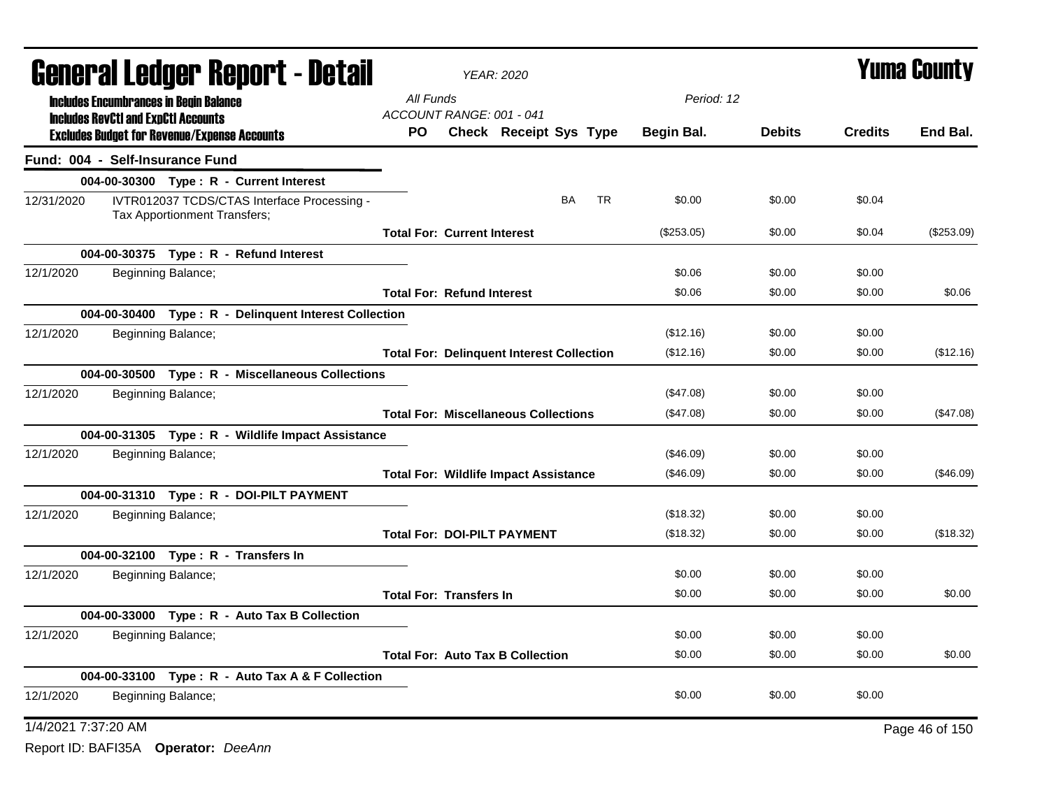|                     | <b>General Ledger Report - Detail</b>      |                                                                             | <b>YEAR: 2020</b>                                | <b>Yuma County</b> |                        |           |           |            |               |                |                |
|---------------------|--------------------------------------------|-----------------------------------------------------------------------------|--------------------------------------------------|--------------------|------------------------|-----------|-----------|------------|---------------|----------------|----------------|
|                     |                                            | <b>Includes Encumbrances in Begin Balance</b>                               | All Funds                                        |                    |                        |           |           | Period: 12 |               |                |                |
|                     | <b>Includes RevCtI and ExpCtI Accounts</b> | <b>Excludes Budget for Revenue/Expense Accounts</b>                         | ACCOUNT RANGE: 001 - 041<br>PO.                  |                    | Check Receipt Sys Type |           |           | Begin Bal. | <b>Debits</b> | <b>Credits</b> | End Bal.       |
|                     |                                            | Fund: 004 - Self-Insurance Fund                                             |                                                  |                    |                        |           |           |            |               |                |                |
|                     |                                            | 004-00-30300 Type: R - Current Interest                                     |                                                  |                    |                        |           |           |            |               |                |                |
| 12/31/2020          |                                            | IVTR012037 TCDS/CTAS Interface Processing -<br>Tax Apportionment Transfers; |                                                  |                    |                        | <b>BA</b> | <b>TR</b> | \$0.00     | \$0.00        | \$0.04         |                |
|                     |                                            |                                                                             | <b>Total For: Current Interest</b>               |                    |                        |           |           | (\$253.05) | \$0.00        | \$0.04         | $(\$253.09)$   |
|                     |                                            | 004-00-30375 Type: R - Refund Interest                                      |                                                  |                    |                        |           |           |            |               |                |                |
| 12/1/2020           |                                            | Beginning Balance;                                                          |                                                  |                    |                        |           |           | \$0.06     | \$0.00        | \$0.00         |                |
|                     |                                            |                                                                             | <b>Total For: Refund Interest</b>                |                    |                        |           |           | \$0.06     | \$0.00        | \$0.00         | \$0.06         |
|                     |                                            | 004-00-30400 Type: R - Delinquent Interest Collection                       |                                                  |                    |                        |           |           |            |               |                |                |
| 12/1/2020           |                                            | Beginning Balance;                                                          |                                                  |                    |                        |           |           | (\$12.16)  | \$0.00        | \$0.00         |                |
|                     |                                            |                                                                             | <b>Total For: Delinquent Interest Collection</b> |                    |                        |           |           | (\$12.16)  | \$0.00        | \$0.00         | (\$12.16)      |
|                     |                                            | 004-00-30500 Type: R - Miscellaneous Collections                            |                                                  |                    |                        |           |           |            |               |                |                |
| 12/1/2020           |                                            | Beginning Balance;                                                          |                                                  |                    |                        |           |           | (\$47.08)  | \$0.00        | \$0.00         |                |
|                     |                                            |                                                                             | <b>Total For: Miscellaneous Collections</b>      |                    |                        |           |           | (\$47.08)  | \$0.00        | \$0.00         | (\$47.08)      |
|                     |                                            | 004-00-31305 Type: R - Wildlife Impact Assistance                           |                                                  |                    |                        |           |           |            |               |                |                |
| 12/1/2020           |                                            | Beginning Balance;                                                          |                                                  |                    |                        |           |           | (\$46.09)  | \$0.00        | \$0.00         |                |
|                     |                                            |                                                                             | <b>Total For: Wildlife Impact Assistance</b>     |                    |                        |           |           | (\$46.09)  | \$0.00        | \$0.00         | (\$46.09)      |
|                     |                                            | 004-00-31310 Type: R - DOI-PILT PAYMENT                                     |                                                  |                    |                        |           |           |            |               |                |                |
| 12/1/2020           |                                            | Beginning Balance;                                                          |                                                  |                    |                        |           |           | (\$18.32)  | \$0.00        | \$0.00         |                |
|                     |                                            |                                                                             | <b>Total For: DOI-PILT PAYMENT</b>               |                    |                        |           |           | (\$18.32)  | \$0.00        | \$0.00         | (\$18.32)      |
|                     |                                            | 004-00-32100 Type: R - Transfers In                                         |                                                  |                    |                        |           |           |            |               |                |                |
| 12/1/2020           |                                            | Beginning Balance;                                                          |                                                  |                    |                        |           |           | \$0.00     | \$0.00        | \$0.00         |                |
|                     |                                            |                                                                             | <b>Total For: Transfers In</b>                   |                    |                        |           |           | \$0.00     | \$0.00        | \$0.00         | \$0.00         |
|                     |                                            | 004-00-33000 Type: R - Auto Tax B Collection                                |                                                  |                    |                        |           |           |            |               |                |                |
| 12/1/2020           |                                            | Beginning Balance;                                                          |                                                  |                    |                        |           |           | \$0.00     | \$0.00        | \$0.00         |                |
|                     |                                            |                                                                             | <b>Total For: Auto Tax B Collection</b>          |                    |                        |           |           | \$0.00     | \$0.00        | \$0.00         | \$0.00         |
|                     |                                            | 004-00-33100 Type: R - Auto Tax A & F Collection                            |                                                  |                    |                        |           |           |            |               |                |                |
| 12/1/2020           |                                            | Beginning Balance;                                                          |                                                  |                    |                        |           |           | \$0.00     | \$0.00        | \$0.00         |                |
| 1/4/2021 7:37:20 AM |                                            |                                                                             |                                                  |                    |                        |           |           |            |               |                | Page 46 of 150 |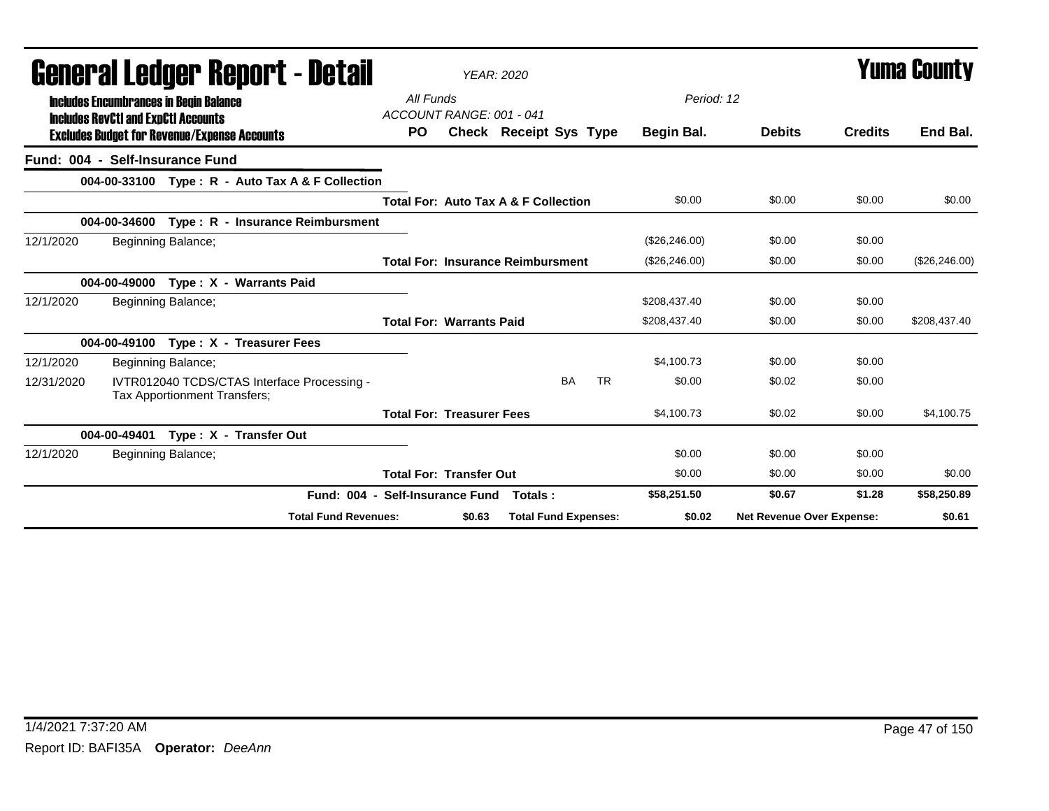|                                 | General Ledger Report - Detail                                                              |                                                                             |                                       |        | <b>YEAR: 2020</b>                               |           |                |                           | Yuma County    |                |
|---------------------------------|---------------------------------------------------------------------------------------------|-----------------------------------------------------------------------------|---------------------------------------|--------|-------------------------------------------------|-----------|----------------|---------------------------|----------------|----------------|
|                                 | <b>Includes Encumbrances in Begin Balance</b><br><b>Includes RevCtI and ExpCtI Accounts</b> |                                                                             | All Funds<br>ACCOUNT RANGE: 001 - 041 |        |                                                 |           | Period: 12     |                           |                |                |
|                                 |                                                                                             | <b>Excludes Budget for Revenue/Expense Accounts</b>                         | <b>PO</b>                             |        | <b>Check Receipt Sys Type</b>                   |           | Begin Bal.     | <b>Debits</b>             | <b>Credits</b> | End Bal.       |
| Fund: 004 - Self-Insurance Fund |                                                                                             |                                                                             |                                       |        |                                                 |           |                |                           |                |                |
|                                 |                                                                                             | 004-00-33100 Type: R - Auto Tax A & F Collection                            |                                       |        |                                                 |           |                |                           |                |                |
|                                 |                                                                                             |                                                                             |                                       |        | <b>Total For: Auto Tax A &amp; F Collection</b> |           | \$0.00         | \$0.00                    | \$0.00         | \$0.00         |
|                                 | 004-00-34600                                                                                | Type: R - Insurance Reimbursment                                            |                                       |        |                                                 |           |                |                           |                |                |
| 12/1/2020                       | Beginning Balance;                                                                          |                                                                             |                                       |        |                                                 |           | (\$26,246.00)  | \$0.00                    | \$0.00         |                |
|                                 |                                                                                             |                                                                             |                                       |        | <b>Total For: Insurance Reimbursment</b>        |           | (\$26, 246.00) | \$0.00                    | \$0.00         | (\$26, 246.00) |
|                                 |                                                                                             | 004-00-49000 Type: X - Warrants Paid                                        |                                       |        |                                                 |           |                |                           |                |                |
| 12/1/2020                       | Beginning Balance;                                                                          |                                                                             |                                       |        |                                                 |           | \$208,437.40   | \$0.00                    | \$0.00         |                |
|                                 |                                                                                             |                                                                             | <b>Total For: Warrants Paid</b>       |        |                                                 |           | \$208,437.40   | \$0.00                    | \$0.00         | \$208,437.40   |
|                                 | 004-00-49100                                                                                | Type: X - Treasurer Fees                                                    |                                       |        |                                                 |           |                |                           |                |                |
| 12/1/2020                       | Beginning Balance;                                                                          |                                                                             |                                       |        |                                                 |           | \$4.100.73     | \$0.00                    | \$0.00         |                |
| 12/31/2020                      |                                                                                             | IVTR012040 TCDS/CTAS Interface Processing -<br>Tax Apportionment Transfers; |                                       |        | <b>BA</b>                                       | <b>TR</b> | \$0.00         | \$0.02                    | \$0.00         |                |
|                                 |                                                                                             |                                                                             | <b>Total For: Treasurer Fees</b>      |        |                                                 |           | \$4,100.73     | \$0.02                    | \$0.00         | \$4,100.75     |
|                                 | 004-00-49401                                                                                | Type: X - Transfer Out                                                      |                                       |        |                                                 |           |                |                           |                |                |
| 12/1/2020                       | Beginning Balance;                                                                          |                                                                             |                                       |        |                                                 |           | \$0.00         | \$0.00                    | \$0.00         |                |
|                                 |                                                                                             |                                                                             | <b>Total For: Transfer Out</b>        |        |                                                 |           | \$0.00         | \$0.00                    | \$0.00         | \$0.00         |
|                                 |                                                                                             |                                                                             | Fund: 004 - Self-Insurance Fund       |        | Totals:                                         |           | \$58,251.50    | \$0.67                    | \$1.28         | \$58,250.89    |
|                                 |                                                                                             | <b>Total Fund Revenues:</b>                                                 |                                       | \$0.63 | <b>Total Fund Expenses:</b>                     |           | \$0.02         | Net Revenue Over Expense: |                | \$0.61         |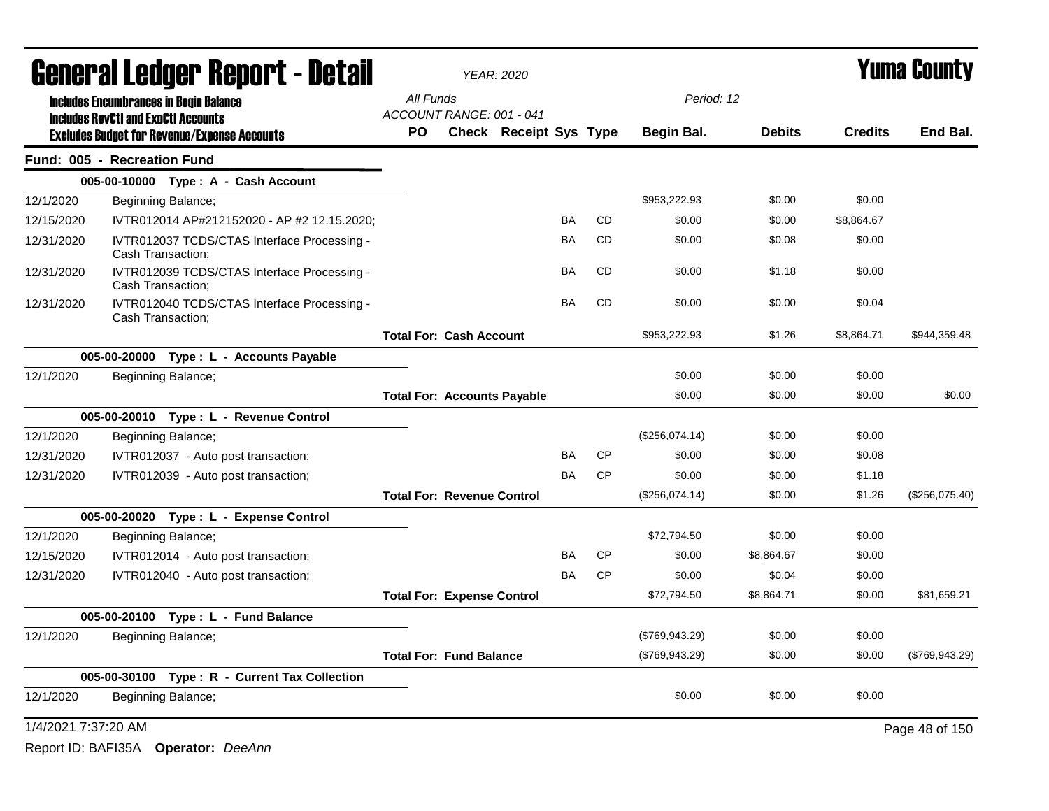|                     | General Ledger Report - Detail                                                                    |                                       | <b>YEAR: 2020</b>             |           |           |                   | <b>Yuma County</b> |                |                |  |
|---------------------|---------------------------------------------------------------------------------------------------|---------------------------------------|-------------------------------|-----------|-----------|-------------------|--------------------|----------------|----------------|--|
|                     | <b>Includes Encumbrances in Begin Balance</b>                                                     | All Funds                             |                               |           |           | Period: 12        |                    |                |                |  |
|                     | <b>Includes RevCtI and ExpCtI Accounts</b><br><b>Excludes Budget for Revenue/Expense Accounts</b> | ACCOUNT RANGE: 001 - 041<br><b>PO</b> | <b>Check Receipt Sys Type</b> |           |           | <b>Begin Bal.</b> | <b>Debits</b>      | <b>Credits</b> | End Bal.       |  |
|                     | Fund: 005 - Recreation Fund                                                                       |                                       |                               |           |           |                   |                    |                |                |  |
|                     | 005-00-10000 Type: A - Cash Account                                                               |                                       |                               |           |           |                   |                    |                |                |  |
| 12/1/2020           | Beginning Balance;                                                                                |                                       |                               |           |           | \$953,222.93      | \$0.00             | \$0.00         |                |  |
| 12/15/2020          | IVTR012014 AP#212152020 - AP #2 12.15.2020;                                                       |                                       |                               | BA        | <b>CD</b> | \$0.00            | \$0.00             | \$8,864.67     |                |  |
| 12/31/2020          | IVTR012037 TCDS/CTAS Interface Processing -<br>Cash Transaction;                                  |                                       |                               | BA        | <b>CD</b> | \$0.00            | \$0.08             | \$0.00         |                |  |
| 12/31/2020          | IVTR012039 TCDS/CTAS Interface Processing -<br>Cash Transaction;                                  |                                       |                               | <b>BA</b> | <b>CD</b> | \$0.00            | \$1.18             | \$0.00         |                |  |
| 12/31/2020          | IVTR012040 TCDS/CTAS Interface Processing -<br>Cash Transaction;                                  |                                       |                               | <b>BA</b> | <b>CD</b> | \$0.00            | \$0.00             | \$0.04         |                |  |
|                     |                                                                                                   | <b>Total For: Cash Account</b>        |                               |           |           | \$953,222.93      | \$1.26             | \$8,864.71     | \$944,359.48   |  |
|                     | 005-00-20000 Type: L - Accounts Payable                                                           |                                       |                               |           |           |                   |                    |                |                |  |
| 12/1/2020           | Beginning Balance;                                                                                |                                       |                               |           |           | \$0.00            | \$0.00             | \$0.00         |                |  |
|                     |                                                                                                   | <b>Total For: Accounts Payable</b>    |                               |           |           | \$0.00            | \$0.00             | \$0.00         | \$0.00         |  |
|                     | 005-00-20010 Type: L - Revenue Control                                                            |                                       |                               |           |           |                   |                    |                |                |  |
| 12/1/2020           | Beginning Balance;                                                                                |                                       |                               |           |           | (\$256,074.14)    | \$0.00             | \$0.00         |                |  |
| 12/31/2020          | IVTR012037 - Auto post transaction;                                                               |                                       |                               | BA        | <b>CP</b> | \$0.00            | \$0.00             | \$0.08         |                |  |
| 12/31/2020          | IVTR012039 - Auto post transaction;                                                               |                                       |                               | BA        | <b>CP</b> | \$0.00            | \$0.00             | \$1.18         |                |  |
|                     |                                                                                                   | <b>Total For: Revenue Control</b>     |                               |           |           | (\$256,074.14)    | \$0.00             | \$1.26         | (\$256,075.40) |  |
|                     | 005-00-20020 Type: L - Expense Control                                                            |                                       |                               |           |           |                   |                    |                |                |  |
| 12/1/2020           | Beginning Balance;                                                                                |                                       |                               |           |           | \$72.794.50       | \$0.00             | \$0.00         |                |  |
| 12/15/2020          | IVTR012014 - Auto post transaction;                                                               |                                       |                               | BA        | <b>CP</b> | \$0.00            | \$8,864.67         | \$0.00         |                |  |
| 12/31/2020          | IVTR012040 - Auto post transaction;                                                               |                                       |                               | BA        | <b>CP</b> | \$0.00            | \$0.04             | \$0.00         |                |  |
|                     |                                                                                                   | <b>Total For: Expense Control</b>     |                               |           |           | \$72,794.50       | \$8,864.71         | \$0.00         | \$81,659.21    |  |
|                     | 005-00-20100<br>Type: L - Fund Balance                                                            |                                       |                               |           |           |                   |                    |                |                |  |
| 12/1/2020           | Beginning Balance;                                                                                |                                       |                               |           |           | (\$769,943.29)    | \$0.00             | \$0.00         |                |  |
|                     |                                                                                                   | <b>Total For: Fund Balance</b>        |                               |           |           | (\$769,943.29)    | \$0.00             | \$0.00         | (\$769,943.29) |  |
|                     | Type: R - Current Tax Collection<br>005-00-30100                                                  |                                       |                               |           |           |                   |                    |                |                |  |
| 12/1/2020           | Beginning Balance;                                                                                |                                       |                               |           |           | \$0.00            | \$0.00             | \$0.00         |                |  |
| 1/4/2021 7:37:20 AM |                                                                                                   |                                       |                               |           |           |                   |                    |                | Page 48 of 150 |  |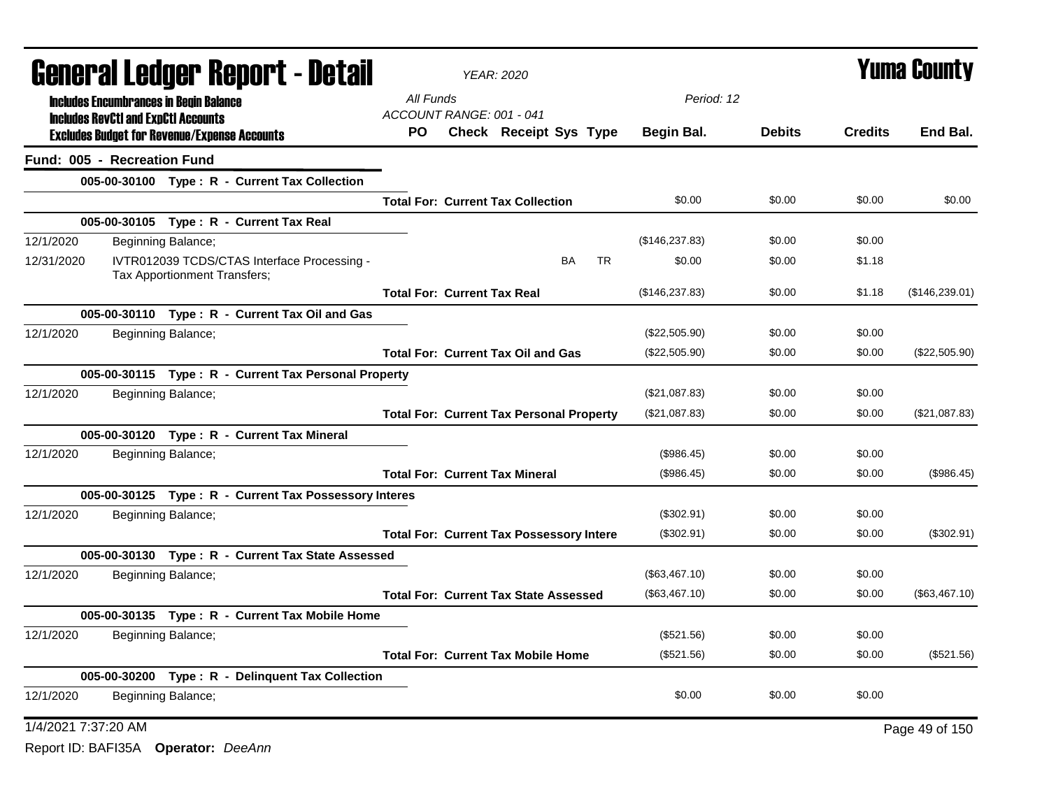| <b>General Ledger Report - Detail</b>                                                     |                                    | <b>YEAR: 2020</b>                               |           |           | <b>Yuma County</b> |               |                |                 |
|-------------------------------------------------------------------------------------------|------------------------------------|-------------------------------------------------|-----------|-----------|--------------------|---------------|----------------|-----------------|
| <b>Includes Encumbrances in Begin Balance</b>                                             | All Funds                          |                                                 |           |           | Period: 12         |               |                |                 |
| <b>Includes RevCtI and ExpCtI Accounts</b>                                                | ACCOUNT RANGE: 001 - 041           |                                                 |           |           |                    |               |                |                 |
| <b>Excludes Budget for Revenue/Expense Accounts</b>                                       | PO.                                | <b>Check Receipt Sys Type</b>                   |           |           | <b>Begin Bal.</b>  | <b>Debits</b> | <b>Credits</b> | End Bal.        |
| Fund: 005 - Recreation Fund                                                               |                                    |                                                 |           |           |                    |               |                |                 |
| 005-00-30100 Type: R - Current Tax Collection                                             |                                    |                                                 |           |           |                    |               |                |                 |
|                                                                                           |                                    | <b>Total For: Current Tax Collection</b>        |           |           | \$0.00             | \$0.00        | \$0.00         | \$0.00          |
| 005-00-30105 Type: R - Current Tax Real                                                   |                                    |                                                 |           |           |                    |               |                |                 |
| 12/1/2020<br>Beginning Balance;                                                           |                                    |                                                 |           |           | (\$146, 237.83)    | \$0.00        | \$0.00         |                 |
| 12/31/2020<br>IVTR012039 TCDS/CTAS Interface Processing -<br>Tax Apportionment Transfers; |                                    |                                                 | <b>BA</b> | <b>TR</b> | \$0.00             | \$0.00        | \$1.18         |                 |
|                                                                                           | <b>Total For: Current Tax Real</b> |                                                 |           |           | (\$146, 237.83)    | \$0.00        | \$1.18         | (\$146, 239.01) |
| 005-00-30110 Type: R - Current Tax Oil and Gas                                            |                                    |                                                 |           |           |                    |               |                |                 |
| 12/1/2020<br>Beginning Balance;                                                           |                                    |                                                 |           |           | (\$22,505.90)      | \$0.00        | \$0.00         |                 |
|                                                                                           |                                    | <b>Total For: Current Tax Oil and Gas</b>       |           |           | (\$22,505.90)      | \$0.00        | \$0.00         | (\$22,505.90)   |
| 005-00-30115 Type: R - Current Tax Personal Property                                      |                                    |                                                 |           |           |                    |               |                |                 |
| 12/1/2020<br>Beginning Balance;                                                           |                                    |                                                 |           |           | (\$21,087.83)      | \$0.00        | \$0.00         |                 |
|                                                                                           |                                    | <b>Total For: Current Tax Personal Property</b> |           |           | (\$21,087.83)      | \$0.00        | \$0.00         | (\$21,087.83)   |
| 005-00-30120 Type: R - Current Tax Mineral                                                |                                    |                                                 |           |           |                    |               |                |                 |
| 12/1/2020<br>Beginning Balance;                                                           |                                    |                                                 |           |           | (\$986.45)         | \$0.00        | \$0.00         |                 |
|                                                                                           |                                    | <b>Total For: Current Tax Mineral</b>           |           |           | (\$986.45)         | \$0.00        | \$0.00         | (\$986.45)      |
| 005-00-30125 Type: R - Current Tax Possessory Interes                                     |                                    |                                                 |           |           |                    |               |                |                 |
| 12/1/2020<br>Beginning Balance;                                                           |                                    |                                                 |           |           | (\$302.91)         | \$0.00        | \$0.00         |                 |
|                                                                                           |                                    | <b>Total For: Current Tax Possessory Intere</b> |           |           | (\$302.91)         | \$0.00        | \$0.00         | (\$302.91)      |
| 005-00-30130 Type: R - Current Tax State Assessed                                         |                                    |                                                 |           |           |                    |               |                |                 |
| 12/1/2020<br>Beginning Balance;                                                           |                                    |                                                 |           |           | (\$63,467.10)      | \$0.00        | \$0.00         |                 |
|                                                                                           |                                    | <b>Total For: Current Tax State Assessed</b>    |           |           | (\$63,467.10)      | \$0.00        | \$0.00         | (\$63,467.10)   |
| 005-00-30135 Type: R - Current Tax Mobile Home                                            |                                    |                                                 |           |           |                    |               |                |                 |
| 12/1/2020<br>Beginning Balance;                                                           |                                    |                                                 |           |           | (\$521.56)         | \$0.00        | \$0.00         |                 |
|                                                                                           |                                    | <b>Total For: Current Tax Mobile Home</b>       |           |           | (\$521.56)         | \$0.00        | \$0.00         | (\$521.56)      |
| 005-00-30200 Type: R - Delinquent Tax Collection                                          |                                    |                                                 |           |           |                    |               |                |                 |
| 12/1/2020<br>Beginning Balance;                                                           |                                    |                                                 |           |           | \$0.00             | \$0.00        | \$0.00         |                 |
| 1/4/2021 7:37:20 AM                                                                       |                                    |                                                 |           |           |                    |               |                | Page 49 of 150  |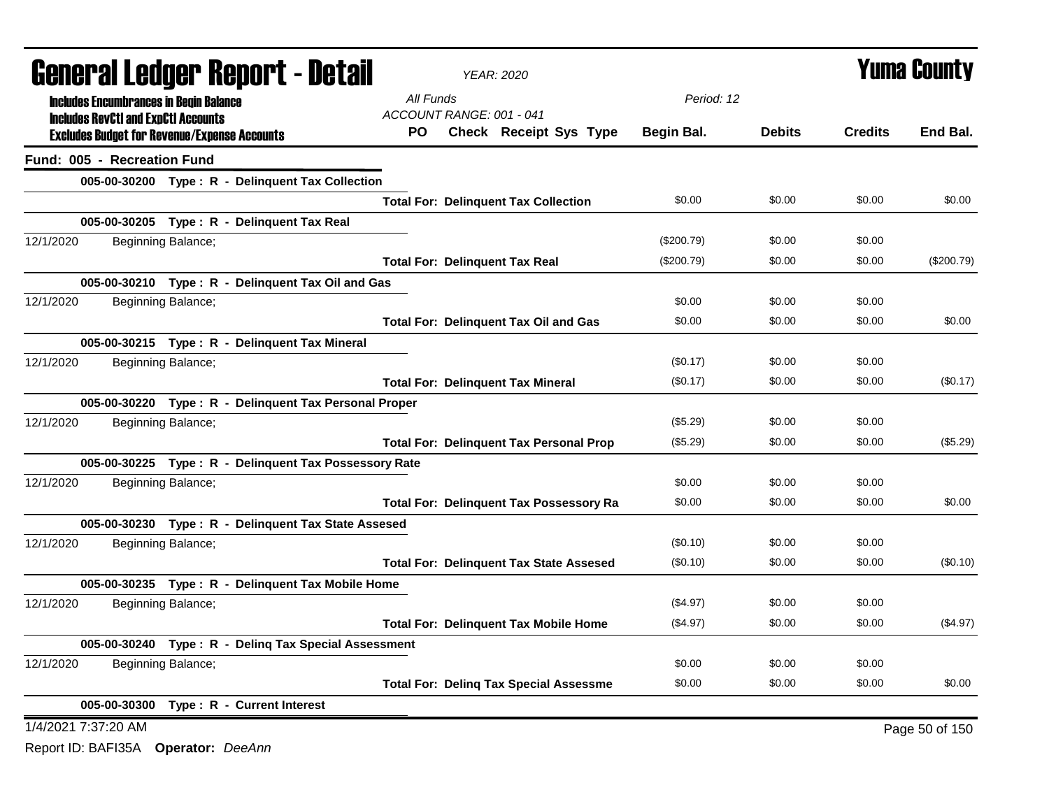| <b>General Ledger Report - Detail</b>                 | <b>YEAR: 2020</b>                              |              |               | <b>Yuma County</b> |                |
|-------------------------------------------------------|------------------------------------------------|--------------|---------------|--------------------|----------------|
| <b>Includes Encumbrances in Begin Balance</b>         | All Funds                                      | Period: 12   |               |                    |                |
| <b>Includes RevCtI and ExpCtI Accounts</b>            | ACCOUNT RANGE: 001 - 041                       |              |               |                    |                |
| <b>Excludes Budget for Revenue/Expense Accounts</b>   | PO.<br><b>Check Receipt Sys Type</b>           | Begin Bal.   | <b>Debits</b> | <b>Credits</b>     | End Bal.       |
| Fund: 005 - Recreation Fund                           |                                                |              |               |                    |                |
| 005-00-30200 Type: R - Delinquent Tax Collection      |                                                |              |               |                    |                |
|                                                       | <b>Total For: Delinquent Tax Collection</b>    | \$0.00       | \$0.00        | \$0.00             | \$0.00         |
| 005-00-30205 Type: R - Delinquent Tax Real            |                                                |              |               |                    |                |
| 12/1/2020<br>Beginning Balance;                       |                                                | (\$200.79)   | \$0.00        | \$0.00             |                |
|                                                       | <b>Total For: Delinquent Tax Real</b>          | $(\$200.79)$ | \$0.00        | \$0.00             | (\$200.79)     |
| 005-00-30210 Type: R - Delinguent Tax Oil and Gas     |                                                |              |               |                    |                |
| 12/1/2020<br>Beginning Balance;                       |                                                | \$0.00       | \$0.00        | \$0.00             |                |
|                                                       | <b>Total For: Delinquent Tax Oil and Gas</b>   | \$0.00       | \$0.00        | \$0.00             | \$0.00         |
| 005-00-30215 Type: R - Delinquent Tax Mineral         |                                                |              |               |                    |                |
| 12/1/2020<br>Beginning Balance;                       |                                                | (\$0.17)     | \$0.00        | \$0.00             |                |
|                                                       | <b>Total For: Delinquent Tax Mineral</b>       | (\$0.17)     | \$0.00        | \$0.00             | (\$0.17)       |
| 005-00-30220 Type: R - Delinquent Tax Personal Proper |                                                |              |               |                    |                |
| 12/1/2020<br>Beginning Balance;                       |                                                | (\$5.29)     | \$0.00        | \$0.00             |                |
|                                                       | <b>Total For: Delinquent Tax Personal Prop</b> | (\$5.29)     | \$0.00        | \$0.00             | (\$5.29)       |
| 005-00-30225 Type: R - Delinquent Tax Possessory Rate |                                                |              |               |                    |                |
| 12/1/2020<br>Beginning Balance;                       |                                                | \$0.00       | \$0.00        | \$0.00             |                |
|                                                       | <b>Total For: Delinquent Tax Possessory Ra</b> | \$0.00       | \$0.00        | \$0.00             | \$0.00         |
| 005-00-30230 Type: R - Delinquent Tax State Assesed   |                                                |              |               |                    |                |
| 12/1/2020<br>Beginning Balance;                       |                                                | (\$0.10)     | \$0.00        | \$0.00             |                |
|                                                       | <b>Total For: Delinquent Tax State Assesed</b> | (\$0.10)     | \$0.00        | \$0.00             | (\$0.10)       |
| 005-00-30235 Type: R - Delinquent Tax Mobile Home     |                                                |              |               |                    |                |
| 12/1/2020<br>Beginning Balance;                       |                                                | (\$4.97)     | \$0.00        | \$0.00             |                |
|                                                       | <b>Total For: Delinquent Tax Mobile Home</b>   | (\$4.97)     | \$0.00        | \$0.00             | (\$4.97)       |
| 005-00-30240 Type: R - Deling Tax Special Assessment  |                                                |              |               |                    |                |
| Beginning Balance;<br>12/1/2020                       |                                                | \$0.00       | \$0.00        | \$0.00             |                |
|                                                       | <b>Total For: Deling Tax Special Assessme</b>  | \$0.00       | \$0.00        | \$0.00             | \$0.00         |
| 005-00-30300 Type: R - Current Interest               |                                                |              |               |                    |                |
| 1/4/2021 7:37:20 AM                                   |                                                |              |               |                    | Page 50 of 150 |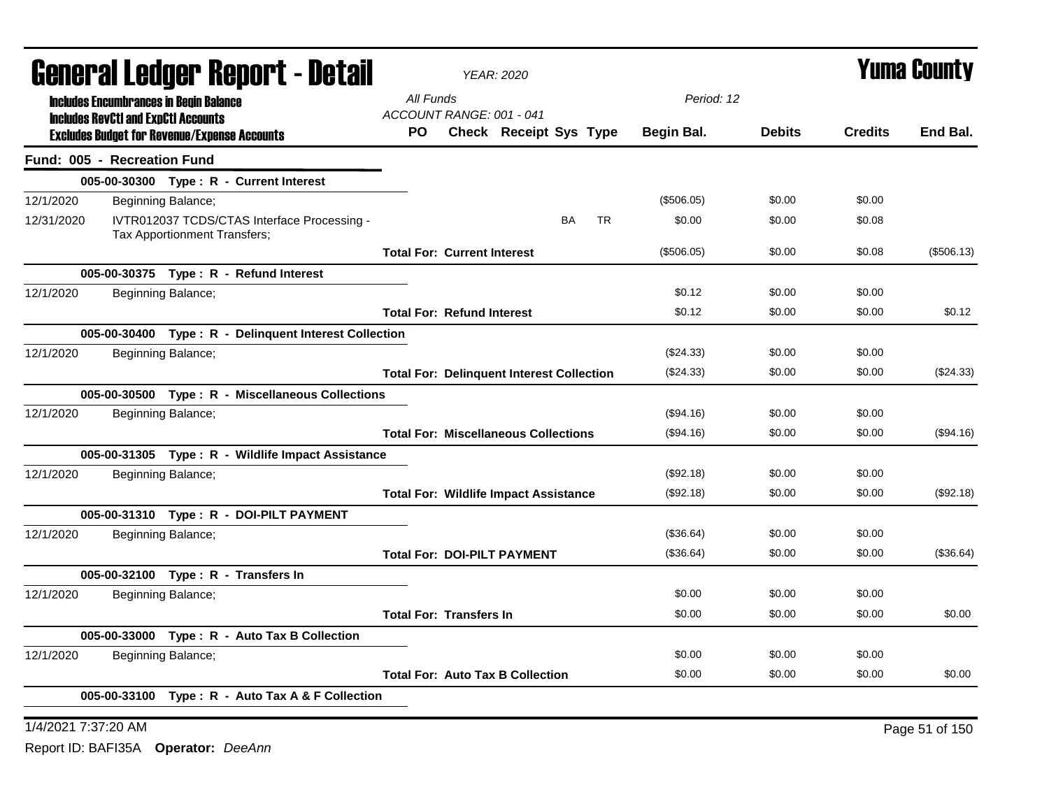| General Ledger Report - Detail |  |                                                                                                   |                                    | <b>YEAR: 2020</b>                            |                                                  | <b>Yuma County</b> |               |                |            |
|--------------------------------|--|---------------------------------------------------------------------------------------------------|------------------------------------|----------------------------------------------|--------------------------------------------------|--------------------|---------------|----------------|------------|
|                                |  | <b>Includes Encumbrances in Begin Balance</b>                                                     | All Funds                          |                                              |                                                  | Period: 12         |               |                |            |
|                                |  | <b>Includes RevCtI and ExpCtI Accounts</b><br><b>Excludes Budget for Revenue/Expense Accounts</b> | ACCOUNT RANGE: 001 - 041<br>PO.    |                                              | Check Receipt Sys Type                           | Begin Bal.         | <b>Debits</b> | <b>Credits</b> | End Bal.   |
| Fund: 005 - Recreation Fund    |  |                                                                                                   |                                    |                                              |                                                  |                    |               |                |            |
|                                |  | 005-00-30300 Type: R - Current Interest                                                           |                                    |                                              |                                                  |                    |               |                |            |
| 12/1/2020                      |  | Beginning Balance;                                                                                |                                    |                                              |                                                  | (\$506.05)         | \$0.00        | \$0.00         |            |
| 12/31/2020                     |  | IVTR012037 TCDS/CTAS Interface Processing -<br>Tax Apportionment Transfers;                       |                                    |                                              | <b>BA</b><br><b>TR</b>                           | \$0.00             | \$0.00        | \$0.08         |            |
|                                |  |                                                                                                   | <b>Total For: Current Interest</b> |                                              |                                                  | (\$506.05)         | \$0.00        | \$0.08         | (\$506.13) |
|                                |  | 005-00-30375 Type: R - Refund Interest                                                            |                                    |                                              |                                                  |                    |               |                |            |
| 12/1/2020                      |  | Beginning Balance;                                                                                |                                    |                                              |                                                  | \$0.12             | \$0.00        | \$0.00         |            |
|                                |  |                                                                                                   | <b>Total For: Refund Interest</b>  |                                              |                                                  | \$0.12             | \$0.00        | \$0.00         | \$0.12     |
|                                |  | 005-00-30400 Type: R - Delinquent Interest Collection                                             |                                    |                                              |                                                  |                    |               |                |            |
| 12/1/2020                      |  | Beginning Balance;                                                                                |                                    |                                              |                                                  | (\$24.33)          | \$0.00        | \$0.00         |            |
|                                |  |                                                                                                   |                                    |                                              | <b>Total For: Delinquent Interest Collection</b> | $(\$24.33)$        | \$0.00        | \$0.00         | (\$24.33)  |
|                                |  | 005-00-30500 Type: R - Miscellaneous Collections                                                  |                                    |                                              |                                                  |                    |               |                |            |
| 12/1/2020                      |  | Beginning Balance;                                                                                |                                    |                                              |                                                  | (\$94.16)          | \$0.00        | \$0.00         |            |
|                                |  |                                                                                                   |                                    | <b>Total For: Miscellaneous Collections</b>  |                                                  | (\$94.16)          | \$0.00        | \$0.00         | (\$94.16)  |
|                                |  | 005-00-31305 Type: R - Wildlife Impact Assistance                                                 |                                    |                                              |                                                  |                    |               |                |            |
| 12/1/2020                      |  | Beginning Balance;                                                                                |                                    |                                              |                                                  | (\$92.18)          | \$0.00        | \$0.00         |            |
|                                |  |                                                                                                   |                                    | <b>Total For: Wildlife Impact Assistance</b> |                                                  | (\$92.18)          | \$0.00        | \$0.00         | (\$92.18)  |
|                                |  | 005-00-31310 Type: R - DOI-PILT PAYMENT                                                           |                                    |                                              |                                                  |                    |               |                |            |
| 12/1/2020                      |  | Beginning Balance;                                                                                |                                    |                                              |                                                  | (\$36.64)          | \$0.00        | \$0.00         |            |
|                                |  |                                                                                                   |                                    | <b>Total For: DOI-PILT PAYMENT</b>           |                                                  | (\$36.64)          | \$0.00        | \$0.00         | (\$36.64)  |
|                                |  | 005-00-32100 Type: R - Transfers In                                                               |                                    |                                              |                                                  |                    |               |                |            |
| 12/1/2020                      |  | Beginning Balance;                                                                                |                                    |                                              |                                                  | \$0.00             | \$0.00        | \$0.00         |            |
|                                |  |                                                                                                   | <b>Total For: Transfers In</b>     |                                              |                                                  | \$0.00             | \$0.00        | \$0.00         | \$0.00     |
|                                |  | 005-00-33000 Type: R - Auto Tax B Collection                                                      |                                    |                                              |                                                  |                    |               |                |            |
| 12/1/2020                      |  | Beginning Balance;                                                                                |                                    |                                              |                                                  | \$0.00             | \$0.00        | \$0.00         |            |
|                                |  |                                                                                                   |                                    | <b>Total For: Auto Tax B Collection</b>      |                                                  | \$0.00             | \$0.00        | \$0.00         | \$0.00     |
|                                |  | 005-00-33100 Type: R - Auto Tax A & F Collection                                                  |                                    |                                              |                                                  |                    |               |                |            |
|                                |  |                                                                                                   |                                    |                                              |                                                  |                    |               |                |            |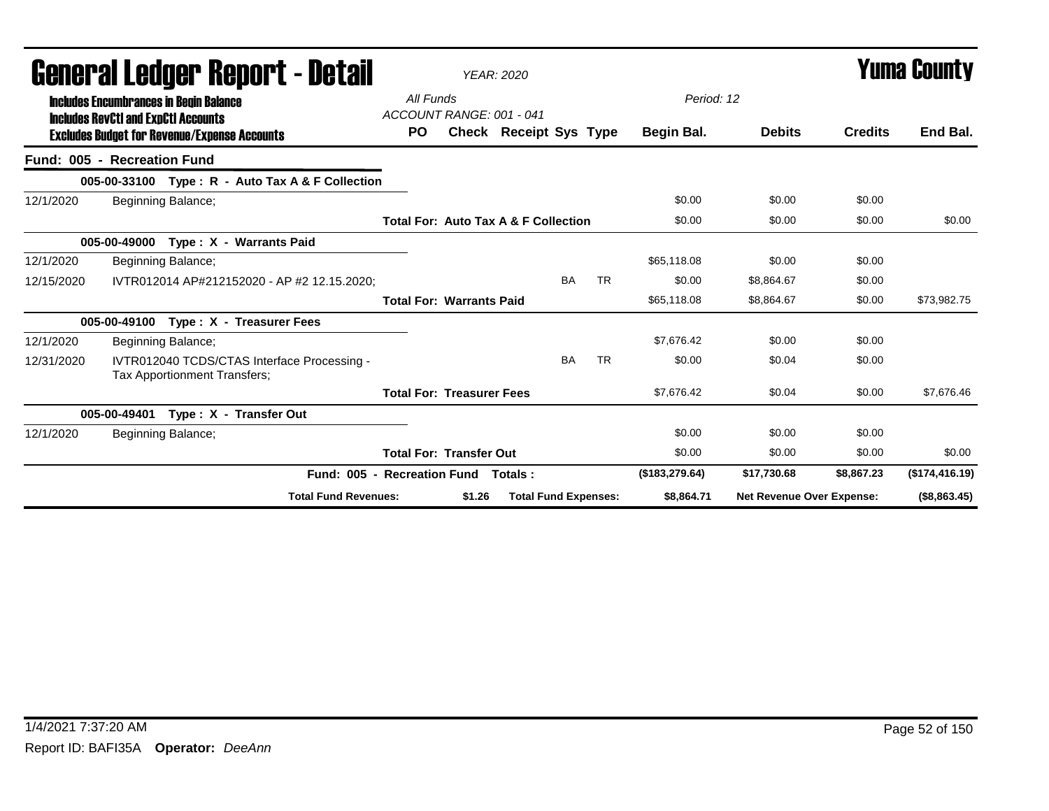| <b>General Ledger Report - Detail</b> |                                                                                             |           | <b>YEAR: 2020</b>                |                                                 |           |           |                |                                  | <b>Yuma County</b> |                |
|---------------------------------------|---------------------------------------------------------------------------------------------|-----------|----------------------------------|-------------------------------------------------|-----------|-----------|----------------|----------------------------------|--------------------|----------------|
|                                       | <b>Includes Encumbrances in Begin Balance</b><br><b>Includes RevCtI and ExpCtI Accounts</b> | All Funds | ACCOUNT RANGE: 001 - 041         |                                                 |           |           | Period: 12     |                                  |                    |                |
|                                       | <b>Excludes Budget for Revenue/Expense Accounts</b>                                         | <b>PO</b> |                                  | <b>Check Receipt Sys Type</b>                   |           |           | Begin Bal.     | <b>Debits</b>                    | <b>Credits</b>     | End Bal.       |
|                                       | Fund: 005 - Recreation Fund                                                                 |           |                                  |                                                 |           |           |                |                                  |                    |                |
|                                       | 005-00-33100 Type: R - Auto Tax A & F Collection                                            |           |                                  |                                                 |           |           |                |                                  |                    |                |
| 12/1/2020                             | Beginning Balance;                                                                          |           |                                  |                                                 |           |           | \$0.00         | \$0.00                           | \$0.00             |                |
|                                       |                                                                                             |           |                                  | <b>Total For: Auto Tax A &amp; F Collection</b> |           |           | \$0.00         | \$0.00                           | \$0.00             | \$0.00         |
|                                       | Type: X - Warrants Paid<br>005-00-49000                                                     |           |                                  |                                                 |           |           |                |                                  |                    |                |
| 12/1/2020                             | Beginning Balance;                                                                          |           |                                  |                                                 |           |           | \$65,118,08    | \$0.00                           | \$0.00             |                |
| 12/15/2020                            | IVTR012014 AP#212152020 - AP #2 12.15.2020:                                                 |           |                                  |                                                 | <b>BA</b> | <b>TR</b> | \$0.00         | \$8,864.67                       | \$0.00             |                |
|                                       |                                                                                             |           | <b>Total For: Warrants Paid</b>  |                                                 |           |           | \$65,118.08    | \$8.864.67                       | \$0.00             | \$73.982.75    |
|                                       | Type: X - Treasurer Fees<br>005-00-49100                                                    |           |                                  |                                                 |           |           |                |                                  |                    |                |
| 12/1/2020                             | Beginning Balance;                                                                          |           |                                  |                                                 |           |           | \$7,676.42     | \$0.00                           | \$0.00             |                |
| 12/31/2020                            | IVTR012040 TCDS/CTAS Interface Processing -<br>Tax Apportionment Transfers;                 |           |                                  |                                                 | <b>BA</b> | <b>TR</b> | \$0.00         | \$0.04                           | \$0.00             |                |
|                                       |                                                                                             |           | <b>Total For: Treasurer Fees</b> |                                                 |           |           | \$7,676.42     | \$0.04                           | \$0.00             | \$7,676.46     |
|                                       | Type: X - Transfer Out<br>005-00-49401                                                      |           |                                  |                                                 |           |           |                |                                  |                    |                |
| 12/1/2020                             | Beginning Balance;                                                                          |           |                                  |                                                 |           |           | \$0.00         | \$0.00                           | \$0.00             |                |
|                                       |                                                                                             |           | <b>Total For: Transfer Out</b>   |                                                 |           |           | \$0.00         | \$0.00                           | \$0.00             | \$0.00         |
|                                       | Fund: 005 - Recreation Fund                                                                 |           |                                  | Totals:                                         |           |           | (\$183,279.64) | \$17,730.68                      | \$8,867.23         | (\$174,416.19) |
|                                       | <b>Total Fund Revenues:</b>                                                                 |           | \$1.26                           | <b>Total Fund Expenses:</b>                     |           |           | \$8,864.71     | <b>Net Revenue Over Expense:</b> |                    | (\$8,863.45)   |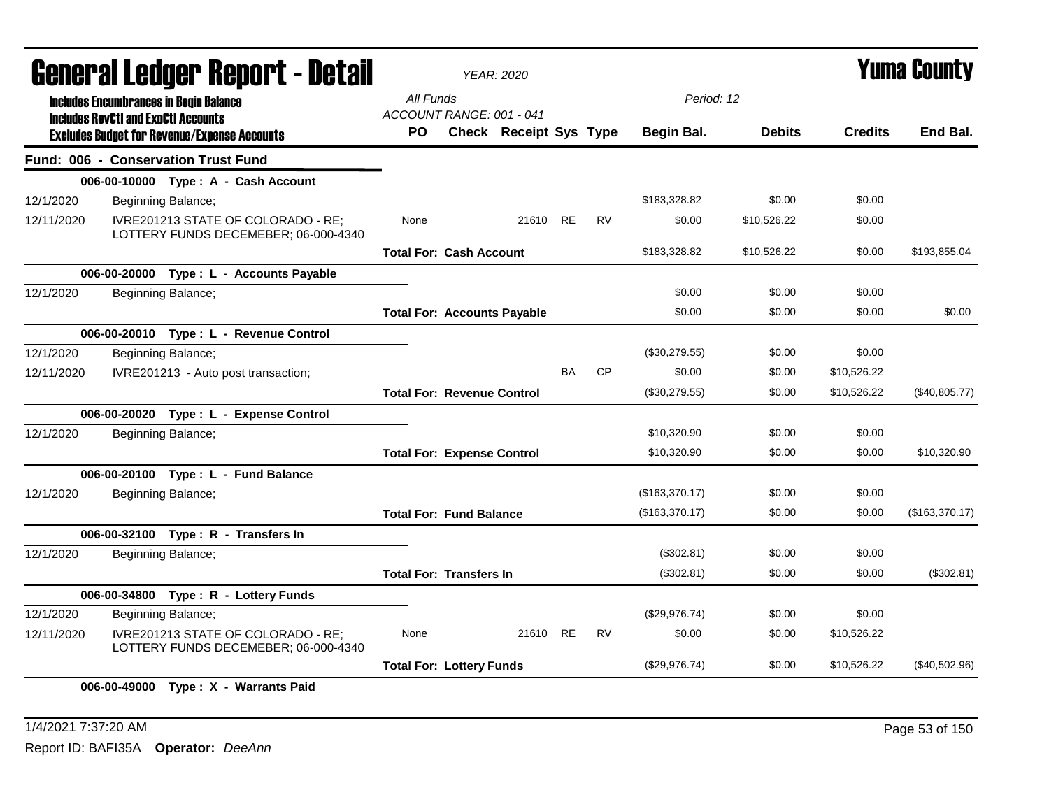| General Ledger Report - Detail |                                            |                                                                            |                                       | <b>YEAR: 2020</b>             |           |           |                |               |                | <b>Yuma County</b> |
|--------------------------------|--------------------------------------------|----------------------------------------------------------------------------|---------------------------------------|-------------------------------|-----------|-----------|----------------|---------------|----------------|--------------------|
|                                |                                            | <b>Includes Encumbrances in Begin Balance</b>                              | All Funds                             |                               |           |           | Period: 12     |               |                |                    |
|                                | <b>Includes RevCtI and ExpCtI Accounts</b> | <b>Excludes Budget for Revenue/Expense Accounts</b>                        | ACCOUNT RANGE: 001 - 041<br><b>PO</b> | <b>Check Receipt Sys Type</b> |           |           | Begin Bal.     | <b>Debits</b> | <b>Credits</b> | End Bal.           |
|                                |                                            | Fund: 006 - Conservation Trust Fund                                        |                                       |                               |           |           |                |               |                |                    |
|                                |                                            | 006-00-10000 Type: A - Cash Account                                        |                                       |                               |           |           |                |               |                |                    |
| 12/1/2020                      |                                            | Beginning Balance;                                                         |                                       |                               |           |           | \$183,328.82   | \$0.00        | \$0.00         |                    |
| 12/11/2020                     |                                            | IVRE201213 STATE OF COLORADO - RE;<br>LOTTERY FUNDS DECEMEBER; 06-000-4340 | None                                  | 21610 RE                      |           | <b>RV</b> | \$0.00         | \$10,526.22   | \$0.00         |                    |
|                                |                                            |                                                                            | <b>Total For: Cash Account</b>        |                               |           |           | \$183,328.82   | \$10,526.22   | \$0.00         | \$193.855.04       |
|                                |                                            | 006-00-20000 Type : L - Accounts Payable                                   |                                       |                               |           |           |                |               |                |                    |
| 12/1/2020                      |                                            | Beginning Balance;                                                         |                                       |                               |           |           | \$0.00         | \$0.00        | \$0.00         |                    |
|                                |                                            |                                                                            | <b>Total For: Accounts Payable</b>    |                               |           |           | \$0.00         | \$0.00        | \$0.00         | \$0.00             |
|                                |                                            | 006-00-20010 Type: L - Revenue Control                                     |                                       |                               |           |           |                |               |                |                    |
| 12/1/2020                      |                                            | Beginning Balance;                                                         |                                       |                               |           |           | (\$30,279.55)  | \$0.00        | \$0.00         |                    |
| 12/11/2020                     |                                            | IVRE201213 - Auto post transaction;                                        |                                       |                               | <b>BA</b> | CP        | \$0.00         | \$0.00        | \$10,526.22    |                    |
|                                |                                            |                                                                            | <b>Total For: Revenue Control</b>     |                               |           |           | (\$30,279.55)  | \$0.00        | \$10,526.22    | (\$40,805.77)      |
|                                |                                            | 006-00-20020 Type: L - Expense Control                                     |                                       |                               |           |           |                |               |                |                    |
| 12/1/2020                      |                                            | Beginning Balance;                                                         |                                       |                               |           |           | \$10,320.90    | \$0.00        | \$0.00         |                    |
|                                |                                            |                                                                            | <b>Total For: Expense Control</b>     |                               |           |           | \$10,320.90    | \$0.00        | \$0.00         | \$10,320.90        |
|                                |                                            | 006-00-20100 Type: L - Fund Balance                                        |                                       |                               |           |           |                |               |                |                    |
| 12/1/2020                      |                                            | Beginning Balance;                                                         |                                       |                               |           |           | (\$163,370.17) | \$0.00        | \$0.00         |                    |
|                                |                                            |                                                                            | <b>Total For: Fund Balance</b>        |                               |           |           | (\$163,370.17) | \$0.00        | \$0.00         | (\$163,370.17)     |
|                                |                                            | 006-00-32100 Type: R - Transfers In                                        |                                       |                               |           |           |                |               |                |                    |
| 12/1/2020                      |                                            | Beginning Balance;                                                         |                                       |                               |           |           | (\$302.81)     | \$0.00        | \$0.00         |                    |
|                                |                                            |                                                                            | <b>Total For: Transfers In</b>        |                               |           |           | (\$302.81)     | \$0.00        | \$0.00         | (\$302.81)         |
|                                |                                            | 006-00-34800 Type: R - Lottery Funds                                       |                                       |                               |           |           |                |               |                |                    |
| 12/1/2020                      |                                            | Beginning Balance;                                                         |                                       |                               |           |           | (\$29,976.74)  | \$0.00        | \$0.00         |                    |
| 12/11/2020                     |                                            | IVRE201213 STATE OF COLORADO - RE;<br>LOTTERY FUNDS DECEMEBER; 06-000-4340 | None                                  | 21610 RE                      |           | <b>RV</b> | \$0.00         | \$0.00        | \$10,526.22    |                    |
|                                |                                            |                                                                            | <b>Total For: Lottery Funds</b>       |                               |           |           | (\$29,976.74)  | \$0.00        | \$10,526.22    | $(\$40,502.96)$    |
|                                |                                            | 006-00-49000 Type: X - Warrants Paid                                       |                                       |                               |           |           |                |               |                |                    |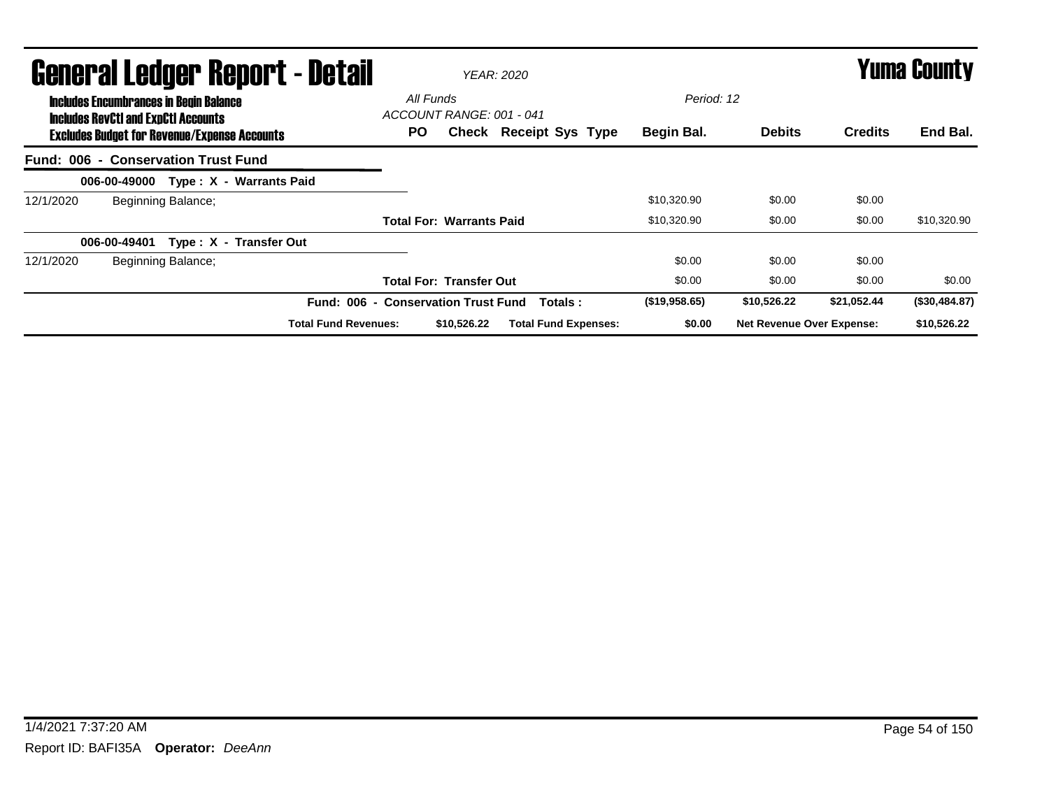| <b>General Ledger Report - Detail</b><br><b>Includes Encumbrances in Begin Balance</b> |                                            |                                                     |                             |                                              | <b>YEAR: 2020</b> | <b>Yuma County</b>            |                          |                                  |                |               |
|----------------------------------------------------------------------------------------|--------------------------------------------|-----------------------------------------------------|-----------------------------|----------------------------------------------|-------------------|-------------------------------|--------------------------|----------------------------------|----------------|---------------|
|                                                                                        | <b>Includes RevCtI and ExpCtI Accounts</b> | <b>Excludes Budget for Revenue/Expense Accounts</b> |                             | All Funds<br>ACCOUNT RANGE: 001 - 041<br>PO. |                   | <b>Check Receipt Sys Type</b> | Period: 12<br>Begin Bal. | <b>Debits</b>                    | <b>Credits</b> | End Bal.      |
|                                                                                        |                                            | Fund: 006 - Conservation Trust Fund                 |                             |                                              |                   |                               |                          |                                  |                |               |
|                                                                                        | 006-00-49000                               |                                                     | Type: X - Warrants Paid     |                                              |                   |                               |                          |                                  |                |               |
| 12/1/2020                                                                              |                                            | Beginning Balance;                                  |                             |                                              |                   |                               | \$10,320.90              | \$0.00                           | \$0.00         |               |
|                                                                                        |                                            |                                                     |                             | <b>Total For: Warrants Paid</b>              |                   |                               | \$10,320.90              | \$0.00                           | \$0.00         | \$10,320.90   |
|                                                                                        | 006-00-49401                               | Type: X - Transfer Out                              |                             |                                              |                   |                               |                          |                                  |                |               |
| 12/1/2020                                                                              |                                            | Beginning Balance;                                  |                             |                                              |                   |                               | \$0.00                   | \$0.00                           | \$0.00         |               |
|                                                                                        |                                            |                                                     |                             | <b>Total For: Transfer Out</b>               |                   |                               | \$0.00                   | \$0.00                           | \$0.00         | \$0.00        |
|                                                                                        |                                            |                                                     | <b>Fund: 006</b><br>$\sim$  | <b>Conservation Trust Fund</b>               |                   | Totals:                       | (\$19,958.65)            | \$10,526.22                      | \$21,052.44    | (\$30,484.87) |
|                                                                                        |                                            |                                                     | <b>Total Fund Revenues:</b> |                                              | \$10,526.22       | <b>Total Fund Expenses:</b>   | \$0.00                   | <b>Net Revenue Over Expense:</b> |                | \$10,526.22   |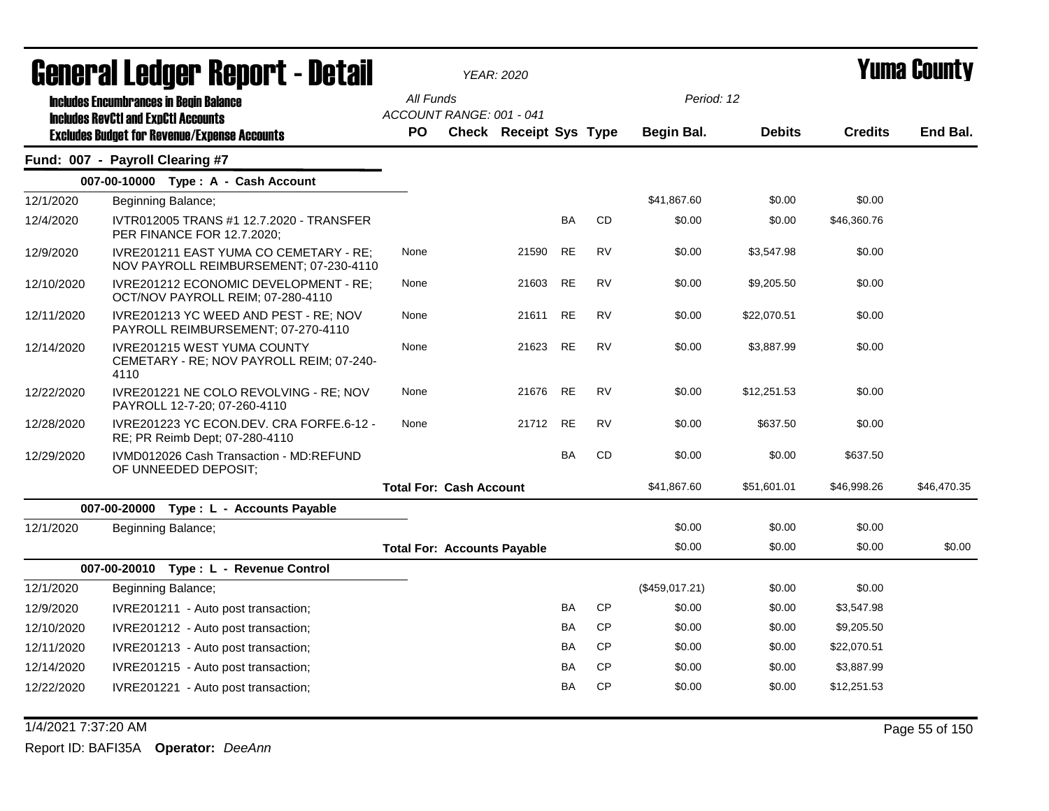|            | General Ledger Report - Detail                                                         |                                    | <b>YEAR: 2020</b>             |           |           | Yuma County    |               |                |             |
|------------|----------------------------------------------------------------------------------------|------------------------------------|-------------------------------|-----------|-----------|----------------|---------------|----------------|-------------|
|            | <b>Includes Encumbrances in Begin Balance</b>                                          | All Funds                          |                               |           |           | Period: 12     |               |                |             |
|            | <b>Includes RevCtI and ExpCtI Accounts</b>                                             | ACCOUNT RANGE: 001 - 041           |                               |           |           |                |               |                |             |
|            | <b>Excludes Budget for Revenue/Expense Accounts</b>                                    | <b>PO</b>                          | <b>Check Receipt Sys Type</b> |           |           | Begin Bal.     | <b>Debits</b> | <b>Credits</b> | End Bal.    |
|            | Fund: 007 - Payroll Clearing #7                                                        |                                    |                               |           |           |                |               |                |             |
|            | 007-00-10000 Type: A - Cash Account                                                    |                                    |                               |           |           |                |               |                |             |
| 12/1/2020  | Beginning Balance;                                                                     |                                    |                               |           |           | \$41.867.60    | \$0.00        | \$0.00         |             |
| 12/4/2020  | IVTR012005 TRANS #1 12.7.2020 - TRANSFER<br>PER FINANCE FOR 12.7.2020;                 |                                    |                               | <b>BA</b> | CD        | \$0.00         | \$0.00        | \$46,360.76    |             |
| 12/9/2020  | IVRE201211 EAST YUMA CO CEMETARY - RE:<br>NOV PAYROLL REIMBURSEMENT; 07-230-4110       | None                               | 21590                         | <b>RE</b> | <b>RV</b> | \$0.00         | \$3,547.98    | \$0.00         |             |
| 12/10/2020 | IVRE201212 ECONOMIC DEVELOPMENT - RE;<br>OCT/NOV PAYROLL REIM; 07-280-4110             | None                               | 21603                         | <b>RE</b> | <b>RV</b> | \$0.00         | \$9,205.50    | \$0.00         |             |
| 12/11/2020 | IVRE201213 YC WEED AND PEST - RE; NOV<br>PAYROLL REIMBURSEMENT; 07-270-4110            | None                               | 21611                         | RE        | <b>RV</b> | \$0.00         | \$22,070.51   | \$0.00         |             |
| 12/14/2020 | <b>IVRE201215 WEST YUMA COUNTY</b><br>CEMETARY - RE; NOV PAYROLL REIM; 07-240-<br>4110 | None                               | 21623                         | <b>RE</b> | <b>RV</b> | \$0.00         | \$3,887.99    | \$0.00         |             |
| 12/22/2020 | IVRE201221 NE COLO REVOLVING - RE; NOV<br>PAYROLL 12-7-20; 07-260-4110                 | None                               | 21676                         | RE        | <b>RV</b> | \$0.00         | \$12,251.53   | \$0.00         |             |
| 12/28/2020 | IVRE201223 YC ECON.DEV. CRA FORFE.6-12 -<br>RE; PR Reimb Dept; 07-280-4110             | None                               | 21712                         | <b>RE</b> | <b>RV</b> | \$0.00         | \$637.50      | \$0.00         |             |
| 12/29/2020 | IVMD012026 Cash Transaction - MD:REFUND<br>OF UNNEEDED DEPOSIT;                        |                                    |                               | <b>BA</b> | CD        | \$0.00         | \$0.00        | \$637.50       |             |
|            |                                                                                        | <b>Total For: Cash Account</b>     |                               |           |           | \$41,867.60    | \$51,601.01   | \$46,998.26    | \$46,470.35 |
|            | 007-00-20000 Type : L - Accounts Payable                                               |                                    |                               |           |           |                |               |                |             |
| 12/1/2020  | Beginning Balance;                                                                     |                                    |                               |           |           | \$0.00         | \$0.00        | \$0.00         |             |
|            |                                                                                        | <b>Total For: Accounts Payable</b> |                               |           |           | \$0.00         | \$0.00        | \$0.00         | \$0.00      |
|            | 007-00-20010 Type: L - Revenue Control                                                 |                                    |                               |           |           |                |               |                |             |
| 12/1/2020  | Beginning Balance;                                                                     |                                    |                               |           |           | (\$459,017.21) | \$0.00        | \$0.00         |             |
| 12/9/2020  | IVRE201211 - Auto post transaction;                                                    |                                    |                               | <b>BA</b> | <b>CP</b> | \$0.00         | \$0.00        | \$3,547.98     |             |
| 12/10/2020 | IVRE201212 - Auto post transaction;                                                    |                                    |                               | <b>BA</b> | <b>CP</b> | \$0.00         | \$0.00        | \$9,205.50     |             |
| 12/11/2020 | IVRE201213 - Auto post transaction;                                                    |                                    |                               | <b>BA</b> | CP        | \$0.00         | \$0.00        | \$22,070.51    |             |
| 12/14/2020 | IVRE201215 - Auto post transaction;                                                    |                                    |                               | <b>BA</b> | <b>CP</b> | \$0.00         | \$0.00        | \$3,887.99     |             |
| 12/22/2020 | IVRE201221 - Auto post transaction;                                                    |                                    |                               | <b>BA</b> | <b>CP</b> | \$0.00         | \$0.00        | \$12,251.53    |             |

## 1/4/2021 7:37:20 AM Page 55 of 150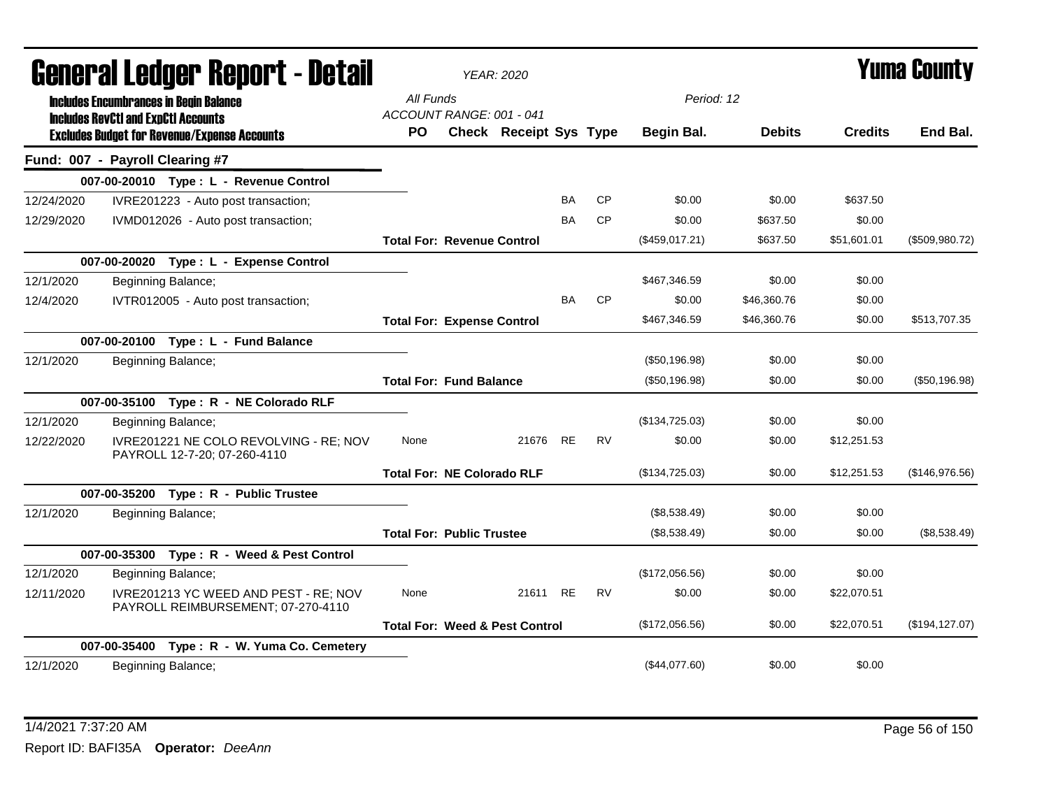| <u>arımı, qı fanyal. urbnı. f - dafan</u> |                                            |                                                                             | <b>YEAR: 2020</b>                     |                                           | T UIIIA GUUIILY |           |                |               |                |                 |
|-------------------------------------------|--------------------------------------------|-----------------------------------------------------------------------------|---------------------------------------|-------------------------------------------|-----------------|-----------|----------------|---------------|----------------|-----------------|
|                                           |                                            | <b>Includes Encumbrances in Begin Balance</b>                               | All Funds                             |                                           |                 |           | Period: 12     |               |                |                 |
|                                           | <b>Includes RevCtI and ExpCtI Accounts</b> | <b>Excludes Budget for Revenue/Expense Accounts</b>                         | ACCOUNT RANGE: 001 - 041<br><b>PO</b> | Check Receipt Sys Type                    |                 |           | Begin Bal.     | <b>Debits</b> | <b>Credits</b> | End Bal.        |
| Fund: 007 - Payroll Clearing #7           |                                            |                                                                             |                                       |                                           |                 |           |                |               |                |                 |
|                                           |                                            | 007-00-20010 Type: L - Revenue Control                                      |                                       |                                           |                 |           |                |               |                |                 |
| 12/24/2020                                |                                            | IVRE201223 - Auto post transaction;                                         |                                       |                                           | <b>BA</b>       | <b>CP</b> | \$0.00         | \$0.00        | \$637.50       |                 |
| 12/29/2020                                |                                            | IVMD012026 - Auto post transaction;                                         |                                       |                                           | BA              | <b>CP</b> | \$0.00         | \$637.50      | \$0.00         |                 |
|                                           |                                            |                                                                             | <b>Total For: Revenue Control</b>     |                                           |                 |           | (\$459,017.21) | \$637.50      | \$51,601.01    | (\$509,980.72)  |
|                                           |                                            | 007-00-20020 Type: L - Expense Control                                      |                                       |                                           |                 |           |                |               |                |                 |
| 12/1/2020                                 |                                            | Beginning Balance;                                                          |                                       |                                           |                 |           | \$467,346.59   | \$0.00        | \$0.00         |                 |
| 12/4/2020                                 |                                            | IVTR012005 - Auto post transaction;                                         |                                       |                                           | BA              | <b>CP</b> | \$0.00         | \$46,360.76   | \$0.00         |                 |
|                                           |                                            |                                                                             | <b>Total For: Expense Control</b>     |                                           |                 |           | \$467,346.59   | \$46,360.76   | \$0.00         | \$513,707.35    |
|                                           |                                            | 007-00-20100 Type: L - Fund Balance                                         |                                       |                                           |                 |           |                |               |                |                 |
| 12/1/2020                                 |                                            | Beginning Balance;                                                          |                                       |                                           |                 |           | (\$50,196.98)  | \$0.00        | \$0.00         |                 |
|                                           |                                            |                                                                             | <b>Total For: Fund Balance</b>        |                                           |                 |           | (\$50,196.98)  | \$0.00        | \$0.00         | (\$50,196.98)   |
|                                           |                                            | 007-00-35100 Type: R - NE Colorado RLF                                      |                                       |                                           |                 |           |                |               |                |                 |
| 12/1/2020                                 |                                            | Beginning Balance;                                                          |                                       |                                           |                 |           | (\$134,725.03) | \$0.00        | \$0.00         |                 |
| 12/22/2020                                |                                            | IVRE201221 NE COLO REVOLVING - RE; NOV<br>PAYROLL 12-7-20; 07-260-4110      | None                                  | 21676 RE                                  |                 | <b>RV</b> | \$0.00         | \$0.00        | \$12,251.53    |                 |
|                                           |                                            |                                                                             | <b>Total For: NE Colorado RLF</b>     |                                           |                 |           | (\$134,725.03) | \$0.00        | \$12,251.53    | (\$146,976.56)  |
|                                           |                                            | 007-00-35200 Type: R - Public Trustee                                       |                                       |                                           |                 |           |                |               |                |                 |
| 12/1/2020                                 |                                            | Beginning Balance;                                                          |                                       |                                           |                 |           | (\$8,538.49)   | \$0.00        | \$0.00         |                 |
|                                           |                                            |                                                                             | <b>Total For: Public Trustee</b>      |                                           |                 |           | (\$8,538.49)   | \$0.00        | \$0.00         | (\$8,538.49)    |
|                                           |                                            | 007-00-35300 Type: R - Weed & Pest Control                                  |                                       |                                           |                 |           |                |               |                |                 |
| 12/1/2020                                 |                                            | Beginning Balance;                                                          |                                       |                                           |                 |           | (\$172,056.56) | \$0.00        | \$0.00         |                 |
| 12/11/2020                                |                                            | IVRE201213 YC WEED AND PEST - RE; NOV<br>PAYROLL REIMBURSEMENT; 07-270-4110 | None                                  | 21611 RE                                  |                 | <b>RV</b> | \$0.00         | \$0.00        | \$22,070.51    |                 |
|                                           |                                            |                                                                             |                                       | <b>Total For: Weed &amp; Pest Control</b> |                 |           | (\$172,056.56) | \$0.00        | \$22,070.51    | (\$194, 127.07) |
|                                           |                                            | 007-00-35400 Type: R - W. Yuma Co. Cemetery                                 |                                       |                                           |                 |           |                |               |                |                 |
| 12/1/2020                                 |                                            | Beginning Balance;                                                          |                                       |                                           |                 |           | (\$44,077.60)  | \$0.00        | \$0.00         |                 |

# General Ledger Report - Detail *YEAR: 2020* Yuma County

1/4/2021 7:37:20 AM Page 56 of 150 Report ID: BAFI35A **Operator:** *DeeAnn*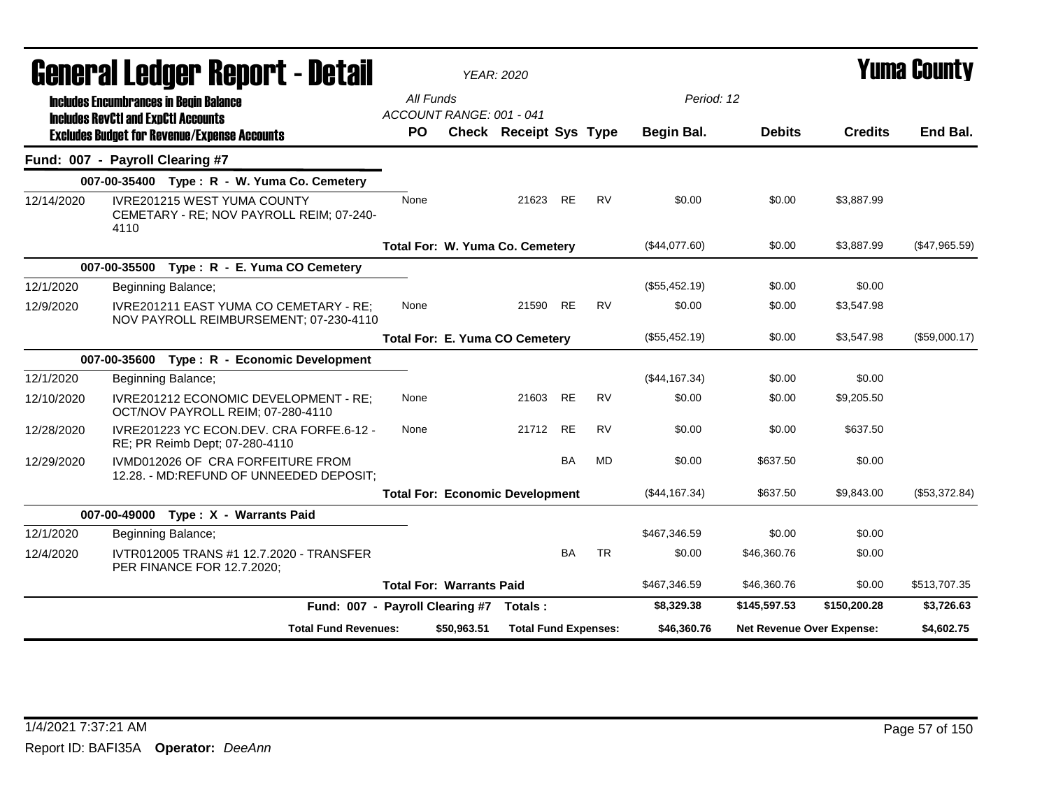|            |                                                                                                                               |                                       | <b>YEAR: 2020</b>           |                                        |           |             |                           | Yuma County   |                |               |
|------------|-------------------------------------------------------------------------------------------------------------------------------|---------------------------------------|-----------------------------|----------------------------------------|-----------|-------------|---------------------------|---------------|----------------|---------------|
|            | General Ledger Report - Detail<br><b>Includes Encumbrances in Begin Balance</b><br><b>Includes RevCtI and ExpCtI Accounts</b> | All Funds<br>ACCOUNT RANGE: 001 - 041 |                             |                                        |           |             | Period: 12                |               |                |               |
|            | <b>Excludes Budget for Revenue/Expense Accounts</b>                                                                           | <b>PO</b>                             |                             | Check Receipt Sys Type                 |           |             | Begin Bal.                | <b>Debits</b> | <b>Credits</b> | End Bal.      |
|            | Fund: 007 - Payroll Clearing #7                                                                                               |                                       |                             |                                        |           |             |                           |               |                |               |
|            | 007-00-35400 Type: R - W. Yuma Co. Cemetery                                                                                   |                                       |                             |                                        |           |             |                           |               |                |               |
| 12/14/2020 | IVRE201215 WEST YUMA COUNTY<br>CEMETARY - RE; NOV PAYROLL REIM; 07-240-<br>4110                                               | None                                  |                             | 21623 RE                               |           | <b>RV</b>   | \$0.00                    | \$0.00        | \$3.887.99     |               |
|            |                                                                                                                               |                                       |                             | Total For: W. Yuma Co. Cemetery        |           |             | (\$44,077.60)             | \$0.00        | \$3,887.99     | (\$47,965.59) |
|            | 007-00-35500 Type: R - E. Yuma CO Cemetery                                                                                    |                                       |                             |                                        |           |             |                           |               |                |               |
| 12/1/2020  | Beginning Balance;                                                                                                            |                                       |                             |                                        |           |             | (\$55,452.19)             | \$0.00        | \$0.00         |               |
| 12/9/2020  | IVRE201211 EAST YUMA CO CEMETARY - RE;<br>NOV PAYROLL REIMBURSEMENT; 07-230-4110                                              | None                                  |                             | 21590                                  | <b>RE</b> | <b>RV</b>   | \$0.00                    | \$0.00        | \$3,547.98     |               |
|            |                                                                                                                               |                                       |                             | <b>Total For: E. Yuma CO Cemetery</b>  |           |             | (\$55,452.19)             | \$0.00        | \$3,547.98     | (\$59,000.17) |
|            | Type: R - Economic Development<br>007-00-35600                                                                                |                                       |                             |                                        |           |             |                           |               |                |               |
| 12/1/2020  | Beginning Balance;                                                                                                            |                                       |                             |                                        |           |             | (\$44,167.34)             | \$0.00        | \$0.00         |               |
| 12/10/2020 | IVRE201212 ECONOMIC DEVELOPMENT - RE:<br>OCT/NOV PAYROLL REIM; 07-280-4110                                                    | None                                  |                             | 21603                                  | <b>RE</b> | <b>RV</b>   | \$0.00                    | \$0.00        | \$9.205.50     |               |
| 12/28/2020 | IVRE201223 YC ECON.DEV. CRA FORFE.6-12 -<br>RE; PR Reimb Dept; 07-280-4110                                                    | None                                  |                             | 21712                                  | <b>RE</b> | <b>RV</b>   | \$0.00                    | \$0.00        | \$637.50       |               |
| 12/29/2020 | IVMD012026 OF CRA FORFEITURE FROM<br>12.28. - MD:REFUND OF UNNEEDED DEPOSIT;                                                  |                                       |                             |                                        | BA        | MD          | \$0.00                    | \$637.50      | \$0.00         |               |
|            |                                                                                                                               |                                       |                             | <b>Total For: Economic Development</b> |           |             | (\$44,167.34)             | \$637.50      | \$9,843.00     | (\$53,372.84) |
|            | 007-00-49000<br>Type: X - Warrants Paid                                                                                       |                                       |                             |                                        |           |             |                           |               |                |               |
| 12/1/2020  | Beginning Balance;                                                                                                            |                                       |                             |                                        |           |             | \$467,346.59              | \$0.00        | \$0.00         |               |
| 12/4/2020  | IVTR012005 TRANS #1 12.7.2020 - TRANSFER<br>PER FINANCE FOR 12.7.2020;                                                        |                                       |                             |                                        | <b>BA</b> | <b>TR</b>   | \$0.00                    | \$46,360.76   | \$0.00         |               |
|            |                                                                                                                               | <b>Total For: Warrants Paid</b>       |                             |                                        |           |             | \$467,346.59              | \$46,360.76   | \$0.00         | \$513,707.35  |
|            | Fund: 007 - Payroll Clearing #7                                                                                               |                                       |                             | Totals:                                |           |             | \$8,329.38                | \$145,597.53  | \$150,200.28   | \$3,726.63    |
|            | <b>Total Fund Revenues:</b>                                                                                                   | \$50,963.51                           | <b>Total Fund Expenses:</b> |                                        |           | \$46,360.76 | Net Revenue Over Expense: |               | \$4,602.75     |               |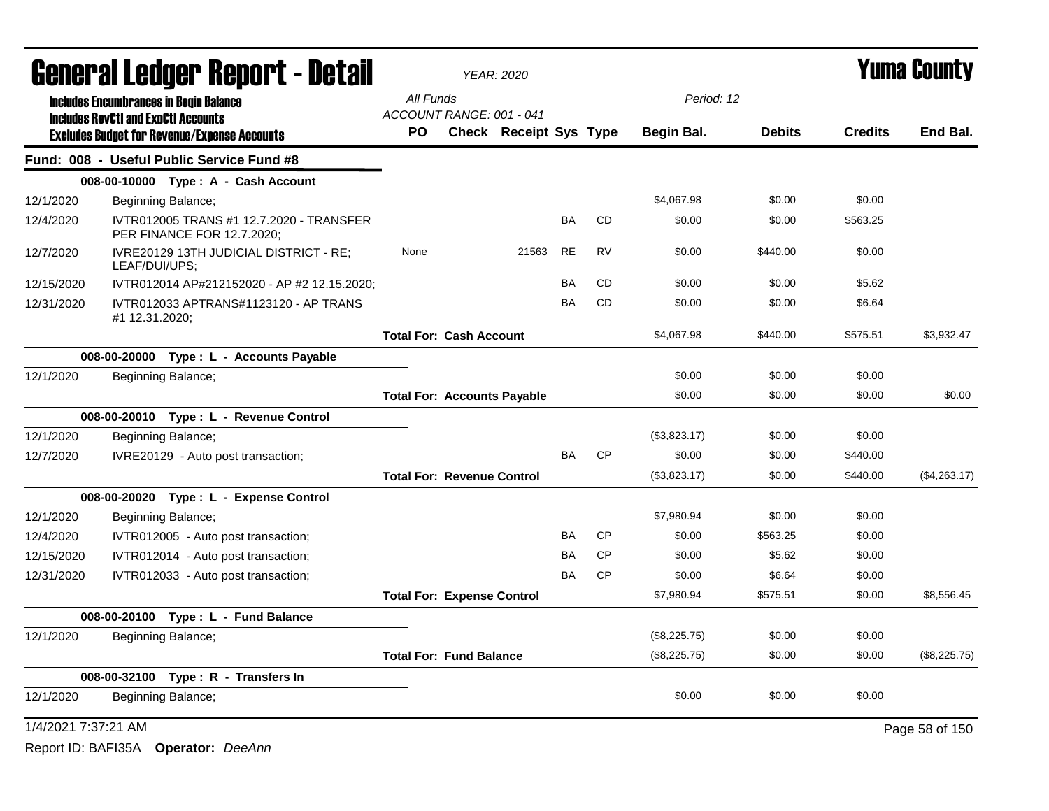|                     | General Ledger Report - Detail                                         |                                    | <b>YEAR: 2020</b> |                               | <b>Yuma County</b> |           |              |               |                |                |
|---------------------|------------------------------------------------------------------------|------------------------------------|-------------------|-------------------------------|--------------------|-----------|--------------|---------------|----------------|----------------|
|                     | <b>Includes Encumbrances in Begin Balance</b>                          | All Funds                          |                   |                               |                    |           | Period: 12   |               |                |                |
|                     | <b>Includes RevCtI and ExpCtI Accounts</b>                             | ACCOUNT RANGE: 001 - 041           |                   |                               |                    |           |              |               |                |                |
|                     | <b>Excludes Budget for Revenue/Expense Accounts</b>                    | PO                                 |                   | <b>Check Receipt Sys Type</b> |                    |           | Begin Bal.   | <b>Debits</b> | <b>Credits</b> | End Bal.       |
|                     | Fund: 008 - Useful Public Service Fund #8                              |                                    |                   |                               |                    |           |              |               |                |                |
|                     | 008-00-10000 Type: A - Cash Account                                    |                                    |                   |                               |                    |           |              |               |                |                |
| 12/1/2020           | Beginning Balance;                                                     |                                    |                   |                               |                    |           | \$4,067.98   | \$0.00        | \$0.00         |                |
| 12/4/2020           | IVTR012005 TRANS #1 12.7.2020 - TRANSFER<br>PER FINANCE FOR 12.7.2020; |                                    |                   |                               | BA                 | <b>CD</b> | \$0.00       | \$0.00        | \$563.25       |                |
| 12/7/2020           | IVRE20129 13TH JUDICIAL DISTRICT - RE;<br>LEAF/DUI/UPS;                | None                               |                   | 21563                         | <b>RE</b>          | <b>RV</b> | \$0.00       | \$440.00      | \$0.00         |                |
| 12/15/2020          | IVTR012014 AP#212152020 - AP #2 12.15.2020;                            |                                    |                   |                               | <b>BA</b>          | <b>CD</b> | \$0.00       | \$0.00        | \$5.62         |                |
| 12/31/2020          | IVTR012033 APTRANS#1123120 - AP TRANS<br>#1 12.31.2020;                |                                    |                   |                               | BA                 | <b>CD</b> | \$0.00       | \$0.00        | \$6.64         |                |
|                     |                                                                        | <b>Total For: Cash Account</b>     |                   |                               |                    |           | \$4,067.98   | \$440.00      | \$575.51       | \$3,932.47     |
|                     | 008-00-20000 Type: L - Accounts Payable                                |                                    |                   |                               |                    |           |              |               |                |                |
| 12/1/2020           | Beginning Balance;                                                     |                                    |                   |                               |                    |           | \$0.00       | \$0.00        | \$0.00         |                |
|                     |                                                                        | <b>Total For: Accounts Payable</b> |                   |                               |                    |           | \$0.00       | \$0.00        | \$0.00         | \$0.00         |
|                     | 008-00-20010 Type: L - Revenue Control                                 |                                    |                   |                               |                    |           |              |               |                |                |
| 12/1/2020           | Beginning Balance;                                                     |                                    |                   |                               |                    |           | (\$3,823.17) | \$0.00        | \$0.00         |                |
| 12/7/2020           | IVRE20129 - Auto post transaction;                                     |                                    |                   |                               | <b>BA</b>          | <b>CP</b> | \$0.00       | \$0.00        | \$440.00       |                |
|                     |                                                                        | <b>Total For: Revenue Control</b>  |                   |                               |                    |           | (\$3,823.17) | \$0.00        | \$440.00       | (\$4,263.17)   |
|                     | 008-00-20020 Type: L - Expense Control                                 |                                    |                   |                               |                    |           |              |               |                |                |
| 12/1/2020           | Beginning Balance;                                                     |                                    |                   |                               |                    |           | \$7,980.94   | \$0.00        | \$0.00         |                |
| 12/4/2020           | IVTR012005 - Auto post transaction;                                    |                                    |                   |                               | <b>BA</b>          | <b>CP</b> | \$0.00       | \$563.25      | \$0.00         |                |
| 12/15/2020          | IVTR012014 - Auto post transaction;                                    |                                    |                   |                               | BA                 | <b>CP</b> | \$0.00       | \$5.62        | \$0.00         |                |
| 12/31/2020          | IVTR012033 - Auto post transaction;                                    |                                    |                   |                               | BA                 | CP        | \$0.00       | \$6.64        | \$0.00         |                |
|                     |                                                                        | <b>Total For: Expense Control</b>  |                   |                               |                    |           | \$7,980.94   | \$575.51      | \$0.00         | \$8,556.45     |
|                     | 008-00-20100<br>Type: L - Fund Balance                                 |                                    |                   |                               |                    |           |              |               |                |                |
| 12/1/2020           | Beginning Balance;                                                     |                                    |                   |                               |                    |           | (\$8,225.75) | \$0.00        | \$0.00         |                |
|                     |                                                                        | <b>Total For: Fund Balance</b>     |                   |                               |                    |           | (\$8,225.75) | \$0.00        | \$0.00         | (\$8,225.75)   |
|                     | 008-00-32100 Type: R - Transfers In                                    |                                    |                   |                               |                    |           |              |               |                |                |
| 12/1/2020           | Beginning Balance;                                                     |                                    |                   |                               |                    |           | \$0.00       | \$0.00        | \$0.00         |                |
| 1/4/2021 7:37:21 AM |                                                                        |                                    |                   |                               |                    |           |              |               |                | Page 58 of 150 |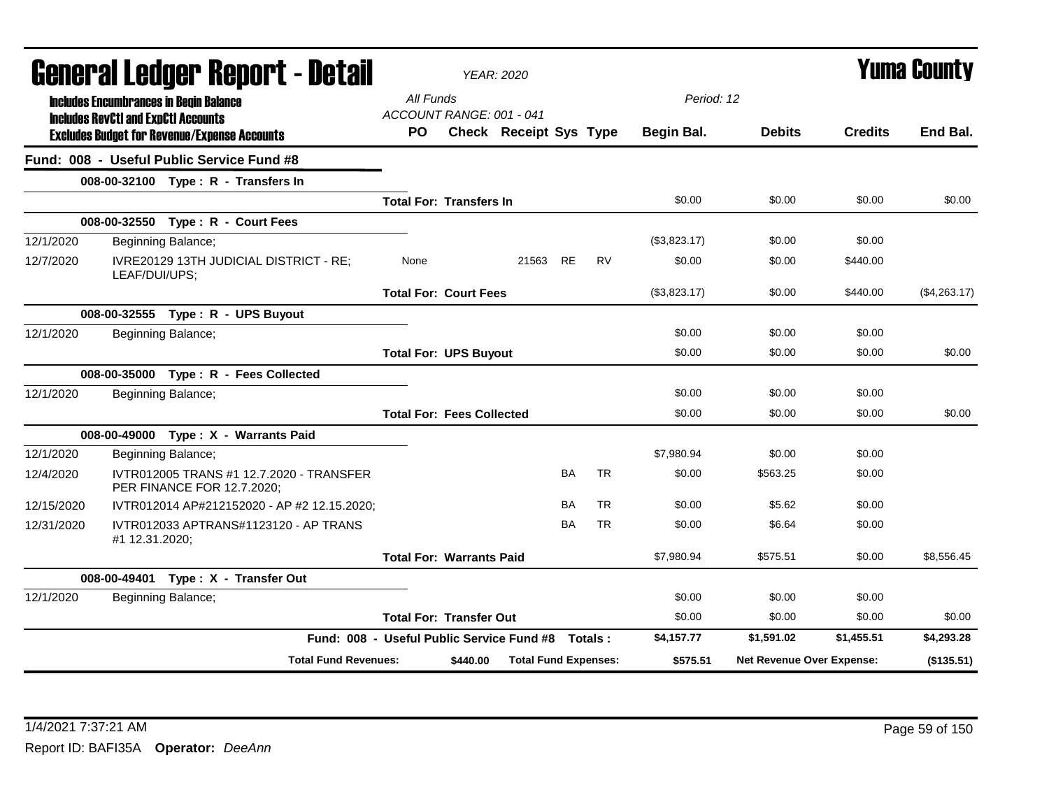| General Ledger Report - Detail |                |                                                                                             |                                           |          | <b>YEAR: 2020</b>             |           |           |              |                                  | Yuma County    |              |
|--------------------------------|----------------|---------------------------------------------------------------------------------------------|-------------------------------------------|----------|-------------------------------|-----------|-----------|--------------|----------------------------------|----------------|--------------|
|                                |                | <b>Includes Encumbrances in Begin Balance</b><br><b>Includes RevCtI and ExpCtI Accounts</b> | All Funds<br>ACCOUNT RANGE: 001 - 041     |          |                               |           |           | Period: 12   |                                  |                |              |
|                                |                | <b>Excludes Budget for Revenue/Expense Accounts</b>                                         | <b>PO</b>                                 |          | <b>Check Receipt Sys Type</b> |           |           | Begin Bal.   | <b>Debits</b>                    | <b>Credits</b> | End Bal.     |
|                                |                | Fund: 008 - Useful Public Service Fund #8                                                   |                                           |          |                               |           |           |              |                                  |                |              |
|                                |                | 008-00-32100 Type: R - Transfers In                                                         |                                           |          |                               |           |           |              |                                  |                |              |
|                                |                |                                                                                             | <b>Total For: Transfers In</b>            |          |                               |           |           | \$0.00       | \$0.00                           | \$0.00         | \$0.00       |
|                                |                | 008-00-32550 Type: R - Court Fees                                                           |                                           |          |                               |           |           |              |                                  |                |              |
| 12/1/2020                      |                | Beginning Balance;                                                                          |                                           |          |                               |           |           | (\$3,823.17) | \$0.00                           | \$0.00         |              |
| 12/7/2020                      | LEAF/DUI/UPS;  | IVRE20129 13TH JUDICIAL DISTRICT - RE;                                                      | None                                      |          | 21563                         | <b>RE</b> | <b>RV</b> | \$0.00       | \$0.00                           | \$440.00       |              |
|                                |                |                                                                                             | <b>Total For: Court Fees</b>              |          |                               |           |           | (\$3,823.17) | \$0.00                           | \$440.00       | (\$4,263.17) |
|                                |                | 008-00-32555 Type: R - UPS Buyout                                                           |                                           |          |                               |           |           |              |                                  |                |              |
| 12/1/2020                      |                | Beginning Balance;                                                                          |                                           |          |                               |           |           | \$0.00       | \$0.00                           | \$0.00         |              |
|                                |                |                                                                                             | <b>Total For: UPS Buyout</b>              |          |                               |           |           | \$0.00       | \$0.00                           | \$0.00         | \$0.00       |
|                                |                | 008-00-35000 Type: R - Fees Collected                                                       |                                           |          |                               |           |           |              |                                  |                |              |
| 12/1/2020                      |                | Beginning Balance;                                                                          |                                           |          |                               |           |           | \$0.00       | \$0.00                           | \$0.00         |              |
|                                |                |                                                                                             | <b>Total For: Fees Collected</b>          |          |                               |           |           | \$0.00       | \$0.00                           | \$0.00         | \$0.00       |
|                                |                | 008-00-49000 Type: X - Warrants Paid                                                        |                                           |          |                               |           |           |              |                                  |                |              |
| 12/1/2020                      |                | Beginning Balance;                                                                          |                                           |          |                               |           |           | \$7,980.94   | \$0.00                           | \$0.00         |              |
| 12/4/2020                      |                | IVTR012005 TRANS #1 12.7.2020 - TRANSFER<br>PER FINANCE FOR 12.7.2020;                      |                                           |          |                               | <b>BA</b> | <b>TR</b> | \$0.00       | \$563.25                         | \$0.00         |              |
| 12/15/2020                     |                | IVTR012014 AP#212152020 - AP #2 12.15.2020;                                                 |                                           |          |                               | <b>BA</b> | <b>TR</b> | \$0.00       | \$5.62                           | \$0.00         |              |
| 12/31/2020                     | #1 12.31.2020; | IVTR012033 APTRANS#1123120 - AP TRANS                                                       |                                           |          |                               | BA        | TR        | \$0.00       | \$6.64                           | \$0.00         |              |
|                                |                |                                                                                             | <b>Total For: Warrants Paid</b>           |          |                               |           |           | \$7.980.94   | \$575.51                         | \$0.00         | \$8,556.45   |
|                                |                | 008-00-49401 Type: X - Transfer Out                                                         |                                           |          |                               |           |           |              |                                  |                |              |
| 12/1/2020                      |                | Beginning Balance;                                                                          |                                           |          |                               |           |           | \$0.00       | \$0.00                           | \$0.00         |              |
|                                |                |                                                                                             | <b>Total For: Transfer Out</b>            |          |                               |           |           | \$0.00       | \$0.00                           | \$0.00         | \$0.00       |
|                                |                |                                                                                             | Fund: 008 - Useful Public Service Fund #8 |          |                               |           | Totals:   | \$4,157.77   | \$1,591.02                       | \$1,455.51     | \$4,293.28   |
|                                |                | <b>Total Fund Revenues:</b>                                                                 |                                           | \$440.00 | <b>Total Fund Expenses:</b>   |           |           | \$575.51     | <b>Net Revenue Over Expense:</b> |                | (\$135.51)   |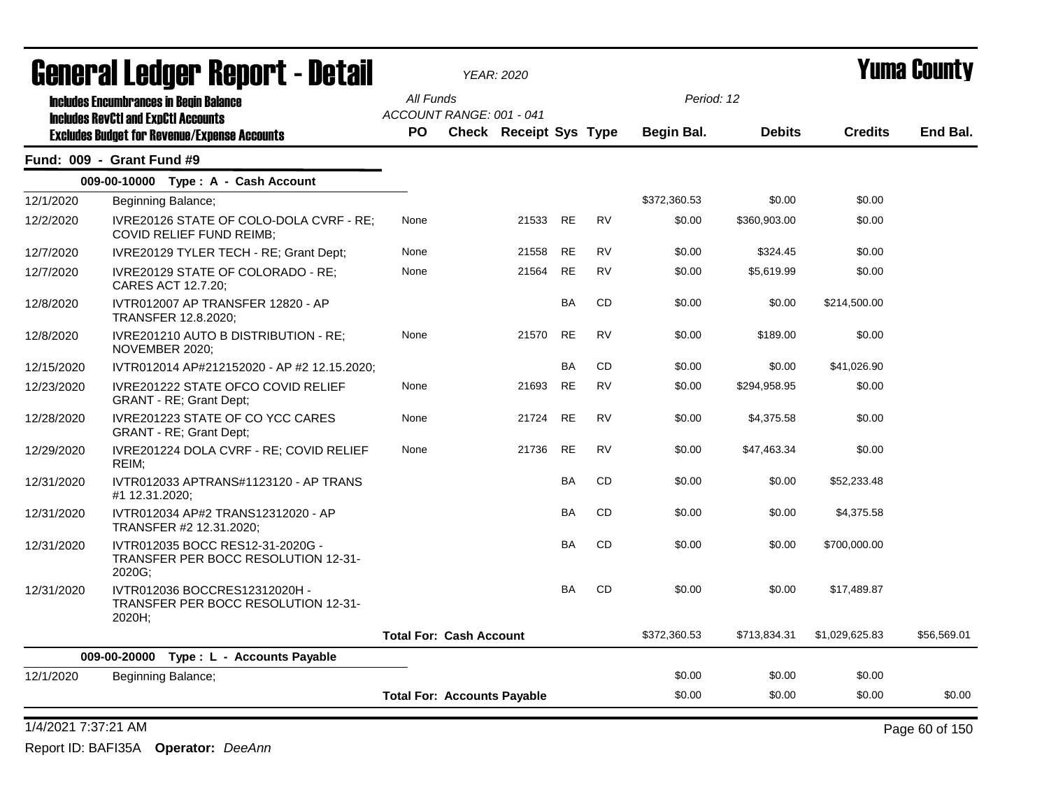| General Ledger Report - Detail |                                                                                   |           | <b>YEAR: 2020</b>                  |       |           |           |              |               |                | <b>Yuma County</b> |
|--------------------------------|-----------------------------------------------------------------------------------|-----------|------------------------------------|-------|-----------|-----------|--------------|---------------|----------------|--------------------|
|                                | <b>Includes Encumbrances in Begin Balance</b>                                     | All Funds |                                    |       |           |           | Period: 12   |               |                |                    |
|                                | <b>Includes RevCtI and ExpCtI Accounts</b>                                        |           | ACCOUNT RANGE: 001 - 041           |       |           |           |              |               |                |                    |
|                                | <b>Excludes Budget for Revenue/Expense Accounts</b>                               | PO        | Check Receipt Sys Type             |       |           |           | Begin Bal.   | <b>Debits</b> | <b>Credits</b> | End Bal.           |
|                                | Fund: 009 - Grant Fund #9                                                         |           |                                    |       |           |           |              |               |                |                    |
|                                | 009-00-10000 Type: A - Cash Account                                               |           |                                    |       |           |           |              |               |                |                    |
| 12/1/2020                      | Beginning Balance;                                                                |           |                                    |       |           |           | \$372,360.53 | \$0.00        | \$0.00         |                    |
| 12/2/2020                      | IVRE20126 STATE OF COLO-DOLA CVRF - RE;<br><b>COVID RELIEF FUND REIMB:</b>        | None      |                                    | 21533 | <b>RE</b> | <b>RV</b> | \$0.00       | \$360,903.00  | \$0.00         |                    |
| 12/7/2020                      | IVRE20129 TYLER TECH - RE; Grant Dept;                                            | None      |                                    | 21558 | RE        | <b>RV</b> | \$0.00       | \$324.45      | \$0.00         |                    |
| 12/7/2020                      | IVRE20129 STATE OF COLORADO - RE:<br>CARES ACT 12.7.20;                           | None      |                                    | 21564 | <b>RE</b> | <b>RV</b> | \$0.00       | \$5,619.99    | \$0.00         |                    |
| 12/8/2020                      | IVTR012007 AP TRANSFER 12820 - AP<br>TRANSFER 12.8.2020;                          |           |                                    |       | BA        | CD        | \$0.00       | \$0.00        | \$214,500.00   |                    |
| 12/8/2020                      | IVRE201210 AUTO B DISTRIBUTION - RE;<br>NOVEMBER 2020;                            | None      |                                    | 21570 | <b>RE</b> | <b>RV</b> | \$0.00       | \$189.00      | \$0.00         |                    |
| 12/15/2020                     | IVTR012014 AP#212152020 - AP #2 12.15.2020;                                       |           |                                    |       | <b>BA</b> | <b>CD</b> | \$0.00       | \$0.00        | \$41,026.90    |                    |
| 12/23/2020                     | IVRE201222 STATE OFCO COVID RELIEF<br>GRANT - RE; Grant Dept;                     | None      |                                    | 21693 | <b>RE</b> | <b>RV</b> | \$0.00       | \$294,958.95  | \$0.00         |                    |
| 12/28/2020                     | IVRE201223 STATE OF CO YCC CARES<br>GRANT - RE; Grant Dept;                       | None      |                                    | 21724 | <b>RE</b> | <b>RV</b> | \$0.00       | \$4,375.58    | \$0.00         |                    |
| 12/29/2020                     | IVRE201224 DOLA CVRF - RE; COVID RELIEF<br>REIM;                                  | None      |                                    | 21736 | <b>RE</b> | <b>RV</b> | \$0.00       | \$47,463.34   | \$0.00         |                    |
| 12/31/2020                     | IVTR012033 APTRANS#1123120 - AP TRANS<br>#1 12.31.2020;                           |           |                                    |       | BA        | CD        | \$0.00       | \$0.00        | \$52,233.48    |                    |
| 12/31/2020                     | IVTR012034 AP#2 TRANS12312020 - AP<br>TRANSFER #2 12.31.2020;                     |           |                                    |       | <b>BA</b> | <b>CD</b> | \$0.00       | \$0.00        | \$4,375.58     |                    |
| 12/31/2020                     | IVTR012035 BOCC RES12-31-2020G -<br>TRANSFER PER BOCC RESOLUTION 12-31-<br>2020G: |           |                                    |       | <b>BA</b> | <b>CD</b> | \$0.00       | \$0.00        | \$700,000.00   |                    |
| 12/31/2020                     | IVTR012036 BOCCRES12312020H -<br>TRANSFER PER BOCC RESOLUTION 12-31-<br>2020H;    |           |                                    |       | <b>BA</b> | CD        | \$0.00       | \$0.00        | \$17,489.87    |                    |
|                                |                                                                                   |           | <b>Total For: Cash Account</b>     |       |           |           | \$372,360.53 | \$713,834.31  | \$1,029,625.83 | \$56,569.01        |
|                                | 009-00-20000<br>Type: L - Accounts Payable                                        |           |                                    |       |           |           |              |               |                |                    |
| 12/1/2020                      | Beginning Balance;                                                                |           |                                    |       |           |           | \$0.00       | \$0.00        | \$0.00         |                    |
|                                |                                                                                   |           | <b>Total For: Accounts Payable</b> |       |           |           | \$0.00       | \$0.00        | \$0.00         | \$0.00             |
|                                |                                                                                   |           |                                    |       |           |           |              |               |                |                    |

### 1/4/2021 7:37:21 AM Page 60 of 150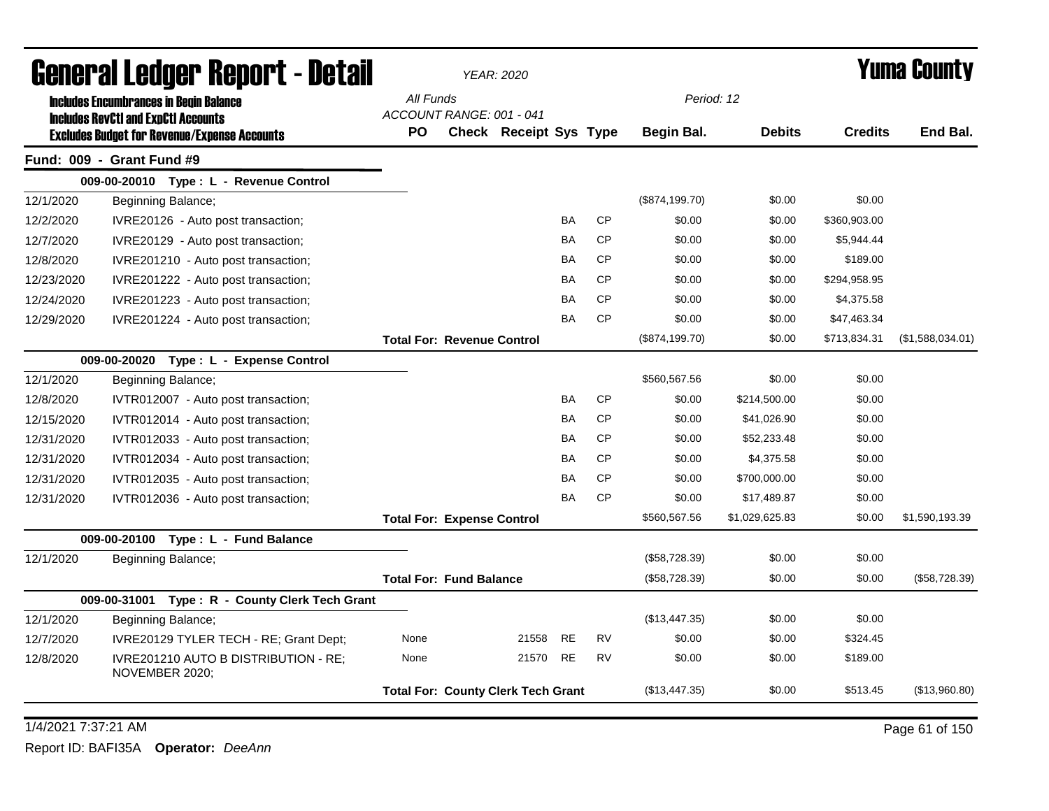|            | General Ledger Report - Detail                               |           |                                   | <b>YEAR: 2020</b>                         |           |           |                |                |                | Yuma Countv      |
|------------|--------------------------------------------------------------|-----------|-----------------------------------|-------------------------------------------|-----------|-----------|----------------|----------------|----------------|------------------|
|            | <b>Includes Encumbrances in Begin Balance</b>                | All Funds |                                   |                                           |           |           | Period: 12     |                |                |                  |
|            | <b>Includes RevCtI and ExpCtI Accounts</b>                   | <b>PO</b> | ACCOUNT RANGE: 001 - 041          | <b>Check Receipt Sys Type</b>             |           |           | Begin Bal.     | <b>Debits</b>  | <b>Credits</b> | End Bal.         |
|            | <b>Excludes Budget for Revenue/Expense Accounts</b>          |           |                                   |                                           |           |           |                |                |                |                  |
|            | Fund: 009 - Grant Fund #9                                    |           |                                   |                                           |           |           |                |                |                |                  |
| 12/1/2020  | 009-00-20010 Type: L - Revenue Control<br>Beginning Balance; |           |                                   |                                           |           |           | (\$874,199.70) | \$0.00         | \$0.00         |                  |
| 12/2/2020  | IVRE20126 - Auto post transaction;                           |           |                                   |                                           | BA        | CP        | \$0.00         | \$0.00         | \$360,903.00   |                  |
| 12/7/2020  | IVRE20129 - Auto post transaction;                           |           |                                   |                                           | BA        | <b>CP</b> | \$0.00         | \$0.00         | \$5,944.44     |                  |
| 12/8/2020  | IVRE201210 - Auto post transaction;                          |           |                                   |                                           | BA        | CP        | \$0.00         | \$0.00         | \$189.00       |                  |
| 12/23/2020 | IVRE201222 - Auto post transaction;                          |           |                                   |                                           | <b>BA</b> | <b>CP</b> | \$0.00         | \$0.00         | \$294,958.95   |                  |
| 12/24/2020 | IVRE201223 - Auto post transaction;                          |           |                                   |                                           | BA        | <b>CP</b> | \$0.00         | \$0.00         | \$4,375.58     |                  |
| 12/29/2020 | IVRE201224 - Auto post transaction;                          |           |                                   |                                           | BA        | <b>CP</b> | \$0.00         | \$0.00         | \$47,463.34    |                  |
|            |                                                              |           | <b>Total For: Revenue Control</b> |                                           |           |           | (\$874,199.70) | \$0.00         | \$713,834.31   | (\$1,588,034.01) |
|            | 009-00-20020 Type: L - Expense Control                       |           |                                   |                                           |           |           |                |                |                |                  |
| 12/1/2020  | Beginning Balance;                                           |           |                                   |                                           |           |           | \$560,567.56   | \$0.00         | \$0.00         |                  |
| 12/8/2020  | IVTR012007 - Auto post transaction;                          |           |                                   |                                           | BA        | <b>CP</b> | \$0.00         | \$214,500.00   | \$0.00         |                  |
| 12/15/2020 | IVTR012014 - Auto post transaction;                          |           |                                   |                                           | BA        | <b>CP</b> | \$0.00         | \$41,026.90    | \$0.00         |                  |
| 12/31/2020 | IVTR012033 - Auto post transaction;                          |           |                                   |                                           | BA        | <b>CP</b> | \$0.00         | \$52,233.48    | \$0.00         |                  |
| 12/31/2020 | IVTR012034 - Auto post transaction;                          |           |                                   |                                           | BA        | <b>CP</b> | \$0.00         | \$4,375.58     | \$0.00         |                  |
| 12/31/2020 | IVTR012035 - Auto post transaction;                          |           |                                   |                                           | BA        | CP        | \$0.00         | \$700,000.00   | \$0.00         |                  |
| 12/31/2020 | IVTR012036 - Auto post transaction;                          |           |                                   |                                           | BA        | <b>CP</b> | \$0.00         | \$17,489.87    | \$0.00         |                  |
|            |                                                              |           | <b>Total For: Expense Control</b> |                                           |           |           | \$560,567.56   | \$1,029,625.83 | \$0.00         | \$1,590,193.39   |
|            | 009-00-20100 Type: L - Fund Balance                          |           |                                   |                                           |           |           |                |                |                |                  |
| 12/1/2020  | Beginning Balance;                                           |           |                                   |                                           |           |           | (\$58,728.39)  | \$0.00         | \$0.00         |                  |
|            |                                                              |           | <b>Total For: Fund Balance</b>    |                                           |           |           | (\$58,728.39)  | \$0.00         | \$0.00         | (\$58,728.39)    |
|            | 009-00-31001<br>Type: R - County Clerk Tech Grant            |           |                                   |                                           |           |           |                |                |                |                  |
| 12/1/2020  | Beginning Balance;                                           |           |                                   |                                           |           |           | (\$13,447.35)  | \$0.00         | \$0.00         |                  |
| 12/7/2020  | IVRE20129 TYLER TECH - RE; Grant Dept;                       | None      |                                   | 21558                                     | <b>RE</b> | <b>RV</b> | \$0.00         | \$0.00         | \$324.45       |                  |
| 12/8/2020  | IVRE201210 AUTO B DISTRIBUTION - RE;<br>NOVEMBER 2020;       | None      |                                   | 21570                                     | <b>RE</b> | <b>RV</b> | \$0.00         | \$0.00         | \$189.00       |                  |
|            |                                                              |           |                                   | <b>Total For: County Clerk Tech Grant</b> |           |           | (\$13,447.35)  | \$0.00         | \$513.45       | (\$13,960.80)    |

1/4/2021 7:37:21 AM Page 61 of 150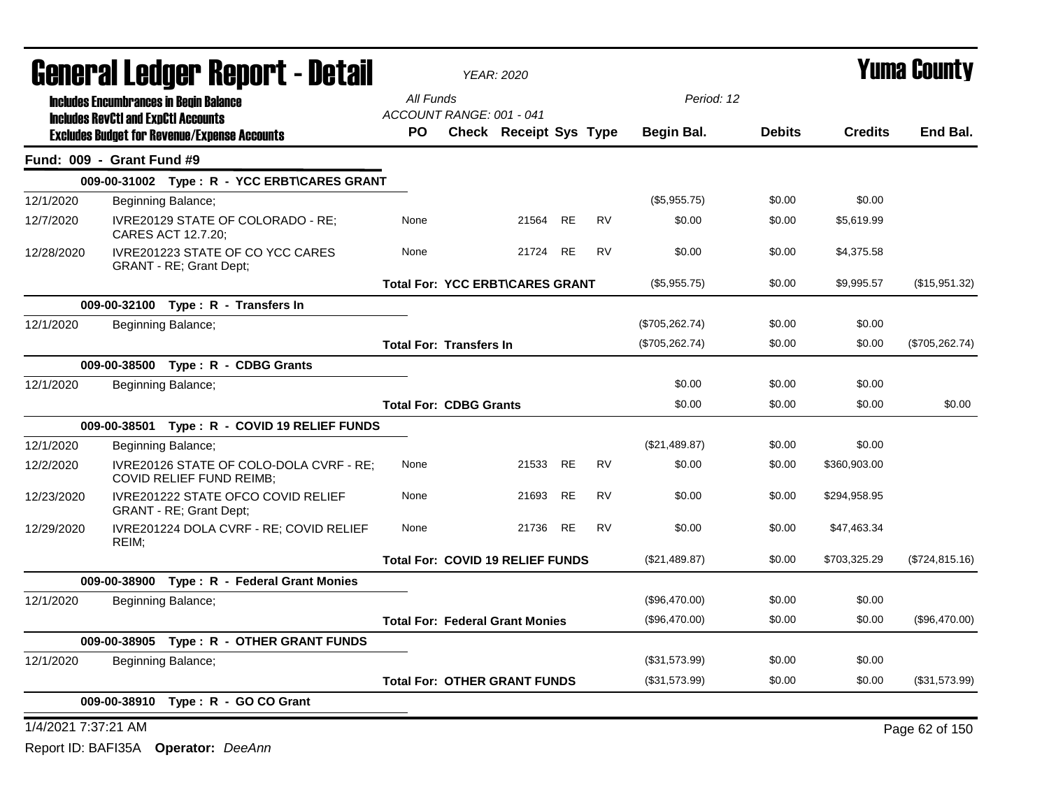|                     |                                            | <b>General Ledger Report - Detail</b>                               |                                         | <b>YEAR: 2020</b>      |           |           |                 |               |                | <b>Yuma County</b> |
|---------------------|--------------------------------------------|---------------------------------------------------------------------|-----------------------------------------|------------------------|-----------|-----------|-----------------|---------------|----------------|--------------------|
|                     |                                            | <b>Includes Encumbrances in Begin Balance</b>                       | All Funds                               |                        |           |           | Period: 12      |               |                |                    |
|                     | <b>Includes RevCtI and ExpCtI Accounts</b> | <b>Excludes Budget for Revenue/Expense Accounts</b>                 | ACCOUNT RANGE: 001 - 041<br>PO.         | Check Receipt Sys Type |           |           | Begin Bal.      | <b>Debits</b> | <b>Credits</b> | End Bal.           |
|                     | Fund: 009 - Grant Fund #9                  |                                                                     |                                         |                        |           |           |                 |               |                |                    |
|                     |                                            | 009-00-31002 Type: R - YCC ERBT\CARES GRANT                         |                                         |                        |           |           |                 |               |                |                    |
| 12/1/2020           |                                            | Beginning Balance;                                                  |                                         |                        |           |           | (\$5,955.75)    | \$0.00        | \$0.00         |                    |
| 12/7/2020           |                                            | IVRE20129 STATE OF COLORADO - RE:<br>CARES ACT 12.7.20;             | None                                    | 21564 RE               |           | <b>RV</b> | \$0.00          | \$0.00        | \$5,619.99     |                    |
| 12/28/2020          |                                            | IVRE201223 STATE OF CO YCC CARES<br>GRANT - RE; Grant Dept;         | None                                    | 21724                  | <b>RE</b> | <b>RV</b> | \$0.00          | \$0.00        | \$4,375.58     |                    |
|                     |                                            |                                                                     | <b>Total For: YCC ERBT\CARES GRANT</b>  |                        |           |           | (\$5,955.75)    | \$0.00        | \$9,995.57     | (\$15,951.32)      |
|                     |                                            | 009-00-32100 Type: R - Transfers In                                 |                                         |                        |           |           |                 |               |                |                    |
| 12/1/2020           |                                            | Beginning Balance;                                                  |                                         |                        |           |           | (\$705,262.74)  | \$0.00        | \$0.00         |                    |
|                     |                                            |                                                                     | <b>Total For: Transfers In</b>          |                        |           |           | (\$705, 262.74) | \$0.00        | \$0.00         | (\$705, 262.74)    |
|                     |                                            | 009-00-38500 Type: R - CDBG Grants                                  |                                         |                        |           |           |                 |               |                |                    |
| 12/1/2020           |                                            | Beginning Balance;                                                  |                                         |                        |           |           | \$0.00          | \$0.00        | \$0.00         |                    |
|                     |                                            |                                                                     | <b>Total For: CDBG Grants</b>           |                        |           |           | \$0.00          | \$0.00        | \$0.00         | \$0.00             |
|                     |                                            | 009-00-38501 Type: R - COVID 19 RELIEF FUNDS                        |                                         |                        |           |           |                 |               |                |                    |
| 12/1/2020           |                                            | Beginning Balance;                                                  |                                         |                        |           |           | (\$21,489.87)   | \$0.00        | \$0.00         |                    |
| 12/2/2020           |                                            | IVRE20126 STATE OF COLO-DOLA CVRF - RE;<br>COVID RELIEF FUND REIMB; | None                                    | 21533                  | <b>RE</b> | <b>RV</b> | \$0.00          | \$0.00        | \$360,903.00   |                    |
| 12/23/2020          |                                            | IVRE201222 STATE OFCO COVID RELIEF<br>GRANT - RE; Grant Dept;       | None                                    | 21693                  | <b>RE</b> | <b>RV</b> | \$0.00          | \$0.00        | \$294,958.95   |                    |
| 12/29/2020          | REIM;                                      | IVRE201224 DOLA CVRF - RE; COVID RELIEF                             | None                                    | 21736                  | <b>RE</b> | <b>RV</b> | \$0.00          | \$0.00        | \$47,463.34    |                    |
|                     |                                            |                                                                     | <b>Total For: COVID 19 RELIEF FUNDS</b> |                        |           |           | (\$21,489.87)   | \$0.00        | \$703,325.29   | (\$724, 815.16)    |
|                     |                                            | 009-00-38900 Type: R - Federal Grant Monies                         |                                         |                        |           |           |                 |               |                |                    |
| 12/1/2020           |                                            | Beginning Balance;                                                  |                                         |                        |           |           | (\$96,470.00)   | \$0.00        | \$0.00         |                    |
|                     |                                            |                                                                     | <b>Total For: Federal Grant Monies</b>  |                        |           |           | (\$96,470.00)   | \$0.00        | \$0.00         | (\$96,470.00)      |
|                     |                                            | 009-00-38905 Type: R - OTHER GRANT FUNDS                            |                                         |                        |           |           |                 |               |                |                    |
| 12/1/2020           |                                            | Beginning Balance;                                                  |                                         |                        |           |           | (\$31,573.99)   | \$0.00        | \$0.00         |                    |
|                     |                                            |                                                                     | <b>Total For: OTHER GRANT FUNDS</b>     |                        |           |           | (\$31,573.99)   | \$0.00        | \$0.00         | (\$31,573.99)      |
|                     |                                            | 009-00-38910 Type: R - GO CO Grant                                  |                                         |                        |           |           |                 |               |                |                    |
| 1/4/2021 7:37:21 AM |                                            |                                                                     |                                         |                        |           |           |                 |               |                | Page 62 of 150     |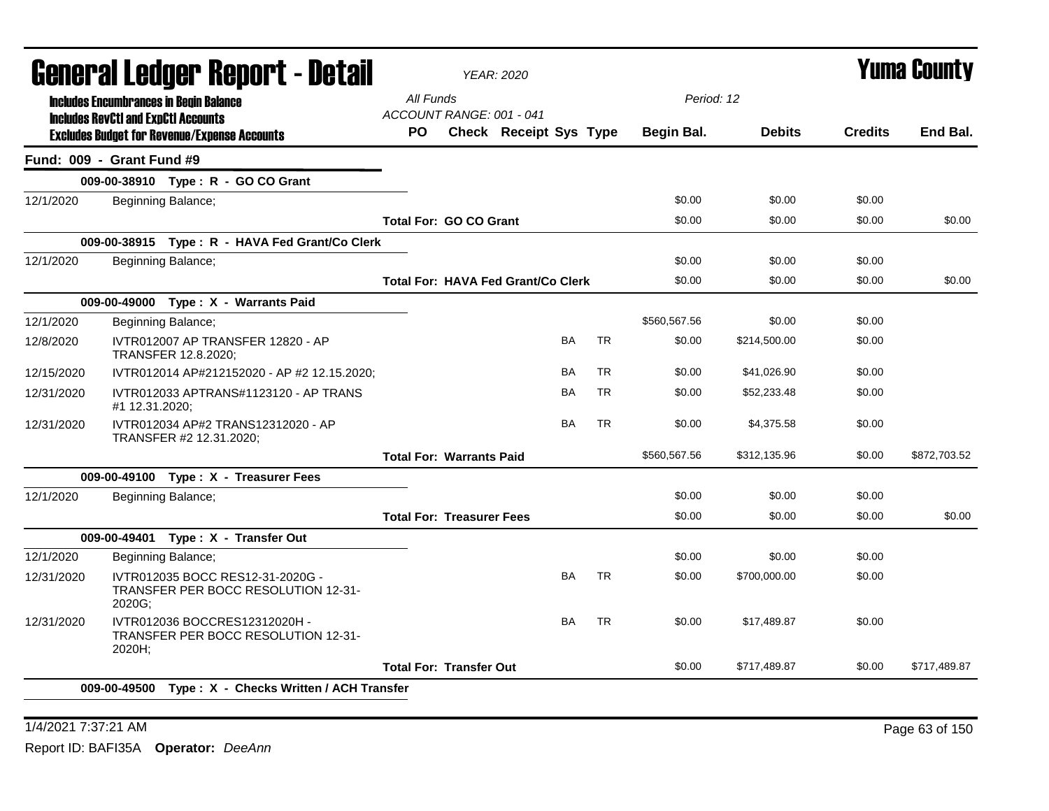|            | General Ledger Report - Detail                                                                    |                                       | <b>YEAR: 2020</b>                         |           |           |              |               |                | <b>Yuma County</b> |
|------------|---------------------------------------------------------------------------------------------------|---------------------------------------|-------------------------------------------|-----------|-----------|--------------|---------------|----------------|--------------------|
|            | <b>Includes Encumbrances in Begin Balance</b>                                                     | All Funds<br>ACCOUNT RANGE: 001 - 041 |                                           |           |           | Period: 12   |               |                |                    |
|            | <b>Includes RevCtI and ExpCtI Accounts</b><br><b>Excludes Budget for Revenue/Expense Accounts</b> | PO.                                   | <b>Check Receipt Sys Type</b>             |           |           | Begin Bal.   | <b>Debits</b> | <b>Credits</b> | End Bal.           |
|            | Fund: 009 - Grant Fund #9                                                                         |                                       |                                           |           |           |              |               |                |                    |
|            | 009-00-38910 Type: R - GO CO Grant                                                                |                                       |                                           |           |           |              |               |                |                    |
| 12/1/2020  | Beginning Balance;                                                                                |                                       |                                           |           |           | \$0.00       | \$0.00        | \$0.00         |                    |
|            |                                                                                                   | <b>Total For: GO CO Grant</b>         |                                           |           |           | \$0.00       | \$0.00        | \$0.00         | \$0.00             |
|            | 009-00-38915 Type: R - HAVA Fed Grant/Co Clerk                                                    |                                       |                                           |           |           |              |               |                |                    |
| 12/1/2020  | Beginning Balance;                                                                                |                                       |                                           |           |           | \$0.00       | \$0.00        | \$0.00         |                    |
|            |                                                                                                   |                                       | <b>Total For: HAVA Fed Grant/Co Clerk</b> |           |           | \$0.00       | \$0.00        | \$0.00         | \$0.00             |
|            | 009-00-49000 Type: X - Warrants Paid                                                              |                                       |                                           |           |           |              |               |                |                    |
| 12/1/2020  | Beginning Balance;                                                                                |                                       |                                           |           |           | \$560,567.56 | \$0.00        | \$0.00         |                    |
| 12/8/2020  | IVTR012007 AP TRANSFER 12820 - AP<br>TRANSFER 12.8.2020;                                          |                                       |                                           | BA        | <b>TR</b> | \$0.00       | \$214,500.00  | \$0.00         |                    |
| 12/15/2020 | IVTR012014 AP#212152020 - AP #2 12.15.2020;                                                       |                                       |                                           | <b>BA</b> | <b>TR</b> | \$0.00       | \$41,026.90   | \$0.00         |                    |
| 12/31/2020 | IVTR012033 APTRANS#1123120 - AP TRANS<br>#1 12.31.2020;                                           |                                       |                                           | BA        | <b>TR</b> | \$0.00       | \$52,233.48   | \$0.00         |                    |
| 12/31/2020 | IVTR012034 AP#2 TRANS12312020 - AP<br>TRANSFER #2 12.31.2020;                                     |                                       |                                           | <b>BA</b> | <b>TR</b> | \$0.00       | \$4,375.58    | \$0.00         |                    |
|            |                                                                                                   | <b>Total For: Warrants Paid</b>       |                                           |           |           | \$560,567.56 | \$312,135.96  | \$0.00         | \$872,703.52       |
|            | 009-00-49100 Type: X - Treasurer Fees                                                             |                                       |                                           |           |           |              |               |                |                    |
| 12/1/2020  | Beginning Balance;                                                                                |                                       |                                           |           |           | \$0.00       | \$0.00        | \$0.00         |                    |
|            |                                                                                                   | <b>Total For: Treasurer Fees</b>      |                                           |           |           | \$0.00       | \$0.00        | \$0.00         | \$0.00             |
|            | 009-00-49401 Type: X - Transfer Out                                                               |                                       |                                           |           |           |              |               |                |                    |
| 12/1/2020  | Beginning Balance;                                                                                |                                       |                                           |           |           | \$0.00       | \$0.00        | \$0.00         |                    |
| 12/31/2020 | IVTR012035 BOCC RES12-31-2020G -<br>TRANSFER PER BOCC RESOLUTION 12-31-<br>2020G;                 |                                       |                                           | <b>BA</b> | <b>TR</b> | \$0.00       | \$700,000.00  | \$0.00         |                    |
| 12/31/2020 | IVTR012036 BOCCRES12312020H -<br><b>TRANSFER PER BOCC RESOLUTION 12-31-</b><br>2020H;             |                                       |                                           | BA        | <b>TR</b> | \$0.00       | \$17,489.87   | \$0.00         |                    |
|            |                                                                                                   | <b>Total For: Transfer Out</b>        |                                           |           |           | \$0.00       | \$717,489.87  | \$0.00         | \$717,489.87       |
|            | 009-00-49500 Type: X - Checks Written / ACH Transfer                                              |                                       |                                           |           |           |              |               |                |                    |
|            |                                                                                                   |                                       |                                           |           |           |              |               |                |                    |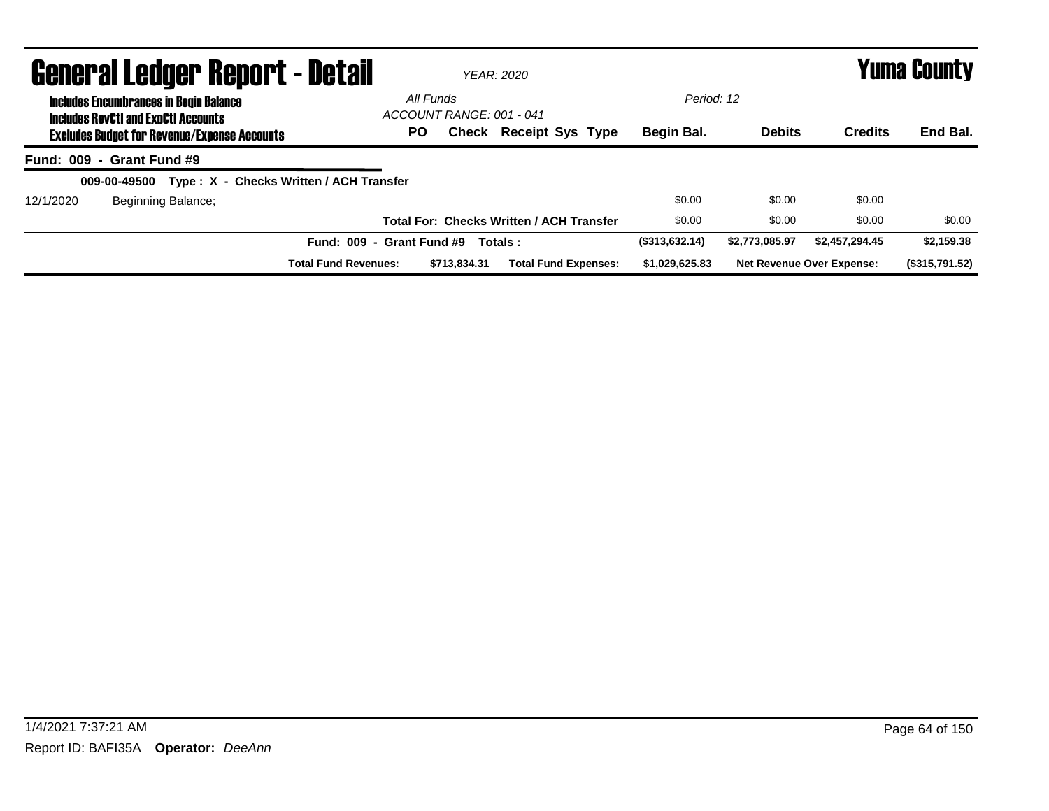|           | <b>General Ledger Report - Detail</b>                                                       |                                         |                                       | <b>YEAR: 2020</b>                               |                |                |                                  | <b>Yuma County</b> |
|-----------|---------------------------------------------------------------------------------------------|-----------------------------------------|---------------------------------------|-------------------------------------------------|----------------|----------------|----------------------------------|--------------------|
|           | <b>Includes Encumbrances in Begin Balance</b><br><b>Includes RevCtI and ExpCtI Accounts</b> |                                         | All Funds<br>ACCOUNT RANGE: 001 - 041 |                                                 | Period: 12     |                |                                  |                    |
|           | <b>Excludes Budget for Revenue/Expense Accounts</b>                                         | PO.                                     |                                       | <b>Check Receipt Sys Type</b>                   | Begin Bal.     | <b>Debits</b>  | <b>Credits</b>                   | End Bal.           |
|           | Fund: 009 - Grant Fund #9                                                                   |                                         |                                       |                                                 |                |                |                                  |                    |
|           | 009-00-49500                                                                                | Type: X - Checks Written / ACH Transfer |                                       |                                                 |                |                |                                  |                    |
| 12/1/2020 | Beginning Balance;                                                                          |                                         |                                       |                                                 | \$0.00         | \$0.00         | \$0.00                           |                    |
|           |                                                                                             |                                         |                                       | <b>Total For: Checks Written / ACH Transfer</b> | \$0.00         | \$0.00         | \$0.00                           | \$0.00             |
|           |                                                                                             | <b>Fund: 009</b><br>$\sim$              | <b>Grant Fund #9</b>                  | Totals:                                         | (\$313,632.14) | \$2,773,085,97 | \$2,457,294,45                   | \$2,159.38         |
|           |                                                                                             | <b>Total Fund Revenues:</b>             | \$713,834,31                          | <b>Total Fund Expenses:</b>                     | \$1,029,625.83 |                | <b>Net Revenue Over Expense:</b> | (\$315,791.52)     |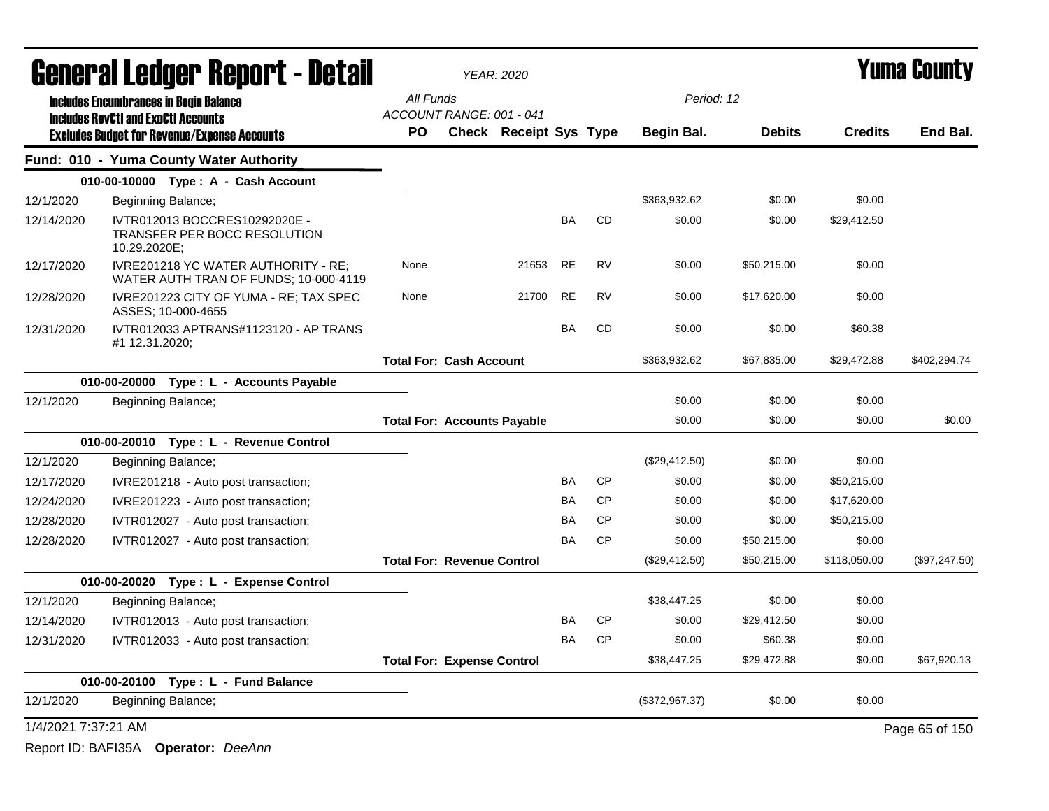|                     | General Ledger Report - Detail                                                                 |                                       | YEAR: 2020                    |           |           |                |               |                | Yuma County    |
|---------------------|------------------------------------------------------------------------------------------------|---------------------------------------|-------------------------------|-----------|-----------|----------------|---------------|----------------|----------------|
|                     | <b>Includes Encumbrances in Begin Balance</b>                                                  | All Funds                             |                               |           |           | Period: 12     |               |                |                |
|                     | <b>Includes RevCtI and ExpCtI Accounts</b>                                                     | ACCOUNT RANGE: 001 - 041<br><b>PO</b> | <b>Check Receipt Sys Type</b> |           |           | Begin Bal.     | <b>Debits</b> | <b>Credits</b> | End Bal.       |
|                     | <b>Excludes Budget for Revenue/Expense Accounts</b><br>Fund: 010 - Yuma County Water Authority |                                       |                               |           |           |                |               |                |                |
|                     | 010-00-10000 Type: A - Cash Account                                                            |                                       |                               |           |           |                |               |                |                |
| 12/1/2020           | Beginning Balance;                                                                             |                                       |                               |           |           | \$363,932.62   | \$0.00        | \$0.00         |                |
| 12/14/2020          | IVTR012013 BOCCRES10292020E -                                                                  |                                       |                               | BA        | CD        | \$0.00         | \$0.00        | \$29,412.50    |                |
|                     | TRANSFER PER BOCC RESOLUTION<br>10.29.2020E;                                                   |                                       |                               |           |           |                |               |                |                |
| 12/17/2020          | IVRE201218 YC WATER AUTHORITY - RE;<br>WATER AUTH TRAN OF FUNDS; 10-000-4119                   | None                                  | 21653                         | <b>RE</b> | <b>RV</b> | \$0.00         | \$50,215.00   | \$0.00         |                |
| 12/28/2020          | IVRE201223 CITY OF YUMA - RE; TAX SPEC<br>ASSES: 10-000-4655                                   | None                                  | 21700                         | <b>RE</b> | <b>RV</b> | \$0.00         | \$17,620.00   | \$0.00         |                |
| 12/31/2020          | IVTR012033 APTRANS#1123120 - AP TRANS<br>#1 12.31.2020;                                        |                                       |                               | <b>BA</b> | CD        | \$0.00         | \$0.00        | \$60.38        |                |
|                     |                                                                                                | <b>Total For: Cash Account</b>        |                               |           |           | \$363,932.62   | \$67,835.00   | \$29,472.88    | \$402,294.74   |
|                     | 010-00-20000 Type: L - Accounts Payable                                                        |                                       |                               |           |           |                |               |                |                |
| 12/1/2020           | Beginning Balance;                                                                             |                                       |                               |           |           | \$0.00         | \$0.00        | \$0.00         |                |
|                     |                                                                                                | <b>Total For: Accounts Payable</b>    |                               |           |           | \$0.00         | \$0.00        | \$0.00         | \$0.00         |
|                     | 010-00-20010 Type: L - Revenue Control                                                         |                                       |                               |           |           |                |               |                |                |
| 12/1/2020           | Beginning Balance;                                                                             |                                       |                               |           |           | (\$29,412.50)  | \$0.00        | \$0.00         |                |
| 12/17/2020          | IVRE201218 - Auto post transaction;                                                            |                                       |                               | <b>BA</b> | <b>CP</b> | \$0.00         | \$0.00        | \$50,215.00    |                |
| 12/24/2020          | IVRE201223 - Auto post transaction;                                                            |                                       |                               | <b>BA</b> | <b>CP</b> | \$0.00         | \$0.00        | \$17,620.00    |                |
| 12/28/2020          | IVTR012027 - Auto post transaction;                                                            |                                       |                               | BA        | <b>CP</b> | \$0.00         | \$0.00        | \$50,215.00    |                |
| 12/28/2020          | IVTR012027 - Auto post transaction;                                                            |                                       |                               | BA        | CP        | \$0.00         | \$50,215.00   | \$0.00         |                |
|                     |                                                                                                | <b>Total For: Revenue Control</b>     |                               |           |           | (\$29,412.50)  | \$50,215.00   | \$118,050.00   | (\$97,247.50)  |
|                     | 010-00-20020 Type: L - Expense Control                                                         |                                       |                               |           |           |                |               |                |                |
| 12/1/2020           | Beginning Balance;                                                                             |                                       |                               |           |           | \$38,447.25    | \$0.00        | \$0.00         |                |
| 12/14/2020          | IVTR012013 - Auto post transaction;                                                            |                                       |                               | BA        | <b>CP</b> | \$0.00         | \$29,412.50   | \$0.00         |                |
| 12/31/2020          | IVTR012033 - Auto post transaction;                                                            |                                       |                               | <b>BA</b> | <b>CP</b> | \$0.00         | \$60.38       | \$0.00         |                |
|                     |                                                                                                | <b>Total For: Expense Control</b>     |                               |           |           | \$38,447.25    | \$29,472.88   | \$0.00         | \$67,920.13    |
|                     | 010-00-20100 Type: L - Fund Balance                                                            |                                       |                               |           |           |                |               |                |                |
| 12/1/2020           | Beginning Balance;                                                                             |                                       |                               |           |           | (\$372,967.37) | \$0.00        | \$0.00         |                |
| 1/4/2021 7:37:21 AM |                                                                                                |                                       |                               |           |           |                |               |                | Page 65 of 150 |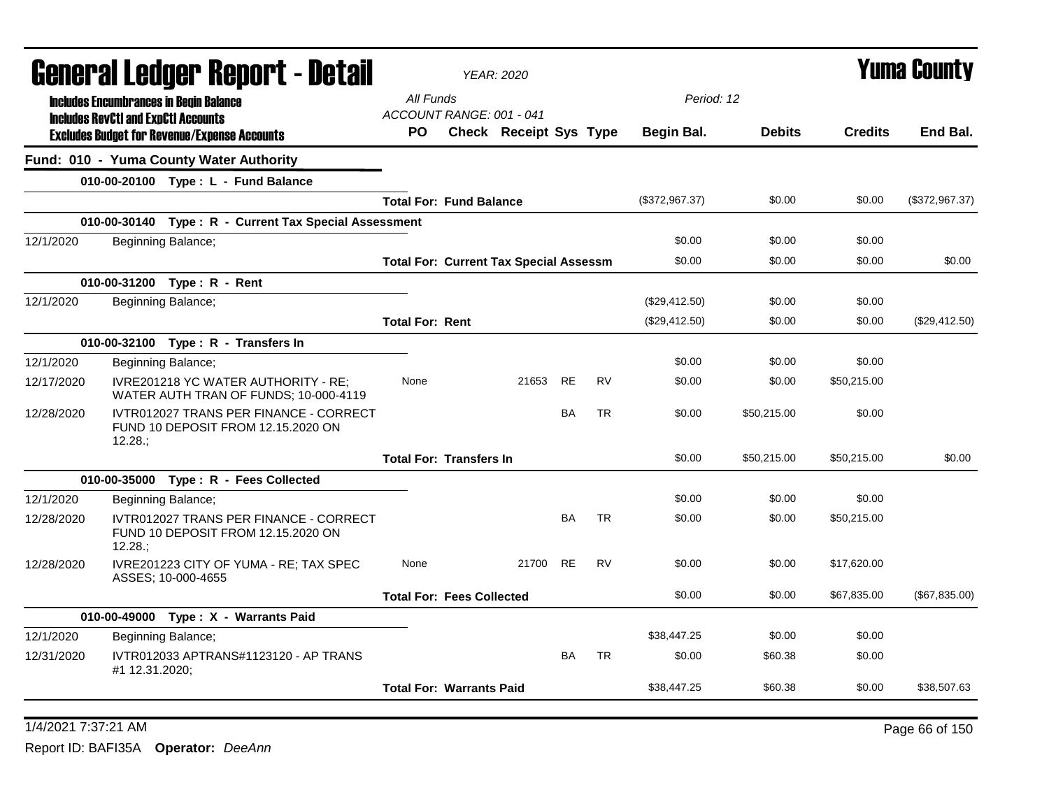|            |                                            | General Ledger Report - Detail                                               |                                               | <b>YEAR: 2020</b>      |           |           |                |               |                | <b>Yuma County</b> |
|------------|--------------------------------------------|------------------------------------------------------------------------------|-----------------------------------------------|------------------------|-----------|-----------|----------------|---------------|----------------|--------------------|
|            |                                            | <b>Includes Encumbrances in Begin Balance</b>                                | All Funds                                     |                        |           |           | Period: 12     |               |                |                    |
|            | <b>Includes RevCtI and ExpCtI Accounts</b> | <b>Excludes Budget for Revenue/Expense Accounts</b>                          | ACCOUNT RANGE: 001 - 041<br>PO.               | Check Receipt Sys Type |           |           | Begin Bal.     | <b>Debits</b> | <b>Credits</b> | End Bal.           |
|            |                                            | Fund: 010 - Yuma County Water Authority                                      |                                               |                        |           |           |                |               |                |                    |
|            |                                            | 010-00-20100 Type: L - Fund Balance                                          |                                               |                        |           |           |                |               |                |                    |
|            |                                            |                                                                              | <b>Total For: Fund Balance</b>                |                        |           |           | (\$372,967.37) | \$0.00        | \$0.00         | (\$372,967.37)     |
|            |                                            | 010-00-30140 Type: R - Current Tax Special Assessment                        |                                               |                        |           |           |                |               |                |                    |
| 12/1/2020  |                                            | Beginning Balance;                                                           |                                               |                        |           |           | \$0.00         | \$0.00        | \$0.00         |                    |
|            |                                            |                                                                              | <b>Total For: Current Tax Special Assessm</b> |                        |           |           | \$0.00         | \$0.00        | \$0.00         | \$0.00             |
|            |                                            | 010-00-31200 Type: R - Rent                                                  |                                               |                        |           |           |                |               |                |                    |
| 12/1/2020  |                                            | Beginning Balance;                                                           |                                               |                        |           |           | (\$29,412.50)  | \$0.00        | \$0.00         |                    |
|            |                                            |                                                                              | <b>Total For: Rent</b>                        |                        |           |           | (\$29,412.50)  | \$0.00        | \$0.00         | (\$29,412.50)      |
|            |                                            | 010-00-32100 Type: R - Transfers In                                          |                                               |                        |           |           |                |               |                |                    |
| 12/1/2020  |                                            | Beginning Balance;                                                           |                                               |                        |           |           | \$0.00         | \$0.00        | \$0.00         |                    |
| 12/17/2020 |                                            | IVRE201218 YC WATER AUTHORITY - RE;<br>WATER AUTH TRAN OF FUNDS; 10-000-4119 | None                                          | 21653                  | <b>RE</b> | <b>RV</b> | \$0.00         | \$0.00        | \$50,215.00    |                    |
| 12/28/2020 | 12.28:                                     | IVTR012027 TRANS PER FINANCE - CORRECT<br>FUND 10 DEPOSIT FROM 12.15.2020 ON |                                               |                        | <b>BA</b> | <b>TR</b> | \$0.00         | \$50,215.00   | \$0.00         |                    |
|            |                                            |                                                                              | <b>Total For: Transfers In</b>                |                        |           |           | \$0.00         | \$50,215.00   | \$50,215.00    | \$0.00             |
|            |                                            | 010-00-35000 Type: R - Fees Collected                                        |                                               |                        |           |           |                |               |                |                    |
| 12/1/2020  |                                            | Beginning Balance;                                                           |                                               |                        |           |           | \$0.00         | \$0.00        | \$0.00         |                    |
| 12/28/2020 | 12.28:                                     | IVTR012027 TRANS PER FINANCE - CORRECT<br>FUND 10 DEPOSIT FROM 12.15.2020 ON |                                               |                        | <b>BA</b> | <b>TR</b> | \$0.00         | \$0.00        | \$50,215.00    |                    |
| 12/28/2020 |                                            | IVRE201223 CITY OF YUMA - RE; TAX SPEC<br>ASSES; 10-000-4655                 | None                                          | 21700                  | <b>RE</b> | <b>RV</b> | \$0.00         | \$0.00        | \$17,620.00    |                    |
|            |                                            |                                                                              | <b>Total For: Fees Collected</b>              |                        |           |           | \$0.00         | \$0.00        | \$67,835.00    | (\$67,835.00)      |
|            |                                            | 010-00-49000 Type: X - Warrants Paid                                         |                                               |                        |           |           |                |               |                |                    |
| 12/1/2020  |                                            | Beginning Balance;                                                           |                                               |                        |           |           | \$38,447.25    | \$0.00        | \$0.00         |                    |
| 12/31/2020 | #1 12.31.2020;                             | IVTR012033 APTRANS#1123120 - AP TRANS                                        |                                               |                        | <b>BA</b> | <b>TR</b> | \$0.00         | \$60.38       | \$0.00         |                    |
|            |                                            |                                                                              | <b>Total For: Warrants Paid</b>               |                        |           |           | \$38,447.25    | \$60.38       | \$0.00         | \$38,507.63        |
|            |                                            |                                                                              |                                               |                        |           |           |                |               |                |                    |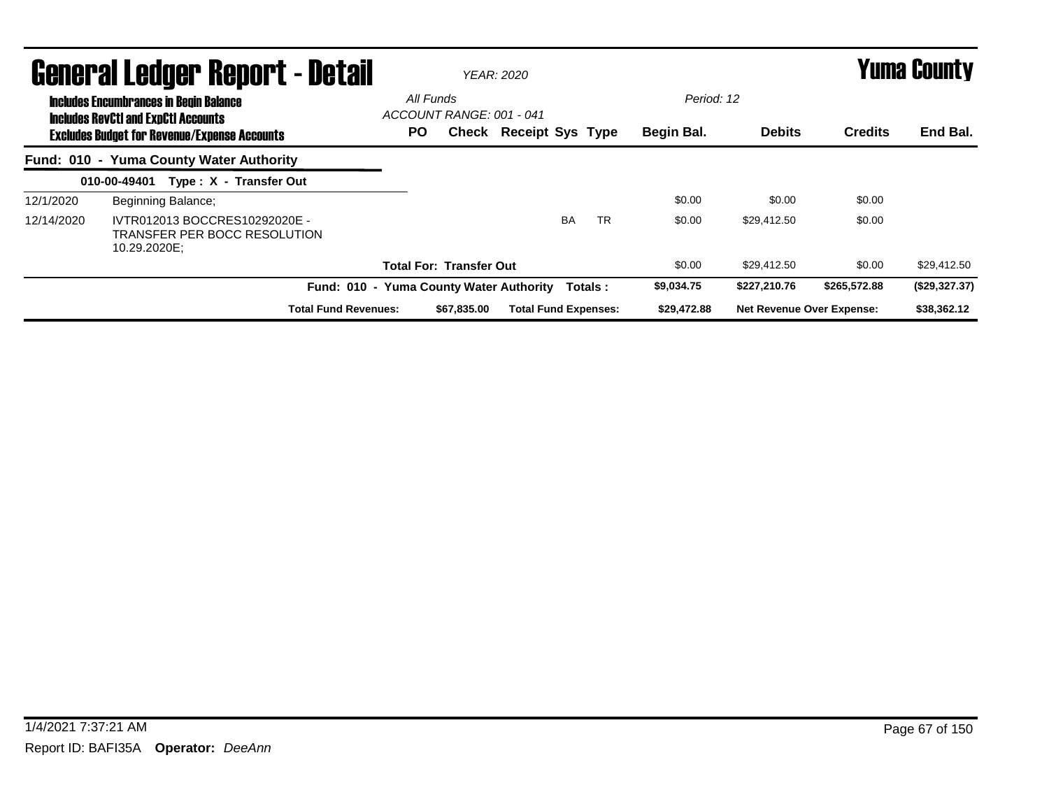|            | <b>General Ledger Report - Detail</b>                                                                                                              |                                              | <b>YEAR: 2020</b>             |           | <b>Yuma County</b>       |                                  |                |               |  |
|------------|----------------------------------------------------------------------------------------------------------------------------------------------------|----------------------------------------------|-------------------------------|-----------|--------------------------|----------------------------------|----------------|---------------|--|
|            | <b>Includes Encumbrances in Begin Balance</b><br><b>Includes RevCtI and ExpCtI Accounts</b><br><b>Excludes Budget for Revenue/Expense Accounts</b> | All Funds<br>ACCOUNT RANGE: 001 - 041<br>PO. | <b>Check Receipt Sys Type</b> |           | Period: 12<br>Begin Bal. | <b>Debits</b>                    | <b>Credits</b> | End Bal.      |  |
|            | Fund: 010 - Yuma County Water Authority                                                                                                            |                                              |                               |           |                          |                                  |                |               |  |
|            | Type: X - Transfer Out<br>010-00-49401                                                                                                             |                                              |                               |           |                          |                                  |                |               |  |
| 12/1/2020  | Beginning Balance;                                                                                                                                 |                                              |                               |           | \$0.00                   | \$0.00                           | \$0.00         |               |  |
| 12/14/2020 | IVTR012013 BOCCRES10292020E -<br>TRANSFER PER BOCC RESOLUTION<br>10.29.2020E;                                                                      |                                              | <b>BA</b>                     | <b>TR</b> | \$0.00                   | \$29.412.50                      | \$0.00         |               |  |
|            |                                                                                                                                                    | <b>Total For: Transfer Out</b>               |                               |           | \$0.00                   | \$29,412.50                      | \$0.00         | \$29,412.50   |  |
|            | <b>Fund: 010 -</b>                                                                                                                                 | <b>Yuma County Water Authority</b>           | Totals:                       |           | \$9,034.75               | \$227,210.76                     | \$265,572.88   | (\$29,327.37) |  |
|            | <b>Total Fund Revenues:</b>                                                                                                                        | \$67.835.00                                  | <b>Total Fund Expenses:</b>   |           | \$29,472.88              | <b>Net Revenue Over Expense:</b> |                | \$38,362.12   |  |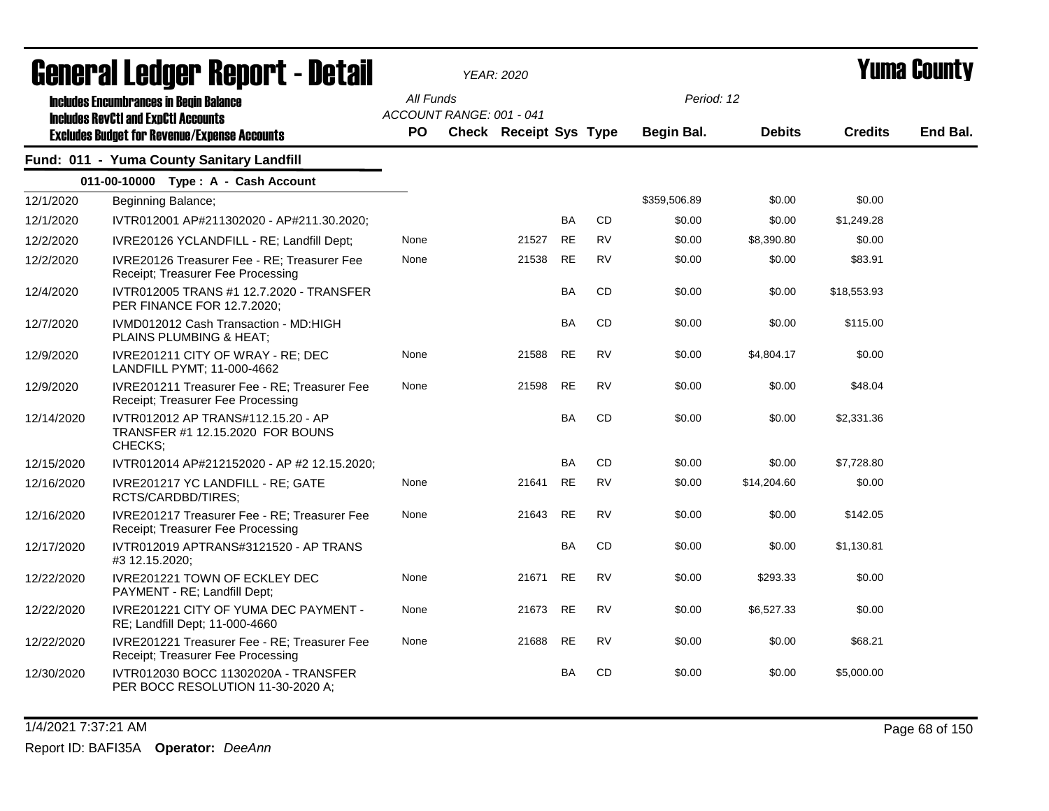|            | agiigi.gi fanñai. Ughni. ( - nafsii                                                                                                                |                  |                          | YEAR: 2020                    |           |           |                                 |               |                | I UIIIA VUUIILY |
|------------|----------------------------------------------------------------------------------------------------------------------------------------------------|------------------|--------------------------|-------------------------------|-----------|-----------|---------------------------------|---------------|----------------|-----------------|
|            | <b>Includes Encumbrances in Begin Balance</b><br><b>Includes RevCtI and ExpCtI Accounts</b><br><b>Excludes Budget for Revenue/Expense Accounts</b> | All Funds<br>PO. | ACCOUNT RANGE: 001 - 041 | <b>Check Receipt Sys Type</b> |           |           | Period: 12<br><b>Begin Bal.</b> | <b>Debits</b> | <b>Credits</b> | End Bal.        |
|            | Fund: 011 - Yuma County Sanitary Landfill                                                                                                          |                  |                          |                               |           |           |                                 |               |                |                 |
|            | 011-00-10000 Type: A - Cash Account                                                                                                                |                  |                          |                               |           |           |                                 |               |                |                 |
| 12/1/2020  | Beginning Balance;                                                                                                                                 |                  |                          |                               |           |           | \$359,506.89                    | \$0.00        | \$0.00         |                 |
| 12/1/2020  | IVTR012001 AP#211302020 - AP#211.30.2020;                                                                                                          |                  |                          |                               | <b>BA</b> | <b>CD</b> | \$0.00                          | \$0.00        | \$1,249.28     |                 |
| 12/2/2020  | IVRE20126 YCLANDFILL - RE; Landfill Dept;                                                                                                          | None             |                          | 21527                         | <b>RE</b> | <b>RV</b> | \$0.00                          | \$8,390.80    | \$0.00         |                 |
| 12/2/2020  | IVRE20126 Treasurer Fee - RE; Treasurer Fee<br>Receipt; Treasurer Fee Processing                                                                   | None             |                          | 21538                         | <b>RE</b> | <b>RV</b> | \$0.00                          | \$0.00        | \$83.91        |                 |
| 12/4/2020  | IVTR012005 TRANS #1 12.7.2020 - TRANSFER<br>PER FINANCE FOR 12.7.2020;                                                                             |                  |                          |                               | BA        | CD        | \$0.00                          | \$0.00        | \$18,553.93    |                 |
| 12/7/2020  | IVMD012012 Cash Transaction - MD:HIGH<br>PLAINS PLUMBING & HEAT;                                                                                   |                  |                          |                               | <b>BA</b> | CD        | \$0.00                          | \$0.00        | \$115.00       |                 |
| 12/9/2020  | IVRE201211 CITY OF WRAY - RE; DEC<br>LANDFILL PYMT; 11-000-4662                                                                                    | None             |                          | 21588                         | <b>RE</b> | <b>RV</b> | \$0.00                          | \$4,804.17    | \$0.00         |                 |
| 12/9/2020  | IVRE201211 Treasurer Fee - RE; Treasurer Fee<br>Receipt; Treasurer Fee Processing                                                                  | None             |                          | 21598                         | <b>RE</b> | <b>RV</b> | \$0.00                          | \$0.00        | \$48.04        |                 |
| 12/14/2020 | IVTR012012 AP TRANS#112.15.20 - AP<br>TRANSFER #1 12.15.2020 FOR BOUNS<br>CHECKS;                                                                  |                  |                          |                               | <b>BA</b> | CD        | \$0.00                          | \$0.00        | \$2,331.36     |                 |
| 12/15/2020 | IVTR012014 AP#212152020 - AP #2 12.15.2020;                                                                                                        |                  |                          |                               | <b>BA</b> | CD        | \$0.00                          | \$0.00        | \$7,728.80     |                 |
| 12/16/2020 | IVRE201217 YC LANDFILL - RE; GATE<br>RCTS/CARDBD/TIRES;                                                                                            | None             |                          | 21641                         | <b>RE</b> | <b>RV</b> | \$0.00                          | \$14,204.60   | \$0.00         |                 |
| 12/16/2020 | IVRE201217 Treasurer Fee - RE; Treasurer Fee<br>Receipt; Treasurer Fee Processing                                                                  | None             |                          | 21643                         | <b>RE</b> | <b>RV</b> | \$0.00                          | \$0.00        | \$142.05       |                 |
| 12/17/2020 | IVTR012019 APTRANS#3121520 - AP TRANS<br>#3 12.15.2020;                                                                                            |                  |                          |                               | BA        | CD        | \$0.00                          | \$0.00        | \$1,130.81     |                 |
| 12/22/2020 | IVRE201221 TOWN OF ECKLEY DEC<br>PAYMENT - RE; Landfill Dept;                                                                                      | None             |                          | 21671                         | <b>RE</b> | <b>RV</b> | \$0.00                          | \$293.33      | \$0.00         |                 |
| 12/22/2020 | IVRE201221 CITY OF YUMA DEC PAYMENT -<br>RE; Landfill Dept; 11-000-4660                                                                            | None             |                          | 21673                         | <b>RE</b> | <b>RV</b> | \$0.00                          | \$6,527.33    | \$0.00         |                 |
| 12/22/2020 | IVRE201221 Treasurer Fee - RE; Treasurer Fee<br>Receipt; Treasurer Fee Processing                                                                  | None             |                          | 21688                         | <b>RE</b> | <b>RV</b> | \$0.00                          | \$0.00        | \$68.21        |                 |
| 12/30/2020 | IVTR012030 BOCC 11302020A - TRANSFER<br>PER BOCC RESOLUTION 11-30-2020 A;                                                                          |                  |                          |                               | BA        | <b>CD</b> | \$0.00                          | \$0.00        | \$5,000.00     |                 |

# General Ledger Report - Detail *YEAR: 2020* Yuma County

1/4/2021 7:37:21 AM Page 68 of 150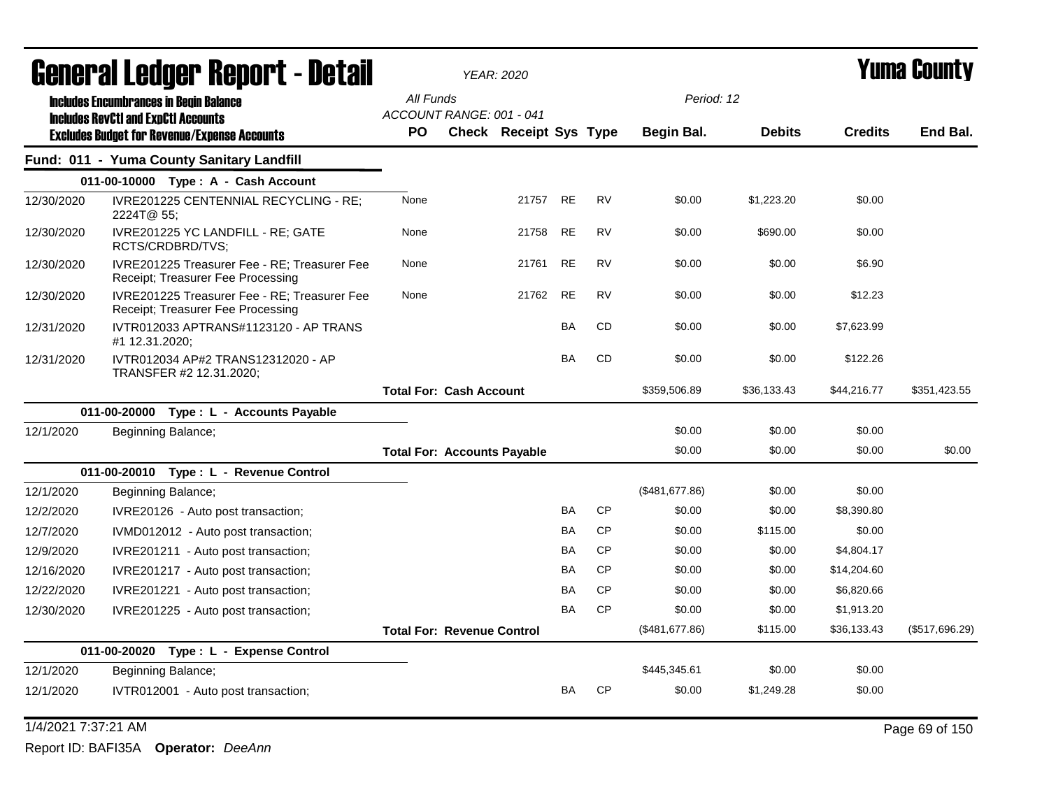|            | General Ledger Report - Detail                                                                    |                                    | <b>YEAR: 2020</b>      |           |           |                |               |                | Yuma Countv    |
|------------|---------------------------------------------------------------------------------------------------|------------------------------------|------------------------|-----------|-----------|----------------|---------------|----------------|----------------|
|            | <b>Includes Encumbrances in Begin Balance</b>                                                     | All Funds                          |                        |           |           | Period: 12     |               |                |                |
|            | <b>Includes RevCtI and ExpCtI Accounts</b><br><b>Excludes Budget for Revenue/Expense Accounts</b> | ACCOUNT RANGE: 001 - 041<br>PO     | Check Receipt Sys Type |           |           | Begin Bal.     | <b>Debits</b> | <b>Credits</b> | End Bal.       |
|            | Fund: 011 - Yuma County Sanitary Landfill                                                         |                                    |                        |           |           |                |               |                |                |
|            | 011-00-10000 Type: A - Cash Account                                                               |                                    |                        |           |           |                |               |                |                |
| 12/30/2020 | IVRE201225 CENTENNIAL RECYCLING - RE:<br>2224T@ 55;                                               | None                               | 21757                  | <b>RE</b> | <b>RV</b> | \$0.00         | \$1,223.20    | \$0.00         |                |
| 12/30/2020 | IVRE201225 YC LANDFILL - RE; GATE<br>RCTS/CRDBRD/TVS;                                             | None                               | 21758                  | RE        | <b>RV</b> | \$0.00         | \$690.00      | \$0.00         |                |
| 12/30/2020 | IVRE201225 Treasurer Fee - RE: Treasurer Fee<br>Receipt; Treasurer Fee Processing                 | None                               | 21761                  | <b>RE</b> | <b>RV</b> | \$0.00         | \$0.00        | \$6.90         |                |
| 12/30/2020 | IVRE201225 Treasurer Fee - RE: Treasurer Fee<br>Receipt; Treasurer Fee Processing                 | None                               | 21762                  | <b>RE</b> | <b>RV</b> | \$0.00         | \$0.00        | \$12.23        |                |
| 12/31/2020 | IVTR012033 APTRANS#1123120 - AP TRANS<br>#1 12.31.2020;                                           |                                    |                        | BA        | <b>CD</b> | \$0.00         | \$0.00        | \$7,623.99     |                |
| 12/31/2020 | IVTR012034 AP#2 TRANS12312020 - AP<br>TRANSFER #2 12.31.2020;                                     |                                    |                        | <b>BA</b> | <b>CD</b> | \$0.00         | \$0.00        | \$122.26       |                |
|            |                                                                                                   | <b>Total For: Cash Account</b>     |                        |           |           | \$359,506.89   | \$36,133.43   | \$44,216.77    | \$351,423.55   |
|            | 011-00-20000 Type: L - Accounts Payable                                                           |                                    |                        |           |           |                |               |                |                |
| 12/1/2020  | Beginning Balance;                                                                                |                                    |                        |           |           | \$0.00         | \$0.00        | \$0.00         |                |
|            |                                                                                                   | <b>Total For: Accounts Payable</b> |                        |           |           | \$0.00         | \$0.00        | \$0.00         | \$0.00         |
|            | 011-00-20010 Type: L - Revenue Control                                                            |                                    |                        |           |           |                |               |                |                |
| 12/1/2020  | Beginning Balance;                                                                                |                                    |                        |           |           | (\$481,677.86) | \$0.00        | \$0.00         |                |
| 12/2/2020  | IVRE20126 - Auto post transaction;                                                                |                                    |                        | BA        | <b>CP</b> | \$0.00         | \$0.00        | \$8,390.80     |                |
| 12/7/2020  | IVMD012012 - Auto post transaction;                                                               |                                    |                        | BA        | <b>CP</b> | \$0.00         | \$115.00      | \$0.00         |                |
| 12/9/2020  | IVRE201211 - Auto post transaction;                                                               |                                    |                        | BA        | <b>CP</b> | \$0.00         | \$0.00        | \$4,804.17     |                |
| 12/16/2020 | IVRE201217 - Auto post transaction;                                                               |                                    |                        | BA        | <b>CP</b> | \$0.00         | \$0.00        | \$14,204.60    |                |
| 12/22/2020 | IVRE201221 - Auto post transaction;                                                               |                                    |                        | ΒA        | <b>CP</b> | \$0.00         | \$0.00        | \$6,820.66     |                |
| 12/30/2020 | IVRE201225 - Auto post transaction;                                                               |                                    |                        | BA        | <b>CP</b> | \$0.00         | \$0.00        | \$1,913.20     |                |
|            |                                                                                                   | <b>Total For: Revenue Control</b>  |                        |           |           | (\$481,677.86) | \$115.00      | \$36,133.43    | (\$517,696.29) |
|            | 011-00-20020<br>Type: L - Expense Control                                                         |                                    |                        |           |           |                |               |                |                |
| 12/1/2020  | Beginning Balance;                                                                                |                                    |                        |           |           | \$445,345.61   | \$0.00        | \$0.00         |                |
| 12/1/2020  | IVTR012001 - Auto post transaction;                                                               |                                    |                        | BA        | <b>CP</b> | \$0.00         | \$1,249.28    | \$0.00         |                |

## 1/4/2021 7:37:21 AM Page 69 of 150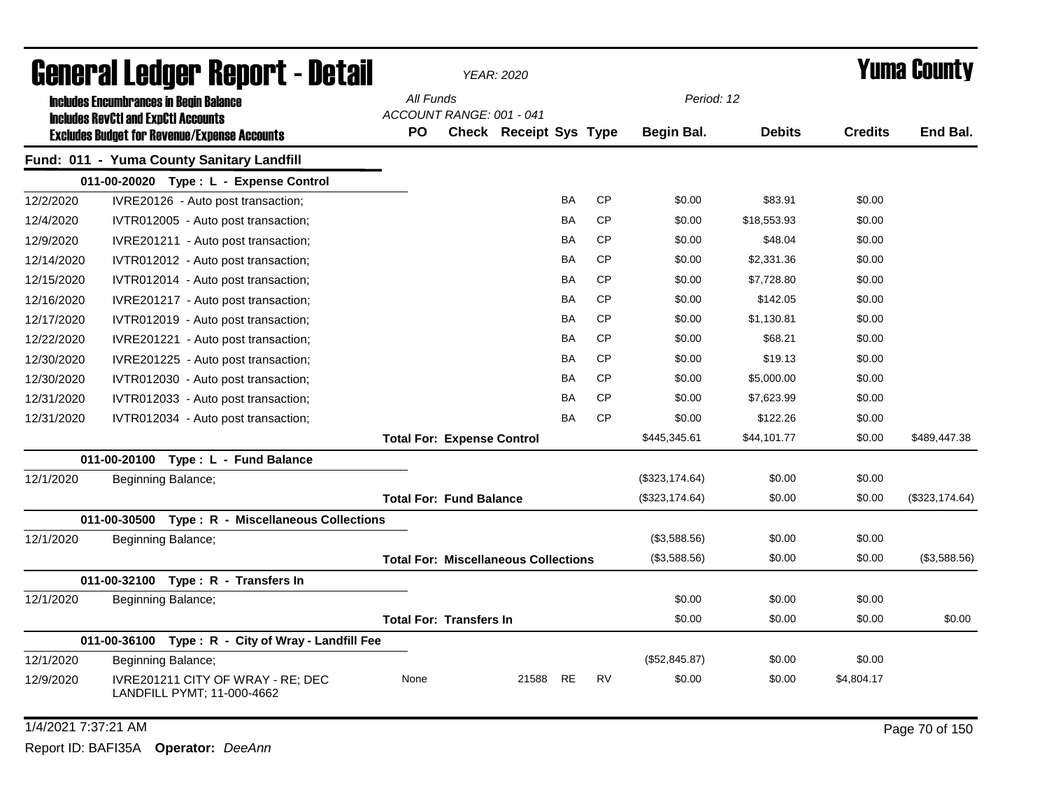|                     | <b>General Ledger Report - Detail</b>                           | YEAR: 2020<br>All Funds<br>Period: 12 |  |                                             |           |           |                |               | Yuma County    |                 |
|---------------------|-----------------------------------------------------------------|---------------------------------------|--|---------------------------------------------|-----------|-----------|----------------|---------------|----------------|-----------------|
|                     | <b>Includes Encumbrances in Begin Balance</b>                   |                                       |  |                                             |           |           |                |               |                |                 |
|                     | <b>Includes RevCtI and ExpCtI Accounts</b>                      | ACCOUNT RANGE: 001 - 041              |  |                                             |           |           |                |               |                |                 |
|                     | <b>Excludes Budget for Revenue/Expense Accounts</b>             | <b>PO</b>                             |  | Check Receipt Sys Type                      |           |           | Begin Bal.     | <b>Debits</b> | <b>Credits</b> | End Bal.        |
|                     | Fund: 011 - Yuma County Sanitary Landfill                       |                                       |  |                                             |           |           |                |               |                |                 |
|                     | 011-00-20020 Type: L - Expense Control                          |                                       |  |                                             |           |           |                |               |                |                 |
| 12/2/2020           | IVRE20126 - Auto post transaction;                              |                                       |  |                                             | <b>BA</b> | <b>CP</b> | \$0.00         | \$83.91       | \$0.00         |                 |
| 12/4/2020           | IVTR012005 - Auto post transaction;                             |                                       |  |                                             | BA        | <b>CP</b> | \$0.00         | \$18,553.93   | \$0.00         |                 |
| 12/9/2020           | IVRE201211 - Auto post transaction;                             |                                       |  |                                             | <b>BA</b> | <b>CP</b> | \$0.00         | \$48.04       | \$0.00         |                 |
| 12/14/2020          | IVTR012012 - Auto post transaction;                             |                                       |  |                                             | <b>BA</b> | <b>CP</b> | \$0.00         | \$2,331.36    | \$0.00         |                 |
| 12/15/2020          | IVTR012014 - Auto post transaction;                             |                                       |  |                                             | <b>BA</b> | <b>CP</b> | \$0.00         | \$7,728.80    | \$0.00         |                 |
| 12/16/2020          | IVRE201217 - Auto post transaction;                             |                                       |  |                                             | BA        | <b>CP</b> | \$0.00         | \$142.05      | \$0.00         |                 |
| 12/17/2020          | IVTR012019 - Auto post transaction;                             |                                       |  |                                             | BA        | <b>CP</b> | \$0.00         | \$1,130.81    | \$0.00         |                 |
| 12/22/2020          | IVRE201221 - Auto post transaction;                             |                                       |  |                                             | <b>BA</b> | <b>CP</b> | \$0.00         | \$68.21       | \$0.00         |                 |
| 12/30/2020          | IVRE201225 - Auto post transaction;                             |                                       |  |                                             | BA        | <b>CP</b> | \$0.00         | \$19.13       | \$0.00         |                 |
| 12/30/2020          | IVTR012030 - Auto post transaction;                             |                                       |  |                                             | BA        | <b>CP</b> | \$0.00         | \$5,000.00    | \$0.00         |                 |
| 12/31/2020          | IVTR012033 - Auto post transaction;                             |                                       |  |                                             | <b>BA</b> | <b>CP</b> | \$0.00         | \$7,623.99    | \$0.00         |                 |
| 12/31/2020          | IVTR012034 - Auto post transaction;                             |                                       |  |                                             | <b>BA</b> | <b>CP</b> | \$0.00         | \$122.26      | \$0.00         |                 |
|                     |                                                                 | <b>Total For: Expense Control</b>     |  |                                             |           |           | \$445,345.61   | \$44,101.77   | \$0.00         | \$489,447.38    |
|                     | 011-00-20100 Type: L - Fund Balance                             |                                       |  |                                             |           |           |                |               |                |                 |
| 12/1/2020           | Beginning Balance;                                              |                                       |  |                                             |           |           | (\$323,174.64) | \$0.00        | \$0.00         |                 |
|                     |                                                                 | <b>Total For: Fund Balance</b>        |  |                                             |           |           | (\$323,174.64) | \$0.00        | \$0.00         | (\$323, 174.64) |
|                     | 011-00-30500 Type: R - Miscellaneous Collections                |                                       |  |                                             |           |           |                |               |                |                 |
| 12/1/2020           | Beginning Balance;                                              |                                       |  |                                             |           |           | (\$3,588.56)   | \$0.00        | \$0.00         |                 |
|                     |                                                                 |                                       |  | <b>Total For: Miscellaneous Collections</b> |           |           | (\$3,588.56)   | \$0.00        | \$0.00         | (\$3,588.56)    |
|                     | 011-00-32100 Type: R - Transfers In                             |                                       |  |                                             |           |           |                |               |                |                 |
| 12/1/2020           | Beginning Balance;                                              |                                       |  |                                             |           |           | \$0.00         | \$0.00        | \$0.00         |                 |
|                     |                                                                 | <b>Total For: Transfers In</b>        |  |                                             |           |           | \$0.00         | \$0.00        | \$0.00         | \$0.00          |
|                     | 011-00-36100 Type: R - City of Wray - Landfill Fee              |                                       |  |                                             |           |           |                |               |                |                 |
| 12/1/2020           | Beginning Balance;                                              |                                       |  |                                             |           |           | (\$52,845.87)  | \$0.00        | \$0.00         |                 |
| 12/9/2020           | IVRE201211 CITY OF WRAY - RE; DEC<br>LANDFILL PYMT; 11-000-4662 | None                                  |  | 21588                                       | <b>RE</b> | <b>RV</b> | \$0.00         | \$0.00        | \$4,804.17     |                 |
| 1/4/2021 7:37:21 AM |                                                                 |                                       |  |                                             |           |           |                |               |                | Page 70 of 150  |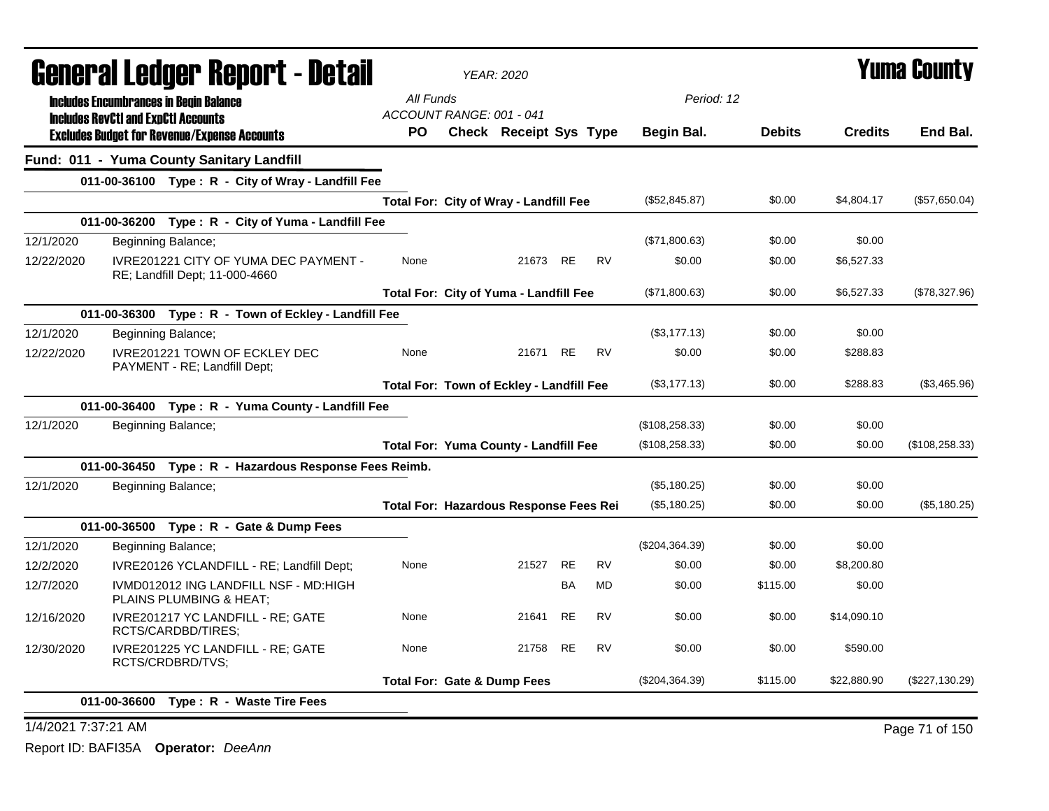|            |                                            | General Ledger Report - Detail                                          |                                        | <b>YEAR: 2020</b>                             |           |           |                 |               |                | <b>Yuma County</b> |
|------------|--------------------------------------------|-------------------------------------------------------------------------|----------------------------------------|-----------------------------------------------|-----------|-----------|-----------------|---------------|----------------|--------------------|
|            |                                            | <b>Includes Encumbrances in Begin Balance</b>                           | All Funds                              |                                               |           |           | Period: 12      |               |                |                    |
|            | <b>Includes RevCtI and ExpCtI Accounts</b> | <b>Excludes Budget for Revenue/Expense Accounts</b>                     | ACCOUNT RANGE: 001 - 041<br><b>PO</b>  | <b>Check Receipt Sys Type</b>                 |           |           | Begin Bal.      | <b>Debits</b> | <b>Credits</b> | End Bal.           |
|            |                                            | Fund: 011 - Yuma County Sanitary Landfill                               |                                        |                                               |           |           |                 |               |                |                    |
|            |                                            | 011-00-36100 Type: R - City of Wray - Landfill Fee                      |                                        |                                               |           |           |                 |               |                |                    |
|            |                                            |                                                                         |                                        | Total For: City of Wray - Landfill Fee        |           |           | (\$52,845.87)   | \$0.00        | \$4,804.17     | (\$57,650.04)      |
|            |                                            | 011-00-36200 Type: R - City of Yuma - Landfill Fee                      |                                        |                                               |           |           |                 |               |                |                    |
| 12/1/2020  |                                            | Beginning Balance;                                                      |                                        |                                               |           |           | (\$71,800.63)   | \$0.00        | \$0.00         |                    |
| 12/22/2020 |                                            | IVRE201221 CITY OF YUMA DEC PAYMENT -<br>RE; Landfill Dept; 11-000-4660 | None                                   | 21673 RE                                      |           | <b>RV</b> | \$0.00          | \$0.00        | \$6,527.33     |                    |
|            |                                            |                                                                         |                                        | <b>Total For: City of Yuma - Landfill Fee</b> |           |           | (\$71,800.63)   | \$0.00        | \$6,527.33     | (\$78,327.96)      |
|            |                                            | 011-00-36300 Type: R - Town of Eckley - Landfill Fee                    |                                        |                                               |           |           |                 |               |                |                    |
| 12/1/2020  |                                            | Beginning Balance;                                                      |                                        |                                               |           |           | (\$3,177.13)    | \$0.00        | \$0.00         |                    |
| 12/22/2020 |                                            | IVRE201221 TOWN OF ECKLEY DEC<br>PAYMENT - RE; Landfill Dept;           | None                                   | 21671                                         | RE        | <b>RV</b> | \$0.00          | \$0.00        | \$288.83       |                    |
|            |                                            |                                                                         |                                        | Total For: Town of Eckley - Landfill Fee      |           |           | (\$3,177.13)    | \$0.00        | \$288.83       | (\$3,465.96)       |
|            |                                            | 011-00-36400 Type: R - Yuma County - Landfill Fee                       |                                        |                                               |           |           |                 |               |                |                    |
| 12/1/2020  |                                            | Beginning Balance;                                                      |                                        |                                               |           |           | (\$108, 258.33) | \$0.00        | \$0.00         |                    |
|            |                                            |                                                                         |                                        | <b>Total For: Yuma County - Landfill Fee</b>  |           |           | (\$108, 258.33) | \$0.00        | \$0.00         | (\$108, 258.33)    |
|            |                                            | 011-00-36450 Type: R - Hazardous Response Fees Reimb.                   |                                        |                                               |           |           |                 |               |                |                    |
| 12/1/2020  |                                            | Beginning Balance;                                                      |                                        |                                               |           |           | (\$5,180.25)    | \$0.00        | \$0.00         |                    |
|            |                                            |                                                                         |                                        | Total For: Hazardous Response Fees Rei        |           |           | (\$5,180.25)    | \$0.00        | \$0.00         | (\$5,180.25)       |
|            |                                            | 011-00-36500 Type: R - Gate & Dump Fees                                 |                                        |                                               |           |           |                 |               |                |                    |
| 12/1/2020  |                                            | Beginning Balance;                                                      |                                        |                                               |           |           | (\$204,364.39)  | \$0.00        | \$0.00         |                    |
| 12/2/2020  |                                            | IVRE20126 YCLANDFILL - RE; Landfill Dept;                               | None                                   | 21527                                         | <b>RE</b> | <b>RV</b> | \$0.00          | \$0.00        | \$8,200.80     |                    |
| 12/7/2020  |                                            | IVMD012012 ING LANDFILL NSF - MD:HIGH<br>PLAINS PLUMBING & HEAT;        |                                        |                                               | <b>BA</b> | <b>MD</b> | \$0.00          | \$115.00      | \$0.00         |                    |
| 12/16/2020 |                                            | IVRE201217 YC LANDFILL - RE; GATE<br>RCTS/CARDBD/TIRES:                 | None                                   | 21641                                         | RE        | <b>RV</b> | \$0.00          | \$0.00        | \$14,090.10    |                    |
| 12/30/2020 |                                            | IVRE201225 YC LANDFILL - RE; GATE<br>RCTS/CRDBRD/TVS;                   | None                                   | 21758                                         | <b>RE</b> | <b>RV</b> | \$0.00          | \$0.00        | \$590.00       |                    |
|            |                                            |                                                                         | <b>Total For: Gate &amp; Dump Fees</b> |                                               |           |           | (\$204,364.39)  | \$115.00      | \$22,880.90    | (\$227,130.29)     |
|            |                                            | 011-00-36600 Type: R - Waste Tire Fees                                  |                                        |                                               |           |           |                 |               |                |                    |

1/4/2021 7:37:21 AM Page 71 of 150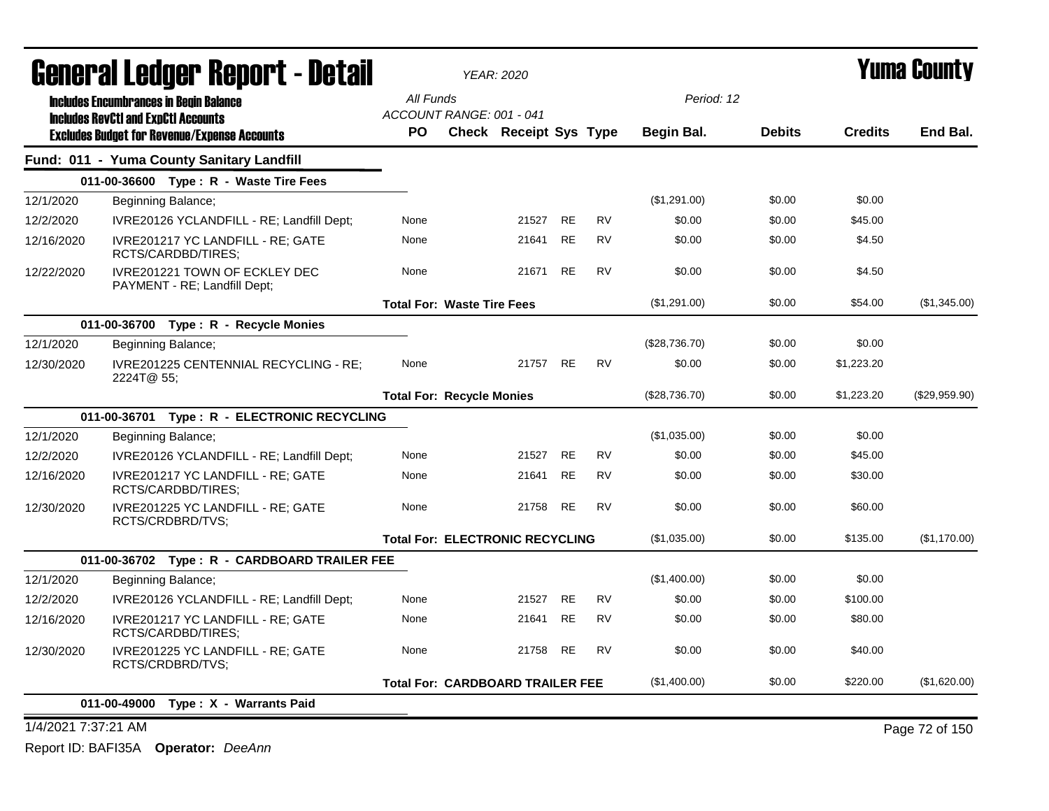| All Funds<br>Period: 12<br><b>Includes Encumbrances in Begin Balance</b><br>ACCOUNT RANGE: 001 - 041<br><b>Includes RevCtI and ExpCtI Accounts</b><br>End Bal.<br><b>Check Receipt Sys Type</b><br>Begin Bal.<br><b>Debits</b><br><b>Credits</b><br>PO.<br><b>Excludes Budget for Revenue/Expense Accounts</b><br>Fund: 011 - Yuma County Sanitary Landfill<br>011-00-36600 Type: R - Waste Tire Fees<br>12/1/2020<br>(\$1,291.00)<br>\$0.00<br>\$0.00<br>Beginning Balance;<br><b>RE</b><br><b>RV</b><br>21527<br>\$0.00<br>\$0.00<br>\$45.00<br>12/2/2020<br>IVRE20126 YCLANDFILL - RE; Landfill Dept;<br>None<br><b>RE</b><br><b>RV</b><br>\$0.00<br>\$0.00<br>\$4.50<br>12/16/2020<br>IVRE201217 YC LANDFILL - RE; GATE<br>21641<br>None<br>RCTS/CARDBD/TIRES:<br>IVRE201221 TOWN OF ECKLEY DEC<br>21671<br><b>RE</b><br><b>RV</b><br>\$0.00<br>\$0.00<br>\$4.50<br>12/22/2020<br>None<br>PAYMENT - RE; Landfill Dept;<br>(\$1,291.00)<br>\$0.00<br>\$54.00<br><b>Total For: Waste Tire Fees</b><br>011-00-36700 Type: R - Recycle Monies<br>(\$28,736.70)<br>\$0.00<br>\$0.00<br>12/1/2020<br>Beginning Balance;<br>21757<br><b>RE</b><br><b>RV</b><br>\$0.00<br>\$0.00<br>\$1,223.20<br>12/30/2020<br>IVRE201225 CENTENNIAL RECYCLING - RE;<br>None<br>2224T@ 55;<br>(\$28,736.70)<br>\$0.00<br>\$1,223.20<br><b>Total For: Recycle Monies</b><br>011-00-36701 Type: R - ELECTRONIC RECYCLING<br>\$0.00<br>12/1/2020<br>(\$1,035.00)<br>\$0.00<br>Beginning Balance;<br><b>RE</b><br><b>RV</b><br>\$0.00<br>12/2/2020<br>None<br>21527<br>\$0.00<br>\$45.00<br>IVRE20126 YCLANDFILL - RE; Landfill Dept;<br><b>RE</b><br><b>RV</b><br>\$0.00<br>\$0.00<br>\$30.00<br>12/16/2020<br>IVRE201217 YC LANDFILL - RE; GATE<br>None<br>21641<br>RCTS/CARDBD/TIRES;<br>IVRE201225 YC LANDFILL - RE; GATE<br>21758<br><b>RE</b><br><b>RV</b><br>\$0.00<br>\$0.00<br>\$60.00<br>12/30/2020<br>None<br>RCTS/CRDBRD/TVS;<br>\$0.00<br>\$135.00<br><b>Total For: ELECTRONIC RECYCLING</b><br>(\$1,035.00)<br>011-00-36702 Type: R - CARDBOARD TRAILER FEE<br>(\$1,400.00)<br>\$0.00<br>\$0.00<br>12/1/2020<br>Beginning Balance;<br><b>RE</b><br><b>RV</b><br>21527<br>\$0.00<br>\$0.00<br>\$100.00<br>12/2/2020<br>IVRE20126 YCLANDFILL - RE; Landfill Dept;<br>None<br><b>RE</b><br>\$0.00<br>\$80.00<br>IVRE201217 YC LANDFILL - RE; GATE<br><b>RV</b><br>\$0.00<br>12/16/2020<br>None<br>21641<br>RCTS/CARDBD/TIRES:<br>RE<br><b>RV</b><br>\$0.00<br>\$0.00<br>\$40.00<br>IVRE201225 YC LANDFILL - RE; GATE<br>None<br>21758<br>12/30/2020<br>RCTS/CRDBRD/TVS;<br>(\$1,400.00)<br>\$0.00<br>\$220.00<br><b>Total For: CARDBOARD TRAILER FEE</b><br>011-00-49000<br>Type: X - Warrants Paid |                     | <b>General Ledger Report - Detail</b> |  | <b>YEAR: 2020</b> |  |  | Yuma Countv    |
|-----------------------------------------------------------------------------------------------------------------------------------------------------------------------------------------------------------------------------------------------------------------------------------------------------------------------------------------------------------------------------------------------------------------------------------------------------------------------------------------------------------------------------------------------------------------------------------------------------------------------------------------------------------------------------------------------------------------------------------------------------------------------------------------------------------------------------------------------------------------------------------------------------------------------------------------------------------------------------------------------------------------------------------------------------------------------------------------------------------------------------------------------------------------------------------------------------------------------------------------------------------------------------------------------------------------------------------------------------------------------------------------------------------------------------------------------------------------------------------------------------------------------------------------------------------------------------------------------------------------------------------------------------------------------------------------------------------------------------------------------------------------------------------------------------------------------------------------------------------------------------------------------------------------------------------------------------------------------------------------------------------------------------------------------------------------------------------------------------------------------------------------------------------------------------------------------------------------------------------------------------------------------------------------------------------------------------------------------------------------------------------------------------------------------------------------------------------------------------------------------------------------------------------------------------------------------------------------------------------------------------------------------------------------------------------------|---------------------|---------------------------------------|--|-------------------|--|--|----------------|
|                                                                                                                                                                                                                                                                                                                                                                                                                                                                                                                                                                                                                                                                                                                                                                                                                                                                                                                                                                                                                                                                                                                                                                                                                                                                                                                                                                                                                                                                                                                                                                                                                                                                                                                                                                                                                                                                                                                                                                                                                                                                                                                                                                                                                                                                                                                                                                                                                                                                                                                                                                                                                                                                                         |                     |                                       |  |                   |  |  |                |
|                                                                                                                                                                                                                                                                                                                                                                                                                                                                                                                                                                                                                                                                                                                                                                                                                                                                                                                                                                                                                                                                                                                                                                                                                                                                                                                                                                                                                                                                                                                                                                                                                                                                                                                                                                                                                                                                                                                                                                                                                                                                                                                                                                                                                                                                                                                                                                                                                                                                                                                                                                                                                                                                                         |                     |                                       |  |                   |  |  |                |
|                                                                                                                                                                                                                                                                                                                                                                                                                                                                                                                                                                                                                                                                                                                                                                                                                                                                                                                                                                                                                                                                                                                                                                                                                                                                                                                                                                                                                                                                                                                                                                                                                                                                                                                                                                                                                                                                                                                                                                                                                                                                                                                                                                                                                                                                                                                                                                                                                                                                                                                                                                                                                                                                                         |                     |                                       |  |                   |  |  |                |
|                                                                                                                                                                                                                                                                                                                                                                                                                                                                                                                                                                                                                                                                                                                                                                                                                                                                                                                                                                                                                                                                                                                                                                                                                                                                                                                                                                                                                                                                                                                                                                                                                                                                                                                                                                                                                                                                                                                                                                                                                                                                                                                                                                                                                                                                                                                                                                                                                                                                                                                                                                                                                                                                                         |                     |                                       |  |                   |  |  |                |
|                                                                                                                                                                                                                                                                                                                                                                                                                                                                                                                                                                                                                                                                                                                                                                                                                                                                                                                                                                                                                                                                                                                                                                                                                                                                                                                                                                                                                                                                                                                                                                                                                                                                                                                                                                                                                                                                                                                                                                                                                                                                                                                                                                                                                                                                                                                                                                                                                                                                                                                                                                                                                                                                                         |                     |                                       |  |                   |  |  |                |
|                                                                                                                                                                                                                                                                                                                                                                                                                                                                                                                                                                                                                                                                                                                                                                                                                                                                                                                                                                                                                                                                                                                                                                                                                                                                                                                                                                                                                                                                                                                                                                                                                                                                                                                                                                                                                                                                                                                                                                                                                                                                                                                                                                                                                                                                                                                                                                                                                                                                                                                                                                                                                                                                                         |                     |                                       |  |                   |  |  |                |
|                                                                                                                                                                                                                                                                                                                                                                                                                                                                                                                                                                                                                                                                                                                                                                                                                                                                                                                                                                                                                                                                                                                                                                                                                                                                                                                                                                                                                                                                                                                                                                                                                                                                                                                                                                                                                                                                                                                                                                                                                                                                                                                                                                                                                                                                                                                                                                                                                                                                                                                                                                                                                                                                                         |                     |                                       |  |                   |  |  |                |
|                                                                                                                                                                                                                                                                                                                                                                                                                                                                                                                                                                                                                                                                                                                                                                                                                                                                                                                                                                                                                                                                                                                                                                                                                                                                                                                                                                                                                                                                                                                                                                                                                                                                                                                                                                                                                                                                                                                                                                                                                                                                                                                                                                                                                                                                                                                                                                                                                                                                                                                                                                                                                                                                                         |                     |                                       |  |                   |  |  |                |
|                                                                                                                                                                                                                                                                                                                                                                                                                                                                                                                                                                                                                                                                                                                                                                                                                                                                                                                                                                                                                                                                                                                                                                                                                                                                                                                                                                                                                                                                                                                                                                                                                                                                                                                                                                                                                                                                                                                                                                                                                                                                                                                                                                                                                                                                                                                                                                                                                                                                                                                                                                                                                                                                                         |                     |                                       |  |                   |  |  |                |
|                                                                                                                                                                                                                                                                                                                                                                                                                                                                                                                                                                                                                                                                                                                                                                                                                                                                                                                                                                                                                                                                                                                                                                                                                                                                                                                                                                                                                                                                                                                                                                                                                                                                                                                                                                                                                                                                                                                                                                                                                                                                                                                                                                                                                                                                                                                                                                                                                                                                                                                                                                                                                                                                                         |                     |                                       |  |                   |  |  | (\$1,345.00)   |
|                                                                                                                                                                                                                                                                                                                                                                                                                                                                                                                                                                                                                                                                                                                                                                                                                                                                                                                                                                                                                                                                                                                                                                                                                                                                                                                                                                                                                                                                                                                                                                                                                                                                                                                                                                                                                                                                                                                                                                                                                                                                                                                                                                                                                                                                                                                                                                                                                                                                                                                                                                                                                                                                                         |                     |                                       |  |                   |  |  |                |
|                                                                                                                                                                                                                                                                                                                                                                                                                                                                                                                                                                                                                                                                                                                                                                                                                                                                                                                                                                                                                                                                                                                                                                                                                                                                                                                                                                                                                                                                                                                                                                                                                                                                                                                                                                                                                                                                                                                                                                                                                                                                                                                                                                                                                                                                                                                                                                                                                                                                                                                                                                                                                                                                                         |                     |                                       |  |                   |  |  |                |
|                                                                                                                                                                                                                                                                                                                                                                                                                                                                                                                                                                                                                                                                                                                                                                                                                                                                                                                                                                                                                                                                                                                                                                                                                                                                                                                                                                                                                                                                                                                                                                                                                                                                                                                                                                                                                                                                                                                                                                                                                                                                                                                                                                                                                                                                                                                                                                                                                                                                                                                                                                                                                                                                                         |                     |                                       |  |                   |  |  |                |
|                                                                                                                                                                                                                                                                                                                                                                                                                                                                                                                                                                                                                                                                                                                                                                                                                                                                                                                                                                                                                                                                                                                                                                                                                                                                                                                                                                                                                                                                                                                                                                                                                                                                                                                                                                                                                                                                                                                                                                                                                                                                                                                                                                                                                                                                                                                                                                                                                                                                                                                                                                                                                                                                                         |                     |                                       |  |                   |  |  | (\$29,959.90)  |
|                                                                                                                                                                                                                                                                                                                                                                                                                                                                                                                                                                                                                                                                                                                                                                                                                                                                                                                                                                                                                                                                                                                                                                                                                                                                                                                                                                                                                                                                                                                                                                                                                                                                                                                                                                                                                                                                                                                                                                                                                                                                                                                                                                                                                                                                                                                                                                                                                                                                                                                                                                                                                                                                                         |                     |                                       |  |                   |  |  |                |
|                                                                                                                                                                                                                                                                                                                                                                                                                                                                                                                                                                                                                                                                                                                                                                                                                                                                                                                                                                                                                                                                                                                                                                                                                                                                                                                                                                                                                                                                                                                                                                                                                                                                                                                                                                                                                                                                                                                                                                                                                                                                                                                                                                                                                                                                                                                                                                                                                                                                                                                                                                                                                                                                                         |                     |                                       |  |                   |  |  |                |
|                                                                                                                                                                                                                                                                                                                                                                                                                                                                                                                                                                                                                                                                                                                                                                                                                                                                                                                                                                                                                                                                                                                                                                                                                                                                                                                                                                                                                                                                                                                                                                                                                                                                                                                                                                                                                                                                                                                                                                                                                                                                                                                                                                                                                                                                                                                                                                                                                                                                                                                                                                                                                                                                                         |                     |                                       |  |                   |  |  |                |
|                                                                                                                                                                                                                                                                                                                                                                                                                                                                                                                                                                                                                                                                                                                                                                                                                                                                                                                                                                                                                                                                                                                                                                                                                                                                                                                                                                                                                                                                                                                                                                                                                                                                                                                                                                                                                                                                                                                                                                                                                                                                                                                                                                                                                                                                                                                                                                                                                                                                                                                                                                                                                                                                                         |                     |                                       |  |                   |  |  |                |
|                                                                                                                                                                                                                                                                                                                                                                                                                                                                                                                                                                                                                                                                                                                                                                                                                                                                                                                                                                                                                                                                                                                                                                                                                                                                                                                                                                                                                                                                                                                                                                                                                                                                                                                                                                                                                                                                                                                                                                                                                                                                                                                                                                                                                                                                                                                                                                                                                                                                                                                                                                                                                                                                                         |                     |                                       |  |                   |  |  |                |
|                                                                                                                                                                                                                                                                                                                                                                                                                                                                                                                                                                                                                                                                                                                                                                                                                                                                                                                                                                                                                                                                                                                                                                                                                                                                                                                                                                                                                                                                                                                                                                                                                                                                                                                                                                                                                                                                                                                                                                                                                                                                                                                                                                                                                                                                                                                                                                                                                                                                                                                                                                                                                                                                                         |                     |                                       |  |                   |  |  | (\$1,170.00)   |
|                                                                                                                                                                                                                                                                                                                                                                                                                                                                                                                                                                                                                                                                                                                                                                                                                                                                                                                                                                                                                                                                                                                                                                                                                                                                                                                                                                                                                                                                                                                                                                                                                                                                                                                                                                                                                                                                                                                                                                                                                                                                                                                                                                                                                                                                                                                                                                                                                                                                                                                                                                                                                                                                                         |                     |                                       |  |                   |  |  |                |
|                                                                                                                                                                                                                                                                                                                                                                                                                                                                                                                                                                                                                                                                                                                                                                                                                                                                                                                                                                                                                                                                                                                                                                                                                                                                                                                                                                                                                                                                                                                                                                                                                                                                                                                                                                                                                                                                                                                                                                                                                                                                                                                                                                                                                                                                                                                                                                                                                                                                                                                                                                                                                                                                                         |                     |                                       |  |                   |  |  |                |
|                                                                                                                                                                                                                                                                                                                                                                                                                                                                                                                                                                                                                                                                                                                                                                                                                                                                                                                                                                                                                                                                                                                                                                                                                                                                                                                                                                                                                                                                                                                                                                                                                                                                                                                                                                                                                                                                                                                                                                                                                                                                                                                                                                                                                                                                                                                                                                                                                                                                                                                                                                                                                                                                                         |                     |                                       |  |                   |  |  |                |
|                                                                                                                                                                                                                                                                                                                                                                                                                                                                                                                                                                                                                                                                                                                                                                                                                                                                                                                                                                                                                                                                                                                                                                                                                                                                                                                                                                                                                                                                                                                                                                                                                                                                                                                                                                                                                                                                                                                                                                                                                                                                                                                                                                                                                                                                                                                                                                                                                                                                                                                                                                                                                                                                                         |                     |                                       |  |                   |  |  |                |
|                                                                                                                                                                                                                                                                                                                                                                                                                                                                                                                                                                                                                                                                                                                                                                                                                                                                                                                                                                                                                                                                                                                                                                                                                                                                                                                                                                                                                                                                                                                                                                                                                                                                                                                                                                                                                                                                                                                                                                                                                                                                                                                                                                                                                                                                                                                                                                                                                                                                                                                                                                                                                                                                                         |                     |                                       |  |                   |  |  |                |
|                                                                                                                                                                                                                                                                                                                                                                                                                                                                                                                                                                                                                                                                                                                                                                                                                                                                                                                                                                                                                                                                                                                                                                                                                                                                                                                                                                                                                                                                                                                                                                                                                                                                                                                                                                                                                                                                                                                                                                                                                                                                                                                                                                                                                                                                                                                                                                                                                                                                                                                                                                                                                                                                                         |                     |                                       |  |                   |  |  | (\$1,620.00)   |
|                                                                                                                                                                                                                                                                                                                                                                                                                                                                                                                                                                                                                                                                                                                                                                                                                                                                                                                                                                                                                                                                                                                                                                                                                                                                                                                                                                                                                                                                                                                                                                                                                                                                                                                                                                                                                                                                                                                                                                                                                                                                                                                                                                                                                                                                                                                                                                                                                                                                                                                                                                                                                                                                                         |                     |                                       |  |                   |  |  |                |
|                                                                                                                                                                                                                                                                                                                                                                                                                                                                                                                                                                                                                                                                                                                                                                                                                                                                                                                                                                                                                                                                                                                                                                                                                                                                                                                                                                                                                                                                                                                                                                                                                                                                                                                                                                                                                                                                                                                                                                                                                                                                                                                                                                                                                                                                                                                                                                                                                                                                                                                                                                                                                                                                                         | 1/4/2021 7:37:21 AM |                                       |  |                   |  |  | Page 72 of 150 |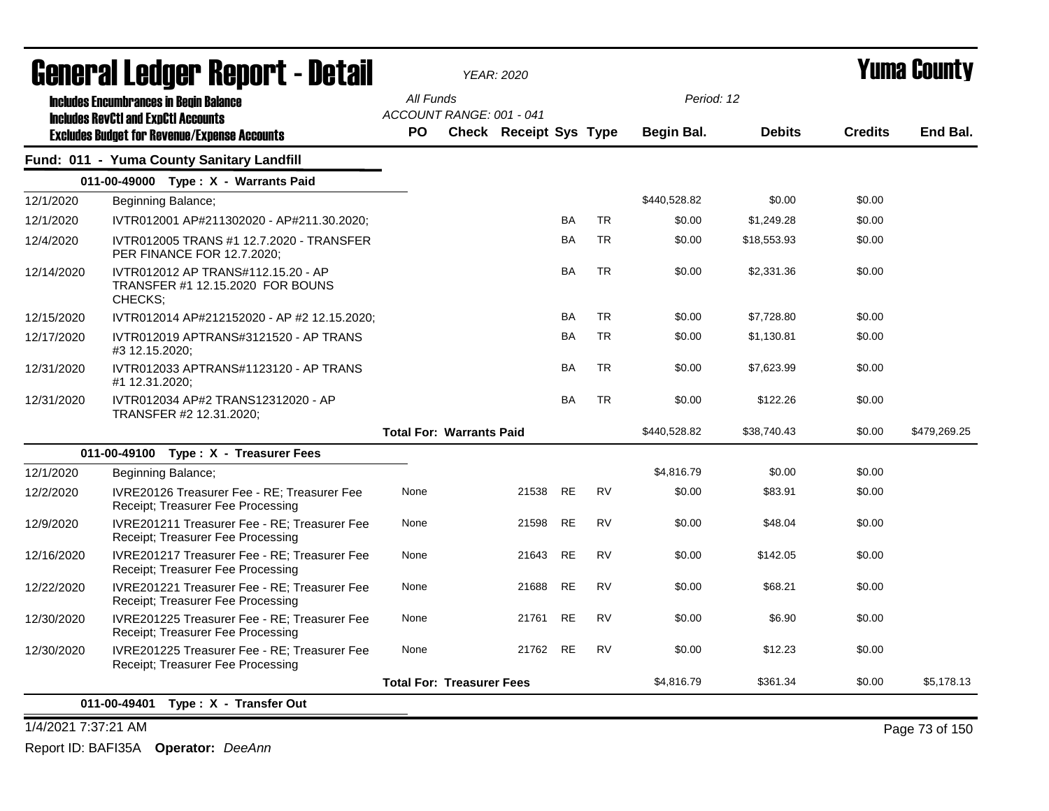| General Ledger Report - Detail<br><b>Includes Encumbrances in Begin Balance</b><br><b>Includes RevCtI and ExpCtI Accounts</b> |                                       |  |                        |                                                                     |                                        |              |               |                |              |
|-------------------------------------------------------------------------------------------------------------------------------|---------------------------------------|--|------------------------|---------------------------------------------------------------------|----------------------------------------|--------------|---------------|----------------|--------------|
|                                                                                                                               | All Funds<br>ACCOUNT RANGE: 001 - 041 |  |                        |                                                                     |                                        | Period: 12   |               |                |              |
| <b>Excludes Budget for Revenue/Expense Accounts</b>                                                                           |                                       |  |                        |                                                                     |                                        |              |               |                |              |
|                                                                                                                               | <b>PO</b>                             |  | Check Receipt Sys Type |                                                                     |                                        | Begin Bal.   | <b>Debits</b> | <b>Credits</b> | End Bal.     |
| Fund: 011 - Yuma County Sanitary Landfill                                                                                     |                                       |  |                        |                                                                     |                                        |              |               |                |              |
| 011-00-49000 Type: X - Warrants Paid                                                                                          |                                       |  |                        |                                                                     |                                        |              |               |                |              |
| Beginning Balance;                                                                                                            |                                       |  |                        |                                                                     |                                        | \$440,528.82 | \$0.00        | \$0.00         |              |
| IVTR012001 AP#211302020 - AP#211.30.2020;                                                                                     |                                       |  |                        | BA                                                                  | <b>TR</b>                              | \$0.00       | \$1,249.28    | \$0.00         |              |
| IVTR012005 TRANS #1 12.7.2020 - TRANSFER<br>PER FINANCE FOR 12.7.2020;                                                        |                                       |  |                        | BA                                                                  | <b>TR</b>                              | \$0.00       | \$18,553.93   | \$0.00         |              |
| IVTR012012 AP TRANS#112.15.20 - AP<br>TRANSFER #1 12.15.2020 FOR BOUNS<br>CHECKS;                                             |                                       |  |                        | <b>BA</b>                                                           | <b>TR</b>                              | \$0.00       | \$2,331.36    | \$0.00         |              |
| IVTR012014 AP#212152020 - AP #2 12.15.2020;                                                                                   |                                       |  |                        | <b>BA</b>                                                           | <b>TR</b>                              | \$0.00       | \$7,728.80    | \$0.00         |              |
| IVTR012019 APTRANS#3121520 - AP TRANS<br>#3 12.15.2020;                                                                       |                                       |  |                        | BA                                                                  | <b>TR</b>                              | \$0.00       | \$1,130.81    | \$0.00         |              |
| IVTR012033 APTRANS#1123120 - AP TRANS<br>#1 12.31.2020;                                                                       |                                       |  |                        | <b>BA</b>                                                           | <b>TR</b>                              | \$0.00       | \$7,623.99    | \$0.00         |              |
| IVTR012034 AP#2 TRANS12312020 - AP<br>TRANSFER #2 12.31.2020;                                                                 |                                       |  |                        | <b>BA</b>                                                           | <b>TR</b>                              | \$0.00       | \$122.26      | \$0.00         |              |
|                                                                                                                               |                                       |  |                        |                                                                     |                                        | \$440,528.82 | \$38,740.43   | \$0.00         | \$479,269.25 |
| 011-00-49100 Type: X - Treasurer Fees                                                                                         |                                       |  |                        |                                                                     |                                        |              |               |                |              |
| Beginning Balance;                                                                                                            |                                       |  |                        |                                                                     |                                        | \$4,816.79   | \$0.00        | \$0.00         |              |
| IVRE20126 Treasurer Fee - RE; Treasurer Fee<br>Receipt; Treasurer Fee Processing                                              | None                                  |  |                        | <b>RE</b>                                                           | <b>RV</b>                              | \$0.00       | \$83.91       | \$0.00         |              |
| IVRE201211 Treasurer Fee - RE: Treasurer Fee<br>Receipt; Treasurer Fee Processing                                             | None                                  |  |                        |                                                                     | <b>RV</b>                              | \$0.00       | \$48.04       | \$0.00         |              |
| IVRE201217 Treasurer Fee - RE; Treasurer Fee<br>Receipt; Treasurer Fee Processing                                             | None                                  |  |                        | <b>RE</b>                                                           | <b>RV</b>                              | \$0.00       | \$142.05      | \$0.00         |              |
| IVRE201221 Treasurer Fee - RE; Treasurer Fee<br>Receipt; Treasurer Fee Processing                                             | None                                  |  | 21688                  | <b>RE</b>                                                           | <b>RV</b>                              | \$0.00       | \$68.21       | \$0.00         |              |
| IVRE201225 Treasurer Fee - RE; Treasurer Fee<br>Receipt; Treasurer Fee Processing                                             | None                                  |  | 21761                  | <b>RE</b>                                                           | <b>RV</b>                              | \$0.00       | \$6.90        | \$0.00         |              |
| IVRE201225 Treasurer Fee - RE; Treasurer Fee<br>Receipt; Treasurer Fee Processing                                             | None                                  |  |                        |                                                                     | <b>RV</b>                              | \$0.00       | \$12.23       | \$0.00         |              |
|                                                                                                                               |                                       |  |                        |                                                                     |                                        | \$4,816.79   | \$361.34      | \$0.00         | \$5,178.13   |
|                                                                                                                               | 011-00-49401 Type: X - Transfer Out   |  |                        | <b>Total For: Warrants Paid</b><br><b>Total For: Treasurer Fees</b> | 21538<br>21598 RE<br>21643<br>21762 RE |              |               |                |              |

1/4/2021 7:37:21 AM Page 73 of 150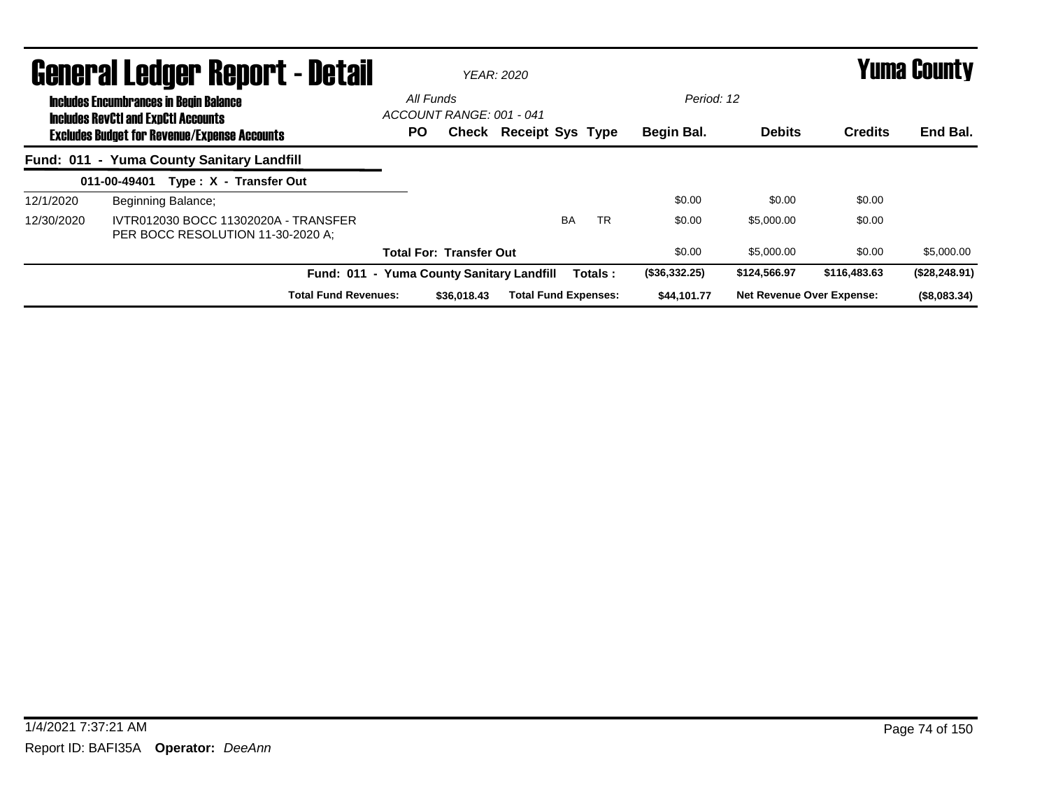|            | <b>General Ledger Report - Detail</b>                                                             |           |                                | YFAR: 2020                  |           |               |                                  |                | Yuma County    |
|------------|---------------------------------------------------------------------------------------------------|-----------|--------------------------------|-----------------------------|-----------|---------------|----------------------------------|----------------|----------------|
|            | <b>Includes Encumbrances in Begin Balance</b>                                                     | All Funds | ACCOUNT RANGE: 001 - 041       |                             |           | Period: 12    |                                  |                |                |
|            | <b>Includes RevCtI and ExpCtI Accounts</b><br><b>Excludes Budget for Revenue/Expense Accounts</b> | <b>PO</b> |                                | Check Receipt Sys Type      |           | Begin Bal.    | <b>Debits</b>                    | <b>Credits</b> | End Bal.       |
|            | Fund: 011 - Yuma County Sanitary Landfill                                                         |           |                                |                             |           |               |                                  |                |                |
|            | 011-00-49401<br>Type: X - Transfer Out                                                            |           |                                |                             |           |               |                                  |                |                |
| 12/1/2020  | Beginning Balance;                                                                                |           |                                |                             |           | \$0.00        | \$0.00                           | \$0.00         |                |
| 12/30/2020 | IVTR012030 BOCC 11302020A - TRANSFER<br>PER BOCC RESOLUTION 11-30-2020 A:                         |           |                                | <b>BA</b>                   | <b>TR</b> | \$0.00        | \$5,000,00                       | \$0.00         |                |
|            |                                                                                                   |           | <b>Total For: Transfer Out</b> |                             |           | \$0.00        | \$5,000.00                       | \$0.00         | \$5,000.00     |
|            | Fund: 011 - Yuma County Sanitary Landfill                                                         |           |                                |                             | Totals:   | (\$36,332.25) | \$124,566.97                     | \$116,483,63   | (\$28, 248.91) |
|            | <b>Total Fund Revenues:</b>                                                                       |           | \$36,018,43                    | <b>Total Fund Expenses:</b> |           | \$44,101.77   | <b>Net Revenue Over Expense:</b> |                | (\$8,083.34)   |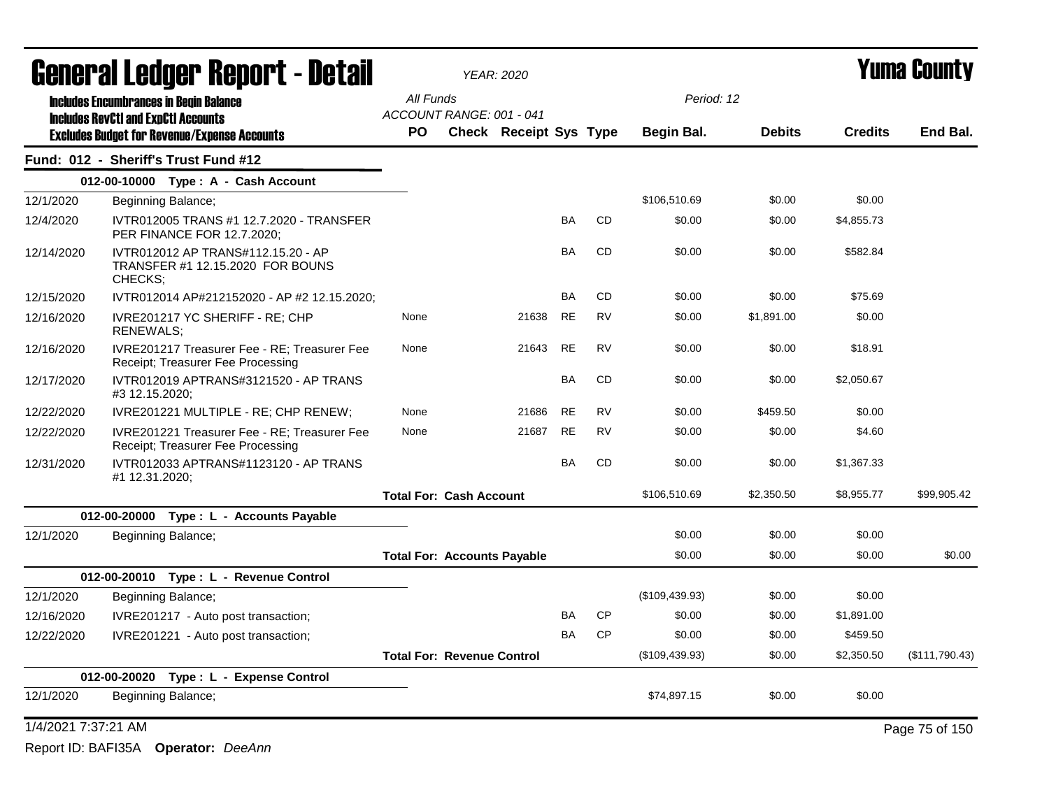|                                           | <b>General Ledger Report - Detail</b>                                             |                                    |                                | <b>YEAR: 2020</b>             |           |           |                |               |                |                |  |
|-------------------------------------------|-----------------------------------------------------------------------------------|------------------------------------|--------------------------------|-------------------------------|-----------|-----------|----------------|---------------|----------------|----------------|--|
|                                           | <b>Includes Encumbrances in Begin Balance</b>                                     | All Funds                          |                                |                               |           |           | Period: 12     |               |                |                |  |
|                                           | <b>Includes RevCtI and ExpCtI Accounts</b>                                        |                                    | ACCOUNT RANGE: 001 - 041       |                               |           |           |                |               |                |                |  |
|                                           | <b>Excludes Budget for Revenue/Expense Accounts</b>                               | <b>PO</b>                          |                                | <b>Check Receipt Sys Type</b> |           |           | Begin Bal.     | <b>Debits</b> | <b>Credits</b> | End Bal.       |  |
|                                           | Fund: 012 - Sheriff's Trust Fund #12                                              |                                    |                                |                               |           |           |                |               |                |                |  |
|                                           | 012-00-10000 Type: A - Cash Account                                               |                                    |                                |                               |           |           |                |               |                |                |  |
| 12/1/2020                                 | Beginning Balance;                                                                |                                    |                                |                               |           |           | \$106,510.69   | \$0.00        | \$0.00         |                |  |
| 12/4/2020                                 | IVTR012005 TRANS #1 12.7.2020 - TRANSFER<br>PER FINANCE FOR 12.7.2020;            |                                    |                                |                               | BA        | <b>CD</b> | \$0.00         | \$0.00        | \$4,855.73     |                |  |
| 12/14/2020                                | IVTR012012 AP TRANS#112.15.20 - AP<br>TRANSFER #1 12.15.2020 FOR BOUNS<br>CHECKS: |                                    |                                |                               | BA        | <b>CD</b> | \$0.00         | \$0.00        | \$582.84       |                |  |
| 12/15/2020                                | IVTR012014 AP#212152020 - AP #2 12.15.2020;                                       |                                    |                                |                               | <b>BA</b> | <b>CD</b> | \$0.00         | \$0.00        | \$75.69        |                |  |
| 12/16/2020                                | IVRE201217 YC SHERIFF - RE; CHP<br>RENEWALS;                                      | None                               |                                | 21638                         | <b>RE</b> | <b>RV</b> | \$0.00         | \$1,891.00    | \$0.00         |                |  |
| 12/16/2020                                | IVRE201217 Treasurer Fee - RE; Treasurer Fee<br>Receipt; Treasurer Fee Processing | None                               |                                | 21643                         | <b>RE</b> | <b>RV</b> | \$0.00         | \$0.00        | \$18.91        |                |  |
| 12/17/2020                                | IVTR012019 APTRANS#3121520 - AP TRANS<br>#3 12.15.2020;                           |                                    |                                |                               | BA        | <b>CD</b> | \$0.00         | \$0.00        | \$2,050.67     |                |  |
| 12/22/2020                                | IVRE201221 MULTIPLE - RE; CHP RENEW;                                              | None                               |                                | 21686                         | RE        | <b>RV</b> | \$0.00         | \$459.50      | \$0.00         |                |  |
| 12/22/2020                                | IVRE201221 Treasurer Fee - RE; Treasurer Fee<br>Receipt; Treasurer Fee Processing | None                               |                                | 21687                         | <b>RE</b> | <b>RV</b> | \$0.00         | \$0.00        | \$4.60         |                |  |
| 12/31/2020                                | IVTR012033 APTRANS#1123120 - AP TRANS<br>#1 12.31.2020;                           |                                    |                                |                               | <b>BA</b> | <b>CD</b> | \$0.00         | \$0.00        | \$1,367.33     |                |  |
|                                           |                                                                                   |                                    | <b>Total For: Cash Account</b> |                               |           |           | \$106,510.69   | \$2,350.50    | \$8,955.77     | \$99,905.42    |  |
|                                           | 012-00-20000 Type: L - Accounts Payable                                           |                                    |                                |                               |           |           |                |               |                |                |  |
| 12/1/2020                                 | Beginning Balance;                                                                |                                    |                                |                               |           |           | \$0.00         | \$0.00        | \$0.00         |                |  |
|                                           |                                                                                   | <b>Total For: Accounts Payable</b> |                                |                               |           |           | \$0.00         | \$0.00        | \$0.00         | \$0.00         |  |
|                                           | 012-00-20010 Type: L - Revenue Control                                            |                                    |                                |                               |           |           |                |               |                |                |  |
| 12/1/2020                                 | Beginning Balance;                                                                |                                    |                                |                               |           |           | (\$109,439.93) | \$0.00        | \$0.00         |                |  |
| 12/16/2020                                | IVRE201217 - Auto post transaction;                                               |                                    |                                |                               |           | CP        | \$0.00         | \$0.00        | \$1,891.00     |                |  |
| 12/22/2020                                | IVRE201221 - Auto post transaction;                                               |                                    |                                |                               | BA        | <b>CP</b> | \$0.00         | \$0.00        | \$459.50       |                |  |
|                                           |                                                                                   | <b>Total For: Revenue Control</b>  |                                |                               |           |           | (\$109,439.93) | \$0.00        | \$2,350.50     | (\$111,790.43) |  |
| 012-00-20020<br>Type: L - Expense Control |                                                                                   |                                    |                                |                               |           |           |                |               |                |                |  |
| 12/1/2020<br>Beginning Balance;           |                                                                                   |                                    |                                |                               |           |           | \$74,897.15    | \$0.00        | \$0.00         |                |  |
| 1/4/2021 7:37:21 AM                       |                                                                                   |                                    |                                |                               |           |           |                |               |                | Page 75 of 150 |  |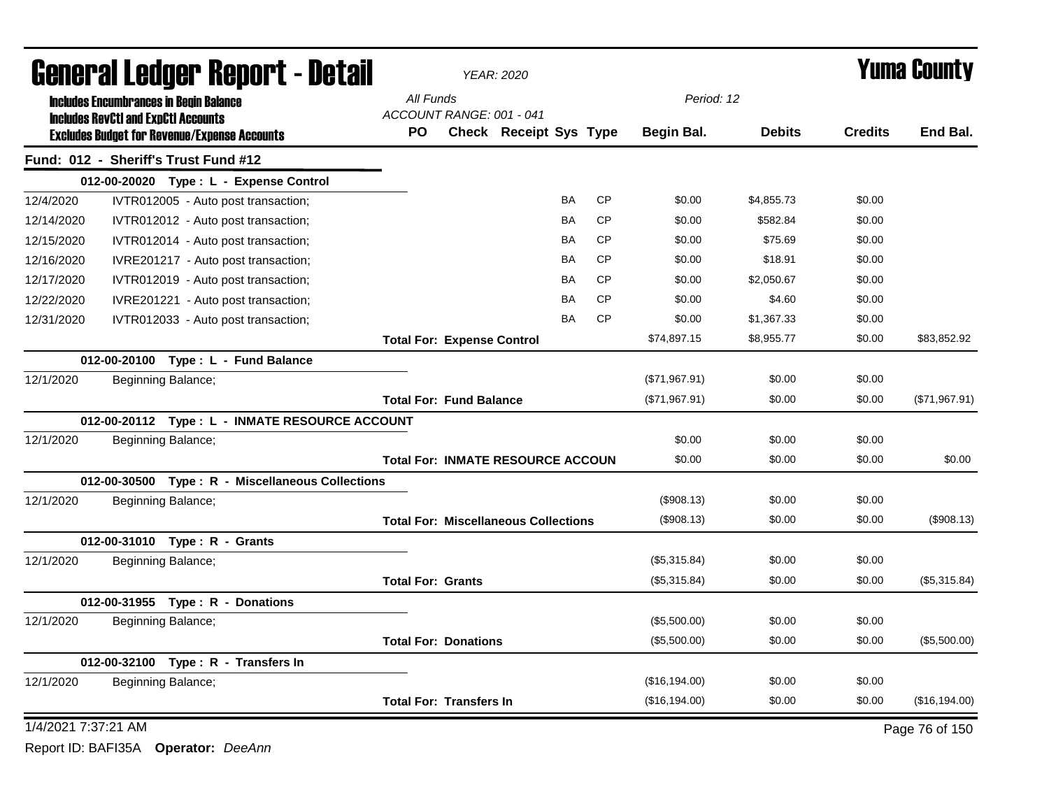|                     | General Ledger Report - Detail                                                                    |                                   | <b>YEAR: 2020</b> |                                             | Yuma County |           |               |               |                |                |
|---------------------|---------------------------------------------------------------------------------------------------|-----------------------------------|-------------------|---------------------------------------------|-------------|-----------|---------------|---------------|----------------|----------------|
|                     | <b>Includes Encumbrances in Begin Balance</b>                                                     | All Funds                         |                   |                                             |             |           | Period: 12    |               |                |                |
|                     | <b>Includes RevCtI and ExpCtI Accounts</b><br><b>Excludes Budget for Revenue/Expense Accounts</b> | ACCOUNT RANGE: 001 - 041<br>PO.   |                   | Check Receipt Sys Type                      |             |           | Begin Bal.    | <b>Debits</b> | <b>Credits</b> | End Bal.       |
|                     | Fund: 012 - Sheriff's Trust Fund #12                                                              |                                   |                   |                                             |             |           |               |               |                |                |
|                     | 012-00-20020 Type: L - Expense Control                                                            |                                   |                   |                                             |             |           |               |               |                |                |
| 12/4/2020           | IVTR012005 - Auto post transaction;                                                               |                                   |                   |                                             | BA          | CP        | \$0.00        | \$4,855.73    | \$0.00         |                |
| 12/14/2020          | IVTR012012 - Auto post transaction;                                                               |                                   |                   |                                             | BA          | <b>CP</b> | \$0.00        | \$582.84      | \$0.00         |                |
| 12/15/2020          | IVTR012014 - Auto post transaction;                                                               |                                   |                   |                                             | BA          | <b>CP</b> | \$0.00        | \$75.69       | \$0.00         |                |
| 12/16/2020          | IVRE201217 - Auto post transaction;                                                               |                                   |                   |                                             | BA          | <b>CP</b> | \$0.00        | \$18.91       | \$0.00         |                |
| 12/17/2020          | IVTR012019 - Auto post transaction;                                                               |                                   |                   |                                             | <b>BA</b>   | <b>CP</b> | \$0.00        | \$2,050.67    | \$0.00         |                |
| 12/22/2020          | IVRE201221 - Auto post transaction;                                                               |                                   |                   |                                             | BA          | <b>CP</b> | \$0.00        | \$4.60        | \$0.00         |                |
| 12/31/2020          | IVTR012033 - Auto post transaction;                                                               |                                   |                   |                                             | BA          | <b>CP</b> | \$0.00        | \$1,367.33    | \$0.00         |                |
|                     |                                                                                                   | <b>Total For: Expense Control</b> |                   |                                             |             |           | \$74,897.15   | \$8,955.77    | \$0.00         | \$83,852.92    |
|                     | 012-00-20100 Type: L - Fund Balance                                                               |                                   |                   |                                             |             |           |               |               |                |                |
| 12/1/2020           | Beginning Balance;                                                                                |                                   |                   |                                             |             |           | (\$71,967.91) | \$0.00        | \$0.00         |                |
|                     |                                                                                                   | <b>Total For: Fund Balance</b>    |                   |                                             |             |           | (\$71,967.91) | \$0.00        | \$0.00         | (\$71,967.91)  |
|                     | 012-00-20112 Type: L - INMATE RESOURCE ACCOUNT                                                    |                                   |                   |                                             |             |           |               |               |                |                |
| 12/1/2020           | Beginning Balance;                                                                                |                                   |                   |                                             |             |           | \$0.00        | \$0.00        | \$0.00         |                |
|                     |                                                                                                   |                                   |                   | <b>Total For: INMATE RESOURCE ACCOUN</b>    |             |           | \$0.00        | \$0.00        | \$0.00         | \$0.00         |
|                     | 012-00-30500 Type: R - Miscellaneous Collections                                                  |                                   |                   |                                             |             |           |               |               |                |                |
| 12/1/2020           | Beginning Balance;                                                                                |                                   |                   |                                             |             |           | (\$908.13)    | \$0.00        | \$0.00         |                |
|                     |                                                                                                   |                                   |                   | <b>Total For: Miscellaneous Collections</b> |             |           | (\$908.13)    | \$0.00        | \$0.00         | (\$908.13)     |
|                     | 012-00-31010 Type: R - Grants                                                                     |                                   |                   |                                             |             |           |               |               |                |                |
| 12/1/2020           | Beginning Balance;                                                                                |                                   |                   |                                             |             |           | (\$5,315.84)  | \$0.00        | \$0.00         |                |
|                     |                                                                                                   | <b>Total For: Grants</b>          |                   |                                             |             |           | (\$5,315.84)  | \$0.00        | \$0.00         | (\$5,315.84)   |
|                     | 012-00-31955 Type: R - Donations                                                                  |                                   |                   |                                             |             |           |               |               |                |                |
| 12/1/2020           | Beginning Balance;                                                                                |                                   |                   |                                             |             |           | (\$5,500.00)  | \$0.00        | \$0.00         |                |
|                     |                                                                                                   | <b>Total For: Donations</b>       |                   |                                             |             |           | (\$5,500.00)  | \$0.00        | \$0.00         | (\$5,500.00)   |
|                     | 012-00-32100 Type: R - Transfers In                                                               |                                   |                   |                                             |             |           |               |               |                |                |
| 12/1/2020           | Beginning Balance;                                                                                |                                   |                   |                                             |             |           | (\$16,194.00) | \$0.00        | \$0.00         |                |
|                     |                                                                                                   | <b>Total For: Transfers In</b>    |                   |                                             |             |           | (\$16,194.00) | \$0.00        | \$0.00         | (\$16, 194.00) |
| 1/4/2021 7:37:21 AM |                                                                                                   |                                   |                   |                                             |             |           |               |               |                | Page 76 of 150 |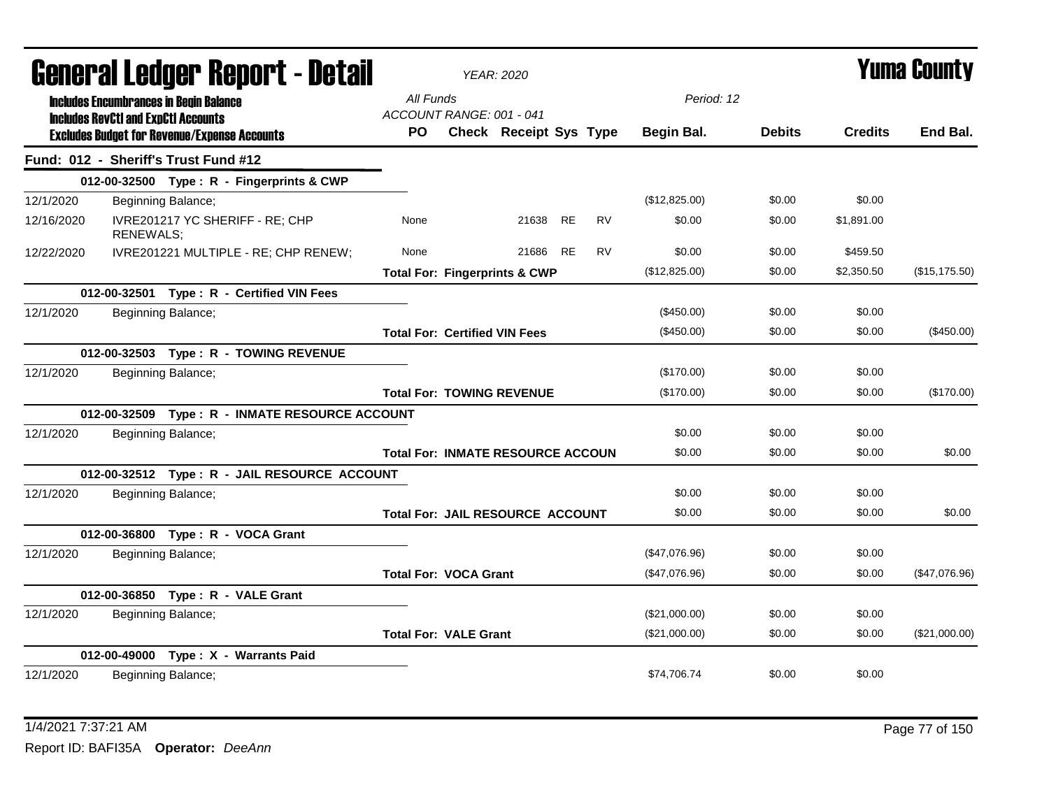|            | General Ledger Report - Detail                                                              |                                                     |           | <b>YEAR: 2020</b>                        |          |           |           |                   |               | <b>Yuma County</b> |                |
|------------|---------------------------------------------------------------------------------------------|-----------------------------------------------------|-----------|------------------------------------------|----------|-----------|-----------|-------------------|---------------|--------------------|----------------|
|            | <b>Includes Encumbrances in Begin Balance</b><br><b>Includes RevCtI and ExpCtI Accounts</b> |                                                     | All Funds | ACCOUNT RANGE: 001 - 041                 |          |           |           | Period: 12        |               |                    |                |
|            |                                                                                             | <b>Excludes Budget for Revenue/Expense Accounts</b> | PO.       | Check Receipt Sys Type                   |          |           |           | <b>Begin Bal.</b> | <b>Debits</b> | <b>Credits</b>     | End Bal.       |
|            |                                                                                             | Fund: 012 - Sheriff's Trust Fund #12                |           |                                          |          |           |           |                   |               |                    |                |
|            |                                                                                             | 012-00-32500 Type: R - Fingerprints & CWP           |           |                                          |          |           |           |                   |               |                    |                |
| 12/1/2020  |                                                                                             | Beginning Balance;                                  |           |                                          |          |           |           | (\$12,825.00)     | \$0.00        | \$0.00             |                |
| 12/16/2020 | <b>RENEWALS;</b>                                                                            | IVRE201217 YC SHERIFF - RE; CHP                     | None      |                                          | 21638 RE |           | <b>RV</b> | \$0.00            | \$0.00        | \$1,891.00         |                |
| 12/22/2020 |                                                                                             | IVRE201221 MULTIPLE - RE; CHP RENEW;                | None      |                                          | 21686    | <b>RE</b> | <b>RV</b> | \$0.00            | \$0.00        | \$459.50           |                |
|            |                                                                                             |                                                     |           | <b>Total For: Fingerprints &amp; CWP</b> |          |           |           | (\$12,825.00)     | \$0.00        | \$2,350.50         | (\$15, 175.50) |
|            |                                                                                             | 012-00-32501 Type: R - Certified VIN Fees           |           |                                          |          |           |           |                   |               |                    |                |
| 12/1/2020  |                                                                                             | Beginning Balance;                                  |           |                                          |          |           |           | (\$450.00)        | \$0.00        | \$0.00             |                |
|            |                                                                                             |                                                     |           | <b>Total For: Certified VIN Fees</b>     |          |           |           | (\$450.00)        | \$0.00        | \$0.00             | (\$450.00)     |
|            |                                                                                             | 012-00-32503 Type: R - TOWING REVENUE               |           |                                          |          |           |           |                   |               |                    |                |
| 12/1/2020  |                                                                                             | Beginning Balance;                                  |           |                                          |          |           |           | (\$170.00)        | \$0.00        | \$0.00             |                |
|            |                                                                                             |                                                     |           | <b>Total For: TOWING REVENUE</b>         |          |           |           | (\$170.00)        | \$0.00        | \$0.00             | (\$170.00)     |
|            |                                                                                             | 012-00-32509 Type: R - INMATE RESOURCE ACCOUNT      |           |                                          |          |           |           |                   |               |                    |                |
| 12/1/2020  |                                                                                             | Beginning Balance;                                  |           |                                          |          |           |           | \$0.00            | \$0.00        | \$0.00             |                |
|            |                                                                                             |                                                     |           | <b>Total For: INMATE RESOURCE ACCOUN</b> |          |           |           | \$0.00            | \$0.00        | \$0.00             | \$0.00         |
|            |                                                                                             | 012-00-32512 Type: R - JAIL RESOURCE ACCOUNT        |           |                                          |          |           |           |                   |               |                    |                |
| 12/1/2020  |                                                                                             | Beginning Balance;                                  |           |                                          |          |           |           | \$0.00            | \$0.00        | \$0.00             |                |
|            |                                                                                             |                                                     |           | <b>Total For: JAIL RESOURCE ACCOUNT</b>  |          |           |           | \$0.00            | \$0.00        | \$0.00             | \$0.00         |
|            |                                                                                             | 012-00-36800 Type: R - VOCA Grant                   |           |                                          |          |           |           |                   |               |                    |                |
| 12/1/2020  |                                                                                             | Beginning Balance;                                  |           |                                          |          |           |           | (\$47,076.96)     | \$0.00        | \$0.00             |                |
|            |                                                                                             |                                                     |           | <b>Total For: VOCA Grant</b>             |          |           |           | (\$47,076.96)     | \$0.00        | \$0.00             | (\$47,076.96)  |
|            |                                                                                             | 012-00-36850 Type: R - VALE Grant                   |           |                                          |          |           |           |                   |               |                    |                |
| 12/1/2020  |                                                                                             | Beginning Balance;                                  |           |                                          |          |           |           | (\$21,000.00)     | \$0.00        | \$0.00             |                |
|            |                                                                                             |                                                     |           | <b>Total For: VALE Grant</b>             |          |           |           | (\$21,000.00)     | \$0.00        | \$0.00             | (\$21,000.00)  |
|            |                                                                                             | 012-00-49000 Type: X - Warrants Paid                |           |                                          |          |           |           |                   |               |                    |                |
| 12/1/2020  |                                                                                             | Beginning Balance;                                  |           |                                          |          |           |           | \$74,706.74       | \$0.00        | \$0.00             |                |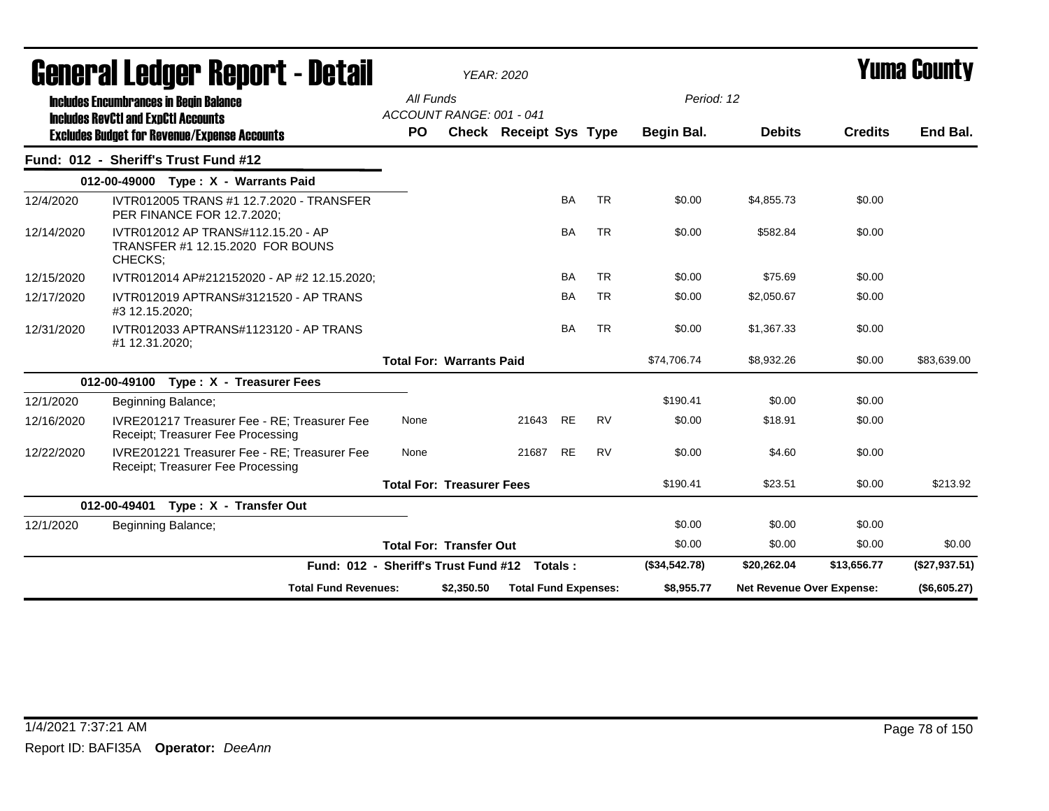| agiigi ai fanñal. Ughni 1 - Detsii |                                                                                             | YEAR: 2020                                |  |                               |           |           |                                         |               |                | I UIIIA VUUIILY |
|------------------------------------|---------------------------------------------------------------------------------------------|-------------------------------------------|--|-------------------------------|-----------|-----------|-----------------------------------------|---------------|----------------|-----------------|
|                                    | <b>Includes Encumbrances in Begin Balance</b><br><b>Includes RevCtI and ExpCtI Accounts</b> | All Funds<br>ACCOUNT RANGE: 001 - 041     |  |                               |           |           | Period: 12                              |               |                |                 |
|                                    | <b>Excludes Budget for Revenue/Expense Accounts</b>                                         | PO.                                       |  | <b>Check Receipt Sys Type</b> |           |           | Begin Bal.                              | <b>Debits</b> | <b>Credits</b> | End Bal.        |
|                                    | Fund: 012 - Sheriff's Trust Fund #12                                                        |                                           |  |                               |           |           |                                         |               |                |                 |
|                                    | 012-00-49000 Type: X - Warrants Paid                                                        |                                           |  |                               |           |           |                                         |               |                |                 |
| 12/4/2020                          | IVTR012005 TRANS #1 12.7.2020 - TRANSFER<br>PER FINANCE FOR 12.7.2020;                      |                                           |  |                               | <b>BA</b> | <b>TR</b> | \$0.00                                  | \$4,855.73    | \$0.00         |                 |
| 12/14/2020                         | IVTR012012 AP TRANS#112.15.20 - AP<br>TRANSFER #1 12.15.2020 FOR BOUNS<br>CHECKS:           |                                           |  |                               | <b>BA</b> | <b>TR</b> | \$0.00                                  | \$582.84      | \$0.00         |                 |
| 12/15/2020                         | IVTR012014 AP#212152020 - AP #2 12.15.2020;                                                 |                                           |  |                               | <b>BA</b> | <b>TR</b> | \$0.00                                  | \$75.69       | \$0.00         |                 |
| 12/17/2020                         | IVTR012019 APTRANS#3121520 - AP TRANS<br>#3 12.15.2020;                                     |                                           |  |                               | <b>BA</b> | <b>TR</b> | \$0.00                                  | \$2,050.67    | \$0.00         |                 |
| 12/31/2020                         | IVTR012033 APTRANS#1123120 - AP TRANS<br>#1 12.31.2020;                                     |                                           |  |                               | <b>BA</b> | <b>TR</b> | \$0.00                                  | \$1,367.33    | \$0.00         |                 |
|                                    |                                                                                             | <b>Total For: Warrants Paid</b>           |  |                               |           |           | \$74,706.74                             | \$8,932.26    | \$0.00         | \$83,639.00     |
|                                    | 012-00-49100 Type: X - Treasurer Fees                                                       |                                           |  |                               |           |           |                                         |               |                |                 |
| 12/1/2020                          | Beginning Balance;                                                                          |                                           |  |                               |           |           | \$190.41                                | \$0.00        | \$0.00         |                 |
| 12/16/2020                         | IVRE201217 Treasurer Fee - RE; Treasurer Fee<br>Receipt: Treasurer Fee Processing           | None                                      |  | 21643 RE                      |           | <b>RV</b> | \$0.00                                  | \$18.91       | \$0.00         |                 |
| 12/22/2020                         | IVRE201221 Treasurer Fee - RE; Treasurer Fee<br>Receipt; Treasurer Fee Processing           | None                                      |  | 21687                         | <b>RE</b> | <b>RV</b> | \$0.00                                  | \$4.60        | \$0.00         |                 |
|                                    |                                                                                             | <b>Total For: Treasurer Fees</b>          |  |                               |           |           | \$190.41                                | \$23.51       | \$0.00         | \$213.92        |
|                                    | Type: X - Transfer Out<br>012-00-49401                                                      |                                           |  |                               |           |           |                                         |               |                |                 |
| 12/1/2020                          | Beginning Balance;                                                                          |                                           |  |                               |           |           | \$0.00                                  | \$0.00        | \$0.00         |                 |
|                                    |                                                                                             | <b>Total For: Transfer Out</b>            |  |                               |           |           | \$0.00                                  | \$0.00        | \$0.00         | \$0.00          |
|                                    | Fund: 012 - Sheriff's Trust Fund #12 Totals:                                                |                                           |  |                               |           |           | (\$34,542.78)                           | \$20,262.04   | \$13,656.77    | (\$27,937.51)   |
|                                    | <b>Total Fund Revenues:</b>                                                                 | \$2,350.50<br><b>Total Fund Expenses:</b> |  |                               |           |           | \$8,955.77<br>Net Revenue Over Expense: |               |                | (\$6,605.27)    |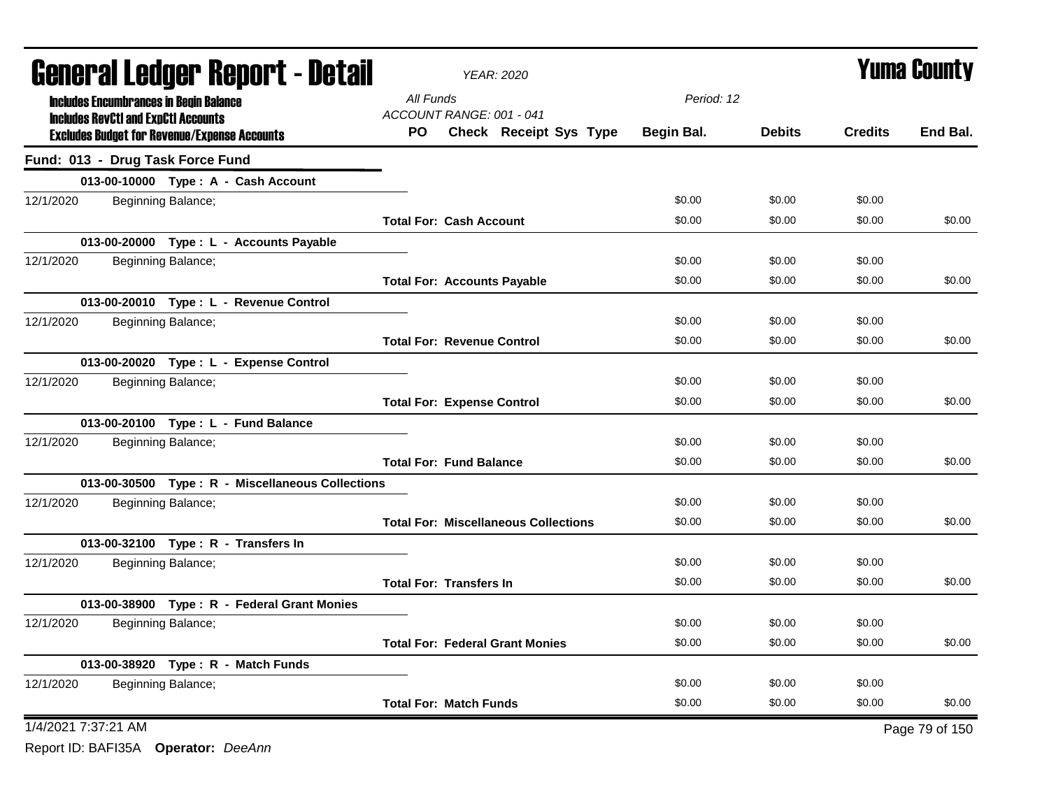|                     | <b>General Ledger Report - Detail</b> |                                                     | <b>YEAR: 2020</b>                  | <b>Yuma County</b>                          |            |               |                |                |
|---------------------|---------------------------------------|-----------------------------------------------------|------------------------------------|---------------------------------------------|------------|---------------|----------------|----------------|
|                     |                                       | <b>Includes Encumbrances in Begin Balance</b>       | All Funds                          |                                             | Period: 12 |               |                |                |
|                     |                                       | <b>Includes RevCtI and ExpCtI Accounts</b>          | ACCOUNT RANGE: 001 - 041           |                                             |            |               |                |                |
|                     |                                       | <b>Excludes Budget for Revenue/Expense Accounts</b> | PO.                                | Check Receipt Sys Type                      | Begin Bal. | <b>Debits</b> | <b>Credits</b> | End Bal.       |
|                     |                                       | Fund: 013 - Drug Task Force Fund                    |                                    |                                             |            |               |                |                |
|                     |                                       | 013-00-10000 Type: A - Cash Account                 |                                    |                                             |            |               |                |                |
| 12/1/2020           |                                       | Beginning Balance;                                  |                                    |                                             | \$0.00     | \$0.00        | \$0.00         |                |
|                     |                                       |                                                     | <b>Total For: Cash Account</b>     |                                             | \$0.00     | \$0.00        | \$0.00         | \$0.00         |
|                     |                                       | 013-00-20000 Type : L - Accounts Payable            |                                    |                                             |            |               |                |                |
| 12/1/2020           |                                       | Beginning Balance;                                  |                                    |                                             | \$0.00     | \$0.00        | \$0.00         |                |
|                     |                                       |                                                     | <b>Total For: Accounts Payable</b> |                                             | \$0.00     | \$0.00        | \$0.00         | \$0.00         |
|                     |                                       | 013-00-20010 Type: L - Revenue Control              |                                    |                                             |            |               |                |                |
| 12/1/2020           |                                       | Beginning Balance;                                  |                                    |                                             | \$0.00     | \$0.00        | \$0.00         |                |
|                     |                                       |                                                     | <b>Total For: Revenue Control</b>  |                                             | \$0.00     | \$0.00        | \$0.00         | \$0.00         |
|                     |                                       | 013-00-20020 Type: L - Expense Control              |                                    |                                             |            |               |                |                |
| 12/1/2020           |                                       | Beginning Balance;                                  |                                    |                                             | \$0.00     | \$0.00        | \$0.00         |                |
|                     |                                       |                                                     | <b>Total For: Expense Control</b>  |                                             | \$0.00     | \$0.00        | \$0.00         | \$0.00         |
|                     |                                       | 013-00-20100 Type: L - Fund Balance                 |                                    |                                             |            |               |                |                |
| 12/1/2020           |                                       | Beginning Balance;                                  |                                    |                                             | \$0.00     | \$0.00        | \$0.00         |                |
|                     |                                       |                                                     | <b>Total For: Fund Balance</b>     |                                             | \$0.00     | \$0.00        | \$0.00         | \$0.00         |
|                     |                                       | 013-00-30500 Type: R - Miscellaneous Collections    |                                    |                                             |            |               |                |                |
| 12/1/2020           |                                       | Beginning Balance;                                  |                                    |                                             | \$0.00     | \$0.00        | \$0.00         |                |
|                     |                                       |                                                     |                                    | <b>Total For: Miscellaneous Collections</b> | \$0.00     | \$0.00        | \$0.00         | \$0.00         |
|                     |                                       | 013-00-32100 Type: R - Transfers In                 |                                    |                                             |            |               |                |                |
| 12/1/2020           |                                       | Beginning Balance;                                  |                                    |                                             | \$0.00     | \$0.00        | \$0.00         |                |
|                     |                                       |                                                     | <b>Total For: Transfers In</b>     |                                             | \$0.00     | \$0.00        | \$0.00         | \$0.00         |
|                     |                                       | 013-00-38900 Type: R - Federal Grant Monies         |                                    |                                             |            |               |                |                |
| 12/1/2020           |                                       | Beginning Balance;                                  |                                    |                                             | \$0.00     | \$0.00        | \$0.00         |                |
|                     |                                       |                                                     |                                    | <b>Total For: Federal Grant Monies</b>      | \$0.00     | \$0.00        | \$0.00         | \$0.00         |
|                     |                                       | 013-00-38920 Type: R - Match Funds                  |                                    |                                             |            |               |                |                |
| 12/1/2020           |                                       | Beginning Balance;                                  |                                    |                                             | \$0.00     | \$0.00        | \$0.00         |                |
|                     |                                       |                                                     | <b>Total For: Match Funds</b>      |                                             | \$0.00     | \$0.00        | \$0.00         | \$0.00         |
| 1/4/2021 7:37:21 AM |                                       |                                                     |                                    |                                             |            |               |                | Page 79 of 150 |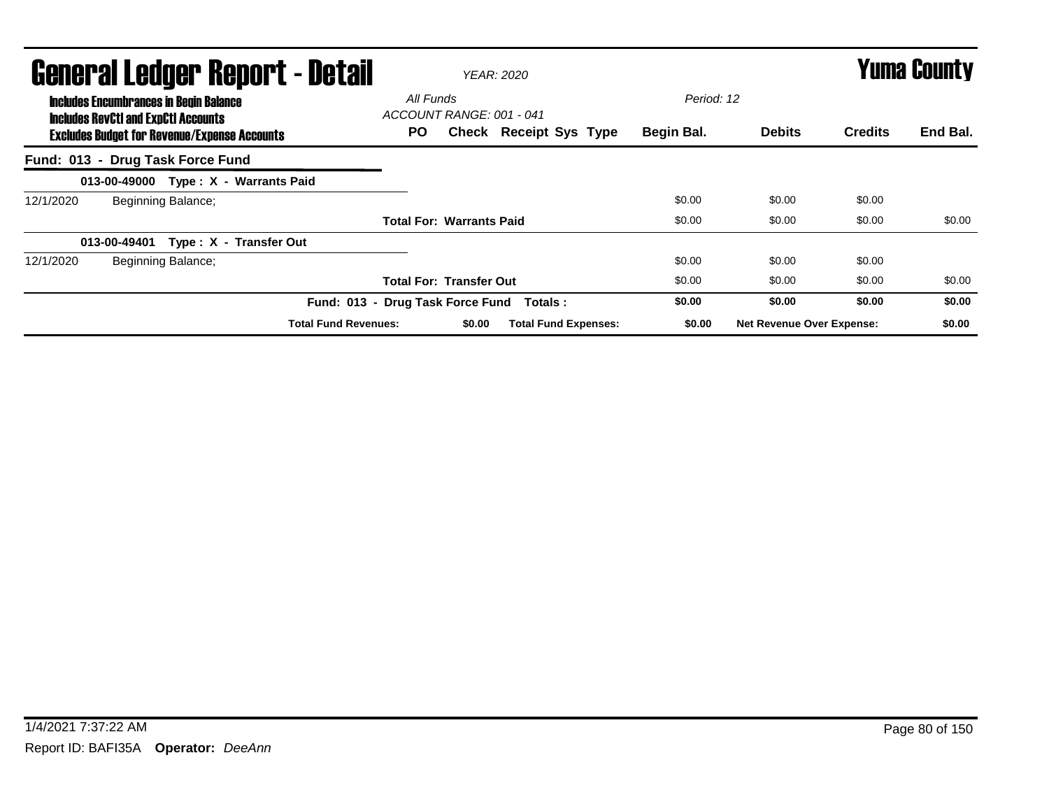| General Ledger Report - Detail<br><b>Includes Encumbrances in Begin Balance</b> |                                                                                                   |                    |                                      | All Funds                       |                          | <b>YEAR: 2020</b>             | Period: 12 |                                  | <b>Yuma County</b> |          |  |
|---------------------------------------------------------------------------------|---------------------------------------------------------------------------------------------------|--------------------|--------------------------------------|---------------------------------|--------------------------|-------------------------------|------------|----------------------------------|--------------------|----------|--|
|                                                                                 | <b>Includes RevCtI and ExpCtI Accounts</b><br><b>Excludes Budget for Revenue/Expense Accounts</b> |                    |                                      |                                 | ACCOUNT RANGE: 001 - 041 | <b>Check Receipt Sys Type</b> | Begin Bal. | <b>Debits</b>                    | <b>Credits</b>     | End Bal. |  |
| Fund: 013 - Drug Task Force Fund                                                |                                                                                                   |                    |                                      |                                 |                          |                               |            |                                  |                    |          |  |
|                                                                                 |                                                                                                   |                    | 013-00-49000 Type: X - Warrants Paid |                                 |                          |                               |            |                                  |                    |          |  |
| 12/1/2020                                                                       |                                                                                                   | Beginning Balance; |                                      |                                 |                          |                               | \$0.00     | \$0.00                           | \$0.00             |          |  |
|                                                                                 |                                                                                                   |                    |                                      | <b>Total For: Warrants Paid</b> |                          |                               | \$0.00     | \$0.00                           | \$0.00             | \$0.00   |  |
|                                                                                 | 013-00-49401                                                                                      |                    | Type: X - Transfer Out               |                                 |                          |                               |            |                                  |                    |          |  |
| 12/1/2020                                                                       |                                                                                                   | Beginning Balance; |                                      |                                 |                          |                               | \$0.00     | \$0.00                           | \$0.00             |          |  |
|                                                                                 |                                                                                                   |                    |                                      | <b>Total For: Transfer Out</b>  |                          |                               | \$0.00     | \$0.00                           | \$0.00             | \$0.00   |  |
|                                                                                 |                                                                                                   |                    | Fund: 013 - Drug Task Force Fund     |                                 |                          | Totals :                      | \$0.00     | \$0.00                           | \$0.00             | \$0.00   |  |
|                                                                                 |                                                                                                   |                    | <b>Total Fund Revenues:</b>          |                                 | \$0.00                   | <b>Total Fund Expenses:</b>   | \$0.00     | <b>Net Revenue Over Expense:</b> |                    | \$0.00   |  |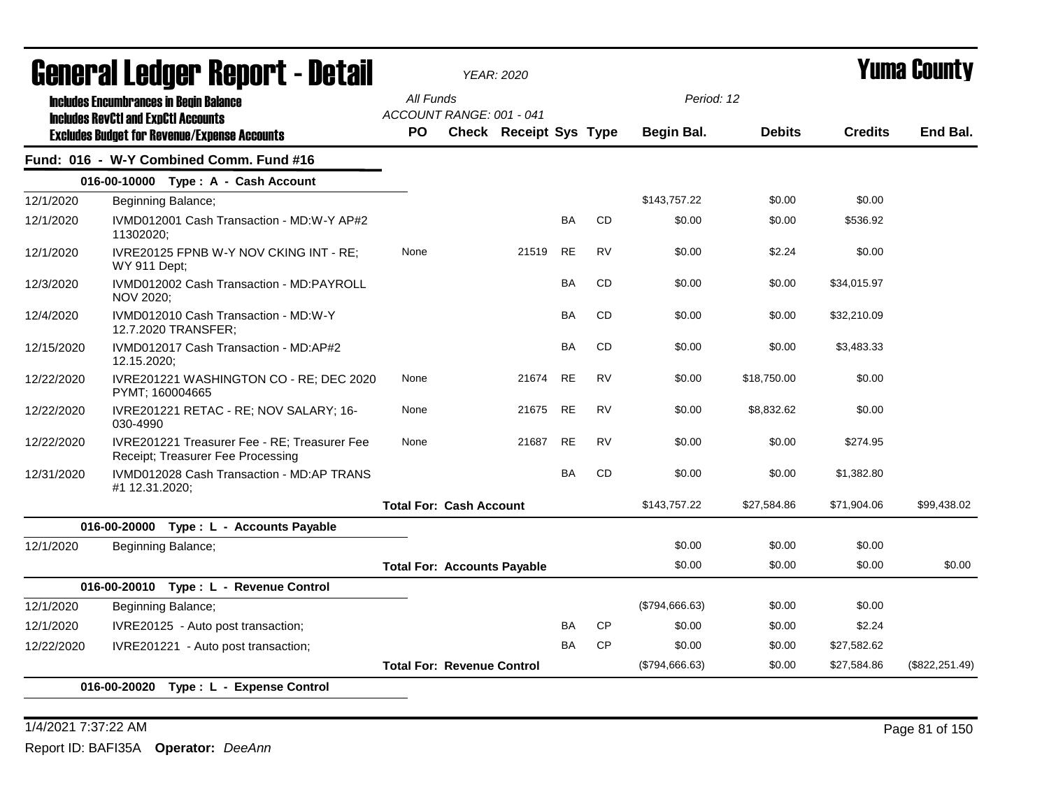|            | Generai Leuger Keport - Detail                                                              |                                       | <b>YEAR: 2020</b>      |           |           | Yuma Gounty    |               |                |                 |
|------------|---------------------------------------------------------------------------------------------|---------------------------------------|------------------------|-----------|-----------|----------------|---------------|----------------|-----------------|
|            | <b>Includes Encumbrances in Begin Balance</b><br><b>Includes RevCtI and ExpCtI Accounts</b> | All Funds<br>ACCOUNT RANGE: 001 - 041 |                        |           |           | Period: 12     |               |                | End Bal.        |
|            | <b>Excludes Budget for Revenue/Expense Accounts</b>                                         | <b>PO</b>                             | Check Receipt Sys Type |           |           | Begin Bal.     | <b>Debits</b> | <b>Credits</b> |                 |
|            | Fund: 016 - W-Y Combined Comm. Fund #16                                                     |                                       |                        |           |           |                |               |                |                 |
|            | 016-00-10000 Type: A - Cash Account                                                         |                                       |                        |           |           |                |               |                |                 |
| 12/1/2020  | Beginning Balance;                                                                          |                                       |                        |           |           | \$143,757.22   | \$0.00        | \$0.00         |                 |
| 12/1/2020  | IVMD012001 Cash Transaction - MD:W-Y AP#2<br>11302020;                                      |                                       |                        | BA        | <b>CD</b> | \$0.00         | \$0.00        | \$536.92       |                 |
| 12/1/2020  | IVRE20125 FPNB W-Y NOV CKING INT - RE;<br><b>WY 911 Dept;</b>                               | None                                  | 21519                  | RE        | RV        | \$0.00         | \$2.24        | \$0.00         |                 |
| 12/3/2020  | IVMD012002 Cash Transaction - MD:PAYROLL<br>NOV 2020;                                       |                                       |                        | <b>BA</b> | <b>CD</b> | \$0.00         | \$0.00        | \$34,015.97    |                 |
| 12/4/2020  | IVMD012010 Cash Transaction - MD:W-Y<br>12.7.2020 TRANSFER;                                 |                                       |                        | BA        | <b>CD</b> | \$0.00         | \$0.00        | \$32,210.09    |                 |
| 12/15/2020 | IVMD012017 Cash Transaction - MD:AP#2<br>12.15.2020;                                        |                                       |                        | BA        | <b>CD</b> | \$0.00         | \$0.00        | \$3,483.33     |                 |
| 12/22/2020 | IVRE201221 WASHINGTON CO - RE; DEC 2020<br>PYMT; 160004665                                  | None                                  | 21674                  | <b>RE</b> | RV        | \$0.00         | \$18,750.00   | \$0.00         |                 |
| 12/22/2020 | IVRE201221 RETAC - RE; NOV SALARY; 16-<br>030-4990                                          | None                                  | 21675                  | <b>RE</b> | <b>RV</b> | \$0.00         | \$8,832.62    | \$0.00         |                 |
| 12/22/2020 | IVRE201221 Treasurer Fee - RE; Treasurer Fee<br>Receipt; Treasurer Fee Processing           | None                                  | 21687                  | RE        | <b>RV</b> | \$0.00         | \$0.00        | \$274.95       |                 |
| 12/31/2020 | IVMD012028 Cash Transaction - MD:AP TRANS<br>#1 12.31.2020;                                 |                                       |                        | BA        | CD        | \$0.00         | \$0.00        | \$1,382.80     |                 |
|            |                                                                                             | <b>Total For: Cash Account</b>        |                        |           |           | \$143,757.22   | \$27,584.86   | \$71,904.06    | \$99,438.02     |
|            | 016-00-20000 Type: L - Accounts Payable                                                     |                                       |                        |           |           |                |               |                |                 |
| 12/1/2020  | Beginning Balance;                                                                          |                                       |                        |           |           | \$0.00         | \$0.00        | \$0.00         |                 |
|            |                                                                                             | <b>Total For: Accounts Payable</b>    |                        |           |           | \$0.00         | \$0.00        | \$0.00         | \$0.00          |
|            | 016-00-20010 Type: L - Revenue Control                                                      |                                       |                        |           |           |                |               |                |                 |
| 12/1/2020  | Beginning Balance;                                                                          |                                       |                        |           |           | (\$794,666.63) | \$0.00        | \$0.00         |                 |
| 12/1/2020  | IVRE20125 - Auto post transaction;                                                          |                                       |                        | BA        | <b>CP</b> | \$0.00         | \$0.00        | \$2.24         |                 |
| 12/22/2020 | IVRE201221 - Auto post transaction;                                                         |                                       |                        | <b>BA</b> | <b>CP</b> | \$0.00         | \$0.00        | \$27,582.62    |                 |
|            |                                                                                             | <b>Total For: Revenue Control</b>     |                        |           |           | (\$794,666.63) | \$0.00        | \$27,584.86    | (\$822, 251.49) |
|            | 016-00-20020 Type: L - Expense Control                                                      |                                       |                        |           |           |                |               |                |                 |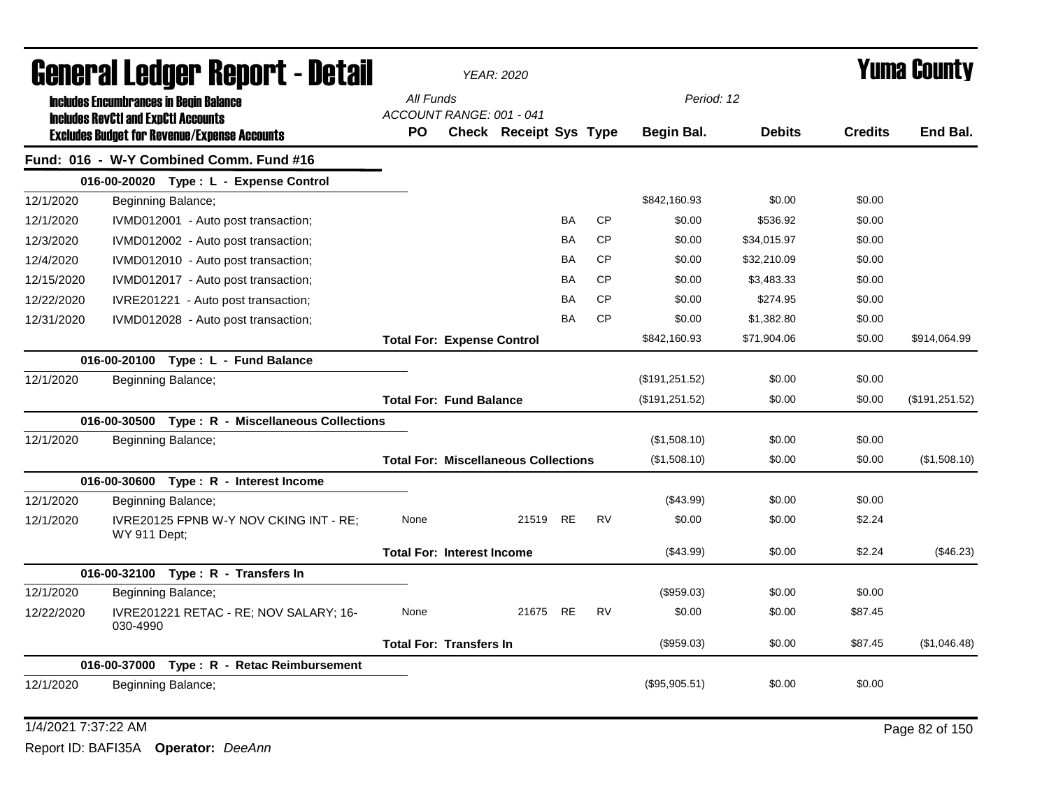| General Ledger Report - Detail |                                                                                                   | <b>YEAR: 2020</b>                           |                               | <b>Yuma County</b> |           |                |               |                |                |
|--------------------------------|---------------------------------------------------------------------------------------------------|---------------------------------------------|-------------------------------|--------------------|-----------|----------------|---------------|----------------|----------------|
|                                | <b>Includes Encumbrances in Begin Balance</b>                                                     | All Funds<br>ACCOUNT RANGE: 001 - 041       |                               |                    |           | Period: 12     |               |                |                |
|                                | <b>Includes RevCtI and ExpCtI Accounts</b><br><b>Excludes Budget for Revenue/Expense Accounts</b> | <b>PO</b>                                   | <b>Check Receipt Sys Type</b> |                    |           | Begin Bal.     | <b>Debits</b> | <b>Credits</b> | End Bal.       |
|                                | Fund: 016 - W-Y Combined Comm. Fund #16                                                           |                                             |                               |                    |           |                |               |                |                |
|                                | 016-00-20020 Type: L - Expense Control                                                            |                                             |                               |                    |           |                |               |                |                |
| 12/1/2020                      | Beginning Balance;                                                                                |                                             |                               |                    |           | \$842,160.93   | \$0.00        | \$0.00         |                |
| 12/1/2020                      | IVMD012001 - Auto post transaction;                                                               |                                             |                               | <b>BA</b>          | <b>CP</b> | \$0.00         | \$536.92      | \$0.00         |                |
| 12/3/2020                      | IVMD012002 - Auto post transaction;                                                               |                                             |                               | BA                 | <b>CP</b> | \$0.00         | \$34,015.97   | \$0.00         |                |
| 12/4/2020                      | IVMD012010 - Auto post transaction;                                                               |                                             |                               | <b>BA</b>          | <b>CP</b> | \$0.00         | \$32,210.09   | \$0.00         |                |
| 12/15/2020                     | IVMD012017 - Auto post transaction;                                                               |                                             |                               | BA                 | <b>CP</b> | \$0.00         | \$3,483.33    | \$0.00         |                |
| 12/22/2020                     | IVRE201221 - Auto post transaction;                                                               |                                             |                               | BA                 | <b>CP</b> | \$0.00         | \$274.95      | \$0.00         |                |
| 12/31/2020                     | IVMD012028 - Auto post transaction;                                                               |                                             |                               | BA                 | <b>CP</b> | \$0.00         | \$1,382.80    | \$0.00         |                |
|                                |                                                                                                   | <b>Total For: Expense Control</b>           |                               |                    |           | \$842,160.93   | \$71,904.06   | \$0.00         | \$914,064.99   |
|                                | 016-00-20100 Type: L - Fund Balance                                                               |                                             |                               |                    |           |                |               |                |                |
| 12/1/2020                      | Beginning Balance;                                                                                |                                             |                               |                    |           | (\$191,251.52) | \$0.00        | \$0.00         |                |
|                                |                                                                                                   | <b>Total For: Fund Balance</b>              |                               |                    |           | (\$191,251.52) | \$0.00        | \$0.00         | (\$191,251.52) |
|                                | 016-00-30500 Type: R - Miscellaneous Collections                                                  |                                             |                               |                    |           |                |               |                |                |
| 12/1/2020                      | Beginning Balance;                                                                                |                                             |                               |                    |           | (\$1,508.10)   | \$0.00        | \$0.00         |                |
|                                |                                                                                                   | <b>Total For: Miscellaneous Collections</b> |                               |                    |           | (\$1,508.10)   | \$0.00        | \$0.00         | (\$1,508.10)   |
|                                | 016-00-30600 Type: R - Interest Income                                                            |                                             |                               |                    |           |                |               |                |                |
| 12/1/2020                      | Beginning Balance;                                                                                |                                             |                               |                    |           | (\$43.99)      | \$0.00        | \$0.00         |                |
| 12/1/2020                      | IVRE20125 FPNB W-Y NOV CKING INT - RE;<br>WY 911 Dept;                                            | None                                        | 21519 RE                      |                    | <b>RV</b> | \$0.00         | \$0.00        | \$2.24         |                |
|                                |                                                                                                   | <b>Total For: Interest Income</b>           |                               |                    |           | (\$43.99)      | \$0.00        | \$2.24         | (\$46.23)      |
|                                | 016-00-32100 Type: R - Transfers In                                                               |                                             |                               |                    |           |                |               |                |                |
| 12/1/2020                      | Beginning Balance;                                                                                |                                             |                               |                    |           | (\$959.03)     | \$0.00        | \$0.00         |                |
| 12/22/2020                     | IVRE201221 RETAC - RE; NOV SALARY; 16-<br>030-4990                                                | None                                        | 21675                         | <b>RE</b>          | <b>RV</b> | \$0.00         | \$0.00        | \$87.45        |                |
|                                |                                                                                                   | <b>Total For: Transfers In</b>              |                               |                    |           | (\$959.03)     | \$0.00        | \$87.45        | (\$1,046.48)   |
|                                | 016-00-37000 Type: R - Retac Reimbursement                                                        |                                             |                               |                    |           |                |               |                |                |
| 12/1/2020                      | Beginning Balance;                                                                                |                                             |                               |                    |           | (\$95,905.51)  | \$0.00        | \$0.00         |                |

1/4/2021 7:37:22 AM Page 82 of 150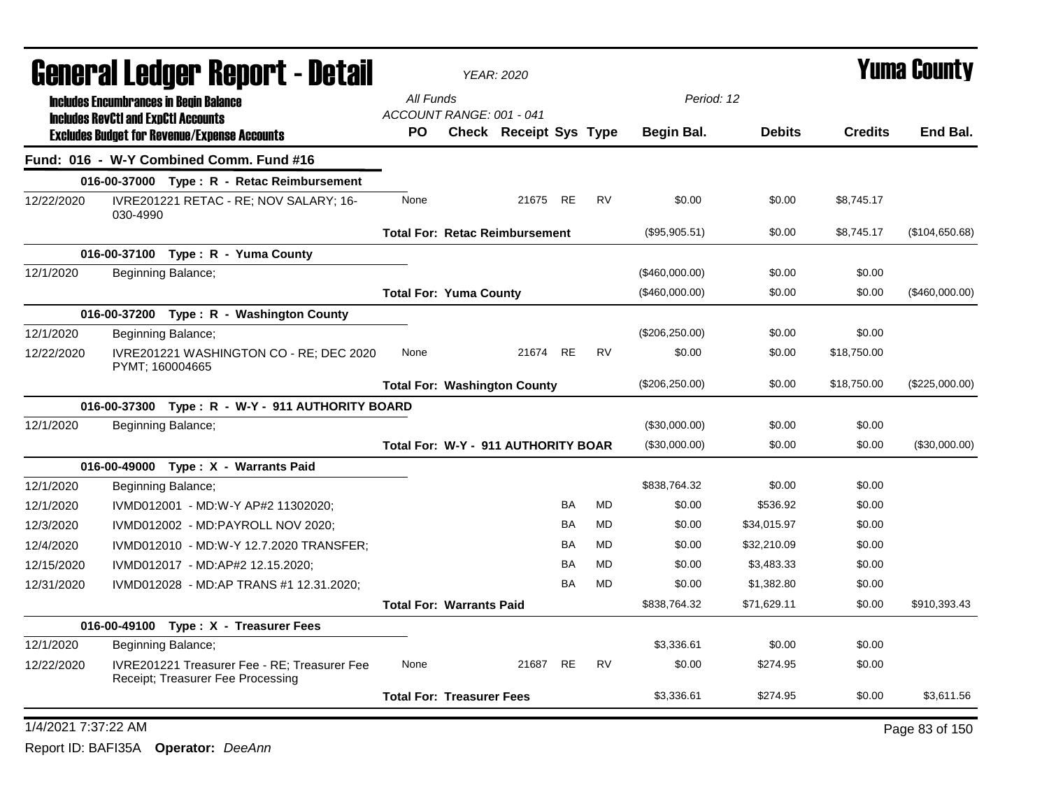|                     | General Ledger Report - Detail                                                              |                                       | <b>YEAR: 2020</b>      | <b>Yuma County</b> |           |                 |               |                |                |
|---------------------|---------------------------------------------------------------------------------------------|---------------------------------------|------------------------|--------------------|-----------|-----------------|---------------|----------------|----------------|
|                     | <b>Includes Encumbrances in Begin Balance</b><br><b>Includes RevCtI and ExpCtI Accounts</b> | All Funds<br>ACCOUNT RANGE: 001 - 041 |                        |                    |           | Period: 12      |               |                |                |
|                     | <b>Excludes Budget for Revenue/Expense Accounts</b>                                         | <b>PO</b>                             | Check Receipt Sys Type |                    |           | Begin Bal.      | <b>Debits</b> | <b>Credits</b> | End Bal.       |
|                     | Fund: 016 - W-Y Combined Comm. Fund #16                                                     |                                       |                        |                    |           |                 |               |                |                |
|                     | 016-00-37000 Type: R - Retac Reimbursement                                                  |                                       |                        |                    |           |                 |               |                |                |
| 12/22/2020          | IVRE201221 RETAC - RE; NOV SALARY; 16-<br>030-4990                                          | None                                  | 21675 RE               |                    | <b>RV</b> | \$0.00          | \$0.00        | \$8,745.17     |                |
|                     |                                                                                             | <b>Total For: Retac Reimbursement</b> |                        |                    |           | (\$95,905.51)   | \$0.00        | \$8,745.17     | (\$104,650.68) |
|                     | 016-00-37100 Type: R - Yuma County                                                          |                                       |                        |                    |           |                 |               |                |                |
| 12/1/2020           | Beginning Balance;                                                                          |                                       |                        |                    |           | (\$460,000.00)  | \$0.00        | \$0.00         |                |
|                     |                                                                                             | <b>Total For: Yuma County</b>         |                        |                    |           | (\$460,000.00)  | \$0.00        | \$0.00         | (\$460,000.00) |
|                     | 016-00-37200 Type: R - Washington County                                                    |                                       |                        |                    |           |                 |               |                |                |
| 12/1/2020           | Beginning Balance;                                                                          |                                       |                        |                    |           | (\$206, 250.00) | \$0.00        | \$0.00         |                |
| 12/22/2020          | IVRE201221 WASHINGTON CO - RE; DEC 2020<br>PYMT; 160004665                                  | None                                  | 21674                  | <b>RE</b>          | <b>RV</b> | \$0.00          | \$0.00        | \$18,750.00    |                |
|                     |                                                                                             | <b>Total For: Washington County</b>   |                        |                    |           | (\$206, 250.00) | \$0.00        | \$18,750.00    | (\$225,000.00) |
|                     | 016-00-37300 Type: R - W-Y - 911 AUTHORITY BOARD                                            |                                       |                        |                    |           |                 |               |                |                |
| 12/1/2020           | Beginning Balance;                                                                          |                                       |                        |                    |           | (\$30,000.00)   | \$0.00        | \$0.00         |                |
|                     |                                                                                             | Total For: W-Y - 911 AUTHORITY BOAR   |                        |                    |           | (\$30,000.00)   | \$0.00        | \$0.00         | (\$30,000.00)  |
|                     | 016-00-49000 Type: X - Warrants Paid                                                        |                                       |                        |                    |           |                 |               |                |                |
| 12/1/2020           | Beginning Balance;                                                                          |                                       |                        |                    |           | \$838,764.32    | \$0.00        | \$0.00         |                |
| 12/1/2020           | IVMD012001 - MD:W-Y AP#2 11302020;                                                          |                                       |                        | <b>BA</b>          | MD        | \$0.00          | \$536.92      | \$0.00         |                |
| 12/3/2020           | IVMD012002 - MD:PAYROLL NOV 2020;                                                           |                                       |                        | BA                 | MD        | \$0.00          | \$34,015.97   | \$0.00         |                |
| 12/4/2020           | IVMD012010 - MD:W-Y 12.7.2020 TRANSFER;                                                     |                                       |                        | <b>BA</b>          | MD        | \$0.00          | \$32,210.09   | \$0.00         |                |
| 12/15/2020          | IVMD012017 - MD:AP#2 12.15.2020;                                                            |                                       |                        | <b>BA</b>          | <b>MD</b> | \$0.00          | \$3,483.33    | \$0.00         |                |
| 12/31/2020          | IVMD012028 - MD:AP TRANS #1 12.31.2020;                                                     |                                       |                        | <b>BA</b>          | <b>MD</b> | \$0.00          | \$1,382.80    | \$0.00         |                |
|                     |                                                                                             | <b>Total For: Warrants Paid</b>       |                        |                    |           | \$838,764.32    | \$71,629.11   | \$0.00         | \$910,393.43   |
|                     | 016-00-49100 Type: X - Treasurer Fees                                                       |                                       |                        |                    |           |                 |               |                |                |
| 12/1/2020           | Beginning Balance;                                                                          |                                       |                        |                    |           | \$3.336.61      | \$0.00        | \$0.00         |                |
| 12/22/2020          | IVRE201221 Treasurer Fee - RE; Treasurer Fee<br>Receipt; Treasurer Fee Processing           | None                                  | 21687                  | <b>RE</b>          | <b>RV</b> | \$0.00          | \$274.95      | \$0.00         |                |
|                     |                                                                                             | <b>Total For: Treasurer Fees</b>      |                        |                    |           | \$3,336.61      | \$274.95      | \$0.00         | \$3,611.56     |
| 1/4/2021 7:37:22 AM |                                                                                             |                                       |                        |                    |           |                 |               |                | Page 83 of 150 |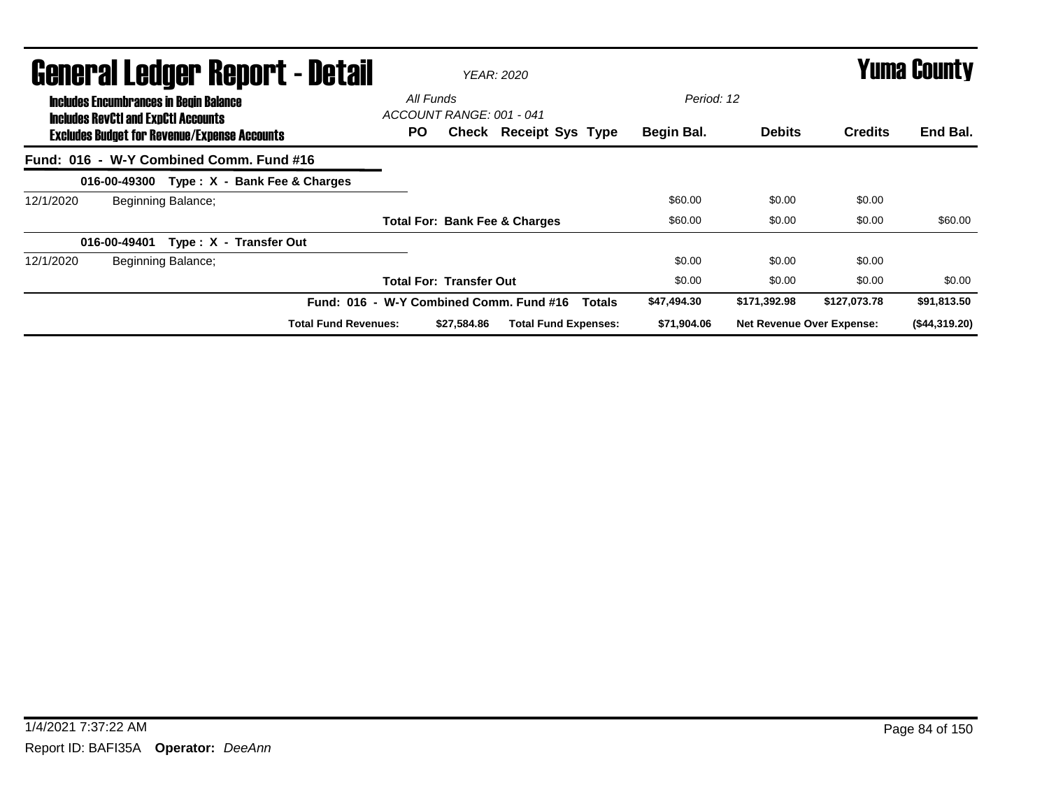|                                                                                             | <b>General Ledger Report - Detail</b>               |                                              |                                | YEAR: 2020                    |                                                          | <b>Yuma County</b> |                                  |              |               |
|---------------------------------------------------------------------------------------------|-----------------------------------------------------|----------------------------------------------|--------------------------------|-------------------------------|----------------------------------------------------------|--------------------|----------------------------------|--------------|---------------|
| <b>Includes Encumbrances in Begin Balance</b><br><b>Includes RevCtI and ExpCtI Accounts</b> | <b>Excludes Budget for Revenue/Expense Accounts</b> | All Funds<br>ACCOUNT RANGE: 001 - 041<br>PO. |                                | <b>Check Receipt Sys Type</b> | Period: 12<br>Begin Bal.                                 | <b>Debits</b>      | <b>Credits</b>                   | End Bal.     |               |
|                                                                                             |                                                     | Fund: 016 - W-Y Combined Comm. Fund #16      |                                |                               |                                                          |                    |                                  |              |               |
|                                                                                             |                                                     | 016-00-49300 Type: X - Bank Fee & Charges    |                                |                               |                                                          |                    |                                  |              |               |
| 12/1/2020                                                                                   | Beginning Balance;                                  |                                              |                                |                               |                                                          | \$60.00            | \$0.00                           | \$0.00       |               |
|                                                                                             |                                                     |                                              |                                |                               | <b>Total For: Bank Fee &amp; Charges</b>                 | \$60.00            | \$0.00                           | \$0.00       | \$60.00       |
|                                                                                             | 016-00-49401                                        | Type: X - Transfer Out                       |                                |                               |                                                          |                    |                                  |              |               |
| 12/1/2020                                                                                   | Beginning Balance;                                  |                                              |                                |                               |                                                          | \$0.00             | \$0.00                           | \$0.00       |               |
|                                                                                             |                                                     |                                              | <b>Total For: Transfer Out</b> |                               |                                                          | \$0.00             | \$0.00                           | \$0.00       | \$0.00        |
|                                                                                             |                                                     |                                              |                                |                               | Fund: 016 - W-Y Combined Comm. Fund #16<br><b>Totals</b> | \$47,494.30        | \$171,392.98                     | \$127,073.78 | \$91,813.50   |
|                                                                                             | <b>Total Fund Revenues:</b>                         |                                              |                                |                               | <b>Total Fund Expenses:</b>                              | \$71,904.06        | <b>Net Revenue Over Expense:</b> |              | (\$44,319.20) |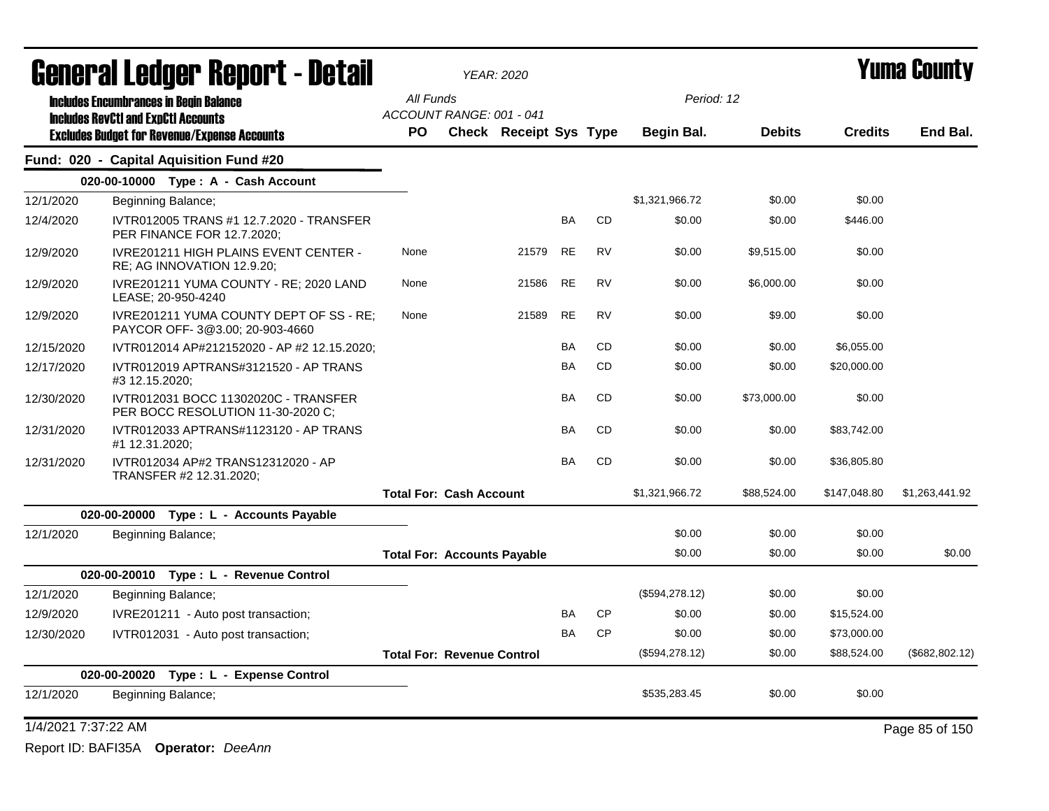| General Ledger Report - Detail |                |                                                                            |                                       | <b>YEAR: 2020</b>             |           |           |                   | Yuma County   |                |                 |  |
|--------------------------------|----------------|----------------------------------------------------------------------------|---------------------------------------|-------------------------------|-----------|-----------|-------------------|---------------|----------------|-----------------|--|
|                                |                | <b>Includes Encumbrances in Begin Balance</b>                              | All Funds                             |                               |           |           | Period: 12        |               |                |                 |  |
|                                |                | <b>Includes RevCtI and ExpCtI Accounts</b>                                 | ACCOUNT RANGE: 001 - 041<br><b>PO</b> |                               |           |           |                   |               |                | End Bal.        |  |
|                                |                | <b>Excludes Budget for Revenue/Expense Accounts</b>                        |                                       | <b>Check Receipt Sys Type</b> |           |           | <b>Begin Bal.</b> | <b>Debits</b> | <b>Credits</b> |                 |  |
|                                |                | Fund: 020 - Capital Aquisition Fund #20                                    |                                       |                               |           |           |                   |               |                |                 |  |
|                                |                | 020-00-10000 Type: A - Cash Account                                        |                                       |                               |           |           |                   |               |                |                 |  |
| 12/1/2020                      |                | Beginning Balance;                                                         |                                       |                               |           |           | \$1,321,966.72    | \$0.00        | \$0.00         |                 |  |
| 12/4/2020                      |                | IVTR012005 TRANS #1 12.7.2020 - TRANSFER<br>PER FINANCE FOR 12.7.2020;     |                                       |                               | <b>BA</b> | <b>CD</b> | \$0.00            | \$0.00        | \$446.00       |                 |  |
| 12/9/2020                      |                | <b>IVRE201211 HIGH PLAINS EVENT CENTER -</b><br>RE; AG INNOVATION 12.9.20; | None                                  | 21579                         | <b>RE</b> | <b>RV</b> | \$0.00            | \$9,515.00    | \$0.00         |                 |  |
| 12/9/2020                      |                | IVRE201211 YUMA COUNTY - RE; 2020 LAND<br>LEASE; 20-950-4240               | None                                  | 21586                         | <b>RE</b> | <b>RV</b> | \$0.00            | \$6,000.00    | \$0.00         |                 |  |
| 12/9/2020                      |                | IVRE201211 YUMA COUNTY DEPT OF SS - RE;<br>PAYCOR OFF-3@3.00; 20-903-4660  | None                                  | 21589                         | <b>RE</b> | <b>RV</b> | \$0.00            | \$9.00        | \$0.00         |                 |  |
| 12/15/2020                     |                | IVTR012014 AP#212152020 - AP #2 12.15.2020;                                |                                       |                               | BA        | CD.       | \$0.00            | \$0.00        | \$6,055.00     |                 |  |
| 12/17/2020                     | #3 12.15.2020; | IVTR012019 APTRANS#3121520 - AP TRANS                                      |                                       |                               | BA        | <b>CD</b> | \$0.00            | \$0.00        | \$20,000.00    |                 |  |
| 12/30/2020                     |                | IVTR012031 BOCC 11302020C - TRANSFER<br>PER BOCC RESOLUTION 11-30-2020 C;  |                                       |                               | <b>BA</b> | <b>CD</b> | \$0.00            | \$73,000.00   | \$0.00         |                 |  |
| 12/31/2020                     | #1 12.31.2020; | IVTR012033 APTRANS#1123120 - AP TRANS                                      |                                       |                               | <b>BA</b> | <b>CD</b> | \$0.00            | \$0.00        | \$83,742.00    |                 |  |
| 12/31/2020                     |                | IVTR012034 AP#2 TRANS12312020 - AP<br>TRANSFER #2 12.31.2020;              |                                       |                               | BA        | CD        | \$0.00            | \$0.00        | \$36,805.80    |                 |  |
|                                |                |                                                                            | <b>Total For: Cash Account</b>        |                               |           |           | \$1,321,966.72    | \$88,524.00   | \$147,048.80   | \$1,263,441.92  |  |
|                                |                | 020-00-20000 Type: L - Accounts Payable                                    |                                       |                               |           |           |                   |               |                |                 |  |
| 12/1/2020                      |                | Beginning Balance;                                                         |                                       |                               |           |           | \$0.00            | \$0.00        | \$0.00         |                 |  |
|                                |                |                                                                            | <b>Total For: Accounts Payable</b>    |                               |           |           | \$0.00            | \$0.00        | \$0.00         | \$0.00          |  |
|                                |                | 020-00-20010 Type: L - Revenue Control                                     |                                       |                               |           |           |                   |               |                |                 |  |
| 12/1/2020                      |                | Beginning Balance;                                                         |                                       |                               |           |           | (\$594,278.12)    | \$0.00        | \$0.00         |                 |  |
| 12/9/2020                      |                | IVRE201211 - Auto post transaction;                                        |                                       |                               | BA        | <b>CP</b> | \$0.00            | \$0.00        | \$15,524.00    |                 |  |
| 12/30/2020                     |                | IVTR012031 - Auto post transaction;                                        |                                       |                               | <b>BA</b> | <b>CP</b> | \$0.00            | \$0.00        | \$73,000.00    |                 |  |
|                                |                |                                                                            | <b>Total For: Revenue Control</b>     |                               |           |           | (\$594, 278.12)   | \$0.00        | \$88,524.00    | (\$682, 802.12) |  |
|                                | 020-00-20020   | Type: L - Expense Control                                                  |                                       |                               |           |           |                   |               |                |                 |  |
| 12/1/2020                      |                | Beginning Balance;                                                         |                                       |                               |           |           | \$535,283.45      | \$0.00        | \$0.00         |                 |  |
| 1/4/2021 7:37:22 AM            |                |                                                                            |                                       |                               |           |           |                   |               |                | Page 85 of 150  |  |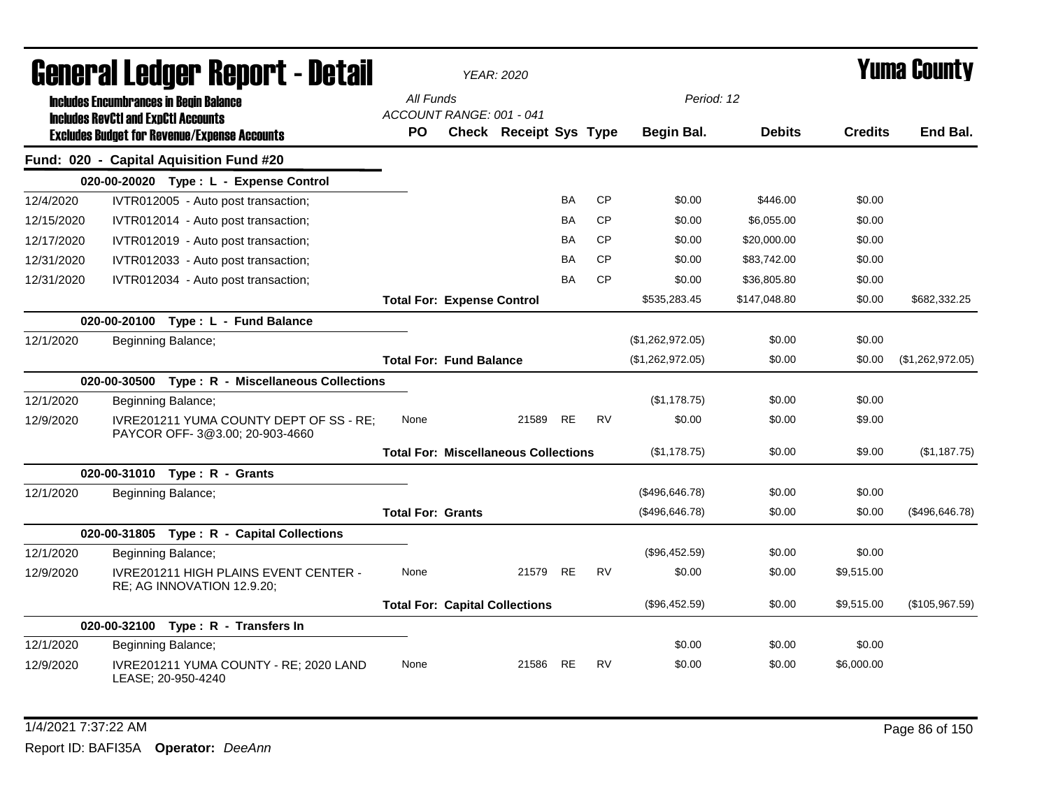|            | <b>General Ledger Report - Detail</b>                                                             |                                       | YEAR: 2020                                  |           |           |                   |               |                | <b>Yuma County</b> |
|------------|---------------------------------------------------------------------------------------------------|---------------------------------------|---------------------------------------------|-----------|-----------|-------------------|---------------|----------------|--------------------|
|            | <b>Includes Encumbrances in Begin Balance</b>                                                     | All Funds<br>ACCOUNT RANGE: 001 - 041 |                                             |           |           | Period: 12        |               |                |                    |
|            | <b>Includes RevCtI and ExpCtI Accounts</b><br><b>Excludes Budget for Revenue/Expense Accounts</b> | PO                                    | Check Receipt Sys Type                      |           |           | <b>Begin Bal.</b> | <b>Debits</b> | <b>Credits</b> | End Bal.           |
|            | Fund: 020 - Capital Aquisition Fund #20                                                           |                                       |                                             |           |           |                   |               |                |                    |
|            | 020-00-20020 Type: L - Expense Control                                                            |                                       |                                             |           |           |                   |               |                |                    |
| 12/4/2020  | IVTR012005 - Auto post transaction;                                                               |                                       |                                             | BA        | <b>CP</b> | \$0.00            | \$446.00      | \$0.00         |                    |
| 12/15/2020 | IVTR012014 - Auto post transaction;                                                               |                                       |                                             | <b>BA</b> | <b>CP</b> | \$0.00            | \$6,055.00    | \$0.00         |                    |
| 12/17/2020 | IVTR012019 - Auto post transaction;                                                               |                                       |                                             | ΒA        | <b>CP</b> | \$0.00            | \$20,000.00   | \$0.00         |                    |
| 12/31/2020 | IVTR012033 - Auto post transaction;                                                               |                                       |                                             | ΒA        | <b>CP</b> | \$0.00            | \$83,742.00   | \$0.00         |                    |
| 12/31/2020 | IVTR012034 - Auto post transaction;                                                               |                                       |                                             | BA        | <b>CP</b> | \$0.00            | \$36,805.80   | \$0.00         |                    |
|            |                                                                                                   | <b>Total For: Expense Control</b>     |                                             |           |           | \$535,283.45      | \$147,048.80  | \$0.00         | \$682,332.25       |
|            | 020-00-20100<br>Type: L - Fund Balance                                                            |                                       |                                             |           |           |                   |               |                |                    |
| 12/1/2020  | Beginning Balance;                                                                                |                                       |                                             |           |           | (\$1,262,972.05)  | \$0.00        | \$0.00         |                    |
|            |                                                                                                   | <b>Total For: Fund Balance</b>        |                                             |           |           | (\$1,262,972.05)  | \$0.00        | \$0.00         | (\$1,262,972.05)   |
|            | 020-00-30500 Type: R - Miscellaneous Collections                                                  |                                       |                                             |           |           |                   |               |                |                    |
| 12/1/2020  | Beginning Balance;                                                                                |                                       |                                             |           |           | (\$1,178.75)      | \$0.00        | \$0.00         |                    |
| 12/9/2020  | IVRE201211 YUMA COUNTY DEPT OF SS - RE;<br>PAYCOR OFF-3@3.00; 20-903-4660                         | None                                  | 21589                                       | <b>RE</b> | <b>RV</b> | \$0.00            | \$0.00        | \$9.00         |                    |
|            |                                                                                                   |                                       | <b>Total For: Miscellaneous Collections</b> |           |           | (\$1,178.75)      | \$0.00        | \$9.00         | (\$1,187.75)       |
|            | 020-00-31010 Type: R - Grants                                                                     |                                       |                                             |           |           |                   |               |                |                    |
| 12/1/2020  | Beginning Balance;                                                                                |                                       |                                             |           |           | (\$496,646.78)    | \$0.00        | \$0.00         |                    |
|            |                                                                                                   | <b>Total For: Grants</b>              |                                             |           |           | (\$496,646.78)    | \$0.00        | \$0.00         | (\$496,646.78)     |
|            | 020-00-31805 Type: R - Capital Collections                                                        |                                       |                                             |           |           |                   |               |                |                    |
| 12/1/2020  | Beginning Balance;                                                                                |                                       |                                             |           |           | (\$96,452.59)     | \$0.00        | \$0.00         |                    |
| 12/9/2020  | IVRE201211 HIGH PLAINS EVENT CENTER -<br>RE; AG INNOVATION 12.9.20;                               | None                                  | 21579                                       | RE        | RV        | \$0.00            | \$0.00        | \$9,515.00     |                    |
|            |                                                                                                   |                                       | <b>Total For: Capital Collections</b>       |           |           | (\$96,452.59)     | \$0.00        | \$9,515.00     | (\$105,967.59)     |
|            | 020-00-32100 Type: R - Transfers In                                                               |                                       |                                             |           |           |                   |               |                |                    |
| 12/1/2020  | Beginning Balance;                                                                                |                                       |                                             |           |           | \$0.00            | \$0.00        | \$0.00         |                    |
| 12/9/2020  | IVRE201211 YUMA COUNTY - RE; 2020 LAND<br>LEASE; 20-950-4240                                      | None                                  | 21586                                       | <b>RE</b> | <b>RV</b> | \$0.00            | \$0.00        | \$6,000.00     |                    |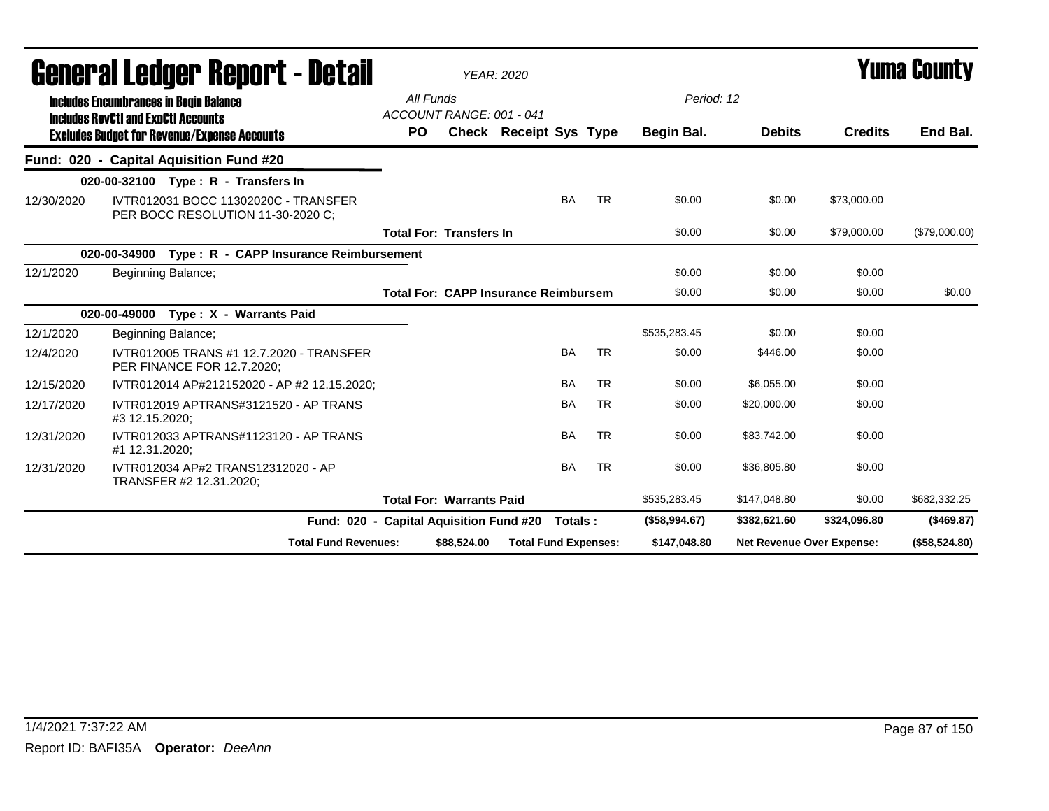| uchci ai Lcuyci "ncpul" l - Dclair |                                                                                             |                                       |             | YEAR: 2020                                  |           |           |               |                           |                | I UIIIU VUUIILY |
|------------------------------------|---------------------------------------------------------------------------------------------|---------------------------------------|-------------|---------------------------------------------|-----------|-----------|---------------|---------------------------|----------------|-----------------|
|                                    | <b>Includes Encumbrances in Begin Balance</b><br><b>Includes RevCtI and ExpCtI Accounts</b> | All Funds<br>ACCOUNT RANGE: 001 - 041 |             |                                             |           |           | Period: 12    |                           |                |                 |
|                                    | <b>Excludes Budget for Revenue/Expense Accounts</b>                                         | PO.                                   |             | Check Receipt Sys Type                      |           |           | Begin Bal.    | <b>Debits</b>             | <b>Credits</b> | End Bal.        |
|                                    | Fund: 020 - Capital Aquisition Fund #20                                                     |                                       |             |                                             |           |           |               |                           |                |                 |
|                                    | 020-00-32100 Type: R - Transfers In                                                         |                                       |             |                                             |           |           |               |                           |                |                 |
| 12/30/2020                         | IVTR012031 BOCC 11302020C - TRANSFER<br>PER BOCC RESOLUTION 11-30-2020 C:                   |                                       |             |                                             | <b>BA</b> | <b>TR</b> | \$0.00        | \$0.00                    | \$73,000.00    |                 |
|                                    |                                                                                             | <b>Total For: Transfers In</b>        |             |                                             |           |           | \$0.00        | \$0.00                    | \$79,000.00    | (\$79,000.00)   |
|                                    | 020-00-34900 Type: R - CAPP Insurance Reimbursement                                         |                                       |             |                                             |           |           |               |                           |                |                 |
| 12/1/2020                          | Beginning Balance;                                                                          |                                       |             |                                             |           |           | \$0.00        | \$0.00                    | \$0.00         |                 |
|                                    |                                                                                             |                                       |             | <b>Total For: CAPP Insurance Reimbursem</b> |           |           | \$0.00        | \$0.00                    | \$0.00         | \$0.00          |
|                                    | 020-00-49000 Type: X - Warrants Paid                                                        |                                       |             |                                             |           |           |               |                           |                |                 |
| 12/1/2020                          | Beginning Balance;                                                                          |                                       |             |                                             |           |           | \$535,283.45  | \$0.00                    | \$0.00         |                 |
| 12/4/2020                          | IVTR012005 TRANS #1 12.7.2020 - TRANSFER<br>PER FINANCE FOR 12.7.2020;                      |                                       |             |                                             | <b>BA</b> | <b>TR</b> | \$0.00        | \$446.00                  | \$0.00         |                 |
| 12/15/2020                         | IVTR012014 AP#212152020 - AP #2 12.15.2020:                                                 |                                       |             |                                             | <b>BA</b> | <b>TR</b> | \$0.00        | \$6,055.00                | \$0.00         |                 |
| 12/17/2020                         | IVTR012019 APTRANS#3121520 - AP TRANS<br>#3 12.15.2020;                                     |                                       |             |                                             | <b>BA</b> | <b>TR</b> | \$0.00        | \$20,000.00               | \$0.00         |                 |
| 12/31/2020                         | IVTR012033 APTRANS#1123120 - AP TRANS<br>#1 12.31.2020;                                     |                                       |             |                                             | BA        | <b>TR</b> | \$0.00        | \$83,742.00               | \$0.00         |                 |
| 12/31/2020                         | IVTR012034 AP#2 TRANS12312020 - AP<br>TRANSFER #2 12.31.2020;                               |                                       |             |                                             | <b>BA</b> | <b>TR</b> | \$0.00        | \$36,805.80               | \$0.00         |                 |
|                                    |                                                                                             | <b>Total For: Warrants Paid</b>       |             |                                             |           |           | \$535,283.45  | \$147,048.80              | \$0.00         | \$682,332.25    |
|                                    | Fund: 020 - Capital Aquisition Fund #20                                                     |                                       |             |                                             | Totals:   |           | (\$58,994.67) | \$382,621.60              | \$324,096.80   | (\$469.87)      |
|                                    | <b>Total Fund Revenues:</b>                                                                 |                                       | \$88,524.00 | <b>Total Fund Expenses:</b>                 |           |           | \$147,048.80  | Net Revenue Over Expense: |                | (\$58,524.80)   |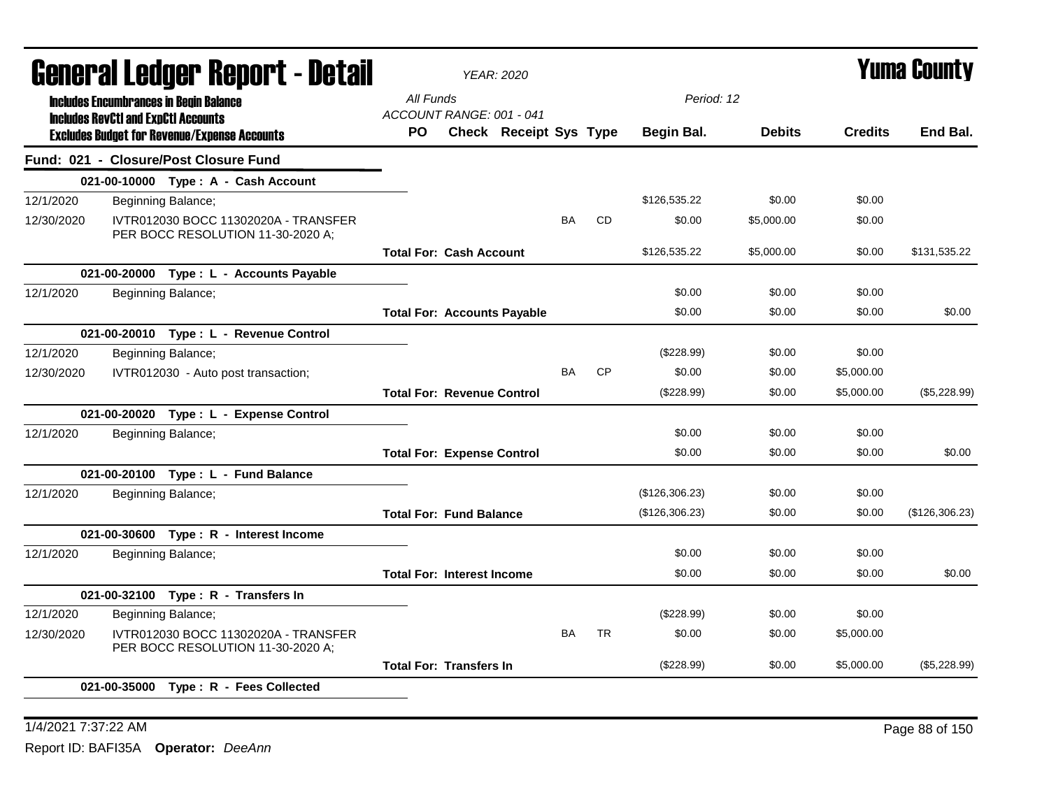| General Ledger Report - Detail |  |                                                                                             |           | <b>YEAR: 2020</b>                  |                        |           |           |                |               | <b>Yuma County</b> |                |
|--------------------------------|--|---------------------------------------------------------------------------------------------|-----------|------------------------------------|------------------------|-----------|-----------|----------------|---------------|--------------------|----------------|
|                                |  | <b>Includes Encumbrances in Begin Balance</b><br><b>Includes RevCtI and ExpCtI Accounts</b> | All Funds | ACCOUNT RANGE: 001 - 041           |                        |           |           | Period: 12     |               |                    |                |
|                                |  | <b>Excludes Budget for Revenue/Expense Accounts</b>                                         | PO.       |                                    | Check Receipt Sys Type |           |           | Begin Bal.     | <b>Debits</b> | <b>Credits</b>     | End Bal.       |
|                                |  | Fund: 021 - Closure/Post Closure Fund                                                       |           |                                    |                        |           |           |                |               |                    |                |
|                                |  | 021-00-10000 Type: A - Cash Account                                                         |           |                                    |                        |           |           |                |               |                    |                |
| 12/1/2020                      |  | Beginning Balance;                                                                          |           |                                    |                        |           |           | \$126,535.22   | \$0.00        | \$0.00             |                |
| 12/30/2020                     |  | IVTR012030 BOCC 11302020A - TRANSFER<br>PER BOCC RESOLUTION 11-30-2020 A:                   |           |                                    |                        | <b>BA</b> | <b>CD</b> | \$0.00         | \$5,000.00    | \$0.00             |                |
|                                |  |                                                                                             |           | <b>Total For: Cash Account</b>     |                        |           |           | \$126,535.22   | \$5,000.00    | \$0.00             | \$131.535.22   |
|                                |  | 021-00-20000 Type : L - Accounts Payable                                                    |           |                                    |                        |           |           |                |               |                    |                |
| 12/1/2020                      |  | Beginning Balance;                                                                          |           |                                    |                        |           |           | \$0.00         | \$0.00        | \$0.00             |                |
|                                |  |                                                                                             |           | <b>Total For: Accounts Payable</b> |                        |           |           | \$0.00         | \$0.00        | \$0.00             | \$0.00         |
|                                |  | 021-00-20010 Type: L - Revenue Control                                                      |           |                                    |                        |           |           |                |               |                    |                |
| 12/1/2020                      |  | Beginning Balance;                                                                          |           |                                    |                        |           |           | (\$228.99)     | \$0.00        | \$0.00             |                |
| 12/30/2020                     |  | IVTR012030 - Auto post transaction;                                                         |           |                                    |                        | <b>BA</b> | <b>CP</b> | \$0.00         | \$0.00        | \$5,000.00         |                |
|                                |  |                                                                                             |           | <b>Total For: Revenue Control</b>  |                        |           |           | (\$228.99)     | \$0.00        | \$5,000.00         | (\$5,228.99)   |
|                                |  | 021-00-20020 Type: L - Expense Control                                                      |           |                                    |                        |           |           |                |               |                    |                |
| 12/1/2020                      |  | Beginning Balance;                                                                          |           |                                    |                        |           |           | \$0.00         | \$0.00        | \$0.00             |                |
|                                |  |                                                                                             |           | <b>Total For: Expense Control</b>  |                        |           |           | \$0.00         | \$0.00        | \$0.00             | \$0.00         |
|                                |  | 021-00-20100 Type: L - Fund Balance                                                         |           |                                    |                        |           |           |                |               |                    |                |
| 12/1/2020                      |  | Beginning Balance;                                                                          |           |                                    |                        |           |           | (\$126,306.23) | \$0.00        | \$0.00             |                |
|                                |  |                                                                                             |           | <b>Total For: Fund Balance</b>     |                        |           |           | (\$126,306.23) | \$0.00        | \$0.00             | (\$126,306.23) |
|                                |  | 021-00-30600 Type: R - Interest Income                                                      |           |                                    |                        |           |           |                |               |                    |                |
| 12/1/2020                      |  | Beginning Balance;                                                                          |           |                                    |                        |           |           | \$0.00         | \$0.00        | \$0.00             |                |
|                                |  |                                                                                             |           | <b>Total For: Interest Income</b>  |                        |           |           | \$0.00         | \$0.00        | \$0.00             | \$0.00         |
|                                |  | 021-00-32100 Type: R - Transfers In                                                         |           |                                    |                        |           |           |                |               |                    |                |
| 12/1/2020                      |  | Beginning Balance;                                                                          |           |                                    |                        |           |           | $(\$228.99)$   | \$0.00        | \$0.00             |                |
| 12/30/2020                     |  | IVTR012030 BOCC 11302020A - TRANSFER<br>PER BOCC RESOLUTION 11-30-2020 A;                   |           |                                    |                        | <b>BA</b> | <b>TR</b> | \$0.00         | \$0.00        | \$5,000.00         |                |
|                                |  |                                                                                             |           | <b>Total For: Transfers In</b>     |                        |           |           | (\$228.99)     | \$0.00        | \$5,000.00         | (\$5,228.99)   |
|                                |  | 021-00-35000 Type: R - Fees Collected                                                       |           |                                    |                        |           |           |                |               |                    |                |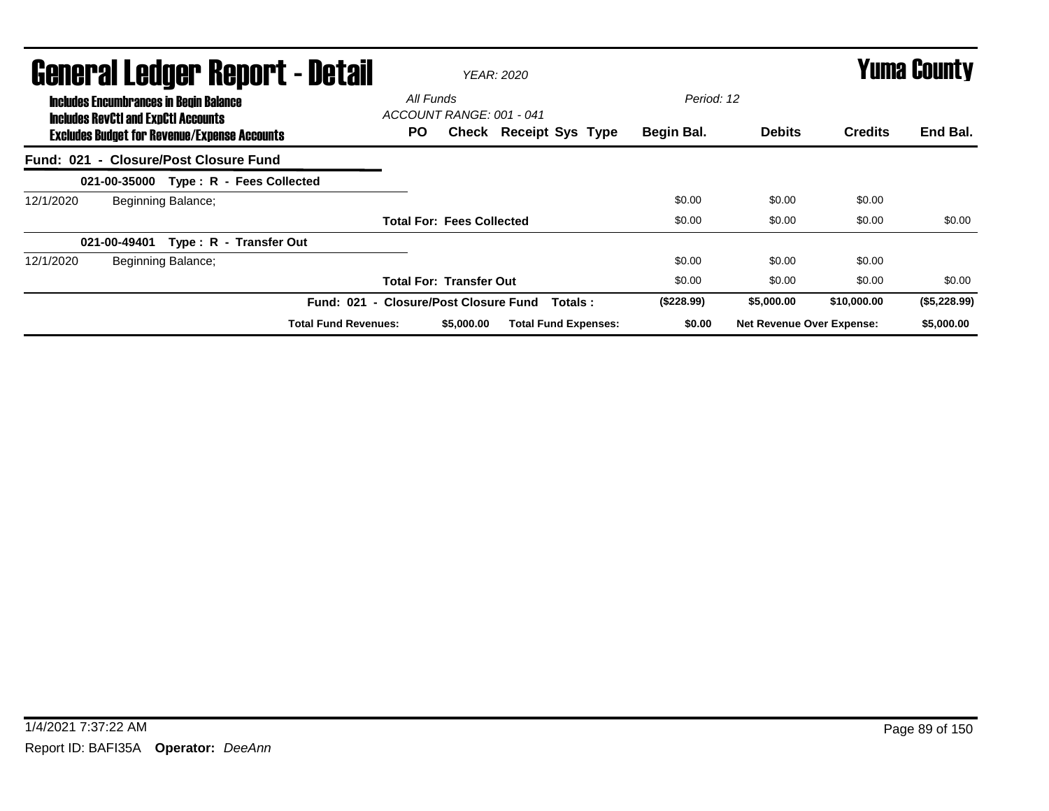| General Ledger Report - Detail                                                                                                                     | YEAR: 2020                                                             | <b>Yuma County</b>       |                                  |                |              |
|----------------------------------------------------------------------------------------------------------------------------------------------------|------------------------------------------------------------------------|--------------------------|----------------------------------|----------------|--------------|
| <b>Includes Encumbrances in Begin Balance</b><br><b>Includes RevCtI and ExpCtI Accounts</b><br><b>Excludes Budget for Revenue/Expense Accounts</b> | All Funds<br>ACCOUNT RANGE: 001 - 041<br>PO.<br>Check Receipt Sys Type | Period: 12<br>Begin Bal. | <b>Debits</b>                    | <b>Credits</b> | End Bal.     |
| Fund: 021 - Closure/Post Closure Fund                                                                                                              |                                                                        |                          |                                  |                |              |
| 021-00-35000 Type: R - Fees Collected                                                                                                              |                                                                        |                          |                                  |                |              |
| 12/1/2020<br>Beginning Balance;                                                                                                                    |                                                                        | \$0.00                   | \$0.00                           | \$0.00         |              |
|                                                                                                                                                    | <b>Total For: Fees Collected</b>                                       | \$0.00                   | \$0.00                           | \$0.00         | \$0.00       |
| Type: R - Transfer Out<br>021-00-49401                                                                                                             |                                                                        |                          |                                  |                |              |
| Beginning Balance;<br>12/1/2020                                                                                                                    |                                                                        | \$0.00                   | \$0.00                           | \$0.00         |              |
|                                                                                                                                                    | <b>Total For: Transfer Out</b>                                         | \$0.00                   | \$0.00                           | \$0.00         | \$0.00       |
| <b>Fund: 021</b>                                                                                                                                   | <b>Closure/Post Closure Fund</b><br>Totals:<br>$\sim$                  | (\$228.99)               | \$5,000.00                       | \$10,000.00    | (\$5,228.99) |
| <b>Total Fund Revenues:</b>                                                                                                                        | <b>Total Fund Expenses:</b><br>\$5,000.00                              | \$0.00                   | <b>Net Revenue Over Expense:</b> |                | \$5,000.00   |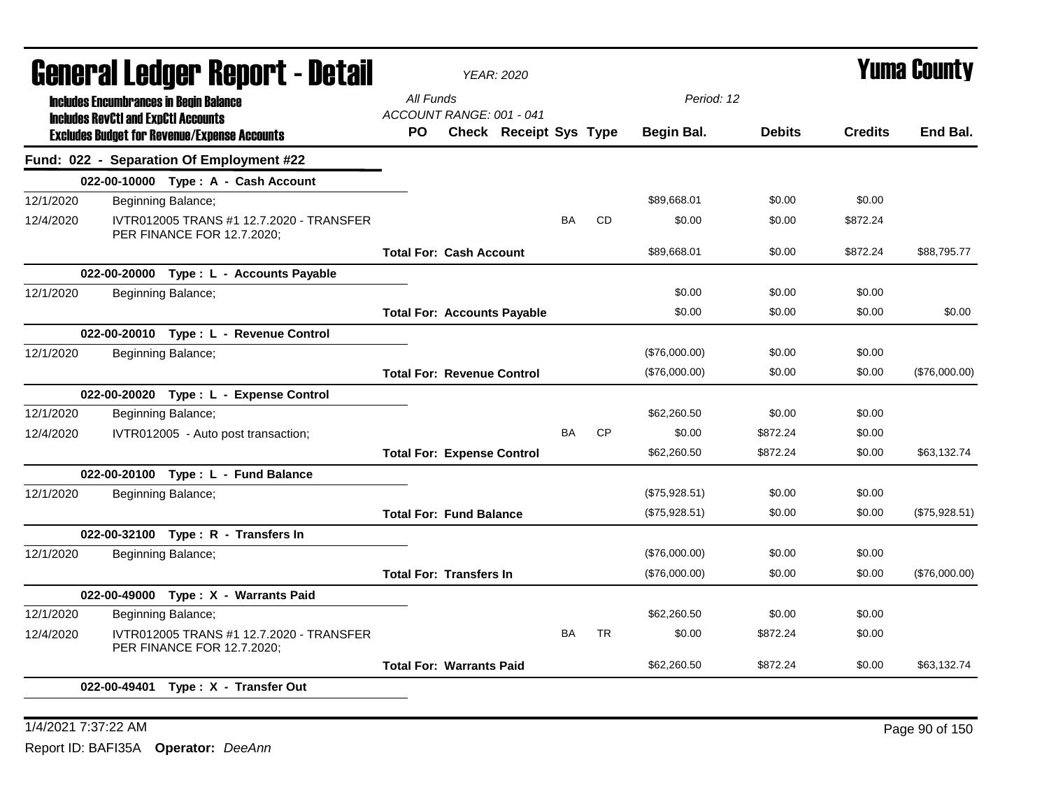| General Ledger Report - Detail |                                               |                                                                        |                                       | <b>YEAR: 2020</b>             |           |           |               |               |                | <b>Yuma County</b> |
|--------------------------------|-----------------------------------------------|------------------------------------------------------------------------|---------------------------------------|-------------------------------|-----------|-----------|---------------|---------------|----------------|--------------------|
|                                | <b>Includes Encumbrances in Begin Balance</b> |                                                                        | All Funds                             |                               |           |           | Period: 12    |               |                |                    |
|                                | <b>Includes RevCtI and ExpCtI Accounts</b>    | <b>Excludes Budget for Revenue/Expense Accounts</b>                    | ACCOUNT RANGE: 001 - 041<br><b>PO</b> | <b>Check Receipt Sys Type</b> |           |           | Begin Bal.    | <b>Debits</b> | <b>Credits</b> | End Bal.           |
|                                |                                               | Fund: 022 - Separation Of Employment #22                               |                                       |                               |           |           |               |               |                |                    |
|                                |                                               | 022-00-10000 Type: A - Cash Account                                    |                                       |                               |           |           |               |               |                |                    |
| 12/1/2020                      |                                               | Beginning Balance;                                                     |                                       |                               |           |           | \$89.668.01   | \$0.00        | \$0.00         |                    |
| 12/4/2020                      |                                               | IVTR012005 TRANS #1 12.7.2020 - TRANSFER<br>PER FINANCE FOR 12.7.2020; |                                       |                               | <b>BA</b> | <b>CD</b> | \$0.00        | \$0.00        | \$872.24       |                    |
|                                |                                               |                                                                        | <b>Total For: Cash Account</b>        |                               |           |           | \$89.668.01   | \$0.00        | \$872.24       | \$88.795.77        |
|                                |                                               | 022-00-20000 Type : L - Accounts Payable                               |                                       |                               |           |           |               |               |                |                    |
| 12/1/2020                      |                                               | Beginning Balance;                                                     |                                       |                               |           |           | \$0.00        | \$0.00        | \$0.00         |                    |
|                                |                                               |                                                                        | <b>Total For: Accounts Payable</b>    |                               |           |           | \$0.00        | \$0.00        | \$0.00         | \$0.00             |
|                                |                                               | 022-00-20010 Type: L - Revenue Control                                 |                                       |                               |           |           |               |               |                |                    |
| 12/1/2020                      |                                               | Beginning Balance;                                                     |                                       |                               |           |           | (\$76,000.00) | \$0.00        | \$0.00         |                    |
|                                |                                               |                                                                        | <b>Total For: Revenue Control</b>     |                               |           |           | (\$76,000.00) | \$0.00        | \$0.00         | (\$76,000.00)      |
|                                |                                               | 022-00-20020 Type: L - Expense Control                                 |                                       |                               |           |           |               |               |                |                    |
| 12/1/2020                      |                                               | Beginning Balance;                                                     |                                       |                               |           |           | \$62,260.50   | \$0.00        | \$0.00         |                    |
| 12/4/2020                      |                                               | IVTR012005 - Auto post transaction;                                    |                                       |                               | <b>BA</b> | <b>CP</b> | \$0.00        | \$872.24      | \$0.00         |                    |
|                                |                                               |                                                                        | <b>Total For: Expense Control</b>     |                               |           |           | \$62,260.50   | \$872.24      | \$0.00         | \$63,132.74        |
|                                |                                               | 022-00-20100 Type: L - Fund Balance                                    |                                       |                               |           |           |               |               |                |                    |
| 12/1/2020                      |                                               | Beginning Balance;                                                     |                                       |                               |           |           | (\$75,928.51) | \$0.00        | \$0.00         |                    |
|                                |                                               |                                                                        | <b>Total For: Fund Balance</b>        |                               |           |           | (\$75,928.51) | \$0.00        | \$0.00         | (\$75,928.51)      |
|                                |                                               | 022-00-32100 Type: R - Transfers In                                    |                                       |                               |           |           |               |               |                |                    |
| 12/1/2020                      |                                               | Beginning Balance;                                                     |                                       |                               |           |           | (\$76,000.00) | \$0.00        | \$0.00         |                    |
|                                |                                               |                                                                        | <b>Total For: Transfers In</b>        |                               |           |           | (\$76,000.00) | \$0.00        | \$0.00         | (\$76,000.00)      |
|                                |                                               | 022-00-49000 Type: X - Warrants Paid                                   |                                       |                               |           |           |               |               |                |                    |
| 12/1/2020                      |                                               | Beginning Balance;                                                     |                                       |                               |           |           | \$62,260.50   | \$0.00        | \$0.00         |                    |
| 12/4/2020                      |                                               | IVTR012005 TRANS #1 12.7.2020 - TRANSFER<br>PER FINANCE FOR 12.7.2020; |                                       |                               | <b>BA</b> | <b>TR</b> | \$0.00        | \$872.24      | \$0.00         |                    |
|                                |                                               |                                                                        | <b>Total For: Warrants Paid</b>       |                               |           |           | \$62,260.50   | \$872.24      | \$0.00         | \$63,132.74        |
|                                |                                               | 022-00-49401 Type: X - Transfer Out                                    |                                       |                               |           |           |               |               |                |                    |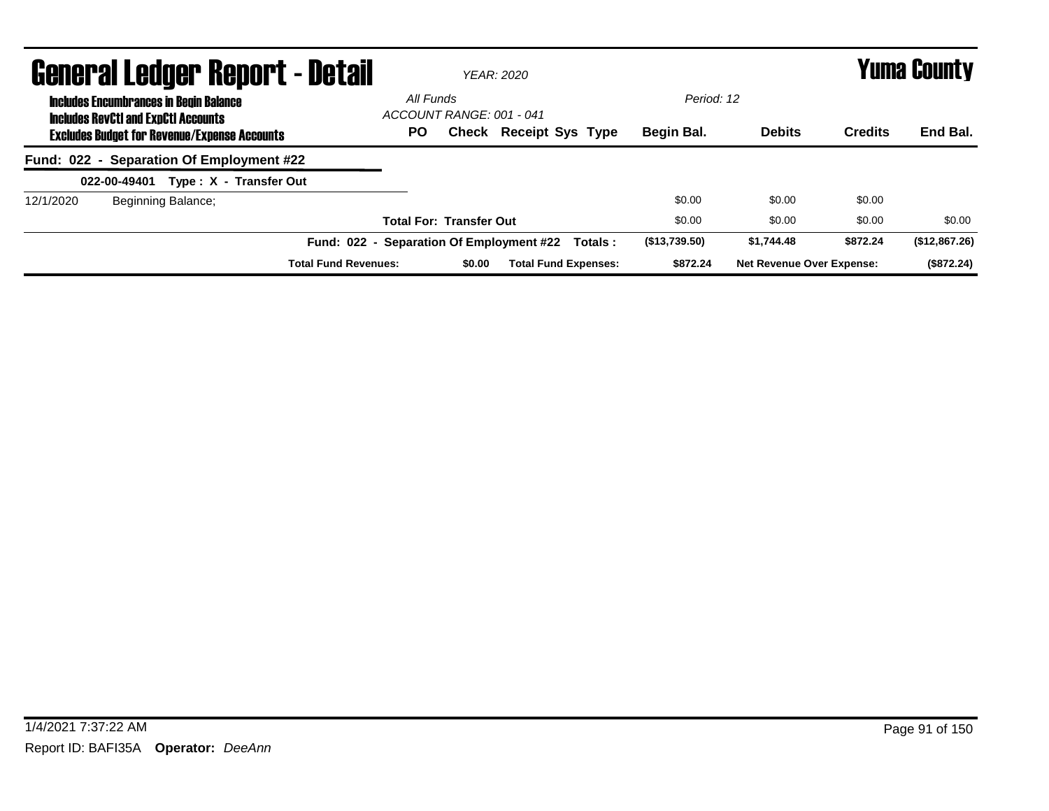| <b>General Ledger Report - Detail</b>                                                       |                                          | <b>YEAR: 2020</b>              |                               |          |               |                                  |                | Yuma County   |
|---------------------------------------------------------------------------------------------|------------------------------------------|--------------------------------|-------------------------------|----------|---------------|----------------------------------|----------------|---------------|
| <b>Includes Encumbrances in Begin Balance</b><br><b>Includes RevCtI and ExpCtI Accounts</b> | All Funds                                | ACCOUNT RANGE: 001 - 041       |                               |          | Period: 12    |                                  |                |               |
| <b>Excludes Budget for Revenue/Expense Accounts</b>                                         | <b>PO</b>                                |                                | <b>Check Receipt Sys Type</b> |          | Begin Bal.    | <b>Debits</b>                    | <b>Credits</b> | End Bal.      |
| Fund: 022 - Separation Of Employment #22                                                    |                                          |                                |                               |          |               |                                  |                |               |
| Type: X - Transfer Out<br>022-00-49401                                                      |                                          |                                |                               |          |               |                                  |                |               |
| Beginning Balance;<br>12/1/2020                                                             |                                          |                                |                               |          | \$0.00        | \$0.00                           | \$0.00         |               |
|                                                                                             |                                          | <b>Total For: Transfer Out</b> |                               |          | \$0.00        | \$0.00                           | \$0.00         | \$0.00        |
|                                                                                             | Fund: 022 - Separation Of Employment #22 |                                |                               | Totals : | (\$13,739.50) | \$1.744.48                       | \$872.24       | (\$12,867.26) |
| <b>Total Fund Revenues:</b>                                                                 |                                          | \$0.00                         | <b>Total Fund Expenses:</b>   |          | \$872.24      | <b>Net Revenue Over Expense:</b> |                | (\$872.24)    |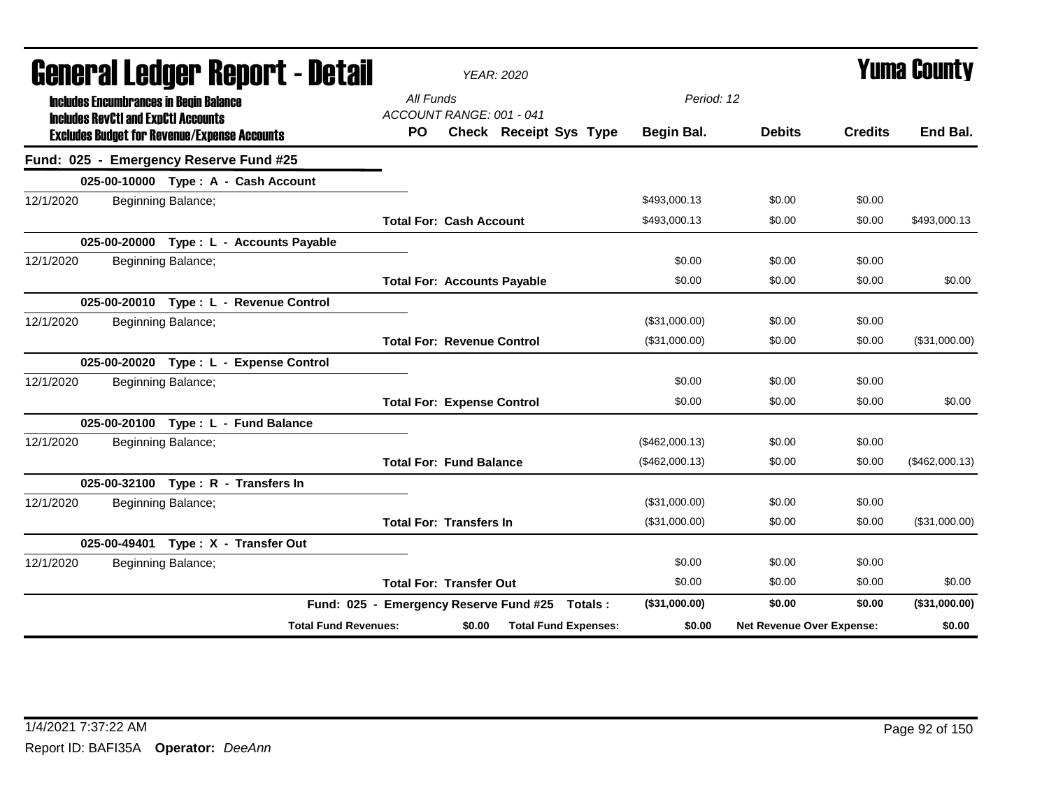| General Ledger Report - Detail                                                              | <b>YEAR: 2020</b>                              |                | Yuma Countv               |                |                |  |
|---------------------------------------------------------------------------------------------|------------------------------------------------|----------------|---------------------------|----------------|----------------|--|
| <b>Includes Encumbrances in Begin Balance</b><br><b>Includes RevCtI and ExpCtI Accounts</b> | All Funds<br>ACCOUNT RANGE: 001 - 041          | Period: 12     |                           |                |                |  |
| <b>Excludes Budget for Revenue/Expense Accounts</b>                                         | Check Receipt Sys Type<br>PO.                  | Begin Bal.     | <b>Debits</b>             | <b>Credits</b> | End Bal.       |  |
| Fund: 025 - Emergency Reserve Fund #25                                                      |                                                |                |                           |                |                |  |
| 025-00-10000 Type: A - Cash Account                                                         |                                                |                |                           |                |                |  |
| 12/1/2020<br>Beginning Balance;                                                             |                                                | \$493,000.13   | \$0.00                    | \$0.00         |                |  |
|                                                                                             | <b>Total For: Cash Account</b>                 | \$493,000.13   | \$0.00                    | \$0.00         | \$493,000.13   |  |
| 025-00-20000 Type : L - Accounts Payable                                                    |                                                |                |                           |                |                |  |
| 12/1/2020<br>Beginning Balance;                                                             |                                                | \$0.00         | \$0.00                    | \$0.00         |                |  |
|                                                                                             | <b>Total For: Accounts Payable</b>             | \$0.00         | \$0.00                    | \$0.00         | \$0.00         |  |
| 025-00-20010 Type: L - Revenue Control                                                      |                                                |                |                           |                |                |  |
| Beginning Balance;<br>12/1/2020                                                             |                                                | (\$31,000.00)  | \$0.00                    | \$0.00         |                |  |
|                                                                                             | <b>Total For: Revenue Control</b>              | (\$31,000.00)  | \$0.00                    | \$0.00         | (\$31,000.00)  |  |
| 025-00-20020 Type: L - Expense Control                                                      |                                                |                |                           |                |                |  |
| 12/1/2020<br>Beginning Balance;                                                             |                                                | \$0.00         | \$0.00                    | \$0.00         |                |  |
|                                                                                             | <b>Total For: Expense Control</b>              | \$0.00         | \$0.00                    | \$0.00         | \$0.00         |  |
| 025-00-20100 Type: L - Fund Balance                                                         |                                                |                |                           |                |                |  |
| 12/1/2020<br>Beginning Balance;                                                             |                                                | (\$462,000.13) | \$0.00                    | \$0.00         |                |  |
|                                                                                             | <b>Total For: Fund Balance</b>                 | (\$462,000.13) | \$0.00                    | \$0.00         | (\$462,000.13) |  |
| 025-00-32100 Type: R - Transfers In                                                         |                                                |                |                           |                |                |  |
| Beginning Balance;<br>12/1/2020                                                             |                                                | (\$31,000.00)  | \$0.00                    | \$0.00         |                |  |
|                                                                                             | <b>Total For: Transfers In</b>                 | (\$31,000.00)  | \$0.00                    | \$0.00         | (\$31,000.00)  |  |
| 025-00-49401 Type: X - Transfer Out                                                         |                                                |                |                           |                |                |  |
| 12/1/2020<br>Beginning Balance;                                                             |                                                | \$0.00         | \$0.00                    | \$0.00         |                |  |
|                                                                                             | <b>Total For: Transfer Out</b>                 | \$0.00         | \$0.00                    | \$0.00         | \$0.00         |  |
|                                                                                             | Fund: 025 - Emergency Reserve Fund #25 Totals: | (\$31,000.00)  | \$0.00                    | \$0.00         | (\$31,000.00)  |  |
| <b>Total Fund Revenues:</b>                                                                 | <b>Total Fund Expenses:</b><br>\$0.00          | \$0.00         | Net Revenue Over Expense: |                | \$0.00         |  |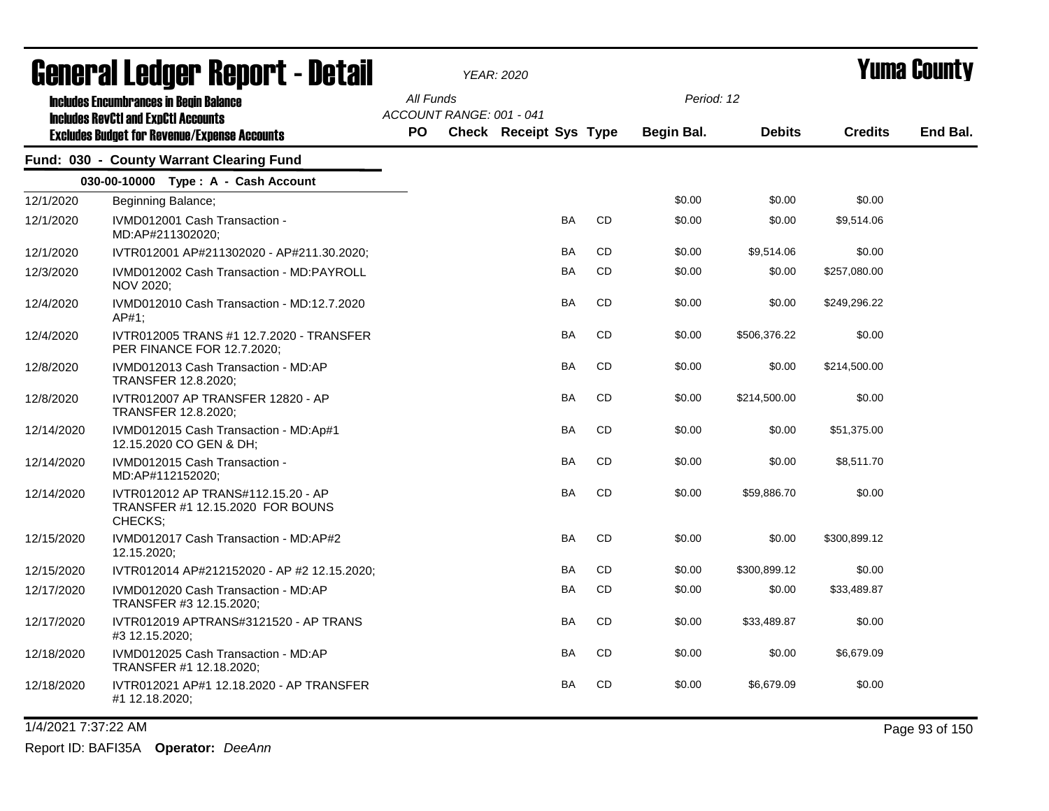|            | qangi.gi fanyai. Kahai.r - Darsi                                                                                                                   |                  |                          | YEAR: 2020                    |           |                          |               |                | T UIIIA GUUIILY |
|------------|----------------------------------------------------------------------------------------------------------------------------------------------------|------------------|--------------------------|-------------------------------|-----------|--------------------------|---------------|----------------|-----------------|
|            | <b>Includes Encumbrances in Begin Balance</b><br><b>Includes RevCtI and ExpCtI Accounts</b><br><b>Excludes Budget for Revenue/Expense Accounts</b> | All Funds<br>PO. | ACCOUNT RANGE: 001 - 041 | <b>Check Receipt Sys Type</b> |           | Period: 12<br>Begin Bal. | <b>Debits</b> | <b>Credits</b> | End Bal.        |
|            | Fund: 030 - County Warrant Clearing Fund                                                                                                           |                  |                          |                               |           |                          |               |                |                 |
|            | 030-00-10000 Type: A - Cash Account                                                                                                                |                  |                          |                               |           |                          |               |                |                 |
| 12/1/2020  | Beginning Balance;                                                                                                                                 |                  |                          |                               |           | \$0.00                   | \$0.00        | \$0.00         |                 |
| 12/1/2020  | IVMD012001 Cash Transaction -<br>MD:AP#211302020;                                                                                                  |                  |                          | BA                            | CD        | \$0.00                   | \$0.00        | \$9,514.06     |                 |
| 12/1/2020  | IVTR012001 AP#211302020 - AP#211.30.2020;                                                                                                          |                  |                          | BA                            | CD        | \$0.00                   | \$9,514.06    | \$0.00         |                 |
| 12/3/2020  | IVMD012002 Cash Transaction - MD:PAYROLL<br>NOV 2020;                                                                                              |                  |                          | <b>BA</b>                     | <b>CD</b> | \$0.00                   | \$0.00        | \$257,080.00   |                 |
| 12/4/2020  | IVMD012010 Cash Transaction - MD:12.7.2020<br>AP#1;                                                                                                |                  |                          | BA                            | CD        | \$0.00                   | \$0.00        | \$249,296.22   |                 |
| 12/4/2020  | IVTR012005 TRANS #1 12.7.2020 - TRANSFER<br>PER FINANCE FOR 12.7.2020;                                                                             |                  |                          | BA                            | CD        | \$0.00                   | \$506,376.22  | \$0.00         |                 |
| 12/8/2020  | IVMD012013 Cash Transaction - MD:AP<br>TRANSFER 12.8.2020;                                                                                         |                  |                          | BA                            | CD        | \$0.00                   | \$0.00        | \$214,500.00   |                 |
| 12/8/2020  | IVTR012007 AP TRANSFER 12820 - AP<br>TRANSFER 12.8.2020;                                                                                           |                  |                          | <b>BA</b>                     | <b>CD</b> | \$0.00                   | \$214,500.00  | \$0.00         |                 |
| 12/14/2020 | IVMD012015 Cash Transaction - MD:Ap#1<br>12.15.2020 CO GEN & DH;                                                                                   |                  |                          | <b>BA</b>                     | CD        | \$0.00                   | \$0.00        | \$51,375.00    |                 |
| 12/14/2020 | IVMD012015 Cash Transaction -<br>MD:AP#112152020;                                                                                                  |                  |                          | BA                            | CD        | \$0.00                   | \$0.00        | \$8,511.70     |                 |
| 12/14/2020 | IVTR012012 AP TRANS#112.15.20 - AP<br>TRANSFER #1 12.15.2020 FOR BOUNS<br>CHECKS;                                                                  |                  |                          | BA                            | <b>CD</b> | \$0.00                   | \$59,886.70   | \$0.00         |                 |
| 12/15/2020 | IVMD012017 Cash Transaction - MD:AP#2<br>12.15.2020;                                                                                               |                  |                          | <b>BA</b>                     | CD        | \$0.00                   | \$0.00        | \$300,899.12   |                 |
| 12/15/2020 | IVTR012014 AP#212152020 - AP #2 12.15.2020;                                                                                                        |                  |                          | BA                            | CD        | \$0.00                   | \$300,899.12  | \$0.00         |                 |
| 12/17/2020 | IVMD012020 Cash Transaction - MD:AP<br>TRANSFER #3 12.15.2020;                                                                                     |                  |                          | BA                            | CD        | \$0.00                   | \$0.00        | \$33,489.87    |                 |
| 12/17/2020 | IVTR012019 APTRANS#3121520 - AP TRANS<br>#3 12.15.2020;                                                                                            |                  |                          | BA                            | CD        | \$0.00                   | \$33,489.87   | \$0.00         |                 |
| 12/18/2020 | IVMD012025 Cash Transaction - MD:AP<br>TRANSFER #1 12.18.2020;                                                                                     |                  |                          | BA                            | CD        | \$0.00                   | \$0.00        | \$6,679.09     |                 |
| 12/18/2020 | IVTR012021 AP#1 12.18.2020 - AP TRANSFER<br>#1 12.18.2020;                                                                                         |                  |                          | BA                            | CD        | \$0.00                   | \$6,679.09    | \$0.00         |                 |

1/4/2021 7:37:22 AM Page 93 of 150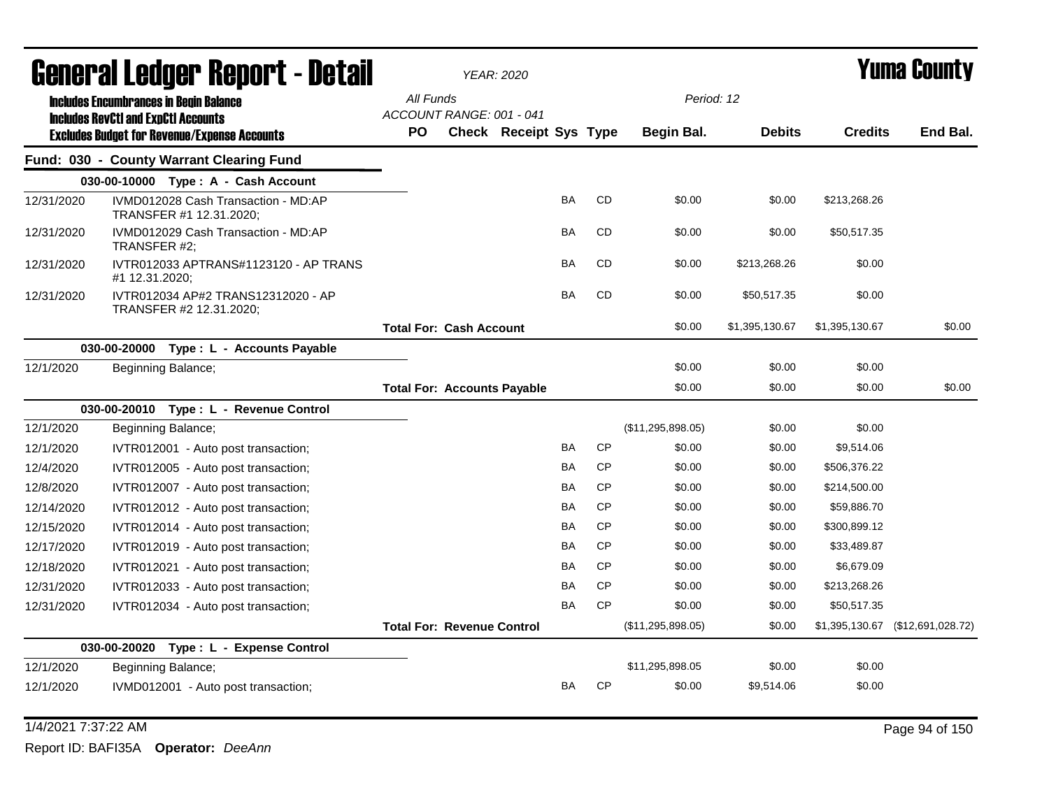| General Ledger Report - Detail |                                                                                             |                                       | <b>YEAR: 2020</b>             |           |           |                   |                |                | Yuma Countv                      |
|--------------------------------|---------------------------------------------------------------------------------------------|---------------------------------------|-------------------------------|-----------|-----------|-------------------|----------------|----------------|----------------------------------|
|                                | <b>Includes Encumbrances in Begin Balance</b><br><b>Includes RevCtI and ExpCtI Accounts</b> | All Funds<br>ACCOUNT RANGE: 001 - 041 |                               |           |           | Period: 12        |                |                |                                  |
|                                | <b>Excludes Budget for Revenue/Expense Accounts</b>                                         | PO.                                   | <b>Check Receipt Sys Type</b> |           |           | <b>Begin Bal.</b> | <b>Debits</b>  | <b>Credits</b> | End Bal.                         |
|                                | Fund: 030 - County Warrant Clearing Fund                                                    |                                       |                               |           |           |                   |                |                |                                  |
|                                | 030-00-10000 Type: A - Cash Account                                                         |                                       |                               |           |           |                   |                |                |                                  |
| 12/31/2020                     | IVMD012028 Cash Transaction - MD:AP<br>TRANSFER #1 12.31.2020;                              |                                       |                               | <b>BA</b> | <b>CD</b> | \$0.00            | \$0.00         | \$213,268.26   |                                  |
| 12/31/2020                     | IVMD012029 Cash Transaction - MD:AP<br>TRANSFER #2;                                         |                                       |                               | BA        | CD        | \$0.00            | \$0.00         | \$50,517.35    |                                  |
| 12/31/2020                     | IVTR012033 APTRANS#1123120 - AP TRANS<br>#1 12.31.2020;                                     |                                       |                               | <b>BA</b> | CD        | \$0.00            | \$213,268.26   | \$0.00         |                                  |
| 12/31/2020                     | IVTR012034 AP#2 TRANS12312020 - AP<br>TRANSFER #2 12.31.2020;                               |                                       |                               | <b>BA</b> | <b>CD</b> | \$0.00            | \$50,517.35    | \$0.00         |                                  |
|                                |                                                                                             | <b>Total For: Cash Account</b>        |                               |           |           | \$0.00            | \$1,395,130.67 | \$1,395,130.67 | \$0.00                           |
|                                | 030-00-20000 Type: L - Accounts Payable                                                     |                                       |                               |           |           |                   |                |                |                                  |
| 12/1/2020                      | Beginning Balance;                                                                          |                                       |                               |           |           | \$0.00            | \$0.00         | \$0.00         |                                  |
|                                |                                                                                             | <b>Total For: Accounts Payable</b>    |                               |           |           | \$0.00            | \$0.00         | \$0.00         | \$0.00                           |
|                                | 030-00-20010 Type: L - Revenue Control                                                      |                                       |                               |           |           |                   |                |                |                                  |
| 12/1/2020                      | Beginning Balance;                                                                          |                                       |                               |           |           | (\$11,295,898.05) | \$0.00         | \$0.00         |                                  |
| 12/1/2020                      | IVTR012001 - Auto post transaction;                                                         |                                       |                               | BA        | <b>CP</b> | \$0.00            | \$0.00         | \$9,514.06     |                                  |
| 12/4/2020                      | IVTR012005 - Auto post transaction;                                                         |                                       |                               | <b>BA</b> | <b>CP</b> | \$0.00            | \$0.00         | \$506,376.22   |                                  |
| 12/8/2020                      | IVTR012007 - Auto post transaction;                                                         |                                       |                               | <b>BA</b> | <b>CP</b> | \$0.00            | \$0.00         | \$214,500.00   |                                  |
| 12/14/2020                     | IVTR012012 - Auto post transaction;                                                         |                                       |                               | <b>BA</b> | <b>CP</b> | \$0.00            | \$0.00         | \$59,886.70    |                                  |
| 12/15/2020                     | IVTR012014 - Auto post transaction;                                                         |                                       |                               | <b>BA</b> | <b>CP</b> | \$0.00            | \$0.00         | \$300,899.12   |                                  |
| 12/17/2020                     | IVTR012019 - Auto post transaction;                                                         |                                       |                               | <b>BA</b> | <b>CP</b> | \$0.00            | \$0.00         | \$33,489.87    |                                  |
| 12/18/2020                     | IVTR012021 - Auto post transaction;                                                         |                                       |                               | <b>BA</b> | <b>CP</b> | \$0.00            | \$0.00         | \$6,679.09     |                                  |
| 12/31/2020                     | IVTR012033 - Auto post transaction;                                                         |                                       |                               | <b>BA</b> | <b>CP</b> | \$0.00            | \$0.00         | \$213,268.26   |                                  |
| 12/31/2020                     | IVTR012034 - Auto post transaction;                                                         |                                       |                               | <b>BA</b> | <b>CP</b> | \$0.00            | \$0.00         | \$50,517.35    |                                  |
|                                |                                                                                             | <b>Total For: Revenue Control</b>     |                               |           |           | (\$11,295,898.05) | \$0.00         |                | \$1,395,130.67 (\$12,691,028.72) |
|                                | 030-00-20020 Type: L - Expense Control                                                      |                                       |                               |           |           |                   |                |                |                                  |
| 12/1/2020                      | Beginning Balance;                                                                          |                                       |                               |           |           | \$11,295,898.05   | \$0.00         | \$0.00         |                                  |
| 12/1/2020                      | IVMD012001 - Auto post transaction;                                                         |                                       |                               | BA        | <b>CP</b> | \$0.00            | \$9,514.06     | \$0.00         |                                  |

### 1/4/2021 7:37:22 AM Page 94 of 150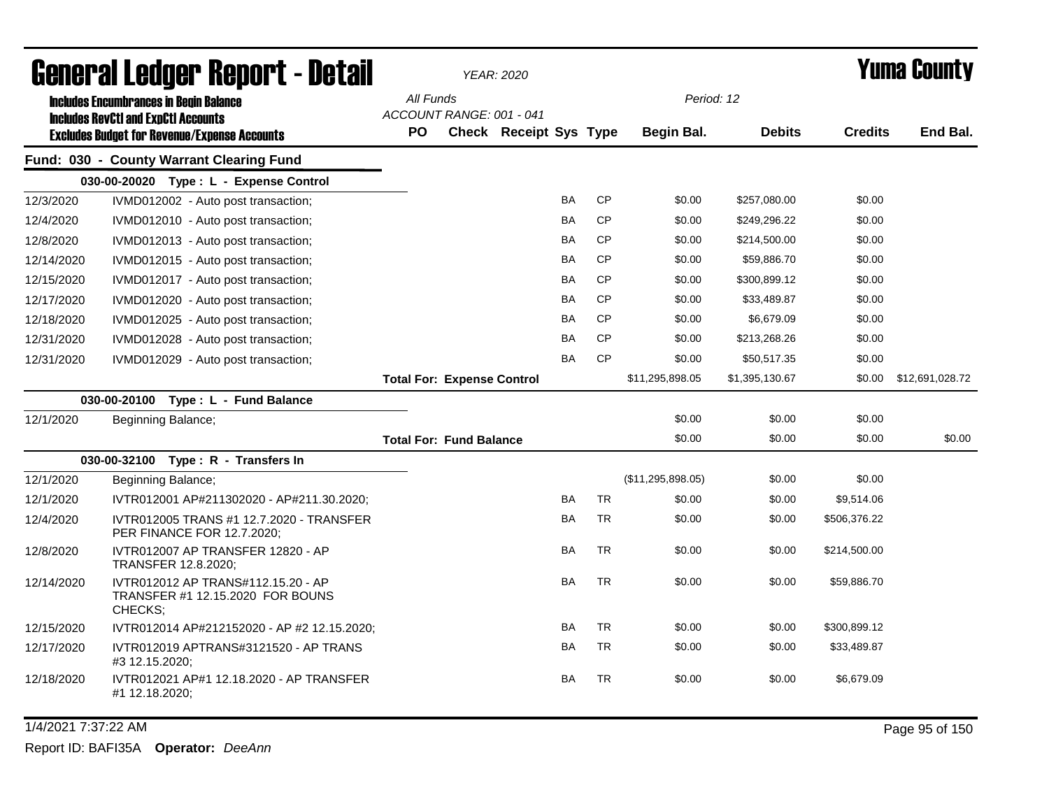|            | General Ledger Report - Detail                                                              |           |                                       | <b>YEAR: 2020</b>             |           |           |                   |                |                | <b>Yuma County</b> |
|------------|---------------------------------------------------------------------------------------------|-----------|---------------------------------------|-------------------------------|-----------|-----------|-------------------|----------------|----------------|--------------------|
|            | <b>Includes Encumbrances in Begin Balance</b><br><b>Includes RevCtI and ExpCtI Accounts</b> |           | All Funds<br>ACCOUNT RANGE: 001 - 041 |                               |           |           | Period: 12        |                |                |                    |
|            | <b>Excludes Budget for Revenue/Expense Accounts</b>                                         | <b>PO</b> |                                       | <b>Check Receipt Sys Type</b> |           |           | Begin Bal.        | <b>Debits</b>  | <b>Credits</b> | End Bal.           |
|            | Fund: 030 - County Warrant Clearing Fund                                                    |           |                                       |                               |           |           |                   |                |                |                    |
|            | 030-00-20020 Type: L - Expense Control                                                      |           |                                       |                               |           |           |                   |                |                |                    |
| 12/3/2020  | IVMD012002 - Auto post transaction;                                                         |           |                                       |                               | <b>BA</b> | CP        | \$0.00            | \$257,080.00   | \$0.00         |                    |
| 12/4/2020  | IVMD012010 - Auto post transaction;                                                         |           |                                       |                               | BA        | <b>CP</b> | \$0.00            | \$249,296.22   | \$0.00         |                    |
| 12/8/2020  | IVMD012013 - Auto post transaction;                                                         |           |                                       |                               | BA        | <b>CP</b> | \$0.00            | \$214,500.00   | \$0.00         |                    |
| 12/14/2020 | IVMD012015 - Auto post transaction;                                                         |           |                                       |                               | <b>BA</b> | <b>CP</b> | \$0.00            | \$59.886.70    | \$0.00         |                    |
| 12/15/2020 | IVMD012017 - Auto post transaction;                                                         |           |                                       |                               | <b>BA</b> | <b>CP</b> | \$0.00            | \$300,899.12   | \$0.00         |                    |
| 12/17/2020 | IVMD012020 - Auto post transaction;                                                         |           |                                       |                               | <b>BA</b> | <b>CP</b> | \$0.00            | \$33,489.87    | \$0.00         |                    |
| 12/18/2020 | IVMD012025 - Auto post transaction;                                                         |           |                                       |                               | <b>BA</b> | <b>CP</b> | \$0.00            | \$6,679.09     | \$0.00         |                    |
| 12/31/2020 | IVMD012028 - Auto post transaction;                                                         |           |                                       |                               | <b>BA</b> | <b>CP</b> | \$0.00            | \$213,268.26   | \$0.00         |                    |
| 12/31/2020 | IVMD012029 - Auto post transaction;                                                         |           |                                       |                               | <b>BA</b> | <b>CP</b> | \$0.00            | \$50,517.35    | \$0.00         |                    |
|            |                                                                                             |           | <b>Total For: Expense Control</b>     |                               |           |           | \$11,295,898.05   | \$1,395,130.67 | \$0.00         | \$12,691,028.72    |
|            | 030-00-20100<br>Type: L - Fund Balance                                                      |           |                                       |                               |           |           |                   |                |                |                    |
| 12/1/2020  | Beginning Balance;                                                                          |           |                                       |                               |           |           | \$0.00            | \$0.00         | \$0.00         |                    |
|            |                                                                                             |           | <b>Total For: Fund Balance</b>        |                               |           |           | \$0.00            | \$0.00         | \$0.00         | \$0.00             |
|            | 030-00-32100 Type: R - Transfers In                                                         |           |                                       |                               |           |           |                   |                |                |                    |
| 12/1/2020  | Beginning Balance;                                                                          |           |                                       |                               |           |           | (\$11,295,898.05) | \$0.00         | \$0.00         |                    |
| 12/1/2020  | IVTR012001 AP#211302020 - AP#211.30.2020;                                                   |           |                                       |                               | <b>BA</b> | <b>TR</b> | \$0.00            | \$0.00         | \$9,514.06     |                    |
| 12/4/2020  | IVTR012005 TRANS #1 12.7.2020 - TRANSFER<br>PER FINANCE FOR 12.7.2020;                      |           |                                       |                               | <b>BA</b> | <b>TR</b> | \$0.00            | \$0.00         | \$506,376.22   |                    |
| 12/8/2020  | IVTR012007 AP TRANSFER 12820 - AP<br>TRANSFER 12.8.2020;                                    |           |                                       |                               | <b>BA</b> | <b>TR</b> | \$0.00            | \$0.00         | \$214,500.00   |                    |
| 12/14/2020 | IVTR012012 AP TRANS#112.15.20 - AP<br>TRANSFER #1 12.15.2020 FOR BOUNS<br>CHECKS;           |           |                                       |                               | <b>BA</b> | <b>TR</b> | \$0.00            | \$0.00         | \$59,886.70    |                    |
| 12/15/2020 | IVTR012014 AP#212152020 - AP #2 12.15.2020;                                                 |           |                                       |                               | <b>BA</b> | <b>TR</b> | \$0.00            | \$0.00         | \$300,899.12   |                    |
| 12/17/2020 | IVTR012019 APTRANS#3121520 - AP TRANS<br>#3 12.15.2020;                                     |           |                                       |                               | BA        | <b>TR</b> | \$0.00            | \$0.00         | \$33,489.87    |                    |
| 12/18/2020 | IVTR012021 AP#1 12.18.2020 - AP TRANSFER<br>#1 12.18.2020;                                  |           |                                       |                               | <b>BA</b> | TR        | \$0.00            | \$0.00         | \$6,679.09     |                    |

1/4/2021 7:37:22 AM Page 95 of 150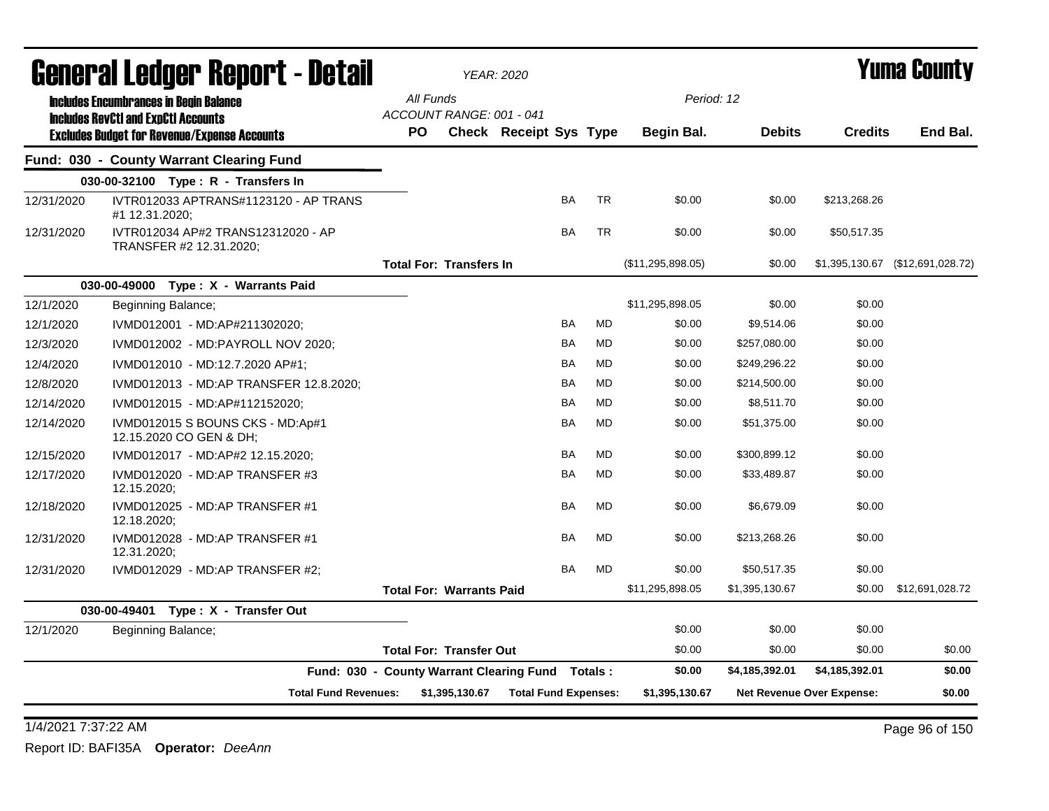|            | General Ledger Report - Detail                                                              |                                       |                | <b>YEAR: 2020</b>           |           |           |                   |                |                                  | Yuma Countv                      |
|------------|---------------------------------------------------------------------------------------------|---------------------------------------|----------------|-----------------------------|-----------|-----------|-------------------|----------------|----------------------------------|----------------------------------|
|            | <b>Includes Encumbrances in Begin Balance</b><br><b>Includes RevCtI and ExpCtI Accounts</b> | All Funds<br>ACCOUNT RANGE: 001 - 041 |                |                             |           |           | Period: 12        |                |                                  |                                  |
|            | <b>Excludes Budget for Revenue/Expense Accounts</b>                                         | <b>PO</b>                             |                | Check Receipt Sys Type      |           |           | Begin Bal.        | <b>Debits</b>  | <b>Credits</b>                   | End Bal.                         |
|            | Fund: 030 - County Warrant Clearing Fund                                                    |                                       |                |                             |           |           |                   |                |                                  |                                  |
|            | 030-00-32100 Type: R - Transfers In                                                         |                                       |                |                             |           |           |                   |                |                                  |                                  |
| 12/31/2020 | IVTR012033 APTRANS#1123120 - AP TRANS<br>#1 12.31.2020;                                     |                                       |                |                             | BA        | <b>TR</b> | \$0.00            | \$0.00         | \$213,268.26                     |                                  |
| 12/31/2020 | IVTR012034 AP#2 TRANS12312020 - AP<br>TRANSFER #2 12.31.2020;                               |                                       |                |                             | BA        | <b>TR</b> | \$0.00            | \$0.00         | \$50,517.35                      |                                  |
|            |                                                                                             | <b>Total For: Transfers In</b>        |                |                             |           |           | (\$11,295,898.05) | \$0.00         |                                  | \$1,395,130.67 (\$12,691,028.72) |
|            | 030-00-49000 Type: X - Warrants Paid                                                        |                                       |                |                             |           |           |                   |                |                                  |                                  |
| 12/1/2020  | Beginning Balance;                                                                          |                                       |                |                             |           |           | \$11,295,898.05   | \$0.00         | \$0.00                           |                                  |
| 12/1/2020  | IVMD012001 - MD:AP#211302020;                                                               |                                       |                |                             | BA        | <b>MD</b> | \$0.00            | \$9,514.06     | \$0.00                           |                                  |
| 12/3/2020  | IVMD012002 - MD:PAYROLL NOV 2020;                                                           |                                       |                |                             | BA        | MD        | \$0.00            | \$257,080.00   | \$0.00                           |                                  |
| 12/4/2020  | IVMD012010 - MD:12.7.2020 AP#1;                                                             |                                       |                |                             | BA        | MD        | \$0.00            | \$249,296.22   | \$0.00                           |                                  |
| 12/8/2020  | IVMD012013 - MD:AP TRANSFER 12.8.2020;                                                      |                                       |                |                             | BA        | MD        | \$0.00            | \$214,500.00   | \$0.00                           |                                  |
| 12/14/2020 | IVMD012015 - MD:AP#112152020;                                                               |                                       |                |                             | BA        | <b>MD</b> | \$0.00            | \$8,511.70     | \$0.00                           |                                  |
| 12/14/2020 | IVMD012015 S BOUNS CKS - MD:Ap#1<br>12.15.2020 CO GEN & DH;                                 |                                       |                |                             | BA        | MD        | \$0.00            | \$51,375.00    | \$0.00                           |                                  |
| 12/15/2020 | IVMD012017 - MD:AP#2 12.15.2020;                                                            |                                       |                |                             | BA        | <b>MD</b> | \$0.00            | \$300.899.12   | \$0.00                           |                                  |
| 12/17/2020 | IVMD012020 - MD:AP TRANSFER #3<br>12.15.2020;                                               |                                       |                |                             | BA        | <b>MD</b> | \$0.00            | \$33,489.87    | \$0.00                           |                                  |
| 12/18/2020 | IVMD012025 - MD:AP TRANSFER #1<br>12.18.2020;                                               |                                       |                |                             | BA        | <b>MD</b> | \$0.00            | \$6,679.09     | \$0.00                           |                                  |
| 12/31/2020 | IVMD012028 - MD:AP TRANSFER #1<br>12.31.2020;                                               |                                       |                |                             | <b>BA</b> | <b>MD</b> | \$0.00            | \$213,268.26   | \$0.00                           |                                  |
| 12/31/2020 | IVMD012029 - MD:AP TRANSFER #2;                                                             |                                       |                |                             | BA        | <b>MD</b> | \$0.00            | \$50,517.35    | \$0.00                           |                                  |
|            |                                                                                             | <b>Total For: Warrants Paid</b>       |                |                             |           |           | \$11,295,898.05   | \$1,395,130.67 | \$0.00                           | \$12,691,028.72                  |
|            | 030-00-49401 Type: X - Transfer Out                                                         |                                       |                |                             |           |           |                   |                |                                  |                                  |
| 12/1/2020  | Beginning Balance;                                                                          |                                       |                |                             |           |           | \$0.00            | \$0.00         | \$0.00                           |                                  |
|            |                                                                                             | <b>Total For: Transfer Out</b>        |                |                             |           |           | \$0.00            | \$0.00         | \$0.00                           | \$0.00                           |
|            | Fund: 030 - County Warrant Clearing Fund Totals:                                            |                                       |                |                             |           |           | \$0.00            | \$4,185,392.01 | \$4,185,392.01                   | \$0.00                           |
|            | <b>Total Fund Revenues:</b>                                                                 |                                       | \$1,395,130.67 | <b>Total Fund Expenses:</b> |           |           | \$1,395,130.67    |                | <b>Net Revenue Over Expense:</b> | \$0.00                           |

1/4/2021 7:37:22 AM Page 96 of 150 Report ID: BAFI35A **Operator:** *DeeAnn*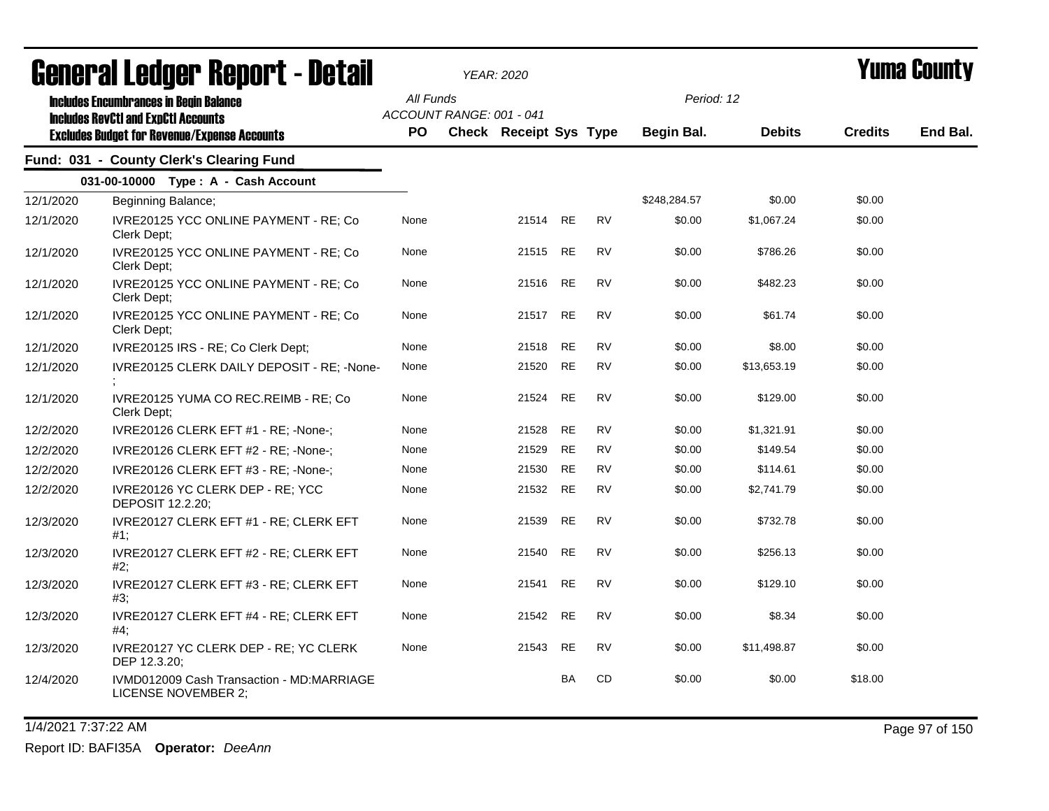|           | agiigi.si fanñai. Kehni. ( - natsii                                                                                                                |                  |                          | YEAR: 2020                    |           |           |                          |               |                | T UIIIA VUUIILY |
|-----------|----------------------------------------------------------------------------------------------------------------------------------------------------|------------------|--------------------------|-------------------------------|-----------|-----------|--------------------------|---------------|----------------|-----------------|
|           | <b>Includes Encumbrances in Begin Balance</b><br><b>Includes RevCtI and ExpCtI Accounts</b><br><b>Excludes Budget for Revenue/Expense Accounts</b> | All Funds<br>PO. | ACCOUNT RANGE: 001 - 041 | <b>Check Receipt Sys Type</b> |           |           | Period: 12<br>Begin Bal. | <b>Debits</b> | <b>Credits</b> | End Bal.        |
|           | Fund: 031 - County Clerk's Clearing Fund                                                                                                           |                  |                          |                               |           |           |                          |               |                |                 |
|           | 031-00-10000 Type: A - Cash Account                                                                                                                |                  |                          |                               |           |           |                          |               |                |                 |
| 12/1/2020 | Beginning Balance;                                                                                                                                 |                  |                          |                               |           |           | \$248,284.57             | \$0.00        | \$0.00         |                 |
| 12/1/2020 | IVRE20125 YCC ONLINE PAYMENT - RE; Co<br>Clerk Dept;                                                                                               | None             |                          | 21514                         | <b>RE</b> | <b>RV</b> | \$0.00                   | \$1,067.24    | \$0.00         |                 |
| 12/1/2020 | IVRE20125 YCC ONLINE PAYMENT - RE; Co<br>Clerk Dept;                                                                                               | None             |                          | 21515                         | RE        | <b>RV</b> | \$0.00                   | \$786.26      | \$0.00         |                 |
| 12/1/2020 | IVRE20125 YCC ONLINE PAYMENT - RE; Co<br>Clerk Dept;                                                                                               | None             |                          | 21516                         | RE        | RV        | \$0.00                   | \$482.23      | \$0.00         |                 |
| 12/1/2020 | IVRE20125 YCC ONLINE PAYMENT - RE; Co<br>Clerk Dept;                                                                                               | None             |                          | 21517                         | <b>RE</b> | <b>RV</b> | \$0.00                   | \$61.74       | \$0.00         |                 |
| 12/1/2020 | IVRE20125 IRS - RE; Co Clerk Dept;                                                                                                                 | None             |                          | 21518                         | <b>RE</b> | <b>RV</b> | \$0.00                   | \$8.00        | \$0.00         |                 |
| 12/1/2020 | IVRE20125 CLERK DAILY DEPOSIT - RE; -None-                                                                                                         | None             |                          | 21520                         | <b>RE</b> | <b>RV</b> | \$0.00                   | \$13,653.19   | \$0.00         |                 |
| 12/1/2020 | IVRE20125 YUMA CO REC.REIMB - RE; Co<br>Clerk Dept;                                                                                                | None             |                          | 21524                         | <b>RE</b> | <b>RV</b> | \$0.00                   | \$129.00      | \$0.00         |                 |
| 12/2/2020 | IVRE20126 CLERK EFT #1 - RE; -None-;                                                                                                               | None             |                          | 21528                         | <b>RE</b> | <b>RV</b> | \$0.00                   | \$1,321.91    | \$0.00         |                 |
| 12/2/2020 | IVRE20126 CLERK EFT #2 - RE; -None-;                                                                                                               | None             |                          | 21529                         | <b>RE</b> | <b>RV</b> | \$0.00                   | \$149.54      | \$0.00         |                 |
| 12/2/2020 | IVRE20126 CLERK EFT #3 - RE; -None-;                                                                                                               | None             |                          | 21530                         | <b>RE</b> | RV        | \$0.00                   | \$114.61      | \$0.00         |                 |
| 12/2/2020 | IVRE20126 YC CLERK DEP - RE; YCC<br>DEPOSIT 12.2.20;                                                                                               | None             |                          | 21532                         | RE        | <b>RV</b> | \$0.00                   | \$2,741.79    | \$0.00         |                 |
| 12/3/2020 | IVRE20127 CLERK EFT #1 - RE; CLERK EFT<br>#1;                                                                                                      | None             |                          | 21539                         | <b>RE</b> | <b>RV</b> | \$0.00                   | \$732.78      | \$0.00         |                 |
| 12/3/2020 | IVRE20127 CLERK EFT #2 - RE; CLERK EFT<br>#2;                                                                                                      | None             |                          | 21540                         | <b>RE</b> | <b>RV</b> | \$0.00                   | \$256.13      | \$0.00         |                 |
| 12/3/2020 | IVRE20127 CLERK EFT #3 - RE; CLERK EFT<br>#3;                                                                                                      | None             |                          | 21541                         | <b>RE</b> | <b>RV</b> | \$0.00                   | \$129.10      | \$0.00         |                 |
| 12/3/2020 | IVRE20127 CLERK EFT #4 - RE; CLERK EFT<br>#4:                                                                                                      | None             |                          | 21542                         | <b>RE</b> | <b>RV</b> | \$0.00                   | \$8.34        | \$0.00         |                 |
| 12/3/2020 | IVRE20127 YC CLERK DEP - RE; YC CLERK<br>DEP 12.3.20;                                                                                              | None             |                          | 21543                         | RE        | RV        | \$0.00                   | \$11,498.87   | \$0.00         |                 |
| 12/4/2020 | IVMD012009 Cash Transaction - MD:MARRIAGE<br>LICENSE NOVEMBER 2;                                                                                   |                  |                          |                               | <b>BA</b> | CD        | \$0.00                   | \$0.00        | \$18.00        |                 |

1/4/2021 7:37:22 AM Page 97 of 150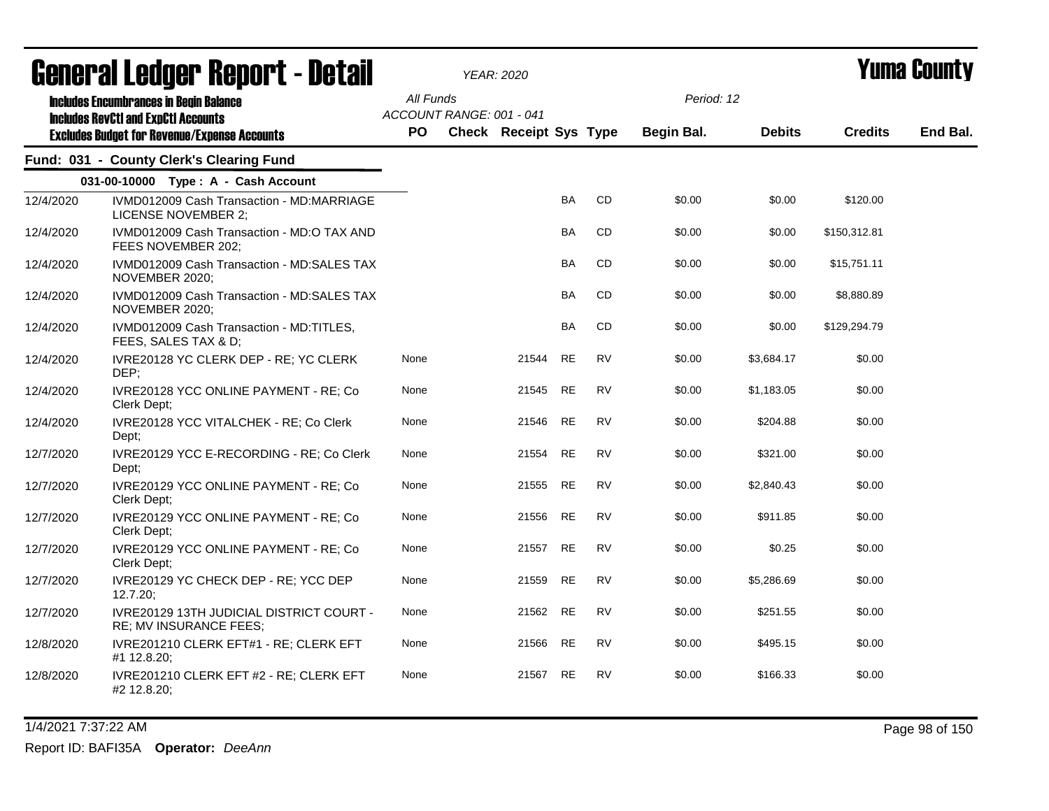|           | uchci ai Lcuyci, dchol ( - natali                                                           |           |                          | YEAR: 2020             |           |           |            |               |                | I UIIIA VUUIILY |
|-----------|---------------------------------------------------------------------------------------------|-----------|--------------------------|------------------------|-----------|-----------|------------|---------------|----------------|-----------------|
|           | <b>Includes Encumbrances in Begin Balance</b><br><b>Includes RevCtI and ExpCtI Accounts</b> | All Funds | ACCOUNT RANGE: 001 - 041 |                        |           |           | Period: 12 |               |                |                 |
|           | <b>Excludes Budget for Revenue/Expense Accounts</b>                                         | PO.       |                          | Check Receipt Sys Type |           |           | Begin Bal. | <b>Debits</b> | <b>Credits</b> | End Bal.        |
|           | Fund: 031 - County Clerk's Clearing Fund                                                    |           |                          |                        |           |           |            |               |                |                 |
|           | 031-00-10000 Type: A - Cash Account                                                         |           |                          |                        |           |           |            |               |                |                 |
| 12/4/2020 | IVMD012009 Cash Transaction - MD:MARRIAGE<br><b>LICENSE NOVEMBER 2;</b>                     |           |                          |                        | BA        | CD        | \$0.00     | \$0.00        | \$120.00       |                 |
| 12/4/2020 | IVMD012009 Cash Transaction - MD:O TAX AND<br>FEES NOVEMBER 202;                            |           |                          |                        | <b>BA</b> | CD        | \$0.00     | \$0.00        | \$150,312.81   |                 |
| 12/4/2020 | IVMD012009 Cash Transaction - MD:SALES TAX<br>NOVEMBER 2020;                                |           |                          |                        | <b>BA</b> | <b>CD</b> | \$0.00     | \$0.00        | \$15,751.11    |                 |
| 12/4/2020 | IVMD012009 Cash Transaction - MD:SALES TAX<br>NOVEMBER 2020;                                |           |                          |                        | <b>BA</b> | <b>CD</b> | \$0.00     | \$0.00        | \$8,880.89     |                 |
| 12/4/2020 | IVMD012009 Cash Transaction - MD:TITLES,<br>FEES, SALES TAX & D;                            |           |                          |                        | BA        | CD        | \$0.00     | \$0.00        | \$129,294.79   |                 |
| 12/4/2020 | IVRE20128 YC CLERK DEP - RE; YC CLERK<br>DEP;                                               | None      |                          | 21544                  | <b>RE</b> | <b>RV</b> | \$0.00     | \$3,684.17    | \$0.00         |                 |
| 12/4/2020 | IVRE20128 YCC ONLINE PAYMENT - RE; Co<br>Clerk Dept;                                        | None      |                          | 21545                  | <b>RE</b> | <b>RV</b> | \$0.00     | \$1,183.05    | \$0.00         |                 |
| 12/4/2020 | IVRE20128 YCC VITALCHEK - RE; Co Clerk<br>Dept;                                             | None      |                          | 21546                  | <b>RE</b> | <b>RV</b> | \$0.00     | \$204.88      | \$0.00         |                 |
| 12/7/2020 | IVRE20129 YCC E-RECORDING - RE; Co Clerk<br>Dept:                                           | None      |                          | 21554                  | <b>RE</b> | <b>RV</b> | \$0.00     | \$321.00      | \$0.00         |                 |
| 12/7/2020 | IVRE20129 YCC ONLINE PAYMENT - RE; Co<br>Clerk Dept;                                        | None      |                          | 21555                  | <b>RE</b> | <b>RV</b> | \$0.00     | \$2,840.43    | \$0.00         |                 |
| 12/7/2020 | IVRE20129 YCC ONLINE PAYMENT - RE; Co<br>Clerk Dept;                                        | None      |                          | 21556                  | <b>RE</b> | <b>RV</b> | \$0.00     | \$911.85      | \$0.00         |                 |
| 12/7/2020 | IVRE20129 YCC ONLINE PAYMENT - RE; Co<br>Clerk Dept;                                        | None      |                          | 21557                  | <b>RE</b> | <b>RV</b> | \$0.00     | \$0.25        | \$0.00         |                 |
| 12/7/2020 | IVRE20129 YC CHECK DEP - RE; YCC DEP<br>12.7.20;                                            | None      |                          | 21559                  | <b>RE</b> | <b>RV</b> | \$0.00     | \$5,286.69    | \$0.00         |                 |
| 12/7/2020 | IVRE20129 13TH JUDICIAL DISTRICT COURT -<br>RE; MV INSURANCE FEES;                          | None      |                          | 21562                  | <b>RE</b> | <b>RV</b> | \$0.00     | \$251.55      | \$0.00         |                 |
| 12/8/2020 | IVRE201210 CLERK EFT#1 - RE; CLERK EFT<br>#1 12.8.20;                                       | None      |                          | 21566                  | <b>RE</b> | <b>RV</b> | \$0.00     | \$495.15      | \$0.00         |                 |
| 12/8/2020 | IVRE201210 CLERK EFT #2 - RE; CLERK EFT<br>#2 12.8.20;                                      | None      |                          | 21567                  | <b>RE</b> | RV        | \$0.00     | \$166.33      | \$0.00         |                 |

1/4/2021 7:37:22 AM Page 98 of 150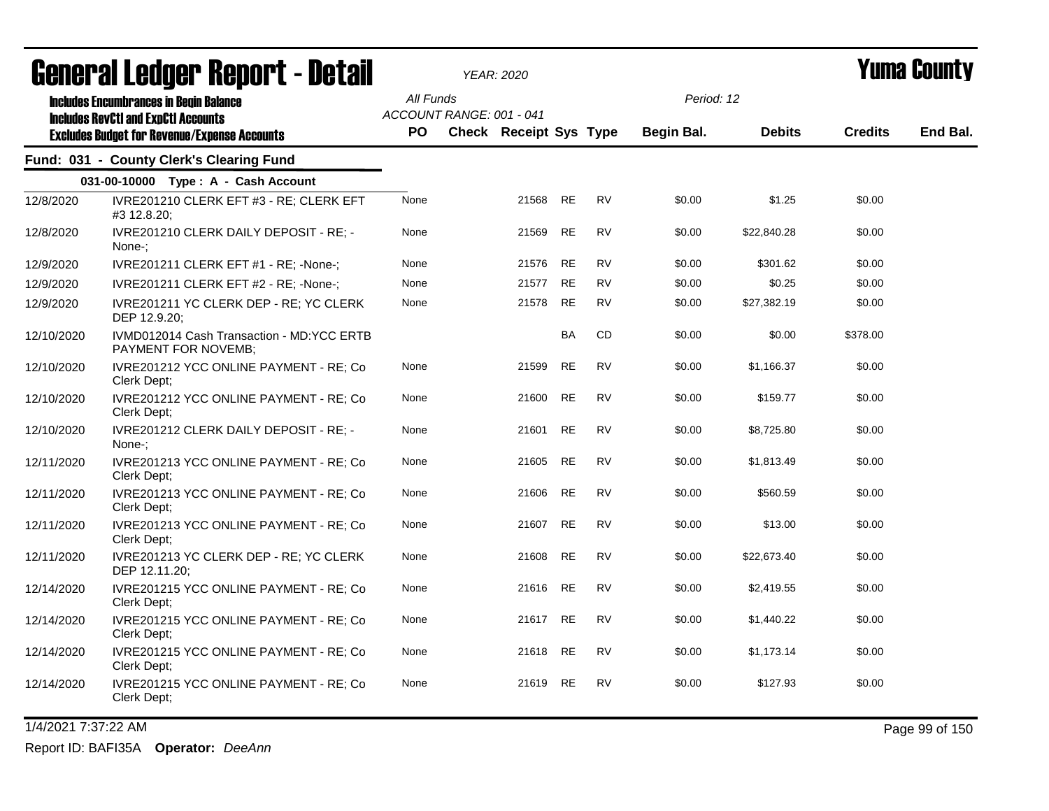|            | agiigi.gi fanñai. Ughni. ( - nafqii                                                                                                                |                  | YEAR: 2020                                                |           |           |                          |               |                | T UIIIA VUUIILY |
|------------|----------------------------------------------------------------------------------------------------------------------------------------------------|------------------|-----------------------------------------------------------|-----------|-----------|--------------------------|---------------|----------------|-----------------|
|            | <b>Includes Encumbrances in Begin Balance</b><br><b>Includes RevCtI and ExpCtI Accounts</b><br><b>Excludes Budget for Revenue/Expense Accounts</b> | All Funds<br>PO. | ACCOUNT RANGE: 001 - 041<br><b>Check Receipt Sys Type</b> |           |           | Period: 12<br>Begin Bal. | <b>Debits</b> | <b>Credits</b> | End Bal.        |
|            | Fund: 031 - County Clerk's Clearing Fund                                                                                                           |                  |                                                           |           |           |                          |               |                |                 |
|            | 031-00-10000 Type: A - Cash Account                                                                                                                |                  |                                                           |           |           |                          |               |                |                 |
| 12/8/2020  | IVRE201210 CLERK EFT #3 - RE; CLERK EFT<br>#3 12.8.20;                                                                                             | None             | 21568                                                     | <b>RE</b> | <b>RV</b> | \$0.00                   | \$1.25        | \$0.00         |                 |
| 12/8/2020  | IVRE201210 CLERK DAILY DEPOSIT - RE; -<br>None-:                                                                                                   | None             | 21569                                                     | <b>RE</b> | <b>RV</b> | \$0.00                   | \$22,840.28   | \$0.00         |                 |
| 12/9/2020  | IVRE201211 CLERK EFT #1 - RE; -None-;                                                                                                              | None             | 21576                                                     | <b>RE</b> | <b>RV</b> | \$0.00                   | \$301.62      | \$0.00         |                 |
| 12/9/2020  | IVRE201211 CLERK EFT #2 - RE; -None-;                                                                                                              | None             | 21577                                                     | <b>RE</b> | <b>RV</b> | \$0.00                   | \$0.25        | \$0.00         |                 |
| 12/9/2020  | IVRE201211 YC CLERK DEP - RE; YC CLERK<br>DEP 12.9.20;                                                                                             | None             | 21578                                                     | <b>RE</b> | <b>RV</b> | \$0.00                   | \$27,382.19   | \$0.00         |                 |
| 12/10/2020 | IVMD012014 Cash Transaction - MD:YCC ERTB<br>PAYMENT FOR NOVEMB;                                                                                   |                  |                                                           | <b>BA</b> | <b>CD</b> | \$0.00                   | \$0.00        | \$378.00       |                 |
| 12/10/2020 | IVRE201212 YCC ONLINE PAYMENT - RE; Co<br>Clerk Dept:                                                                                              | None             | 21599                                                     | <b>RE</b> | <b>RV</b> | \$0.00                   | \$1,166.37    | \$0.00         |                 |
| 12/10/2020 | IVRE201212 YCC ONLINE PAYMENT - RE; Co<br>Clerk Dept;                                                                                              | None             | 21600                                                     | <b>RE</b> | <b>RV</b> | \$0.00                   | \$159.77      | \$0.00         |                 |
| 12/10/2020 | IVRE201212 CLERK DAILY DEPOSIT - RE; -<br>None-:                                                                                                   | None             | 21601                                                     | <b>RE</b> | <b>RV</b> | \$0.00                   | \$8,725.80    | \$0.00         |                 |
| 12/11/2020 | IVRE201213 YCC ONLINE PAYMENT - RE; Co<br>Clerk Dept;                                                                                              | None             | 21605                                                     | <b>RE</b> | <b>RV</b> | \$0.00                   | \$1,813.49    | \$0.00         |                 |
| 12/11/2020 | IVRE201213 YCC ONLINE PAYMENT - RE; Co<br>Clerk Dept;                                                                                              | None             | 21606                                                     | <b>RE</b> | <b>RV</b> | \$0.00                   | \$560.59      | \$0.00         |                 |
| 12/11/2020 | IVRE201213 YCC ONLINE PAYMENT - RE; Co<br>Clerk Dept:                                                                                              | None             | 21607                                                     | <b>RE</b> | <b>RV</b> | \$0.00                   | \$13.00       | \$0.00         |                 |
| 12/11/2020 | IVRE201213 YC CLERK DEP - RE; YC CLERK<br>DEP 12.11.20;                                                                                            | None             | 21608                                                     | <b>RE</b> | <b>RV</b> | \$0.00                   | \$22,673.40   | \$0.00         |                 |
| 12/14/2020 | IVRE201215 YCC ONLINE PAYMENT - RE; Co<br>Clerk Dept;                                                                                              | None             | 21616                                                     | <b>RE</b> | <b>RV</b> | \$0.00                   | \$2,419.55    | \$0.00         |                 |
| 12/14/2020 | IVRE201215 YCC ONLINE PAYMENT - RE; Co<br>Clerk Dept;                                                                                              | None             | 21617                                                     | <b>RE</b> | <b>RV</b> | \$0.00                   | \$1,440.22    | \$0.00         |                 |
| 12/14/2020 | IVRE201215 YCC ONLINE PAYMENT - RE; Co<br>Clerk Dept;                                                                                              | None             | 21618                                                     | <b>RE</b> | <b>RV</b> | \$0.00                   | \$1,173.14    | \$0.00         |                 |
| 12/14/2020 | IVRE201215 YCC ONLINE PAYMENT - RE; Co<br>Clerk Dept;                                                                                              | None             | 21619                                                     | <b>RE</b> | <b>RV</b> | \$0.00                   | \$127.93      | \$0.00         |                 |
|            |                                                                                                                                                    |                  |                                                           |           |           |                          |               |                |                 |

1/4/2021 7:37:22 AM Page 99 of 150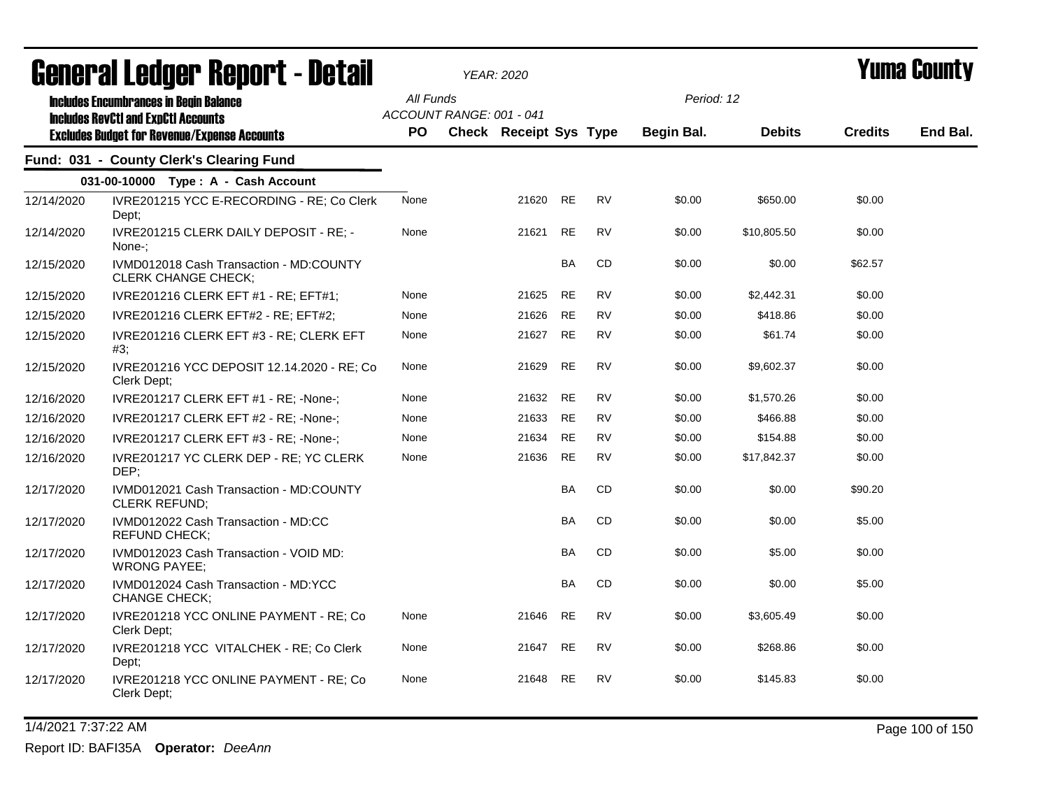|            | agiigi.gi fanñai. Ughni. ( - natsii                                                         |                        |                          | YEAR: 2020                    |           |           |                          |               |                | T UIIIA VUUIILY |
|------------|---------------------------------------------------------------------------------------------|------------------------|--------------------------|-------------------------------|-----------|-----------|--------------------------|---------------|----------------|-----------------|
|            | <b>Includes Encumbrances in Begin Balance</b><br><b>Includes RevCtI and ExpCtI Accounts</b> | All Funds<br><b>PO</b> | ACCOUNT RANGE: 001 - 041 | <b>Check Receipt Sys Type</b> |           |           | Period: 12<br>Begin Bal. | <b>Debits</b> | <b>Credits</b> | End Bal.        |
|            | <b>Excludes Budget for Revenue/Expense Accounts</b>                                         |                        |                          |                               |           |           |                          |               |                |                 |
|            | Fund: 031 - County Clerk's Clearing Fund                                                    |                        |                          |                               |           |           |                          |               |                |                 |
|            | 031-00-10000 Type: A - Cash Account                                                         |                        |                          |                               |           |           |                          |               |                |                 |
| 12/14/2020 | IVRE201215 YCC E-RECORDING - RE; Co Clerk<br>Dept;                                          | None                   |                          | 21620 RE                      |           | <b>RV</b> | \$0.00                   | \$650.00      | \$0.00         |                 |
| 12/14/2020 | IVRE201215 CLERK DAILY DEPOSIT - RE; -<br>None-:                                            | None                   |                          | 21621                         | <b>RE</b> | <b>RV</b> | \$0.00                   | \$10,805.50   | \$0.00         |                 |
| 12/15/2020 | IVMD012018 Cash Transaction - MD:COUNTY<br><b>CLERK CHANGE CHECK;</b>                       |                        |                          |                               | <b>BA</b> | CD        | \$0.00                   | \$0.00        | \$62.57        |                 |
| 12/15/2020 | IVRE201216 CLERK EFT #1 - RE; EFT#1;                                                        | None                   |                          | 21625                         | <b>RE</b> | <b>RV</b> | \$0.00                   | \$2,442.31    | \$0.00         |                 |
| 12/15/2020 | IVRE201216 CLERK EFT#2 - RE; EFT#2;                                                         | None                   |                          | 21626                         | <b>RE</b> | RV        | \$0.00                   | \$418.86      | \$0.00         |                 |
| 12/15/2020 | IVRE201216 CLERK EFT #3 - RE; CLERK EFT<br>#3;                                              | None                   |                          | 21627                         | <b>RE</b> | <b>RV</b> | \$0.00                   | \$61.74       | \$0.00         |                 |
| 12/15/2020 | IVRE201216 YCC DEPOSIT 12.14.2020 - RE; Co<br>Clerk Dept;                                   | None                   |                          | 21629                         | <b>RE</b> | <b>RV</b> | \$0.00                   | \$9,602.37    | \$0.00         |                 |
| 12/16/2020 | IVRE201217 CLERK EFT #1 - RE; -None-;                                                       | None                   |                          | 21632                         | <b>RE</b> | <b>RV</b> | \$0.00                   | \$1,570.26    | \$0.00         |                 |
| 12/16/2020 | IVRE201217 CLERK EFT #2 - RE; -None-;                                                       | None                   |                          | 21633                         | <b>RE</b> | RV        | \$0.00                   | \$466.88      | \$0.00         |                 |
| 12/16/2020 | IVRE201217 CLERK EFT #3 - RE; -None-;                                                       | None                   |                          | 21634                         | <b>RE</b> | <b>RV</b> | \$0.00                   | \$154.88      | \$0.00         |                 |
| 12/16/2020 | IVRE201217 YC CLERK DEP - RE; YC CLERK<br>DEP;                                              | None                   |                          | 21636                         | <b>RE</b> | <b>RV</b> | \$0.00                   | \$17,842.37   | \$0.00         |                 |
| 12/17/2020 | IVMD012021 Cash Transaction - MD:COUNTY<br>CLERK REFUND;                                    |                        |                          |                               | <b>BA</b> | CD        | \$0.00                   | \$0.00        | \$90.20        |                 |
| 12/17/2020 | IVMD012022 Cash Transaction - MD:CC<br><b>REFUND CHECK;</b>                                 |                        |                          |                               | <b>BA</b> | <b>CD</b> | \$0.00                   | \$0.00        | \$5.00         |                 |
| 12/17/2020 | IVMD012023 Cash Transaction - VOID MD:<br><b>WRONG PAYEE;</b>                               |                        |                          |                               | <b>BA</b> | <b>CD</b> | \$0.00                   | \$5.00        | \$0.00         |                 |
| 12/17/2020 | IVMD012024 Cash Transaction - MD:YCC<br><b>CHANGE CHECK;</b>                                |                        |                          |                               | <b>BA</b> | CD        | \$0.00                   | \$0.00        | \$5.00         |                 |
| 12/17/2020 | IVRE201218 YCC ONLINE PAYMENT - RE; Co<br>Clerk Dept;                                       | None                   |                          | 21646                         | <b>RE</b> | <b>RV</b> | \$0.00                   | \$3,605.49    | \$0.00         |                 |
| 12/17/2020 | IVRE201218 YCC VITALCHEK - RE; Co Clerk<br>Dept;                                            | None                   |                          | 21647                         | <b>RE</b> | <b>RV</b> | \$0.00                   | \$268.86      | \$0.00         |                 |
| 12/17/2020 | IVRE201218 YCC ONLINE PAYMENT - RE; Co<br>Clerk Dept;                                       | None                   |                          | 21648                         | <b>RE</b> | RV        | \$0.00                   | \$145.83      | \$0.00         |                 |

1/4/2021 7:37:22 AM Page 100 of 150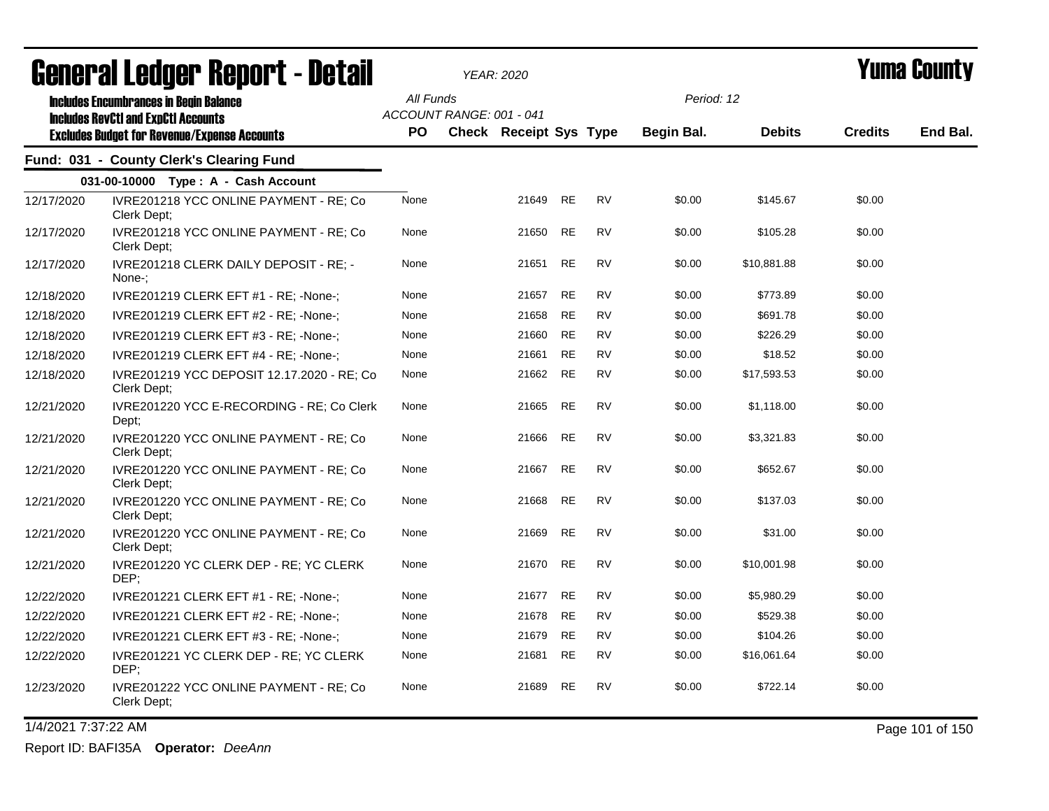|            | agual.gi fanñal. Vehal.f - Dafqil                                                                                                                  |                  |                          | YEAR: 2020                    |           |           |                          |               |                | I UIIIA VUUIILY |
|------------|----------------------------------------------------------------------------------------------------------------------------------------------------|------------------|--------------------------|-------------------------------|-----------|-----------|--------------------------|---------------|----------------|-----------------|
|            | <b>Includes Encumbrances in Begin Balance</b><br><b>Includes RevCtI and ExpCtI Accounts</b><br><b>Excludes Budget for Revenue/Expense Accounts</b> | All Funds<br>PO. | ACCOUNT RANGE: 001 - 041 | <b>Check Receipt Sys Type</b> |           |           | Period: 12<br>Begin Bal. | <b>Debits</b> | <b>Credits</b> | End Bal.        |
|            | Fund: 031 - County Clerk's Clearing Fund                                                                                                           |                  |                          |                               |           |           |                          |               |                |                 |
|            | 031-00-10000 Type: A - Cash Account                                                                                                                |                  |                          |                               |           |           |                          |               |                |                 |
| 12/17/2020 | IVRE201218 YCC ONLINE PAYMENT - RE; Co<br>Clerk Dept;                                                                                              | None             |                          | 21649                         | <b>RE</b> | <b>RV</b> | \$0.00                   | \$145.67      | \$0.00         |                 |
| 12/17/2020 | IVRE201218 YCC ONLINE PAYMENT - RE; Co<br>Clerk Dept:                                                                                              | None             |                          | 21650                         | RE        | <b>RV</b> | \$0.00                   | \$105.28      | \$0.00         |                 |
| 12/17/2020 | IVRE201218 CLERK DAILY DEPOSIT - RE; -<br>None-:                                                                                                   | None             |                          | 21651                         | <b>RE</b> | <b>RV</b> | \$0.00                   | \$10,881.88   | \$0.00         |                 |
| 12/18/2020 | IVRE201219 CLERK EFT #1 - RE; -None-;                                                                                                              | None             |                          | 21657                         | <b>RE</b> | <b>RV</b> | \$0.00                   | \$773.89      | \$0.00         |                 |
| 12/18/2020 | IVRE201219 CLERK EFT #2 - RE; -None-;                                                                                                              | None             |                          | 21658                         | RE        | <b>RV</b> | \$0.00                   | \$691.78      | \$0.00         |                 |
| 12/18/2020 | IVRE201219 CLERK EFT #3 - RE; -None-;                                                                                                              | None             |                          | 21660                         | RE        | <b>RV</b> | \$0.00                   | \$226.29      | \$0.00         |                 |
| 12/18/2020 | IVRE201219 CLERK EFT #4 - RE; -None-;                                                                                                              | None             |                          | 21661                         | RE        | <b>RV</b> | \$0.00                   | \$18.52       | \$0.00         |                 |
| 12/18/2020 | IVRE201219 YCC DEPOSIT 12.17.2020 - RE; Co<br>Clerk Dept:                                                                                          | None             |                          | 21662                         | <b>RE</b> | <b>RV</b> | \$0.00                   | \$17,593.53   | \$0.00         |                 |
| 12/21/2020 | IVRE201220 YCC E-RECORDING - RE; Co Clerk<br>Dept;                                                                                                 | None             |                          | 21665                         | RE        | RV        | \$0.00                   | \$1,118.00    | \$0.00         |                 |
| 12/21/2020 | IVRE201220 YCC ONLINE PAYMENT - RE; Co<br>Clerk Dept;                                                                                              | None             |                          | 21666                         | <b>RE</b> | <b>RV</b> | \$0.00                   | \$3,321.83    | \$0.00         |                 |
| 12/21/2020 | IVRE201220 YCC ONLINE PAYMENT - RE; Co<br>Clerk Dept:                                                                                              | None             |                          | 21667                         | <b>RE</b> | <b>RV</b> | \$0.00                   | \$652.67      | \$0.00         |                 |
| 12/21/2020 | IVRE201220 YCC ONLINE PAYMENT - RE; Co<br>Clerk Dept:                                                                                              | None             |                          | 21668                         | <b>RE</b> | <b>RV</b> | \$0.00                   | \$137.03      | \$0.00         |                 |
| 12/21/2020 | IVRE201220 YCC ONLINE PAYMENT - RE; Co<br>Clerk Dept;                                                                                              | None             |                          | 21669                         | <b>RE</b> | <b>RV</b> | \$0.00                   | \$31.00       | \$0.00         |                 |
| 12/21/2020 | IVRE201220 YC CLERK DEP - RE; YC CLERK<br>DEP:                                                                                                     | None             |                          | 21670                         | RE        | <b>RV</b> | \$0.00                   | \$10,001.98   | \$0.00         |                 |
| 12/22/2020 | IVRE201221 CLERK EFT #1 - RE; -None-;                                                                                                              | None             |                          | 21677                         | <b>RE</b> | <b>RV</b> | \$0.00                   | \$5,980.29    | \$0.00         |                 |
| 12/22/2020 | IVRE201221 CLERK EFT #2 - RE; -None-;                                                                                                              | None             |                          | 21678                         | RE        | <b>RV</b> | \$0.00                   | \$529.38      | \$0.00         |                 |
| 12/22/2020 | IVRE201221 CLERK EFT #3 - RE; -None-;                                                                                                              | None             |                          | 21679                         | RE        | <b>RV</b> | \$0.00                   | \$104.26      | \$0.00         |                 |
| 12/22/2020 | IVRE201221 YC CLERK DEP - RE; YC CLERK<br>DEP;                                                                                                     | None             |                          | 21681                         | RE        | <b>RV</b> | \$0.00                   | \$16,061.64   | \$0.00         |                 |
| 12/23/2020 | IVRE201222 YCC ONLINE PAYMENT - RE; Co<br>Clerk Dept;                                                                                              | None             |                          | 21689                         | <b>RE</b> | <b>RV</b> | \$0.00                   | \$722.14      | \$0.00         |                 |

1/4/2021 7:37:22 AM Page 101 of 150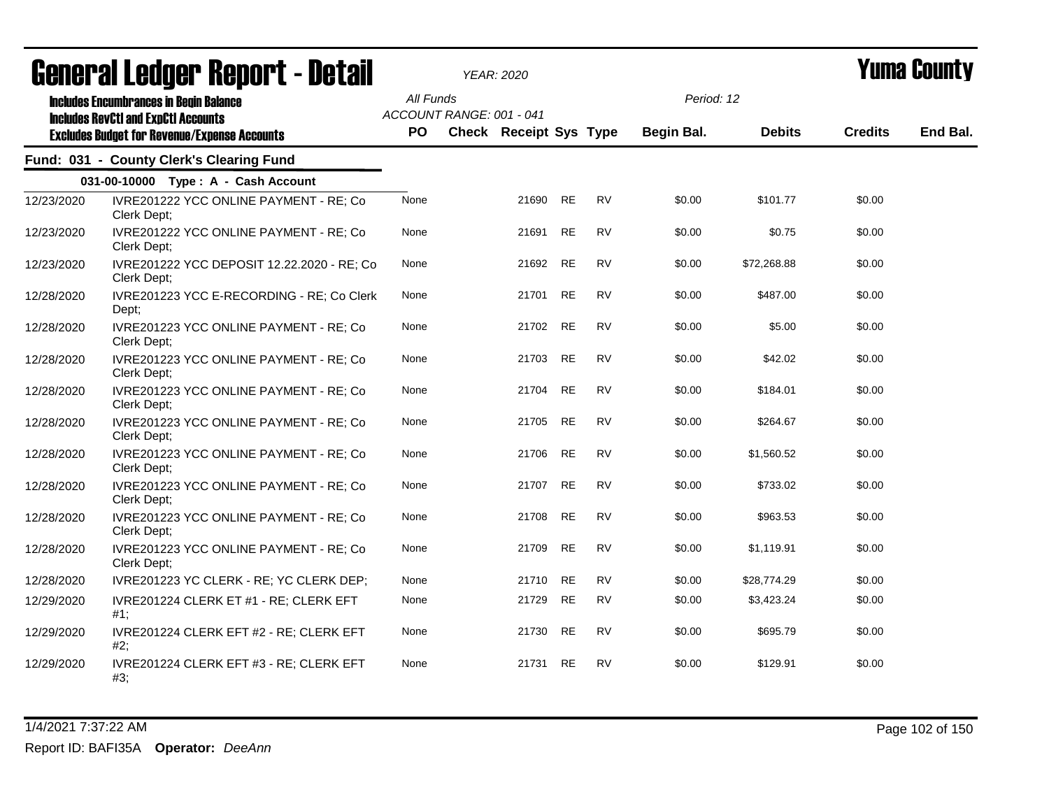|            | agiigi (gi fanàri, bahai, f - netsii                                                                                                               |                  | YEAR: 2020                                                |          |           |           |                          |               |                | I UIIIA VUUIILY |
|------------|----------------------------------------------------------------------------------------------------------------------------------------------------|------------------|-----------------------------------------------------------|----------|-----------|-----------|--------------------------|---------------|----------------|-----------------|
|            | <b>Includes Encumbrances in Begin Balance</b><br><b>Includes RevCtI and ExpCtI Accounts</b><br><b>Excludes Budget for Revenue/Expense Accounts</b> | All Funds<br>PO. | ACCOUNT RANGE: 001 - 041<br><b>Check Receipt Sys Type</b> |          |           |           | Period: 12<br>Begin Bal. | <b>Debits</b> | <b>Credits</b> | End Bal.        |
|            | Fund: 031 - County Clerk's Clearing Fund                                                                                                           |                  |                                                           |          |           |           |                          |               |                |                 |
|            | 031-00-10000 Type: A - Cash Account                                                                                                                |                  |                                                           |          |           |           |                          |               |                |                 |
| 12/23/2020 | IVRE201222 YCC ONLINE PAYMENT - RE; Co<br>Clerk Dept;                                                                                              | None             |                                                           | 21690    | <b>RE</b> | <b>RV</b> | \$0.00                   | \$101.77      | \$0.00         |                 |
| 12/23/2020 | IVRE201222 YCC ONLINE PAYMENT - RE; Co<br>Clerk Dept:                                                                                              | None             |                                                           | 21691    | <b>RE</b> | <b>RV</b> | \$0.00                   | \$0.75        | \$0.00         |                 |
| 12/23/2020 | IVRE201222 YCC DEPOSIT 12.22.2020 - RE; Co<br>Clerk Dept;                                                                                          | None             |                                                           | 21692 RE |           | <b>RV</b> | \$0.00                   | \$72,268.88   | \$0.00         |                 |
| 12/28/2020 | IVRE201223 YCC E-RECORDING - RE; Co Clerk<br>Dept;                                                                                                 | None             |                                                           | 21701    | <b>RE</b> | <b>RV</b> | \$0.00                   | \$487.00      | \$0.00         |                 |
| 12/28/2020 | IVRE201223 YCC ONLINE PAYMENT - RE; Co<br>Clerk Dept;                                                                                              | None             |                                                           | 21702    | <b>RE</b> | <b>RV</b> | \$0.00                   | \$5.00        | \$0.00         |                 |
| 12/28/2020 | IVRE201223 YCC ONLINE PAYMENT - RE; Co<br>Clerk Dept;                                                                                              | None             |                                                           | 21703    | <b>RE</b> | <b>RV</b> | \$0.00                   | \$42.02       | \$0.00         |                 |
| 12/28/2020 | IVRE201223 YCC ONLINE PAYMENT - RE; Co<br>Clerk Dept;                                                                                              | None             |                                                           | 21704    | <b>RE</b> | <b>RV</b> | \$0.00                   | \$184.01      | \$0.00         |                 |
| 12/28/2020 | IVRE201223 YCC ONLINE PAYMENT - RE; Co<br>Clerk Dept;                                                                                              | None             |                                                           | 21705    | <b>RE</b> | <b>RV</b> | \$0.00                   | \$264.67      | \$0.00         |                 |
| 12/28/2020 | IVRE201223 YCC ONLINE PAYMENT - RE; Co<br>Clerk Dept;                                                                                              | None             |                                                           | 21706    | <b>RE</b> | <b>RV</b> | \$0.00                   | \$1,560.52    | \$0.00         |                 |
| 12/28/2020 | IVRE201223 YCC ONLINE PAYMENT - RE; Co<br>Clerk Dept;                                                                                              | None             |                                                           | 21707    | <b>RE</b> | <b>RV</b> | \$0.00                   | \$733.02      | \$0.00         |                 |
| 12/28/2020 | IVRE201223 YCC ONLINE PAYMENT - RE; Co<br>Clerk Dept;                                                                                              | None             |                                                           | 21708    | <b>RE</b> | <b>RV</b> | \$0.00                   | \$963.53      | \$0.00         |                 |
| 12/28/2020 | IVRE201223 YCC ONLINE PAYMENT - RE; Co<br>Clerk Dept;                                                                                              | None             |                                                           | 21709    | <b>RE</b> | <b>RV</b> | \$0.00                   | \$1,119.91    | \$0.00         |                 |
| 12/28/2020 | IVRE201223 YC CLERK - RE; YC CLERK DEP;                                                                                                            | None             |                                                           | 21710    | <b>RE</b> | <b>RV</b> | \$0.00                   | \$28,774.29   | \$0.00         |                 |
| 12/29/2020 | IVRE201224 CLERK ET #1 - RE; CLERK EFT<br>$#1$ ;                                                                                                   | None             |                                                           | 21729    | RE        | <b>RV</b> | \$0.00                   | \$3,423.24    | \$0.00         |                 |
| 12/29/2020 | IVRE201224 CLERK EFT #2 - RE; CLERK EFT<br>#2;                                                                                                     | None             |                                                           | 21730    | <b>RE</b> | <b>RV</b> | \$0.00                   | \$695.79      | \$0.00         |                 |
| 12/29/2020 | IVRE201224 CLERK EFT #3 - RE; CLERK EFT<br>#3:                                                                                                     | None             |                                                           | 21731    | <b>RE</b> | <b>RV</b> | \$0.00                   | \$129.91      | \$0.00         |                 |

1/4/2021 7:37:22 AM Page 102 of 150 Report ID: BAFI35A **Operator:** *DeeAnn*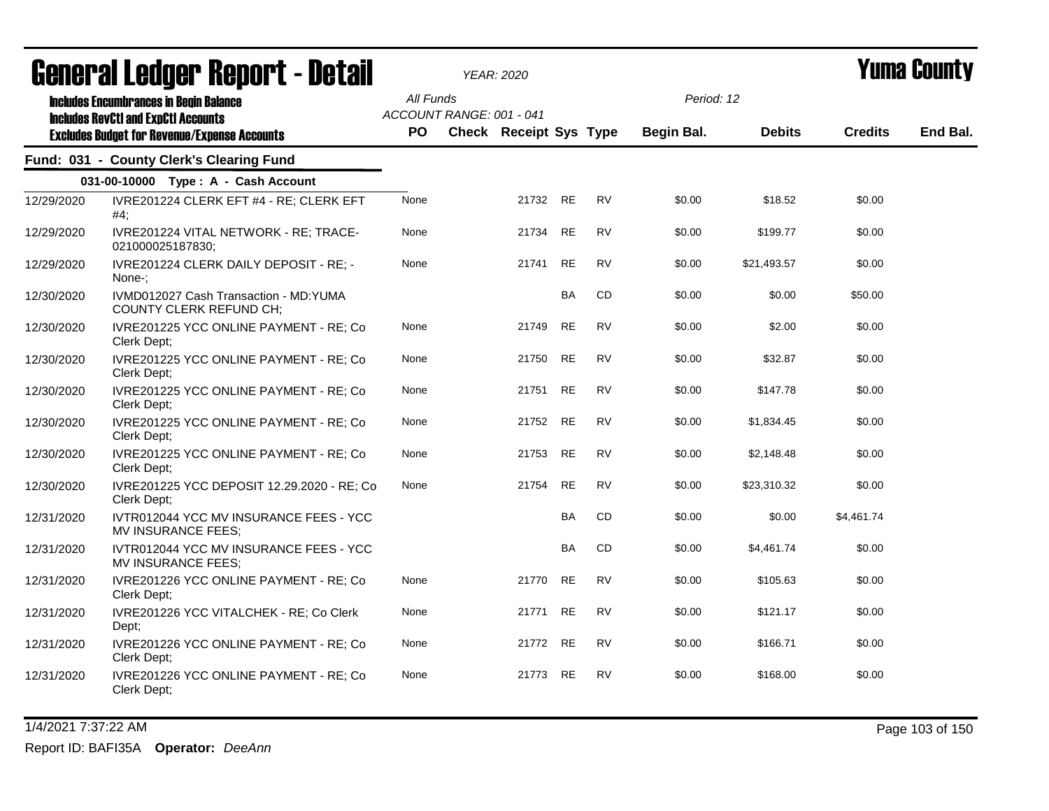|            | agligi ai fanñal. Ughni f - neful                                                           |           |                          | YEAR: 2020                    |           |           |            |               |                | I UIIIU VUUIILY |
|------------|---------------------------------------------------------------------------------------------|-----------|--------------------------|-------------------------------|-----------|-----------|------------|---------------|----------------|-----------------|
|            | <b>Includes Encumbrances in Begin Balance</b><br><b>Includes RevCtI and ExpCtI Accounts</b> | All Funds | ACCOUNT RANGE: 001 - 041 |                               |           |           | Period: 12 |               |                |                 |
|            | <b>Excludes Budget for Revenue/Expense Accounts</b>                                         | PO.       |                          | <b>Check Receipt Sys Type</b> |           |           | Begin Bal. | <b>Debits</b> | <b>Credits</b> | End Bal.        |
|            | Fund: 031 - County Clerk's Clearing Fund                                                    |           |                          |                               |           |           |            |               |                |                 |
|            | 031-00-10000 Type: A - Cash Account                                                         |           |                          |                               |           |           |            |               |                |                 |
| 12/29/2020 | IVRE201224 CLERK EFT #4 - RE; CLERK EFT<br>#4;                                              | None      |                          | 21732 RE                      |           | <b>RV</b> | \$0.00     | \$18.52       | \$0.00         |                 |
| 12/29/2020 | IVRE201224 VITAL NETWORK - RE; TRACE-<br>021000025187830;                                   | None      |                          | 21734                         | <b>RE</b> | <b>RV</b> | \$0.00     | \$199.77      | \$0.00         |                 |
| 12/29/2020 | IVRE201224 CLERK DAILY DEPOSIT - RE; -<br>None-:                                            | None      |                          | 21741                         | <b>RE</b> | <b>RV</b> | \$0.00     | \$21,493.57   | \$0.00         |                 |
| 12/30/2020 | IVMD012027 Cash Transaction - MD:YUMA<br>COUNTY CLERK REFUND CH;                            |           |                          |                               | <b>BA</b> | CD        | \$0.00     | \$0.00        | \$50.00        |                 |
| 12/30/2020 | IVRE201225 YCC ONLINE PAYMENT - RE; Co<br>Clerk Dept;                                       | None      |                          | 21749                         | <b>RE</b> | <b>RV</b> | \$0.00     | \$2.00        | \$0.00         |                 |
| 12/30/2020 | IVRE201225 YCC ONLINE PAYMENT - RE; Co<br>Clerk Dept:                                       | None      |                          | 21750                         | <b>RE</b> | <b>RV</b> | \$0.00     | \$32.87       | \$0.00         |                 |
| 12/30/2020 | IVRE201225 YCC ONLINE PAYMENT - RE; Co<br>Clerk Dept;                                       | None      |                          | 21751                         | <b>RE</b> | <b>RV</b> | \$0.00     | \$147.78      | \$0.00         |                 |
| 12/30/2020 | IVRE201225 YCC ONLINE PAYMENT - RE; Co<br>Clerk Dept;                                       | None      |                          | 21752                         | <b>RE</b> | <b>RV</b> | \$0.00     | \$1,834.45    | \$0.00         |                 |
| 12/30/2020 | IVRE201225 YCC ONLINE PAYMENT - RE; Co<br>Clerk Dept;                                       | None      |                          | 21753                         | <b>RE</b> | <b>RV</b> | \$0.00     | \$2,148.48    | \$0.00         |                 |
| 12/30/2020 | IVRE201225 YCC DEPOSIT 12.29.2020 - RE; Co<br>Clerk Dept;                                   | None      |                          | 21754                         | <b>RE</b> | <b>RV</b> | \$0.00     | \$23,310.32   | \$0.00         |                 |
| 12/31/2020 | IVTR012044 YCC MV INSURANCE FEES - YCC<br>MV INSURANCE FEES;                                |           |                          |                               | BA        | CD        | \$0.00     | \$0.00        | \$4,461.74     |                 |
| 12/31/2020 | IVTR012044 YCC MV INSURANCE FEES - YCC<br><b>MV INSURANCE FEES;</b>                         |           |                          |                               | <b>BA</b> | CD        | \$0.00     | \$4,461.74    | \$0.00         |                 |
| 12/31/2020 | IVRE201226 YCC ONLINE PAYMENT - RE; Co<br>Clerk Dept;                                       | None      |                          | 21770                         | <b>RE</b> | <b>RV</b> | \$0.00     | \$105.63      | \$0.00         |                 |
| 12/31/2020 | IVRE201226 YCC VITALCHEK - RE; Co Clerk<br>Dept;                                            | None      |                          | 21771                         | <b>RE</b> | <b>RV</b> | \$0.00     | \$121.17      | \$0.00         |                 |
| 12/31/2020 | IVRE201226 YCC ONLINE PAYMENT - RE; Co<br>Clerk Dept:                                       | None      |                          | 21772                         | <b>RE</b> | <b>RV</b> | \$0.00     | \$166.71      | \$0.00         |                 |
| 12/31/2020 | IVRE201226 YCC ONLINE PAYMENT - RE; Co<br>Clerk Dept:                                       | None      |                          | 21773                         | RE        | RV        | \$0.00     | \$168.00      | \$0.00         |                 |

1/4/2021 7:37:22 AM Page 103 of 150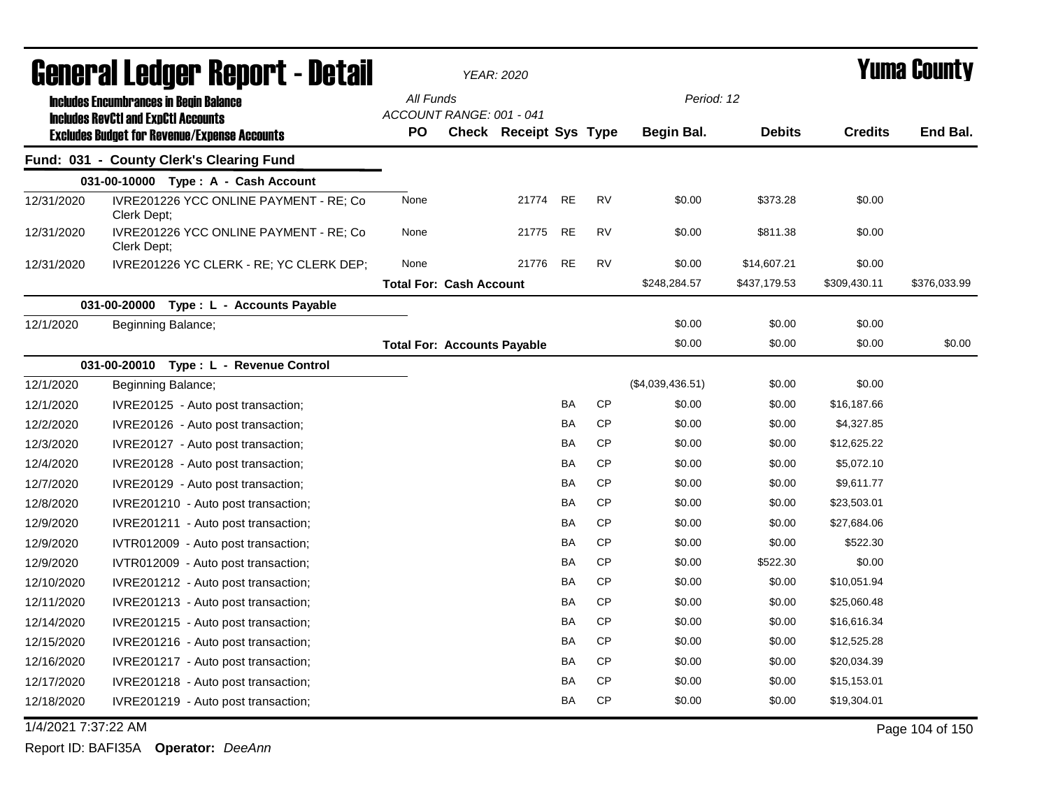|                     | General Ledger Report - Detail                                                                    |                                    | <b>YEAR: 2020</b>      |           |           |                  |               |                | <b>Yuma County</b> |
|---------------------|---------------------------------------------------------------------------------------------------|------------------------------------|------------------------|-----------|-----------|------------------|---------------|----------------|--------------------|
|                     | <b>Includes Encumbrances in Begin Balance</b>                                                     | All Funds                          |                        |           |           | Period: 12       |               |                |                    |
|                     | <b>Includes RevCtI and ExpCtI Accounts</b><br><b>Excludes Budget for Revenue/Expense Accounts</b> | ACCOUNT RANGE: 001 - 041<br>PO     | Check Receipt Sys Type |           |           | Begin Bal.       | <b>Debits</b> | <b>Credits</b> | End Bal.           |
|                     | Fund: 031 - County Clerk's Clearing Fund                                                          |                                    |                        |           |           |                  |               |                |                    |
|                     | 031-00-10000 Type: A - Cash Account                                                               |                                    |                        |           |           |                  |               |                |                    |
| 12/31/2020          | IVRE201226 YCC ONLINE PAYMENT - RE; Co<br>Clerk Dept;                                             | None                               | 21774                  | <b>RE</b> | <b>RV</b> | \$0.00           | \$373.28      | \$0.00         |                    |
| 12/31/2020          | IVRE201226 YCC ONLINE PAYMENT - RE; Co<br>Clerk Dept;                                             | None                               | 21775                  | <b>RE</b> | <b>RV</b> | \$0.00           | \$811.38      | \$0.00         |                    |
| 12/31/2020          | IVRE201226 YC CLERK - RE; YC CLERK DEP;                                                           | None                               | 21776                  | <b>RE</b> | <b>RV</b> | \$0.00           | \$14,607.21   | \$0.00         |                    |
|                     |                                                                                                   | <b>Total For: Cash Account</b>     |                        |           |           | \$248,284.57     | \$437,179.53  | \$309,430.11   | \$376,033.99       |
|                     | 031-00-20000<br>Type : L - Accounts Payable                                                       |                                    |                        |           |           |                  |               |                |                    |
| 12/1/2020           | Beginning Balance;                                                                                |                                    |                        |           |           | \$0.00           | \$0.00        | \$0.00         |                    |
|                     |                                                                                                   | <b>Total For: Accounts Payable</b> |                        |           |           | \$0.00           | \$0.00        | \$0.00         | \$0.00             |
|                     | 031-00-20010<br>Type: L - Revenue Control                                                         |                                    |                        |           |           |                  |               |                |                    |
| 12/1/2020           | Beginning Balance;                                                                                |                                    |                        |           |           | (\$4,039,436.51) | \$0.00        | \$0.00         |                    |
| 12/1/2020           | IVRE20125 - Auto post transaction;                                                                |                                    |                        | BA        | <b>CP</b> | \$0.00           | \$0.00        | \$16,187.66    |                    |
| 12/2/2020           | IVRE20126 - Auto post transaction;                                                                |                                    |                        | BA        | <b>CP</b> | \$0.00           | \$0.00        | \$4,327.85     |                    |
| 12/3/2020           | IVRE20127 - Auto post transaction;                                                                |                                    |                        | BA        | <b>CP</b> | \$0.00           | \$0.00        | \$12,625.22    |                    |
| 12/4/2020           | IVRE20128 - Auto post transaction;                                                                |                                    |                        | BA        | <b>CP</b> | \$0.00           | \$0.00        | \$5,072.10     |                    |
| 12/7/2020           | IVRE20129 - Auto post transaction;                                                                |                                    |                        | BA        | <b>CP</b> | \$0.00           | \$0.00        | \$9,611.77     |                    |
| 12/8/2020           | IVRE201210 - Auto post transaction;                                                               |                                    |                        | <b>BA</b> | <b>CP</b> | \$0.00           | \$0.00        | \$23,503.01    |                    |
| 12/9/2020           | IVRE201211 - Auto post transaction;                                                               |                                    |                        | BA        | <b>CP</b> | \$0.00           | \$0.00        | \$27,684.06    |                    |
| 12/9/2020           | IVTR012009 - Auto post transaction;                                                               |                                    |                        | BA        | <b>CP</b> | \$0.00           | \$0.00        | \$522.30       |                    |
| 12/9/2020           | IVTR012009 - Auto post transaction;                                                               |                                    |                        | BA        | <b>CP</b> | \$0.00           | \$522.30      | \$0.00         |                    |
| 12/10/2020          | IVRE201212 - Auto post transaction;                                                               |                                    |                        | BA        | <b>CP</b> | \$0.00           | \$0.00        | \$10,051.94    |                    |
| 12/11/2020          | IVRE201213 - Auto post transaction;                                                               |                                    |                        | BA        | <b>CP</b> | \$0.00           | \$0.00        | \$25,060.48    |                    |
| 12/14/2020          | IVRE201215 - Auto post transaction;                                                               |                                    |                        | <b>BA</b> | <b>CP</b> | \$0.00           | \$0.00        | \$16,616.34    |                    |
| 12/15/2020          | IVRE201216 - Auto post transaction;                                                               |                                    |                        | BA        | <b>CP</b> | \$0.00           | \$0.00        | \$12,525.28    |                    |
| 12/16/2020          | IVRE201217 - Auto post transaction;                                                               |                                    |                        | BA        | <b>CP</b> | \$0.00           | \$0.00        | \$20,034.39    |                    |
| 12/17/2020          | IVRE201218 - Auto post transaction;                                                               |                                    |                        | BA        | CP        | \$0.00           | \$0.00        | \$15,153.01    |                    |
| 12/18/2020          | IVRE201219 - Auto post transaction;                                                               |                                    |                        | BA        | CP        | \$0.00           | \$0.00        | \$19,304.01    |                    |
| 1/4/2021 7:37:22 AM |                                                                                                   |                                    |                        |           |           |                  |               |                | Page 104 of 150    |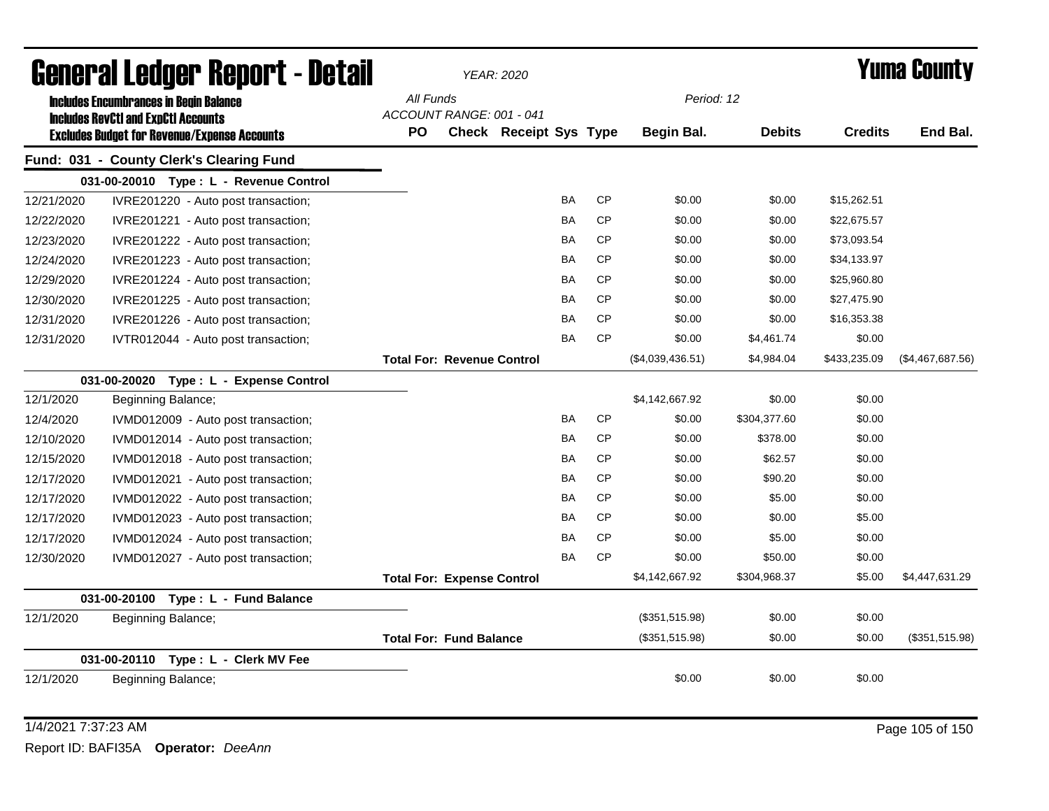|            | <b>General Ledger Report - Detail</b>                                                       |           |                                   | <b>YEAR: 2020</b>      |           |           |                  |               |                | Yuma County      |
|------------|---------------------------------------------------------------------------------------------|-----------|-----------------------------------|------------------------|-----------|-----------|------------------|---------------|----------------|------------------|
|            | <b>Includes Encumbrances in Begin Balance</b><br><b>Includes RevCtI and ExpCtI Accounts</b> | All Funds | ACCOUNT RANGE: 001 - 041          |                        |           |           | Period: 12       |               |                |                  |
|            | <b>Excludes Budget for Revenue/Expense Accounts</b>                                         | PO.       |                                   | Check Receipt Sys Type |           |           | Begin Bal.       | <b>Debits</b> | <b>Credits</b> | End Bal.         |
|            | Fund: 031 - County Clerk's Clearing Fund                                                    |           |                                   |                        |           |           |                  |               |                |                  |
|            | 031-00-20010 Type: L - Revenue Control                                                      |           |                                   |                        |           |           |                  |               |                |                  |
| 12/21/2020 | IVRE201220 - Auto post transaction;                                                         |           |                                   |                        | <b>BA</b> | <b>CP</b> | \$0.00           | \$0.00        | \$15,262.51    |                  |
| 12/22/2020 | IVRE201221 - Auto post transaction;                                                         |           |                                   |                        | <b>BA</b> | <b>CP</b> | \$0.00           | \$0.00        | \$22,675.57    |                  |
| 12/23/2020 | IVRE201222 - Auto post transaction;                                                         |           |                                   |                        | <b>BA</b> | <b>CP</b> | \$0.00           | \$0.00        | \$73,093.54    |                  |
| 12/24/2020 | IVRE201223 - Auto post transaction;                                                         |           |                                   |                        | BA        | <b>CP</b> | \$0.00           | \$0.00        | \$34,133.97    |                  |
| 12/29/2020 | IVRE201224 - Auto post transaction;                                                         |           |                                   |                        | BA        | <b>CP</b> | \$0.00           | \$0.00        | \$25,960.80    |                  |
| 12/30/2020 | IVRE201225 - Auto post transaction;                                                         |           |                                   |                        | BA        | <b>CP</b> | \$0.00           | \$0.00        | \$27,475.90    |                  |
| 12/31/2020 | IVRE201226 - Auto post transaction;                                                         |           |                                   |                        | <b>BA</b> | <b>CP</b> | \$0.00           | \$0.00        | \$16,353.38    |                  |
| 12/31/2020 | IVTR012044 - Auto post transaction;                                                         |           |                                   |                        | <b>BA</b> | <b>CP</b> | \$0.00           | \$4,461.74    | \$0.00         |                  |
|            |                                                                                             |           | <b>Total For: Revenue Control</b> |                        |           |           | (\$4,039,436.51) | \$4,984.04    | \$433,235.09   | (\$4,467,687.56) |
|            | 031-00-20020 Type: L - Expense Control                                                      |           |                                   |                        |           |           |                  |               |                |                  |
| 12/1/2020  | Beginning Balance;                                                                          |           |                                   |                        |           |           | \$4,142,667.92   | \$0.00        | \$0.00         |                  |
| 12/4/2020  | IVMD012009 - Auto post transaction;                                                         |           |                                   |                        | BA        | <b>CP</b> | \$0.00           | \$304,377.60  | \$0.00         |                  |
| 12/10/2020 | IVMD012014 - Auto post transaction;                                                         |           |                                   |                        | BA        | <b>CP</b> | \$0.00           | \$378.00      | \$0.00         |                  |
| 12/15/2020 | IVMD012018 - Auto post transaction;                                                         |           |                                   |                        | <b>BA</b> | <b>CP</b> | \$0.00           | \$62.57       | \$0.00         |                  |
| 12/17/2020 | IVMD012021 - Auto post transaction;                                                         |           |                                   |                        | BA        | <b>CP</b> | \$0.00           | \$90.20       | \$0.00         |                  |
| 12/17/2020 | IVMD012022 - Auto post transaction;                                                         |           |                                   |                        | <b>BA</b> | <b>CP</b> | \$0.00           | \$5.00        | \$0.00         |                  |
| 12/17/2020 | IVMD012023 - Auto post transaction;                                                         |           |                                   |                        | <b>BA</b> | <b>CP</b> | \$0.00           | \$0.00        | \$5.00         |                  |
| 12/17/2020 | IVMD012024 - Auto post transaction;                                                         |           |                                   |                        | <b>BA</b> | <b>CP</b> | \$0.00           | \$5.00        | \$0.00         |                  |
| 12/30/2020 | IVMD012027 - Auto post transaction;                                                         |           |                                   |                        | <b>BA</b> | <b>CP</b> | \$0.00           | \$50.00       | \$0.00         |                  |
|            |                                                                                             |           | <b>Total For: Expense Control</b> |                        |           |           | \$4,142,667.92   | \$304,968.37  | \$5.00         | \$4,447,631.29   |
|            | 031-00-20100 Type: L - Fund Balance                                                         |           |                                   |                        |           |           |                  |               |                |                  |
| 12/1/2020  | Beginning Balance;                                                                          |           |                                   |                        |           |           | (\$351,515.98)   | \$0.00        | \$0.00         |                  |
|            |                                                                                             |           | <b>Total For: Fund Balance</b>    |                        |           |           | (\$351,515.98)   | \$0.00        | \$0.00         | (\$351,515.98)   |
|            | 031-00-20110 Type: L - Clerk MV Fee                                                         |           |                                   |                        |           |           |                  |               |                |                  |
| 12/1/2020  | Beginning Balance;                                                                          |           |                                   |                        |           |           | \$0.00           | \$0.00        | \$0.00         |                  |
|            |                                                                                             |           |                                   |                        |           |           |                  |               |                |                  |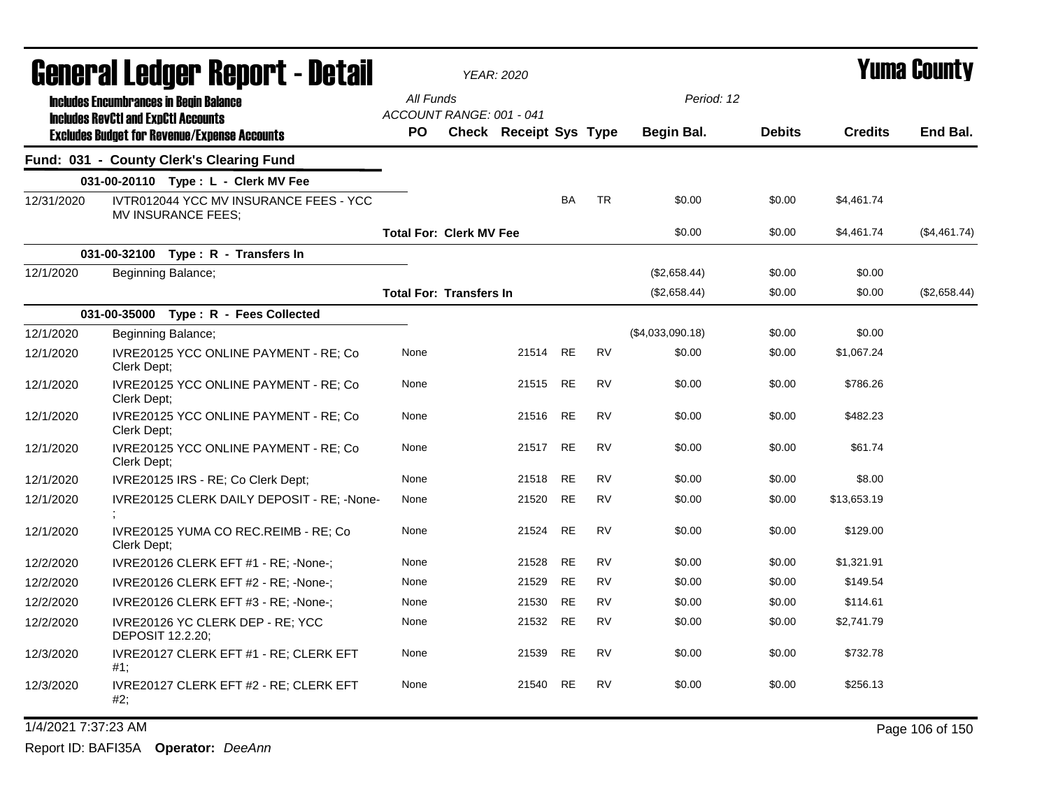|            |                         | General Ledger Report - Detail                                                                    |                                       | <b>YEAR: 2020</b>             |           |           |                  |               |                | <b>Yuma County</b> |
|------------|-------------------------|---------------------------------------------------------------------------------------------------|---------------------------------------|-------------------------------|-----------|-----------|------------------|---------------|----------------|--------------------|
|            |                         | <b>Includes Encumbrances in Begin Balance</b>                                                     | All Funds<br>ACCOUNT RANGE: 001 - 041 |                               |           |           | Period: 12       |               |                |                    |
|            |                         | <b>Includes RevCtI and ExpCtI Accounts</b><br><b>Excludes Budget for Revenue/Expense Accounts</b> | <b>PO</b>                             | <b>Check Receipt Sys Type</b> |           |           | Begin Bal.       | <b>Debits</b> | <b>Credits</b> | End Bal.           |
|            |                         | Fund: 031 - County Clerk's Clearing Fund                                                          |                                       |                               |           |           |                  |               |                |                    |
|            |                         | 031-00-20110 Type: L - Clerk MV Fee                                                               |                                       |                               |           |           |                  |               |                |                    |
| 12/31/2020 |                         | IVTR012044 YCC MV INSURANCE FEES - YCC<br>MV INSURANCE FEES;                                      |                                       |                               | <b>BA</b> | <b>TR</b> | \$0.00           | \$0.00        | \$4,461.74     |                    |
|            |                         |                                                                                                   | <b>Total For: Clerk MV Fee</b>        |                               |           |           | \$0.00           | \$0.00        | \$4,461.74     | (\$4,461.74)       |
|            |                         | 031-00-32100 Type: R - Transfers In                                                               |                                       |                               |           |           |                  |               |                |                    |
| 12/1/2020  |                         | Beginning Balance;                                                                                |                                       |                               |           |           | (\$2,658.44)     | \$0.00        | \$0.00         |                    |
|            |                         |                                                                                                   | <b>Total For: Transfers In</b>        |                               |           |           | (\$2,658.44)     | \$0.00        | \$0.00         | (\$2,658.44)       |
|            |                         | 031-00-35000 Type: R - Fees Collected                                                             |                                       |                               |           |           |                  |               |                |                    |
| 12/1/2020  |                         | Beginning Balance;                                                                                |                                       |                               |           |           | (\$4,033,090.18) | \$0.00        | \$0.00         |                    |
| 12/1/2020  | Clerk Dept;             | IVRE20125 YCC ONLINE PAYMENT - RE; Co                                                             | None                                  | 21514                         | <b>RE</b> | <b>RV</b> | \$0.00           | \$0.00        | \$1,067.24     |                    |
| 12/1/2020  | Clerk Dept;             | IVRE20125 YCC ONLINE PAYMENT - RE; Co                                                             | None                                  | 21515 RE                      |           | <b>RV</b> | \$0.00           | \$0.00        | \$786.26       |                    |
| 12/1/2020  | Clerk Dept;             | IVRE20125 YCC ONLINE PAYMENT - RE; Co                                                             | None                                  | 21516                         | RE        | <b>RV</b> | \$0.00           | \$0.00        | \$482.23       |                    |
| 12/1/2020  | Clerk Dept:             | IVRE20125 YCC ONLINE PAYMENT - RE; Co                                                             | None                                  | 21517                         | <b>RE</b> | <b>RV</b> | \$0.00           | \$0.00        | \$61.74        |                    |
| 12/1/2020  |                         | IVRE20125 IRS - RE; Co Clerk Dept;                                                                | None                                  | 21518                         | <b>RE</b> | <b>RV</b> | \$0.00           | \$0.00        | \$8.00         |                    |
| 12/1/2020  |                         | IVRE20125 CLERK DAILY DEPOSIT - RE; -None-                                                        | None                                  | 21520                         | RE        | <b>RV</b> | \$0.00           | \$0.00        | \$13,653.19    |                    |
| 12/1/2020  | Clerk Dept:             | IVRE20125 YUMA CO REC.REIMB - RE; Co                                                              | None                                  | 21524                         | <b>RE</b> | <b>RV</b> | \$0.00           | \$0.00        | \$129.00       |                    |
| 12/2/2020  |                         | IVRE20126 CLERK EFT #1 - RE; -None-;                                                              | None                                  | 21528                         | <b>RE</b> | <b>RV</b> | \$0.00           | \$0.00        | \$1,321.91     |                    |
| 12/2/2020  |                         | IVRE20126 CLERK EFT #2 - RE; -None-;                                                              | None                                  | 21529                         | RE        | <b>RV</b> | \$0.00           | \$0.00        | \$149.54       |                    |
| 12/2/2020  |                         | IVRE20126 CLERK EFT #3 - RE; -None-;                                                              | None                                  | 21530                         | RE        | <b>RV</b> | \$0.00           | \$0.00        | \$114.61       |                    |
| 12/2/2020  | <b>DEPOSIT 12.2.20:</b> | IVRE20126 YC CLERK DEP - RE; YCC                                                                  | None                                  | 21532 RE                      |           | <b>RV</b> | \$0.00           | \$0.00        | \$2,741.79     |                    |
| 12/3/2020  | #1;                     | IVRE20127 CLERK EFT #1 - RE; CLERK EFT                                                            | None                                  | 21539                         | RE        | <b>RV</b> | \$0.00           | \$0.00        | \$732.78       |                    |
| 12/3/2020  | #2;                     | IVRE20127 CLERK EFT #2 - RE; CLERK EFT                                                            | None                                  | 21540                         | <b>RE</b> | <b>RV</b> | \$0.00           | \$0.00        | \$256.13       |                    |

1/4/2021 7:37:23 AM Page 106 of 150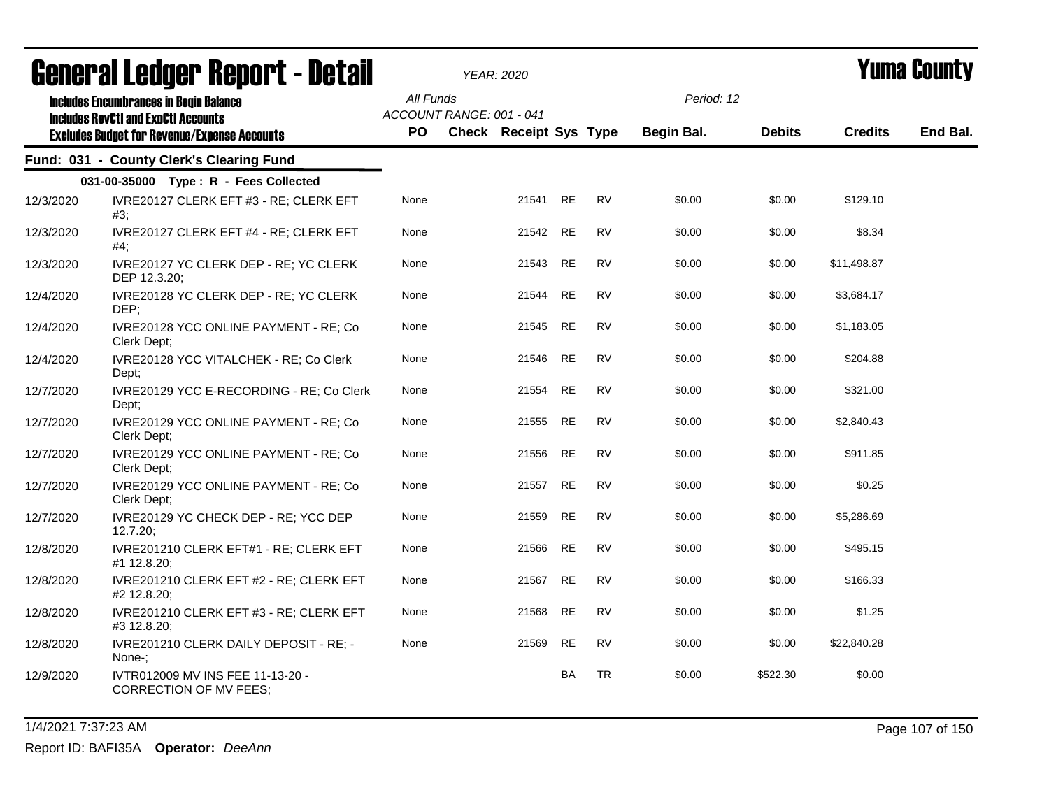|           | agiigi (gi fanàri, bahai, f - nefail                                                                                                               |                  | <i>YEAR: 2020</i>        |                        |           |           |                          |               |                | i unia vvunty |
|-----------|----------------------------------------------------------------------------------------------------------------------------------------------------|------------------|--------------------------|------------------------|-----------|-----------|--------------------------|---------------|----------------|---------------|
|           | <b>Includes Encumbrances in Begin Balance</b><br><b>Includes RevCtI and ExpCtI Accounts</b><br><b>Excludes Budget for Revenue/Expense Accounts</b> | All Funds<br>PO. | ACCOUNT RANGE: 001 - 041 | Check Receipt Sys Type |           |           | Period: 12<br>Begin Bal. | <b>Debits</b> | <b>Credits</b> | End Bal.      |
|           |                                                                                                                                                    |                  |                          |                        |           |           |                          |               |                |               |
|           | Fund: 031 - County Clerk's Clearing Fund                                                                                                           |                  |                          |                        |           |           |                          |               |                |               |
|           | 031-00-35000 Type: R - Fees Collected                                                                                                              |                  |                          |                        |           |           |                          |               |                |               |
| 12/3/2020 | IVRE20127 CLERK EFT #3 - RE; CLERK EFT<br>#3;                                                                                                      | None             |                          | 21541 RE               |           | <b>RV</b> | \$0.00                   | \$0.00        | \$129.10       |               |
| 12/3/2020 | IVRE20127 CLERK EFT #4 - RE; CLERK EFT<br>#4;                                                                                                      | None             |                          | 21542                  | <b>RE</b> | <b>RV</b> | \$0.00                   | \$0.00        | \$8.34         |               |
| 12/3/2020 | IVRE20127 YC CLERK DEP - RE; YC CLERK<br>DEP 12.3.20;                                                                                              | None             |                          | 21543                  | <b>RE</b> | <b>RV</b> | \$0.00                   | \$0.00        | \$11,498.87    |               |
| 12/4/2020 | IVRE20128 YC CLERK DEP - RE; YC CLERK<br>DEP;                                                                                                      | None             |                          | 21544                  | <b>RE</b> | <b>RV</b> | \$0.00                   | \$0.00        | \$3,684.17     |               |
| 12/4/2020 | IVRE20128 YCC ONLINE PAYMENT - RE; Co<br>Clerk Dept;                                                                                               | None             |                          | 21545                  | <b>RE</b> | <b>RV</b> | \$0.00                   | \$0.00        | \$1,183.05     |               |
| 12/4/2020 | IVRE20128 YCC VITALCHEK - RE; Co Clerk<br>Dept;                                                                                                    | None             |                          | 21546                  | RE        | RV        | \$0.00                   | \$0.00        | \$204.88       |               |
| 12/7/2020 | IVRE20129 YCC E-RECORDING - RE; Co Clerk<br>Dept;                                                                                                  | None             |                          | 21554                  | <b>RE</b> | <b>RV</b> | \$0.00                   | \$0.00        | \$321.00       |               |
| 12/7/2020 | IVRE20129 YCC ONLINE PAYMENT - RE; Co<br>Clerk Dept;                                                                                               | None             |                          | 21555                  | RE        | <b>RV</b> | \$0.00                   | \$0.00        | \$2,840.43     |               |
| 12/7/2020 | IVRE20129 YCC ONLINE PAYMENT - RE; Co<br>Clerk Dept:                                                                                               | None             |                          | 21556                  | RE        | RV        | \$0.00                   | \$0.00        | \$911.85       |               |
| 12/7/2020 | IVRE20129 YCC ONLINE PAYMENT - RE; Co<br>Clerk Dept;                                                                                               | None             |                          | 21557                  | <b>RE</b> | <b>RV</b> | \$0.00                   | \$0.00        | \$0.25         |               |
| 12/7/2020 | IVRE20129 YC CHECK DEP - RE; YCC DEP<br>12.7.20:                                                                                                   | None             |                          | 21559                  | <b>RE</b> | <b>RV</b> | \$0.00                   | \$0.00        | \$5,286.69     |               |
| 12/8/2020 | IVRE201210 CLERK EFT#1 - RE; CLERK EFT<br>#1 12.8.20;                                                                                              | None             |                          | 21566                  | <b>RE</b> | <b>RV</b> | \$0.00                   | \$0.00        | \$495.15       |               |
| 12/8/2020 | IVRE201210 CLERK EFT #2 - RE; CLERK EFT<br>#2 12.8.20;                                                                                             | None             |                          | 21567                  | <b>RE</b> | <b>RV</b> | \$0.00                   | \$0.00        | \$166.33       |               |
| 12/8/2020 | IVRE201210 CLERK EFT #3 - RE; CLERK EFT<br>#3 12.8.20;                                                                                             | None             |                          | 21568                  | <b>RE</b> | <b>RV</b> | \$0.00                   | \$0.00        | \$1.25         |               |
| 12/8/2020 | IVRE201210 CLERK DAILY DEPOSIT - RE; -<br>None-;                                                                                                   | None             |                          | 21569                  | <b>RE</b> | <b>RV</b> | \$0.00                   | \$0.00        | \$22,840.28    |               |
| 12/9/2020 | IVTR012009 MV INS FEE 11-13-20 -<br>CORRECTION OF MV FEES;                                                                                         |                  |                          |                        | <b>BA</b> | <b>TR</b> | \$0.00                   | \$522.30      | \$0.00         |               |
|           |                                                                                                                                                    |                  |                          |                        |           |           |                          |               |                |               |

1/4/2021 7:37:23 AM Page 107 of 150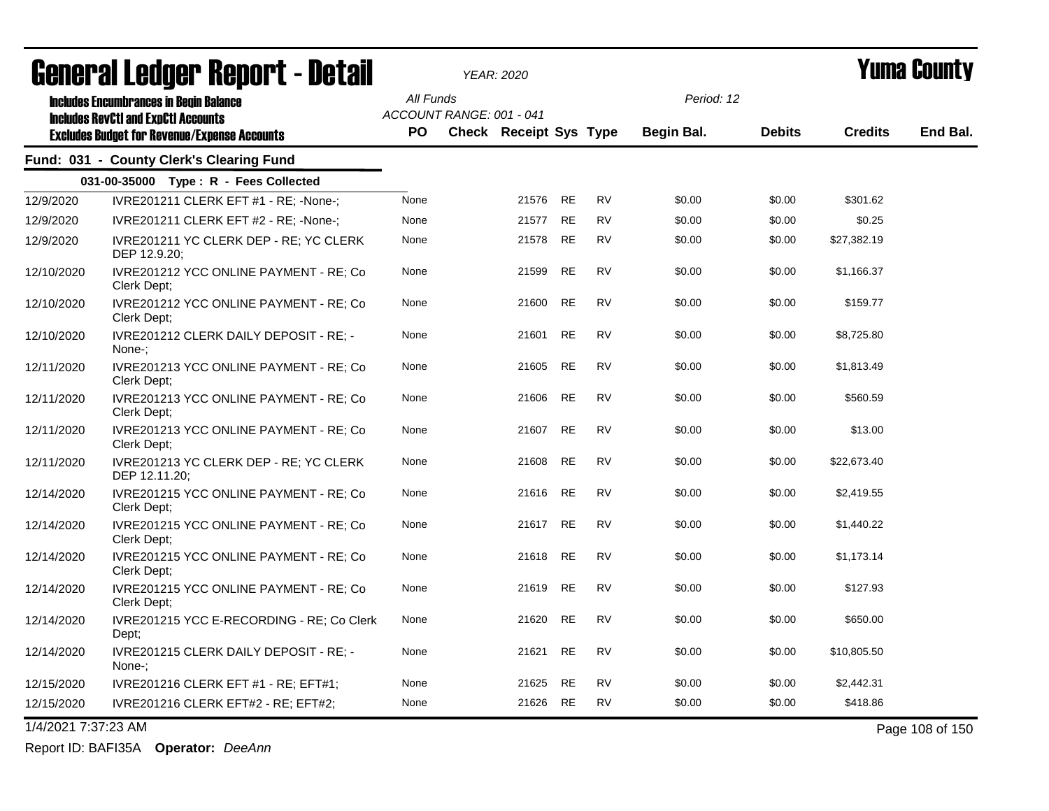|                     | agual.gi fanñal. Urinn. ( - nafsii                                                                |           |                          | YEAR: 2020             |           |           |            |               |                | I UIIIA VUUIILY |
|---------------------|---------------------------------------------------------------------------------------------------|-----------|--------------------------|------------------------|-----------|-----------|------------|---------------|----------------|-----------------|
|                     | <b>Includes Encumbrances in Begin Balance</b>                                                     | All Funds | ACCOUNT RANGE: 001 - 041 |                        |           |           | Period: 12 |               |                |                 |
|                     | <b>Includes RevCtI and ExpCtI Accounts</b><br><b>Excludes Budget for Revenue/Expense Accounts</b> | PO.       |                          | Check Receipt Sys Type |           |           | Begin Bal. | <b>Debits</b> | <b>Credits</b> | End Bal.        |
|                     | Fund: 031 - County Clerk's Clearing Fund                                                          |           |                          |                        |           |           |            |               |                |                 |
|                     | 031-00-35000 Type: R - Fees Collected                                                             |           |                          |                        |           |           |            |               |                |                 |
| 12/9/2020           | IVRE201211 CLERK EFT #1 - RE; -None-;                                                             | None      |                          | 21576                  | RE        | <b>RV</b> | \$0.00     | \$0.00        | \$301.62       |                 |
| 12/9/2020           | IVRE201211 CLERK EFT #2 - RE; -None-;                                                             | None      |                          | 21577                  | <b>RE</b> | <b>RV</b> | \$0.00     | \$0.00        | \$0.25         |                 |
| 12/9/2020           | IVRE201211 YC CLERK DEP - RE; YC CLERK<br>DEP 12.9.20;                                            | None      |                          | 21578                  | RE        | <b>RV</b> | \$0.00     | \$0.00        | \$27,382.19    |                 |
| 12/10/2020          | IVRE201212 YCC ONLINE PAYMENT - RE; Co<br>Clerk Dept;                                             | None      |                          | 21599                  | <b>RE</b> | <b>RV</b> | \$0.00     | \$0.00        | \$1,166.37     |                 |
| 12/10/2020          | IVRE201212 YCC ONLINE PAYMENT - RE; Co<br>Clerk Dept;                                             | None      |                          | 21600                  | <b>RE</b> | <b>RV</b> | \$0.00     | \$0.00        | \$159.77       |                 |
| 12/10/2020          | IVRE201212 CLERK DAILY DEPOSIT - RE; -<br>None-:                                                  | None      |                          | 21601                  | <b>RE</b> | <b>RV</b> | \$0.00     | \$0.00        | \$8,725.80     |                 |
| 12/11/2020          | IVRE201213 YCC ONLINE PAYMENT - RE; Co<br>Clerk Dept;                                             | None      |                          | 21605 RE               |           | <b>RV</b> | \$0.00     | \$0.00        | \$1,813.49     |                 |
| 12/11/2020          | IVRE201213 YCC ONLINE PAYMENT - RE; Co<br>Clerk Dept;                                             | None      |                          | 21606                  | <b>RE</b> | <b>RV</b> | \$0.00     | \$0.00        | \$560.59       |                 |
| 12/11/2020          | IVRE201213 YCC ONLINE PAYMENT - RE; Co<br>Clerk Dept;                                             | None      |                          | 21607 RE               |           | <b>RV</b> | \$0.00     | \$0.00        | \$13.00        |                 |
| 12/11/2020          | IVRE201213 YC CLERK DEP - RE; YC CLERK<br>DEP 12.11.20;                                           | None      |                          | 21608                  | <b>RE</b> | <b>RV</b> | \$0.00     | \$0.00        | \$22,673.40    |                 |
| 12/14/2020          | IVRE201215 YCC ONLINE PAYMENT - RE; Co<br>Clerk Dept:                                             | None      |                          | 21616 RE               |           | <b>RV</b> | \$0.00     | \$0.00        | \$2,419.55     |                 |
| 12/14/2020          | IVRE201215 YCC ONLINE PAYMENT - RE; Co<br>Clerk Dept;                                             | None      |                          | 21617 RE               |           | <b>RV</b> | \$0.00     | \$0.00        | \$1,440.22     |                 |
| 12/14/2020          | IVRE201215 YCC ONLINE PAYMENT - RE; Co<br>Clerk Dept;                                             | None      |                          | 21618                  | RE        | <b>RV</b> | \$0.00     | \$0.00        | \$1,173.14     |                 |
| 12/14/2020          | IVRE201215 YCC ONLINE PAYMENT - RE; Co<br>Clerk Dept;                                             | None      |                          | 21619                  | <b>RE</b> | <b>RV</b> | \$0.00     | \$0.00        | \$127.93       |                 |
| 12/14/2020          | IVRE201215 YCC E-RECORDING - RE; Co Clerk<br>Dept;                                                | None      |                          | 21620                  | <b>RE</b> | <b>RV</b> | \$0.00     | \$0.00        | \$650.00       |                 |
| 12/14/2020          | IVRE201215 CLERK DAILY DEPOSIT - RE; -<br>None-:                                                  | None      |                          | 21621                  | <b>RE</b> | <b>RV</b> | \$0.00     | \$0.00        | \$10,805.50    |                 |
| 12/15/2020          | IVRE201216 CLERK EFT #1 - RE; EFT#1;                                                              | None      |                          | 21625                  | <b>RE</b> | <b>RV</b> | \$0.00     | \$0.00        | \$2,442.31     |                 |
| 12/15/2020          | IVRE201216 CLERK EFT#2 - RE; EFT#2;                                                               | None      |                          | 21626                  | RE        | <b>RV</b> | \$0.00     | \$0.00        | \$418.86       |                 |
| 1/4/2021 7:37:23 AM |                                                                                                   |           |                          |                        |           |           |            |               |                | Page 108 of 150 |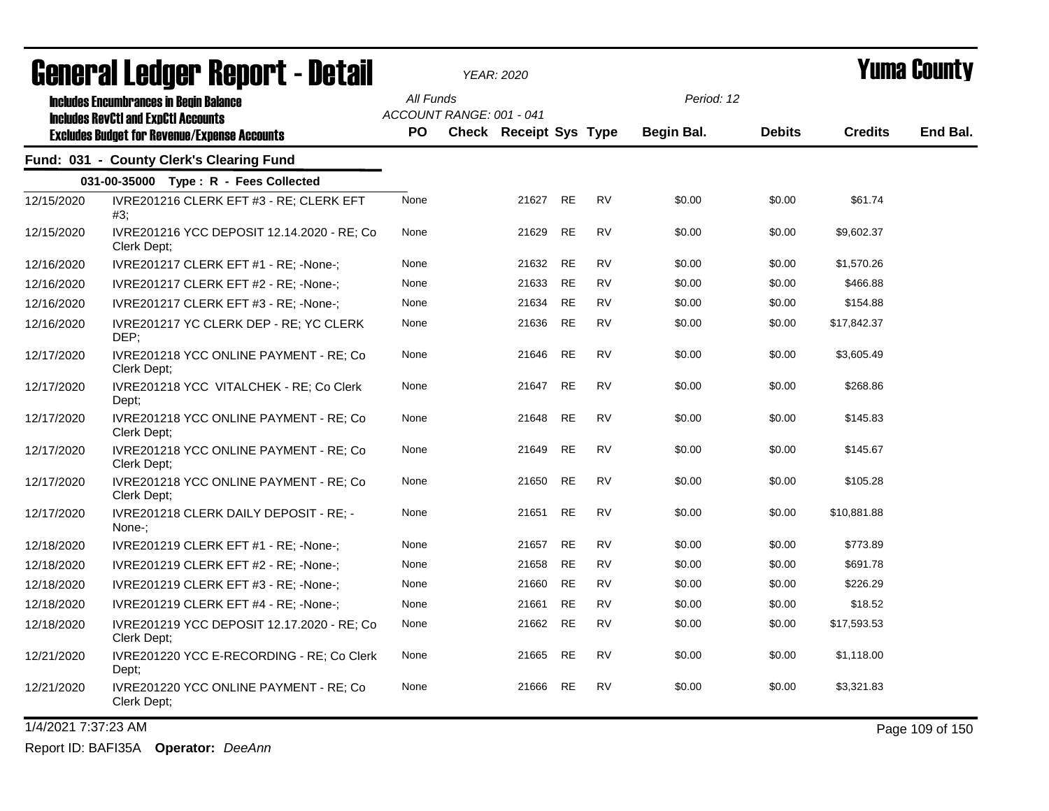| agual.gi fanàri. Vehal.f - Datsil |                                                                                                                                                    | YEAR: 2020       |                                                           |       |           |           | T UIIIA VUUIILY          |               |                |          |
|-----------------------------------|----------------------------------------------------------------------------------------------------------------------------------------------------|------------------|-----------------------------------------------------------|-------|-----------|-----------|--------------------------|---------------|----------------|----------|
|                                   | <b>Includes Encumbrances in Begin Balance</b><br><b>Includes RevCtI and ExpCtI Accounts</b><br><b>Excludes Budget for Revenue/Expense Accounts</b> | All Funds<br>PO. | ACCOUNT RANGE: 001 - 041<br><b>Check Receipt Sys Type</b> |       |           |           | Period: 12<br>Begin Bal. | <b>Debits</b> | <b>Credits</b> | End Bal. |
|                                   | Fund: 031 - County Clerk's Clearing Fund                                                                                                           |                  |                                                           |       |           |           |                          |               |                |          |
|                                   | 031-00-35000 Type: R - Fees Collected                                                                                                              |                  |                                                           |       |           |           |                          |               |                |          |
| 12/15/2020                        | IVRE201216 CLERK EFT #3 - RE; CLERK EFT<br>#3;                                                                                                     | None             |                                                           | 21627 | <b>RE</b> | <b>RV</b> | \$0.00                   | \$0.00        | \$61.74        |          |
| 12/15/2020                        | IVRE201216 YCC DEPOSIT 12.14.2020 - RE; Co<br>Clerk Dept;                                                                                          | None             |                                                           | 21629 | <b>RE</b> | <b>RV</b> | \$0.00                   | \$0.00        | \$9,602.37     |          |
| 12/16/2020                        | IVRE201217 CLERK EFT #1 - RE; -None-;                                                                                                              | None             |                                                           | 21632 | <b>RE</b> | <b>RV</b> | \$0.00                   | \$0.00        | \$1,570.26     |          |
| 12/16/2020                        | IVRE201217 CLERK EFT #2 - RE; -None-;                                                                                                              | None             |                                                           | 21633 | <b>RE</b> | <b>RV</b> | \$0.00                   | \$0.00        | \$466.88       |          |
| 12/16/2020                        | IVRE201217 CLERK EFT #3 - RE; -None-;                                                                                                              | None             |                                                           | 21634 | <b>RE</b> | <b>RV</b> | \$0.00                   | \$0.00        | \$154.88       |          |
| 12/16/2020                        | IVRE201217 YC CLERK DEP - RE; YC CLERK<br>DEP;                                                                                                     | None             |                                                           | 21636 | <b>RE</b> | <b>RV</b> | \$0.00                   | \$0.00        | \$17,842.37    |          |
| 12/17/2020                        | IVRE201218 YCC ONLINE PAYMENT - RE; Co<br>Clerk Dept:                                                                                              | None             |                                                           | 21646 | <b>RE</b> | <b>RV</b> | \$0.00                   | \$0.00        | \$3,605.49     |          |
| 12/17/2020                        | IVRE201218 YCC VITALCHEK - RE; Co Clerk<br>Dept;                                                                                                   | None             |                                                           | 21647 | <b>RE</b> | <b>RV</b> | \$0.00                   | \$0.00        | \$268.86       |          |
| 12/17/2020                        | IVRE201218 YCC ONLINE PAYMENT - RE; Co<br>Clerk Dept:                                                                                              | None             |                                                           | 21648 | <b>RE</b> | <b>RV</b> | \$0.00                   | \$0.00        | \$145.83       |          |
| 12/17/2020                        | IVRE201218 YCC ONLINE PAYMENT - RE; Co<br>Clerk Dept:                                                                                              | None             |                                                           | 21649 | <b>RE</b> | <b>RV</b> | \$0.00                   | \$0.00        | \$145.67       |          |
| 12/17/2020                        | IVRE201218 YCC ONLINE PAYMENT - RE; Co<br>Clerk Dept:                                                                                              | None             |                                                           | 21650 | <b>RE</b> | <b>RV</b> | \$0.00                   | \$0.00        | \$105.28       |          |
| 12/17/2020                        | IVRE201218 CLERK DAILY DEPOSIT - RE; -<br>None-:                                                                                                   | None             |                                                           | 21651 | <b>RE</b> | <b>RV</b> | \$0.00                   | \$0.00        | \$10,881.88    |          |
| 12/18/2020                        | IVRE201219 CLERK EFT #1 - RE; -None-;                                                                                                              | None             |                                                           | 21657 | <b>RE</b> | RV        | \$0.00                   | \$0.00        | \$773.89       |          |
| 12/18/2020                        | IVRE201219 CLERK EFT #2 - RE; -None-;                                                                                                              | None             |                                                           | 21658 | <b>RE</b> | <b>RV</b> | \$0.00                   | \$0.00        | \$691.78       |          |
| 12/18/2020                        | IVRE201219 CLERK EFT #3 - RE; -None-;                                                                                                              | None             |                                                           | 21660 | <b>RE</b> | <b>RV</b> | \$0.00                   | \$0.00        | \$226.29       |          |
| 12/18/2020                        | IVRE201219 CLERK EFT #4 - RE; -None-;                                                                                                              | None             |                                                           | 21661 | <b>RE</b> | <b>RV</b> | \$0.00                   | \$0.00        | \$18.52        |          |
| 12/18/2020                        | IVRE201219 YCC DEPOSIT 12.17.2020 - RE; Co<br>Clerk Dept;                                                                                          | None             |                                                           | 21662 | RE        | <b>RV</b> | \$0.00                   | \$0.00        | \$17,593.53    |          |
| 12/21/2020                        | IVRE201220 YCC E-RECORDING - RE; Co Clerk<br>Dept;                                                                                                 | None             |                                                           | 21665 | RE        | <b>RV</b> | \$0.00                   | \$0.00        | \$1,118.00     |          |
| 12/21/2020                        | IVRE201220 YCC ONLINE PAYMENT - RE; Co<br>Clerk Dept;                                                                                              | None             |                                                           | 21666 | <b>RE</b> | <b>RV</b> | \$0.00                   | \$0.00        | \$3,321.83     |          |

1/4/2021 7:37:23 AM Page 109 of 150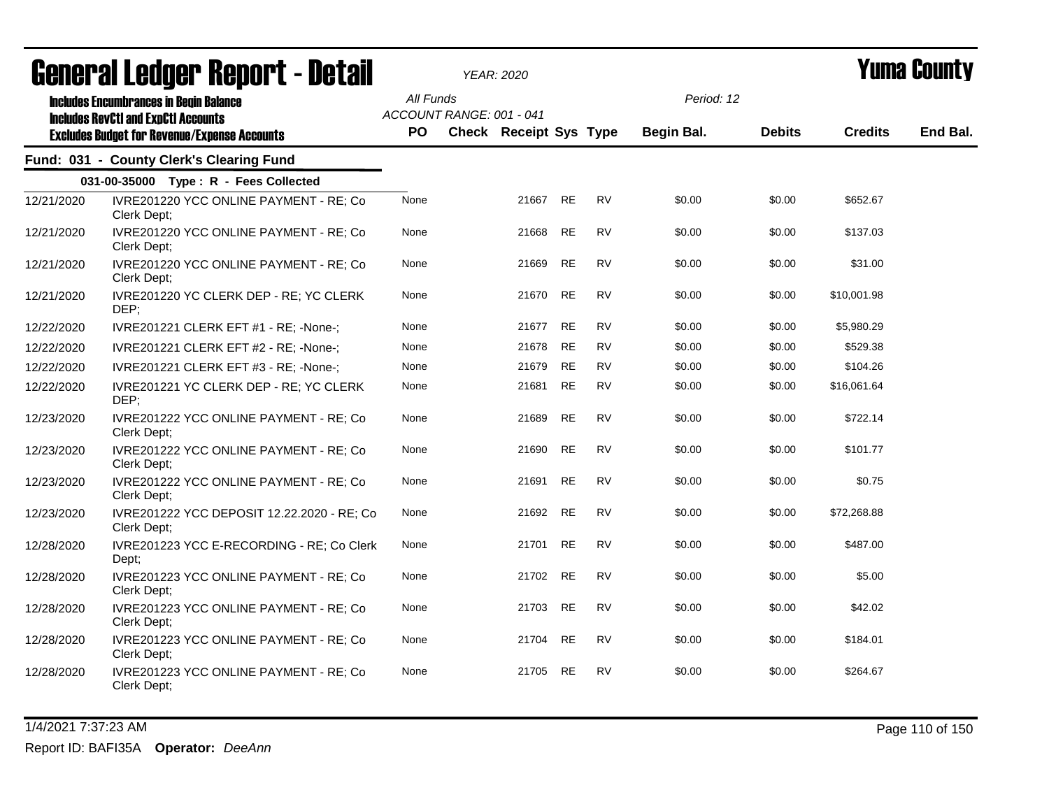| <b>agiigi.gi fanñai. Ughni. ( - nafqii</b> |                                                                                                                                                    |                  |                          | YEAR: 2020                    |           |           | I UIIIA VUUIILY          |               |                |          |
|--------------------------------------------|----------------------------------------------------------------------------------------------------------------------------------------------------|------------------|--------------------------|-------------------------------|-----------|-----------|--------------------------|---------------|----------------|----------|
|                                            | <b>Includes Encumbrances in Begin Balance</b><br><b>Includes RevCtI and ExpCtI Accounts</b><br><b>Excludes Budget for Revenue/Expense Accounts</b> | All Funds<br>PO. | ACCOUNT RANGE: 001 - 041 | <b>Check Receipt Sys Type</b> |           |           | Period: 12<br>Begin Bal. | <b>Debits</b> | <b>Credits</b> | End Bal. |
|                                            | Fund: 031 - County Clerk's Clearing Fund                                                                                                           |                  |                          |                               |           |           |                          |               |                |          |
|                                            | 031-00-35000 Type: R - Fees Collected                                                                                                              |                  |                          |                               |           |           |                          |               |                |          |
| 12/21/2020                                 | IVRE201220 YCC ONLINE PAYMENT - RE; Co<br>Clerk Dept;                                                                                              | None             |                          | 21667                         | RE        | <b>RV</b> | \$0.00                   | \$0.00        | \$652.67       |          |
| 12/21/2020                                 | IVRE201220 YCC ONLINE PAYMENT - RE; Co<br>Clerk Dept;                                                                                              | None             |                          | 21668                         | RE        | <b>RV</b> | \$0.00                   | \$0.00        | \$137.03       |          |
| 12/21/2020                                 | IVRE201220 YCC ONLINE PAYMENT - RE; Co<br>Clerk Dept;                                                                                              | None             |                          | 21669                         | RE        | <b>RV</b> | \$0.00                   | \$0.00        | \$31.00        |          |
| 12/21/2020                                 | IVRE201220 YC CLERK DEP - RE; YC CLERK<br>DEP;                                                                                                     | None             |                          | 21670                         | <b>RE</b> | <b>RV</b> | \$0.00                   | \$0.00        | \$10,001.98    |          |
| 12/22/2020                                 | IVRE201221 CLERK EFT #1 - RE; -None-;                                                                                                              | None             |                          | 21677                         | <b>RE</b> | <b>RV</b> | \$0.00                   | \$0.00        | \$5,980.29     |          |
| 12/22/2020                                 | IVRE201221 CLERK EFT #2 - RE; -None-;                                                                                                              | None             |                          | 21678                         | <b>RE</b> | <b>RV</b> | \$0.00                   | \$0.00        | \$529.38       |          |
| 12/22/2020                                 | IVRE201221 CLERK EFT #3 - RE; -None-;                                                                                                              | None             |                          | 21679                         | <b>RE</b> | <b>RV</b> | \$0.00                   | \$0.00        | \$104.26       |          |
| 12/22/2020                                 | IVRE201221 YC CLERK DEP - RE; YC CLERK<br>DEP;                                                                                                     | None             |                          | 21681                         | <b>RE</b> | <b>RV</b> | \$0.00                   | \$0.00        | \$16,061.64    |          |
| 12/23/2020                                 | IVRE201222 YCC ONLINE PAYMENT - RE; Co<br>Clerk Dept;                                                                                              | None             |                          | 21689                         | <b>RE</b> | <b>RV</b> | \$0.00                   | \$0.00        | \$722.14       |          |
| 12/23/2020                                 | IVRE201222 YCC ONLINE PAYMENT - RE; Co<br>Clerk Dept;                                                                                              | None             |                          | 21690                         | <b>RE</b> | <b>RV</b> | \$0.00                   | \$0.00        | \$101.77       |          |
| 12/23/2020                                 | IVRE201222 YCC ONLINE PAYMENT - RE; Co<br>Clerk Dept;                                                                                              | None             |                          | 21691                         | <b>RE</b> | <b>RV</b> | \$0.00                   | \$0.00        | \$0.75         |          |
| 12/23/2020                                 | IVRE201222 YCC DEPOSIT 12.22.2020 - RE; Co<br>Clerk Dept;                                                                                          | None             |                          | 21692                         | <b>RE</b> | <b>RV</b> | \$0.00                   | \$0.00        | \$72,268.88    |          |
| 12/28/2020                                 | IVRE201223 YCC E-RECORDING - RE; Co Clerk<br>Dept;                                                                                                 | None             |                          | 21701                         | <b>RE</b> | <b>RV</b> | \$0.00                   | \$0.00        | \$487.00       |          |
| 12/28/2020                                 | IVRE201223 YCC ONLINE PAYMENT - RE; Co<br>Clerk Dept;                                                                                              | None             |                          | 21702                         | <b>RE</b> | <b>RV</b> | \$0.00                   | \$0.00        | \$5.00         |          |
| 12/28/2020                                 | IVRE201223 YCC ONLINE PAYMENT - RE; Co<br>Clerk Dept;                                                                                              | None             |                          | 21703                         | <b>RE</b> | <b>RV</b> | \$0.00                   | \$0.00        | \$42.02        |          |
| 12/28/2020                                 | IVRE201223 YCC ONLINE PAYMENT - RE; Co<br>Clerk Dept;                                                                                              | None             |                          | 21704                         | <b>RE</b> | <b>RV</b> | \$0.00                   | \$0.00        | \$184.01       |          |
| 12/28/2020                                 | IVRE201223 YCC ONLINE PAYMENT - RE; Co<br>Clerk Dept;                                                                                              | None             |                          | 21705                         | <b>RE</b> | <b>RV</b> | \$0.00                   | \$0.00        | \$264.67       |          |

1/4/2021 7:37:23 AM Page 110 of 150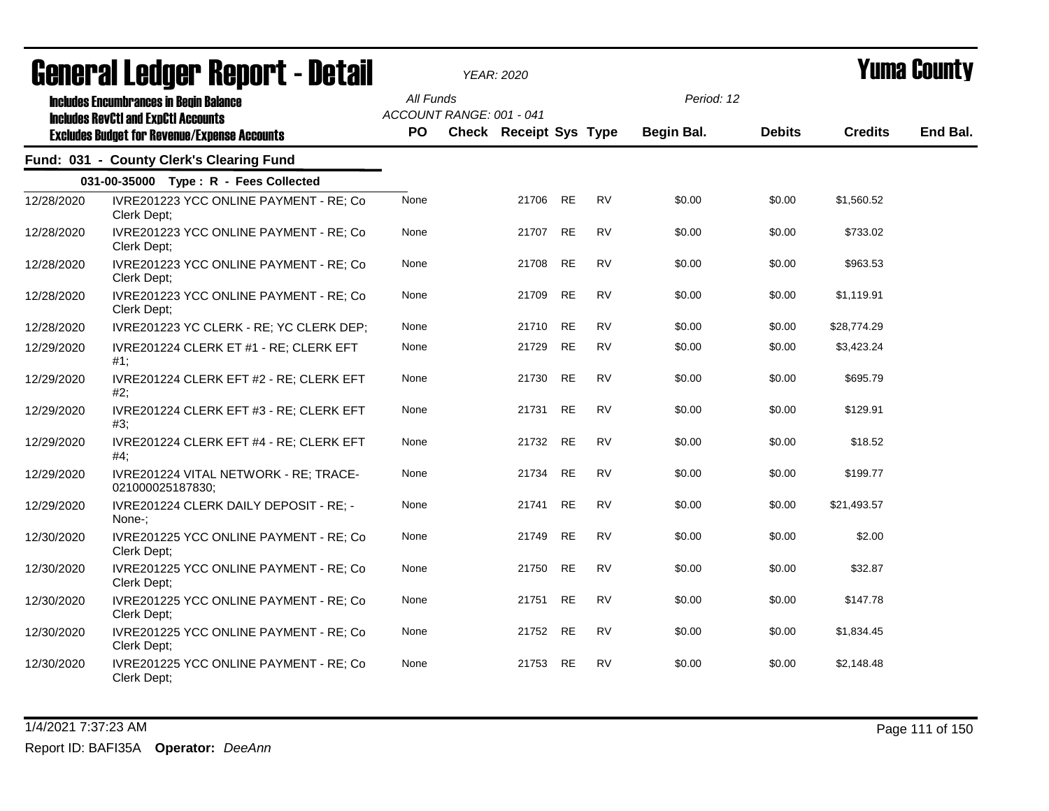|            | <b>General Ledger Report - Detail</b>                                                       |           | YEAR: 2020                    |           |           |                   |               |                | Yuma Countv |
|------------|---------------------------------------------------------------------------------------------|-----------|-------------------------------|-----------|-----------|-------------------|---------------|----------------|-------------|
|            | <b>Includes Encumbrances in Begin Balance</b><br><b>Includes RevCtI and ExpCtI Accounts</b> | All Funds | ACCOUNT RANGE: 001 - 041      |           |           | Period: 12        |               |                |             |
|            | <b>Excludes Budget for Revenue/Expense Accounts</b>                                         | PO        | <b>Check Receipt Sys Type</b> |           |           | <b>Begin Bal.</b> | <b>Debits</b> | <b>Credits</b> | End Bal.    |
|            | Fund: 031 - County Clerk's Clearing Fund                                                    |           |                               |           |           |                   |               |                |             |
|            | 031-00-35000 Type: R - Fees Collected                                                       |           |                               |           |           |                   |               |                |             |
| 12/28/2020 | IVRE201223 YCC ONLINE PAYMENT - RE; Co<br>Clerk Dept;                                       | None      | 21706                         | <b>RE</b> | <b>RV</b> | \$0.00            | \$0.00        | \$1,560.52     |             |
| 12/28/2020 | IVRE201223 YCC ONLINE PAYMENT - RE; Co<br>Clerk Dept;                                       | None      | 21707                         | <b>RE</b> | <b>RV</b> | \$0.00            | \$0.00        | \$733.02       |             |
| 12/28/2020 | IVRE201223 YCC ONLINE PAYMENT - RE; Co<br>Clerk Dept;                                       | None      | 21708                         | <b>RE</b> | <b>RV</b> | \$0.00            | \$0.00        | \$963.53       |             |
| 12/28/2020 | IVRE201223 YCC ONLINE PAYMENT - RE; Co<br>Clerk Dept;                                       | None      | 21709                         | <b>RE</b> | <b>RV</b> | \$0.00            | \$0.00        | \$1,119.91     |             |
| 12/28/2020 | IVRE201223 YC CLERK - RE; YC CLERK DEP;                                                     | None      | 21710                         | <b>RE</b> | <b>RV</b> | \$0.00            | \$0.00        | \$28,774.29    |             |
| 12/29/2020 | IVRE201224 CLERK ET #1 - RE; CLERK EFT<br>#1;                                               | None      | 21729                         | <b>RE</b> | <b>RV</b> | \$0.00            | \$0.00        | \$3,423.24     |             |
| 12/29/2020 | IVRE201224 CLERK EFT #2 - RE; CLERK EFT<br>#2;                                              | None      | 21730                         | <b>RE</b> | <b>RV</b> | \$0.00            | \$0.00        | \$695.79       |             |
| 12/29/2020 | IVRE201224 CLERK EFT #3 - RE; CLERK EFT<br>#3;                                              | None      | 21731                         | <b>RE</b> | <b>RV</b> | \$0.00            | \$0.00        | \$129.91       |             |
| 12/29/2020 | IVRE201224 CLERK EFT #4 - RE; CLERK EFT<br>#4;                                              | None      | 21732                         | <b>RE</b> | <b>RV</b> | \$0.00            | \$0.00        | \$18.52        |             |
| 12/29/2020 | IVRE201224 VITAL NETWORK - RE; TRACE-<br>021000025187830;                                   | None      | 21734                         | <b>RE</b> | <b>RV</b> | \$0.00            | \$0.00        | \$199.77       |             |
| 12/29/2020 | IVRE201224 CLERK DAILY DEPOSIT - RE; -<br>None-:                                            | None      | 21741                         | <b>RE</b> | <b>RV</b> | \$0.00            | \$0.00        | \$21,493.57    |             |
| 12/30/2020 | IVRE201225 YCC ONLINE PAYMENT - RE; Co<br>Clerk Dept;                                       | None      | 21749                         | <b>RE</b> | <b>RV</b> | \$0.00            | \$0.00        | \$2.00         |             |
| 12/30/2020 | IVRE201225 YCC ONLINE PAYMENT - RE; Co<br>Clerk Dept;                                       | None      | 21750                         | <b>RE</b> | <b>RV</b> | \$0.00            | \$0.00        | \$32.87        |             |
| 12/30/2020 | IVRE201225 YCC ONLINE PAYMENT - RE; Co<br>Clerk Dept;                                       | None      | 21751                         | <b>RE</b> | <b>RV</b> | \$0.00            | \$0.00        | \$147.78       |             |
| 12/30/2020 | IVRE201225 YCC ONLINE PAYMENT - RE; Co<br>Clerk Dept;                                       | None      | 21752                         | <b>RE</b> | <b>RV</b> | \$0.00            | \$0.00        | \$1,834.45     |             |
| 12/30/2020 | IVRE201225 YCC ONLINE PAYMENT - RE; Co<br>Clerk Dept:                                       | None      | 21753                         | <b>RE</b> | <b>RV</b> | \$0.00            | \$0.00        | \$2,148.48     |             |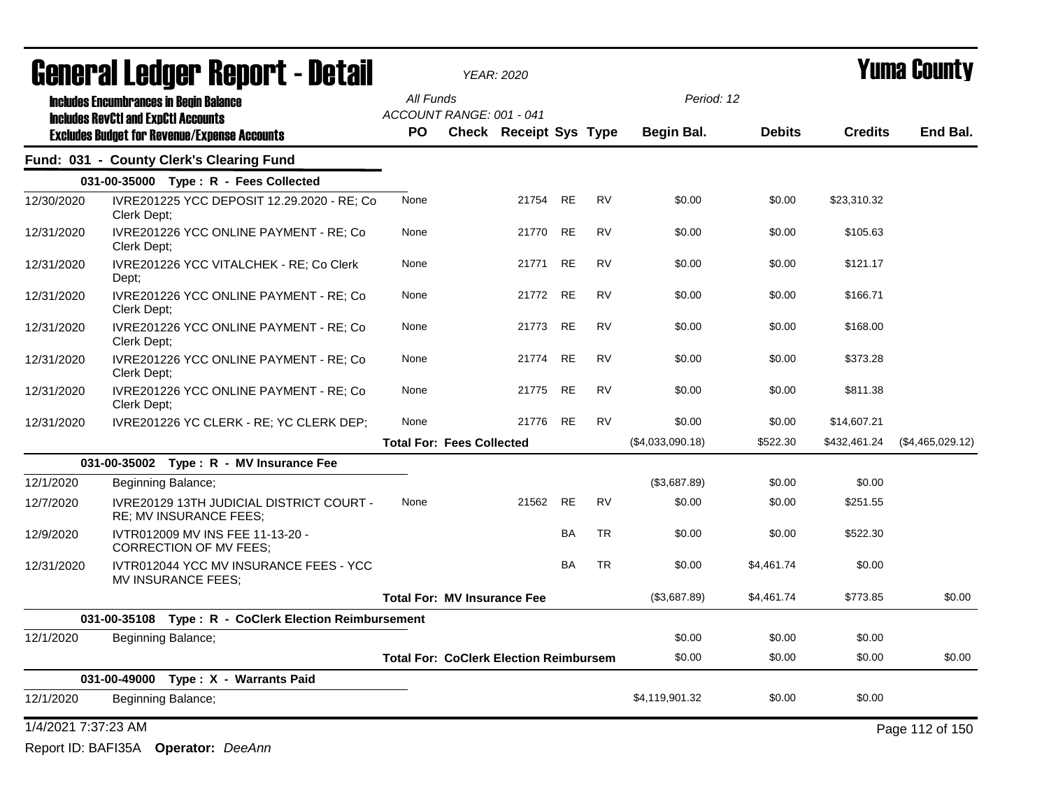| General Ledger Report - Detail |                                                                                             | <b>YEAR: 2020</b>                             |                        |           |           |                  |               | Yuma Countv    |                  |
|--------------------------------|---------------------------------------------------------------------------------------------|-----------------------------------------------|------------------------|-----------|-----------|------------------|---------------|----------------|------------------|
|                                | <b>Includes Encumbrances in Begin Balance</b><br><b>Includes RevCtI and ExpCtI Accounts</b> | All Funds<br>ACCOUNT RANGE: 001 - 041         |                        |           |           | Period: 12       |               |                |                  |
|                                | <b>Excludes Budget for Revenue/Expense Accounts</b>                                         | <b>PO</b>                                     | Check Receipt Sys Type |           |           | Begin Bal.       | <b>Debits</b> | <b>Credits</b> | End Bal.         |
|                                | Fund: 031 - County Clerk's Clearing Fund                                                    |                                               |                        |           |           |                  |               |                |                  |
|                                | 031-00-35000 Type: R - Fees Collected                                                       |                                               |                        |           |           |                  |               |                |                  |
| 12/30/2020                     | IVRE201225 YCC DEPOSIT 12.29.2020 - RE; Co<br>Clerk Dept:                                   | None                                          | 21754                  | RE        | <b>RV</b> | \$0.00           | \$0.00        | \$23,310.32    |                  |
| 12/31/2020                     | IVRE201226 YCC ONLINE PAYMENT - RE; Co<br>Clerk Dept;                                       | None                                          | 21770                  | RE        | <b>RV</b> | \$0.00           | \$0.00        | \$105.63       |                  |
| 12/31/2020                     | IVRE201226 YCC VITALCHEK - RE; Co Clerk<br>Dept;                                            | None                                          | 21771                  | <b>RE</b> | <b>RV</b> | \$0.00           | \$0.00        | \$121.17       |                  |
| 12/31/2020                     | IVRE201226 YCC ONLINE PAYMENT - RE; Co<br>Clerk Dept;                                       | None                                          | 21772 RE               |           | <b>RV</b> | \$0.00           | \$0.00        | \$166.71       |                  |
| 12/31/2020                     | IVRE201226 YCC ONLINE PAYMENT - RE; Co<br>Clerk Dept:                                       | None                                          | 21773                  | <b>RE</b> | <b>RV</b> | \$0.00           | \$0.00        | \$168.00       |                  |
| 12/31/2020                     | IVRE201226 YCC ONLINE PAYMENT - RE; Co<br>Clerk Dept:                                       | None                                          | 21774                  | <b>RE</b> | <b>RV</b> | \$0.00           | \$0.00        | \$373.28       |                  |
| 12/31/2020                     | IVRE201226 YCC ONLINE PAYMENT - RE; Co<br>Clerk Dept:                                       | None                                          | 21775                  | <b>RE</b> | <b>RV</b> | \$0.00           | \$0.00        | \$811.38       |                  |
| 12/31/2020                     | IVRE201226 YC CLERK - RE; YC CLERK DEP;                                                     | None                                          | 21776 RE               |           | <b>RV</b> | \$0.00           | \$0.00        | \$14,607.21    |                  |
|                                |                                                                                             | <b>Total For: Fees Collected</b>              |                        |           |           | (\$4,033,090.18) | \$522.30      | \$432,461.24   | (\$4,465,029.12) |
|                                | 031-00-35002 Type: R - MV Insurance Fee                                                     |                                               |                        |           |           |                  |               |                |                  |
| 12/1/2020                      | Beginning Balance;                                                                          |                                               |                        |           |           | (\$3,687.89)     | \$0.00        | \$0.00         |                  |
| 12/7/2020                      | <b>IVRE20129 13TH JUDICIAL DISTRICT COURT -</b><br>RE; MV INSURANCE FEES;                   | None                                          | 21562                  | <b>RE</b> | <b>RV</b> | \$0.00           | \$0.00        | \$251.55       |                  |
| 12/9/2020                      | IVTR012009 MV INS FEE 11-13-20 -<br><b>CORRECTION OF MV FEES;</b>                           |                                               |                        | BA        | <b>TR</b> | \$0.00           | \$0.00        | \$522.30       |                  |
| 12/31/2020                     | IVTR012044 YCC MV INSURANCE FEES - YCC<br>MV INSURANCE FEES;                                |                                               |                        | <b>BA</b> | <b>TR</b> | \$0.00           | \$4,461.74    | \$0.00         |                  |
|                                |                                                                                             | <b>Total For: MV Insurance Fee</b>            |                        |           |           | (\$3,687.89)     | \$4,461.74    | \$773.85       | \$0.00           |
|                                | 031-00-35108 Type: R - CoClerk Election Reimbursement                                       |                                               |                        |           |           |                  |               |                |                  |
| 12/1/2020                      | Beginning Balance;                                                                          |                                               |                        |           |           | \$0.00           | \$0.00        | \$0.00         |                  |
|                                |                                                                                             | <b>Total For: CoClerk Election Reimbursem</b> |                        |           |           | \$0.00           | \$0.00        | \$0.00         | \$0.00           |
|                                | 031-00-49000 Type: X - Warrants Paid                                                        |                                               |                        |           |           |                  |               |                |                  |
| 12/1/2020                      | Beginning Balance;                                                                          |                                               |                        |           |           | \$4,119,901.32   | \$0.00        | \$0.00         |                  |
| 1/4/2021 7:37:23 AM            |                                                                                             |                                               |                        |           |           |                  |               |                | Page 112 of 150  |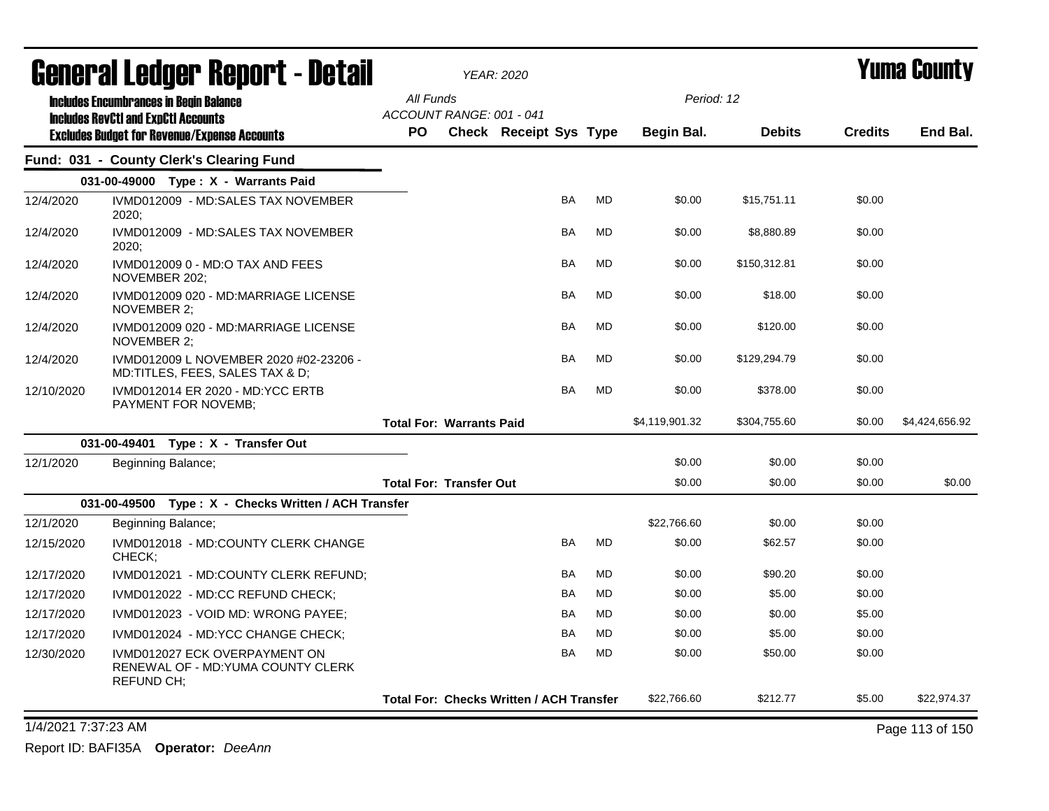| <b>General Ledger Report - Detail</b> |                                                                                          |                                                 | <b>YEAR: 2020</b>      |           |           |                |               |                | Yuma County    |
|---------------------------------------|------------------------------------------------------------------------------------------|-------------------------------------------------|------------------------|-----------|-----------|----------------|---------------|----------------|----------------|
|                                       | <b>Includes Encumbrances in Begin Balance</b>                                            | All Funds                                       |                        |           |           |                | Period: 12    |                |                |
|                                       | <b>Includes RevCtI and ExpCtI Accounts</b>                                               | ACCOUNT RANGE: 001 - 041                        |                        |           |           |                |               |                |                |
|                                       | <b>Excludes Budget for Revenue/Expense Accounts</b>                                      | PO                                              | Check Receipt Sys Type |           |           | Begin Bal.     | <b>Debits</b> | <b>Credits</b> | End Bal.       |
|                                       | Fund: 031 - County Clerk's Clearing Fund                                                 |                                                 |                        |           |           |                |               |                |                |
|                                       | 031-00-49000 Type: X - Warrants Paid                                                     |                                                 |                        |           |           |                |               |                |                |
| 12/4/2020                             | IVMD012009 - MD:SALES TAX NOVEMBER<br>2020;                                              |                                                 |                        | <b>BA</b> | <b>MD</b> | \$0.00         | \$15,751.11   | \$0.00         |                |
| 12/4/2020                             | IVMD012009 - MD:SALES TAX NOVEMBER<br>2020;                                              |                                                 |                        | <b>BA</b> | <b>MD</b> | \$0.00         | \$8,880.89    | \$0.00         |                |
| 12/4/2020                             | IVMD012009 0 - MD:O TAX AND FEES<br>NOVEMBER 202;                                        |                                                 |                        | <b>BA</b> | MD        | \$0.00         | \$150,312.81  | \$0.00         |                |
| 12/4/2020                             | IVMD012009 020 - MD:MARRIAGE LICENSE<br>NOVEMBER 2:                                      |                                                 |                        | <b>BA</b> | <b>MD</b> | \$0.00         | \$18.00       | \$0.00         |                |
| 12/4/2020                             | IVMD012009 020 - MD:MARRIAGE LICENSE<br>NOVEMBER 2;                                      |                                                 |                        | <b>BA</b> | MD        | \$0.00         | \$120.00      | \$0.00         |                |
| 12/4/2020                             | IVMD012009 L NOVEMBER 2020 #02-23206 -<br>MD:TITLES, FEES, SALES TAX & D;                |                                                 |                        | <b>BA</b> | <b>MD</b> | \$0.00         | \$129,294.79  | \$0.00         |                |
| 12/10/2020                            | IVMD012014 ER 2020 - MD:YCC ERTB<br>PAYMENT FOR NOVEMB;                                  |                                                 |                        | <b>BA</b> | MD        | \$0.00         | \$378.00      | \$0.00         |                |
|                                       |                                                                                          | <b>Total For: Warrants Paid</b>                 |                        |           |           | \$4,119,901.32 | \$304,755.60  | \$0.00         | \$4,424,656.92 |
|                                       | 031-00-49401 Type: X - Transfer Out                                                      |                                                 |                        |           |           |                |               |                |                |
| 12/1/2020                             | Beginning Balance;                                                                       |                                                 |                        |           |           | \$0.00         | \$0.00        | \$0.00         |                |
|                                       |                                                                                          | <b>Total For: Transfer Out</b>                  |                        |           |           | \$0.00         | \$0.00        | \$0.00         | \$0.00         |
|                                       | 031-00-49500 Type: X - Checks Written / ACH Transfer                                     |                                                 |                        |           |           |                |               |                |                |
| 12/1/2020                             | Beginning Balance;                                                                       |                                                 |                        |           |           | \$22,766.60    | \$0.00        | \$0.00         |                |
| 12/15/2020                            | IVMD012018 - MD:COUNTY CLERK CHANGE<br>CHECK;                                            |                                                 |                        | <b>BA</b> | MD        | \$0.00         | \$62.57       | \$0.00         |                |
| 12/17/2020                            | IVMD012021 - MD:COUNTY CLERK REFUND;                                                     |                                                 |                        | <b>BA</b> | <b>MD</b> | \$0.00         | \$90.20       | \$0.00         |                |
| 12/17/2020                            | IVMD012022 - MD:CC REFUND CHECK;                                                         |                                                 |                        | <b>BA</b> | <b>MD</b> | \$0.00         | \$5.00        | \$0.00         |                |
| 12/17/2020                            | IVMD012023 - VOID MD: WRONG PAYEE:                                                       |                                                 |                        | <b>BA</b> | <b>MD</b> | \$0.00         | \$0.00        | \$5.00         |                |
| 12/17/2020                            | IVMD012024 - MD:YCC CHANGE CHECK;                                                        |                                                 |                        | <b>BA</b> | <b>MD</b> | \$0.00         | \$5.00        | \$0.00         |                |
| 12/30/2020                            | IVMD012027 ECK OVERPAYMENT ON<br>RENEWAL OF - MD: YUMA COUNTY CLERK<br><b>REFUND CH;</b> |                                                 |                        | <b>BA</b> | MD        | \$0.00         | \$50.00       | \$0.00         |                |
|                                       |                                                                                          | <b>Total For: Checks Written / ACH Transfer</b> |                        |           |           | \$22,766.60    | \$212.77      | \$5.00         | \$22,974.37    |

1/4/2021 7:37:23 AM Page 113 of 150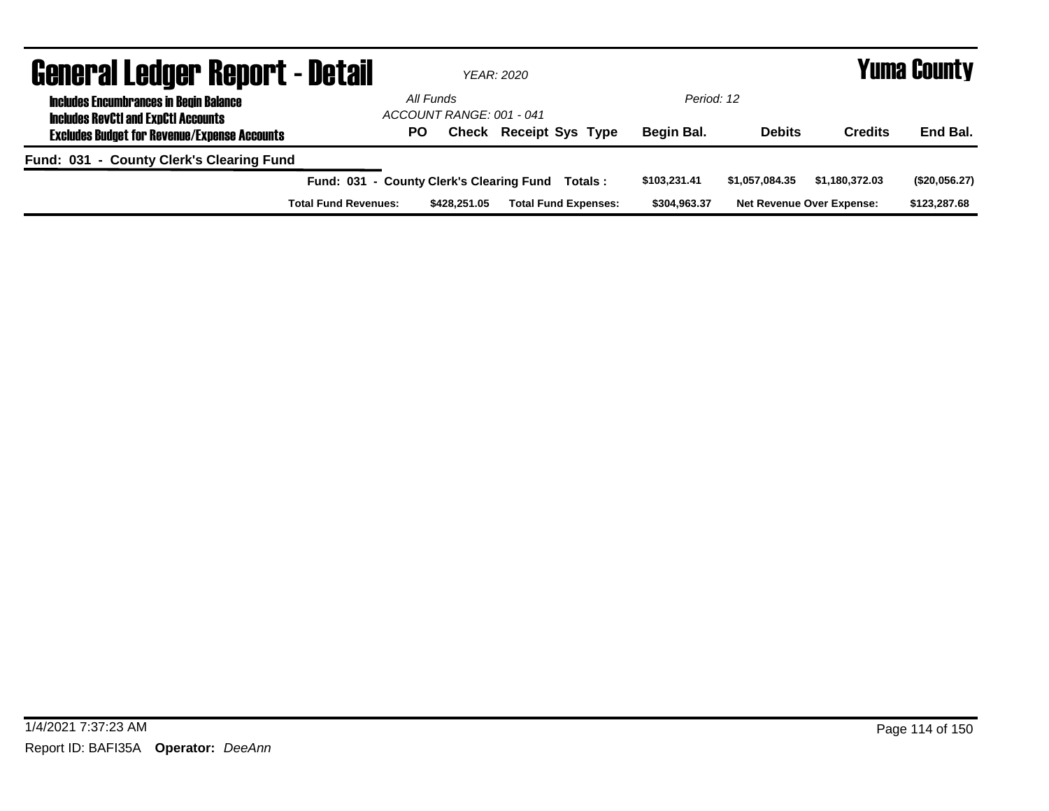| <b>General Ledger Report - Detail</b>                                                       |                                          |                                       | YEAR: 2020                  |              | Yuma County    |                                  |               |  |
|---------------------------------------------------------------------------------------------|------------------------------------------|---------------------------------------|-----------------------------|--------------|----------------|----------------------------------|---------------|--|
| <b>Includes Encumbrances in Begin Balance</b><br><b>Includes RevCtI and ExpCtI Accounts</b> |                                          | All Funds<br>ACCOUNT RANGE: 001 - 041 |                             | Period: 12   |                |                                  |               |  |
| <b>Excludes Budget for Revenue/Expense Accounts</b>                                         |                                          | <b>PO</b><br>Check                    | <b>Receipt Sys Type</b>     | Begin Bal.   | <b>Debits</b>  | <b>Credits</b>                   | End Bal.      |  |
| Fund: 031 - County Clerk's Clearing Fund                                                    |                                          |                                       |                             |              |                |                                  |               |  |
|                                                                                             | Fund: 031 - County Clerk's Clearing Fund |                                       | Totals:                     | \$103,231.41 | \$1.057.084.35 | \$1.180.372.03                   | (\$20,056.27) |  |
|                                                                                             | <b>Total Fund Revenues:</b>              | \$428,251.05                          | <b>Total Fund Expenses:</b> | \$304,963.37 |                | <b>Net Revenue Over Expense:</b> | \$123,287.68  |  |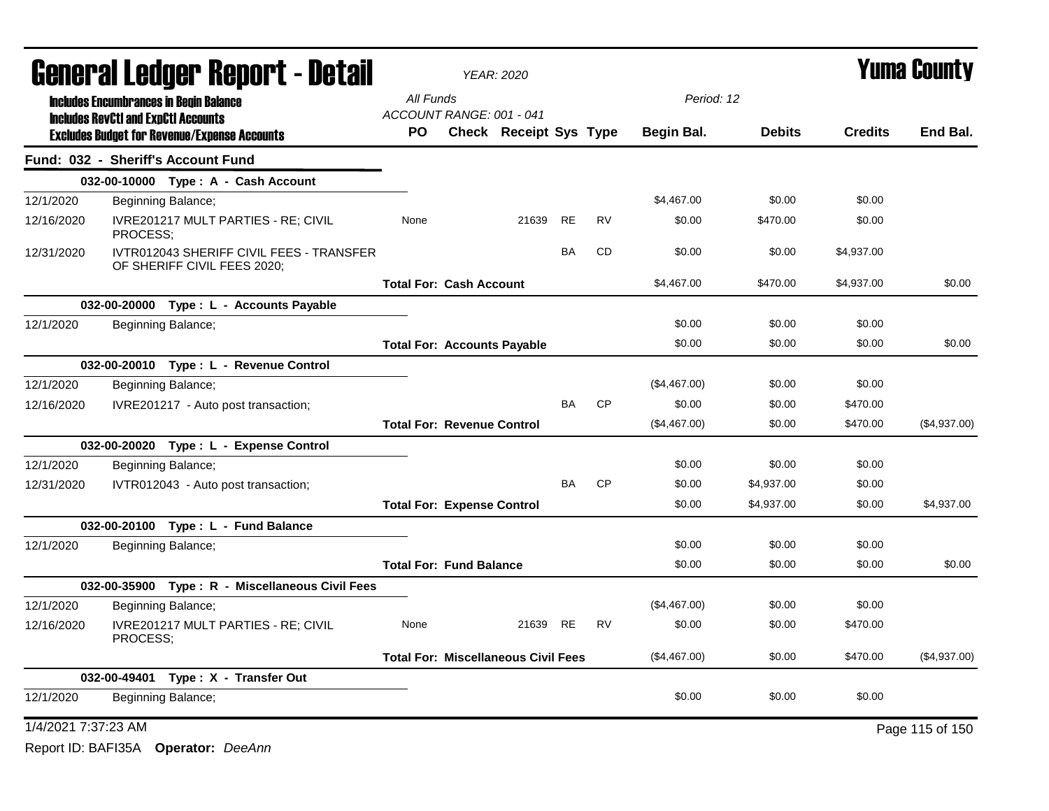| <b>General Ledger Report - Detail</b> |                                                                                                   |                                   |                                    | <b>YEAR: 2020</b>                          |           |           |              |               |                | Yuma County     |
|---------------------------------------|---------------------------------------------------------------------------------------------------|-----------------------------------|------------------------------------|--------------------------------------------|-----------|-----------|--------------|---------------|----------------|-----------------|
|                                       | <b>Includes Encumbrances in Begin Balance</b>                                                     | All Funds                         |                                    |                                            |           |           | Period: 12   |               |                |                 |
|                                       | <b>Includes RevCtI and ExpCtI Accounts</b><br><b>Excludes Budget for Revenue/Expense Accounts</b> | PO.                               | ACCOUNT RANGE: 001 - 041           | Check Receipt Sys Type                     |           |           | Begin Bal.   | <b>Debits</b> | <b>Credits</b> | End Bal.        |
|                                       | Fund: 032 - Sheriff's Account Fund                                                                |                                   |                                    |                                            |           |           |              |               |                |                 |
|                                       | 032-00-10000 Type: A - Cash Account                                                               |                                   |                                    |                                            |           |           |              |               |                |                 |
| 12/1/2020                             | Beginning Balance;                                                                                |                                   |                                    |                                            |           |           | \$4,467.00   | \$0.00        | \$0.00         |                 |
| 12/16/2020                            | <b>IVRE201217 MULT PARTIES - RE: CIVIL</b><br>PROCESS;                                            | None                              |                                    | 21639                                      | RE        | <b>RV</b> | \$0.00       | \$470.00      | \$0.00         |                 |
| 12/31/2020                            | IVTR012043 SHERIFF CIVIL FEES - TRANSFER<br>OF SHERIFF CIVIL FEES 2020;                           |                                   |                                    |                                            | <b>BA</b> | <b>CD</b> | \$0.00       | \$0.00        | \$4,937.00     |                 |
|                                       |                                                                                                   | <b>Total For: Cash Account</b>    |                                    |                                            |           |           | \$4,467.00   | \$470.00      | \$4,937.00     | \$0.00          |
|                                       | 032-00-20000 Type : L - Accounts Payable                                                          |                                   |                                    |                                            |           |           |              |               |                |                 |
| 12/1/2020                             | Beginning Balance;                                                                                |                                   |                                    |                                            |           |           | \$0.00       | \$0.00        | \$0.00         |                 |
|                                       |                                                                                                   |                                   | <b>Total For: Accounts Payable</b> |                                            |           |           | \$0.00       | \$0.00        | \$0.00         | \$0.00          |
|                                       | 032-00-20010 Type: L - Revenue Control                                                            |                                   |                                    |                                            |           |           |              |               |                |                 |
| 12/1/2020                             | Beginning Balance;                                                                                |                                   |                                    |                                            |           |           | (\$4,467.00) | \$0.00        | \$0.00         |                 |
| 12/16/2020                            | IVRE201217 - Auto post transaction;                                                               |                                   |                                    |                                            | <b>BA</b> | <b>CP</b> | \$0.00       | \$0.00        | \$470.00       |                 |
|                                       |                                                                                                   | <b>Total For: Revenue Control</b> |                                    |                                            |           |           | (\$4,467.00) | \$0.00        | \$470.00       | (\$4,937.00)    |
|                                       | 032-00-20020 Type: L - Expense Control                                                            |                                   |                                    |                                            |           |           |              |               |                |                 |
| 12/1/2020                             | Beginning Balance;                                                                                |                                   |                                    |                                            |           |           | \$0.00       | \$0.00        | \$0.00         |                 |
| 12/31/2020                            | IVTR012043 - Auto post transaction;                                                               |                                   |                                    |                                            | <b>BA</b> | <b>CP</b> | \$0.00       | \$4,937.00    | \$0.00         |                 |
|                                       |                                                                                                   | <b>Total For: Expense Control</b> |                                    |                                            |           |           | \$0.00       | \$4,937.00    | \$0.00         | \$4,937.00      |
|                                       | 032-00-20100 Type: L - Fund Balance                                                               |                                   |                                    |                                            |           |           |              |               |                |                 |
| 12/1/2020                             | Beginning Balance;                                                                                |                                   |                                    |                                            |           |           | \$0.00       | \$0.00        | \$0.00         |                 |
|                                       |                                                                                                   |                                   | <b>Total For: Fund Balance</b>     |                                            |           |           | \$0.00       | \$0.00        | \$0.00         | \$0.00          |
|                                       | 032-00-35900 Type: R - Miscellaneous Civil Fees                                                   |                                   |                                    |                                            |           |           |              |               |                |                 |
| 12/1/2020                             | Beginning Balance;                                                                                |                                   |                                    |                                            |           |           | (\$4,467.00) | \$0.00        | \$0.00         |                 |
| 12/16/2020                            | IVRE201217 MULT PARTIES - RE; CIVIL<br>PROCESS:                                                   | None                              |                                    | 21639                                      | <b>RE</b> | <b>RV</b> | \$0.00       | \$0.00        | \$470.00       |                 |
|                                       |                                                                                                   |                                   |                                    | <b>Total For: Miscellaneous Civil Fees</b> |           |           | (\$4,467.00) | \$0.00        | \$470.00       | (\$4,937.00)    |
|                                       | 032-00-49401 Type: X - Transfer Out                                                               |                                   |                                    |                                            |           |           |              |               |                |                 |
| 12/1/2020                             | Beginning Balance;                                                                                |                                   |                                    |                                            |           |           | \$0.00       | \$0.00        | \$0.00         |                 |
| 1/4/2021 7:37:23 AM                   |                                                                                                   |                                   |                                    |                                            |           |           |              |               |                | Page 115 of 150 |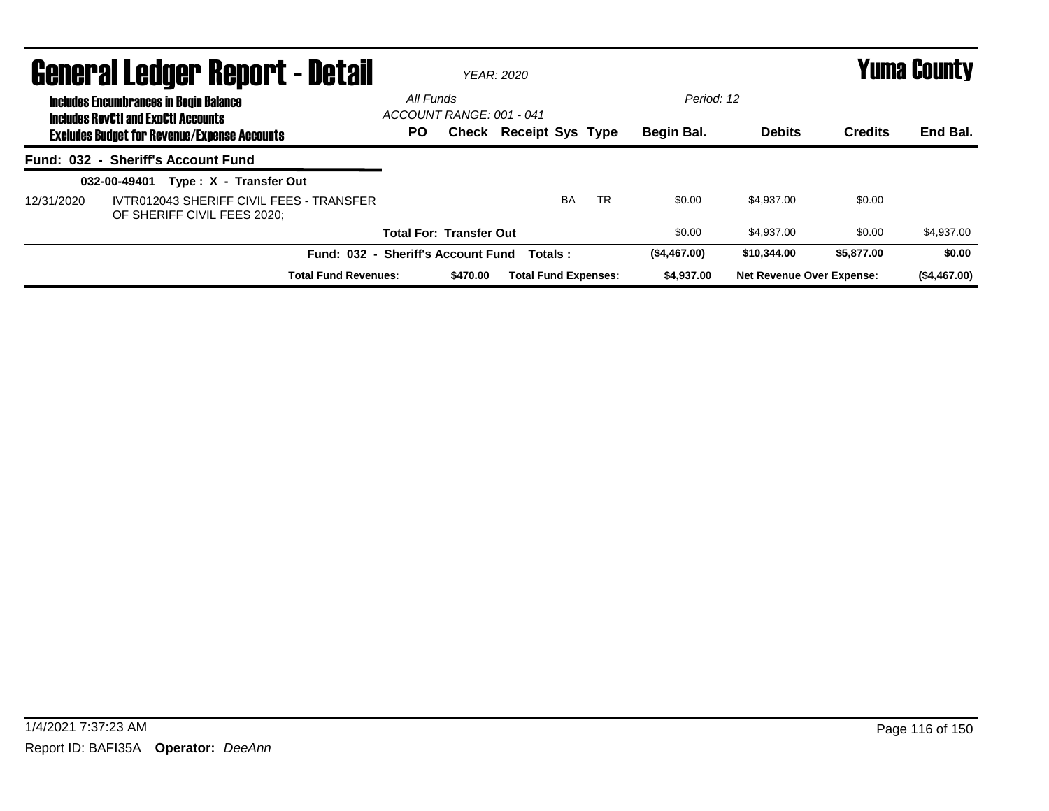|            | <b>General Ledger Report - Detail</b>                                                       |           |                                | YFAR: 2020                  | <b>Yuma County</b> |              |                                  |                |              |
|------------|---------------------------------------------------------------------------------------------|-----------|--------------------------------|-----------------------------|--------------------|--------------|----------------------------------|----------------|--------------|
|            | <b>Includes Encumbrances in Begin Balance</b><br><b>Includes RevCtI and ExpCtI Accounts</b> | All Funds | ACCOUNT RANGE: 001 - 041       |                             |                    | Period: 12   |                                  |                |              |
|            | <b>Excludes Budget for Revenue/Expense Accounts</b>                                         | PO.       |                                | Check Receipt Sys Type      |                    | Begin Bal.   | <b>Debits</b>                    | <b>Credits</b> | End Bal.     |
|            | Fund: 032 - Sheriff's Account Fund                                                          |           |                                |                             |                    |              |                                  |                |              |
|            | Type: X - Transfer Out<br>032-00-49401                                                      |           |                                |                             |                    |              |                                  |                |              |
| 12/31/2020 | IVTR012043 SHERIFF CIVIL FEES - TRANSFER<br>OF SHERIFF CIVIL FEES 2020:                     |           |                                | <b>BA</b>                   | <b>TR</b>          | \$0.00       | \$4.937.00                       | \$0.00         |              |
|            |                                                                                             |           | <b>Total For: Transfer Out</b> |                             |                    | \$0.00       | \$4.937.00                       | \$0.00         | \$4,937.00   |
|            | Fund: 032 - Sheriff's Account Fund                                                          |           |                                | Totals:                     |                    | (\$4,467.00) | \$10,344.00                      | \$5,877.00     | \$0.00       |
|            | <b>Total Fund Revenues:</b>                                                                 |           | \$470.00                       | <b>Total Fund Expenses:</b> |                    | \$4,937.00   | <b>Net Revenue Over Expense:</b> |                | (\$4,467.00) |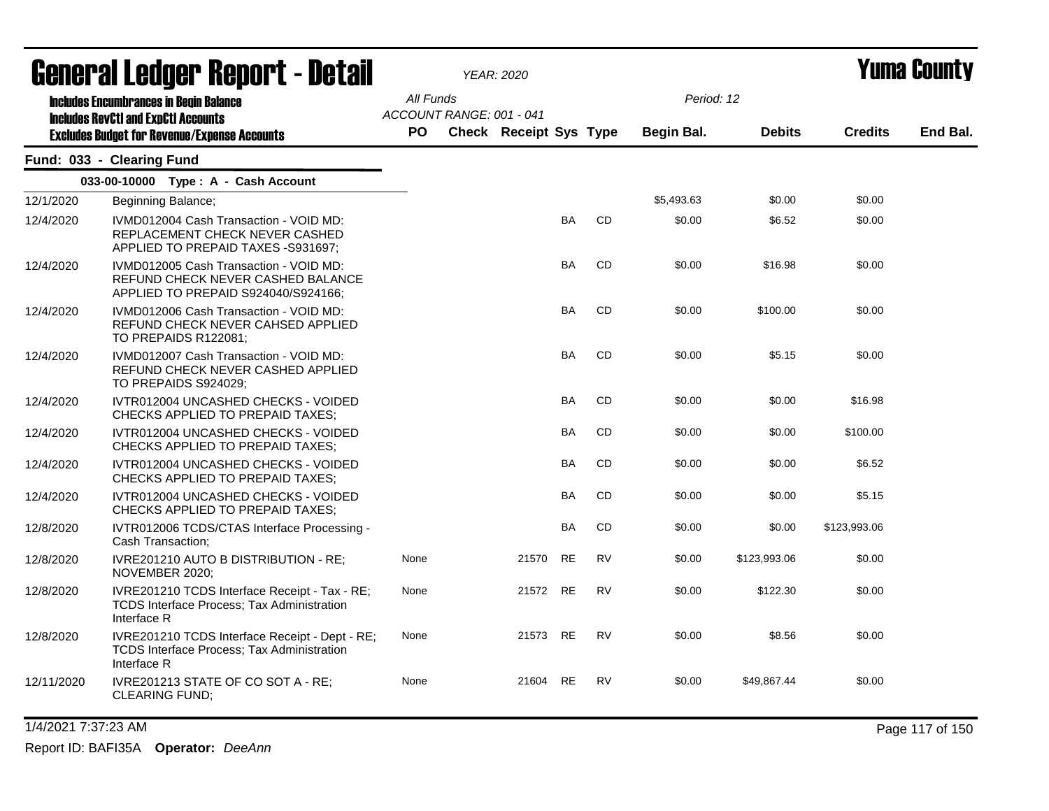| General Ledger Report - Detail |                                                                                                                    |                                       | <b>YEAR: 2020</b> |                        |           |           |            |               | <b>Yuma County</b> |          |  |  |
|--------------------------------|--------------------------------------------------------------------------------------------------------------------|---------------------------------------|-------------------|------------------------|-----------|-----------|------------|---------------|--------------------|----------|--|--|
|                                | <b>Includes Encumbrances in Begin Balance</b><br><b>Includes RevCtI and ExpCtI Accounts</b>                        | All Funds<br>ACCOUNT RANGE: 001 - 041 |                   |                        |           |           | Period: 12 |               |                    |          |  |  |
|                                | <b>Excludes Budget for Revenue/Expense Accounts</b>                                                                | <b>PO</b>                             |                   | Check Receipt Sys Type |           |           | Begin Bal. | <b>Debits</b> | <b>Credits</b>     | End Bal. |  |  |
|                                | Fund: 033 - Clearing Fund                                                                                          |                                       |                   |                        |           |           |            |               |                    |          |  |  |
|                                | 033-00-10000 Type: A - Cash Account                                                                                |                                       |                   |                        |           |           |            |               |                    |          |  |  |
| 12/1/2020                      | Beginning Balance;                                                                                                 |                                       |                   |                        |           |           | \$5,493.63 | \$0.00        | \$0.00             |          |  |  |
| 12/4/2020                      | IVMD012004 Cash Transaction - VOID MD:<br>REPLACEMENT CHECK NEVER CASHED<br>APPLIED TO PREPAID TAXES -S931697;     |                                       |                   |                        | <b>BA</b> | <b>CD</b> | \$0.00     | \$6.52        | \$0.00             |          |  |  |
| 12/4/2020                      | IVMD012005 Cash Transaction - VOID MD:<br>REFUND CHECK NEVER CASHED BALANCE<br>APPLIED TO PREPAID S924040/S924166; |                                       |                   |                        | <b>BA</b> | <b>CD</b> | \$0.00     | \$16.98       | \$0.00             |          |  |  |
| 12/4/2020                      | IVMD012006 Cash Transaction - VOID MD:<br>REFUND CHECK NEVER CAHSED APPLIED<br>TO PREPAIDS R122081;                |                                       |                   |                        | BA        | <b>CD</b> | \$0.00     | \$100.00      | \$0.00             |          |  |  |
| 12/4/2020                      | IVMD012007 Cash Transaction - VOID MD:<br>REFUND CHECK NEVER CASHED APPLIED<br>TO PREPAIDS S924029;                |                                       |                   |                        | BA        | CD        | \$0.00     | \$5.15        | \$0.00             |          |  |  |
| 12/4/2020                      | IVTR012004 UNCASHED CHECKS - VOIDED<br><b>CHECKS APPLIED TO PREPAID TAXES:</b>                                     |                                       |                   |                        | <b>BA</b> | <b>CD</b> | \$0.00     | \$0.00        | \$16.98            |          |  |  |
| 12/4/2020                      | IVTR012004 UNCASHED CHECKS - VOIDED<br><b>CHECKS APPLIED TO PREPAID TAXES:</b>                                     |                                       |                   |                        | BA        | <b>CD</b> | \$0.00     | \$0.00        | \$100.00           |          |  |  |
| 12/4/2020                      | IVTR012004 UNCASHED CHECKS - VOIDED<br>CHECKS APPLIED TO PREPAID TAXES:                                            |                                       |                   |                        | BA        | CD        | \$0.00     | \$0.00        | \$6.52             |          |  |  |
| 12/4/2020                      | IVTR012004 UNCASHED CHECKS - VOIDED<br>CHECKS APPLIED TO PREPAID TAXES;                                            |                                       |                   |                        | BA        | CD        | \$0.00     | \$0.00        | \$5.15             |          |  |  |
| 12/8/2020                      | IVTR012006 TCDS/CTAS Interface Processing -<br>Cash Transaction;                                                   |                                       |                   |                        | BA        | CD        | \$0.00     | \$0.00        | \$123,993.06       |          |  |  |
| 12/8/2020                      | IVRE201210 AUTO B DISTRIBUTION - RE;<br>NOVEMBER 2020;                                                             | None                                  |                   | 21570                  | <b>RE</b> | <b>RV</b> | \$0.00     | \$123,993.06  | \$0.00             |          |  |  |
| 12/8/2020                      | IVRE201210 TCDS Interface Receipt - Tax - RE;<br>TCDS Interface Process; Tax Administration<br>Interface R         | None                                  |                   | 21572                  | <b>RE</b> | <b>RV</b> | \$0.00     | \$122.30      | \$0.00             |          |  |  |
| 12/8/2020                      | IVRE201210 TCDS Interface Receipt - Dept - RE;<br><b>TCDS Interface Process: Tax Administration</b><br>Interface R | None                                  |                   | 21573 RE               |           | <b>RV</b> | \$0.00     | \$8.56        | \$0.00             |          |  |  |
| 12/11/2020                     | IVRE201213 STATE OF CO SOT A - RE:<br><b>CLEARING FUND;</b>                                                        | None                                  |                   | 21604                  | <b>RE</b> | <b>RV</b> | \$0.00     | \$49,867.44   | \$0.00             |          |  |  |

1/4/2021 7:37:23 AM Page 117 of 150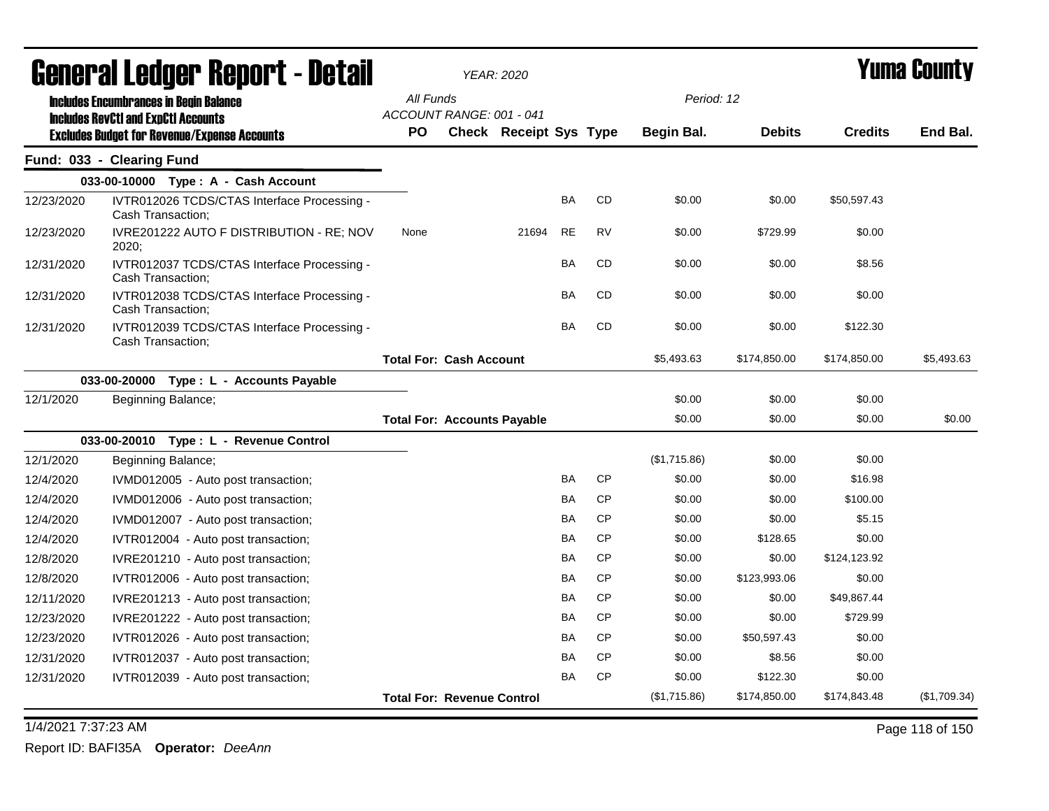| General Ledger Report - Detail |                                                                                                   | <b>YEAR: 2020</b>                     |                               |           |           |              |               | Yuma Countv    |              |
|--------------------------------|---------------------------------------------------------------------------------------------------|---------------------------------------|-------------------------------|-----------|-----------|--------------|---------------|----------------|--------------|
|                                | <b>Includes Encumbrances in Begin Balance</b>                                                     | All Funds                             |                               |           |           | Period: 12   |               |                |              |
|                                | <b>Includes RevCtI and ExpCtI Accounts</b><br><b>Excludes Budget for Revenue/Expense Accounts</b> | ACCOUNT RANGE: 001 - 041<br><b>PO</b> | <b>Check Receipt Sys Type</b> |           |           | Begin Bal.   | <b>Debits</b> | <b>Credits</b> | End Bal.     |
|                                | Fund: 033 - Clearing Fund                                                                         |                                       |                               |           |           |              |               |                |              |
|                                | 033-00-10000 Type: A - Cash Account                                                               |                                       |                               |           |           |              |               |                |              |
| 12/23/2020                     | IVTR012026 TCDS/CTAS Interface Processing -<br>Cash Transaction;                                  |                                       |                               | <b>BA</b> | CD        | \$0.00       | \$0.00        | \$50,597.43    |              |
| 12/23/2020                     | IVRE201222 AUTO F DISTRIBUTION - RE; NOV<br>2020:                                                 | None                                  | 21694                         | <b>RE</b> | <b>RV</b> | \$0.00       | \$729.99      | \$0.00         |              |
| 12/31/2020                     | IVTR012037 TCDS/CTAS Interface Processing -<br>Cash Transaction;                                  |                                       |                               | BA        | CD        | \$0.00       | \$0.00        | \$8.56         |              |
| 12/31/2020                     | IVTR012038 TCDS/CTAS Interface Processing -<br>Cash Transaction;                                  |                                       |                               | <b>BA</b> | CD        | \$0.00       | \$0.00        | \$0.00         |              |
| 12/31/2020                     | IVTR012039 TCDS/CTAS Interface Processing -<br>Cash Transaction;                                  |                                       |                               | <b>BA</b> | <b>CD</b> | \$0.00       | \$0.00        | \$122.30       |              |
|                                |                                                                                                   | <b>Total For: Cash Account</b>        |                               |           |           | \$5,493.63   | \$174,850.00  | \$174,850.00   | \$5,493.63   |
|                                | 033-00-20000<br>Type: L - Accounts Payable                                                        |                                       |                               |           |           |              |               |                |              |
| 12/1/2020                      | Beginning Balance;                                                                                |                                       |                               |           |           | \$0.00       | \$0.00        | \$0.00         |              |
|                                |                                                                                                   | <b>Total For: Accounts Payable</b>    |                               |           |           | \$0.00       | \$0.00        | \$0.00         | \$0.00       |
|                                | 033-00-20010 Type: L - Revenue Control                                                            |                                       |                               |           |           |              |               |                |              |
| 12/1/2020                      | Beginning Balance;                                                                                |                                       |                               |           |           | (\$1,715.86) | \$0.00        | \$0.00         |              |
| 12/4/2020                      | IVMD012005 - Auto post transaction;                                                               |                                       |                               | <b>BA</b> | <b>CP</b> | \$0.00       | \$0.00        | \$16.98        |              |
| 12/4/2020                      | IVMD012006 - Auto post transaction;                                                               |                                       |                               | <b>BA</b> | <b>CP</b> | \$0.00       | \$0.00        | \$100.00       |              |
| 12/4/2020                      | IVMD012007 - Auto post transaction;                                                               |                                       |                               | <b>BA</b> | <b>CP</b> | \$0.00       | \$0.00        | \$5.15         |              |
| 12/4/2020                      | IVTR012004 - Auto post transaction;                                                               |                                       |                               | <b>BA</b> | <b>CP</b> | \$0.00       | \$128.65      | \$0.00         |              |
| 12/8/2020                      | IVRE201210 - Auto post transaction;                                                               |                                       |                               | BA        | <b>CP</b> | \$0.00       | \$0.00        | \$124,123.92   |              |
| 12/8/2020                      | IVTR012006 - Auto post transaction;                                                               |                                       |                               | BA        | <b>CP</b> | \$0.00       | \$123,993.06  | \$0.00         |              |
| 12/11/2020                     | IVRE201213 - Auto post transaction;                                                               |                                       |                               | BA        | <b>CP</b> | \$0.00       | \$0.00        | \$49,867.44    |              |
| 12/23/2020                     | IVRE201222 - Auto post transaction;                                                               |                                       |                               | BA        | <b>CP</b> | \$0.00       | \$0.00        | \$729.99       |              |
| 12/23/2020                     | IVTR012026 - Auto post transaction;                                                               |                                       |                               | BA        | <b>CP</b> | \$0.00       | \$50,597.43   | \$0.00         |              |
| 12/31/2020                     | IVTR012037 - Auto post transaction;                                                               |                                       |                               | BA        | <b>CP</b> | \$0.00       | \$8.56        | \$0.00         |              |
| 12/31/2020                     | IVTR012039 - Auto post transaction;                                                               |                                       |                               | BA        | <b>CP</b> | \$0.00       | \$122.30      | \$0.00         |              |
|                                |                                                                                                   | <b>Total For: Revenue Control</b>     |                               |           |           | (\$1,715.86) | \$174,850.00  | \$174,843.48   | (\$1,709.34) |

1/4/2021 7:37:23 AM Page 118 of 150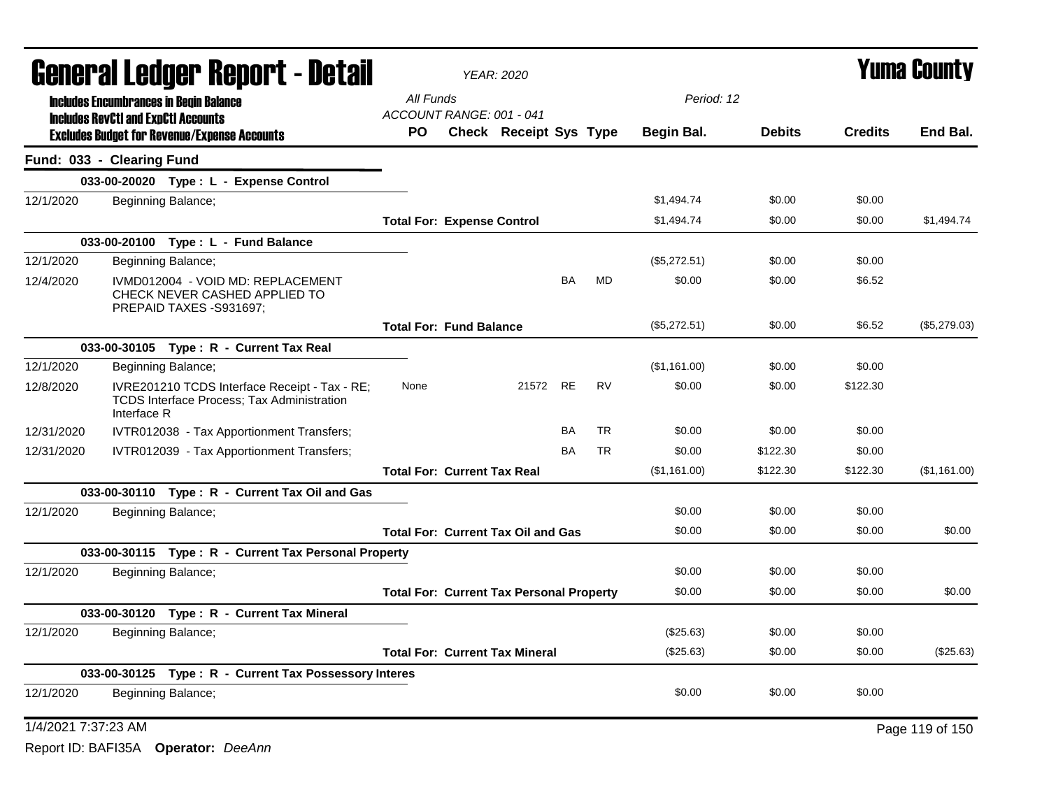| <b>General Ledger Report - Detail</b> |                                                                                                                   |           |                                                 | <b>YEAR: 2020</b>      |    |           |              | <b>Yuma County</b> |                |                 |  |
|---------------------------------------|-------------------------------------------------------------------------------------------------------------------|-----------|-------------------------------------------------|------------------------|----|-----------|--------------|--------------------|----------------|-----------------|--|
|                                       | <b>Includes Encumbrances in Begin Balance</b>                                                                     | All Funds |                                                 |                        |    |           | Period: 12   |                    |                |                 |  |
|                                       | <b>Includes RevCtI and ExpCtI Accounts</b><br><b>Excludes Budget for Revenue/Expense Accounts</b>                 | PO.       | ACCOUNT RANGE: 001 - 041                        | Check Receipt Sys Type |    |           | Begin Bal.   | <b>Debits</b>      | <b>Credits</b> | End Bal.        |  |
|                                       | Fund: 033 - Clearing Fund                                                                                         |           |                                                 |                        |    |           |              |                    |                |                 |  |
|                                       | 033-00-20020 Type: L - Expense Control                                                                            |           |                                                 |                        |    |           |              |                    |                |                 |  |
| 12/1/2020                             | Beginning Balance;                                                                                                |           |                                                 |                        |    |           | \$1,494.74   | \$0.00             | \$0.00         |                 |  |
|                                       |                                                                                                                   |           | <b>Total For: Expense Control</b>               |                        |    |           | \$1,494.74   | \$0.00             | \$0.00         | \$1,494.74      |  |
|                                       | 033-00-20100 Type: L - Fund Balance                                                                               |           |                                                 |                        |    |           |              |                    |                |                 |  |
| 12/1/2020                             | Beginning Balance;                                                                                                |           |                                                 |                        |    |           | (\$5,272.51) | \$0.00             | \$0.00         |                 |  |
| 12/4/2020                             | IVMD012004 - VOID MD: REPLACEMENT<br>CHECK NEVER CASHED APPLIED TO<br>PREPAID TAXES -S931697:                     |           |                                                 |                        | BA | <b>MD</b> | \$0.00       | \$0.00             | \$6.52         |                 |  |
|                                       |                                                                                                                   |           | <b>Total For: Fund Balance</b>                  |                        |    |           | (\$5,272.51) | \$0.00             | \$6.52         | (\$5,279.03)    |  |
|                                       | 033-00-30105 Type: R - Current Tax Real                                                                           |           |                                                 |                        |    |           |              |                    |                |                 |  |
| 12/1/2020                             | Beginning Balance;                                                                                                |           |                                                 |                        |    |           | (\$1,161.00) | \$0.00             | \$0.00         |                 |  |
| 12/8/2020                             | IVRE201210 TCDS Interface Receipt - Tax - RE;<br><b>TCDS Interface Process; Tax Administration</b><br>Interface R | None      |                                                 | 21572 RE               |    | <b>RV</b> | \$0.00       | \$0.00             | \$122.30       |                 |  |
| 12/31/2020                            | IVTR012038 - Tax Apportionment Transfers;                                                                         |           |                                                 |                        | BA | TR        | \$0.00       | \$0.00             | \$0.00         |                 |  |
| 12/31/2020                            | IVTR012039 - Tax Apportionment Transfers;                                                                         |           |                                                 |                        | BA | <b>TR</b> | \$0.00       | \$122.30           | \$0.00         |                 |  |
|                                       |                                                                                                                   |           | <b>Total For: Current Tax Real</b>              |                        |    |           | (\$1,161.00) | \$122.30           | \$122.30       | (\$1,161.00)    |  |
|                                       | 033-00-30110 Type: R - Current Tax Oil and Gas                                                                    |           |                                                 |                        |    |           |              |                    |                |                 |  |
| 12/1/2020                             | Beginning Balance;                                                                                                |           |                                                 |                        |    |           | \$0.00       | \$0.00             | \$0.00         |                 |  |
|                                       |                                                                                                                   |           | <b>Total For: Current Tax Oil and Gas</b>       |                        |    |           | \$0.00       | \$0.00             | \$0.00         | \$0.00          |  |
|                                       | 033-00-30115 Type: R - Current Tax Personal Property                                                              |           |                                                 |                        |    |           |              |                    |                |                 |  |
| 12/1/2020                             | Beginning Balance;                                                                                                |           |                                                 |                        |    |           | \$0.00       | \$0.00             | \$0.00         |                 |  |
|                                       |                                                                                                                   |           | <b>Total For: Current Tax Personal Property</b> |                        |    |           | \$0.00       | \$0.00             | \$0.00         | \$0.00          |  |
|                                       | 033-00-30120 Type: R - Current Tax Mineral                                                                        |           |                                                 |                        |    |           |              |                    |                |                 |  |
| 12/1/2020                             | Beginning Balance;                                                                                                |           |                                                 |                        |    |           | (\$25.63)    | \$0.00             | \$0.00         |                 |  |
|                                       |                                                                                                                   |           | <b>Total For: Current Tax Mineral</b>           |                        |    |           | (\$25.63)    | \$0.00             | \$0.00         | (\$25.63)       |  |
|                                       | 033-00-30125 Type: R - Current Tax Possessory Interes                                                             |           |                                                 |                        |    |           |              |                    |                |                 |  |
| 12/1/2020                             | Beginning Balance;                                                                                                |           |                                                 |                        |    |           | \$0.00       | \$0.00             | \$0.00         |                 |  |
| 1/4/2021 7:37:23 AM                   |                                                                                                                   |           |                                                 |                        |    |           |              |                    |                | Page 119 of 150 |  |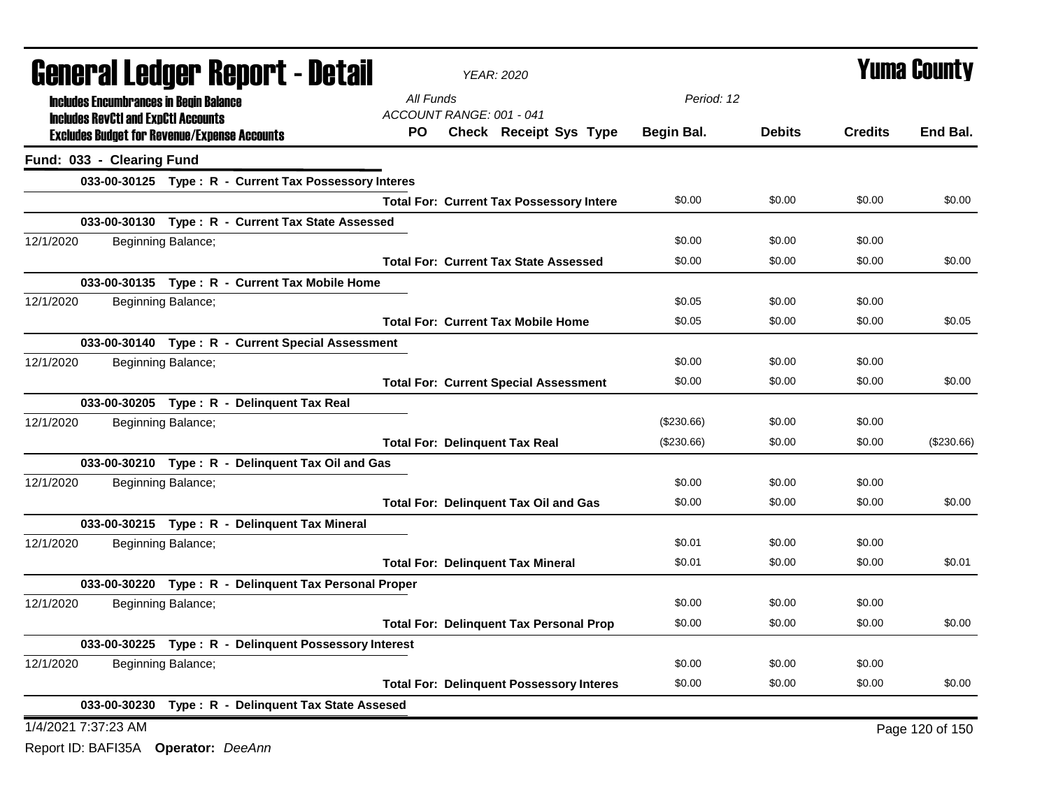| <b>General Ledger Report - Detail</b>                 | <b>YEAR: 2020</b>                               |            |               | <b>Yuma County</b> |                 |
|-------------------------------------------------------|-------------------------------------------------|------------|---------------|--------------------|-----------------|
| <b>Includes Encumbrances in Begin Balance</b>         | All Funds                                       | Period: 12 |               |                    |                 |
| <b>Includes RevCtI and ExpCtI Accounts</b>            | ACCOUNT RANGE: 001 - 041                        |            |               |                    |                 |
| <b>Excludes Budget for Revenue/Expense Accounts</b>   | <b>Check Receipt Sys Type</b><br>PO.            | Begin Bal. | <b>Debits</b> | <b>Credits</b>     | End Bal.        |
| Fund: 033 - Clearing Fund                             |                                                 |            |               |                    |                 |
| 033-00-30125 Type: R - Current Tax Possessory Interes |                                                 |            |               |                    |                 |
|                                                       | <b>Total For: Current Tax Possessory Intere</b> | \$0.00     | \$0.00        | \$0.00             | \$0.00          |
| 033-00-30130 Type: R - Current Tax State Assessed     |                                                 |            |               |                    |                 |
| 12/1/2020<br>Beginning Balance;                       |                                                 | \$0.00     | \$0.00        | \$0.00             |                 |
|                                                       | <b>Total For: Current Tax State Assessed</b>    | \$0.00     | \$0.00        | \$0.00             | \$0.00          |
| 033-00-30135 Type: R - Current Tax Mobile Home        |                                                 |            |               |                    |                 |
| 12/1/2020<br>Beginning Balance;                       |                                                 | \$0.05     | \$0.00        | \$0.00             |                 |
|                                                       | <b>Total For: Current Tax Mobile Home</b>       | \$0.05     | \$0.00        | \$0.00             | \$0.05          |
| 033-00-30140 Type: R - Current Special Assessment     |                                                 |            |               |                    |                 |
| 12/1/2020<br>Beginning Balance;                       |                                                 | \$0.00     | \$0.00        | \$0.00             |                 |
|                                                       | <b>Total For: Current Special Assessment</b>    | \$0.00     | \$0.00        | \$0.00             | \$0.00          |
| 033-00-30205 Type: R - Delinquent Tax Real            |                                                 |            |               |                    |                 |
| 12/1/2020<br>Beginning Balance;                       |                                                 | (\$230.66) | \$0.00        | \$0.00             |                 |
|                                                       | <b>Total For: Delinquent Tax Real</b>           | (\$230.66) | \$0.00        | \$0.00             | $(\$230.66)$    |
| 033-00-30210 Type: R - Delinquent Tax Oil and Gas     |                                                 |            |               |                    |                 |
| 12/1/2020<br>Beginning Balance;                       |                                                 | \$0.00     | \$0.00        | \$0.00             |                 |
|                                                       | <b>Total For: Delinquent Tax Oil and Gas</b>    | \$0.00     | \$0.00        | \$0.00             | \$0.00          |
| 033-00-30215 Type: R - Delinquent Tax Mineral         |                                                 |            |               |                    |                 |
| 12/1/2020<br>Beginning Balance;                       |                                                 | \$0.01     | \$0.00        | \$0.00             |                 |
|                                                       | <b>Total For: Delinquent Tax Mineral</b>        | \$0.01     | \$0.00        | \$0.00             | \$0.01          |
| 033-00-30220 Type: R - Delinquent Tax Personal Proper |                                                 |            |               |                    |                 |
| 12/1/2020<br>Beginning Balance;                       |                                                 | \$0.00     | \$0.00        | \$0.00             |                 |
|                                                       | <b>Total For: Delinquent Tax Personal Prop</b>  | \$0.00     | \$0.00        | \$0.00             | \$0.00          |
| 033-00-30225 Type: R - Delinquent Possessory Interest |                                                 |            |               |                    |                 |
| 12/1/2020<br>Beginning Balance;                       |                                                 | \$0.00     | \$0.00        | \$0.00             |                 |
|                                                       | <b>Total For: Delinquent Possessory Interes</b> | \$0.00     | \$0.00        | \$0.00             | \$0.00          |
| 033-00-30230 Type: R - Delinquent Tax State Assesed   |                                                 |            |               |                    |                 |
| 1/4/2021 7:37:23 AM                                   |                                                 |            |               |                    | Page 120 of 150 |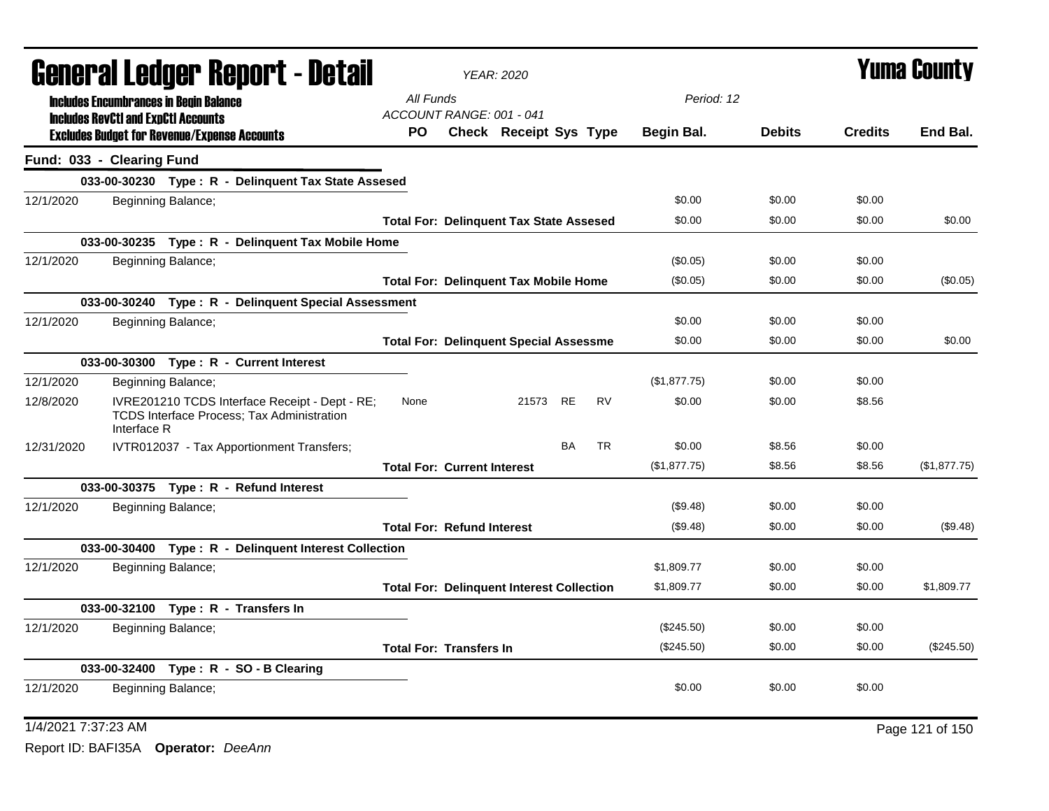|                           |             | General Ledger Report - Detail                                                               |                                    | <b>YEAR: 2020</b>                                |           |           |              |               |                | <b>Yuma County</b> |
|---------------------------|-------------|----------------------------------------------------------------------------------------------|------------------------------------|--------------------------------------------------|-----------|-----------|--------------|---------------|----------------|--------------------|
|                           |             | <b>Includes Encumbrances in Begin Balance</b>                                                | All Funds                          |                                                  |           |           | Period: 12   |               |                |                    |
|                           |             | <b>Includes RevCtI and ExpCtI Accounts</b>                                                   | ACCOUNT RANGE: 001 - 041           |                                                  |           |           |              |               |                |                    |
|                           |             | <b>Excludes Budget for Revenue/Expense Accounts</b>                                          | PO.                                | Check Receipt Sys Type                           |           |           | Begin Bal.   | <b>Debits</b> | <b>Credits</b> | End Bal.           |
| Fund: 033 - Clearing Fund |             |                                                                                              |                                    |                                                  |           |           |              |               |                |                    |
|                           |             | 033-00-30230 Type: R - Delinquent Tax State Assesed                                          |                                    |                                                  |           |           |              |               |                |                    |
| 12/1/2020                 |             | Beginning Balance;                                                                           |                                    |                                                  |           |           | \$0.00       | \$0.00        | \$0.00         |                    |
|                           |             |                                                                                              |                                    | <b>Total For: Delinquent Tax State Assesed</b>   |           |           | \$0.00       | \$0.00        | \$0.00         | \$0.00             |
|                           |             | 033-00-30235 Type: R - Delinquent Tax Mobile Home                                            |                                    |                                                  |           |           |              |               |                |                    |
| 12/1/2020                 |             | Beginning Balance;                                                                           |                                    |                                                  |           |           | (\$0.05)     | \$0.00        | \$0.00         |                    |
|                           |             |                                                                                              |                                    | <b>Total For: Delinquent Tax Mobile Home</b>     |           |           | (\$0.05)     | \$0.00        | \$0.00         | $(\$0.05)$         |
|                           |             | 033-00-30240 Type: R - Delinquent Special Assessment                                         |                                    |                                                  |           |           |              |               |                |                    |
| 12/1/2020                 |             | Beginning Balance;                                                                           |                                    |                                                  |           |           | \$0.00       | \$0.00        | \$0.00         |                    |
|                           |             |                                                                                              |                                    | <b>Total For: Delinquent Special Assessme</b>    |           |           | \$0.00       | \$0.00        | \$0.00         | \$0.00             |
|                           |             | 033-00-30300 Type: R - Current Interest                                                      |                                    |                                                  |           |           |              |               |                |                    |
| 12/1/2020                 |             | Beginning Balance;                                                                           |                                    |                                                  |           |           | (\$1,877.75) | \$0.00        | \$0.00         |                    |
| 12/8/2020                 | Interface R | IVRE201210 TCDS Interface Receipt - Dept - RE;<br>TCDS Interface Process; Tax Administration | None                               | 21573 RE                                         |           | <b>RV</b> | \$0.00       | \$0.00        | \$8.56         |                    |
| 12/31/2020                |             | IVTR012037 - Tax Apportionment Transfers;                                                    |                                    |                                                  | <b>BA</b> | <b>TR</b> | \$0.00       | \$8.56        | \$0.00         |                    |
|                           |             |                                                                                              | <b>Total For: Current Interest</b> |                                                  |           |           | (\$1,877.75) | \$8.56        | \$8.56         | (\$1,877.75)       |
|                           |             |                                                                                              |                                    |                                                  |           |           |              |               |                |                    |
| 12/1/2020                 |             | Beginning Balance;                                                                           |                                    |                                                  |           |           | (\$9.48)     | \$0.00        | \$0.00         |                    |
|                           |             |                                                                                              | <b>Total For: Refund Interest</b>  |                                                  |           |           | (\$9.48)     | \$0.00        | \$0.00         | (\$9.48)           |
|                           |             | 033-00-30400 Type: R - Delinquent Interest Collection                                        |                                    |                                                  |           |           |              |               |                |                    |
| 12/1/2020                 |             | Beginning Balance;                                                                           |                                    |                                                  |           |           | \$1,809.77   | \$0.00        | \$0.00         |                    |
|                           |             |                                                                                              |                                    | <b>Total For: Delinquent Interest Collection</b> |           |           | \$1,809.77   | \$0.00        | \$0.00         | \$1,809.77         |
|                           |             | 033-00-32100 Type: R - Transfers In                                                          |                                    |                                                  |           |           |              |               |                |                    |
| 12/1/2020                 |             | Beginning Balance;                                                                           |                                    |                                                  |           |           | (\$245.50)   | \$0.00        | \$0.00         |                    |
|                           |             |                                                                                              | <b>Total For: Transfers In</b>     |                                                  |           |           | (\$245.50)   | \$0.00        | \$0.00         | $(\$245.50)$       |
|                           |             | 033-00-32400 Type: R - SO - B Clearing                                                       |                                    |                                                  |           |           |              |               |                |                    |
| 12/1/2020                 |             | Beginning Balance;                                                                           |                                    |                                                  |           |           | \$0.00       | \$0.00        | \$0.00         |                    |
|                           |             |                                                                                              |                                    |                                                  |           |           |              |               |                |                    |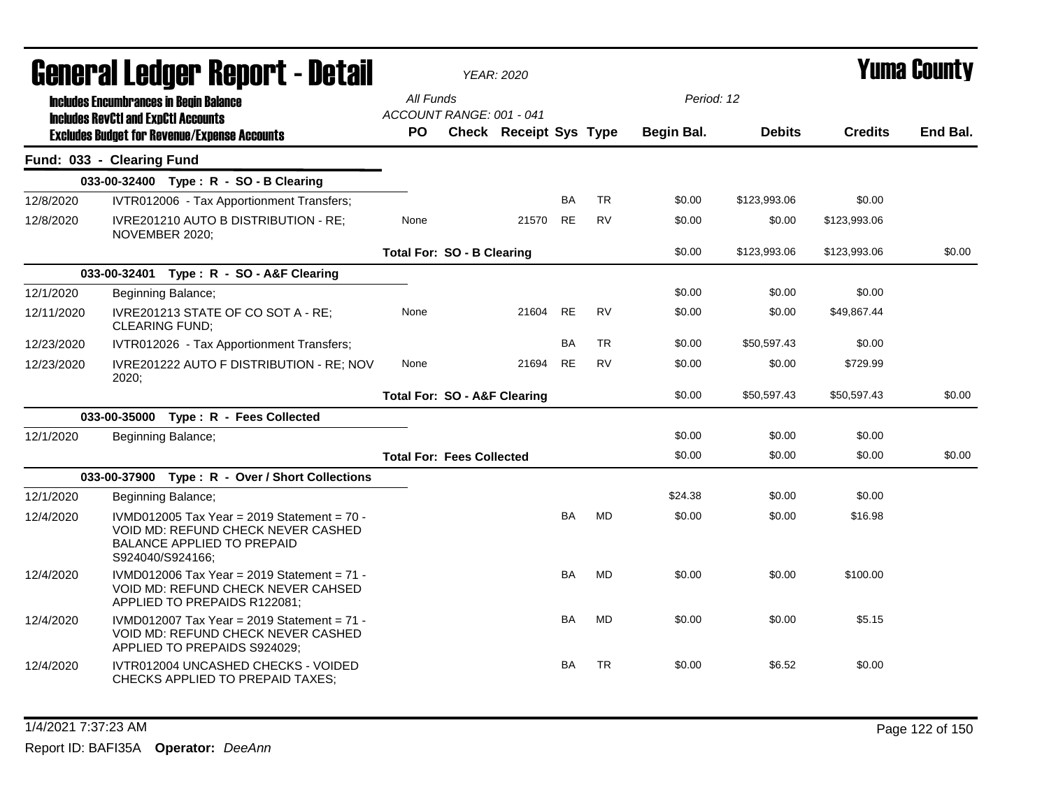|            | <b>General Ledger Report - Detail</b>                                                                                                        |                                         | <b>YEAR: 2020</b>             |           |           |            |               |                | Yuma County |
|------------|----------------------------------------------------------------------------------------------------------------------------------------------|-----------------------------------------|-------------------------------|-----------|-----------|------------|---------------|----------------|-------------|
|            | <b>Includes Encumbrances in Begin Balance</b>                                                                                                | All Funds<br>ACCOUNT RANGE: 001 - 041   |                               |           |           | Period: 12 |               |                |             |
|            | <b>Includes RevCtI and ExpCtI Accounts</b><br><b>Excludes Budget for Revenue/Expense Accounts</b>                                            | <b>PO</b>                               | <b>Check Receipt Sys Type</b> |           |           | Begin Bal. | <b>Debits</b> | <b>Credits</b> | End Bal.    |
|            | Fund: 033 - Clearing Fund                                                                                                                    |                                         |                               |           |           |            |               |                |             |
|            | 033-00-32400 Type: R - SO - B Clearing                                                                                                       |                                         |                               |           |           |            |               |                |             |
| 12/8/2020  | IVTR012006 - Tax Apportionment Transfers;                                                                                                    |                                         |                               | <b>BA</b> | <b>TR</b> | \$0.00     | \$123,993.06  | \$0.00         |             |
| 12/8/2020  | IVRE201210 AUTO B DISTRIBUTION - RE;<br>NOVEMBER 2020;                                                                                       | None                                    | 21570                         | <b>RE</b> | <b>RV</b> | \$0.00     | \$0.00        | \$123,993.06   |             |
|            |                                                                                                                                              | <b>Total For: SO - B Clearing</b>       |                               |           |           | \$0.00     | \$123,993.06  | \$123,993.06   | \$0.00      |
|            | 033-00-32401 Type: R - SO - A&F Clearing                                                                                                     |                                         |                               |           |           |            |               |                |             |
| 12/1/2020  | Beginning Balance;                                                                                                                           |                                         |                               |           |           | \$0.00     | \$0.00        | \$0.00         |             |
| 12/11/2020 | IVRE201213 STATE OF CO SOT A - RE;<br><b>CLEARING FUND;</b>                                                                                  | None                                    | 21604                         | <b>RE</b> | <b>RV</b> | \$0.00     | \$0.00        | \$49,867.44    |             |
| 12/23/2020 | IVTR012026 - Tax Apportionment Transfers;                                                                                                    |                                         |                               | <b>BA</b> | <b>TR</b> | \$0.00     | \$50,597.43   | \$0.00         |             |
| 12/23/2020 | IVRE201222 AUTO F DISTRIBUTION - RE; NOV<br>2020:                                                                                            | None                                    | 21694                         | <b>RE</b> | <b>RV</b> | \$0.00     | \$0.00        | \$729.99       |             |
|            |                                                                                                                                              | <b>Total For: SO - A&amp;F Clearing</b> |                               |           |           | \$0.00     | \$50,597.43   | \$50,597.43    | \$0.00      |
|            | 033-00-35000 Type: R - Fees Collected                                                                                                        |                                         |                               |           |           |            |               |                |             |
| 12/1/2020  | Beginning Balance;                                                                                                                           |                                         |                               |           |           | \$0.00     | \$0.00        | \$0.00         |             |
|            |                                                                                                                                              | <b>Total For: Fees Collected</b>        |                               |           |           | \$0.00     | \$0.00        | \$0.00         | \$0.00      |
|            | 033-00-37900<br>Type: R - Over / Short Collections                                                                                           |                                         |                               |           |           |            |               |                |             |
| 12/1/2020  | Beginning Balance;                                                                                                                           |                                         |                               |           |           | \$24.38    | \$0.00        | \$0.00         |             |
| 12/4/2020  | IVMD012005 Tax Year = 2019 Statement = $70 -$<br>VOID MD: REFUND CHECK NEVER CASHED<br><b>BALANCE APPLIED TO PREPAID</b><br>S924040/S924166; |                                         |                               | <b>BA</b> | <b>MD</b> | \$0.00     | \$0.00        | \$16.98        |             |
| 12/4/2020  | IVMD012006 Tax Year = 2019 Statement = $71 -$<br>VOID MD: REFUND CHECK NEVER CAHSED<br>APPLIED TO PREPAIDS R122081;                          |                                         |                               | <b>BA</b> | <b>MD</b> | \$0.00     | \$0.00        | \$100.00       |             |
| 12/4/2020  | IVMD012007 Tax Year = 2019 Statement = 71 -<br>VOID MD: REFUND CHECK NEVER CASHED<br>APPLIED TO PREPAIDS S924029;                            |                                         |                               | <b>BA</b> | <b>MD</b> | \$0.00     | \$0.00        | \$5.15         |             |
| 12/4/2020  | IVTR012004 UNCASHED CHECKS - VOIDED<br>CHECKS APPLIED TO PREPAID TAXES;                                                                      |                                         |                               | <b>BA</b> | <b>TR</b> | \$0.00     | \$6.52        | \$0.00         |             |

1/4/2021 7:37:23 AM Page 122 of 150 Report ID: BAFI35A **Operator:** *DeeAnn*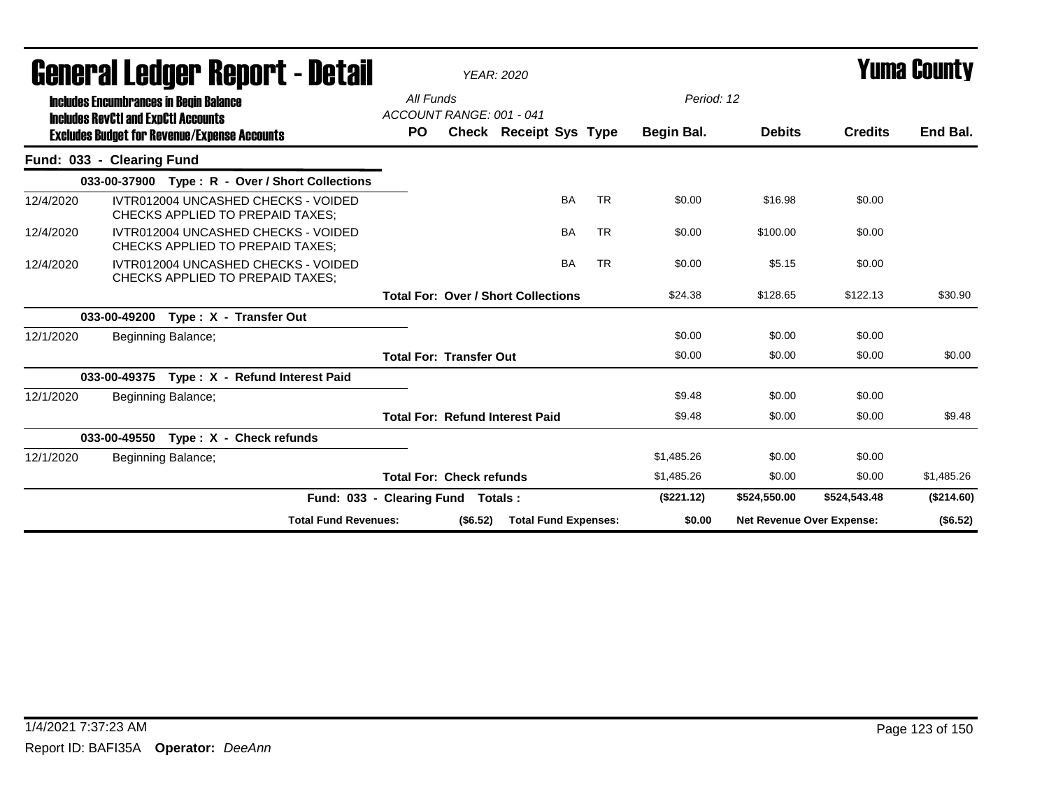|                           |              |                                               | General Ledger Report - Detail                                                 |                                            |          | <b>YEAR: 2020</b>           |           |           |            |                                  |                | <b>Yuma County</b> |
|---------------------------|--------------|-----------------------------------------------|--------------------------------------------------------------------------------|--------------------------------------------|----------|-----------------------------|-----------|-----------|------------|----------------------------------|----------------|--------------------|
|                           |              | <b>Includes Encumbrances in Begin Balance</b> |                                                                                | All Funds                                  |          |                             |           |           | Period: 12 |                                  |                |                    |
|                           |              | <b>Includes RevCtI and ExpCtI Accounts</b>    | <b>Excludes Budget for Revenue/Expense Accounts</b>                            | ACCOUNT RANGE: 001 - 041<br><b>PO</b>      |          | Check Receipt Sys Type      |           |           | Begin Bal. | <b>Debits</b>                    | <b>Credits</b> | End Bal.           |
| Fund: 033 - Clearing Fund |              |                                               |                                                                                |                                            |          |                             |           |           |            |                                  |                |                    |
|                           |              |                                               | 033-00-37900 Type: R - Over / Short Collections                                |                                            |          |                             |           |           |            |                                  |                |                    |
| 12/4/2020                 |              |                                               | IVTR012004 UNCASHED CHECKS - VOIDED<br>CHECKS APPLIED TO PREPAID TAXES:        |                                            |          |                             | <b>BA</b> | <b>TR</b> | \$0.00     | \$16.98                          | \$0.00         |                    |
| 12/4/2020                 |              |                                               | IVTR012004 UNCASHED CHECKS - VOIDED<br>CHECKS APPLIED TO PREPAID TAXES:        |                                            |          |                             | <b>BA</b> | <b>TR</b> | \$0.00     | \$100.00                         | \$0.00         |                    |
| 12/4/2020                 |              |                                               | IVTR012004 UNCASHED CHECKS - VOIDED<br><b>CHECKS APPLIED TO PREPAID TAXES:</b> |                                            |          |                             | <b>BA</b> | <b>TR</b> | \$0.00     | \$5.15                           | \$0.00         |                    |
|                           |              |                                               |                                                                                | <b>Total For: Over / Short Collections</b> |          |                             |           |           | \$24.38    | \$128.65                         | \$122.13       | \$30.90            |
|                           | 033-00-49200 |                                               | Type: X - Transfer Out                                                         |                                            |          |                             |           |           |            |                                  |                |                    |
| 12/1/2020                 |              | Beginning Balance;                            |                                                                                |                                            |          |                             |           |           | \$0.00     | \$0.00                           | \$0.00         |                    |
|                           |              |                                               |                                                                                | <b>Total For: Transfer Out</b>             |          |                             |           |           | \$0.00     | \$0.00                           | \$0.00         | \$0.00             |
|                           | 033-00-49375 |                                               | Type: X - Refund Interest Paid                                                 |                                            |          |                             |           |           |            |                                  |                |                    |
| 12/1/2020                 |              | Beginning Balance;                            |                                                                                |                                            |          |                             |           |           | \$9.48     | \$0.00                           | \$0.00         |                    |
|                           |              |                                               |                                                                                | <b>Total For: Refund Interest Paid</b>     |          |                             |           |           | \$9.48     | \$0.00                           | \$0.00         | \$9.48             |
|                           |              |                                               | 033-00-49550 Type: X - Check refunds                                           |                                            |          |                             |           |           |            |                                  |                |                    |
| 12/1/2020                 |              | Beginning Balance;                            |                                                                                |                                            |          |                             |           |           | \$1,485.26 | \$0.00                           | \$0.00         |                    |
|                           |              |                                               |                                                                                | <b>Total For: Check refunds</b>            |          |                             |           |           | \$1,485.26 | \$0.00                           | \$0.00         | \$1,485.26         |
|                           |              |                                               | Fund: 033 - Clearing Fund Totals:                                              |                                            |          |                             |           |           | (\$221.12) | \$524,550.00                     | \$524,543.48   | (\$214.60)         |
|                           |              |                                               | <b>Total Fund Revenues:</b>                                                    |                                            | (\$6.52) | <b>Total Fund Expenses:</b> |           |           | \$0.00     | <b>Net Revenue Over Expense:</b> |                | (\$6.52)           |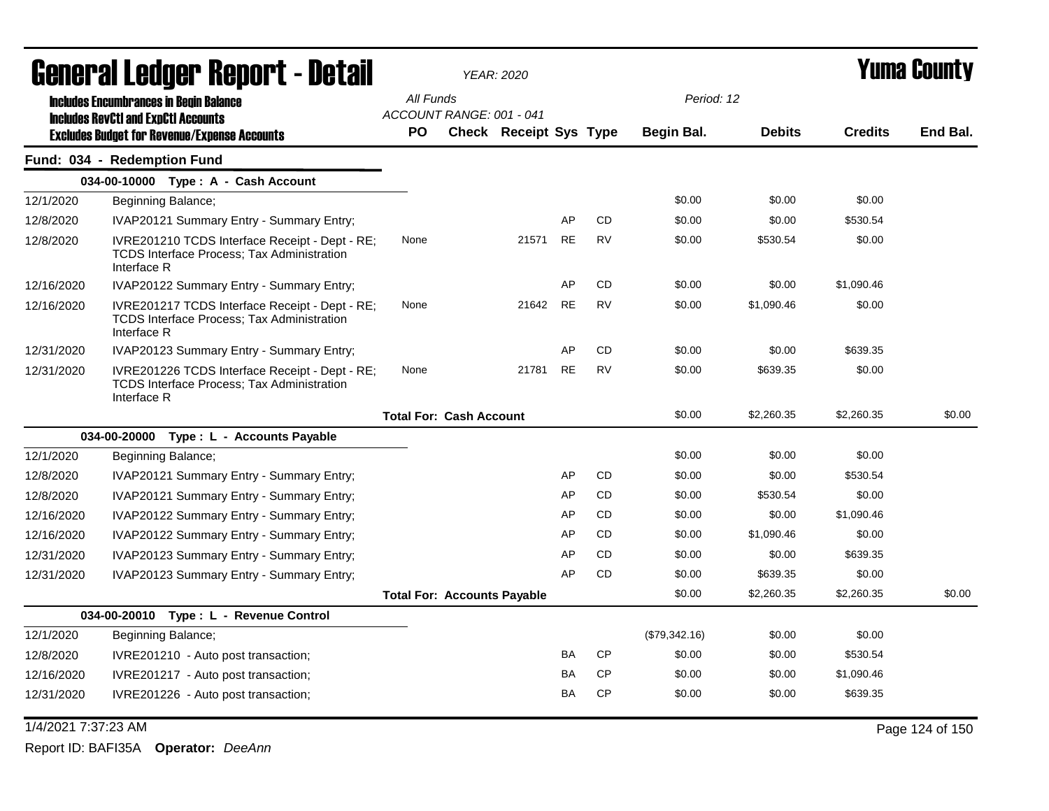|                     | General Ledger Report - Detail                                                                                     |                                    | <b>YEAR: 2020</b>             |           |           |               |               | <b>Yuma County</b> |                 |
|---------------------|--------------------------------------------------------------------------------------------------------------------|------------------------------------|-------------------------------|-----------|-----------|---------------|---------------|--------------------|-----------------|
|                     | <b>Includes Encumbrances in Begin Balance</b>                                                                      | All Funds                          |                               |           |           | Period: 12    |               |                    |                 |
|                     | <b>Includes RevCtI and ExpCtI Accounts</b>                                                                         | ACCOUNT RANGE: 001 - 041           |                               |           |           |               |               |                    |                 |
|                     | <b>Excludes Budget for Revenue/Expense Accounts</b>                                                                | <b>PO</b>                          | <b>Check Receipt Sys Type</b> |           |           | Begin Bal.    | <b>Debits</b> | <b>Credits</b>     | End Bal.        |
|                     | Fund: 034 - Redemption Fund                                                                                        |                                    |                               |           |           |               |               |                    |                 |
|                     | 034-00-10000 Type: A - Cash Account                                                                                |                                    |                               |           |           |               |               |                    |                 |
| 12/1/2020           | Beginning Balance;                                                                                                 |                                    |                               |           |           | \$0.00        | \$0.00        | \$0.00             |                 |
| 12/8/2020           | IVAP20121 Summary Entry - Summary Entry;                                                                           |                                    |                               | AP        | <b>CD</b> | \$0.00        | \$0.00        | \$530.54           |                 |
| 12/8/2020           | IVRE201210 TCDS Interface Receipt - Dept - RE;<br><b>TCDS Interface Process; Tax Administration</b><br>Interface R | None                               | 21571                         | <b>RE</b> | <b>RV</b> | \$0.00        | \$530.54      | \$0.00             |                 |
| 12/16/2020          | IVAP20122 Summary Entry - Summary Entry;                                                                           |                                    |                               | AP        | CD        | \$0.00        | \$0.00        | \$1,090.46         |                 |
| 12/16/2020          | IVRE201217 TCDS Interface Receipt - Dept - RE;<br><b>TCDS Interface Process; Tax Administration</b><br>Interface R | None                               | 21642                         | <b>RE</b> | RV        | \$0.00        | \$1,090.46    | \$0.00             |                 |
| 12/31/2020          | IVAP20123 Summary Entry - Summary Entry;                                                                           |                                    |                               | AP        | <b>CD</b> | \$0.00        | \$0.00        | \$639.35           |                 |
| 12/31/2020          | IVRE201226 TCDS Interface Receipt - Dept - RE;<br><b>TCDS Interface Process; Tax Administration</b><br>Interface R | None                               | 21781                         | <b>RE</b> | <b>RV</b> | \$0.00        | \$639.35      | \$0.00             |                 |
|                     |                                                                                                                    | <b>Total For: Cash Account</b>     |                               |           |           | \$0.00        | \$2,260.35    | \$2,260.35         | \$0.00          |
|                     | 034-00-20000<br>Type : L - Accounts Payable                                                                        |                                    |                               |           |           |               |               |                    |                 |
| 12/1/2020           | Beginning Balance;                                                                                                 |                                    |                               |           |           | \$0.00        | \$0.00        | \$0.00             |                 |
| 12/8/2020           | IVAP20121 Summary Entry - Summary Entry;                                                                           |                                    |                               | AP        | <b>CD</b> | \$0.00        | \$0.00        | \$530.54           |                 |
| 12/8/2020           | IVAP20121 Summary Entry - Summary Entry;                                                                           |                                    |                               | AP        | <b>CD</b> | \$0.00        | \$530.54      | \$0.00             |                 |
| 12/16/2020          | IVAP20122 Summary Entry - Summary Entry;                                                                           |                                    |                               | AP        | <b>CD</b> | \$0.00        | \$0.00        | \$1,090.46         |                 |
| 12/16/2020          | IVAP20122 Summary Entry - Summary Entry;                                                                           |                                    |                               | AP        | <b>CD</b> | \$0.00        | \$1,090.46    | \$0.00             |                 |
| 12/31/2020          | IVAP20123 Summary Entry - Summary Entry;                                                                           |                                    |                               | AP        | CD        | \$0.00        | \$0.00        | \$639.35           |                 |
| 12/31/2020          | IVAP20123 Summary Entry - Summary Entry;                                                                           |                                    |                               | AP        | <b>CD</b> | \$0.00        | \$639.35      | \$0.00             |                 |
|                     |                                                                                                                    | <b>Total For: Accounts Payable</b> |                               |           |           | \$0.00        | \$2,260.35    | \$2,260.35         | \$0.00          |
|                     | 034-00-20010 Type: L - Revenue Control                                                                             |                                    |                               |           |           |               |               |                    |                 |
| 12/1/2020           | Beginning Balance;                                                                                                 |                                    |                               |           |           | (\$79,342.16) | \$0.00        | \$0.00             |                 |
| 12/8/2020           | IVRE201210 - Auto post transaction;                                                                                |                                    |                               | BA        | CP        | \$0.00        | \$0.00        | \$530.54           |                 |
| 12/16/2020          | IVRE201217 - Auto post transaction;                                                                                |                                    |                               | BA        | <b>CP</b> | \$0.00        | \$0.00        | \$1,090.46         |                 |
| 12/31/2020          | IVRE201226 - Auto post transaction;                                                                                |                                    |                               | BA        | <b>CP</b> | \$0.00        | \$0.00        | \$639.35           |                 |
| 1/4/2021 7:37:23 AM |                                                                                                                    |                                    |                               |           |           |               |               |                    | Page 124 of 150 |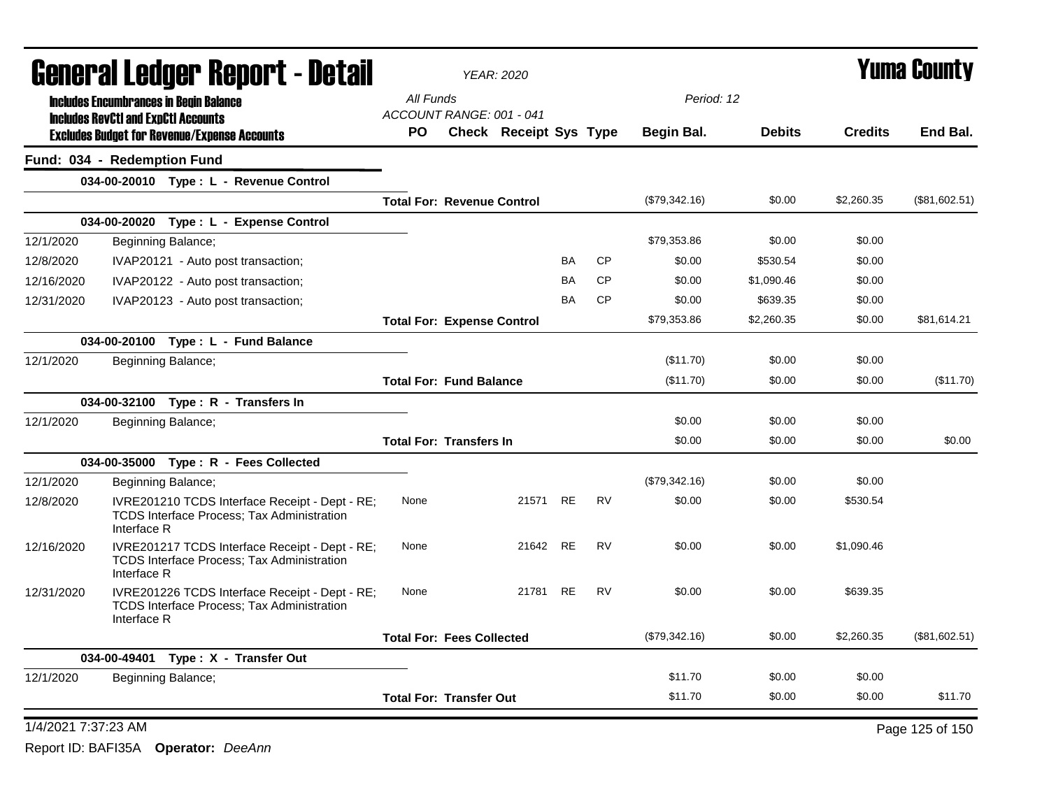|                     | <b>General Ledger Report - Detail</b>                                                                              |           | <b>YEAR: 2020</b>                 |          |           |           |               |               |                | <b>Yuma County</b> |
|---------------------|--------------------------------------------------------------------------------------------------------------------|-----------|-----------------------------------|----------|-----------|-----------|---------------|---------------|----------------|--------------------|
|                     | <b>Includes Encumbrances in Begin Balance</b><br><b>Includes RevCtI and ExpCtI Accounts</b>                        | All Funds | ACCOUNT RANGE: 001 - 041          |          |           |           | Period: 12    |               |                |                    |
|                     | <b>Excludes Budget for Revenue/Expense Accounts</b>                                                                | <b>PO</b> | <b>Check Receipt Sys Type</b>     |          |           |           | Begin Bal.    | <b>Debits</b> | <b>Credits</b> | End Bal.           |
|                     | Fund: 034 - Redemption Fund                                                                                        |           |                                   |          |           |           |               |               |                |                    |
|                     | 034-00-20010 Type: L - Revenue Control                                                                             |           |                                   |          |           |           |               |               |                |                    |
|                     |                                                                                                                    |           | <b>Total For: Revenue Control</b> |          |           |           | (\$79,342.16) | \$0.00        | \$2,260.35     | (\$81,602.51)      |
|                     | 034-00-20020 Type: L - Expense Control                                                                             |           |                                   |          |           |           |               |               |                |                    |
| 12/1/2020           | Beginning Balance;                                                                                                 |           |                                   |          |           |           | \$79,353.86   | \$0.00        | \$0.00         |                    |
| 12/8/2020           | IVAP20121 - Auto post transaction;                                                                                 |           |                                   |          | <b>BA</b> | <b>CP</b> | \$0.00        | \$530.54      | \$0.00         |                    |
| 12/16/2020          | IVAP20122 - Auto post transaction;                                                                                 |           |                                   |          | BA        | CP        | \$0.00        | \$1,090.46    | \$0.00         |                    |
| 12/31/2020          | IVAP20123 - Auto post transaction;                                                                                 |           |                                   |          | <b>BA</b> | <b>CP</b> | \$0.00        | \$639.35      | \$0.00         |                    |
|                     |                                                                                                                    |           | <b>Total For: Expense Control</b> |          |           |           | \$79,353.86   | \$2,260.35    | \$0.00         | \$81,614.21        |
|                     | 034-00-20100 Type: L - Fund Balance                                                                                |           |                                   |          |           |           |               |               |                |                    |
| 12/1/2020           | Beginning Balance;                                                                                                 |           |                                   |          |           |           | (\$11.70)     | \$0.00        | \$0.00         |                    |
|                     |                                                                                                                    |           | <b>Total For: Fund Balance</b>    |          |           |           | (\$11.70)     | \$0.00        | \$0.00         | (\$11.70)          |
|                     | 034-00-32100 Type: R - Transfers In                                                                                |           |                                   |          |           |           |               |               |                |                    |
| 12/1/2020           | Beginning Balance;                                                                                                 |           |                                   |          |           |           | \$0.00        | \$0.00        | \$0.00         |                    |
|                     |                                                                                                                    |           | <b>Total For: Transfers In</b>    |          |           |           | \$0.00        | \$0.00        | \$0.00         | \$0.00             |
|                     | 034-00-35000 Type: R - Fees Collected                                                                              |           |                                   |          |           |           |               |               |                |                    |
| 12/1/2020           | Beginning Balance;                                                                                                 |           |                                   |          |           |           | (\$79,342.16) | \$0.00        | \$0.00         |                    |
| 12/8/2020           | IVRE201210 TCDS Interface Receipt - Dept - RE;<br>TCDS Interface Process; Tax Administration<br>Interface R        | None      |                                   | 21571    | <b>RE</b> | <b>RV</b> | \$0.00        | \$0.00        | \$530.54       |                    |
| 12/16/2020          | IVRE201217 TCDS Interface Receipt - Dept - RE;<br><b>TCDS Interface Process; Tax Administration</b><br>Interface R | None      |                                   | 21642 RE |           | <b>RV</b> | \$0.00        | \$0.00        | \$1,090.46     |                    |
| 12/31/2020          | IVRE201226 TCDS Interface Receipt - Dept - RE;<br>TCDS Interface Process; Tax Administration<br>Interface R        | None      |                                   | 21781 RE |           | <b>RV</b> | \$0.00        | \$0.00        | \$639.35       |                    |
|                     |                                                                                                                    |           | <b>Total For: Fees Collected</b>  |          |           |           | (\$79,342.16) | \$0.00        | \$2,260.35     | (\$81,602.51)      |
|                     | 034-00-49401 Type: X - Transfer Out                                                                                |           |                                   |          |           |           |               |               |                |                    |
| 12/1/2020           | Beginning Balance;                                                                                                 |           |                                   |          |           |           | \$11.70       | \$0.00        | \$0.00         |                    |
|                     |                                                                                                                    |           | <b>Total For: Transfer Out</b>    |          |           |           | \$11.70       | \$0.00        | \$0.00         | \$11.70            |
| 1/4/2021 7:37:23 AM |                                                                                                                    |           |                                   |          |           |           |               |               |                | Page 125 of 150    |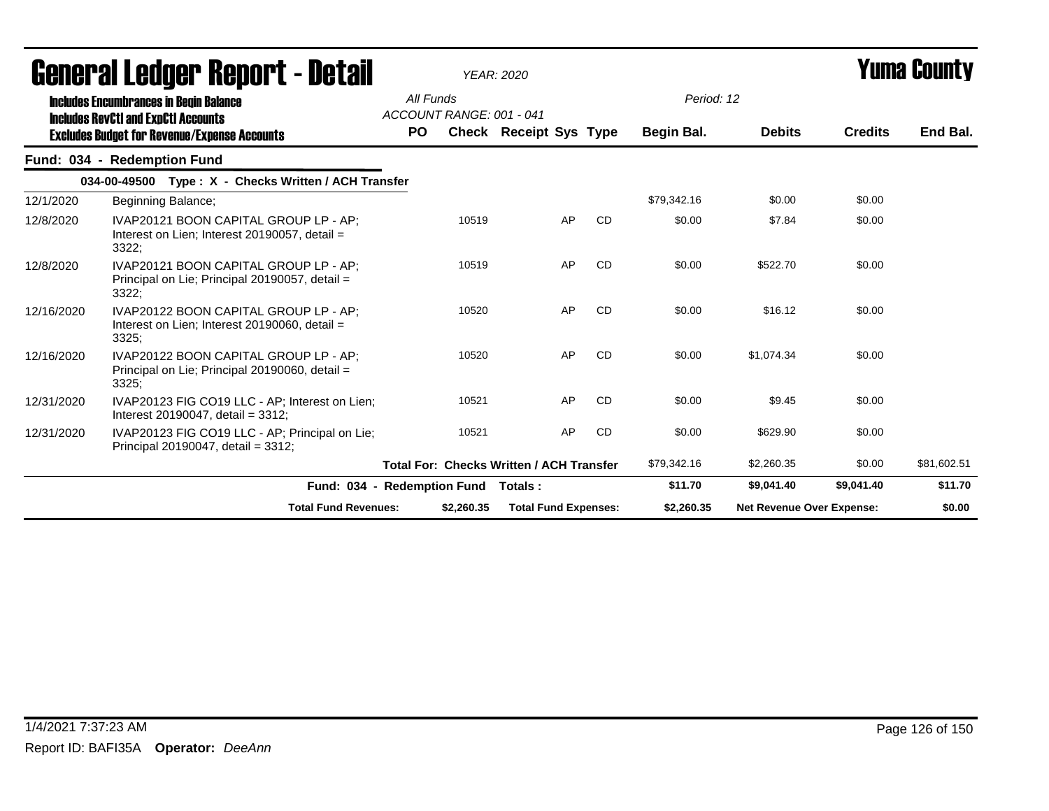|            | uvilvi ai Lvuyvi Hopvi t<br>vo tan                                                                 |           |                          | $1$ LAIM. $2020$                                |    |           |             |                                  |                | . anna vvansm |
|------------|----------------------------------------------------------------------------------------------------|-----------|--------------------------|-------------------------------------------------|----|-----------|-------------|----------------------------------|----------------|---------------|
|            | <b>Includes Encumbrances in Begin Balance</b><br><b>Includes RevCtI and ExpCtI Accounts</b>        | All Funds | ACCOUNT RANGE: 001 - 041 |                                                 |    |           | Period: 12  |                                  |                |               |
|            | <b>Excludes Budget for Revenue/Expense Accounts</b>                                                | <b>PO</b> |                          | Check Receipt Sys Type                          |    |           | Begin Bal.  | <b>Debits</b>                    | <b>Credits</b> | End Bal.      |
|            | Fund: 034 - Redemption Fund                                                                        |           |                          |                                                 |    |           |             |                                  |                |               |
|            | 034-00-49500 Type: X - Checks Written / ACH Transfer                                               |           |                          |                                                 |    |           |             |                                  |                |               |
| 12/1/2020  | Beginning Balance;                                                                                 |           |                          |                                                 |    |           | \$79,342.16 | \$0.00                           | \$0.00         |               |
| 12/8/2020  | IVAP20121 BOON CAPITAL GROUP LP - AP:<br>Interest on Lien; Interest 20190057, detail =<br>3322;    |           | 10519                    |                                                 | AP | <b>CD</b> | \$0.00      | \$7.84                           | \$0.00         |               |
| 12/8/2020  | IVAP20121 BOON CAPITAL GROUP LP - AP;<br>Principal on Lie: Principal 20190057, detail =<br>3322;   |           | 10519                    |                                                 | AP | <b>CD</b> | \$0.00      | \$522.70                         | \$0.00         |               |
| 12/16/2020 | IVAP20122 BOON CAPITAL GROUP LP - AP;<br>Interest on Lien; Interest $20190060$ , detail =<br>3325; |           | 10520                    |                                                 | AP | CD        | \$0.00      | \$16.12                          | \$0.00         |               |
| 12/16/2020 | IVAP20122 BOON CAPITAL GROUP LP - AP;<br>Principal on Lie: Principal 20190060, detail =<br>3325;   |           | 10520                    |                                                 | AP | <b>CD</b> | \$0.00      | \$1,074.34                       | \$0.00         |               |
| 12/31/2020 | IVAP20123 FIG CO19 LLC - AP: Interest on Lien:<br>Interest 20190047, detail = $3312$ ;             |           | 10521                    |                                                 | AP | <b>CD</b> | \$0.00      | \$9.45                           | \$0.00         |               |
| 12/31/2020 | IVAP20123 FIG CO19 LLC - AP; Principal on Lie;<br>Principal 20190047, detail = 3312;               |           | 10521                    |                                                 | AP | <b>CD</b> | \$0.00      | \$629.90                         | \$0.00         |               |
|            |                                                                                                    |           |                          | <b>Total For: Checks Written / ACH Transfer</b> |    |           | \$79,342.16 | \$2,260.35                       | \$0.00         | \$81,602.51   |
|            | Fund: 034 - Redemption Fund                                                                        |           |                          | Totals :                                        |    |           | \$11.70     | \$9,041.40                       | \$9,041.40     | \$11.70       |
|            | <b>Total Fund Revenues:</b>                                                                        |           | \$2,260.35               | <b>Total Fund Expenses:</b>                     |    |           | \$2,260.35  | <b>Net Revenue Over Expense:</b> |                | \$0.00        |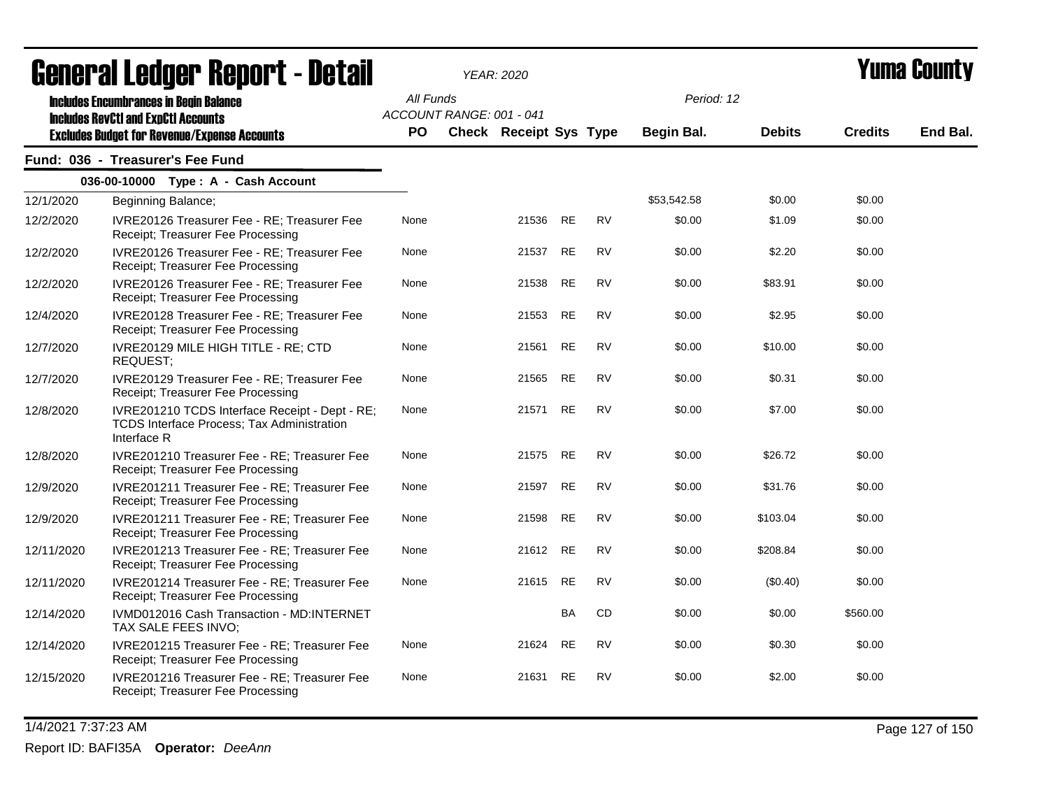|            | <b>agiigi.gi fanñai. ugchni. - Datsii</b>                                                                                                          |                  |                          | YEAR: 2020                    |           |           |                          |               |                | T UIIIA VUUIILY |
|------------|----------------------------------------------------------------------------------------------------------------------------------------------------|------------------|--------------------------|-------------------------------|-----------|-----------|--------------------------|---------------|----------------|-----------------|
|            | <b>Includes Encumbrances in Begin Balance</b><br><b>Includes RevCtI and ExpCtI Accounts</b><br><b>Excludes Budget for Revenue/Expense Accounts</b> | All Funds<br>PO. | ACCOUNT RANGE: 001 - 041 | <b>Check Receipt Sys Type</b> |           |           | Period: 12<br>Begin Bal. | <b>Debits</b> | <b>Credits</b> | End Bal.        |
|            | Fund: 036 - Treasurer's Fee Fund                                                                                                                   |                  |                          |                               |           |           |                          |               |                |                 |
|            | 036-00-10000 Type: A - Cash Account                                                                                                                |                  |                          |                               |           |           |                          |               |                |                 |
| 12/1/2020  | Beginning Balance;                                                                                                                                 |                  |                          |                               |           |           | \$53,542.58              | \$0.00        | \$0.00         |                 |
| 12/2/2020  | IVRE20126 Treasurer Fee - RE; Treasurer Fee<br>Receipt; Treasurer Fee Processing                                                                   | None             |                          | 21536                         | <b>RE</b> | <b>RV</b> | \$0.00                   | \$1.09        | \$0.00         |                 |
| 12/2/2020  | IVRE20126 Treasurer Fee - RE; Treasurer Fee<br>Receipt; Treasurer Fee Processing                                                                   | None             |                          | 21537                         | <b>RE</b> | <b>RV</b> | \$0.00                   | \$2.20        | \$0.00         |                 |
| 12/2/2020  | IVRE20126 Treasurer Fee - RE; Treasurer Fee<br>Receipt; Treasurer Fee Processing                                                                   | None             |                          | 21538                         | <b>RE</b> | <b>RV</b> | \$0.00                   | \$83.91       | \$0.00         |                 |
| 12/4/2020  | IVRE20128 Treasurer Fee - RE; Treasurer Fee<br>Receipt; Treasurer Fee Processing                                                                   | None             |                          | 21553                         | <b>RE</b> | <b>RV</b> | \$0.00                   | \$2.95        | \$0.00         |                 |
| 12/7/2020  | IVRE20129 MILE HIGH TITLE - RE; CTD<br>REQUEST;                                                                                                    | None             |                          | 21561                         | <b>RE</b> | <b>RV</b> | \$0.00                   | \$10.00       | \$0.00         |                 |
| 12/7/2020  | IVRE20129 Treasurer Fee - RE; Treasurer Fee<br>Receipt; Treasurer Fee Processing                                                                   | None             |                          | 21565                         | <b>RE</b> | <b>RV</b> | \$0.00                   | \$0.31        | \$0.00         |                 |
| 12/8/2020  | IVRE201210 TCDS Interface Receipt - Dept - RE;<br>TCDS Interface Process; Tax Administration<br>Interface R                                        | None             |                          | 21571                         | <b>RE</b> | <b>RV</b> | \$0.00                   | \$7.00        | \$0.00         |                 |
| 12/8/2020  | IVRE201210 Treasurer Fee - RE; Treasurer Fee<br>Receipt; Treasurer Fee Processing                                                                  | None             |                          | 21575 RE                      |           | RV        | \$0.00                   | \$26.72       | \$0.00         |                 |
| 12/9/2020  | IVRE201211 Treasurer Fee - RE; Treasurer Fee<br>Receipt; Treasurer Fee Processing                                                                  | None             |                          | 21597                         | <b>RE</b> | RV        | \$0.00                   | \$31.76       | \$0.00         |                 |
| 12/9/2020  | IVRE201211 Treasurer Fee - RE; Treasurer Fee<br>Receipt; Treasurer Fee Processing                                                                  | None             |                          | 21598                         | RE        | <b>RV</b> | \$0.00                   | \$103.04      | \$0.00         |                 |
| 12/11/2020 | IVRE201213 Treasurer Fee - RE; Treasurer Fee<br>Receipt; Treasurer Fee Processing                                                                  | None             |                          | 21612                         | <b>RE</b> | <b>RV</b> | \$0.00                   | \$208.84      | \$0.00         |                 |
| 12/11/2020 | IVRE201214 Treasurer Fee - RE; Treasurer Fee<br>Receipt; Treasurer Fee Processing                                                                  | None             |                          | 21615                         | RE        | <b>RV</b> | \$0.00                   | (\$0.40)      | \$0.00         |                 |
| 12/14/2020 | IVMD012016 Cash Transaction - MD:INTERNET<br>TAX SALE FEES INVO;                                                                                   |                  |                          |                               | BA        | CD        | \$0.00                   | \$0.00        | \$560.00       |                 |
| 12/14/2020 | IVRE201215 Treasurer Fee - RE; Treasurer Fee<br>Receipt; Treasurer Fee Processing                                                                  | None             |                          | 21624                         | RE        | RV        | \$0.00                   | \$0.30        | \$0.00         |                 |
| 12/15/2020 | IVRE201216 Treasurer Fee - RE; Treasurer Fee<br>Receipt; Treasurer Fee Processing                                                                  | None             |                          | 21631                         | RE        | RV        | \$0.00                   | \$2.00        | \$0.00         |                 |

1/4/2021 7:37:23 AM Page 127 of 150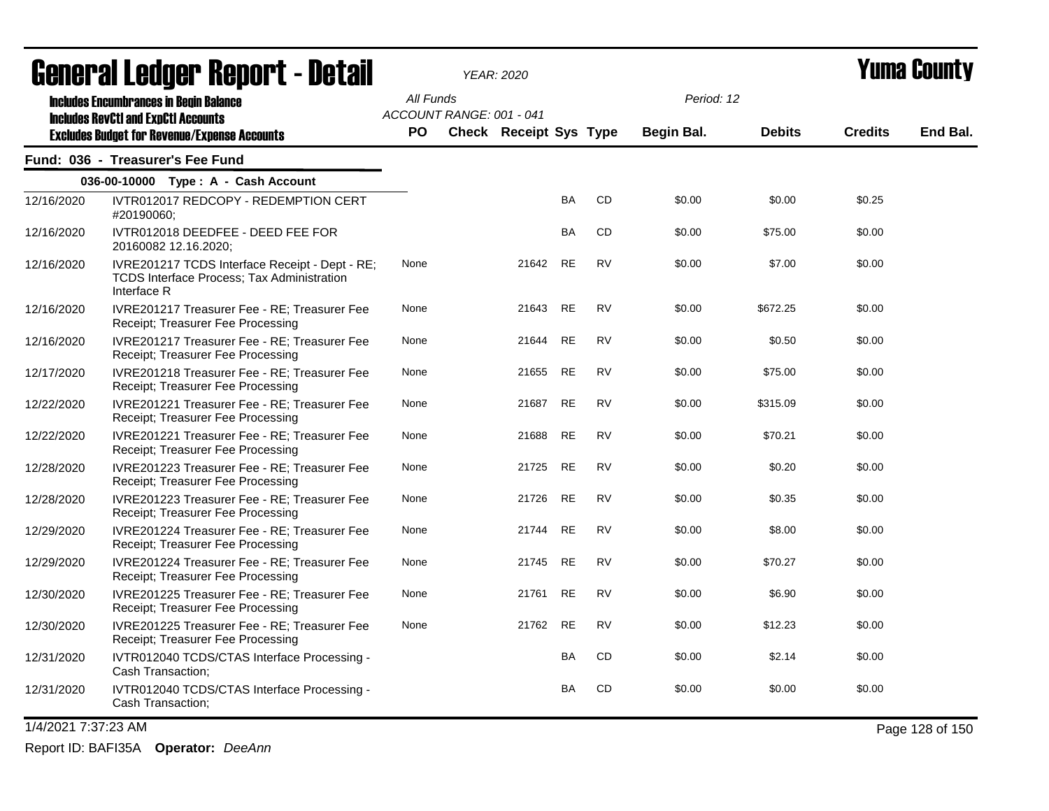|            | agual.gi fanñal. Urini. ( - nafsii                                                                          |                                       | YEAR: 2020                    |           |           |            |               |                | I UIIIA VUUIILY |
|------------|-------------------------------------------------------------------------------------------------------------|---------------------------------------|-------------------------------|-----------|-----------|------------|---------------|----------------|-----------------|
|            | <b>Includes Encumbrances in Begin Balance</b><br><b>Includes RevCtI and ExpCtI Accounts</b>                 | All Funds<br>ACCOUNT RANGE: 001 - 041 |                               |           |           | Period: 12 |               |                |                 |
|            | <b>Excludes Budget for Revenue/Expense Accounts</b>                                                         | <b>PO</b>                             | <b>Check Receipt Sys Type</b> |           |           | Begin Bal. | <b>Debits</b> | <b>Credits</b> | End Bal.        |
|            | Fund: 036 - Treasurer's Fee Fund                                                                            |                                       |                               |           |           |            |               |                |                 |
|            | 036-00-10000 Type: A - Cash Account                                                                         |                                       |                               |           |           |            |               |                |                 |
| 12/16/2020 | IVTR012017 REDCOPY - REDEMPTION CERT<br>#20190060;                                                          |                                       |                               | BA        | CD        | \$0.00     | \$0.00        | \$0.25         |                 |
| 12/16/2020 | IVTR012018 DEEDFEE - DEED FEE FOR<br>20160082 12.16.2020;                                                   |                                       |                               | BA        | CD        | \$0.00     | \$75.00       | \$0.00         |                 |
| 12/16/2020 | IVRE201217 TCDS Interface Receipt - Dept - RE;<br>TCDS Interface Process; Tax Administration<br>Interface R | None                                  | 21642                         | <b>RE</b> | <b>RV</b> | \$0.00     | \$7.00        | \$0.00         |                 |
| 12/16/2020 | IVRE201217 Treasurer Fee - RE; Treasurer Fee<br>Receipt; Treasurer Fee Processing                           | None                                  | 21643 RE                      |           | <b>RV</b> | \$0.00     | \$672.25      | \$0.00         |                 |
| 12/16/2020 | IVRE201217 Treasurer Fee - RE; Treasurer Fee<br>Receipt; Treasurer Fee Processing                           | None                                  | 21644                         | <b>RE</b> | <b>RV</b> | \$0.00     | \$0.50        | \$0.00         |                 |
| 12/17/2020 | IVRE201218 Treasurer Fee - RE; Treasurer Fee<br>Receipt; Treasurer Fee Processing                           | None                                  | 21655                         | RE        | <b>RV</b> | \$0.00     | \$75.00       | \$0.00         |                 |
| 12/22/2020 | IVRE201221 Treasurer Fee - RE; Treasurer Fee<br>Receipt; Treasurer Fee Processing                           | None                                  | 21687                         | RE        | <b>RV</b> | \$0.00     | \$315.09      | \$0.00         |                 |
| 12/22/2020 | IVRE201221 Treasurer Fee - RE; Treasurer Fee<br>Receipt; Treasurer Fee Processing                           | None                                  | 21688                         | <b>RE</b> | <b>RV</b> | \$0.00     | \$70.21       | \$0.00         |                 |
| 12/28/2020 | IVRE201223 Treasurer Fee - RE; Treasurer Fee<br>Receipt; Treasurer Fee Processing                           | None                                  | 21725                         | RE        | <b>RV</b> | \$0.00     | \$0.20        | \$0.00         |                 |
| 12/28/2020 | IVRE201223 Treasurer Fee - RE; Treasurer Fee<br>Receipt; Treasurer Fee Processing                           | None                                  | 21726 RE                      |           | <b>RV</b> | \$0.00     | \$0.35        | \$0.00         |                 |
| 12/29/2020 | IVRE201224 Treasurer Fee - RE; Treasurer Fee<br>Receipt; Treasurer Fee Processing                           | None                                  | 21744                         | <b>RE</b> | <b>RV</b> | \$0.00     | \$8.00        | \$0.00         |                 |
| 12/29/2020 | IVRE201224 Treasurer Fee - RE; Treasurer Fee<br>Receipt; Treasurer Fee Processing                           | None                                  | 21745                         | RE        | <b>RV</b> | \$0.00     | \$70.27       | \$0.00         |                 |
| 12/30/2020 | IVRE201225 Treasurer Fee - RE; Treasurer Fee<br>Receipt; Treasurer Fee Processing                           | None                                  | 21761 RE                      |           | <b>RV</b> | \$0.00     | \$6.90        | \$0.00         |                 |
| 12/30/2020 | IVRE201225 Treasurer Fee - RE; Treasurer Fee<br>Receipt; Treasurer Fee Processing                           | None                                  | 21762                         | RE        | <b>RV</b> | \$0.00     | \$12.23       | \$0.00         |                 |
| 12/31/2020 | IVTR012040 TCDS/CTAS Interface Processing -<br>Cash Transaction;                                            |                                       |                               | BA        | CD        | \$0.00     | \$2.14        | \$0.00         |                 |
| 12/31/2020 | IVTR012040 TCDS/CTAS Interface Processing -<br>Cash Transaction;                                            |                                       |                               | <b>BA</b> | CD        | \$0.00     | \$0.00        | \$0.00         |                 |

1/4/2021 7:37:23 AM Page 128 of 150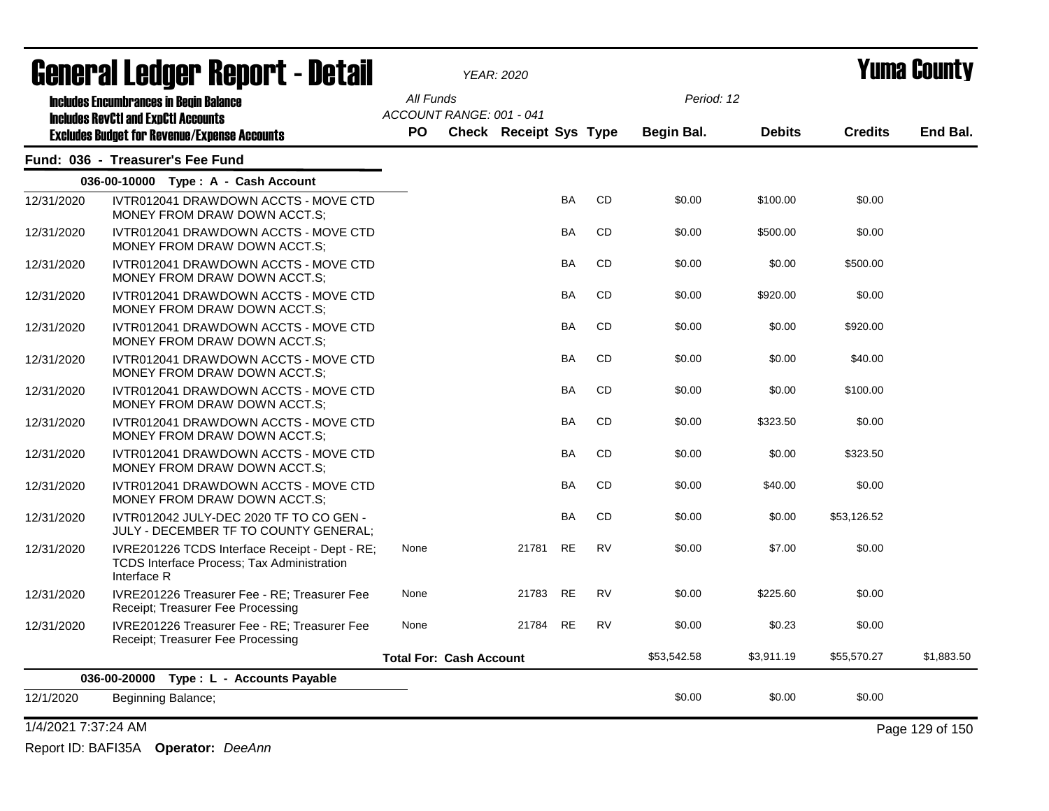|                     | <b>General Ledger Report - Detail</b>                                                                              |           |                                | <b>YEAR: 2020</b>             |           |           |             |               |                | Yuma County     |
|---------------------|--------------------------------------------------------------------------------------------------------------------|-----------|--------------------------------|-------------------------------|-----------|-----------|-------------|---------------|----------------|-----------------|
|                     | <b>Includes Encumbrances in Begin Balance</b><br><b>Includes RevCtI and ExpCtI Accounts</b>                        | All Funds | ACCOUNT RANGE: 001 - 041       |                               |           |           | Period: 12  |               |                |                 |
|                     | <b>Excludes Budget for Revenue/Expense Accounts</b>                                                                | <b>PO</b> |                                | <b>Check Receipt Sys Type</b> |           |           | Begin Bal.  | <b>Debits</b> | <b>Credits</b> | End Bal.        |
|                     | Fund: 036 - Treasurer's Fee Fund                                                                                   |           |                                |                               |           |           |             |               |                |                 |
|                     | 036-00-10000 Type: A - Cash Account                                                                                |           |                                |                               |           |           |             |               |                |                 |
| 12/31/2020          | IVTR012041 DRAWDOWN ACCTS - MOVE CTD<br>MONEY FROM DRAW DOWN ACCT.S;                                               |           |                                |                               | <b>BA</b> | <b>CD</b> | \$0.00      | \$100.00      | \$0.00         |                 |
| 12/31/2020          | IVTR012041 DRAWDOWN ACCTS - MOVE CTD<br>MONEY FROM DRAW DOWN ACCT.S;                                               |           |                                |                               | BA        | CD        | \$0.00      | \$500.00      | \$0.00         |                 |
| 12/31/2020          | IVTR012041 DRAWDOWN ACCTS - MOVE CTD<br>MONEY FROM DRAW DOWN ACCT.S;                                               |           |                                |                               | BA        | CD        | \$0.00      | \$0.00        | \$500.00       |                 |
| 12/31/2020          | IVTR012041 DRAWDOWN ACCTS - MOVE CTD<br>MONEY FROM DRAW DOWN ACCT.S;                                               |           |                                |                               | <b>BA</b> | <b>CD</b> | \$0.00      | \$920.00      | \$0.00         |                 |
| 12/31/2020          | IVTR012041 DRAWDOWN ACCTS - MOVE CTD<br>MONEY FROM DRAW DOWN ACCT.S:                                               |           |                                |                               | <b>BA</b> | <b>CD</b> | \$0.00      | \$0.00        | \$920.00       |                 |
| 12/31/2020          | IVTR012041 DRAWDOWN ACCTS - MOVE CTD<br>MONEY FROM DRAW DOWN ACCT.S:                                               |           |                                |                               | <b>BA</b> | <b>CD</b> | \$0.00      | \$0.00        | \$40.00        |                 |
| 12/31/2020          | IVTR012041 DRAWDOWN ACCTS - MOVE CTD<br>MONEY FROM DRAW DOWN ACCT.S:                                               |           |                                |                               | <b>BA</b> | <b>CD</b> | \$0.00      | \$0.00        | \$100.00       |                 |
| 12/31/2020          | IVTR012041 DRAWDOWN ACCTS - MOVE CTD<br>MONEY FROM DRAW DOWN ACCT.S:                                               |           |                                |                               | <b>BA</b> | <b>CD</b> | \$0.00      | \$323.50      | \$0.00         |                 |
| 12/31/2020          | IVTR012041 DRAWDOWN ACCTS - MOVE CTD<br>MONEY FROM DRAW DOWN ACCT.S:                                               |           |                                |                               | <b>BA</b> | <b>CD</b> | \$0.00      | \$0.00        | \$323.50       |                 |
| 12/31/2020          | IVTR012041 DRAWDOWN ACCTS - MOVE CTD<br>MONEY FROM DRAW DOWN ACCT.S:                                               |           |                                |                               | <b>BA</b> | CD        | \$0.00      | \$40.00       | \$0.00         |                 |
| 12/31/2020          | IVTR012042 JULY-DEC 2020 TF TO CO GEN -<br>JULY - DECEMBER TF TO COUNTY GENERAL:                                   |           |                                |                               | <b>BA</b> | CD        | \$0.00      | \$0.00        | \$53,126.52    |                 |
| 12/31/2020          | IVRE201226 TCDS Interface Receipt - Dept - RE;<br><b>TCDS Interface Process: Tax Administration</b><br>Interface R | None      |                                | 21781                         | <b>RE</b> | <b>RV</b> | \$0.00      | \$7.00        | \$0.00         |                 |
| 12/31/2020          | IVRE201226 Treasurer Fee - RE; Treasurer Fee<br>Receipt: Treasurer Fee Processing                                  | None      |                                | 21783 RE                      |           | <b>RV</b> | \$0.00      | \$225.60      | \$0.00         |                 |
| 12/31/2020          | IVRE201226 Treasurer Fee - RE; Treasurer Fee<br>Receipt: Treasurer Fee Processing                                  | None      |                                | 21784                         | <b>RE</b> | <b>RV</b> | \$0.00      | \$0.23        | \$0.00         |                 |
|                     |                                                                                                                    |           | <b>Total For: Cash Account</b> |                               |           |           | \$53,542.58 | \$3,911.19    | \$55,570.27    | \$1,883.50      |
|                     | Type : L - Accounts Payable<br>036-00-20000                                                                        |           |                                |                               |           |           |             |               |                |                 |
| 12/1/2020           | Beginning Balance;                                                                                                 |           |                                |                               |           |           | \$0.00      | \$0.00        | \$0.00         |                 |
| 1/4/2021 7:37:24 AM |                                                                                                                    |           |                                |                               |           |           |             |               |                | Page 129 of 150 |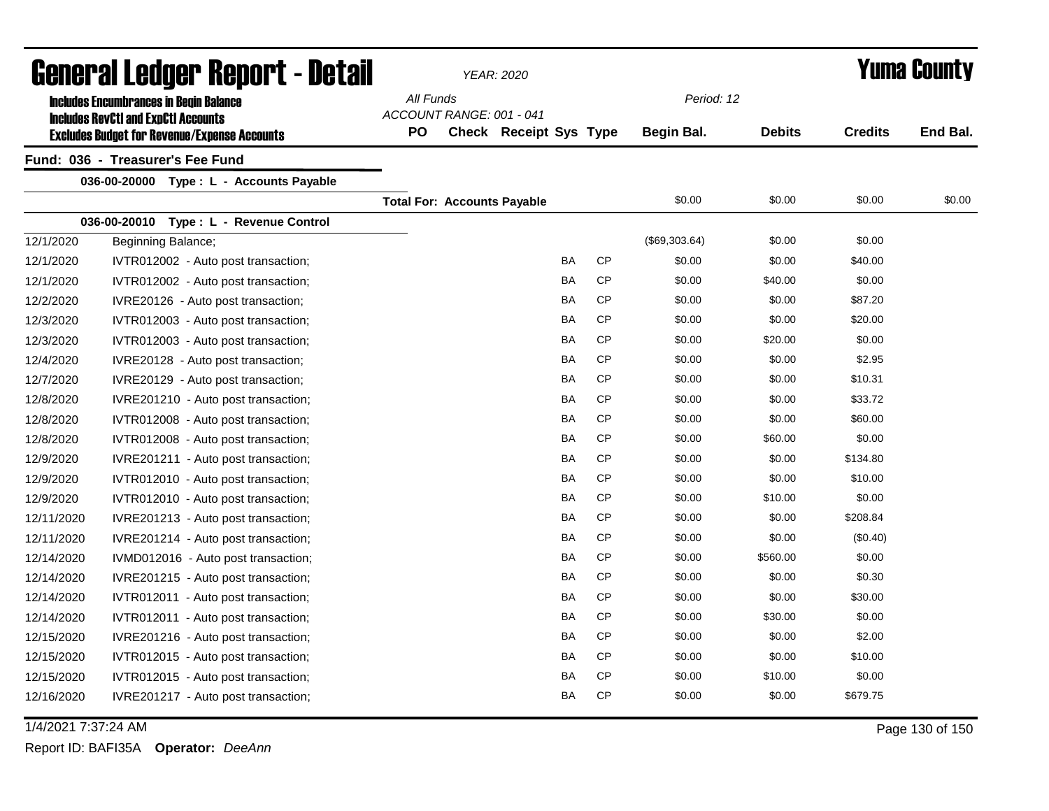|            | General Ledger Report - Detail                                                                    |                                    | YEAR: 2020                    |           |           |               |               |                | <b>Yuma County</b> |
|------------|---------------------------------------------------------------------------------------------------|------------------------------------|-------------------------------|-----------|-----------|---------------|---------------|----------------|--------------------|
|            | <b>Includes Encumbrances in Begin Balance</b>                                                     | All Funds                          |                               |           |           | Period: 12    |               |                |                    |
|            | <b>Includes RevCtI and ExpCtI Accounts</b><br><b>Excludes Budget for Revenue/Expense Accounts</b> | ACCOUNT RANGE: 001 - 041<br>PO     | <b>Check Receipt Sys Type</b> |           |           | Begin Bal.    | <b>Debits</b> | <b>Credits</b> | End Bal.           |
|            | Fund: 036 - Treasurer's Fee Fund                                                                  |                                    |                               |           |           |               |               |                |                    |
|            | 036-00-20000<br>Type : L - Accounts Payable                                                       |                                    |                               |           |           |               |               |                |                    |
|            |                                                                                                   | <b>Total For: Accounts Payable</b> |                               |           |           | \$0.00        | \$0.00        | \$0.00         | \$0.00             |
|            | Type : L - Revenue Control<br>036-00-20010                                                        |                                    |                               |           |           |               |               |                |                    |
| 12/1/2020  | Beginning Balance;                                                                                |                                    |                               |           |           | (\$69,303.64) | \$0.00        | \$0.00         |                    |
| 12/1/2020  | IVTR012002 - Auto post transaction;                                                               |                                    |                               | <b>BA</b> | <b>CP</b> | \$0.00        | \$0.00        | \$40.00        |                    |
| 12/1/2020  | IVTR012002 - Auto post transaction;                                                               |                                    |                               | <b>BA</b> | <b>CP</b> | \$0.00        | \$40.00       | \$0.00         |                    |
| 12/2/2020  | IVRE20126 - Auto post transaction;                                                                |                                    |                               | BA        | <b>CP</b> | \$0.00        | \$0.00        | \$87.20        |                    |
| 12/3/2020  | IVTR012003 - Auto post transaction;                                                               |                                    |                               | BA        | <b>CP</b> | \$0.00        | \$0.00        | \$20.00        |                    |
| 12/3/2020  | IVTR012003 - Auto post transaction;                                                               |                                    |                               | BA        | <b>CP</b> | \$0.00        | \$20.00       | \$0.00         |                    |
| 12/4/2020  | IVRE20128 - Auto post transaction;                                                                |                                    |                               | BA        | <b>CP</b> | \$0.00        | \$0.00        | \$2.95         |                    |
| 12/7/2020  | IVRE20129 - Auto post transaction;                                                                |                                    |                               | BA        | <b>CP</b> | \$0.00        | \$0.00        | \$10.31        |                    |
| 12/8/2020  | IVRE201210 - Auto post transaction;                                                               |                                    |                               | BA        | <b>CP</b> | \$0.00        | \$0.00        | \$33.72        |                    |
| 12/8/2020  | IVTR012008 - Auto post transaction;                                                               |                                    |                               | <b>BA</b> | <b>CP</b> | \$0.00        | \$0.00        | \$60.00        |                    |
| 12/8/2020  | IVTR012008 - Auto post transaction;                                                               |                                    |                               | BA        | <b>CP</b> | \$0.00        | \$60.00       | \$0.00         |                    |
| 12/9/2020  | IVRE201211 - Auto post transaction;                                                               |                                    |                               | BA        | <b>CP</b> | \$0.00        | \$0.00        | \$134.80       |                    |
| 12/9/2020  | IVTR012010 - Auto post transaction;                                                               |                                    |                               | <b>BA</b> | <b>CP</b> | \$0.00        | \$0.00        | \$10.00        |                    |
| 12/9/2020  | IVTR012010 - Auto post transaction;                                                               |                                    |                               | <b>BA</b> | CP        | \$0.00        | \$10.00       | \$0.00         |                    |
| 12/11/2020 | IVRE201213 - Auto post transaction;                                                               |                                    |                               | BA        | <b>CP</b> | \$0.00        | \$0.00        | \$208.84       |                    |
| 12/11/2020 | IVRE201214 - Auto post transaction;                                                               |                                    |                               | BA        | <b>CP</b> | \$0.00        | \$0.00        | (\$0.40)       |                    |
| 12/14/2020 | IVMD012016 - Auto post transaction;                                                               |                                    |                               | <b>BA</b> | <b>CP</b> | \$0.00        | \$560.00      | \$0.00         |                    |
| 12/14/2020 | IVRE201215 - Auto post transaction;                                                               |                                    |                               | BA        | <b>CP</b> | \$0.00        | \$0.00        | \$0.30         |                    |
| 12/14/2020 | IVTR012011 - Auto post transaction;                                                               |                                    |                               | <b>BA</b> | <b>CP</b> | \$0.00        | \$0.00        | \$30.00        |                    |
| 12/14/2020 | IVTR012011 - Auto post transaction;                                                               |                                    |                               | <b>BA</b> | <b>CP</b> | \$0.00        | \$30.00       | \$0.00         |                    |
| 12/15/2020 | IVRE201216 - Auto post transaction;                                                               |                                    |                               | <b>BA</b> | <b>CP</b> | \$0.00        | \$0.00        | \$2.00         |                    |
| 12/15/2020 | IVTR012015 - Auto post transaction;                                                               |                                    |                               | <b>BA</b> | <b>CP</b> | \$0.00        | \$0.00        | \$10.00        |                    |
| 12/15/2020 | IVTR012015 - Auto post transaction;                                                               |                                    |                               | <b>BA</b> | <b>CP</b> | \$0.00        | \$10.00       | \$0.00         |                    |
| 12/16/2020 | IVRE201217 - Auto post transaction;                                                               |                                    |                               | <b>BA</b> | <b>CP</b> | \$0.00        | \$0.00        | \$679.75       |                    |
|            |                                                                                                   |                                    |                               |           |           |               |               |                |                    |

1/4/2021 7:37:24 AM Page 130 of 150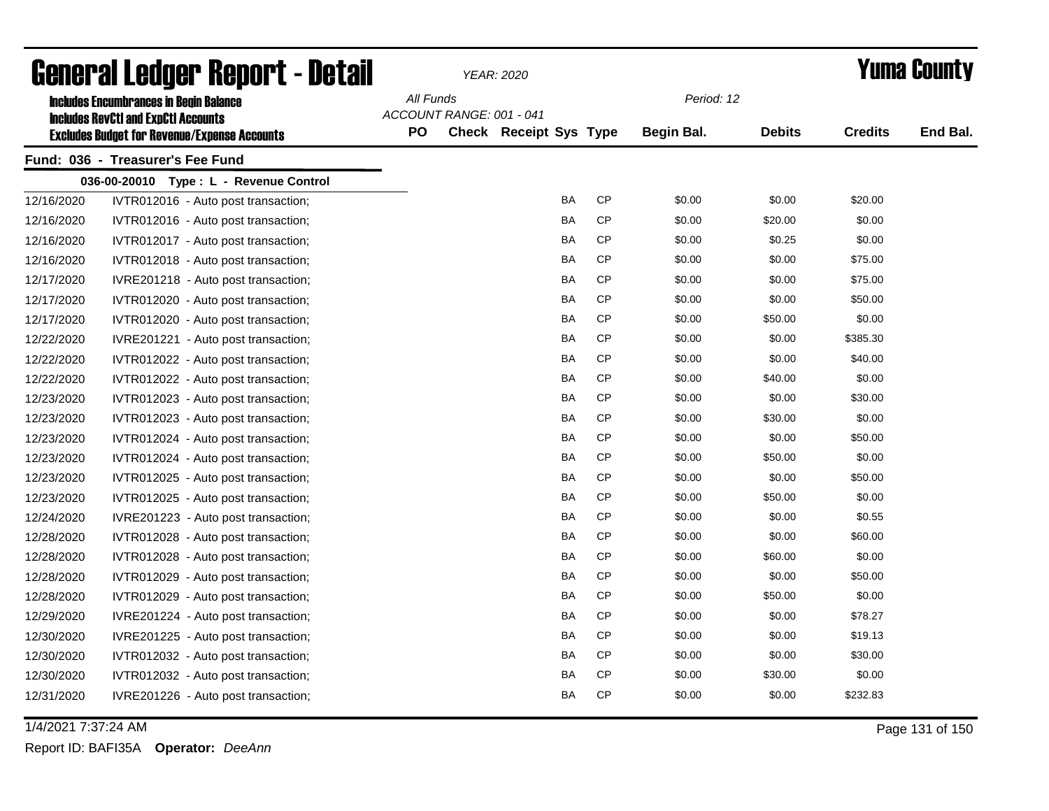|            | General Ledger Report - Detail                                                              |           |                          | <b>YEAR: 2020</b>             |           |                   |               |                | <b>Yuma County</b> |
|------------|---------------------------------------------------------------------------------------------|-----------|--------------------------|-------------------------------|-----------|-------------------|---------------|----------------|--------------------|
|            | <b>Includes Encumbrances in Begin Balance</b><br><b>Includes RevCtI and ExpCtI Accounts</b> | All Funds | ACCOUNT RANGE: 001 - 041 |                               |           | Period: 12        |               |                |                    |
|            | <b>Excludes Budget for Revenue/Expense Accounts</b>                                         | <b>PO</b> |                          | <b>Check Receipt Sys Type</b> |           | <b>Begin Bal.</b> | <b>Debits</b> | <b>Credits</b> | End Bal.           |
|            | Fund: 036 - Treasurer's Fee Fund                                                            |           |                          |                               |           |                   |               |                |                    |
|            | 036-00-20010 Type: L - Revenue Control                                                      |           |                          |                               |           |                   |               |                |                    |
| 12/16/2020 | IVTR012016 - Auto post transaction;                                                         |           |                          | BA                            | CP        | \$0.00            | \$0.00        | \$20.00        |                    |
| 12/16/2020 | IVTR012016 - Auto post transaction;                                                         |           |                          | <b>BA</b>                     | CP        | \$0.00            | \$20.00       | \$0.00         |                    |
| 12/16/2020 | IVTR012017 - Auto post transaction;                                                         |           |                          | BA                            | <b>CP</b> | \$0.00            | \$0.25        | \$0.00         |                    |
| 12/16/2020 | IVTR012018 - Auto post transaction;                                                         |           |                          | BA                            | <b>CP</b> | \$0.00            | \$0.00        | \$75.00        |                    |
| 12/17/2020 | IVRE201218 - Auto post transaction;                                                         |           |                          | BA                            | <b>CP</b> | \$0.00            | \$0.00        | \$75.00        |                    |
| 12/17/2020 | IVTR012020 - Auto post transaction;                                                         |           |                          | BA                            | <b>CP</b> | \$0.00            | \$0.00        | \$50.00        |                    |
| 12/17/2020 | IVTR012020 - Auto post transaction;                                                         |           |                          | BA                            | <b>CP</b> | \$0.00            | \$50.00       | \$0.00         |                    |
| 12/22/2020 | IVRE201221 - Auto post transaction;                                                         |           |                          | BA                            | <b>CP</b> | \$0.00            | \$0.00        | \$385.30       |                    |
| 12/22/2020 | IVTR012022 - Auto post transaction;                                                         |           |                          | BA                            | <b>CP</b> | \$0.00            | \$0.00        | \$40.00        |                    |
| 12/22/2020 | IVTR012022 - Auto post transaction;                                                         |           |                          | <b>BA</b>                     | <b>CP</b> | \$0.00            | \$40.00       | \$0.00         |                    |
| 12/23/2020 | IVTR012023 - Auto post transaction;                                                         |           |                          | <b>BA</b>                     | <b>CP</b> | \$0.00            | \$0.00        | \$30.00        |                    |
| 12/23/2020 | IVTR012023 - Auto post transaction;                                                         |           |                          | <b>BA</b>                     | <b>CP</b> | \$0.00            | \$30.00       | \$0.00         |                    |
| 12/23/2020 | IVTR012024 - Auto post transaction;                                                         |           |                          | BA                            | <b>CP</b> | \$0.00            | \$0.00        | \$50.00        |                    |
| 12/23/2020 | IVTR012024 - Auto post transaction;                                                         |           |                          | BA                            | <b>CP</b> | \$0.00            | \$50.00       | \$0.00         |                    |
| 12/23/2020 | IVTR012025 - Auto post transaction;                                                         |           |                          | BA                            | CP        | \$0.00            | \$0.00        | \$50.00        |                    |
| 12/23/2020 | IVTR012025 - Auto post transaction;                                                         |           |                          | BA                            | CP        | \$0.00            | \$50.00       | \$0.00         |                    |
| 12/24/2020 | IVRE201223 - Auto post transaction;                                                         |           |                          | BA                            | CP        | \$0.00            | \$0.00        | \$0.55         |                    |
| 12/28/2020 | IVTR012028 - Auto post transaction;                                                         |           |                          | BA                            | CP        | \$0.00            | \$0.00        | \$60.00        |                    |
| 12/28/2020 | IVTR012028 - Auto post transaction;                                                         |           |                          | BA                            | CP        | \$0.00            | \$60.00       | \$0.00         |                    |
| 12/28/2020 | IVTR012029 - Auto post transaction;                                                         |           |                          | BA                            | <b>CP</b> | \$0.00            | \$0.00        | \$50.00        |                    |
| 12/28/2020 | IVTR012029 - Auto post transaction;                                                         |           |                          | BA                            | <b>CP</b> | \$0.00            | \$50.00       | \$0.00         |                    |
| 12/29/2020 | IVRE201224 - Auto post transaction;                                                         |           |                          | <b>BA</b>                     | <b>CP</b> | \$0.00            | \$0.00        | \$78.27        |                    |
| 12/30/2020 | IVRE201225 - Auto post transaction;                                                         |           |                          | BA                            | <b>CP</b> | \$0.00            | \$0.00        | \$19.13        |                    |
| 12/30/2020 | IVTR012032 - Auto post transaction;                                                         |           |                          | BA                            | <b>CP</b> | \$0.00            | \$0.00        | \$30.00        |                    |
| 12/30/2020 | IVTR012032 - Auto post transaction;                                                         |           |                          | BA                            | <b>CP</b> | \$0.00            | \$30.00       | \$0.00         |                    |
| 12/31/2020 | IVRE201226 - Auto post transaction;                                                         |           |                          | <b>BA</b>                     | <b>CP</b> | \$0.00            | \$0.00        | \$232.83       |                    |

1/4/2021 7:37:24 AM Page 131 of 150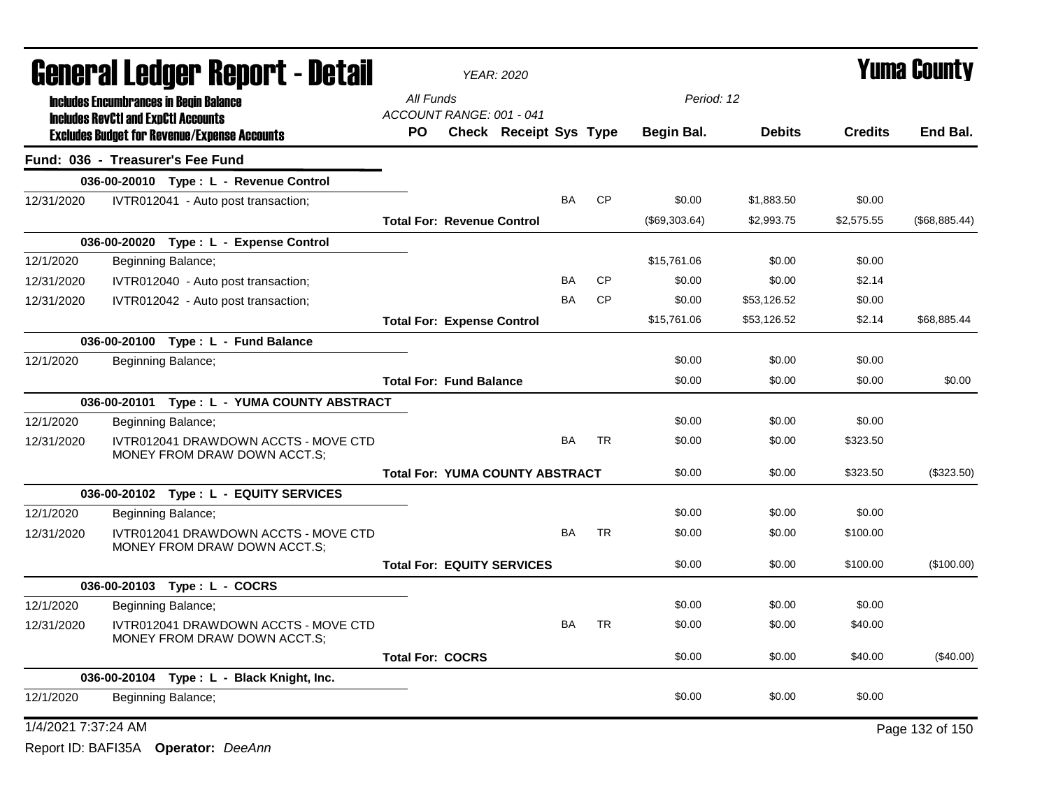|                     |                                                                                                   | General Ledger Report - Detail                                       |                                        | <b>YEAR: 2020</b>      |           |           |               |               |                | <b>Yuma County</b> |
|---------------------|---------------------------------------------------------------------------------------------------|----------------------------------------------------------------------|----------------------------------------|------------------------|-----------|-----------|---------------|---------------|----------------|--------------------|
|                     | <b>Includes Encumbrances in Begin Balance</b>                                                     |                                                                      | All Funds<br>ACCOUNT RANGE: 001 - 041  |                        |           |           | Period: 12    |               |                |                    |
|                     | <b>Includes RevCtI and ExpCtI Accounts</b><br><b>Excludes Budget for Revenue/Expense Accounts</b> |                                                                      | PO                                     | Check Receipt Sys Type |           |           | Begin Bal.    | <b>Debits</b> | <b>Credits</b> | End Bal.           |
|                     | Fund: 036 - Treasurer's Fee Fund                                                                  |                                                                      |                                        |                        |           |           |               |               |                |                    |
|                     |                                                                                                   | 036-00-20010 Type: L - Revenue Control                               |                                        |                        |           |           |               |               |                |                    |
| 12/31/2020          |                                                                                                   | IVTR012041 - Auto post transaction;                                  |                                        |                        | BA        | CP        | \$0.00        | \$1,883.50    | \$0.00         |                    |
|                     |                                                                                                   |                                                                      | <b>Total For: Revenue Control</b>      |                        |           |           | (\$69,303.64) | \$2,993.75    | \$2,575.55     | (\$68,885.44)      |
|                     |                                                                                                   | 036-00-20020 Type: L - Expense Control                               |                                        |                        |           |           |               |               |                |                    |
| 12/1/2020           | Beginning Balance;                                                                                |                                                                      |                                        |                        |           |           | \$15.761.06   | \$0.00        | \$0.00         |                    |
| 12/31/2020          |                                                                                                   | IVTR012040 - Auto post transaction;                                  |                                        |                        | <b>BA</b> | <b>CP</b> | \$0.00        | \$0.00        | \$2.14         |                    |
| 12/31/2020          |                                                                                                   | IVTR012042 - Auto post transaction;                                  |                                        |                        | BA        | CP        | \$0.00        | \$53,126.52   | \$0.00         |                    |
|                     |                                                                                                   |                                                                      | <b>Total For: Expense Control</b>      |                        |           |           | \$15,761.06   | \$53,126.52   | \$2.14         | \$68.885.44        |
|                     | 036-00-20100 Type: L - Fund Balance                                                               |                                                                      |                                        |                        |           |           |               |               |                |                    |
| 12/1/2020           | Beginning Balance;                                                                                |                                                                      |                                        |                        |           |           | \$0.00        | \$0.00        | \$0.00         |                    |
|                     |                                                                                                   |                                                                      | <b>Total For: Fund Balance</b>         |                        |           |           | \$0.00        | \$0.00        | \$0.00         | \$0.00             |
|                     |                                                                                                   | 036-00-20101 Type: L - YUMA COUNTY ABSTRACT                          |                                        |                        |           |           |               |               |                |                    |
| 12/1/2020           | Beginning Balance;                                                                                |                                                                      |                                        |                        |           |           | \$0.00        | \$0.00        | \$0.00         |                    |
| 12/31/2020          |                                                                                                   | IVTR012041 DRAWDOWN ACCTS - MOVE CTD<br>MONEY FROM DRAW DOWN ACCT.S; |                                        |                        | <b>BA</b> | <b>TR</b> | \$0.00        | \$0.00        | \$323.50       |                    |
|                     |                                                                                                   |                                                                      | <b>Total For: YUMA COUNTY ABSTRACT</b> |                        |           |           | \$0.00        | \$0.00        | \$323.50       | (\$323.50)         |
|                     |                                                                                                   | 036-00-20102 Type: L - EQUITY SERVICES                               |                                        |                        |           |           |               |               |                |                    |
| 12/1/2020           | Beginning Balance;                                                                                |                                                                      |                                        |                        |           |           | \$0.00        | \$0.00        | \$0.00         |                    |
| 12/31/2020          |                                                                                                   | IVTR012041 DRAWDOWN ACCTS - MOVE CTD<br>MONEY FROM DRAW DOWN ACCT.S; |                                        |                        | <b>BA</b> | <b>TR</b> | \$0.00        | \$0.00        | \$100.00       |                    |
|                     |                                                                                                   |                                                                      | <b>Total For: EQUITY SERVICES</b>      |                        |           |           | \$0.00        | \$0.00        | \$100.00       | (\$100.00)         |
|                     | 036-00-20103 Type: L - COCRS                                                                      |                                                                      |                                        |                        |           |           |               |               |                |                    |
| 12/1/2020           | Beginning Balance;                                                                                |                                                                      |                                        |                        |           |           | \$0.00        | \$0.00        | \$0.00         |                    |
| 12/31/2020          |                                                                                                   | IVTR012041 DRAWDOWN ACCTS - MOVE CTD<br>MONEY FROM DRAW DOWN ACCT.S; |                                        |                        | <b>BA</b> | <b>TR</b> | \$0.00        | \$0.00        | \$40.00        |                    |
|                     |                                                                                                   |                                                                      | <b>Total For: COCRS</b>                |                        |           |           | \$0.00        | \$0.00        | \$40.00        | (\$40.00)          |
|                     |                                                                                                   | 036-00-20104 Type: L - Black Knight, Inc.                            |                                        |                        |           |           |               |               |                |                    |
| 12/1/2020           | Beginning Balance;                                                                                |                                                                      |                                        |                        |           |           | \$0.00        | \$0.00        | \$0.00         |                    |
| 1/4/2021 7:37:24 AM |                                                                                                   |                                                                      |                                        |                        |           |           |               |               |                | Page 132 of 150    |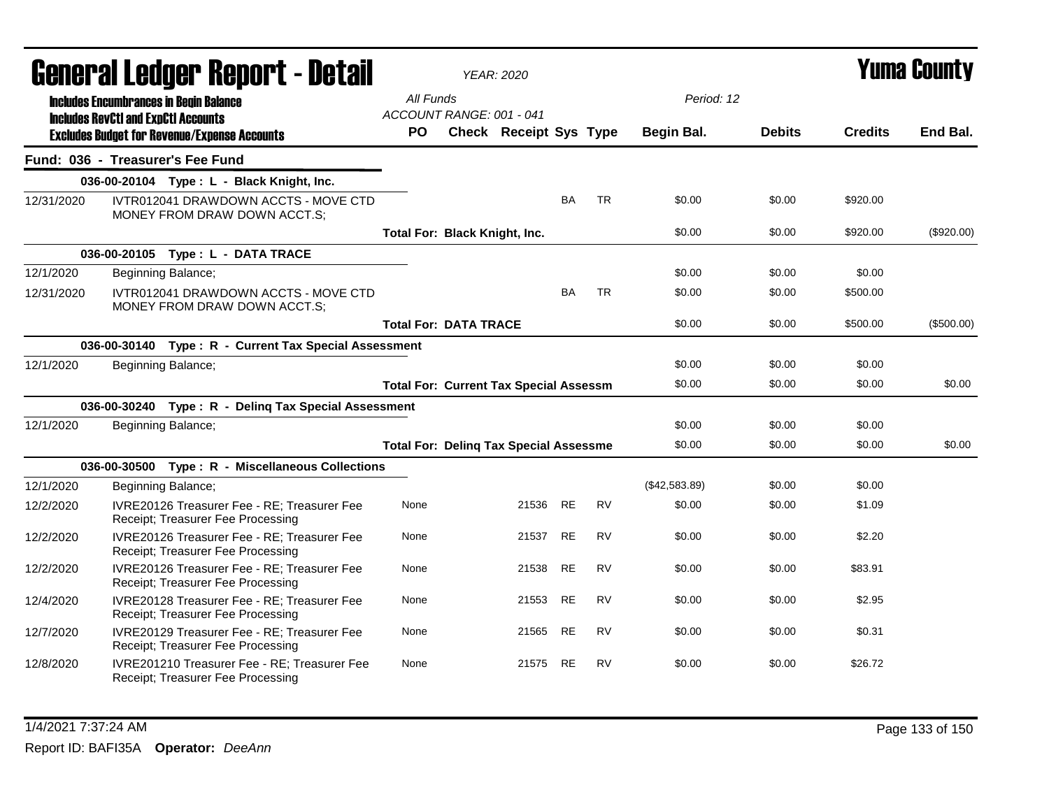|            |                                            | <b>General Ledger Report - Detail</b>                                             |                                       | <b>YEAR: 2020</b>                             |           |           |                   |               |                | <b>Yuma County</b> |
|------------|--------------------------------------------|-----------------------------------------------------------------------------------|---------------------------------------|-----------------------------------------------|-----------|-----------|-------------------|---------------|----------------|--------------------|
|            | <b>Includes RevCtI and ExpCtI Accounts</b> | <b>Includes Encumbrances in Begin Balance</b>                                     | All Funds<br>ACCOUNT RANGE: 001 - 041 |                                               |           |           | Period: 12        |               |                |                    |
|            |                                            | <b>Excludes Budget for Revenue/Expense Accounts</b>                               | PO                                    | <b>Check Receipt Sys Type</b>                 |           |           | <b>Begin Bal.</b> | <b>Debits</b> | <b>Credits</b> | End Bal.           |
|            |                                            | Fund: 036 - Treasurer's Fee Fund                                                  |                                       |                                               |           |           |                   |               |                |                    |
|            |                                            | 036-00-20104 Type: L - Black Knight, Inc.                                         |                                       |                                               |           |           |                   |               |                |                    |
| 12/31/2020 |                                            | IVTR012041 DRAWDOWN ACCTS - MOVE CTD<br>MONEY FROM DRAW DOWN ACCT.S;              |                                       |                                               | <b>BA</b> | <b>TR</b> | \$0.00            | \$0.00        | \$920.00       |                    |
|            |                                            |                                                                                   | Total For: Black Knight, Inc.         |                                               |           |           | \$0.00            | \$0.00        | \$920.00       | $(\$920.00)$       |
|            |                                            | 036-00-20105 Type: L - DATA TRACE                                                 |                                       |                                               |           |           |                   |               |                |                    |
| 12/1/2020  |                                            | Beginning Balance;                                                                |                                       |                                               |           |           | \$0.00            | \$0.00        | \$0.00         |                    |
| 12/31/2020 |                                            | IVTR012041 DRAWDOWN ACCTS - MOVE CTD<br>MONEY FROM DRAW DOWN ACCT.S;              |                                       |                                               | <b>BA</b> | <b>TR</b> | \$0.00            | \$0.00        | \$500.00       |                    |
|            |                                            |                                                                                   | <b>Total For: DATA TRACE</b>          |                                               |           |           | \$0.00            | \$0.00        | \$500.00       | (\$500.00)         |
|            |                                            | 036-00-30140 Type: R - Current Tax Special Assessment                             |                                       |                                               |           |           |                   |               |                |                    |
| 12/1/2020  |                                            | Beginning Balance;                                                                |                                       |                                               |           |           | \$0.00            | \$0.00        | \$0.00         |                    |
|            |                                            |                                                                                   |                                       | <b>Total For: Current Tax Special Assessm</b> |           |           | \$0.00            | \$0.00        | \$0.00         | \$0.00             |
|            |                                            | 036-00-30240 Type: R - Deling Tax Special Assessment                              |                                       |                                               |           |           |                   |               |                |                    |
| 12/1/2020  |                                            | Beginning Balance;                                                                |                                       |                                               |           |           | \$0.00            | \$0.00        | \$0.00         |                    |
|            |                                            |                                                                                   |                                       | <b>Total For: Deling Tax Special Assessme</b> |           |           | \$0.00            | \$0.00        | \$0.00         | \$0.00             |
|            |                                            | 036-00-30500 Type: R - Miscellaneous Collections                                  |                                       |                                               |           |           |                   |               |                |                    |
| 12/1/2020  |                                            | Beginning Balance;                                                                |                                       |                                               |           |           | (\$42,583.89)     | \$0.00        | \$0.00         |                    |
| 12/2/2020  |                                            | IVRE20126 Treasurer Fee - RE; Treasurer Fee<br>Receipt; Treasurer Fee Processing  | None                                  | 21536 RE                                      |           | <b>RV</b> | \$0.00            | \$0.00        | \$1.09         |                    |
| 12/2/2020  |                                            | IVRE20126 Treasurer Fee - RE; Treasurer Fee<br>Receipt; Treasurer Fee Processing  | None                                  | 21537 RE                                      |           | <b>RV</b> | \$0.00            | \$0.00        | \$2.20         |                    |
| 12/2/2020  |                                            | IVRE20126 Treasurer Fee - RE; Treasurer Fee<br>Receipt; Treasurer Fee Processing  | None                                  | 21538                                         | <b>RE</b> | <b>RV</b> | \$0.00            | \$0.00        | \$83.91        |                    |
| 12/4/2020  |                                            | IVRE20128 Treasurer Fee - RE; Treasurer Fee<br>Receipt; Treasurer Fee Processing  | None                                  | 21553                                         | RE        | <b>RV</b> | \$0.00            | \$0.00        | \$2.95         |                    |
| 12/7/2020  |                                            | IVRE20129 Treasurer Fee - RE; Treasurer Fee<br>Receipt; Treasurer Fee Processing  | None                                  | 21565 RE                                      |           | <b>RV</b> | \$0.00            | \$0.00        | \$0.31         |                    |
| 12/8/2020  |                                            | IVRE201210 Treasurer Fee - RE; Treasurer Fee<br>Receipt; Treasurer Fee Processing | None                                  | 21575 RE                                      |           | <b>RV</b> | \$0.00            | \$0.00        | \$26.72        |                    |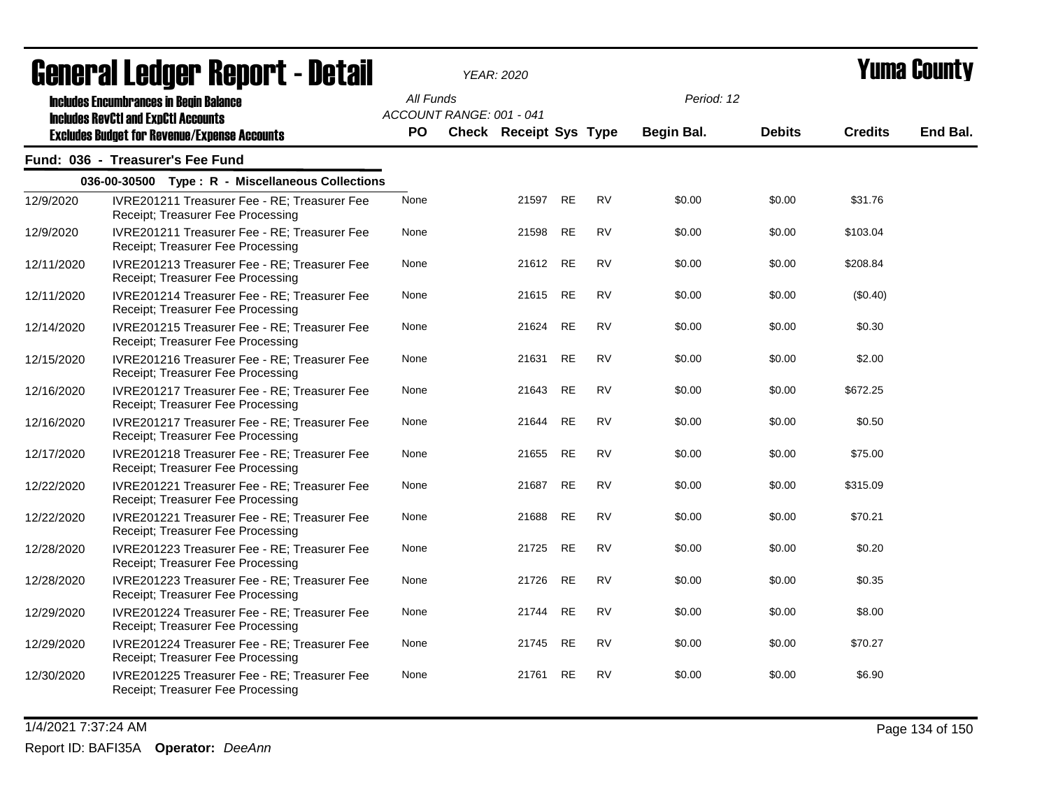|            | <u>ugligi ai lguygi lighni t- ngtali</u>                                                                                                           |                  |                          | I EAR. ZUZU            |           |           |                                 |               |                | I UMU VVUNT |
|------------|----------------------------------------------------------------------------------------------------------------------------------------------------|------------------|--------------------------|------------------------|-----------|-----------|---------------------------------|---------------|----------------|-------------|
|            | <b>Includes Encumbrances in Begin Balance</b><br><b>Includes RevCtI and ExpCtI Accounts</b><br><b>Excludes Budget for Revenue/Expense Accounts</b> | All Funds<br>PO. | ACCOUNT RANGE: 001 - 041 | Check Receipt Sys Type |           |           | Period: 12<br><b>Begin Bal.</b> | <b>Debits</b> | <b>Credits</b> | End Bal.    |
|            |                                                                                                                                                    |                  |                          |                        |           |           |                                 |               |                |             |
|            | Fund: 036 - Treasurer's Fee Fund                                                                                                                   |                  |                          |                        |           |           |                                 |               |                |             |
|            | 036-00-30500 Type: R - Miscellaneous Collections                                                                                                   |                  |                          |                        |           |           |                                 |               |                |             |
| 12/9/2020  | IVRE201211 Treasurer Fee - RE; Treasurer Fee<br>Receipt; Treasurer Fee Processing                                                                  | None             |                          | 21597                  | RE        | <b>RV</b> | \$0.00                          | \$0.00        | \$31.76        |             |
| 12/9/2020  | IVRE201211 Treasurer Fee - RE; Treasurer Fee<br>Receipt; Treasurer Fee Processing                                                                  | None             |                          | 21598                  | <b>RE</b> | <b>RV</b> | \$0.00                          | \$0.00        | \$103.04       |             |
| 12/11/2020 | IVRE201213 Treasurer Fee - RE; Treasurer Fee<br>Receipt; Treasurer Fee Processing                                                                  | None             |                          | 21612                  | <b>RE</b> | <b>RV</b> | \$0.00                          | \$0.00        | \$208.84       |             |
| 12/11/2020 | IVRE201214 Treasurer Fee - RE; Treasurer Fee<br>Receipt; Treasurer Fee Processing                                                                  | None             |                          | 21615 RE               |           | <b>RV</b> | \$0.00                          | \$0.00        | (\$0.40)       |             |
| 12/14/2020 | IVRE201215 Treasurer Fee - RE; Treasurer Fee<br>Receipt; Treasurer Fee Processing                                                                  | None             |                          | 21624                  | <b>RE</b> | <b>RV</b> | \$0.00                          | \$0.00        | \$0.30         |             |
| 12/15/2020 | IVRE201216 Treasurer Fee - RE; Treasurer Fee<br>Receipt; Treasurer Fee Processing                                                                  | None             |                          | 21631                  | <b>RE</b> | <b>RV</b> | \$0.00                          | \$0.00        | \$2.00         |             |
| 12/16/2020 | IVRE201217 Treasurer Fee - RE; Treasurer Fee<br>Receipt; Treasurer Fee Processing                                                                  | None             |                          | 21643                  | <b>RE</b> | <b>RV</b> | \$0.00                          | \$0.00        | \$672.25       |             |
| 12/16/2020 | IVRE201217 Treasurer Fee - RE; Treasurer Fee<br>Receipt; Treasurer Fee Processing                                                                  | None             |                          | 21644                  | <b>RE</b> | <b>RV</b> | \$0.00                          | \$0.00        | \$0.50         |             |
| 12/17/2020 | IVRE201218 Treasurer Fee - RE; Treasurer Fee<br>Receipt; Treasurer Fee Processing                                                                  | None             |                          | 21655 RE               |           | <b>RV</b> | \$0.00                          | \$0.00        | \$75.00        |             |
| 12/22/2020 | IVRE201221 Treasurer Fee - RE; Treasurer Fee<br>Receipt; Treasurer Fee Processing                                                                  | None             |                          | 21687                  | <b>RE</b> | <b>RV</b> | \$0.00                          | \$0.00        | \$315.09       |             |
| 12/22/2020 | IVRE201221 Treasurer Fee - RE; Treasurer Fee<br>Receipt; Treasurer Fee Processing                                                                  | None             |                          | 21688                  | <b>RE</b> | <b>RV</b> | \$0.00                          | \$0.00        | \$70.21        |             |
| 12/28/2020 | IVRE201223 Treasurer Fee - RE; Treasurer Fee<br>Receipt; Treasurer Fee Processing                                                                  | None             |                          | 21725                  | <b>RE</b> | <b>RV</b> | \$0.00                          | \$0.00        | \$0.20         |             |
| 12/28/2020 | IVRE201223 Treasurer Fee - RE; Treasurer Fee<br>Receipt; Treasurer Fee Processing                                                                  | None             |                          | 21726                  | <b>RE</b> | <b>RV</b> | \$0.00                          | \$0.00        | \$0.35         |             |
| 12/29/2020 | IVRE201224 Treasurer Fee - RE; Treasurer Fee<br>Receipt; Treasurer Fee Processing                                                                  | None             |                          | 21744                  | <b>RE</b> | <b>RV</b> | \$0.00                          | \$0.00        | \$8.00         |             |
| 12/29/2020 | IVRE201224 Treasurer Fee - RE; Treasurer Fee<br>Receipt; Treasurer Fee Processing                                                                  | None             |                          | 21745 RE               |           | <b>RV</b> | \$0.00                          | \$0.00        | \$70.27        |             |
| 12/30/2020 | IVRE201225 Treasurer Fee - RE; Treasurer Fee<br>Receipt; Treasurer Fee Processing                                                                  | None             |                          | 21761                  | RE        | RV        | \$0.00                          | \$0.00        | \$6.90         |             |

1/4/2021 7:37:24 AM Page 134 of 150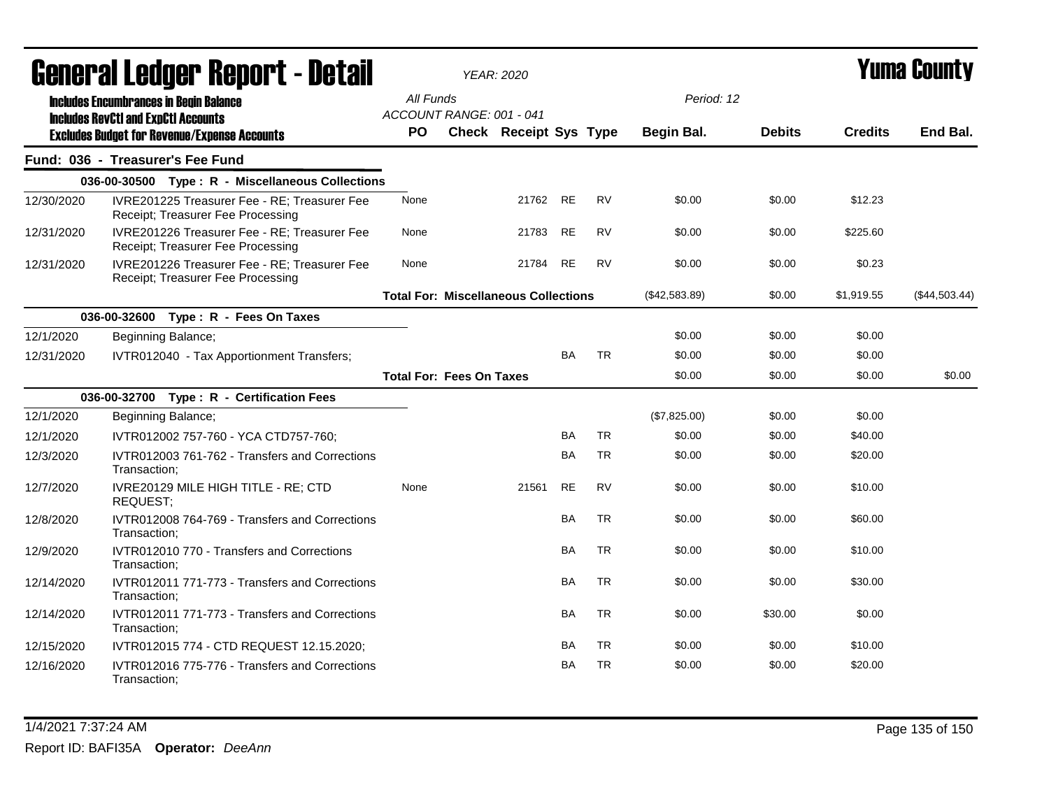|            | <b>General Ledger Report - Detail</b>                                             |           | <b>YEAR: 2020</b>                           |           |           |               |               |                | Yuma County   |
|------------|-----------------------------------------------------------------------------------|-----------|---------------------------------------------|-----------|-----------|---------------|---------------|----------------|---------------|
|            | <b>Includes Encumbrances in Begin Balance</b>                                     | All Funds |                                             |           |           | Period: 12    |               |                |               |
|            | <b>Includes RevCtI and ExpCtI Accounts</b>                                        |           | ACCOUNT RANGE: 001 - 041                    |           |           |               |               |                |               |
|            | <b>Excludes Budget for Revenue/Expense Accounts</b>                               | PO.       | Check Receipt Sys Type                      |           |           | Begin Bal.    | <b>Debits</b> | <b>Credits</b> | End Bal.      |
|            | Fund: 036 - Treasurer's Fee Fund                                                  |           |                                             |           |           |               |               |                |               |
|            | 036-00-30500 Type: R - Miscellaneous Collections                                  |           |                                             |           |           |               |               |                |               |
| 12/30/2020 | IVRE201225 Treasurer Fee - RE; Treasurer Fee<br>Receipt; Treasurer Fee Processing | None      |                                             | 21762 RE  | <b>RV</b> | \$0.00        | \$0.00        | \$12.23        |               |
| 12/31/2020 | IVRE201226 Treasurer Fee - RE; Treasurer Fee<br>Receipt; Treasurer Fee Processing | None      | 21783                                       | RE        | <b>RV</b> | \$0.00        | \$0.00        | \$225.60       |               |
| 12/31/2020 | IVRE201226 Treasurer Fee - RE; Treasurer Fee<br>Receipt; Treasurer Fee Processing | None      | 21784                                       | <b>RE</b> | <b>RV</b> | \$0.00        | \$0.00        | \$0.23         |               |
|            |                                                                                   |           | <b>Total For: Miscellaneous Collections</b> |           |           | (\$42,583.89) | \$0.00        | \$1,919.55     | (\$44,503.44) |
|            | 036-00-32600 Type: R - Fees On Taxes                                              |           |                                             |           |           |               |               |                |               |
| 12/1/2020  | Beginning Balance;                                                                |           |                                             |           |           | \$0.00        | \$0.00        | \$0.00         |               |
| 12/31/2020 | IVTR012040 - Tax Apportionment Transfers;                                         |           |                                             | <b>BA</b> | <b>TR</b> | \$0.00        | \$0.00        | \$0.00         |               |
|            |                                                                                   |           | <b>Total For: Fees On Taxes</b>             |           |           | \$0.00        | \$0.00        | \$0.00         | \$0.00        |
|            | 036-00-32700 Type: R - Certification Fees                                         |           |                                             |           |           |               |               |                |               |
| 12/1/2020  | Beginning Balance;                                                                |           |                                             |           |           | (\$7,825.00)  | \$0.00        | \$0.00         |               |
| 12/1/2020  | IVTR012002 757-760 - YCA CTD757-760;                                              |           |                                             | BA        | <b>TR</b> | \$0.00        | \$0.00        | \$40.00        |               |
| 12/3/2020  | IVTR012003 761-762 - Transfers and Corrections<br>Transaction:                    |           |                                             | BA        | <b>TR</b> | \$0.00        | \$0.00        | \$20.00        |               |
| 12/7/2020  | IVRE20129 MILE HIGH TITLE - RE; CTD<br>REQUEST;                                   | None      | 21561                                       | <b>RE</b> | <b>RV</b> | \$0.00        | \$0.00        | \$10.00        |               |
| 12/8/2020  | IVTR012008 764-769 - Transfers and Corrections<br>Transaction:                    |           |                                             | <b>BA</b> | <b>TR</b> | \$0.00        | \$0.00        | \$60.00        |               |
| 12/9/2020  | IVTR012010 770 - Transfers and Corrections<br>Transaction:                        |           |                                             | <b>BA</b> | <b>TR</b> | \$0.00        | \$0.00        | \$10.00        |               |
| 12/14/2020 | IVTR012011 771-773 - Transfers and Corrections<br>Transaction:                    |           |                                             | BA        | <b>TR</b> | \$0.00        | \$0.00        | \$30.00        |               |
| 12/14/2020 | IVTR012011 771-773 - Transfers and Corrections<br>Transaction;                    |           |                                             | BA        | <b>TR</b> | \$0.00        | \$30.00       | \$0.00         |               |
| 12/15/2020 | IVTR012015 774 - CTD REQUEST 12.15.2020;                                          |           |                                             | <b>BA</b> | <b>TR</b> | \$0.00        | \$0.00        | \$10.00        |               |
| 12/16/2020 | IVTR012016 775-776 - Transfers and Corrections<br>Transaction:                    |           |                                             | <b>BA</b> | <b>TR</b> | \$0.00        | \$0.00        | \$20.00        |               |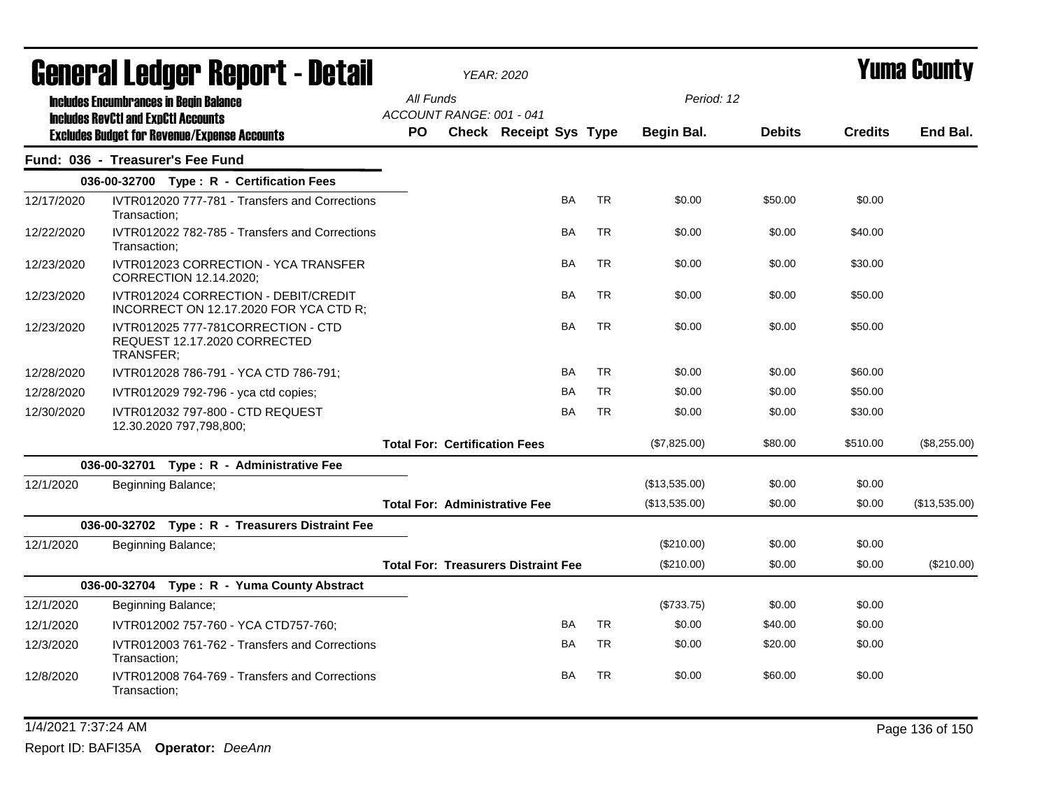|            | General Ledger Report - Detail                                                  |           |                                      | <b>YEAR: 2020</b>                          |           |           |               |               |                | <b>Yuma County</b> |
|------------|---------------------------------------------------------------------------------|-----------|--------------------------------------|--------------------------------------------|-----------|-----------|---------------|---------------|----------------|--------------------|
|            | <b>Includes Encumbrances in Begin Balance</b>                                   | All Funds |                                      |                                            |           |           | Period: 12    |               |                |                    |
|            | <b>Includes RevCtI and ExpCtI Accounts</b>                                      |           | ACCOUNT RANGE: 001 - 041             |                                            |           |           |               |               |                |                    |
|            | <b>Excludes Budget for Revenue/Expense Accounts</b>                             | <b>PO</b> |                                      | Check Receipt Sys Type                     |           |           | Begin Bal.    | <b>Debits</b> | <b>Credits</b> | End Bal.           |
|            | Fund: 036 - Treasurer's Fee Fund                                                |           |                                      |                                            |           |           |               |               |                |                    |
|            | 036-00-32700 Type: R - Certification Fees                                       |           |                                      |                                            |           |           |               |               |                |                    |
| 12/17/2020 | IVTR012020 777-781 - Transfers and Corrections<br>Transaction;                  |           |                                      |                                            | <b>BA</b> | <b>TR</b> | \$0.00        | \$50.00       | \$0.00         |                    |
| 12/22/2020 | IVTR012022 782-785 - Transfers and Corrections<br>Transaction:                  |           |                                      |                                            | BA        | <b>TR</b> | \$0.00        | \$0.00        | \$40.00        |                    |
| 12/23/2020 | IVTR012023 CORRECTION - YCA TRANSFER<br>CORRECTION 12.14.2020;                  |           |                                      |                                            | BA        | <b>TR</b> | \$0.00        | \$0.00        | \$30.00        |                    |
| 12/23/2020 | IVTR012024 CORRECTION - DEBIT/CREDIT<br>INCORRECT ON 12.17.2020 FOR YCA CTD R;  |           |                                      |                                            | <b>BA</b> | <b>TR</b> | \$0.00        | \$0.00        | \$50.00        |                    |
| 12/23/2020 | IVTR012025 777-781CORRECTION - CTD<br>REQUEST 12.17.2020 CORRECTED<br>TRANSFER; |           |                                      |                                            | BA        | <b>TR</b> | \$0.00        | \$0.00        | \$50.00        |                    |
| 12/28/2020 | IVTR012028 786-791 - YCA CTD 786-791;                                           |           |                                      |                                            | <b>BA</b> | <b>TR</b> | \$0.00        | \$0.00        | \$60.00        |                    |
| 12/28/2020 | IVTR012029 792-796 - yca ctd copies;                                            |           |                                      |                                            | BA        | <b>TR</b> | \$0.00        | \$0.00        | \$50.00        |                    |
| 12/30/2020 | IVTR012032 797-800 - CTD REQUEST<br>12.30.2020 797,798,800;                     |           |                                      |                                            | BA        | <b>TR</b> | \$0.00        | \$0.00        | \$30.00        |                    |
|            |                                                                                 |           | <b>Total For: Certification Fees</b> |                                            |           |           | (\$7,825.00)  | \$80.00       | \$510.00       | (\$8,255.00)       |
|            | 036-00-32701 Type: R - Administrative Fee                                       |           |                                      |                                            |           |           |               |               |                |                    |
| 12/1/2020  | Beginning Balance;                                                              |           |                                      |                                            |           |           | (\$13,535.00) | \$0.00        | \$0.00         |                    |
|            |                                                                                 |           |                                      | <b>Total For: Administrative Fee</b>       |           |           | (\$13,535.00) | \$0.00        | \$0.00         | (\$13,535.00)      |
|            | 036-00-32702 Type: R - Treasurers Distraint Fee                                 |           |                                      |                                            |           |           |               |               |                |                    |
| 12/1/2020  | Beginning Balance;                                                              |           |                                      |                                            |           |           | $(\$210.00)$  | \$0.00        | \$0.00         |                    |
|            |                                                                                 |           |                                      | <b>Total For: Treasurers Distraint Fee</b> |           |           | $(\$210.00)$  | \$0.00        | \$0.00         | (\$210.00)         |
|            | 036-00-32704 Type: R - Yuma County Abstract                                     |           |                                      |                                            |           |           |               |               |                |                    |
| 12/1/2020  | Beginning Balance;                                                              |           |                                      |                                            |           |           | (\$733.75)    | \$0.00        | \$0.00         |                    |
| 12/1/2020  | IVTR012002 757-760 - YCA CTD757-760;                                            |           |                                      |                                            | BA        | <b>TR</b> | \$0.00        | \$40.00       | \$0.00         |                    |
| 12/3/2020  | IVTR012003 761-762 - Transfers and Corrections<br>Transaction;                  |           |                                      |                                            | <b>BA</b> | <b>TR</b> | \$0.00        | \$20.00       | \$0.00         |                    |
| 12/8/2020  | IVTR012008 764-769 - Transfers and Corrections<br>Transaction:                  |           |                                      |                                            | BA        | <b>TR</b> | \$0.00        | \$60.00       | \$0.00         |                    |

1/4/2021 7:37:24 AM Page 136 of 150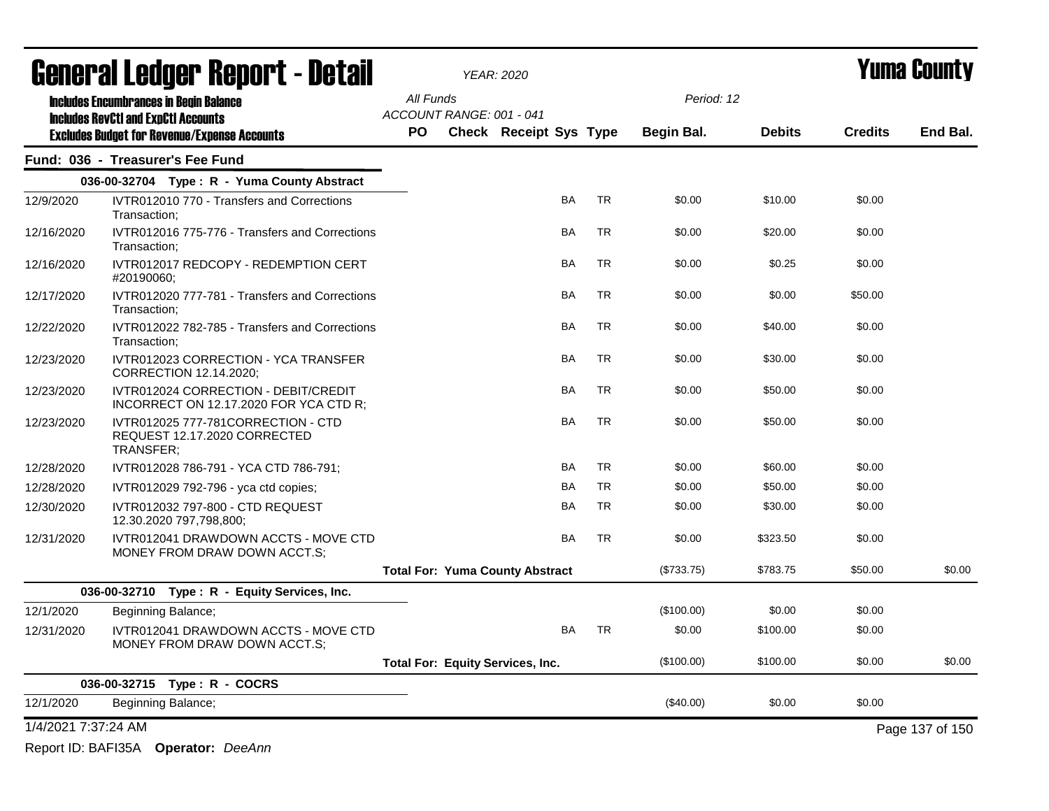|                     | General Ledger Report - Detail                                                                    |                                       | <b>YEAR: 2020</b>                       |           |           |             |               |                | <b>Yuma County</b> |
|---------------------|---------------------------------------------------------------------------------------------------|---------------------------------------|-----------------------------------------|-----------|-----------|-------------|---------------|----------------|--------------------|
|                     | <b>Includes Encumbrances in Begin Balance</b>                                                     | All Funds                             |                                         |           |           | Period: 12  |               |                |                    |
|                     | <b>Includes RevCtI and ExpCtI Accounts</b><br><b>Excludes Budget for Revenue/Expense Accounts</b> | ACCOUNT RANGE: 001 - 041<br><b>PO</b> | <b>Check Receipt Sys Type</b>           |           |           | Begin Bal.  | <b>Debits</b> | <b>Credits</b> | End Bal.           |
|                     | Fund: 036 - Treasurer's Fee Fund                                                                  |                                       |                                         |           |           |             |               |                |                    |
|                     | 036-00-32704 Type: R - Yuma County Abstract                                                       |                                       |                                         |           |           |             |               |                |                    |
| 12/9/2020           | IVTR012010 770 - Transfers and Corrections<br>Transaction;                                        |                                       |                                         | <b>BA</b> | <b>TR</b> | \$0.00      | \$10.00       | \$0.00         |                    |
| 12/16/2020          | IVTR012016 775-776 - Transfers and Corrections<br>Transaction:                                    |                                       |                                         | BA        | <b>TR</b> | \$0.00      | \$20.00       | \$0.00         |                    |
| 12/16/2020          | IVTR012017 REDCOPY - REDEMPTION CERT<br>#20190060;                                                |                                       |                                         | BA        | <b>TR</b> | \$0.00      | \$0.25        | \$0.00         |                    |
| 12/17/2020          | IVTR012020 777-781 - Transfers and Corrections<br>Transaction:                                    |                                       |                                         | BA        | <b>TR</b> | \$0.00      | \$0.00        | \$50.00        |                    |
| 12/22/2020          | IVTR012022 782-785 - Transfers and Corrections<br>Transaction;                                    |                                       |                                         | BA        | <b>TR</b> | \$0.00      | \$40.00       | \$0.00         |                    |
| 12/23/2020          | IVTR012023 CORRECTION - YCA TRANSFER<br>CORRECTION 12.14.2020;                                    |                                       |                                         | <b>BA</b> | <b>TR</b> | \$0.00      | \$30.00       | \$0.00         |                    |
| 12/23/2020          | IVTR012024 CORRECTION - DEBIT/CREDIT<br>INCORRECT ON 12.17.2020 FOR YCA CTD R;                    |                                       |                                         | BA        | <b>TR</b> | \$0.00      | \$50.00       | \$0.00         |                    |
| 12/23/2020          | IVTR012025 777-781CORRECTION - CTD<br>REQUEST 12.17.2020 CORRECTED<br>TRANSFER;                   |                                       |                                         | BA        | <b>TR</b> | \$0.00      | \$50.00       | \$0.00         |                    |
| 12/28/2020          | IVTR012028 786-791 - YCA CTD 786-791;                                                             |                                       |                                         | <b>BA</b> | <b>TR</b> | \$0.00      | \$60.00       | \$0.00         |                    |
| 12/28/2020          | IVTR012029 792-796 - yca ctd copies;                                                              |                                       |                                         | <b>BA</b> | <b>TR</b> | \$0.00      | \$50.00       | \$0.00         |                    |
| 12/30/2020          | IVTR012032 797-800 - CTD REQUEST<br>12.30.2020 797,798,800;                                       |                                       |                                         | BA        | <b>TR</b> | \$0.00      | \$30.00       | \$0.00         |                    |
| 12/31/2020          | IVTR012041 DRAWDOWN ACCTS - MOVE CTD<br>MONEY FROM DRAW DOWN ACCT.S:                              |                                       |                                         | <b>BA</b> | <b>TR</b> | \$0.00      | \$323.50      | \$0.00         |                    |
|                     |                                                                                                   |                                       | <b>Total For: Yuma County Abstract</b>  |           |           | (\$733.75)  | \$783.75      | \$50.00        | \$0.00             |
|                     | 036-00-32710 Type: R - Equity Services, Inc.                                                      |                                       |                                         |           |           |             |               |                |                    |
| 12/1/2020           | Beginning Balance;                                                                                |                                       |                                         |           |           | (\$100.00)  | \$0.00        | \$0.00         |                    |
| 12/31/2020          | IVTR012041 DRAWDOWN ACCTS - MOVE CTD<br>MONEY FROM DRAW DOWN ACCT.S:                              |                                       |                                         | BA        | <b>TR</b> | \$0.00      | \$100.00      | \$0.00         |                    |
|                     |                                                                                                   |                                       | <b>Total For: Equity Services, Inc.</b> |           |           | (\$100.00)  | \$100.00      | \$0.00         | \$0.00             |
|                     | 036-00-32715 Type: R - COCRS                                                                      |                                       |                                         |           |           |             |               |                |                    |
| 12/1/2020           | Beginning Balance;                                                                                |                                       |                                         |           |           | $(\$40.00)$ | \$0.00        | \$0.00         |                    |
| 1/4/2021 7:37:24 AM |                                                                                                   |                                       |                                         |           |           |             |               |                | Page 137 of 150    |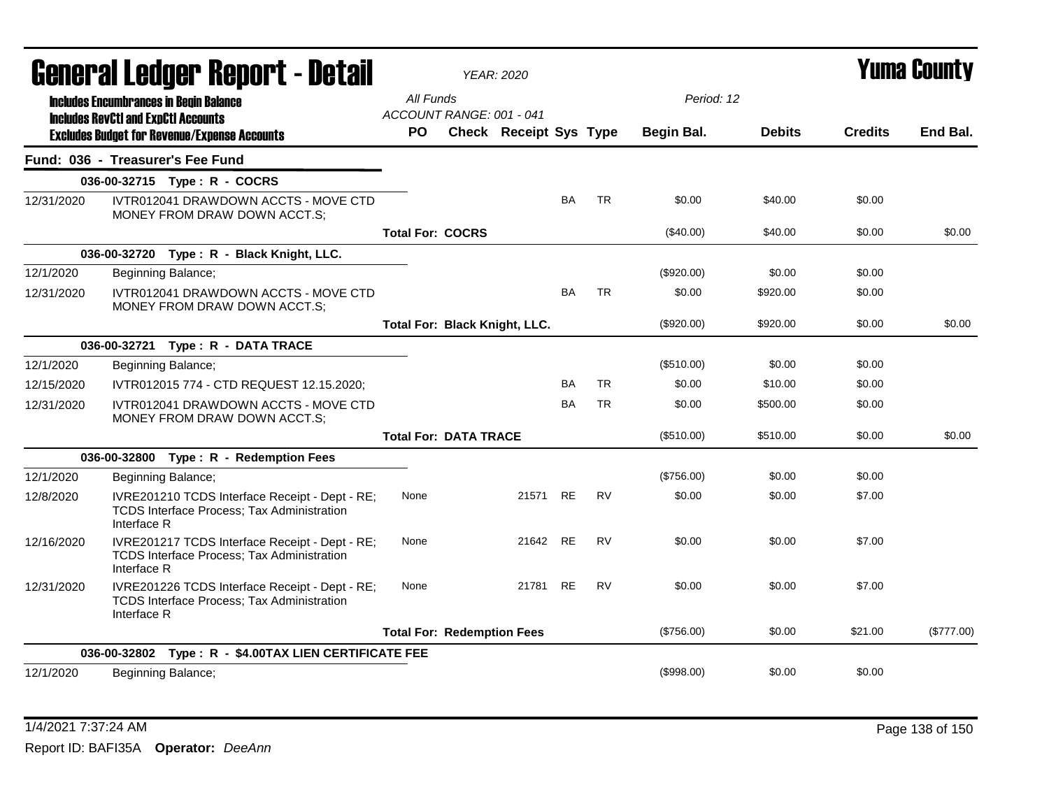|            |                                            | General Ledger Report - Detail                                                                      |                                       |                              | YEAR: 2020                           |           |           |                   |               |                | Yuma Countv |
|------------|--------------------------------------------|-----------------------------------------------------------------------------------------------------|---------------------------------------|------------------------------|--------------------------------------|-----------|-----------|-------------------|---------------|----------------|-------------|
|            |                                            | <b>Includes Encumbrances in Begin Balance</b>                                                       | All Funds<br>ACCOUNT RANGE: 001 - 041 |                              |                                      |           |           | Period: 12        |               |                |             |
|            | <b>Includes RevCtI and ExpCtI Accounts</b> | <b>Excludes Budget for Revenue/Expense Accounts</b>                                                 | <b>PO</b>                             |                              | <b>Check Receipt Sys Type</b>        |           |           | <b>Begin Bal.</b> | <b>Debits</b> | <b>Credits</b> | End Bal.    |
|            |                                            | Fund: 036 - Treasurer's Fee Fund                                                                    |                                       |                              |                                      |           |           |                   |               |                |             |
|            |                                            | 036-00-32715 Type: R - COCRS                                                                        |                                       |                              |                                      |           |           |                   |               |                |             |
| 12/31/2020 |                                            | IVTR012041 DRAWDOWN ACCTS - MOVE CTD<br>MONEY FROM DRAW DOWN ACCT.S;                                |                                       |                              |                                      | <b>BA</b> | <b>TR</b> | \$0.00            | \$40.00       | \$0.00         |             |
|            |                                            |                                                                                                     | <b>Total For: COCRS</b>               |                              |                                      |           |           | $(\$40.00)$       | \$40.00       | \$0.00         | \$0.00      |
|            |                                            | 036-00-32720 Type: R - Black Knight, LLC.                                                           |                                       |                              |                                      |           |           |                   |               |                |             |
| 12/1/2020  |                                            | Beginning Balance;                                                                                  |                                       |                              |                                      |           |           | (\$920.00)        | \$0.00        | \$0.00         |             |
| 12/31/2020 |                                            | IVTR012041 DRAWDOWN ACCTS - MOVE CTD<br>MONEY FROM DRAW DOWN ACCT.S;                                |                                       |                              |                                      | BA        | <b>TR</b> | \$0.00            | \$920.00      | \$0.00         |             |
|            |                                            |                                                                                                     |                                       |                              | <b>Total For: Black Knight, LLC.</b> |           |           | (\$920.00)        | \$920.00      | \$0.00         | \$0.00      |
|            |                                            | 036-00-32721 Type: R - DATA TRACE                                                                   |                                       |                              |                                      |           |           |                   |               |                |             |
| 12/1/2020  |                                            | Beginning Balance;                                                                                  |                                       |                              |                                      |           |           | (\$510.00)        | \$0.00        | \$0.00         |             |
| 12/15/2020 |                                            | IVTR012015 774 - CTD REQUEST 12.15.2020;                                                            |                                       |                              |                                      | <b>BA</b> | <b>TR</b> | \$0.00            | \$10.00       | \$0.00         |             |
| 12/31/2020 |                                            | IVTR012041 DRAWDOWN ACCTS - MOVE CTD<br>MONEY FROM DRAW DOWN ACCT.S;                                |                                       |                              |                                      | BA        | <b>TR</b> | \$0.00            | \$500.00      | \$0.00         |             |
|            |                                            |                                                                                                     |                                       | <b>Total For: DATA TRACE</b> |                                      |           |           | (\$510.00)        | \$510.00      | \$0.00         | \$0.00      |
|            |                                            | 036-00-32800 Type: R - Redemption Fees                                                              |                                       |                              |                                      |           |           |                   |               |                |             |
| 12/1/2020  |                                            | Beginning Balance;                                                                                  |                                       |                              |                                      |           |           | (\$756.00)        | \$0.00        | \$0.00         |             |
| 12/8/2020  | Interface R                                | IVRE201210 TCDS Interface Receipt - Dept - RE;<br>TCDS Interface Process; Tax Administration        | None                                  |                              | 21571                                | RE        | <b>RV</b> | \$0.00            | \$0.00        | \$7.00         |             |
| 12/16/2020 | Interface R                                | IVRE201217 TCDS Interface Receipt - Dept - RE;<br><b>TCDS Interface Process; Tax Administration</b> | None                                  |                              | 21642 RE                             |           | <b>RV</b> | \$0.00            | \$0.00        | \$7.00         |             |
| 12/31/2020 | Interface R                                | IVRE201226 TCDS Interface Receipt - Dept - RE;<br>TCDS Interface Process; Tax Administration        | None                                  |                              | 21781                                | RE        | <b>RV</b> | \$0.00            | \$0.00        | \$7.00         |             |
|            |                                            |                                                                                                     | <b>Total For: Redemption Fees</b>     |                              |                                      |           |           | (\$756.00)        | \$0.00        | \$21.00        | (\$777.00)  |
|            |                                            | 036-00-32802 Type: R - \$4.00TAX LIEN CERTIFICATE FEE                                               |                                       |                              |                                      |           |           |                   |               |                |             |
| 12/1/2020  |                                            | Beginning Balance;                                                                                  |                                       |                              |                                      |           |           | (\$998.00)        | \$0.00        | \$0.00         |             |

1/4/2021 7:37:24 AM Page 138 of 150 Report ID: BAFI35A **Operator:** *DeeAnn*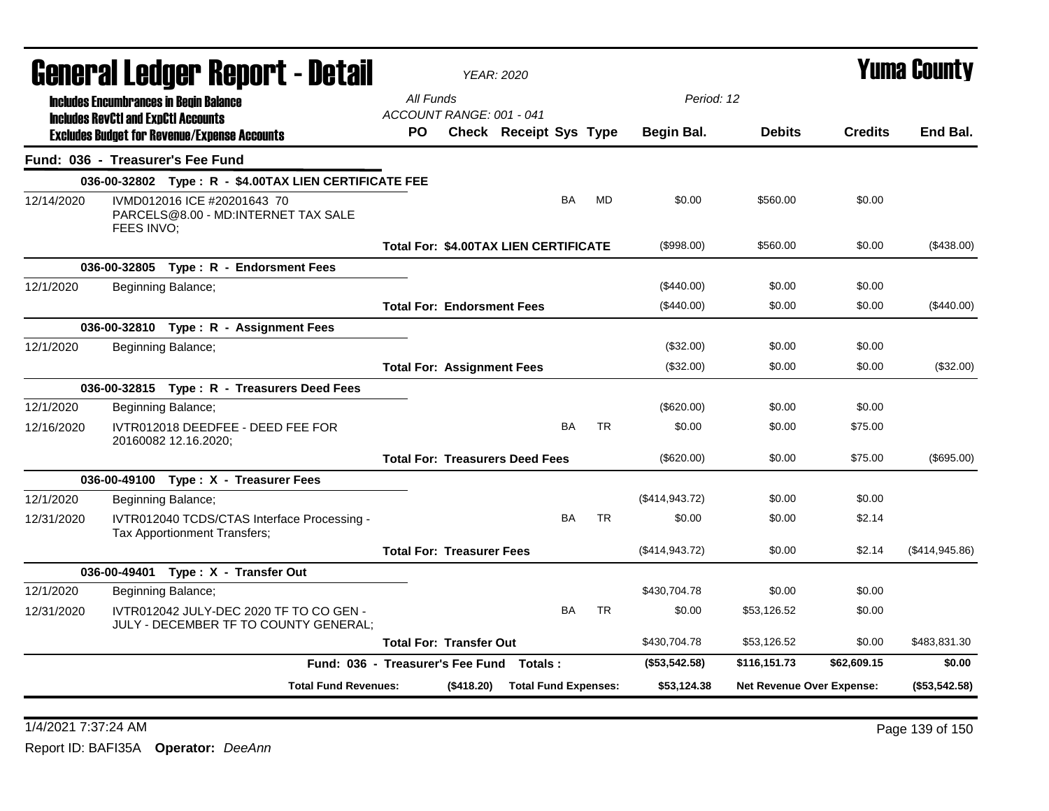|            |                                                                                                   | General Ledger Report - Detail                                                   |                                       | <b>YEAR: 2020</b> |                                              |           |           |                 |                           |                | <b>Yuma County</b> |
|------------|---------------------------------------------------------------------------------------------------|----------------------------------------------------------------------------------|---------------------------------------|-------------------|----------------------------------------------|-----------|-----------|-----------------|---------------------------|----------------|--------------------|
|            | <b>Includes Encumbrances in Begin Balance</b>                                                     |                                                                                  | All Funds<br>ACCOUNT RANGE: 001 - 041 |                   |                                              |           |           | Period: 12      |                           |                |                    |
|            | <b>Includes RevCtI and ExpCtI Accounts</b><br><b>Excludes Budget for Revenue/Expense Accounts</b> |                                                                                  | PO                                    |                   | Check Receipt Sys Type                       |           |           | Begin Bal.      | <b>Debits</b>             | <b>Credits</b> | End Bal.           |
|            | Fund: 036 - Treasurer's Fee Fund                                                                  |                                                                                  |                                       |                   |                                              |           |           |                 |                           |                |                    |
|            |                                                                                                   | 036-00-32802 Type: R - \$4.00TAX LIEN CERTIFICATE FEE                            |                                       |                   |                                              |           |           |                 |                           |                |                    |
| 12/14/2020 | FEES INVO;                                                                                        | IVMD012016 ICE #20201643 70<br>PARCELS@8.00 - MD:INTERNET TAX SALE               |                                       |                   |                                              | BA        | MD        | \$0.00          | \$560.00                  | \$0.00         |                    |
|            |                                                                                                   |                                                                                  |                                       |                   | <b>Total For: \$4.00TAX LIEN CERTIFICATE</b> |           |           | (\$998.00)      | \$560.00                  | \$0.00         | (\$438.00)         |
|            |                                                                                                   | 036-00-32805 Type: R - Endorsment Fees                                           |                                       |                   |                                              |           |           |                 |                           |                |                    |
| 12/1/2020  | Beginning Balance;                                                                                |                                                                                  |                                       |                   |                                              |           |           | $(\$440.00)$    | \$0.00                    | \$0.00         |                    |
|            |                                                                                                   |                                                                                  | <b>Total For: Endorsment Fees</b>     |                   |                                              |           |           | (\$440.00)      | \$0.00                    | \$0.00         | $(\$440.00)$       |
|            |                                                                                                   | 036-00-32810 Type: R - Assignment Fees                                           |                                       |                   |                                              |           |           |                 |                           |                |                    |
| 12/1/2020  | Beginning Balance;                                                                                |                                                                                  |                                       |                   |                                              |           |           | (\$32.00)       | \$0.00                    | \$0.00         |                    |
|            |                                                                                                   |                                                                                  | <b>Total For: Assignment Fees</b>     |                   |                                              |           |           | (\$32.00)       | \$0.00                    | \$0.00         | (\$32.00)          |
|            |                                                                                                   | 036-00-32815 Type: R - Treasurers Deed Fees                                      |                                       |                   |                                              |           |           |                 |                           |                |                    |
| 12/1/2020  | Beginning Balance;                                                                                |                                                                                  |                                       |                   |                                              |           |           | $(\$620.00)$    | \$0.00                    | \$0.00         |                    |
| 12/16/2020 | 20160082 12.16.2020;                                                                              | IVTR012018 DEEDFEE - DEED FEE FOR                                                |                                       |                   |                                              | <b>BA</b> | <b>TR</b> | \$0.00          | \$0.00                    | \$75.00        |                    |
|            |                                                                                                   |                                                                                  |                                       |                   | <b>Total For: Treasurers Deed Fees</b>       |           |           | $(\$620.00)$    | \$0.00                    | \$75.00        | (\$695.00)         |
|            |                                                                                                   | 036-00-49100 Type: X - Treasurer Fees                                            |                                       |                   |                                              |           |           |                 |                           |                |                    |
| 12/1/2020  | Beginning Balance;                                                                                |                                                                                  |                                       |                   |                                              |           |           | (\$414, 943.72) | \$0.00                    | \$0.00         |                    |
| 12/31/2020 | Tax Apportionment Transfers;                                                                      | IVTR012040 TCDS/CTAS Interface Processing -                                      |                                       |                   |                                              | <b>BA</b> | <b>TR</b> | \$0.00          | \$0.00                    | \$2.14         |                    |
|            |                                                                                                   |                                                                                  | <b>Total For: Treasurer Fees</b>      |                   |                                              |           |           | (\$414, 943.72) | \$0.00                    | \$2.14         | (\$414,945.86)     |
|            |                                                                                                   | 036-00-49401 Type: X - Transfer Out                                              |                                       |                   |                                              |           |           |                 |                           |                |                    |
| 12/1/2020  | Beginning Balance;                                                                                |                                                                                  |                                       |                   |                                              |           |           | \$430,704.78    | \$0.00                    | \$0.00         |                    |
| 12/31/2020 |                                                                                                   | IVTR012042 JULY-DEC 2020 TF TO CO GEN -<br>JULY - DECEMBER TF TO COUNTY GENERAL; |                                       |                   |                                              | <b>BA</b> | <b>TR</b> | \$0.00          | \$53,126.52               | \$0.00         |                    |
|            |                                                                                                   |                                                                                  | <b>Total For: Transfer Out</b>        |                   |                                              |           |           | \$430,704.78    | \$53,126.52               | \$0.00         | \$483.831.30       |
|            |                                                                                                   | Fund: 036 - Treasurer's Fee Fund Totals:                                         |                                       |                   |                                              |           |           | (\$53,542.58)   | \$116,151.73              | \$62,609.15    | \$0.00             |
|            |                                                                                                   | <b>Total Fund Revenues:</b>                                                      |                                       | (\$418.20)        | <b>Total Fund Expenses:</b>                  |           |           | \$53,124.38     | Net Revenue Over Expense: |                | (\$53,542.58)      |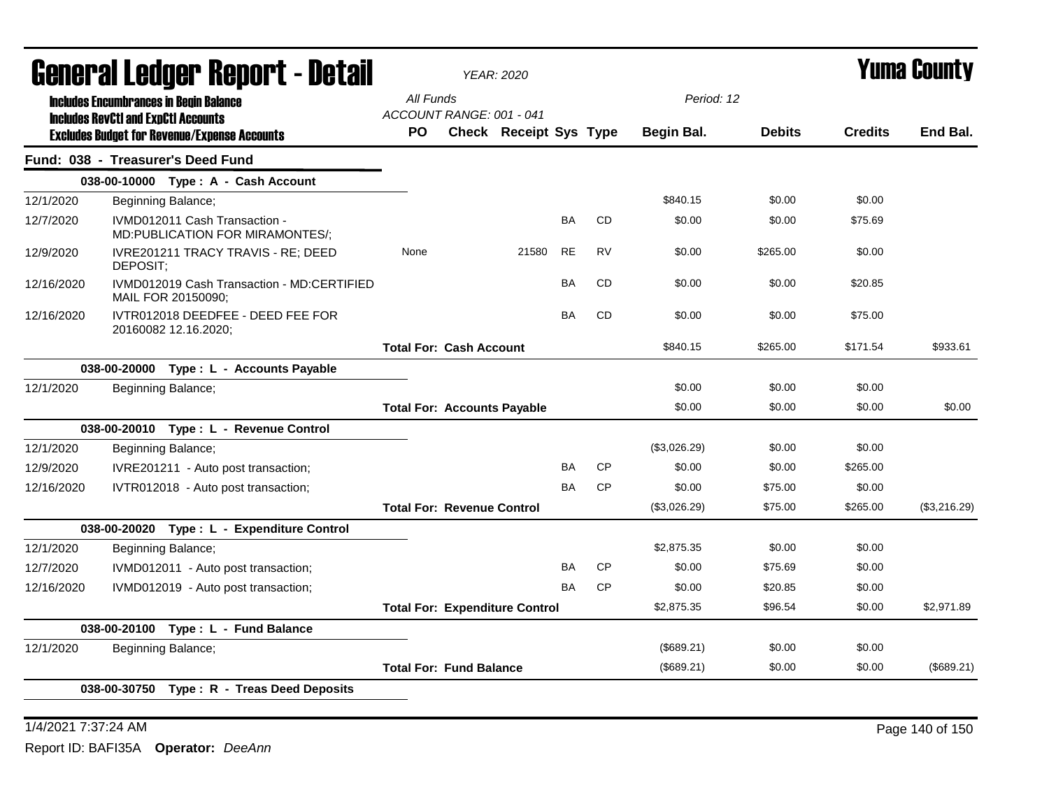|            | General Ledger Report - Detail                                                                    |                                       | <b>YEAR: 2020</b>             |           |           |              |               |                | Yuma Countv  |
|------------|---------------------------------------------------------------------------------------------------|---------------------------------------|-------------------------------|-----------|-----------|--------------|---------------|----------------|--------------|
|            | <b>Includes Encumbrances in Begin Balance</b>                                                     | All Funds                             |                               |           |           | Period: 12   |               |                |              |
|            | <b>Includes RevCtI and ExpCtI Accounts</b><br><b>Excludes Budget for Revenue/Expense Accounts</b> | ACCOUNT RANGE: 001 - 041<br><b>PO</b> | <b>Check Receipt Sys Type</b> |           |           | Begin Bal.   | <b>Debits</b> | <b>Credits</b> | End Bal.     |
|            | Fund: 038 - Treasurer's Deed Fund                                                                 |                                       |                               |           |           |              |               |                |              |
|            | 038-00-10000 Type: A - Cash Account                                                               |                                       |                               |           |           |              |               |                |              |
| 12/1/2020  | Beginning Balance;                                                                                |                                       |                               |           |           | \$840.15     | \$0.00        | \$0.00         |              |
| 12/7/2020  | IVMD012011 Cash Transaction -<br>MD:PUBLICATION FOR MIRAMONTES/;                                  |                                       |                               | <b>BA</b> | <b>CD</b> | \$0.00       | \$0.00        | \$75.69        |              |
| 12/9/2020  | IVRE201211 TRACY TRAVIS - RE; DEED<br>DEPOSIT:                                                    | None                                  | 21580                         | <b>RE</b> | <b>RV</b> | \$0.00       | \$265.00      | \$0.00         |              |
| 12/16/2020 | IVMD012019 Cash Transaction - MD:CERTIFIED<br>MAIL FOR 20150090;                                  |                                       |                               | <b>BA</b> | <b>CD</b> | \$0.00       | \$0.00        | \$20.85        |              |
| 12/16/2020 | IVTR012018 DEEDFEE - DEED FEE FOR<br>20160082 12.16.2020;                                         |                                       |                               | <b>BA</b> | <b>CD</b> | \$0.00       | \$0.00        | \$75.00        |              |
|            |                                                                                                   | <b>Total For: Cash Account</b>        |                               |           |           | \$840.15     | \$265.00      | \$171.54       | \$933.61     |
|            | 038-00-20000 Type : L - Accounts Payable                                                          |                                       |                               |           |           |              |               |                |              |
| 12/1/2020  | Beginning Balance;                                                                                |                                       |                               |           |           | \$0.00       | \$0.00        | \$0.00         |              |
|            |                                                                                                   | <b>Total For: Accounts Payable</b>    |                               |           |           | \$0.00       | \$0.00        | \$0.00         | \$0.00       |
|            | 038-00-20010 Type: L - Revenue Control                                                            |                                       |                               |           |           |              |               |                |              |
| 12/1/2020  | Beginning Balance;                                                                                |                                       |                               |           |           | (\$3,026.29) | \$0.00        | \$0.00         |              |
| 12/9/2020  | IVRE201211 - Auto post transaction;                                                               |                                       |                               | BA        | <b>CP</b> | \$0.00       | \$0.00        | \$265.00       |              |
| 12/16/2020 | IVTR012018 - Auto post transaction;                                                               |                                       |                               | BA        | <b>CP</b> | \$0.00       | \$75.00       | \$0.00         |              |
|            |                                                                                                   | <b>Total For: Revenue Control</b>     |                               |           |           | (\$3,026.29) | \$75.00       | \$265.00       | (\$3,216.29) |
|            | 038-00-20020 Type: L - Expenditure Control                                                        |                                       |                               |           |           |              |               |                |              |
| 12/1/2020  | Beginning Balance;                                                                                |                                       |                               |           |           | \$2,875.35   | \$0.00        | \$0.00         |              |
| 12/7/2020  | IVMD012011 - Auto post transaction;                                                               |                                       |                               | BA        | <b>CP</b> | \$0.00       | \$75.69       | \$0.00         |              |
| 12/16/2020 | IVMD012019 - Auto post transaction;                                                               |                                       |                               | <b>BA</b> | <b>CP</b> | \$0.00       | \$20.85       | \$0.00         |              |
|            |                                                                                                   | <b>Total For: Expenditure Control</b> |                               |           |           | \$2,875.35   | \$96.54       | \$0.00         | \$2.971.89   |
|            | 038-00-20100 Type: L - Fund Balance                                                               |                                       |                               |           |           |              |               |                |              |
| 12/1/2020  | Beginning Balance;                                                                                |                                       |                               |           |           | (\$689.21)   | \$0.00        | \$0.00         |              |
|            |                                                                                                   | <b>Total For: Fund Balance</b>        |                               |           |           | (\$689.21)   | \$0.00        | \$0.00         | (\$689.21)   |
|            | 038-00-30750 Type: R - Treas Deed Deposits                                                        |                                       |                               |           |           |              |               |                |              |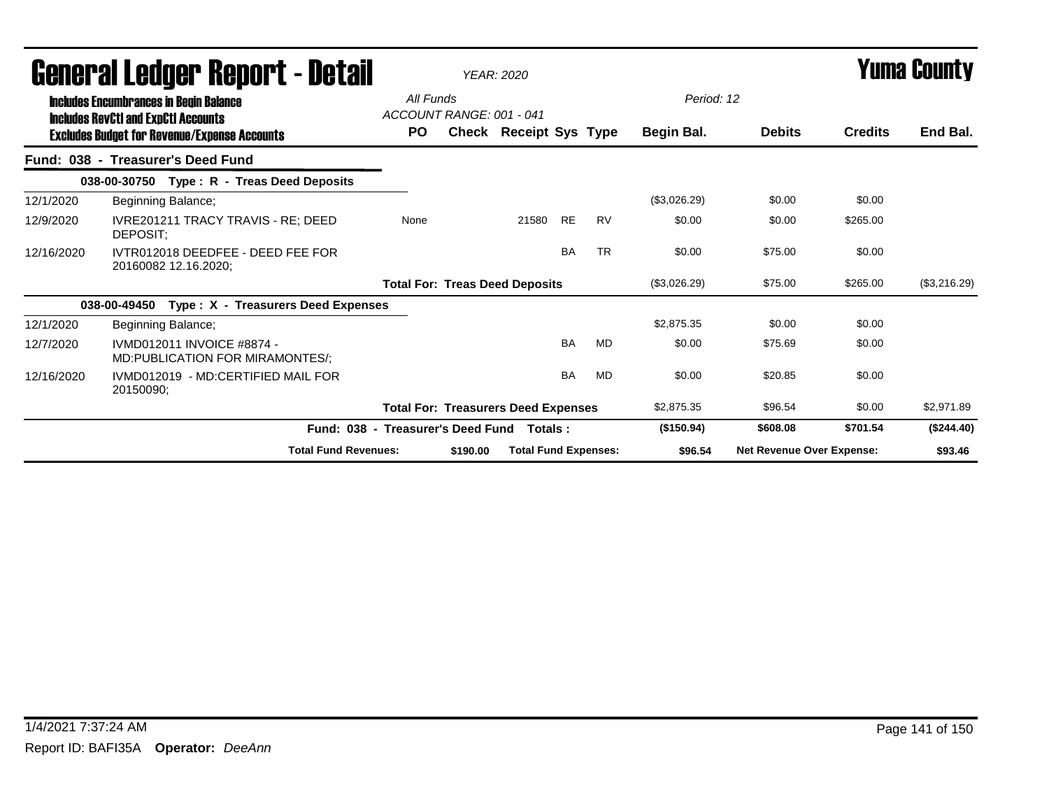|            | General Ledger Report - Detail                                                              |                                   |                          | <b>YEAR: 2020</b>                          |           |           |              |                           |                | <b>Yuma County</b> |
|------------|---------------------------------------------------------------------------------------------|-----------------------------------|--------------------------|--------------------------------------------|-----------|-----------|--------------|---------------------------|----------------|--------------------|
|            | <b>Includes Encumbrances in Begin Balance</b><br><b>Includes RevCtI and ExpCtI Accounts</b> | All Funds                         | ACCOUNT RANGE: 001 - 041 |                                            |           |           | Period: 12   |                           |                |                    |
|            | <b>Excludes Budget for Revenue/Expense Accounts</b>                                         | <b>PO</b>                         |                          | <b>Check Receipt Sys Type</b>              |           |           | Begin Bal.   | <b>Debits</b>             | <b>Credits</b> | End Bal.           |
|            | Fund: 038 - Treasurer's Deed Fund                                                           |                                   |                          |                                            |           |           |              |                           |                |                    |
|            | 038-00-30750 Type: R - Treas Deed Deposits                                                  |                                   |                          |                                            |           |           |              |                           |                |                    |
| 12/1/2020  | Beginning Balance;                                                                          |                                   |                          |                                            |           |           | (\$3,026.29) | \$0.00                    | \$0.00         |                    |
| 12/9/2020  | IVRE201211 TRACY TRAVIS - RE; DEED<br>DEPOSIT;                                              | None                              |                          | 21580                                      | <b>RE</b> | <b>RV</b> | \$0.00       | \$0.00                    | \$265.00       |                    |
| 12/16/2020 | IVTR012018 DEEDFEE - DEED FEE FOR<br>20160082 12.16.2020:                                   |                                   |                          |                                            | <b>BA</b> | <b>TR</b> | \$0.00       | \$75.00                   | \$0.00         |                    |
|            |                                                                                             |                                   |                          | <b>Total For: Treas Deed Deposits</b>      |           |           | (\$3,026.29) | \$75.00                   | \$265.00       | (\$3,216.29)       |
|            | 038-00-49450<br>Type: X - Treasurers Deed Expenses                                          |                                   |                          |                                            |           |           |              |                           |                |                    |
| 12/1/2020  | Beginning Balance;                                                                          |                                   |                          |                                            |           |           | \$2.875.35   | \$0.00                    | \$0.00         |                    |
| 12/7/2020  | IVMD012011 INVOICE #8874 -<br>MD:PUBLICATION FOR MIRAMONTES/;                               |                                   |                          |                                            | <b>BA</b> | <b>MD</b> | \$0.00       | \$75.69                   | \$0.00         |                    |
| 12/16/2020 | IVMD012019 - MD:CERTIFIED MAIL FOR<br>20150090;                                             |                                   |                          |                                            | <b>BA</b> | <b>MD</b> | \$0.00       | \$20.85                   | \$0.00         |                    |
|            |                                                                                             |                                   |                          | <b>Total For: Treasurers Deed Expenses</b> |           |           | \$2,875.35   | \$96.54                   | \$0.00         | \$2,971.89         |
|            |                                                                                             | Fund: 038 - Treasurer's Deed Fund |                          | Totals :                                   |           |           | (\$150.94)   | \$608.08                  | \$701.54       | (\$244.40)         |
|            | <b>Total Fund Revenues:</b>                                                                 |                                   | \$190.00                 | <b>Total Fund Expenses:</b>                |           |           | \$96.54      | Net Revenue Over Expense: |                | \$93.46            |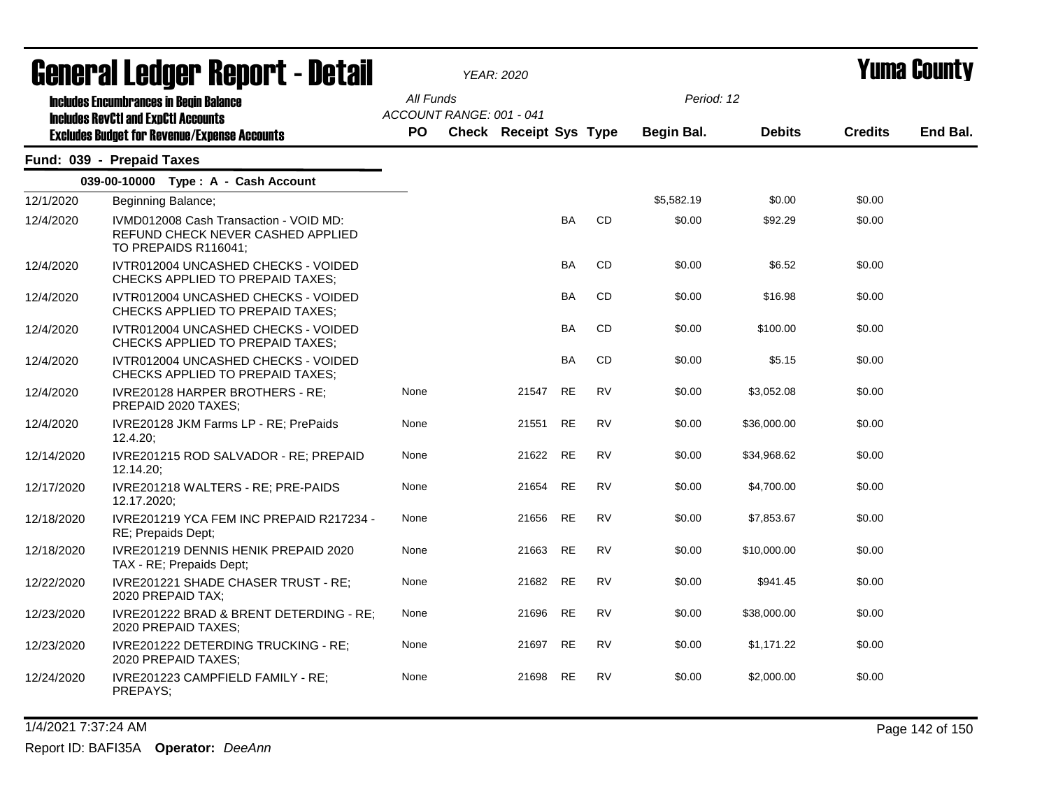|            | <b>General Ledger Report - Detail</b>                                                               |           |                          | <b>YEAR: 2020</b>             |           |           |            |               |                | Yuma County |
|------------|-----------------------------------------------------------------------------------------------------|-----------|--------------------------|-------------------------------|-----------|-----------|------------|---------------|----------------|-------------|
|            | <b>Includes Encumbrances in Begin Balance</b><br><b>Includes RevCtI and ExpCtI Accounts</b>         | All Funds | ACCOUNT RANGE: 001 - 041 |                               |           |           | Period: 12 |               |                |             |
|            | <b>Excludes Budget for Revenue/Expense Accounts</b>                                                 | <b>PO</b> |                          | <b>Check Receipt Sys Type</b> |           |           | Begin Bal. | <b>Debits</b> | <b>Credits</b> | End Bal.    |
|            | Fund: 039 - Prepaid Taxes                                                                           |           |                          |                               |           |           |            |               |                |             |
|            | 039-00-10000 Type: A - Cash Account                                                                 |           |                          |                               |           |           |            |               |                |             |
| 12/1/2020  | Beginning Balance;                                                                                  |           |                          |                               |           |           | \$5,582.19 | \$0.00        | \$0.00         |             |
| 12/4/2020  | IVMD012008 Cash Transaction - VOID MD:<br>REFUND CHECK NEVER CASHED APPLIED<br>TO PREPAIDS R116041; |           |                          |                               | <b>BA</b> | <b>CD</b> | \$0.00     | \$92.29       | \$0.00         |             |
| 12/4/2020  | IVTR012004 UNCASHED CHECKS - VOIDED<br>CHECKS APPLIED TO PREPAID TAXES;                             |           |                          |                               | BA        | CD        | \$0.00     | \$6.52        | \$0.00         |             |
| 12/4/2020  | IVTR012004 UNCASHED CHECKS - VOIDED<br>CHECKS APPLIED TO PREPAID TAXES;                             |           |                          |                               | BA        | CD        | \$0.00     | \$16.98       | \$0.00         |             |
| 12/4/2020  | IVTR012004 UNCASHED CHECKS - VOIDED<br><b>CHECKS APPLIED TO PREPAID TAXES:</b>                      |           |                          |                               | <b>BA</b> | CD        | \$0.00     | \$100.00      | \$0.00         |             |
| 12/4/2020  | IVTR012004 UNCASHED CHECKS - VOIDED<br>CHECKS APPLIED TO PREPAID TAXES:                             |           |                          |                               | <b>BA</b> | <b>CD</b> | \$0.00     | \$5.15        | \$0.00         |             |
| 12/4/2020  | IVRE20128 HARPER BROTHERS - RE;<br>PREPAID 2020 TAXES;                                              | None      |                          | 21547                         | RE        | RV        | \$0.00     | \$3,052.08    | \$0.00         |             |
| 12/4/2020  | IVRE20128 JKM Farms LP - RE; PrePaids<br>12.4.20:                                                   | None      |                          | 21551                         | <b>RE</b> | <b>RV</b> | \$0.00     | \$36,000.00   | \$0.00         |             |
| 12/14/2020 | IVRE201215 ROD SALVADOR - RE; PREPAID<br>12.14.20;                                                  | None      |                          | 21622                         | <b>RE</b> | <b>RV</b> | \$0.00     | \$34,968.62   | \$0.00         |             |
| 12/17/2020 | IVRE201218 WALTERS - RE; PRE-PAIDS<br>12.17.2020;                                                   | None      |                          | 21654                         | RE        | <b>RV</b> | \$0.00     | \$4,700.00    | \$0.00         |             |
| 12/18/2020 | IVRE201219 YCA FEM INC PREPAID R217234 -<br>RE; Prepaids Dept;                                      | None      |                          | 21656                         | <b>RE</b> | <b>RV</b> | \$0.00     | \$7,853.67    | \$0.00         |             |
| 12/18/2020 | IVRE201219 DENNIS HENIK PREPAID 2020<br>TAX - RE; Prepaids Dept;                                    | None      |                          | 21663                         | RE        | <b>RV</b> | \$0.00     | \$10,000.00   | \$0.00         |             |
| 12/22/2020 | IVRE201221 SHADE CHASER TRUST - RE;<br>2020 PREPAID TAX;                                            | None      |                          | 21682                         | RE        | <b>RV</b> | \$0.00     | \$941.45      | \$0.00         |             |
| 12/23/2020 | IVRE201222 BRAD & BRENT DETERDING - RE;<br>2020 PREPAID TAXES:                                      | None      |                          | 21696                         | <b>RE</b> | <b>RV</b> | \$0.00     | \$38,000.00   | \$0.00         |             |
| 12/23/2020 | IVRE201222 DETERDING TRUCKING - RE;<br>2020 PREPAID TAXES;                                          | None      |                          | 21697                         | RE        | <b>RV</b> | \$0.00     | \$1,171.22    | \$0.00         |             |
| 12/24/2020 | IVRE201223 CAMPFIELD FAMILY - RE;<br>PREPAYS;                                                       | None      |                          | 21698                         | RE        | RV        | \$0.00     | \$2,000.00    | \$0.00         |             |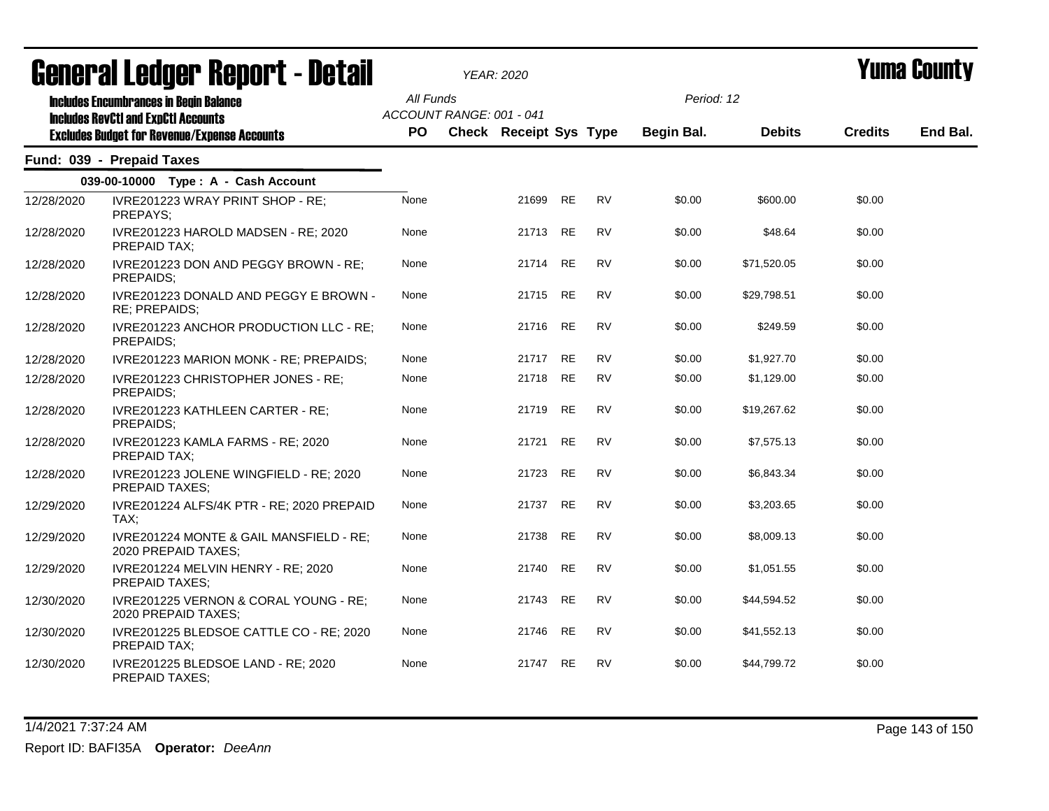|            | ugligi ai lguygi ngpulil - Dglaii                                                                                                                  |                        |                          | YEAR: 2020             |           |           |                          |               |                | I UIIIU VUUIILY |
|------------|----------------------------------------------------------------------------------------------------------------------------------------------------|------------------------|--------------------------|------------------------|-----------|-----------|--------------------------|---------------|----------------|-----------------|
|            | <b>Includes Encumbrances in Begin Balance</b><br><b>Includes RevCtI and ExpCtI Accounts</b><br><b>Excludes Budget for Revenue/Expense Accounts</b> | All Funds<br><b>PO</b> | ACCOUNT RANGE: 001 - 041 | Check Receipt Sys Type |           |           | Period: 12<br>Begin Bal. | <b>Debits</b> | <b>Credits</b> | End Bal.        |
|            | Fund: 039 - Prepaid Taxes                                                                                                                          |                        |                          |                        |           |           |                          |               |                |                 |
|            | 039-00-10000 Type: A - Cash Account                                                                                                                |                        |                          |                        |           |           |                          |               |                |                 |
| 12/28/2020 | IVRE201223 WRAY PRINT SHOP - RE;<br>PREPAYS;                                                                                                       | None                   |                          | 21699                  | <b>RE</b> | <b>RV</b> | \$0.00                   | \$600.00      | \$0.00         |                 |
| 12/28/2020 | IVRE201223 HAROLD MADSEN - RE; 2020<br>PREPAID TAX;                                                                                                | None                   |                          | 21713 RE               |           | <b>RV</b> | \$0.00                   | \$48.64       | \$0.00         |                 |
| 12/28/2020 | IVRE201223 DON AND PEGGY BROWN - RE;<br>PREPAIDS;                                                                                                  | None                   |                          | 21714 RE               |           | <b>RV</b> | \$0.00                   | \$71,520.05   | \$0.00         |                 |
| 12/28/2020 | IVRE201223 DONALD AND PEGGY E BROWN -<br>RE; PREPAIDS;                                                                                             | None                   |                          | 21715                  | <b>RE</b> | <b>RV</b> | \$0.00                   | \$29.798.51   | \$0.00         |                 |
| 12/28/2020 | IVRE201223 ANCHOR PRODUCTION LLC - RE:<br>PREPAIDS;                                                                                                | None                   |                          | 21716                  | RE        | <b>RV</b> | \$0.00                   | \$249.59      | \$0.00         |                 |
| 12/28/2020 | IVRE201223 MARION MONK - RE; PREPAIDS;                                                                                                             | None                   |                          | 21717                  | <b>RE</b> | <b>RV</b> | \$0.00                   | \$1,927.70    | \$0.00         |                 |
| 12/28/2020 | IVRE201223 CHRISTOPHER JONES - RE;<br>PREPAIDS;                                                                                                    | None                   |                          | 21718                  | <b>RE</b> | <b>RV</b> | \$0.00                   | \$1,129.00    | \$0.00         |                 |
| 12/28/2020 | IVRE201223 KATHLEEN CARTER - RE;<br>PREPAIDS;                                                                                                      | None                   |                          | 21719                  | <b>RE</b> | <b>RV</b> | \$0.00                   | \$19,267.62   | \$0.00         |                 |
| 12/28/2020 | IVRE201223 KAMLA FARMS - RE; 2020<br>PREPAID TAX;                                                                                                  | None                   |                          | 21721                  | <b>RE</b> | <b>RV</b> | \$0.00                   | \$7,575.13    | \$0.00         |                 |
| 12/28/2020 | IVRE201223 JOLENE WINGFIELD - RE; 2020<br><b>PREPAID TAXES;</b>                                                                                    | None                   |                          | 21723                  | <b>RE</b> | <b>RV</b> | \$0.00                   | \$6,843.34    | \$0.00         |                 |
| 12/29/2020 | IVRE201224 ALFS/4K PTR - RE; 2020 PREPAID<br>TAX;                                                                                                  | None                   |                          | 21737                  | <b>RE</b> | <b>RV</b> | \$0.00                   | \$3,203.65    | \$0.00         |                 |
| 12/29/2020 | IVRE201224 MONTE & GAIL MANSFIELD - RE;<br>2020 PREPAID TAXES;                                                                                     | None                   |                          | 21738                  | <b>RE</b> | <b>RV</b> | \$0.00                   | \$8,009.13    | \$0.00         |                 |
| 12/29/2020 | IVRE201224 MELVIN HENRY - RE; 2020<br>PREPAID TAXES;                                                                                               | None                   |                          | 21740                  | <b>RE</b> | <b>RV</b> | \$0.00                   | \$1,051.55    | \$0.00         |                 |
| 12/30/2020 | IVRE201225 VERNON & CORAL YOUNG - RE;<br>2020 PREPAID TAXES;                                                                                       | None                   |                          | 21743                  | <b>RE</b> | <b>RV</b> | \$0.00                   | \$44,594.52   | \$0.00         |                 |
| 12/30/2020 | IVRE201225 BLEDSOE CATTLE CO - RE; 2020<br>PREPAID TAX;                                                                                            | None                   |                          | 21746                  | <b>RE</b> | <b>RV</b> | \$0.00                   | \$41,552.13   | \$0.00         |                 |
| 12/30/2020 | IVRE201225 BLEDSOE LAND - RE; 2020<br><b>PREPAID TAXES;</b>                                                                                        | None                   |                          | 21747                  | <b>RE</b> | <b>RV</b> | \$0.00                   | \$44,799.72   | \$0.00         |                 |

1/4/2021 7:37:24 AM Page 143 of 150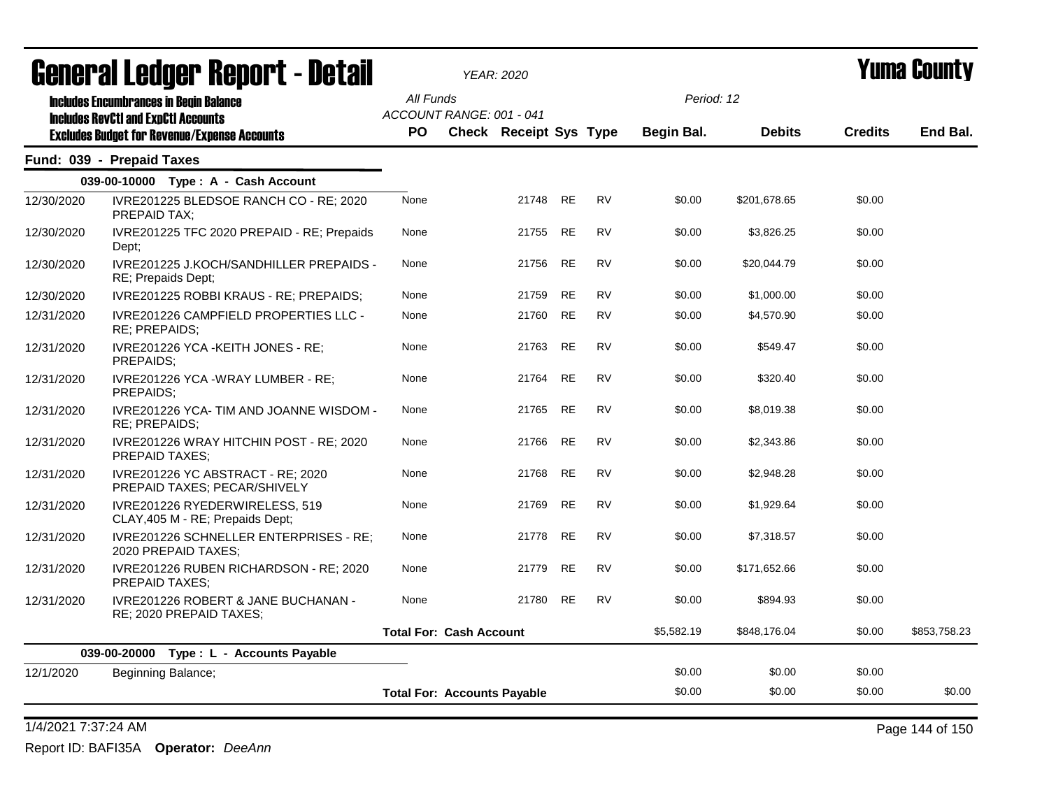|            | <b>General Ledger Report - Detail</b>                                                             |           | <b>YEAR: 2020</b>                  |                               |           |           |            |               |                | Yuma Countv  |
|------------|---------------------------------------------------------------------------------------------------|-----------|------------------------------------|-------------------------------|-----------|-----------|------------|---------------|----------------|--------------|
|            | <b>Includes Encumbrances in Begin Balance</b>                                                     | All Funds |                                    |                               |           |           | Period: 12 |               |                |              |
|            | <b>Includes RevCtI and ExpCtI Accounts</b><br><b>Excludes Budget for Revenue/Expense Accounts</b> | <b>PO</b> | ACCOUNT RANGE: 001 - 041           | <b>Check Receipt Sys Type</b> |           |           | Begin Bal. | <b>Debits</b> | <b>Credits</b> | End Bal.     |
|            | Fund: 039 - Prepaid Taxes                                                                         |           |                                    |                               |           |           |            |               |                |              |
|            | 039-00-10000 Type: A - Cash Account                                                               |           |                                    |                               |           |           |            |               |                |              |
| 12/30/2020 | IVRE201225 BLEDSOE RANCH CO - RE; 2020<br>PREPAID TAX:                                            | None      |                                    | 21748                         | <b>RE</b> | <b>RV</b> | \$0.00     | \$201,678.65  | \$0.00         |              |
| 12/30/2020 | IVRE201225 TFC 2020 PREPAID - RE; Prepaids<br>Dept;                                               | None      |                                    | 21755                         | <b>RE</b> | <b>RV</b> | \$0.00     | \$3,826.25    | \$0.00         |              |
| 12/30/2020 | IVRE201225 J.KOCH/SANDHILLER PREPAIDS -<br>RE; Prepaids Dept;                                     | None      |                                    | 21756                         | <b>RE</b> | <b>RV</b> | \$0.00     | \$20,044.79   | \$0.00         |              |
| 12/30/2020 | IVRE201225 ROBBI KRAUS - RE; PREPAIDS;                                                            | None      |                                    | 21759                         | <b>RE</b> | <b>RV</b> | \$0.00     | \$1,000.00    | \$0.00         |              |
| 12/31/2020 | IVRE201226 CAMPFIELD PROPERTIES LLC -<br>RE; PREPAIDS;                                            | None      |                                    | 21760                         | <b>RE</b> | <b>RV</b> | \$0.00     | \$4,570.90    | \$0.00         |              |
| 12/31/2020 | IVRE201226 YCA - KEITH JONES - RE;<br>PREPAIDS:                                                   | None      |                                    | 21763                         | <b>RE</b> | <b>RV</b> | \$0.00     | \$549.47      | \$0.00         |              |
| 12/31/2020 | IVRE201226 YCA -WRAY LUMBER - RE;<br>PREPAIDS:                                                    | None      |                                    | 21764                         | <b>RE</b> | <b>RV</b> | \$0.00     | \$320.40      | \$0.00         |              |
| 12/31/2020 | IVRE201226 YCA- TIM AND JOANNE WISDOM -<br>RE; PREPAIDS;                                          | None      |                                    | 21765                         | <b>RE</b> | <b>RV</b> | \$0.00     | \$8,019.38    | \$0.00         |              |
| 12/31/2020 | IVRE201226 WRAY HITCHIN POST - RE; 2020<br>PREPAID TAXES;                                         | None      |                                    | 21766                         | <b>RE</b> | <b>RV</b> | \$0.00     | \$2,343.86    | \$0.00         |              |
| 12/31/2020 | IVRE201226 YC ABSTRACT - RE: 2020<br>PREPAID TAXES; PECAR/SHIVELY                                 | None      |                                    | 21768                         | <b>RE</b> | <b>RV</b> | \$0.00     | \$2,948.28    | \$0.00         |              |
| 12/31/2020 | IVRE201226 RYEDERWIRELESS, 519<br>CLAY, 405 M - RE; Prepaids Dept;                                | None      |                                    | 21769                         | <b>RE</b> | <b>RV</b> | \$0.00     | \$1,929.64    | \$0.00         |              |
| 12/31/2020 | IVRE201226 SCHNELLER ENTERPRISES - RE;<br>2020 PREPAID TAXES;                                     | None      |                                    | 21778                         | <b>RE</b> | <b>RV</b> | \$0.00     | \$7,318.57    | \$0.00         |              |
| 12/31/2020 | IVRE201226 RUBEN RICHARDSON - RE; 2020<br>PREPAID TAXES;                                          | None      |                                    | 21779                         | <b>RE</b> | <b>RV</b> | \$0.00     | \$171,652.66  | \$0.00         |              |
| 12/31/2020 | IVRE201226 ROBERT & JANE BUCHANAN -<br>RE; 2020 PREPAID TAXES;                                    | None      |                                    | 21780                         | <b>RE</b> | <b>RV</b> | \$0.00     | \$894.93      | \$0.00         |              |
|            |                                                                                                   |           | <b>Total For: Cash Account</b>     |                               |           |           | \$5,582.19 | \$848,176.04  | \$0.00         | \$853,758.23 |
|            | Type : L - Accounts Payable<br>039-00-20000                                                       |           |                                    |                               |           |           |            |               |                |              |
| 12/1/2020  | Beginning Balance;                                                                                |           |                                    |                               |           |           | \$0.00     | \$0.00        | \$0.00         |              |
|            |                                                                                                   |           | <b>Total For: Accounts Payable</b> |                               |           |           | \$0.00     | \$0.00        | \$0.00         | \$0.00       |

1/4/2021 7:37:24 AM Page 144 of 150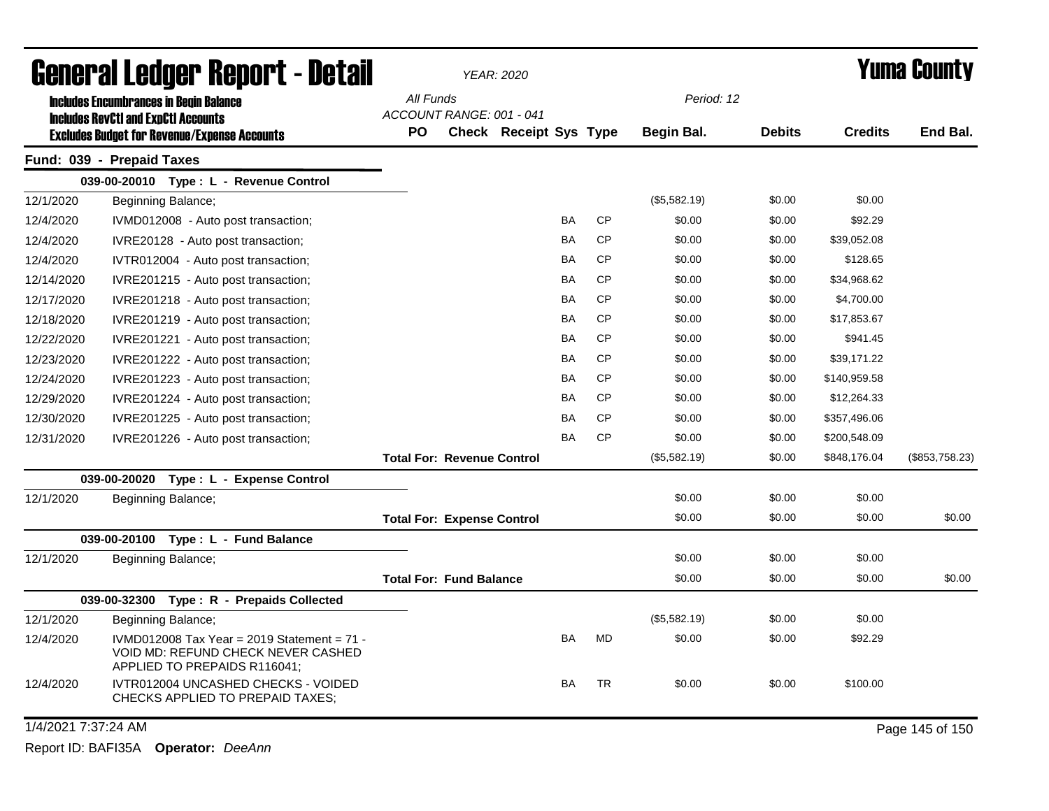| General Ledger Report - Detail                |                                                                                                                     |                                       | <b>YEAR: 2020</b> |                        |           |           |              |               | Yuma County    |                 |
|-----------------------------------------------|---------------------------------------------------------------------------------------------------------------------|---------------------------------------|-------------------|------------------------|-----------|-----------|--------------|---------------|----------------|-----------------|
| <b>Includes Encumbrances in Begin Balance</b> |                                                                                                                     | All Funds                             |                   |                        |           |           | Period: 12   |               |                |                 |
|                                               | <b>Includes RevCtI and ExpCtI Accounts</b>                                                                          | ACCOUNT RANGE: 001 - 041<br><b>PO</b> |                   | Check Receipt Sys Type |           |           | Begin Bal.   | <b>Debits</b> | <b>Credits</b> | End Bal.        |
|                                               | <b>Excludes Budget for Revenue/Expense Accounts</b><br>Fund: 039 - Prepaid Taxes                                    |                                       |                   |                        |           |           |              |               |                |                 |
|                                               | 039-00-20010 Type: L - Revenue Control                                                                              |                                       |                   |                        |           |           |              |               |                |                 |
| 12/1/2020                                     | Beginning Balance;                                                                                                  |                                       |                   |                        |           |           | (\$5,582.19) | \$0.00        | \$0.00         |                 |
| 12/4/2020                                     | IVMD012008 - Auto post transaction;                                                                                 |                                       |                   |                        | BA        | CP        | \$0.00       | \$0.00        | \$92.29        |                 |
| 12/4/2020                                     | IVRE20128 - Auto post transaction;                                                                                  |                                       |                   |                        | <b>BA</b> | <b>CP</b> | \$0.00       | \$0.00        | \$39,052.08    |                 |
| 12/4/2020                                     | IVTR012004 - Auto post transaction;                                                                                 |                                       |                   |                        | BA        | <b>CP</b> | \$0.00       | \$0.00        | \$128.65       |                 |
| 12/14/2020                                    | IVRE201215 - Auto post transaction;                                                                                 |                                       |                   |                        | BA        | <b>CP</b> | \$0.00       | \$0.00        | \$34,968.62    |                 |
| 12/17/2020                                    | IVRE201218 - Auto post transaction;                                                                                 |                                       |                   |                        | <b>BA</b> | <b>CP</b> | \$0.00       | \$0.00        | \$4,700.00     |                 |
| 12/18/2020                                    | IVRE201219 - Auto post transaction;                                                                                 |                                       |                   |                        | BA        | <b>CP</b> | \$0.00       | \$0.00        | \$17,853.67    |                 |
| 12/22/2020                                    | IVRE201221 - Auto post transaction;                                                                                 |                                       |                   |                        | BA        | <b>CP</b> | \$0.00       | \$0.00        | \$941.45       |                 |
| 12/23/2020                                    | IVRE201222 - Auto post transaction;                                                                                 |                                       |                   |                        | <b>BA</b> | <b>CP</b> | \$0.00       | \$0.00        | \$39,171.22    |                 |
| 12/24/2020                                    | IVRE201223 - Auto post transaction;                                                                                 |                                       |                   |                        | <b>BA</b> | <b>CP</b> | \$0.00       | \$0.00        | \$140,959.58   |                 |
| 12/29/2020                                    | IVRE201224 - Auto post transaction;                                                                                 |                                       |                   |                        | BA        | <b>CP</b> | \$0.00       | \$0.00        | \$12,264.33    |                 |
| 12/30/2020                                    | IVRE201225 - Auto post transaction;                                                                                 |                                       |                   |                        | BA        | <b>CP</b> | \$0.00       | \$0.00        | \$357,496.06   |                 |
| 12/31/2020                                    | IVRE201226 - Auto post transaction;                                                                                 |                                       |                   |                        | <b>BA</b> | <b>CP</b> | \$0.00       | \$0.00        | \$200,548.09   |                 |
|                                               |                                                                                                                     | <b>Total For: Revenue Control</b>     |                   |                        |           |           | (\$5,582.19) | \$0.00        | \$848,176.04   | (\$853,758.23)  |
|                                               | 039-00-20020 Type: L - Expense Control                                                                              |                                       |                   |                        |           |           |              |               |                |                 |
| 12/1/2020                                     | Beginning Balance;                                                                                                  |                                       |                   |                        |           |           | \$0.00       | \$0.00        | \$0.00         |                 |
|                                               |                                                                                                                     | <b>Total For: Expense Control</b>     |                   |                        |           |           | \$0.00       | \$0.00        | \$0.00         | \$0.00          |
|                                               | 039-00-20100 Type: L - Fund Balance                                                                                 |                                       |                   |                        |           |           |              |               |                |                 |
| 12/1/2020                                     | Beginning Balance;                                                                                                  |                                       |                   |                        |           |           | \$0.00       | \$0.00        | \$0.00         |                 |
|                                               |                                                                                                                     | <b>Total For: Fund Balance</b>        |                   |                        |           |           | \$0.00       | \$0.00        | \$0.00         | \$0.00          |
|                                               | 039-00-32300 Type: R - Prepaids Collected                                                                           |                                       |                   |                        |           |           |              |               |                |                 |
| 12/1/2020                                     | Beginning Balance;                                                                                                  |                                       |                   |                        |           |           | (\$5,582.19) | \$0.00        | \$0.00         |                 |
| 12/4/2020                                     | IVMD012008 Tax Year = 2019 Statement = $71 -$<br>VOID MD: REFUND CHECK NEVER CASHED<br>APPLIED TO PREPAIDS R116041; |                                       |                   |                        | BA        | <b>MD</b> | \$0.00       | \$0.00        | \$92.29        |                 |
| 12/4/2020                                     | IVTR012004 UNCASHED CHECKS - VOIDED<br>CHECKS APPLIED TO PREPAID TAXES;                                             |                                       |                   |                        | BA        | <b>TR</b> | \$0.00       | \$0.00        | \$100.00       |                 |
| 1/4/2021 7:37:24 AM                           |                                                                                                                     |                                       |                   |                        |           |           |              |               |                | Page 145 of 150 |

Report ID: BAFI35A **Operator:** *DeeAnn*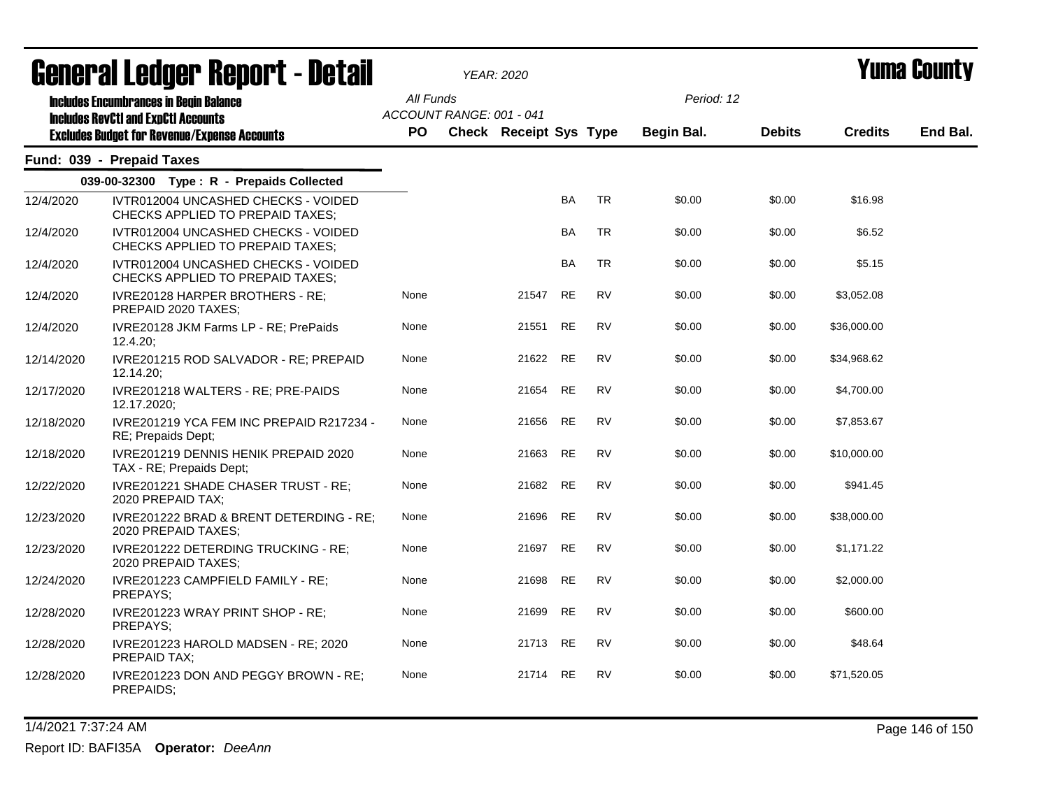| General Ledger Report - Detail<br><b>Includes Encumbrances in Begin Balance</b><br><b>Includes RevCtI and ExpCtI Accounts</b> |                                                                                |                                       |  | <b>YEAR: 2020</b>             |           |           | <b>Yuma County</b> |               |                |          |
|-------------------------------------------------------------------------------------------------------------------------------|--------------------------------------------------------------------------------|---------------------------------------|--|-------------------------------|-----------|-----------|--------------------|---------------|----------------|----------|
|                                                                                                                               |                                                                                | All Funds<br>ACCOUNT RANGE: 001 - 041 |  |                               |           |           | Period: 12         |               |                |          |
|                                                                                                                               | <b>Excludes Budget for Revenue/Expense Accounts</b>                            | <b>PO</b>                             |  | <b>Check Receipt Sys Type</b> |           |           | Begin Bal.         | <b>Debits</b> | <b>Credits</b> | End Bal. |
|                                                                                                                               | Fund: 039 - Prepaid Taxes                                                      |                                       |  |                               |           |           |                    |               |                |          |
|                                                                                                                               | 039-00-32300 Type: R - Prepaids Collected                                      |                                       |  |                               |           |           |                    |               |                |          |
| 12/4/2020                                                                                                                     | IVTR012004 UNCASHED CHECKS - VOIDED<br>CHECKS APPLIED TO PREPAID TAXES;        |                                       |  |                               | <b>BA</b> | <b>TR</b> | \$0.00             | \$0.00        | \$16.98        |          |
| 12/4/2020                                                                                                                     | IVTR012004 UNCASHED CHECKS - VOIDED<br><b>CHECKS APPLIED TO PREPAID TAXES:</b> |                                       |  |                               | <b>BA</b> | <b>TR</b> | \$0.00             | \$0.00        | \$6.52         |          |
| 12/4/2020                                                                                                                     | IVTR012004 UNCASHED CHECKS - VOIDED<br>CHECKS APPLIED TO PREPAID TAXES;        |                                       |  |                               | <b>BA</b> | <b>TR</b> | \$0.00             | \$0.00        | \$5.15         |          |
| 12/4/2020                                                                                                                     | IVRE20128 HARPER BROTHERS - RE:<br>PREPAID 2020 TAXES;                         | None                                  |  | 21547                         | <b>RE</b> | <b>RV</b> | \$0.00             | \$0.00        | \$3,052.08     |          |
| 12/4/2020                                                                                                                     | IVRE20128 JKM Farms LP - RE; PrePaids<br>$12.4.20$ ;                           | None                                  |  | 21551                         | <b>RE</b> | <b>RV</b> | \$0.00             | \$0.00        | \$36,000.00    |          |
| 12/14/2020                                                                                                                    | IVRE201215 ROD SALVADOR - RE; PREPAID<br>12.14.20                              | None                                  |  | 21622 RE                      |           | <b>RV</b> | \$0.00             | \$0.00        | \$34,968.62    |          |
| 12/17/2020                                                                                                                    | IVRE201218 WALTERS - RE; PRE-PAIDS<br>12.17.2020;                              | None                                  |  | 21654                         | <b>RE</b> | <b>RV</b> | \$0.00             | \$0.00        | \$4,700.00     |          |
| 12/18/2020                                                                                                                    | IVRE201219 YCA FEM INC PREPAID R217234 -<br>RE; Prepaids Dept;                 | None                                  |  | 21656                         | <b>RE</b> | <b>RV</b> | \$0.00             | \$0.00        | \$7,853.67     |          |
| 12/18/2020                                                                                                                    | IVRE201219 DENNIS HENIK PREPAID 2020<br>TAX - RE; Prepaids Dept;               | None                                  |  | 21663                         | <b>RE</b> | <b>RV</b> | \$0.00             | \$0.00        | \$10,000.00    |          |
| 12/22/2020                                                                                                                    | IVRE201221 SHADE CHASER TRUST - RE;<br>2020 PREPAID TAX;                       | None                                  |  | 21682                         | <b>RE</b> | <b>RV</b> | \$0.00             | \$0.00        | \$941.45       |          |
| 12/23/2020                                                                                                                    | IVRE201222 BRAD & BRENT DETERDING - RE;<br>2020 PREPAID TAXES:                 | None                                  |  | 21696                         | RE        | <b>RV</b> | \$0.00             | \$0.00        | \$38,000.00    |          |
| 12/23/2020                                                                                                                    | IVRE201222 DETERDING TRUCKING - RE;<br>2020 PREPAID TAXES;                     | None                                  |  | 21697                         | RE        | <b>RV</b> | \$0.00             | \$0.00        | \$1,171.22     |          |
| 12/24/2020                                                                                                                    | IVRE201223 CAMPFIELD FAMILY - RE;<br>PREPAYS;                                  | None                                  |  | 21698                         | RE        | <b>RV</b> | \$0.00             | \$0.00        | \$2,000.00     |          |
| 12/28/2020                                                                                                                    | IVRE201223 WRAY PRINT SHOP - RE;<br>PREPAYS:                                   | None                                  |  | 21699                         | RE        | <b>RV</b> | \$0.00             | \$0.00        | \$600.00       |          |
| 12/28/2020                                                                                                                    | IVRE201223 HAROLD MADSEN - RE; 2020<br><b>PREPAID TAX:</b>                     | None                                  |  | 21713 RE                      |           | <b>RV</b> | \$0.00             | \$0.00        | \$48.64        |          |
| 12/28/2020                                                                                                                    | IVRE201223 DON AND PEGGY BROWN - RE;<br>PREPAIDS;                              | None                                  |  | 21714 RE                      |           | <b>RV</b> | \$0.00             | \$0.00        | \$71,520.05    |          |

1/4/2021 7:37:24 AM Page 146 of 150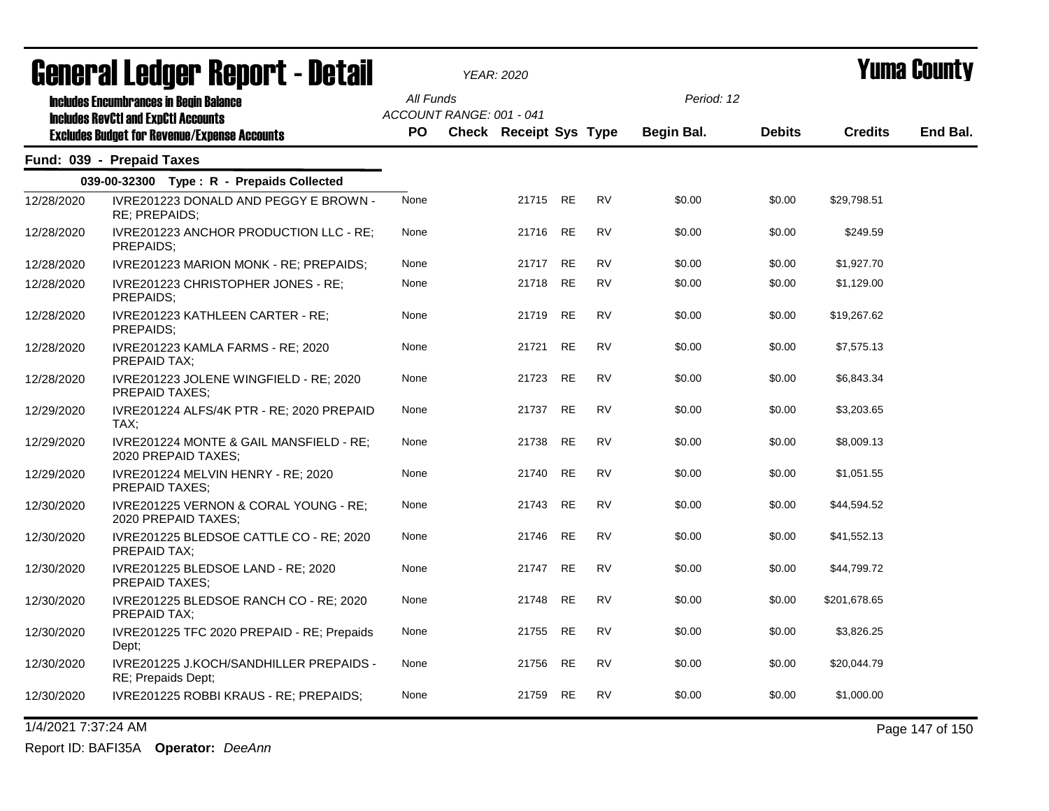| agiigi.gi fanñai. Ughni. ( - nafqii<br><b>Includes Encumbrances in Begin Balance</b><br><b>Includes RevCtI and ExpCtI Accounts</b><br><b>Excludes Budget for Revenue/Expense Accounts</b> |                                                                 | YEAR: 2020             |  |                                                           |           |           |                          |               |                | I UIIIA VUUIILY |
|-------------------------------------------------------------------------------------------------------------------------------------------------------------------------------------------|-----------------------------------------------------------------|------------------------|--|-----------------------------------------------------------|-----------|-----------|--------------------------|---------------|----------------|-----------------|
|                                                                                                                                                                                           |                                                                 | All Funds<br><b>PO</b> |  | ACCOUNT RANGE: 001 - 041<br><b>Check Receipt Sys Type</b> |           |           | Period: 12<br>Begin Bal. | <b>Debits</b> | <b>Credits</b> | End Bal.        |
|                                                                                                                                                                                           | Fund: 039 - Prepaid Taxes                                       |                        |  |                                                           |           |           |                          |               |                |                 |
|                                                                                                                                                                                           | 039-00-32300 Type: R - Prepaids Collected                       |                        |  |                                                           |           |           |                          |               |                |                 |
| 12/28/2020                                                                                                                                                                                | IVRE201223 DONALD AND PEGGY E BROWN -<br>RE; PREPAIDS;          | None                   |  | 21715                                                     | <b>RE</b> | <b>RV</b> | \$0.00                   | \$0.00        | \$29,798.51    |                 |
| 12/28/2020                                                                                                                                                                                | IVRE201223 ANCHOR PRODUCTION LLC - RE;<br>PREPAIDS;             | None                   |  | 21716                                                     | RE        | <b>RV</b> | \$0.00                   | \$0.00        | \$249.59       |                 |
| 12/28/2020                                                                                                                                                                                | IVRE201223 MARION MONK - RE; PREPAIDS;                          | None                   |  | 21717 RE                                                  |           | <b>RV</b> | \$0.00                   | \$0.00        | \$1,927.70     |                 |
| 12/28/2020                                                                                                                                                                                | IVRE201223 CHRISTOPHER JONES - RE;<br>PREPAIDS:                 | None                   |  | 21718                                                     | <b>RE</b> | <b>RV</b> | \$0.00                   | \$0.00        | \$1,129.00     |                 |
| 12/28/2020                                                                                                                                                                                | IVRE201223 KATHLEEN CARTER - RE;<br>PREPAIDS;                   | None                   |  | 21719                                                     | RE        | <b>RV</b> | \$0.00                   | \$0.00        | \$19,267.62    |                 |
| 12/28/2020                                                                                                                                                                                | IVRE201223 KAMLA FARMS - RE; 2020<br><b>PREPAID TAX:</b>        | None                   |  | 21721                                                     | <b>RE</b> | <b>RV</b> | \$0.00                   | \$0.00        | \$7,575.13     |                 |
| 12/28/2020                                                                                                                                                                                | IVRE201223 JOLENE WINGFIELD - RE; 2020<br><b>PREPAID TAXES:</b> | None                   |  | 21723                                                     | RE        | RV        | \$0.00                   | \$0.00        | \$6,843.34     |                 |
| 12/29/2020                                                                                                                                                                                | IVRE201224 ALFS/4K PTR - RE; 2020 PREPAID<br>TAX:               | None                   |  | 21737                                                     | RE        | RV        | \$0.00                   | \$0.00        | \$3,203.65     |                 |
| 12/29/2020                                                                                                                                                                                | IVRE201224 MONTE & GAIL MANSFIELD - RE;<br>2020 PREPAID TAXES;  | None                   |  | 21738                                                     | RE        | <b>RV</b> | \$0.00                   | \$0.00        | \$8,009.13     |                 |
| 12/29/2020                                                                                                                                                                                | IVRE201224 MELVIN HENRY - RE; 2020<br>PREPAID TAXES;            | None                   |  | 21740                                                     | RE        | <b>RV</b> | \$0.00                   | \$0.00        | \$1,051.55     |                 |
| 12/30/2020                                                                                                                                                                                | IVRE201225 VERNON & CORAL YOUNG - RE;<br>2020 PREPAID TAXES;    | None                   |  | 21743                                                     | <b>RE</b> | <b>RV</b> | \$0.00                   | \$0.00        | \$44,594.52    |                 |
| 12/30/2020                                                                                                                                                                                | IVRE201225 BLEDSOE CATTLE CO - RE; 2020<br>PREPAID TAX:         | None                   |  | 21746                                                     | <b>RE</b> | <b>RV</b> | \$0.00                   | \$0.00        | \$41,552.13    |                 |
| 12/30/2020                                                                                                                                                                                | IVRE201225 BLEDSOE LAND - RE; 2020<br><b>PREPAID TAXES:</b>     | None                   |  | 21747                                                     | <b>RE</b> | <b>RV</b> | \$0.00                   | \$0.00        | \$44,799.72    |                 |
| 12/30/2020                                                                                                                                                                                | IVRE201225 BLEDSOE RANCH CO - RE; 2020<br>PREPAID TAX;          | None                   |  | 21748                                                     | RE        | <b>RV</b> | \$0.00                   | \$0.00        | \$201,678.65   |                 |
| 12/30/2020                                                                                                                                                                                | IVRE201225 TFC 2020 PREPAID - RE; Prepaids<br>Dept;             | None                   |  | 21755                                                     | RE        | <b>RV</b> | \$0.00                   | \$0.00        | \$3,826.25     |                 |
| 12/30/2020                                                                                                                                                                                | IVRE201225 J.KOCH/SANDHILLER PREPAIDS -<br>RE; Prepaids Dept;   | None                   |  | 21756                                                     | RE        | <b>RV</b> | \$0.00                   | \$0.00        | \$20,044.79    |                 |
| 12/30/2020                                                                                                                                                                                | IVRE201225 ROBBI KRAUS - RE; PREPAIDS;                          | None                   |  | 21759                                                     | <b>RE</b> | <b>RV</b> | \$0.00                   | \$0.00        | \$1,000.00     |                 |

General Ledger Report - Detail *YEAR: 2020* Yuma County

1/4/2021 7:37:24 AM Page 147 of 150

Report ID: BAFI35A **Operator:** *DeeAnn*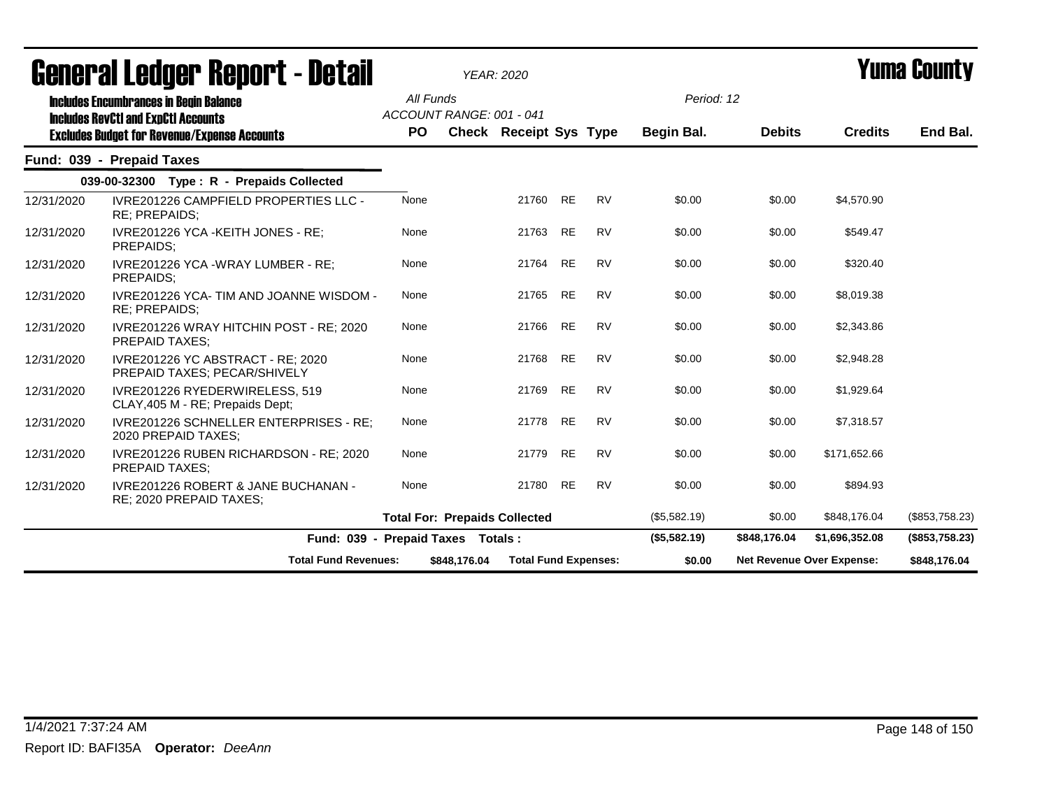|                                                                                             | General Ledger Report - Detail                                     |           | <b>YEAR: 2020</b>                    |                    |                             |              |               |                                  | Yuma County    |
|---------------------------------------------------------------------------------------------|--------------------------------------------------------------------|-----------|--------------------------------------|--------------------|-----------------------------|--------------|---------------|----------------------------------|----------------|
| <b>Includes Encumbrances in Begin Balance</b><br><b>Includes RevCtI and ExpCtI Accounts</b> |                                                                    | All Funds | ACCOUNT RANGE: 001 - 041             |                    |                             | Period: 12   |               |                                  |                |
|                                                                                             | <b>Excludes Budget for Revenue/Expense Accounts</b>                | <b>PO</b> | <b>Check Receipt Sys Type</b>        |                    |                             | Begin Bal.   | <b>Debits</b> | <b>Credits</b>                   | End Bal.       |
|                                                                                             | Fund: 039 - Prepaid Taxes                                          |           |                                      |                    |                             |              |               |                                  |                |
|                                                                                             | 039-00-32300 Type: R - Prepaids Collected                          |           |                                      |                    |                             |              |               |                                  |                |
| 12/31/2020                                                                                  | <b>IVRE201226 CAMPFIELD PROPERTIES LLC -</b><br>RE; PREPAIDS;      | None      |                                      | <b>RE</b><br>21760 | <b>RV</b>                   | \$0.00       | \$0.00        | \$4,570.90                       |                |
| 12/31/2020                                                                                  | IVRE201226 YCA - KEITH JONES - RE:<br>PREPAIDS:                    | None      |                                      | 21763<br><b>RE</b> | <b>RV</b>                   | \$0.00       | \$0.00        | \$549.47                         |                |
| 12/31/2020                                                                                  | IVRE201226 YCA -WRAY LUMBER - RE;<br>PREPAIDS:                     | None      |                                      | <b>RE</b><br>21764 | <b>RV</b>                   | \$0.00       | \$0.00        | \$320.40                         |                |
| 12/31/2020                                                                                  | IVRE201226 YCA- TIM AND JOANNE WISDOM -<br><b>RE: PREPAIDS:</b>    | None      |                                      | <b>RE</b><br>21765 | <b>RV</b>                   | \$0.00       | \$0.00        | \$8,019.38                       |                |
| 12/31/2020                                                                                  | IVRE201226 WRAY HITCHIN POST - RE; 2020<br>PREPAID TAXES;          | None      |                                      | <b>RE</b><br>21766 | <b>RV</b>                   | \$0.00       | \$0.00        | \$2,343.86                       |                |
| 12/31/2020                                                                                  | IVRE201226 YC ABSTRACT - RE: 2020<br>PREPAID TAXES; PECAR/SHIVELY  | None      |                                      | <b>RE</b><br>21768 | <b>RV</b>                   | \$0.00       | \$0.00        | \$2,948.28                       |                |
| 12/31/2020                                                                                  | IVRE201226 RYEDERWIRELESS, 519<br>CLAY, 405 M - RE; Prepaids Dept; | None      |                                      | <b>RE</b><br>21769 | <b>RV</b>                   | \$0.00       | \$0.00        | \$1,929.64                       |                |
| 12/31/2020                                                                                  | IVRE201226 SCHNELLER ENTERPRISES - RE;<br>2020 PREPAID TAXES;      | None      |                                      | 21778<br><b>RE</b> | <b>RV</b>                   | \$0.00       | \$0.00        | \$7,318.57                       |                |
| 12/31/2020                                                                                  | IVRE201226 RUBEN RICHARDSON - RE; 2020<br><b>PREPAID TAXES:</b>    | None      |                                      | 21779<br><b>RE</b> | <b>RV</b>                   | \$0.00       | \$0.00        | \$171.652.66                     |                |
| 12/31/2020                                                                                  | IVRE201226 ROBERT & JANE BUCHANAN -<br>RE; 2020 PREPAID TAXES;     | None      |                                      | 21780<br><b>RE</b> | <b>RV</b>                   | \$0.00       | \$0.00        | \$894.93                         |                |
|                                                                                             |                                                                    |           | <b>Total For: Prepaids Collected</b> |                    |                             | (\$5,582.19) | \$0.00        | \$848,176.04                     | (\$853,758.23) |
|                                                                                             |                                                                    |           | Fund: 039 - Prepaid Taxes Totals:    |                    |                             | (\$5,582.19) | \$848,176.04  | \$1,696,352.08                   | (\$853,758.23) |
|                                                                                             | <b>Total Fund Revenues:</b>                                        |           | \$848,176.04                         |                    | <b>Total Fund Expenses:</b> | \$0.00       |               | <b>Net Revenue Over Expense:</b> | \$848,176.04   |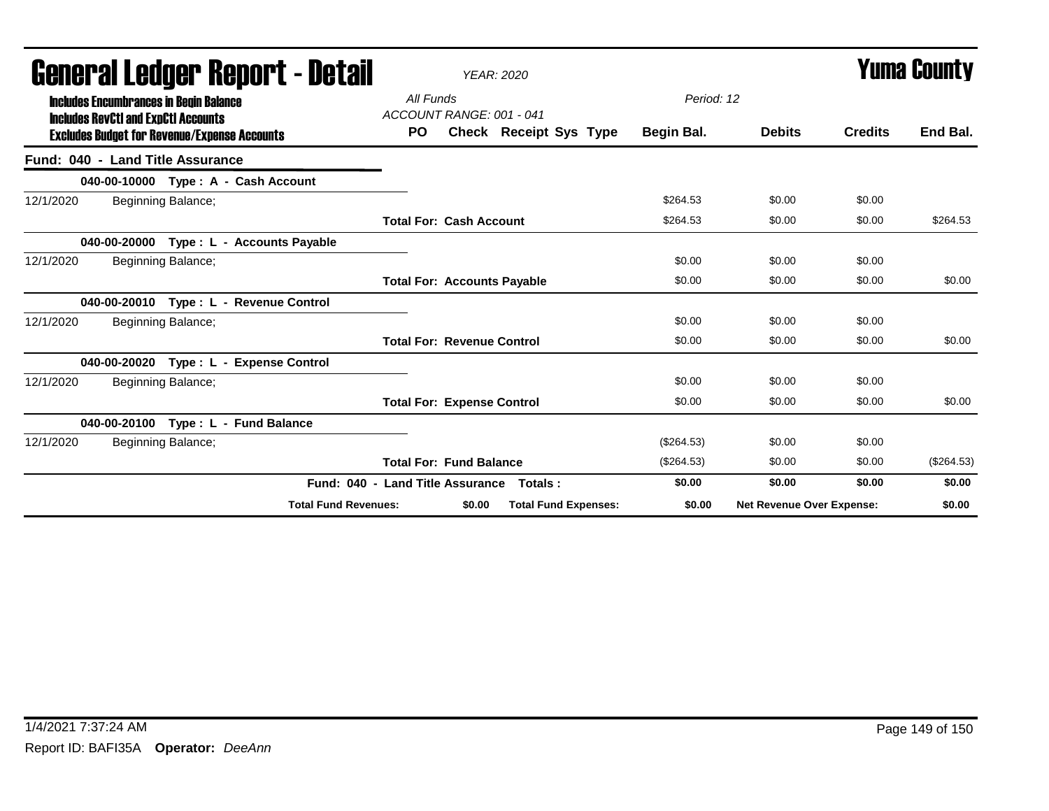| agiigi.,qi fanyai. Kahni. ( - natsii                                                        | <b>YEAR: 2020</b>                            |              | I UIIIA VUUIILY                  |                |              |
|---------------------------------------------------------------------------------------------|----------------------------------------------|--------------|----------------------------------|----------------|--------------|
| <b>Includes Encumbrances in Begin Balance</b><br><b>Includes RevCtI and ExpCtI Accounts</b> | All Funds<br>ACCOUNT RANGE: 001 - 041        | Period: 12   |                                  |                |              |
| <b>Excludes Budget for Revenue/Expense Accounts</b>                                         | Check Receipt Sys Type<br><b>PO</b>          | Begin Bal.   | <b>Debits</b>                    | <b>Credits</b> | End Bal.     |
| Fund: 040 - Land Title Assurance                                                            |                                              |              |                                  |                |              |
| 040-00-10000 Type: A - Cash Account                                                         |                                              |              |                                  |                |              |
| Beginning Balance;<br>12/1/2020                                                             |                                              | \$264.53     | \$0.00                           | \$0.00         |              |
|                                                                                             | <b>Total For: Cash Account</b>               | \$264.53     | \$0.00                           | \$0.00         | \$264.53     |
| 040-00-20000 Type: L - Accounts Payable                                                     |                                              |              |                                  |                |              |
| 12/1/2020<br>Beginning Balance;                                                             |                                              | \$0.00       | \$0.00                           | \$0.00         |              |
|                                                                                             | <b>Total For: Accounts Payable</b>           | \$0.00       | \$0.00                           | \$0.00         | \$0.00       |
| 040-00-20010 Type: L - Revenue Control                                                      |                                              |              |                                  |                |              |
| Beginning Balance;<br>12/1/2020                                                             |                                              | \$0.00       | \$0.00                           | \$0.00         |              |
|                                                                                             | <b>Total For: Revenue Control</b>            | \$0.00       | \$0.00                           | \$0.00         | \$0.00       |
| 040-00-20020 Type: L - Expense Control                                                      |                                              |              |                                  |                |              |
| 12/1/2020<br>Beginning Balance;                                                             |                                              | \$0.00       | \$0.00                           | \$0.00         |              |
|                                                                                             | <b>Total For: Expense Control</b>            | \$0.00       | \$0.00                           | \$0.00         | \$0.00       |
| 040-00-20100 Type: L - Fund Balance                                                         |                                              |              |                                  |                |              |
| 12/1/2020<br>Beginning Balance;                                                             |                                              | $(\$264.53)$ | \$0.00                           | \$0.00         |              |
|                                                                                             | <b>Total For: Fund Balance</b>               | (\$264.53)   | \$0.00                           | \$0.00         | $(\$264.53)$ |
|                                                                                             | Fund: 040 - Land Title Assurance<br>Totals : | \$0.00       | \$0.00                           | \$0.00         | \$0.00       |
| <b>Total Fund Revenues:</b>                                                                 | <b>Total Fund Expenses:</b><br>\$0.00        | \$0.00       | <b>Net Revenue Over Expense:</b> |                | \$0.00       |

## General Ledger Report - Detail *YEAR: 2020* Yuma County